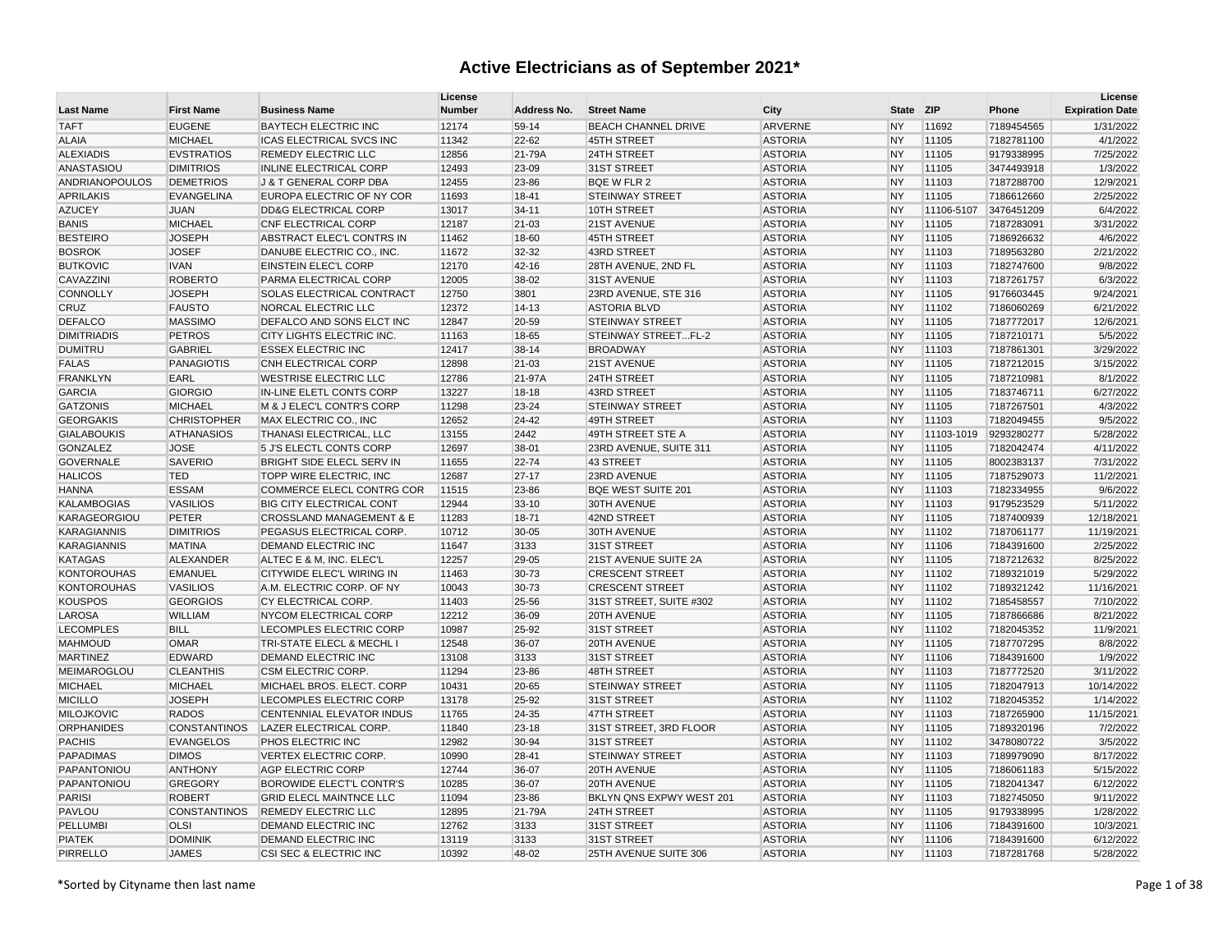| <b>Last Name</b>   | <b>First Name</b>   | <b>Business Name</b>                | License<br><b>Number</b> | Address No. | <b>Street Name</b>         | City           | <b>State</b> | <b>ZIP</b> | Phone                 | License<br><b>Expiration Date</b> |
|--------------------|---------------------|-------------------------------------|--------------------------|-------------|----------------------------|----------------|--------------|------------|-----------------------|-----------------------------------|
| <b>TAFT</b>        | <b>EUGENE</b>       | <b>BAYTECH ELECTRIC INC</b>         | 12174                    | 59-14       | <b>BEACH CHANNEL DRIVE</b> | ARVERNE        | <b>NY</b>    | 11692      | 7189454565            | 1/31/2022                         |
| <b>ALAIA</b>       | <b>MICHAEL</b>      | ICAS ELECTRICAL SVCS INC            | 11342                    | 22-62       | 45TH STREET                | <b>ASTORIA</b> | <b>NY</b>    | 11105      | 7182781100            | 4/1/2022                          |
| <b>ALEXIADIS</b>   | <b>EVSTRATIOS</b>   | <b>REMEDY ELECTRIC LLC</b>          | 12856                    | 21-79A      | 24TH STREET                | <b>ASTORIA</b> | <b>NY</b>    | 11105      | 9179338995            | 7/25/2022                         |
| <b>ANASTASIOU</b>  | <b>DIMITRIOS</b>    | <b>INLINE ELECTRICAL CORP</b>       | 12493                    | 23-09       | 31ST STREET                | <b>ASTORIA</b> | <b>NY</b>    | 11105      | 3474493918            | 1/3/2022                          |
| ANDRIANOPOULOS     | <b>DEMETRIOS</b>    | J & T GENERAL CORP DBA              | 12455                    | 23-86       | <b>BQE W FLR 2</b>         | <b>ASTORIA</b> | <b>NY</b>    | 11103      | 7187288700            | 12/9/2021                         |
| <b>APRILAKIS</b>   | EVANGELINA          | EUROPA ELECTRIC OF NY COR           | 11693                    | 18-41       | <b>STEINWAY STREET</b>     | <b>ASTORIA</b> | <b>NY</b>    | 11105      | 7186612660            | 2/25/2022                         |
| <b>AZUCEY</b>      | <b>JUAN</b>         | <b>DD&amp;G ELECTRICAL CORP</b>     | 13017                    | $34-11$     | 10TH STREET                | <b>ASTORIA</b> | <b>NY</b>    |            | 11106-5107 3476451209 | 6/4/2022                          |
| <b>BANIS</b>       | <b>MICHAEL</b>      | <b>CNF ELECTRICAL CORP</b>          | 12187                    | 21-03       | 21ST AVENUE                | <b>ASTORIA</b> | <b>NY</b>    | 11105      | 7187283091            | 3/31/2022                         |
| <b>BESTEIRO</b>    | <b>JOSEPH</b>       | ABSTRACT ELEC'L CONTRS IN           | 11462                    | 18-60       | 45TH STREET                | <b>ASTORIA</b> | <b>NY</b>    | 11105      | 7186926632            | 4/6/2022                          |
| <b>BOSROK</b>      | <b>JOSEF</b>        | DANUBE ELECTRIC CO., INC.           | 11672                    | 32-32       | 43RD STREET                | <b>ASTORIA</b> | <b>NY</b>    | 11103      | 7189563280            | 2/21/2022                         |
| <b>BUTKOVIC</b>    | <b>IVAN</b>         | EINSTEIN ELEC'L CORP                | 12170                    | 42-16       | 28TH AVENUE, 2ND FL        | <b>ASTORIA</b> | <b>NY</b>    | 11103      | 7182747600            | 9/8/2022                          |
| CAVAZZINI          | <b>ROBERTO</b>      | PARMA ELECTRICAL CORP               | 12005                    | 38-02       | 31ST AVENUE                | <b>ASTORIA</b> | <b>NY</b>    | 11103      | 7187261757            | 6/3/2022                          |
| <b>CONNOLLY</b>    | <b>JOSEPH</b>       | SOLAS ELECTRICAL CONTRACT           | 12750                    | 3801        | 23RD AVENUE, STE 316       | <b>ASTORIA</b> | <b>NY</b>    | 11105      | 9176603445            | 9/24/2021                         |
| CRUZ               | <b>FAUSTO</b>       | NORCAL ELECTRIC LLC                 | 12372                    | 14-13       | <b>ASTORIA BLVD</b>        | <b>ASTORIA</b> | <b>NY</b>    | 11102      | 7186060269            | 6/21/2022                         |
| <b>DEFALCO</b>     | <b>MASSIMO</b>      | <b>DEFALCO AND SONS ELCT INC</b>    | 12847                    | 20-59       | <b>STEINWAY STREET</b>     | <b>ASTORIA</b> | <b>NY</b>    | 11105      | 7187772017            | 12/6/2021                         |
| <b>DIMITRIADIS</b> | <b>PETROS</b>       | CITY LIGHTS ELECTRIC INC.           | 11163                    | 18-65       | STEINWAY STREETFL-2        | <b>ASTORIA</b> | <b>NY</b>    | 11105      | 7187210171            | 5/5/2022                          |
| <b>DUMITRU</b>     | <b>GABRIEL</b>      | <b>ESSEX ELECTRIC INC</b>           | 12417                    | 38-14       | <b>BROADWAY</b>            | <b>ASTORIA</b> | <b>NY</b>    | 11103      | 7187861301            | 3/29/2022                         |
| <b>FALAS</b>       | <b>PANAGIOTIS</b>   | CNH ELECTRICAL CORP                 | 12898                    | 21-03       | <b>21ST AVENUE</b>         | <b>ASTORIA</b> | <b>NY</b>    | 11105      | 7187212015            | 3/15/2022                         |
| <b>FRANKLYN</b>    | EARL                | <b>WESTRISE ELECTRIC LLC</b>        | 12786                    | 21-97A      | 24TH STREET                | <b>ASTORIA</b> | <b>NY</b>    | 11105      | 7187210981            | 8/1/2022                          |
| <b>GARCIA</b>      | <b>GIORGIO</b>      | IN-LINE ELETL CONTS CORP            | 13227                    | 18-18       | 43RD STREET                | <b>ASTORIA</b> | <b>NY</b>    | 11105      | 7183746711            | 6/27/2022                         |
| <b>GATZONIS</b>    | <b>MICHAEL</b>      | M & J ELEC'L CONTR'S CORP           | 11298                    | 23-24       | <b>STEINWAY STREET</b>     | <b>ASTORIA</b> | <b>NY</b>    | 11105      | 7187267501            | 4/3/2022                          |
| <b>GEORGAKIS</b>   | <b>CHRISTOPHER</b>  | MAX ELECTRIC CO., INC               | 12652                    | 24-42       | 49TH STREET                | <b>ASTORIA</b> | <b>NY</b>    | 11103      | 7182049455            | 9/5/2022                          |
| <b>GIALABOUKIS</b> | <b>ATHANASIOS</b>   | <b>THANASI ELECTRICAL, LLC</b>      | 13155                    | 2442        | 49TH STREET STE A          | <b>ASTORIA</b> | <b>NY</b>    | 11103-1019 | 9293280277            | 5/28/2022                         |
| <b>GONZALEZ</b>    | <b>JOSE</b>         | 5 J'S ELECTL CONTS CORP             | 12697                    | 38-01       | 23RD AVENUE, SUITE 311     | <b>ASTORIA</b> | <b>NY</b>    | 11105      | 7182042474            | 4/11/2022                         |
| <b>GOVERNALE</b>   | <b>SAVERIO</b>      | <b>BRIGHT SIDE ELECL SERV IN</b>    | 11655                    | 22-74       | 43 STREET                  | <b>ASTORIA</b> | <b>NY</b>    | 11105      | 8002383137            | 7/31/2022                         |
| <b>HALICOS</b>     | <b>TED</b>          | TOPP WIRE ELECTRIC, INC             | 12687                    | 27-17       | 23RD AVENUE                | <b>ASTORIA</b> | <b>NY</b>    | 11105      | 7187529073            | 11/2/2021                         |
| <b>HANNA</b>       | <b>ESSAM</b>        | COMMERCE ELECL CONTRG COR           | 11515                    | 23-86       | <b>BQE WEST SUITE 201</b>  | <b>ASTORIA</b> | <b>NY</b>    | 11103      | 7182334955            | 9/6/2022                          |
| <b>KALAMBOGIAS</b> | <b>VASILIOS</b>     | <b>BIG CITY ELECTRICAL CONT</b>     | 12944                    | 33-10       | 30TH AVENUE                | <b>ASTORIA</b> | <b>NY</b>    | 11103      | 9179523529            | 5/11/2022                         |
| KARAGEORGIOU       | <b>PETER</b>        | <b>CROSSLAND MANAGEMENT &amp; E</b> | 11283                    | 18-71       | 42ND STREET                | <b>ASTORIA</b> | <b>NY</b>    | 11105      | 7187400939            | 12/18/2021                        |
| <b>KARAGIANNIS</b> | <b>DIMITRIOS</b>    | PEGASUS ELECTRICAL CORP.            | 10712                    | 30-05       | 30TH AVENUE                | <b>ASTORIA</b> | <b>NY</b>    | 11102      | 7187061177            | 11/19/2021                        |
| <b>KARAGIANNIS</b> | <b>MATINA</b>       | <b>DEMAND ELECTRIC INC</b>          | 11647                    | 3133        | 31ST STREET                | <b>ASTORIA</b> | <b>NY</b>    | 11106      | 7184391600            | 2/25/2022                         |
| <b>KATAGAS</b>     | ALEXANDER           | ALTEC E & M, INC. ELEC'L            | 12257                    | 29-05       | 21ST AVENUE SUITE 2A       | <b>ASTORIA</b> | <b>NY</b>    | 11105      | 7187212632            | 8/25/2022                         |
| <b>KONTOROUHAS</b> | <b>EMANUEL</b>      | <b>CITYWIDE ELEC'L WIRING IN</b>    | 11463                    | 30-73       | <b>CRESCENT STREET</b>     | <b>ASTORIA</b> | <b>NY</b>    | 11102      | 7189321019            | 5/29/2022                         |
| <b>KONTOROUHAS</b> | <b>VASILIOS</b>     | A.M. ELECTRIC CORP. OF NY           | 10043                    | 30-73       | <b>CRESCENT STREET</b>     | <b>ASTORIA</b> | <b>NY</b>    | 11102      | 7189321242            | 11/16/2021                        |
| <b>KOUSPOS</b>     | <b>GEORGIOS</b>     | <b>CY ELECTRICAL CORP.</b>          | 11403                    | 25-56       | 31ST STREET, SUITE #302    | <b>ASTORIA</b> | <b>NY</b>    | 11102      | 7185458557            | 7/10/2022                         |
| <b>LAROSA</b>      | <b>WILLIAM</b>      | NYCOM ELECTRICAL CORP               | 12212                    | 36-09       | 20TH AVENUE                | <b>ASTORIA</b> | <b>NY</b>    | 11105      | 7187866686            | 8/21/2022                         |
| <b>LECOMPLES</b>   | <b>BILL</b>         | <b>LECOMPLES ELECTRIC CORP</b>      | 10987                    | 25-92       | 31ST STREET                | <b>ASTORIA</b> | <b>NY</b>    | 11102      | 7182045352            | 11/9/2021                         |
| <b>MAHMOUD</b>     | <b>OMAR</b>         | TRI-STATE ELECL & MECHL I           | 12548                    | 36-07       | 20TH AVENUE                | <b>ASTORIA</b> | <b>NY</b>    | 11105      | 7187707295            | 8/8/2022                          |
| <b>MARTINEZ</b>    | EDWARD              | <b>DEMAND ELECTRIC INC</b>          | 13108                    | 3133        | 31ST STREET                | <b>ASTORIA</b> | <b>NY</b>    | 11106      | 7184391600            | 1/9/2022                          |
| <b>MEIMAROGLOU</b> | <b>CLEANTHIS</b>    | <b>CSM ELECTRIC CORP.</b>           | 11294                    | 23-86       | 48TH STREET                | <b>ASTORIA</b> | <b>NY</b>    | 11103      | 7187772520            | 3/11/2022                         |
| <b>MICHAEL</b>     | <b>MICHAEL</b>      | MICHAEL BROS. ELECT. CORP           | 10431                    | 20-65       | <b>STEINWAY STREET</b>     | <b>ASTORIA</b> | <b>NY</b>    | 11105      | 7182047913            | 10/14/2022                        |
| <b>MICILLO</b>     | <b>JOSEPH</b>       | LECOMPLES ELECTRIC CORP             | 13178                    | 25-92       | 31ST STREET                | <b>ASTORIA</b> | <b>NY</b>    | 11102      | 7182045352            | 1/14/2022                         |
| <b>MILOJKOVIC</b>  | <b>RADOS</b>        | CENTENNIAL ELEVATOR INDUS           | 11765                    | 24-35       | 47TH STREET                | <b>ASTORIA</b> | <b>NY</b>    | 11103      | 7187265900            | 11/15/2021                        |
| <b>ORPHANIDES</b>  | <b>CONSTANTINOS</b> | <b>LAZER ELECTRICAL CORP</b>        | 11840                    | $23 - 18$   | 31ST STREET, 3RD FLOOR     | <b>ASTORIA</b> | <b>NY</b>    | 11105      | 7189320196            | 7/2/2022                          |
| <b>PACHIS</b>      | <b>EVANGELOS</b>    | PHOS ELECTRIC INC                   | 12982                    | 30-94       | 31ST STREET                | <b>ASTORIA</b> | <b>NY</b>    | 11102      | 3478080722            | 3/5/2022                          |
| <b>PAPADIMAS</b>   | <b>DIMOS</b>        | <b>VERTEX ELECTRIC CORP.</b>        | 10990                    | 28-41       | <b>STEINWAY STREET</b>     | <b>ASTORIA</b> | <b>NY</b>    | 11103      | 7189979090            | 8/17/2022                         |
| PAPANTONIOU        | <b>ANTHONY</b>      | <b>AGP ELECTRIC CORP</b>            | 12744                    | 36-07       | 20TH AVENUE                | <b>ASTORIA</b> | <b>NY</b>    | 11105      | 7186061183            | 5/15/2022                         |
| PAPANTONIOU        | <b>GREGORY</b>      | <b>BOROWIDE ELECT'L CONTR'S</b>     | 10285                    | 36-07       | 20TH AVENUE                | <b>ASTORIA</b> | <b>NY</b>    | 11105      | 7182041347            | 6/12/2022                         |
| <b>PARISI</b>      | <b>ROBERT</b>       | <b>GRID ELECL MAINTNCE LLC</b>      | 11094                    | 23-86       | BKLYN QNS EXPWY WEST 201   | <b>ASTORIA</b> | <b>NY</b>    | 11103      | 7182745050            | 9/11/2022                         |
| <b>PAVLOU</b>      | <b>CONSTANTINOS</b> | <b>REMEDY ELECTRIC LLC</b>          | 12895                    | 21-79A      | 24TH STREET                | <b>ASTORIA</b> | <b>NY</b>    | 11105      | 9179338995            | 1/28/2022                         |
| <b>PELLUMBI</b>    | <b>OLSI</b>         | <b>DEMAND ELECTRIC INC</b>          | 12762                    | 3133        | 31ST STREET                | <b>ASTORIA</b> | <b>NY</b>    | 11106      | 7184391600            | 10/3/2021                         |
| <b>PIATEK</b>      | <b>DOMINIK</b>      | DEMAND ELECTRIC INC                 | 13119                    | 3133        | 31ST STREET                | <b>ASTORIA</b> | <b>NY</b>    | 11106      | 7184391600            | 6/12/2022                         |
| PIRRELLO           | <b>JAMES</b>        | CSI SEC & ELECTRIC INC              | 10392                    | 48-02       | 25TH AVENUE SUITE 306      | <b>ASTORIA</b> | <b>NY</b>    | 11103      | 7187281768            | 5/28/2022                         |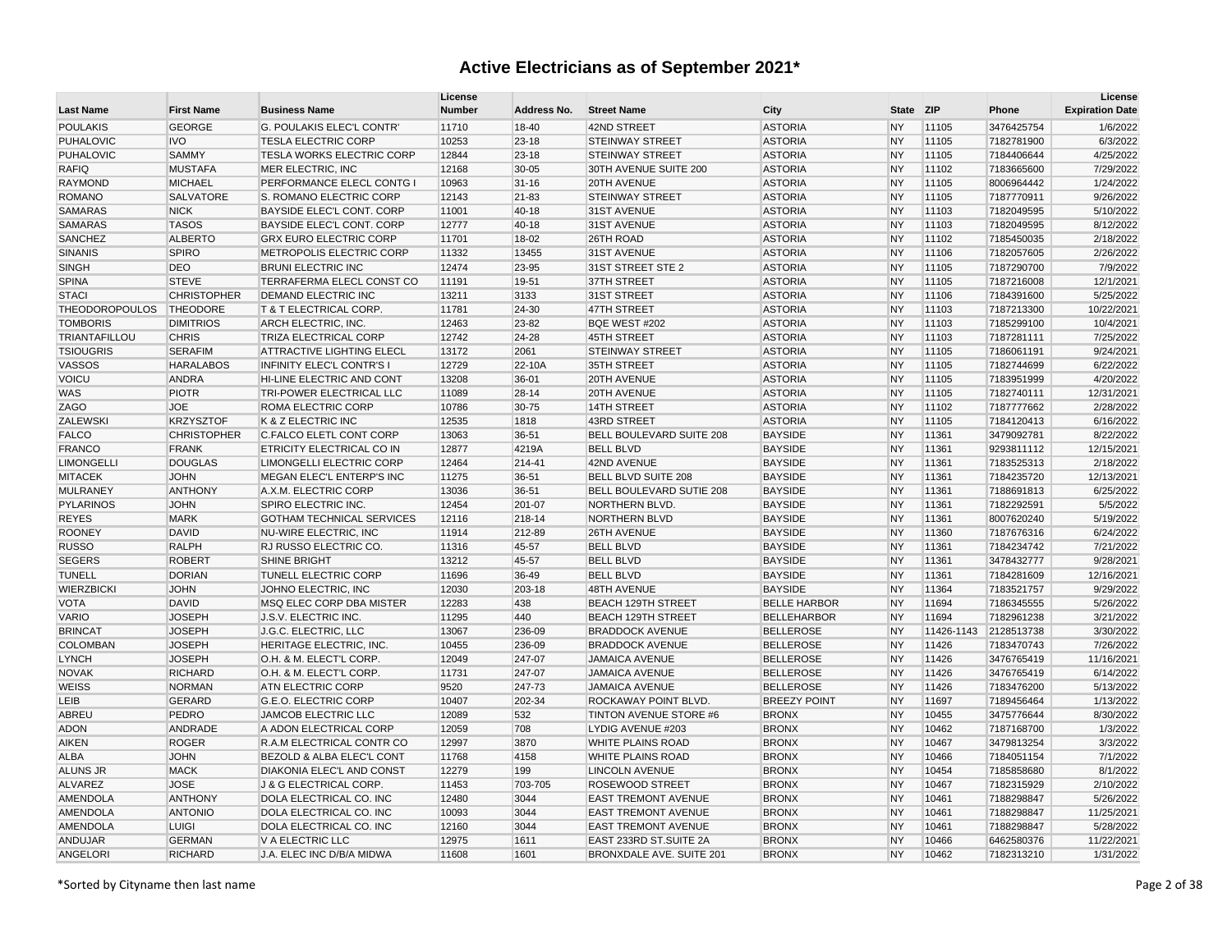| <b>Last Name</b>      | <b>First Name</b>  | <b>Business Name</b>              | License<br><b>Number</b> | Address No. | <b>Street Name</b>              | City                | <b>State</b> | <b>ZIP</b> | Phone                 | License<br><b>Expiration Date</b> |
|-----------------------|--------------------|-----------------------------------|--------------------------|-------------|---------------------------------|---------------------|--------------|------------|-----------------------|-----------------------------------|
| <b>POULAKIS</b>       | <b>GEORGE</b>      | G. POULAKIS ELEC'L CONTR'         | 11710                    | 18-40       | 42ND STREET                     | <b>ASTORIA</b>      | <b>NY</b>    | 11105      | 3476425754            | 1/6/2022                          |
| <b>PUHALOVIC</b>      | <b>IVO</b>         | <b>TESLA ELECTRIC CORP</b>        | 10253                    | 23-18       | <b>STEINWAY STREET</b>          | <b>ASTORIA</b>      | <b>NY</b>    | 11105      | 7182781900            | 6/3/2022                          |
| PUHALOVIC             | SAMMY              | TESLA WORKS ELECTRIC CORP         | 12844                    | 23-18       | <b>STEINWAY STREET</b>          | <b>ASTORIA</b>      | <b>NY</b>    | 11105      | 7184406644            | 4/25/2022                         |
| <b>RAFIQ</b>          | <b>MUSTAFA</b>     | MER ELECTRIC, INC                 | 12168                    | 30-05       | 30TH AVENUE SUITE 200           | <b>ASTORIA</b>      | <b>NY</b>    | 11102      | 7183665600            | 7/29/2022                         |
| <b>RAYMOND</b>        | <b>MICHAEL</b>     | PERFORMANCE ELECL CONTG I         | 10963                    | $31 - 16$   | <b>20TH AVENUE</b>              | <b>ASTORIA</b>      | <b>NY</b>    | 11105      | 8006964442            | 1/24/2022                         |
| <b>ROMANO</b>         | <b>SALVATORE</b>   | S. ROMANO ELECTRIC CORP           | 12143                    | 21-83       | <b>STEINWAY STREET</b>          | <b>ASTORIA</b>      | <b>NY</b>    | 11105      | 7187770911            | 9/26/2022                         |
| <b>SAMARAS</b>        | <b>NICK</b>        | BAYSIDE ELEC'L CONT. CORP         | 11001                    | 40-18       | 31ST AVENUE                     | <b>ASTORIA</b>      | <b>NY</b>    | 11103      | 7182049595            | 5/10/2022                         |
| SAMARAS               | <b>TASOS</b>       | BAYSIDE ELEC'L CONT. CORP         | 12777                    | 40-18       | 31ST AVENUE                     | <b>ASTORIA</b>      | <b>NY</b>    | 11103      | 7182049595            | 8/12/2022                         |
| SANCHEZ               | <b>ALBERTO</b>     | <b>GRX EURO ELECTRIC CORP</b>     | 11701                    | 18-02       | 26TH ROAD                       | <b>ASTORIA</b>      | <b>NY</b>    | 11102      | 7185450035            | 2/18/2022                         |
| <b>SINANIS</b>        | <b>SPIRO</b>       | METROPOLIS ELECTRIC CORP          | 11332                    | 13455       | 31ST AVENUE                     | <b>ASTORIA</b>      | <b>NY</b>    | 11106      | 7182057605            | 2/26/2022                         |
| <b>SINGH</b>          | <b>DEO</b>         | <b>BRUNI ELECTRIC INC</b>         | 12474                    | 23-95       | 31ST STREET STE 2               | <b>ASTORIA</b>      | <b>NY</b>    | 11105      | 7187290700            | 7/9/2022                          |
| <b>SPINA</b>          | <b>STEVE</b>       | TERRAFERMA ELECL CONST CO         | 11191                    | 19-51       | 37TH STREET                     | <b>ASTORIA</b>      | <b>NY</b>    | 11105      | 7187216008            | 12/1/2021                         |
| <b>STACI</b>          | <b>CHRISTOPHER</b> | DEMAND ELECTRIC INC               | 13211                    | 3133        | 31ST STREET                     | <b>ASTORIA</b>      | <b>NY</b>    | 11106      | 7184391600            | 5/25/2022                         |
| <b>THEODOROPOULOS</b> | <b>THEODORE</b>    | <b>T &amp; T ELECTRICAL CORP.</b> | 11781                    | 24-30       | 47TH STREET                     | <b>ASTORIA</b>      | <b>NY</b>    | 11103      | 7187213300            | 10/22/2021                        |
| <b>TOMBORIS</b>       | <b>DIMITRIOS</b>   | ARCH ELECTRIC, INC.               | 12463                    | 23-82       | BQE WEST #202                   | <b>ASTORIA</b>      | <b>NY</b>    | 11103      | 7185299100            | 10/4/2021                         |
| TRIANTAFILLOU         | <b>CHRIS</b>       | <b>TRIZA ELECTRICAL CORP</b>      | 12742                    | 24-28       | 45TH STREET                     | <b>ASTORIA</b>      | <b>NY</b>    | 11103      | 7187281111            | 7/25/2022                         |
| <b>TSIOUGRIS</b>      | <b>SERAFIM</b>     | <b>ATTRACTIVE LIGHTING ELECL</b>  | 13172                    | 2061        | <b>STEINWAY STREET</b>          | <b>ASTORIA</b>      | <b>NY</b>    | 11105      | 7186061191            | 9/24/2021                         |
| VASSOS                | <b>HARALABOS</b>   | <b>INFINITY ELEC'L CONTR'S I</b>  | 12729                    | 22-10A      | 35TH STREET                     | <b>ASTORIA</b>      | <b>NY</b>    | 11105      | 7182744699            | 6/22/2022                         |
| VOICU                 | <b>ANDRA</b>       | HI-LINE ELECTRIC AND CONT         | 13208                    | 36-01       | <b>20TH AVENUE</b>              | <b>ASTORIA</b>      | <b>NY</b>    | 11105      | 7183951999            | 4/20/2022                         |
| <b>WAS</b>            | <b>PIOTR</b>       | TRI-POWER ELECTRICAL LLC          | 11089                    | 28-14       | 20TH AVENUE                     | <b>ASTORIA</b>      | <b>NY</b>    | 11105      | 7182740111            | 12/31/2021                        |
| <b>ZAGO</b>           | <b>JOE</b>         | ROMA ELECTRIC CORP                | 10786                    | 30-75       | 14TH STREET                     | <b>ASTORIA</b>      | <b>NY</b>    | 11102      | 7187777662            | 2/28/2022                         |
| <b>ZALEWSKI</b>       | <b>KRZYSZTOF</b>   | K & Z ELECTRIC INC                | 12535                    | 1818        | 43RD STREET                     | <b>ASTORIA</b>      | <b>NY</b>    | 11105      | 7184120413            | 6/16/2022                         |
| <b>FALCO</b>          | <b>CHRISTOPHER</b> | C.FALCO ELETL CONT CORP           | 13063                    | 36-51       | BELL BOULEVARD SUITE 208        | <b>BAYSIDE</b>      | <b>NY</b>    | 11361      | 3479092781            | 8/22/2022                         |
| <b>FRANCO</b>         | <b>FRANK</b>       | ETRICITY ELECTRICAL CO IN         | 12877                    | 4219A       | <b>BELL BLVD</b>                | <b>BAYSIDE</b>      | <b>NY</b>    | 11361      | 9293811112            | 12/15/2021                        |
| <b>LIMONGELLI</b>     | <b>DOUGLAS</b>     | LIMONGELLI ELECTRIC CORP          | 12464                    | 214-41      | 42ND AVENUE                     | <b>BAYSIDE</b>      | <b>NY</b>    | 11361      | 7183525313            | 2/18/2022                         |
| <b>MITACEK</b>        | <b>JOHN</b>        | MEGAN ELEC'L ENTERP'S INC         | 11275                    | 36-51       | BELL BLVD SUITE 208             | <b>BAYSIDE</b>      | <b>NY</b>    | 11361      | 7184235720            | 12/13/2021                        |
| <b>MULRANEY</b>       | <b>ANTHONY</b>     | A.X.M. ELECTRIC CORP              | 13036                    | 36-51       | BELL BOULEVARD SUTIE 208        | <b>BAYSIDE</b>      | <b>NY</b>    | 11361      | 7188691813            | 6/25/2022                         |
| PYLARINOS             | <b>JOHN</b>        | SPIRO ELECTRIC INC.               | 12454                    | 201-07      | <b>NORTHERN BLVD.</b>           | <b>BAYSIDE</b>      | <b>NY</b>    | 11361      | 7182292591            | 5/5/2022                          |
| <b>REYES</b>          | <b>MARK</b>        | <b>GOTHAM TECHNICAL SERVICES</b>  | 12116                    | 218-14      | <b>NORTHERN BLVD</b>            | <b>BAYSIDE</b>      | <b>NY</b>    | 11361      | 8007620240            | 5/19/2022                         |
| <b>ROONEY</b>         | <b>DAVID</b>       | NU-WIRE ELECTRIC, INC             | 11914                    | 212-89      | 26TH AVENUE                     | <b>BAYSIDE</b>      | <b>NY</b>    | 11360      | 7187676316            | 6/24/2022                         |
| <b>RUSSO</b>          | <b>RALPH</b>       | RJ RUSSO ELECTRIC CO.             | 11316                    | 45-57       | <b>BELL BLVD</b>                | <b>BAYSIDE</b>      | <b>NY</b>    | 11361      | 7184234742            | 7/21/2022                         |
| <b>SEGERS</b>         | <b>ROBERT</b>      | <b>SHINE BRIGHT</b>               | 13212                    | 45-57       | <b>BELL BLVD</b>                | <b>BAYSIDE</b>      | <b>NY</b>    | 11361      | 3478432777            | 9/28/2021                         |
| <b>TUNELL</b>         | <b>DORIAN</b>      | TUNELL ELECTRIC CORP              | 11696                    | 36-49       | <b>BELL BLVD</b>                | <b>BAYSIDE</b>      | <b>NY</b>    | 11361      | 7184281609            | 12/16/2021                        |
| WIERZBICKI            | <b>JOHN</b>        | JOHNO ELECTRIC, INC               | 12030                    | 203-18      | 48TH AVENUE                     | <b>BAYSIDE</b>      | <b>NY</b>    | 11364      | 7183521757            | 9/29/2022                         |
| <b>VOTA</b>           | <b>DAVID</b>       | MSQ ELEC CORP DBA MISTER          | 12283                    | 438         | <b>BEACH 129TH STREET</b>       | <b>BELLE HARBOR</b> | <b>NY</b>    | 11694      | 7186345555            | 5/26/2022                         |
| <b>VARIO</b>          | <b>JOSEPH</b>      | J.S.V. ELECTRIC INC.              | 11295                    | 440         | <b>BEACH 129TH STREET</b>       | <b>BELLEHARBOR</b>  | <b>NY</b>    | 11694      | 7182961238            | 3/21/2022                         |
| <b>BRINCAT</b>        | <b>JOSEPH</b>      | J.G.C. ELECTRIC, LLC              | 13067                    | 236-09      | <b>BRADDOCK AVENUE</b>          | <b>BELLEROSE</b>    | <b>NY</b>    |            | 11426-1143 2128513738 | 3/30/2022                         |
| COLOMBAN              | <b>JOSEPH</b>      | HERITAGE ELECTRIC, INC.           | 10455                    | 236-09      | <b>BRADDOCK AVENUE</b>          | <b>BELLEROSE</b>    | <b>NY</b>    | 11426      | 7183470743            | 7/26/2022                         |
| <b>LYNCH</b>          | <b>JOSEPH</b>      | O.H. & M. ELECT'L CORP.           | 12049                    | 247-07      | <b>JAMAICA AVENUE</b>           | <b>BELLEROSE</b>    | <b>NY</b>    | 11426      | 3476765419            | 11/16/2021                        |
| <b>NOVAK</b>          | <b>RICHARD</b>     | O.H. & M. ELECT'L CORP.           | 11731                    | 247-07      | <b>JAMAICA AVENUE</b>           | <b>BELLEROSE</b>    | <b>NY</b>    | 11426      | 3476765419            | 6/14/2022                         |
| <b>WEISS</b>          | <b>NORMAN</b>      | <b>ATN ELECTRIC CORP</b>          | 9520                     | 247-73      | <b>JAMAICA AVENUE</b>           | <b>BELLEROSE</b>    | <b>NY</b>    | 11426      | 7183476200            | 5/13/2022                         |
| LEIB                  | <b>GERARD</b>      | <b>G.E.O. ELECTRIC CORP</b>       | 10407                    | 202-34      | ROCKAWAY POINT BLVD.            | <b>BREEZY POINT</b> | <b>NY</b>    | 11697      | 7189456464            | 1/13/2022                         |
| ABREU                 | PEDRO              | <b>JAMCOB ELECTRIC LLC</b>        | 12089                    | 532         | TINTON AVENUE STORE #6          | <b>BRONX</b>        | <b>NY</b>    | 10455      | 3475776644            | 8/30/2022                         |
| <b>ADON</b>           | <b>ANDRADE</b>     | A ADON ELECTRICAL CORP            | 12059                    | 708         | LYDIG AVENUE #203               | <b>BRONX</b>        | <b>NY</b>    | 10462      | 7187168700            | 1/3/2022                          |
| <b>AIKEN</b>          | <b>ROGER</b>       | R.A.M ELECTRICAL CONTR CO         | 12997                    | 3870        | WHITE PLAINS ROAD               | <b>BRONX</b>        | <b>NY</b>    | 10467      | 3479813254            | 3/3/2022                          |
| <b>ALBA</b>           | <b>JOHN</b>        | BEZOLD & ALBA ELEC'L CONT         | 11768                    | 4158        | WHITE PLAINS ROAD               | <b>BRONX</b>        | <b>NY</b>    | 10466      | 7184051154            | 7/1/2022                          |
| <b>ALUNS JR</b>       | <b>MACK</b>        | DIAKONIA ELEC'L AND CONST         | 12279                    | 199         | <b>LINCOLN AVENUE</b>           | <b>BRONX</b>        | <b>NY</b>    | 10454      | 7185858680            | 8/1/2022                          |
| <b>ALVAREZ</b>        | <b>JOSE</b>        | J & G ELECTRICAL CORP.            | 11453                    | 703-705     | ROSEWOOD STREET                 | <b>BRONX</b>        | <b>NY</b>    | 10467      | 7182315929            | 2/10/2022                         |
| <b>AMENDOLA</b>       | <b>ANTHONY</b>     | DOLA ELECTRICAL CO. INC           | 12480                    | 3044        | <b>EAST TREMONT AVENUE</b>      | <b>BRONX</b>        | <b>NY</b>    | 10461      | 7188298847            | 5/26/2022                         |
| <b>AMENDOLA</b>       | <b>ANTONIO</b>     | DOLA ELECTRICAL CO. INC           | 10093                    | 3044        | <b>EAST TREMONT AVENUE</b>      | <b>BRONX</b>        | <b>NY</b>    | 10461      | 7188298847            | 11/25/2021                        |
| AMENDOLA              | <b>LUIGI</b>       | DOLA ELECTRICAL CO. INC           | 12160                    | 3044        | <b>EAST TREMONT AVENUE</b>      | <b>BRONX</b>        | <b>NY</b>    | 10461      | 7188298847            | 5/28/2022                         |
| ANDUJAR               | <b>GERMAN</b>      | V A ELECTRIC LLC                  | 12975                    | 1611        | EAST 233RD ST.SUITE 2A          | <b>BRONX</b>        | <b>NY</b>    | 10466      | 6462580376            | 11/22/2021                        |
| ANGELORI              | <b>RICHARD</b>     | J.A. ELEC INC D/B/A MIDWA         | 11608                    | 1601        | <b>BRONXDALE AVE. SUITE 201</b> | <b>BRONX</b>        | <b>NY</b>    | 10462      | 7182313210            | 1/31/2022                         |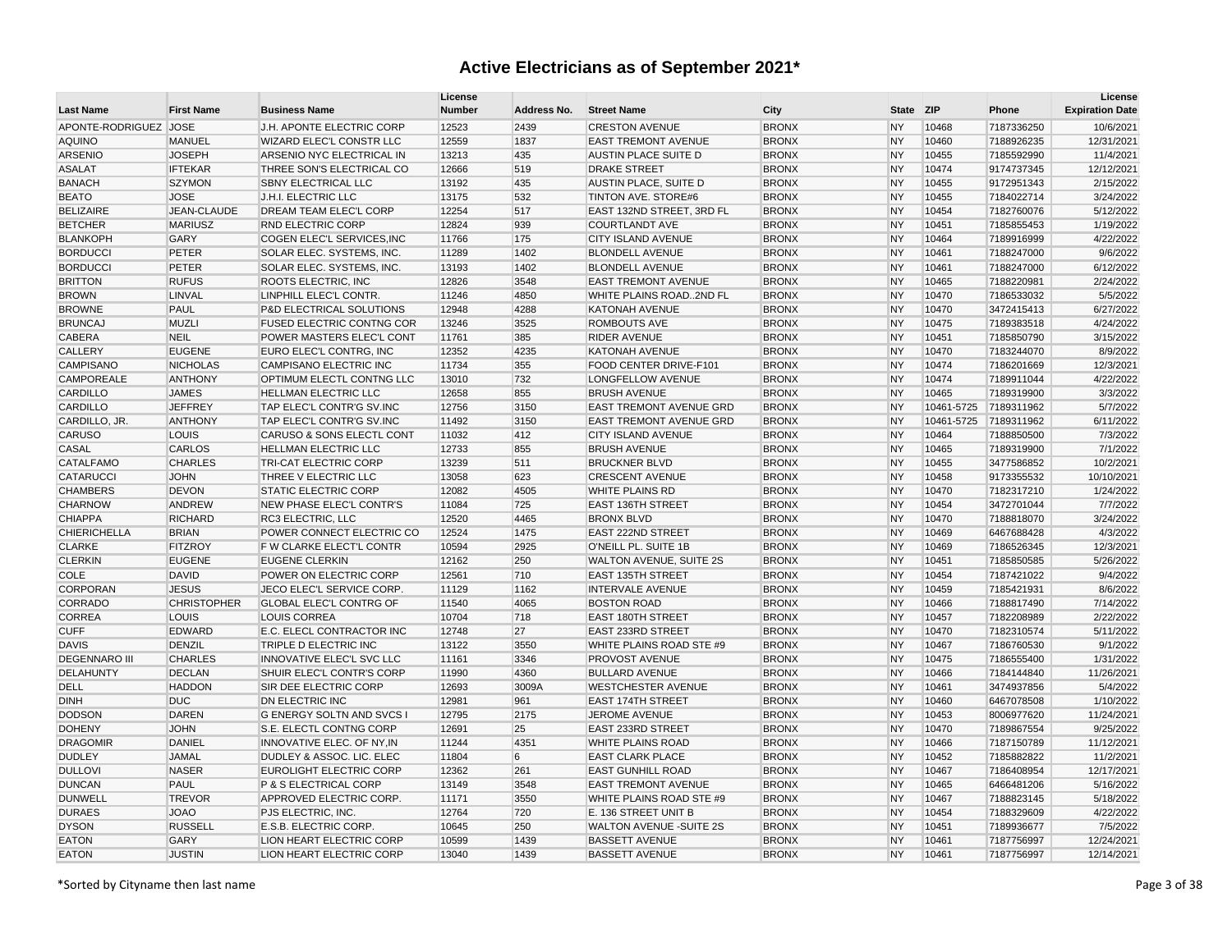| <b>Last Name</b>      | <b>First Name</b>  | <b>Business Name</b>             | License<br><b>Number</b> | Address No. | <b>Street Name</b>             | City         | <b>State</b> | <b>ZIP</b> | Phone                 | License<br><b>Expiration Date</b> |
|-----------------------|--------------------|----------------------------------|--------------------------|-------------|--------------------------------|--------------|--------------|------------|-----------------------|-----------------------------------|
| APONTE-RODRIGUEZ JOSE |                    | <b>J.H. APONTE ELECTRIC CORP</b> | 12523                    | 2439        | <b>CRESTON AVENUE</b>          | <b>BRONX</b> | <b>NY</b>    | 10468      | 7187336250            | 10/6/2021                         |
| <b>AQUINO</b>         | <b>MANUEL</b>      | WIZARD ELEC'L CONSTR LLC         | 12559                    | 1837        | <b>EAST TREMONT AVENUE</b>     | <b>BRONX</b> | <b>NY</b>    | 10460      | 7188926235            | 12/31/2021                        |
| <b>ARSENIO</b>        | <b>JOSEPH</b>      | ARSENIO NYC ELECTRICAL IN        | 13213                    | 435         | AUSTIN PLACE SUITE D           | <b>BRONX</b> | <b>NY</b>    | 10455      | 7185592990            | 11/4/2021                         |
| <b>ASALAT</b>         | <b>IFTEKAR</b>     | THREE SON'S ELECTRICAL CO        | 12666                    | 519         | <b>DRAKE STREET</b>            | <b>BRONX</b> | <b>NY</b>    | 10474      | 9174737345            | 12/12/2021                        |
| <b>BANACH</b>         | <b>SZYMON</b>      | <b>SBNY ELECTRICAL LLC</b>       | 13192                    | 435         | AUSTIN PLACE, SUITE D          | <b>BRONX</b> | <b>NY</b>    | 10455      | 9172951343            | 2/15/2022                         |
| <b>BEATO</b>          | <b>JOSE</b>        | J.H.I. ELECTRIC LLC              | 13175                    | 532         | <b>TINTON AVE, STORE#6</b>     | <b>BRONX</b> | <b>NY</b>    | 10455      | 7184022714            | 3/24/2022                         |
| <b>BELIZAIRE</b>      | JEAN-CLAUDE        | DREAM TEAM ELEC'L CORP           | 12254                    | 517         | EAST 132ND STREET, 3RD FL      | <b>BRONX</b> | <b>NY</b>    | 10454      | 7182760076            | 5/12/2022                         |
| <b>BETCHER</b>        | <b>MARIUSZ</b>     | RND ELECTRIC CORP                | 12824                    | 939         | <b>COURTLANDT AVE</b>          | <b>BRONX</b> | <b>NY</b>    | 10451      | 7185855453            | 1/19/2022                         |
| <b>BLANKOPH</b>       | <b>GARY</b>        | COGEN ELEC'L SERVICES, INC       | 11766                    | 175         | <b>CITY ISLAND AVENUE</b>      | <b>BRONX</b> | <b>NY</b>    | 10464      | 7189916999            | 4/22/2022                         |
| <b>BORDUCCI</b>       | <b>PETER</b>       | SOLAR ELEC. SYSTEMS, INC.        | 11289                    | 1402        | <b>BLONDELL AVENUE</b>         | <b>BRONX</b> | <b>NY</b>    | 10461      | 7188247000            | 9/6/2022                          |
| <b>BORDUCCI</b>       | PETER              | SOLAR ELEC. SYSTEMS, INC.        | 13193                    | 1402        | <b>BLONDELL AVENUE</b>         | <b>BRONX</b> | <b>NY</b>    | 10461      | 7188247000            | 6/12/2022                         |
| <b>BRITTON</b>        | <b>RUFUS</b>       | ROOTS ELECTRIC, INC              | 12826                    | 3548        | <b>EAST TREMONT AVENUE</b>     | <b>BRONX</b> | <b>NY</b>    | 10465      | 7188220981            | 2/24/2022                         |
| <b>BROWN</b>          | LINVAL             | LINPHILL ELEC'L CONTR            | 11246                    | 4850        | WHITE PLAINS ROAD2ND FL        | <b>BRONX</b> | <b>NY</b>    | 10470      | 7186533032            | 5/5/2022                          |
| <b>BROWNE</b>         | PAUL               | P&D ELECTRICAL SOLUTIONS         | 12948                    | 4288        | <b>KATONAH AVENUE</b>          | <b>BRONX</b> | <b>NY</b>    | 10470      | 3472415413            | 6/27/2022                         |
| <b>BRUNCAJ</b>        | MUZLI              | FUSED ELECTRIC CONTNG COR        | 13246                    | 3525        | <b>ROMBOUTS AVE</b>            | <b>BRONX</b> | <b>NY</b>    | 10475      | 7189383518            | 4/24/2022                         |
| CABERA                | <b>NEIL</b>        | POWER MASTERS ELEC'L CONT        | 11761                    | 385         | RIDER AVENUE                   | <b>BRONX</b> | <b>NY</b>    | 10451      | 7185850790            | 3/15/2022                         |
| CALLERY               | <b>EUGENE</b>      | EURO ELEC'L CONTRG, INC          | 12352                    | 4235        | <b>KATONAH AVENUE</b>          | <b>BRONX</b> | <b>NY</b>    | 10470      | 7183244070            | 8/9/2022                          |
| <b>CAMPISANO</b>      | <b>NICHOLAS</b>    | CAMPISANO ELECTRIC INC           | 11734                    | 355         | FOOD CENTER DRIVE-F101         | <b>BRONX</b> | <b>NY</b>    | 10474      | 7186201669            | 12/3/2021                         |
| <b>CAMPOREALE</b>     | <b>ANTHONY</b>     | OPTIMUM ELECTL CONTNG LLC        | 13010                    | 732         | <b>LONGFELLOW AVENUE</b>       | <b>BRONX</b> | <b>NY</b>    | 10474      | 7189911044            | 4/22/2022                         |
| CARDILLO              | <b>JAMES</b>       | HELLMAN ELECTRIC LLC             | 12658                    | 855         | <b>BRUSH AVENUE</b>            | <b>BRONX</b> | <b>NY</b>    | 10465      | 7189319900            | 3/3/2022                          |
| CARDILLO              | <b>JEFFREY</b>     | TAP ELEC'L CONTR'G SV.INC        | 12756                    | 3150        | <b>EAST TREMONT AVENUE GRD</b> | <b>BRONX</b> | <b>NY</b>    |            | 10461-5725 7189311962 | 5/7/2022                          |
| CARDILLO, JR.         | <b>ANTHONY</b>     | TAP ELEC'L CONTR'G SV.INC        | 11492                    | 3150        | <b>EAST TREMONT AVENUE GRD</b> | <b>BRONX</b> | <b>NY</b>    | 10461-5725 | 7189311962            | 6/11/2022                         |
| CARUSO                | LOUIS              | CARUSO & SONS ELECTL CONT        | 11032                    | 412         | CITY ISLAND AVENUE             | <b>BRONX</b> | <b>NY</b>    | 10464      | 7188850500            | 7/3/2022                          |
| CASAL                 | <b>CARLOS</b>      | HELLMAN ELECTRIC LLC             | 12733                    | 855         | <b>BRUSH AVENUE</b>            | <b>BRONX</b> | <b>NY</b>    | 10465      | 7189319900            | 7/1/2022                          |
| <b>CATALFAMO</b>      | <b>CHARLES</b>     | <b>TRI-CAT ELECTRIC CORP</b>     | 13239                    | 511         | <b>BRUCKNER BLVD</b>           | <b>BRONX</b> | <b>NY</b>    | 10455      | 3477586852            | 10/2/2021                         |
| CATARUCCI             | <b>JOHN</b>        | THREE V ELECTRIC LLC             | 13058                    | 623         | <b>CRESCENT AVENUE</b>         | <b>BRONX</b> | <b>NY</b>    | 10458      | 9173355532            | 10/10/2021                        |
| <b>CHAMBERS</b>       | <b>DEVON</b>       | <b>STATIC ELECTRIC CORP</b>      | 12082                    | 4505        | <b>WHITE PLAINS RD</b>         | <b>BRONX</b> | <b>NY</b>    | 10470      | 7182317210            | 1/24/2022                         |
| <b>CHARNOW</b>        | <b>ANDREW</b>      | NEW PHASE ELEC'L CONTR'S         | 11084                    | 725         | <b>EAST 136TH STREET</b>       | <b>BRONX</b> | <b>NY</b>    | 10454      | 3472701044            | 7/7/2022                          |
| <b>CHIAPPA</b>        | <b>RICHARD</b>     | RC3 ELECTRIC, LLC                | 12520                    | 4465        | <b>BRONX BLVD</b>              | <b>BRONX</b> | <b>NY</b>    | 10470      | 7188818070            | 3/24/2022                         |
| CHIERICHELLA          | <b>BRIAN</b>       | POWER CONNECT ELECTRIC CO        | 12524                    | 1475        | <b>EAST 222ND STREET</b>       | <b>BRONX</b> | <b>NY</b>    | 10469      | 6467688428            | 4/3/2022                          |
| <b>CLARKE</b>         | <b>FITZROY</b>     | F W CLARKE ELECT'L CONTR         | 10594                    | 2925        | O'NEILL PL. SUITE 1B           | <b>BRONX</b> | <b>NY</b>    | 10469      | 7186526345            | 12/3/2021                         |
| <b>CLERKIN</b>        | <b>EUGENE</b>      | <b>EUGENE CLERKIN</b>            | 12162                    | 250         | WALTON AVENUE, SUITE 2S        | <b>BRONX</b> | <b>NY</b>    | 10451      | 7185850585            | 5/26/2022                         |
| <b>COLE</b>           | <b>DAVID</b>       | POWER ON ELECTRIC CORP           | 12561                    | 710         | <b>EAST 135TH STREET</b>       | <b>BRONX</b> | <b>NY</b>    | 10454      | 7187421022            | 9/4/2022                          |
| <b>CORPORAN</b>       | <b>JESUS</b>       | JECO ELEC'L SERVICE CORP.        | 11129                    | 1162        | <b>INTERVALE AVENUE</b>        | <b>BRONX</b> | <b>NY</b>    | 10459      | 7185421931            | 8/6/2022                          |
| CORRADO               | <b>CHRISTOPHER</b> | <b>GLOBAL ELEC'L CONTRG OF</b>   | 11540                    | 4065        | <b>BOSTON ROAD</b>             | <b>BRONX</b> | <b>NY</b>    | 10466      | 7188817490            | 7/14/2022                         |
| CORREA                | LOUIS              | <b>LOUIS CORREA</b>              | 10704                    | 718         | <b>EAST 180TH STREET</b>       | <b>BRONX</b> | <b>NY</b>    | 10457      | 7182208989            | 2/22/2022                         |
| <b>CUFF</b>           | <b>EDWARD</b>      | E.C. ELECL CONTRACTOR INC        | 12748                    | 27          | <b>EAST 233RD STREET</b>       | <b>BRONX</b> | <b>NY</b>    | 10470      | 7182310574            | 5/11/2022                         |
| <b>DAVIS</b>          | DENZIL             | TRIPLE D ELECTRIC INC            | 13122                    | 3550        | WHITE PLAINS ROAD STE #9       | <b>BRONX</b> | <b>NY</b>    | 10467      | 7186760530            | 9/1/2022                          |
| <b>DEGENNARO III</b>  | <b>CHARLES</b>     | INNOVATIVE ELEC'L SVC LLC        | 11161                    | 3346        | <b>PROVOST AVENUE</b>          | <b>BRONX</b> | <b>NY</b>    | 10475      | 7186555400            | 1/31/2022                         |
| <b>DELAHUNTY</b>      | <b>DECLAN</b>      | SHUIR ELEC'L CONTR'S CORP        | 11990                    | 4360        | <b>BULLARD AVENUE</b>          | <b>BRONX</b> | <b>NY</b>    | 10466      | 7184144840            | 11/26/2021                        |
| DELL                  | <b>HADDON</b>      | SIR DEE ELECTRIC CORP            | 12693                    | 3009A       | <b>WESTCHESTER AVENUE</b>      | <b>BRONX</b> | <b>NY</b>    | 10461      | 3474937856            | 5/4/2022                          |
| <b>DINH</b>           | <b>DUC</b>         | <b>DN ELECTRIC INC</b>           | 12981                    | 961         | <b>EAST 174TH STREET</b>       | <b>BRONX</b> | <b>NY</b>    | 10460      | 6467078508            | 1/10/2022                         |
| <b>DODSON</b>         | <b>DAREN</b>       | <b>G ENERGY SOLTN AND SVCS I</b> | 12795                    | 2175        | JEROME AVENUE                  | <b>BRONX</b> | <b>NY</b>    | 10453      | 8006977620            | 11/24/2021                        |
| <b>DOHENY</b>         | <b>JOHN</b>        | S.E. ELECTL CONTNG CORP          | 12691                    | 25          | <b>EAST 233RD STREET</b>       | <b>BRONX</b> | <b>NY</b>    | 10470      | 7189867554            | 9/25/2022                         |
| <b>DRAGOMIR</b>       | DANIEL             | INNOVATIVE ELEC. OF NY, IN       | 11244                    | 4351        | <b>WHITE PLAINS ROAD</b>       | <b>BRONX</b> | <b>NY</b>    | 10466      | 7187150789            | 11/12/2021                        |
| <b>DUDLEY</b>         | <b>JAMAL</b>       | DUDLEY & ASSOC. LIC. ELEC        | 11804                    | 6           | <b>EAST CLARK PLACE</b>        | <b>BRONX</b> | <b>NY</b>    | 10452      | 7185882822            | 11/2/2021                         |
| <b>DULLOVI</b>        | <b>NASER</b>       | <b>EUROLIGHT ELECTRIC CORP</b>   | 12362                    | 261         | <b>EAST GUNHILL ROAD</b>       | <b>BRONX</b> | <b>NY</b>    | 10467      | 7186408954            | 12/17/2021                        |
| <b>DUNCAN</b>         | PAUL               | P & S ELECTRICAL CORP            | 13149                    | 3548        | <b>EAST TREMONT AVENUE</b>     | <b>BRONX</b> | <b>NY</b>    | 10465      | 6466481206            | 5/16/2022                         |
| <b>DUNWELL</b>        | <b>TREVOR</b>      | APPROVED ELECTRIC CORP.          | 11171                    | 3550        | WHITE PLAINS ROAD STE #9       | <b>BRONX</b> | <b>NY</b>    | 10467      | 7188823145            | 5/18/2022                         |
| <b>DURAES</b>         | <b>JOAO</b>        | PJS ELECTRIC, INC.               | 12764                    | 720         | E. 136 STREET UNIT B           | <b>BRONX</b> | <b>NY</b>    | 10454      | 7188329609            | 4/22/2022                         |
| <b>DYSON</b>          | <b>RUSSELL</b>     | E.S.B. ELECTRIC CORP.            | 10645                    | 250         | <b>WALTON AVENUE -SUITE 2S</b> | <b>BRONX</b> | <b>NY</b>    | 10451      | 7189936677            | 7/5/2022                          |
| <b>EATON</b>          | GARY               | LION HEART ELECTRIC CORP         | 10599                    | 1439        | <b>BASSETT AVENUE</b>          | <b>BRONX</b> | <b>NY</b>    | 10461      | 7187756997            | 12/24/2021                        |
| <b>EATON</b>          | <b>JUSTIN</b>      | LION HEART ELECTRIC CORP         | 13040                    | 1439        | <b>BASSETT AVENUE</b>          | <b>BRONX</b> | <b>NY</b>    | 10461      | 7187756997            | 12/14/2021                        |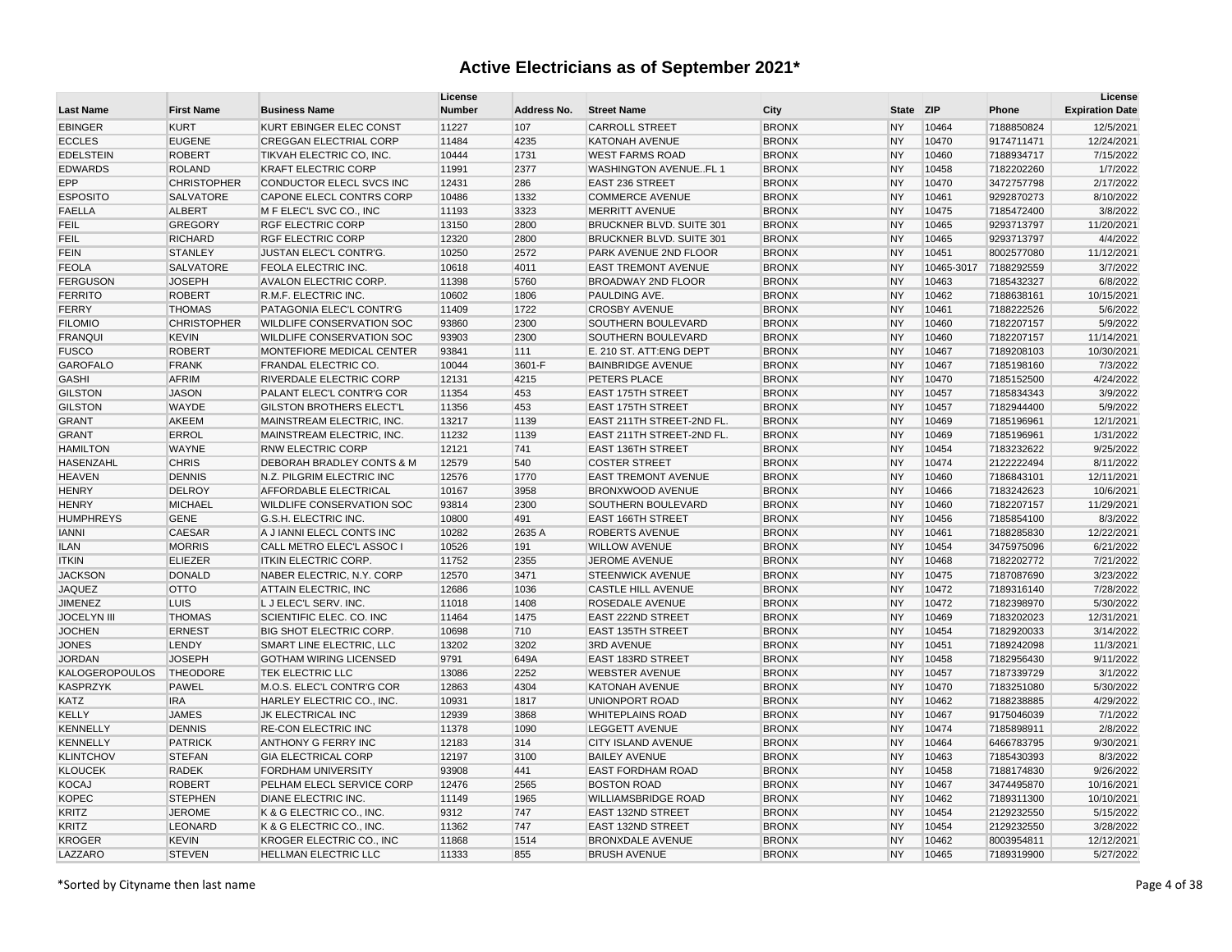| <b>Last Name</b>      | <b>First Name</b>  | <b>Business Name</b>                 | License<br><b>Number</b> | Address No. | <b>Street Name</b>           | City         | <b>State</b> | <b>ZIP</b> | Phone      | License<br><b>Expiration Date</b> |
|-----------------------|--------------------|--------------------------------------|--------------------------|-------------|------------------------------|--------------|--------------|------------|------------|-----------------------------------|
| <b>EBINGER</b>        | <b>KURT</b>        | <b>KURT EBINGER ELEC CONST</b>       | 11227                    | 107         | <b>CARROLL STREET</b>        | <b>BRONX</b> | <b>NY</b>    | 10464      | 7188850824 | 12/5/2021                         |
| <b>ECCLES</b>         | <b>EUGENE</b>      | <b>CREGGAN ELECTRIAL CORP</b>        | 11484                    | 4235        | KATONAH AVENUE               | <b>BRONX</b> | <b>NY</b>    | 10470      | 9174711471 | 12/24/2021                        |
| <b>EDELSTEIN</b>      | <b>ROBERT</b>      | TIKVAH ELECTRIC CO, INC.             | 10444                    | 1731        | <b>WEST FARMS ROAD</b>       | <b>BRONX</b> | <b>NY</b>    | 10460      | 7188934717 | 7/15/2022                         |
| <b>EDWARDS</b>        | <b>ROLAND</b>      | <b>KRAFT ELECTRIC CORP</b>           | 11991                    | 2377        | <b>WASHINGTON AVENUEFL 1</b> | <b>BRONX</b> | <b>NY</b>    | 10458      | 7182202260 | 1/7/2022                          |
| <b>EPP</b>            | <b>CHRISTOPHER</b> | CONDUCTOR ELECL SVCS INC             | 12431                    | 286         | <b>EAST 236 STREET</b>       | <b>BRONX</b> | <b>NY</b>    | 10470      | 3472757798 | 2/17/2022                         |
| <b>ESPOSITO</b>       | <b>SALVATORE</b>   | CAPONE ELECL CONTRS CORP             | 10486                    | 1332        | <b>COMMERCE AVENUE</b>       | <b>BRONX</b> | <b>NY</b>    | 10461      | 9292870273 | 8/10/2022                         |
| <b>FAELLA</b>         | <b>ALBERT</b>      | M F ELEC'L SVC CO., INC              | 11193                    | 3323        | <b>MERRITT AVENUE</b>        | <b>BRONX</b> | <b>NY</b>    | 10475      | 7185472400 | 3/8/2022                          |
| <b>FEIL</b>           | <b>GREGORY</b>     | <b>RGF ELECTRIC CORP</b>             | 13150                    | 2800        | BRUCKNER BLVD. SUITE 301     | <b>BRONX</b> | <b>NY</b>    | 10465      | 9293713797 | 11/20/2021                        |
| <b>FEIL</b>           | <b>RICHARD</b>     | <b>RGF ELECTRIC CORP</b>             | 12320                    | 2800        | BRUCKNER BLVD. SUITE 301     | <b>BRONX</b> | <b>NY</b>    | 10465      | 9293713797 | 4/4/2022                          |
| <b>FEIN</b>           | <b>STANLEY</b>     | JUSTAN ELEC'L CONTR'G.               | 10250                    | 2572        | PARK AVENUE 2ND FLOOR        | <b>BRONX</b> | <b>NY</b>    | 10451      | 8002577080 | 11/12/2021                        |
| <b>FEOLA</b>          | <b>SALVATORE</b>   | <b>FEOLA ELECTRIC INC.</b>           | 10618                    | 4011        | <b>EAST TREMONT AVENUE</b>   | <b>BRONX</b> | <b>NY</b>    | 10465-3017 | 7188292559 | 3/7/2022                          |
| <b>FERGUSON</b>       | <b>JOSEPH</b>      | <b>AVALON ELECTRIC CORP.</b>         | 11398                    | 5760        | <b>BROADWAY 2ND FLOOR</b>    | <b>BRONX</b> | <b>NY</b>    | 10463      | 7185432327 | 6/8/2022                          |
| <b>FERRITO</b>        | <b>ROBERT</b>      | R.M.F. ELECTRIC INC.                 | 10602                    | 1806        | PAULDING AVE.                | <b>BRONX</b> | <b>NY</b>    | 10462      | 7188638161 | 10/15/2021                        |
| <b>FERRY</b>          | <b>THOMAS</b>      | PATAGONIA ELEC'L CONTR'G             | 11409                    | 1722        | <b>CROSBY AVENUE</b>         | <b>BRONX</b> | <b>NY</b>    | 10461      | 7188222526 | 5/6/2022                          |
| <b>FILOMIO</b>        | <b>CHRISTOPHER</b> | <b>WILDLIFE CONSERVATION SOC</b>     | 93860                    | 2300        | SOUTHERN BOULEVARD           | <b>BRONX</b> | <b>NY</b>    | 10460      | 7182207157 | 5/9/2022                          |
| <b>FRANQUI</b>        | <b>KEVIN</b>       | <b>WILDLIFE CONSERVATION SOC</b>     | 93903                    | 2300        | SOUTHERN BOULEVARD           | <b>BRONX</b> | <b>NY</b>    | 10460      | 7182207157 | 11/14/2021                        |
| <b>FUSCO</b>          | <b>ROBERT</b>      | MONTEFIORE MEDICAL CENTER            | 93841                    | 111         | E. 210 ST. ATT:ENG DEPT      | <b>BRONX</b> | <b>NY</b>    | 10467      | 7189208103 | 10/30/2021                        |
| <b>GAROFALO</b>       | <b>FRANK</b>       | <b>FRANDAL ELECTRIC CO.</b>          | 10044                    | 3601-F      | <b>BAINBRIDGE AVENUE</b>     | <b>BRONX</b> | <b>NY</b>    | 10467      | 7185198160 | 7/3/2022                          |
| <b>GASHI</b>          | <b>AFRIM</b>       | RIVERDALE ELECTRIC CORP              | 12131                    | 4215        | PETERS PLACE                 | <b>BRONX</b> | <b>NY</b>    | 10470      | 7185152500 | 4/24/2022                         |
| <b>GILSTON</b>        | <b>JASON</b>       | PALANT ELEC'L CONTR'G COR            | 11354                    | 453         | <b>EAST 175TH STREET</b>     | <b>BRONX</b> | <b>NY</b>    | 10457      | 7185834343 | 3/9/2022                          |
| <b>GILSTON</b>        | <b>WAYDE</b>       | <b>GILSTON BROTHERS ELECT'L</b>      | 11356                    | 453         | <b>EAST 175TH STREET</b>     | <b>BRONX</b> | <b>NY</b>    | 10457      | 7182944400 | 5/9/2022                          |
| <b>GRANT</b>          | AKEEM              | MAINSTREAM ELECTRIC, INC.            | 13217                    | 1139        | EAST 211TH STREET-2ND FL.    | <b>BRONX</b> | <b>NY</b>    | 10469      | 7185196961 | 12/1/2021                         |
| <b>GRANT</b>          | <b>ERROL</b>       | MAINSTREAM ELECTRIC, INC.            | 11232                    | 1139        | EAST 211TH STREET-2ND FL.    | <b>BRONX</b> | <b>NY</b>    | 10469      | 7185196961 | 1/31/2022                         |
| <b>HAMILTON</b>       | <b>WAYNE</b>       | <b>RNW ELECTRIC CORP</b>             | 12121                    | 741         | <b>EAST 136TH STREET</b>     | <b>BRONX</b> | <b>NY</b>    | 10454      | 7183232622 | 9/25/2022                         |
| <b>HASENZAHL</b>      | <b>CHRIS</b>       | <b>DEBORAH BRADLEY CONTS &amp; M</b> | 12579                    | 540         | <b>COSTER STREET</b>         | <b>BRONX</b> | <b>NY</b>    | 10474      | 2122222494 | 8/11/2022                         |
| <b>HEAVEN</b>         | <b>DENNIS</b>      | N.Z. PILGRIM ELECTRIC INC            | 12576                    | 1770        | <b>EAST TREMONT AVENUE</b>   | <b>BRONX</b> | <b>NY</b>    | 10460      | 7186843101 | 12/11/2021                        |
| <b>HENRY</b>          | <b>DELROY</b>      | AFFORDABLE ELECTRICAL                | 10167                    | 3958        | BRONXWOOD AVENUE             | <b>BRONX</b> | <b>NY</b>    | 10466      | 7183242623 | 10/6/2021                         |
| <b>HENRY</b>          | <b>MICHAEL</b>     | <b>WILDLIFE CONSERVATION SOC</b>     | 93814                    | 2300        | <b>SOUTHERN BOULEVARD</b>    | <b>BRONX</b> | <b>NY</b>    | 10460      | 7182207157 | 11/29/2021                        |
| <b>HUMPHREYS</b>      | <b>GENE</b>        | G.S.H. ELECTRIC INC.                 | 10800                    | 491         | <b>EAST 166TH STREET</b>     | <b>BRONX</b> | <b>NY</b>    | 10456      | 7185854100 | 8/3/2022                          |
| <b>IANNI</b>          | CAESAR             | A J IANNI ELECL CONTS INC            | 10282                    | 2635 A      | <b>ROBERTS AVENUE</b>        | <b>BRONX</b> | <b>NY</b>    | 10461      | 7188285830 | 12/22/2021                        |
| <b>ILAN</b>           | <b>MORRIS</b>      | CALL METRO ELEC'L ASSOC I            | 10526                    | 191         | <b>WILLOW AVENUE</b>         | <b>BRONX</b> | <b>NY</b>    | 10454      | 3475975096 | 6/21/2022                         |
| <b>ITKIN</b>          | <b>ELIEZER</b>     | <b>ITKIN ELECTRIC CORP.</b>          | 11752                    | 2355        | <b>JEROME AVENUE</b>         | <b>BRONX</b> | <b>NY</b>    | 10468      | 7182202772 | 7/21/2022                         |
| <b>JACKSON</b>        | <b>DONALD</b>      | NABER ELECTRIC, N.Y. CORP            | 12570                    | 3471        | <b>STEENWICK AVENUE</b>      | <b>BRONX</b> | <b>NY</b>    | 10475      | 7187087690 | 3/23/2022                         |
| <b>JAQUEZ</b>         | <b>OTTO</b>        | <b>ATTAIN ELECTRIC, INC</b>          | 12686                    | 1036        | <b>CASTLE HILL AVENUE</b>    | <b>BRONX</b> | <b>NY</b>    | 10472      | 7189316140 | 7/28/2022                         |
| <b>JIMENEZ</b>        | LUIS               | L J ELEC'L SERV. INC.                | 11018                    | 1408        | <b>ROSEDALE AVENUE</b>       | <b>BRONX</b> | <b>NY</b>    | 10472      | 7182398970 | 5/30/2022                         |
| <b>JOCELYN III</b>    | <b>THOMAS</b>      | SCIENTIFIC ELEC. CO. INC             | 11464                    | 1475        | EAST 222ND STREET            | <b>BRONX</b> | <b>NY</b>    | 10469      | 7183202023 | 12/31/2021                        |
| <b>JOCHEN</b>         | <b>ERNEST</b>      | <b>BIG SHOT ELECTRIC CORP.</b>       | 10698                    | 710         | <b>EAST 135TH STREET</b>     | <b>BRONX</b> | <b>NY</b>    | 10454      | 7182920033 | 3/14/2022                         |
| <b>JONES</b>          | LENDY              | SMART LINE ELECTRIC, LLC             | 13202                    | 3202        | <b>3RD AVENUE</b>            | <b>BRONX</b> | <b>NY</b>    | 10451      | 7189242098 | 11/3/2021                         |
| <b>JORDAN</b>         | <b>JOSEPH</b>      | <b>GOTHAM WIRING LICENSED</b>        | 9791                     | 649A        | <b>EAST 183RD STREET</b>     | <b>BRONX</b> | <b>NY</b>    | 10458      | 7182956430 | 9/11/2022                         |
| <b>KALOGEROPOULOS</b> | THEODORE           | <b>TEK ELECTRIC LLC</b>              | 13086                    | 2252        | <b>WEBSTER AVENUE</b>        | <b>BRONX</b> | <b>NY</b>    | 10457      | 7187339729 | 3/1/2022                          |
| <b>KASPRZYK</b>       | <b>PAWEL</b>       | M.O.S. ELEC'L CONTR'G COR            | 12863                    | 4304        | <b>KATONAH AVENUE</b>        | <b>BRONX</b> | <b>NY</b>    | 10470      | 7183251080 | 5/30/2022                         |
| KATZ                  | <b>IRA</b>         | HARLEY ELECTRIC CO., INC.            | 10931                    | 1817        | UNIONPORT ROAD               | <b>BRONX</b> | <b>NY</b>    | 10462      | 7188238885 | 4/29/2022                         |
| KELLY                 | <b>JAMES</b>       | JK ELECTRICAL INC                    | 12939                    | 3868        | <b>WHITEPLAINS ROAD</b>      | <b>BRONX</b> | <b>NY</b>    | 10467      | 9175046039 | 7/1/2022                          |
| <b>KENNELLY</b>       | <b>DENNIS</b>      | <b>RE-CON ELECTRIC INC</b>           | 11378                    | 1090        | <b>LEGGETT AVENUE</b>        | <b>BRONX</b> | <b>NY</b>    | 10474      | 7185898911 | 2/8/2022                          |
| <b>KENNELLY</b>       | <b>PATRICK</b>     | <b>ANTHONY G FERRY INC</b>           | 12183                    | 314         | CITY ISLAND AVENUE           | <b>BRONX</b> | <b>NY</b>    | 10464      | 6466783795 | 9/30/2021                         |
| <b>KLINTCHOV</b>      | <b>STEFAN</b>      | <b>GIA ELECTRICAL CORP</b>           | 12197                    | 3100        | <b>BAILEY AVENUE</b>         | <b>BRONX</b> | <b>NY</b>    | 10463      | 7185430393 | 8/3/2022                          |
| <b>KLOUCEK</b>        | <b>RADEK</b>       | <b>FORDHAM UNIVERSITY</b>            | 93908                    | 441         | <b>EAST FORDHAM ROAD</b>     | <b>BRONX</b> | <b>NY</b>    | 10458      | 7188174830 | 9/26/2022                         |
| <b>KOCAJ</b>          | <b>ROBERT</b>      | PELHAM ELECL SERVICE CORP            | 12476                    | 2565        | <b>BOSTON ROAD</b>           | <b>BRONX</b> | <b>NY</b>    | 10467      | 3474495870 | 10/16/2021                        |
| <b>KOPEC</b>          | <b>STEPHEN</b>     | <b>DIANE ELECTRIC INC.</b>           | 11149                    | 1965        | <b>WILLIAMSBRIDGE ROAD</b>   | <b>BRONX</b> | <b>NY</b>    | 10462      | 7189311300 | 10/10/2021                        |
| <b>KRITZ</b>          | <b>JEROME</b>      | K & G ELECTRIC CO., INC.             | 9312                     | 747         | <b>EAST 132ND STREET</b>     | <b>BRONX</b> | <b>NY</b>    | 10454      | 2129232550 | 5/15/2022                         |
| <b>KRITZ</b>          | LEONARD            | K & G ELECTRIC CO., INC.             | 11362                    | 747         | <b>EAST 132ND STREET</b>     | <b>BRONX</b> | <b>NY</b>    | 10454      | 2129232550 | 3/28/2022                         |
| <b>KROGER</b>         | <b>KEVIN</b>       | <b>KROGER ELECTRIC CO., INC</b>      | 11868                    | 1514        | <b>BRONXDALE AVENUE</b>      | <b>BRONX</b> | <b>NY</b>    | 10462      | 8003954811 | 12/12/2021                        |
| LAZZARO               | <b>STEVEN</b>      | <b>HELLMAN ELECTRIC LLC</b>          | 11333                    | 855         | <b>BRUSH AVENUE</b>          | <b>BRONX</b> | <b>NY</b>    | 10465      | 7189319900 | 5/27/2022                         |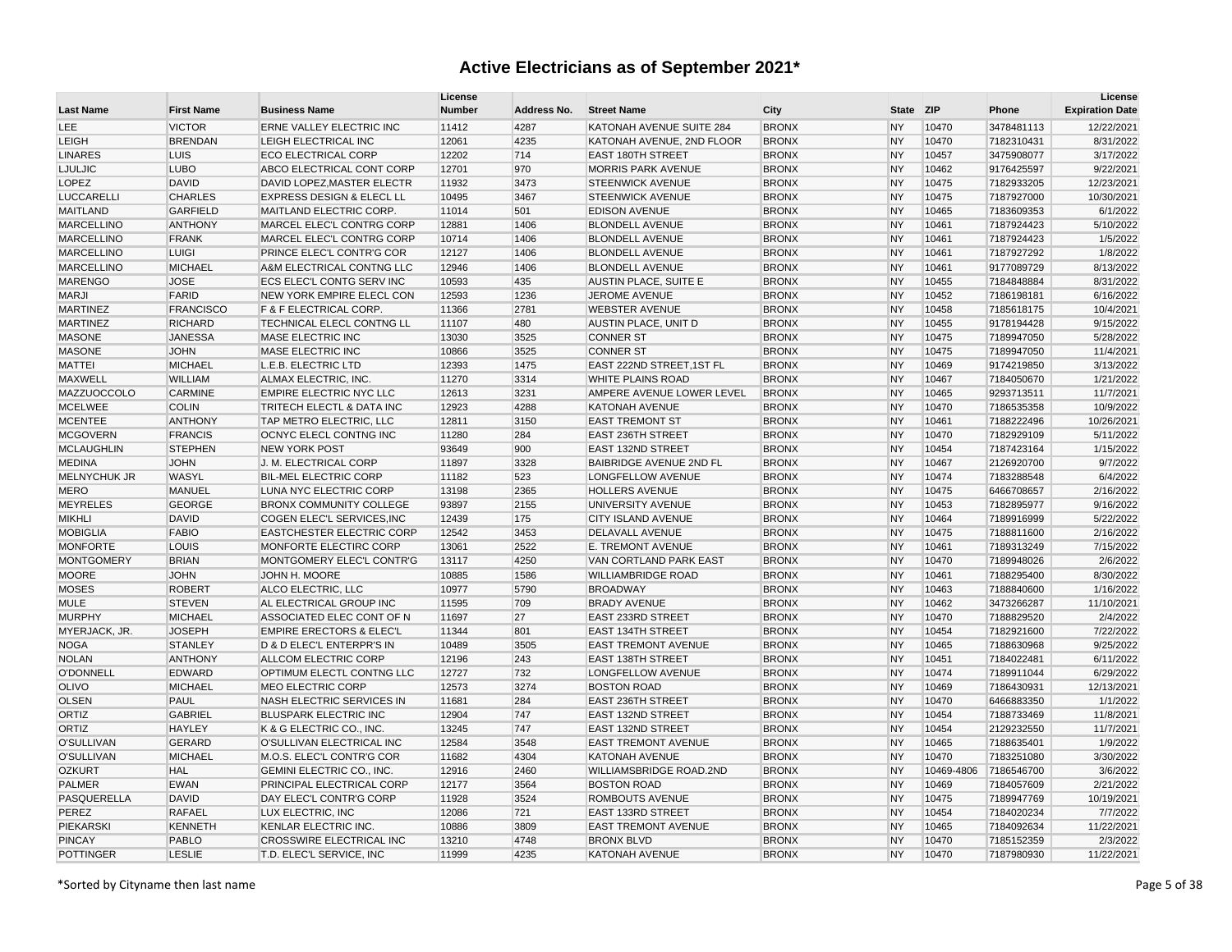| <b>Last Name</b>    | <b>First Name</b> | <b>Business Name</b>                 | License<br><b>Number</b> | Address No. | <b>Street Name</b>             | City         | <b>State</b> | <b>ZIP</b> | Phone      | License<br><b>Expiration Date</b> |
|---------------------|-------------------|--------------------------------------|--------------------------|-------------|--------------------------------|--------------|--------------|------------|------------|-----------------------------------|
| LEE                 | <b>VICTOR</b>     | ERNE VALLEY ELECTRIC INC             | 11412                    | 4287        | KATONAH AVENUE SUITE 284       | <b>BRONX</b> | <b>NY</b>    | 10470      | 3478481113 | 12/22/2021                        |
| <b>LEIGH</b>        | <b>BRENDAN</b>    | LEIGH ELECTRICAL INC                 | 12061                    | 4235        | KATONAH AVENUE, 2ND FLOOR      | <b>BRONX</b> | <b>NY</b>    | 10470      | 7182310431 | 8/31/2022                         |
| <b>LINARES</b>      | <b>LUIS</b>       | <b>ECO ELECTRICAL CORP</b>           | 12202                    | 714         | <b>EAST 180TH STREET</b>       | <b>BRONX</b> | <b>NY</b>    | 10457      | 3475908077 | 3/17/2022                         |
| <b>LJULJIC</b>      | <b>LUBO</b>       | ABCO ELECTRICAL CONT CORP            | 12701                    | 970         | <b>MORRIS PARK AVENUE</b>      | <b>BRONX</b> | <b>NY</b>    | 10462      | 9176425597 | 9/22/2021                         |
| <b>LOPEZ</b>        | <b>DAVID</b>      | DAVID LOPEZ, MASTER ELECTR           | 11932                    | 3473        | <b>STEENWICK AVENUE</b>        | <b>BRONX</b> | <b>NY</b>    | 10475      | 7182933205 | 12/23/2021                        |
| <b>LUCCARELLI</b>   | <b>CHARLES</b>    | <b>EXPRESS DESIGN &amp; ELECL LL</b> | 10495                    | 3467        | <b>STEENWICK AVENUE</b>        | <b>BRONX</b> | <b>NY</b>    | 10475      | 7187927000 | 10/30/2021                        |
| <b>MAITLAND</b>     | <b>GARFIELD</b>   | MAITLAND ELECTRIC CORP.              | 11014                    | 501         | <b>EDISON AVENUE</b>           | <b>BRONX</b> | <b>NY</b>    | 10465      | 7183609353 | 6/1/2022                          |
| <b>MARCELLINO</b>   | <b>ANTHONY</b>    | MARCEL ELEC'L CONTRG CORP            | 12881                    | 1406        | <b>BLONDELL AVENUE</b>         | <b>BRONX</b> | <b>NY</b>    | 10461      | 7187924423 | 5/10/2022                         |
| <b>MARCELLINO</b>   | <b>FRANK</b>      | MARCEL ELEC'L CONTRG CORP            | 10714                    | 1406        | <b>BLONDELL AVENUE</b>         | <b>BRONX</b> | <b>NY</b>    | 10461      | 7187924423 | 1/5/2022                          |
| <b>MARCELLINO</b>   | <b>LUIGI</b>      | PRINCE ELEC'L CONTR'G COR            | 12127                    | 1406        | <b>BLONDELL AVENUE</b>         | <b>BRONX</b> | <b>NY</b>    | 10461      | 7187927292 | 1/8/2022                          |
| <b>MARCELLINO</b>   | <b>MICHAEL</b>    | A&M ELECTRICAL CONTNG LLC            | 12946                    | 1406        | <b>BLONDELL AVENUE</b>         | <b>BRONX</b> | <b>NY</b>    | 10461      | 9177089729 | 8/13/2022                         |
| <b>MARENGO</b>      | <b>JOSE</b>       | ECS ELEC'L CONTG SERV INC            | 10593                    | 435         | <b>AUSTIN PLACE, SUITE E</b>   | <b>BRONX</b> | <b>NY</b>    | 10455      | 7184848884 | 8/31/2022                         |
| <b>MARJI</b>        | FARID             | NEW YORK EMPIRE ELECL CON            | 12593                    | 1236        | JEROME AVENUE                  | <b>BRONX</b> | <b>NY</b>    | 10452      | 7186198181 | 6/16/2022                         |
| <b>MARTINEZ</b>     | <b>FRANCISCO</b>  | F & F ELECTRICAL CORP.               | 11366                    | 2781        | <b>WEBSTER AVENUE</b>          | <b>BRONX</b> | <b>NY</b>    | 10458      | 7185618175 | 10/4/2021                         |
| <b>MARTINEZ</b>     | <b>RICHARD</b>    | TECHNICAL ELECL CONTNG LL            | 11107                    | 480         | AUSTIN PLACE, UNIT D           | <b>BRONX</b> | <b>NY</b>    | 10455      | 9178194428 | 9/15/2022                         |
| <b>MASONE</b>       | <b>JANESSA</b>    | MASE ELECTRIC INC                    | 13030                    | 3525        | <b>CONNER ST</b>               | <b>BRONX</b> | <b>NY</b>    | 10475      | 7189947050 | 5/28/2022                         |
| <b>MASONE</b>       | <b>JOHN</b>       | <b>MASE ELECTRIC INC</b>             | 10866                    | 3525        | <b>CONNER ST</b>               | <b>BRONX</b> | <b>NY</b>    | 10475      | 7189947050 | 11/4/2021                         |
| <b>MATTEI</b>       | MICHAEL           | L.E.B. ELECTRIC LTD                  | 12393                    | 1475        | EAST 222ND STREET, 1ST FL      | <b>BRONX</b> | <b>NY</b>    | 10469      | 9174219850 | 3/13/2022                         |
| <b>MAXWELL</b>      | WILLIAM           | ALMAX ELECTRIC, INC.                 | 11270                    | 3314        | <b>WHITE PLAINS ROAD</b>       | <b>BRONX</b> | <b>NY</b>    | 10467      | 7184050670 | 1/21/2022                         |
| MAZZUOCCOLO         | <b>CARMINE</b>    | <b>EMPIRE ELECTRIC NYC LLC</b>       | 12613                    | 3231        | AMPERE AVENUE LOWER LEVEL      | <b>BRONX</b> | <b>NY</b>    | 10465      | 9293713511 | 11/7/2021                         |
| <b>MCELWEE</b>      | <b>COLIN</b>      | TRITECH ELECTL & DATA INC            | 12923                    | 4288        | <b>KATONAH AVENUE</b>          | <b>BRONX</b> | <b>NY</b>    | 10470      | 7186535358 | 10/9/2022                         |
| <b>MCENTEE</b>      | <b>ANTHONY</b>    | TAP METRO ELECTRIC, LLC              | 12811                    | 3150        | <b>EAST TREMONT ST</b>         | <b>BRONX</b> | <b>NY</b>    | 10461      | 7188222496 | 10/26/2021                        |
| <b>MCGOVERN</b>     | <b>FRANCIS</b>    | OCNYC ELECL CONTNG INC               | 11280                    | 284         | <b>EAST 236TH STREET</b>       | <b>BRONX</b> | <b>NY</b>    | 10470      | 7182929109 | 5/11/2022                         |
| <b>MCLAUGHLIN</b>   | <b>STEPHEN</b>    | <b>NEW YORK POST</b>                 | 93649                    | 900         | <b>EAST 132ND STREET</b>       | <b>BRONX</b> | <b>NY</b>    | 10454      | 7187423164 | 1/15/2022                         |
| <b>MEDINA</b>       | <b>JOHN</b>       | J. M. ELECTRICAL CORP                | 11897                    | 3328        | <b>BAIBRIDGE AVENUE 2ND FL</b> | <b>BRONX</b> | <b>NY</b>    | 10467      | 2126920700 | 9/7/2022                          |
| <b>MELNYCHUK JR</b> | <b>WASYL</b>      | <b>BIL-MEL ELECTRIC CORP</b>         | 11182                    | 523         | LONGFELLOW AVENUE              | <b>BRONX</b> | <b>NY</b>    | 10474      | 7183288548 | 6/4/2022                          |
| <b>MERO</b>         | <b>MANUEL</b>     | LUNA NYC ELECTRIC CORP               | 13198                    | 2365        | <b>HOLLERS AVENUE</b>          | <b>BRONX</b> | <b>NY</b>    | 10475      | 6466708657 | 2/16/2022                         |
| <b>MEYRELES</b>     | <b>GEORGE</b>     | <b>BRONX COMMUNITY COLLEGE</b>       | 93897                    | 2155        | UNIVERSITY AVENUE              | <b>BRONX</b> | <b>NY</b>    | 10453      | 7182895977 | 9/16/2022                         |
| <b>MIKHLI</b>       | <b>DAVID</b>      | COGEN ELEC'L SERVICES, INC           | 12439                    | 175         | <b>CITY ISLAND AVENUE</b>      | <b>BRONX</b> | <b>NY</b>    | 10464      | 7189916999 | 5/22/2022                         |
| <b>MOBIGLIA</b>     | <b>FABIO</b>      | <b>EASTCHESTER ELECTRIC CORP</b>     | 12542                    | 3453        | <b>DELAVALL AVENUE</b>         | <b>BRONX</b> | <b>NY</b>    | 10475      | 7188811600 | 2/16/2022                         |
| <b>MONFORTE</b>     | LOUIS             | MONFORTE ELECTIRC CORP               | 13061                    | 2522        | E. TREMONT AVENUE              | <b>BRONX</b> | <b>NY</b>    | 10461      | 7189313249 | 7/15/2022                         |
| <b>MONTGOMERY</b>   | <b>BRIAN</b>      | MONTGOMERY ELEC'L CONTR'G            | 13117                    | 4250        | VAN CORTLAND PARK EAST         | <b>BRONX</b> | <b>NY</b>    | 10470      | 7189948026 | 2/6/2022                          |
| <b>MOORE</b>        | <b>JOHN</b>       | JOHN H. MOORE                        | 10885                    | 1586        | <b>WILLIAMBRIDGE ROAD</b>      | <b>BRONX</b> | <b>NY</b>    | 10461      | 7188295400 | 8/30/2022                         |
| <b>MOSES</b>        | <b>ROBERT</b>     | ALCO ELECTRIC, LLC                   | 10977                    | 5790        | <b>BROADWAY</b>                | <b>BRONX</b> | <b>NY</b>    | 10463      | 7188840600 | 1/16/2022                         |
| <b>MULE</b>         | <b>STEVEN</b>     | AL ELECTRICAL GROUP INC              | 11595                    | 709         | <b>BRADY AVENUE</b>            | <b>BRONX</b> | <b>NY</b>    | 10462      | 3473266287 | 11/10/2021                        |
| <b>MURPHY</b>       | <b>MICHAEL</b>    | ASSOCIATED ELEC CONT OF N            | 11697                    | 27          | EAST 233RD STREET              | <b>BRONX</b> | <b>NY</b>    | 10470      | 7188829520 | 2/4/2022                          |
| MYERJACK, JR.       | <b>JOSEPH</b>     | <b>EMPIRE ERECTORS &amp; ELEC'L</b>  | 11344                    | 801         | <b>EAST 134TH STREET</b>       | <b>BRONX</b> | <b>NY</b>    | 10454      | 7182921600 | 7/22/2022                         |
| <b>NOGA</b>         | <b>STANLEY</b>    | D & D ELEC'L ENTERPR'S IN            | 10489                    | 3505        | <b>EAST TREMONT AVENUE</b>     | <b>BRONX</b> | <b>NY</b>    | 10465      | 7188630968 | 9/25/2022                         |
| <b>NOLAN</b>        | <b>ANTHONY</b>    | ALLCOM ELECTRIC CORP                 | 12196                    | 243         | <b>EAST 138TH STREET</b>       | <b>BRONX</b> | <b>NY</b>    | 10451      | 7184022481 | 6/11/2022                         |
| <b>O'DONNELL</b>    | EDWARD            | OPTIMUM ELECTL CONTNG LLC            | 12727                    | 732         | LONGFELLOW AVENUE              | <b>BRONX</b> | <b>NY</b>    | 10474      | 7189911044 | 6/29/2022                         |
| <b>OLIVO</b>        | <b>MICHAEL</b>    | <b>MEO ELECTRIC CORP</b>             | 12573                    | 3274        | <b>BOSTON ROAD</b>             | <b>BRONX</b> | <b>NY</b>    | 10469      | 7186430931 | 12/13/2021                        |
| <b>OLSEN</b>        | PAUL              | NASH ELECTRIC SERVICES IN            | 11681                    | 284         | <b>EAST 236TH STREET</b>       | <b>BRONX</b> | <b>NY</b>    | 10470      | 6466883350 | 1/1/2022                          |
| ORTIZ               | <b>GABRIEL</b>    | <b>BLUSPARK ELECTRIC INC</b>         | 12904                    | 747         | EAST 132ND STREET              | <b>BRONX</b> | <b>NY</b>    | 10454      | 7188733469 | 11/8/2021                         |
| ORTIZ               | <b>HAYLEY</b>     | K & G ELECTRIC CO., INC.             | 13245                    | 747         | <b>EAST 132ND STREET</b>       | <b>BRONX</b> | <b>NY</b>    | 10454      | 2129232550 | 11/7/2021                         |
| O'SULLIVAN          | <b>GERARD</b>     | O'SULLIVAN ELECTRICAL INC            | 12584                    | 3548        | <b>EAST TREMONT AVENUE</b>     | <b>BRONX</b> | <b>NY</b>    | 10465      | 7188635401 | 1/9/2022                          |
| O'SULLIVAN          | <b>MICHAEL</b>    | M.O.S. ELEC'L CONTR'G COR            | 11682                    | 4304        | <b>KATONAH AVENUE</b>          | <b>BRONX</b> | <b>NY</b>    | 10470      | 7183251080 | 3/30/2022                         |
| <b>OZKURT</b>       | <b>HAL</b>        | GEMINI ELECTRIC CO., INC.            | 12916                    | 2460        | WILLIAMSBRIDGE ROAD.2ND        | <b>BRONX</b> | <b>NY</b>    | 10469-4806 | 7186546700 | 3/6/2022                          |
| PALMER              | <b>EWAN</b>       | PRINCIPAL ELECTRICAL CORP            | 12177                    | 3564        | <b>BOSTON ROAD</b>             | <b>BRONX</b> | <b>NY</b>    | 10469      | 7184057609 | 2/21/2022                         |
| PASQUERELLA         | <b>DAVID</b>      | DAY ELEC'L CONTR'G CORP              | 11928                    | 3524        | ROMBOUTS AVENUE                | <b>BRONX</b> | <b>NY</b>    | 10475      | 7189947769 | 10/19/2021                        |
| PEREZ               | <b>RAFAEL</b>     | LUX ELECTRIC, INC.                   | 12086                    | 721         | <b>EAST 133RD STREET</b>       | <b>BRONX</b> | <b>NY</b>    | 10454      | 7184020234 | 7/7/2022                          |
| <b>PIEKARSKI</b>    | <b>KENNETH</b>    | <b>KENLAR ELECTRIC INC.</b>          | 10886                    | 3809        | <b>EAST TREMONT AVENUE</b>     | <b>BRONX</b> | <b>NY</b>    | 10465      | 7184092634 | 11/22/2021                        |
| <b>PINCAY</b>       | PABLO             | CROSSWIRE ELECTRICAL INC             | 13210                    | 4748        | <b>BRONX BLVD</b>              | <b>BRONX</b> | <b>NY</b>    | 10470      | 7185152359 | 2/3/2022                          |
| <b>POTTINGER</b>    | <b>LESLIE</b>     | T.D. ELEC'L SERVICE, INC             | 11999                    | 4235        | KATONAH AVENUE                 | <b>BRONX</b> | <b>NY</b>    | 10470      | 7187980930 | 11/22/2021                        |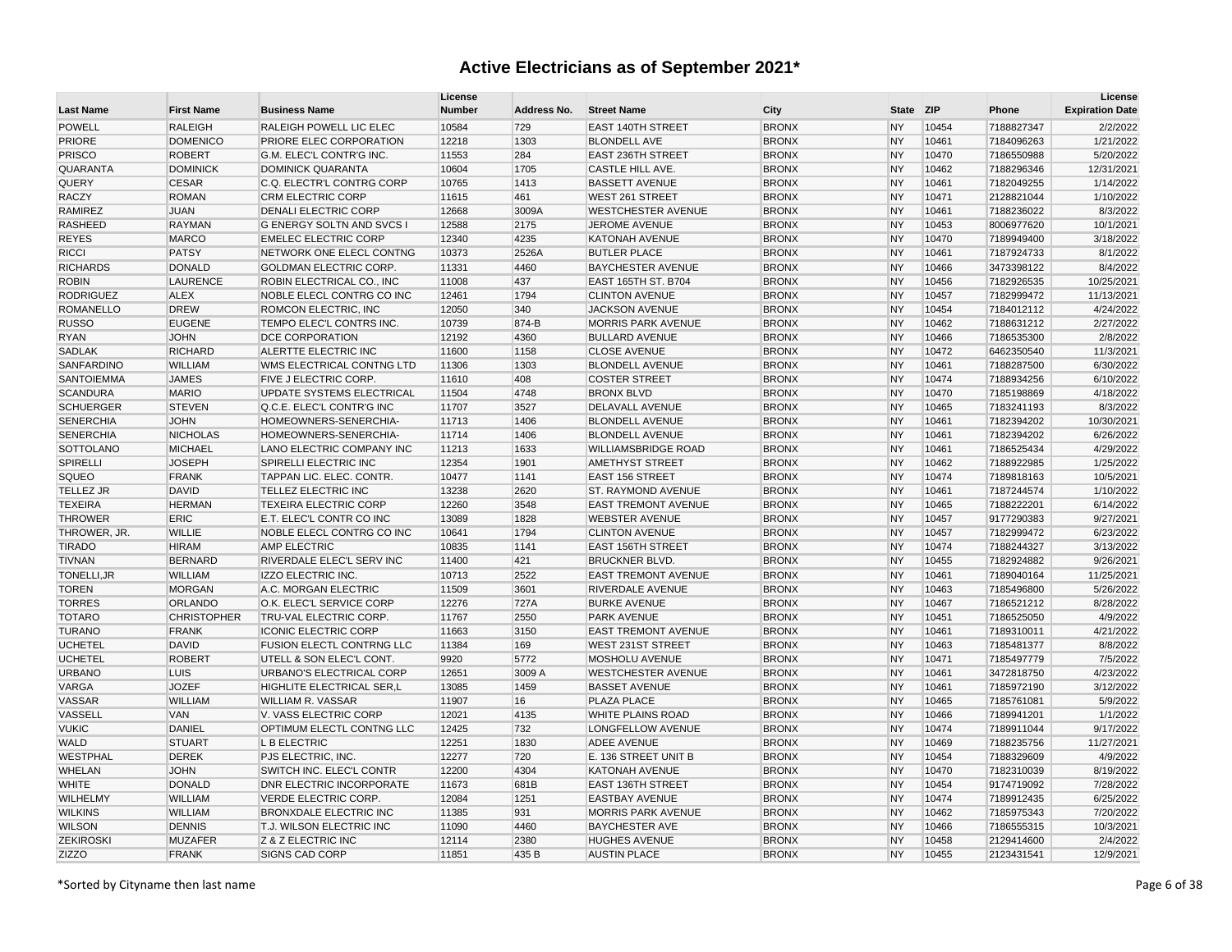| <b>POWELL</b><br>RALEIGH<br><b>RALEIGH POWELL LIC ELEC</b><br>10584<br><b>EAST 140TH STREET</b><br><b>BRONX</b><br>10454<br>2/2/2022<br>729<br><b>NY</b><br>7188827347<br>12218<br>1/21/2022<br><b>PRIORE</b><br><b>DOMENICO</b><br><b>PRIORE ELEC CORPORATION</b><br>1303<br><b>BLONDELL AVE</b><br><b>BRONX</b><br><b>NY</b><br>10461<br>7184096263<br>5/20/2022<br><b>PRISCO</b><br><b>ROBERT</b><br>G.M. ELEC'L CONTR'G INC.<br>11553<br>284<br><b>EAST 236TH STREET</b><br><b>BRONX</b><br><b>NY</b><br>10470<br>7186550988<br>QUARANTA<br><b>DOMINICK</b><br><b>DOMINICK QUARANTA</b><br>10604<br>1705<br><b>CASTLE HILL AVE.</b><br><b>BRONX</b><br>10462<br>12/31/2021<br><b>NY</b><br>7188296346<br><b>CESAR</b><br>10765<br><b>NY</b><br>1/14/2022<br><b>QUERY</b><br>C.Q. ELECTR'L CONTRG CORP<br>1413<br><b>BASSETT AVENUE</b><br><b>BRONX</b><br>10461<br>7182049255<br>1/10/2022<br><b>RACZY</b><br><b>ROMAN</b><br><b>CRM ELECTRIC CORP</b><br>11615<br>461<br>WEST 261 STREET<br><b>BRONX</b><br><b>NY</b><br>10471<br>2128821044<br><b>RAMIREZ</b><br>8/3/2022<br><b>JUAN</b><br><b>DENALI ELECTRIC CORP</b><br>12668<br>3009A<br><b>WESTCHESTER AVENUE</b><br><b>BRONX</b><br><b>NY</b><br>10461<br>7188236022<br><b>RASHEED</b><br><b>RAYMAN</b><br>12588<br><b>BRONX</b><br>10/1/2021<br><b>G ENERGY SOLTN AND SVCS I</b><br>2175<br>JEROME AVENUE<br><b>NY</b><br>10453<br>8006977620<br>3/18/2022<br><b>REYES</b><br><b>MARCO</b><br>12340<br>4235<br><b>BRONX</b><br><b>NY</b><br>10470<br>7189949400<br><b>EMELEC ELECTRIC CORP</b><br><b>KATONAH AVENUE</b><br>8/1/2022<br><b>RICCI</b><br><b>PATSY</b><br>NETWORK ONE ELECL CONTNG<br>10373<br>2526A<br><b>BUTLER PLACE</b><br><b>BRONX</b><br><b>NY</b><br>10461<br>7187924733<br><b>RICHARDS</b><br><b>DONALD</b><br>11331<br><b>BRONX</b><br>8/4/2022<br><b>GOLDMAN ELECTRIC CORP.</b><br>4460<br><b>BAYCHESTER AVENUE</b><br><b>NY</b><br>10466<br>3473398122<br>LAURENCE<br><b>NY</b><br>10/25/2021<br><b>ROBIN</b><br>ROBIN ELECTRICAL CO., INC<br>11008<br>437<br><b>EAST 165TH ST. B704</b><br><b>BRONX</b><br>10456<br>7182926535<br><b>RODRIGUEZ</b><br><b>ALEX</b><br>NOBLE ELECL CONTRG CO INC<br>12461<br>1794<br><b>CLINTON AVENUE</b><br><b>BRONX</b><br><b>NY</b><br>10457<br>7182999472<br>11/13/2021<br><b>ROMANELLO</b><br>4/24/2022<br><b>DREW</b><br>12050<br>340<br><b>JACKSON AVENUE</b><br><b>BRONX</b><br><b>NY</b><br>10454<br><b>ROMCON ELECTRIC, INC</b><br>7184012112<br><b>RUSSO</b><br><b>EUGENE</b><br>2/27/2022<br>TEMPO ELEC'L CONTRS INC.<br>10739<br>874-B<br><b>MORRIS PARK AVENUE</b><br><b>BRONX</b><br><b>NY</b><br>10462<br>7188631212<br>2/8/2022<br><b>JOHN</b><br>12192<br>4360<br><b>NY</b><br>7186535300<br><b>RYAN</b><br><b>DCE CORPORATION</b><br><b>BULLARD AVENUE</b><br><b>BRONX</b><br>10466<br><b>RICHARD</b><br><b>SADLAK</b><br>ALERTTE ELECTRIC INC<br>11600<br>1158<br><b>CLOSE AVENUE</b><br><b>BRONX</b><br><b>NY</b><br>10472<br>6462350540<br>11/3/2021<br>SANFARDINO<br>WILLIAM<br>6/30/2022<br>WMS ELECTRICAL CONTNG LTD<br>11306<br>1303<br><b>BLONDELL AVENUE</b><br><b>BRONX</b><br><b>NY</b><br>10461<br>7188287500<br><b>SANTOIEMMA</b><br><b>JAMES</b><br>6/10/2022<br><b>FIVE J ELECTRIC CORP.</b><br>11610<br>408<br><b>COSTER STREET</b><br><b>BRONX</b><br><b>NY</b><br>10474<br>7188934256<br><b>SCANDURA</b><br><b>MARIO</b><br>UPDATE SYSTEMS ELECTRICAL<br>11504<br>4748<br><b>BRONX BLVD</b><br><b>BRONX</b><br><b>NY</b><br>10470<br>7185198869<br>4/18/2022<br><b>SCHUERGER</b><br><b>STEVEN</b><br>11707<br><b>DELAVALL AVENUE</b><br><b>NY</b><br>8/3/2022<br>Q.C.E. ELEC'L CONTR'G INC<br>3527<br><b>BRONX</b><br>10465<br>7183241193<br><b>SENERCHIA</b><br><b>JOHN</b><br>11713<br><b>BRONX</b><br>10/30/2021<br>HOMEOWNERS-SENERCHIA-<br>1406<br><b>BLONDELL AVENUE</b><br><b>NY</b><br>10461<br>7182394202<br><b>SENERCHIA</b><br><b>NICHOLAS</b><br>11714<br>1406<br><b>NY</b><br>6/26/2022<br>HOMEOWNERS-SENERCHIA-<br><b>BLONDELL AVENUE</b><br><b>BRONX</b><br>10461<br>7182394202<br><b>SOTTOLANO</b><br><b>MICHAEL</b><br>LANO ELECTRIC COMPANY INC<br>11213<br>1633<br><b>WILLIAMSBRIDGE ROAD</b><br><b>BRONX</b><br><b>NY</b><br>10461<br>7186525434<br>4/29/2022<br><b>JOSEPH</b><br>12354<br>1/25/2022<br><b>SPIRELLI</b><br><b>SPIRELLI ELECTRIC INC</b><br>1901<br>AMETHYST STREET<br><b>BRONX</b><br><b>NY</b><br>10462<br>7188922985<br>SQUEO<br><b>FRANK</b><br>TAPPAN LIC. ELEC. CONTR.<br>10477<br>1141<br><b>EAST 156 STREET</b><br><b>BRONX</b><br><b>NY</b><br>10474<br>7189818163<br>10/5/2021<br><b>TELLEZ JR</b><br><b>DAVID</b><br>13238<br>2620<br><b>BRONX</b><br><b>NY</b><br>10461<br>7187244574<br>1/10/2022<br><b>TELLEZ ELECTRIC INC</b><br><b>ST. RAYMOND AVENUE</b><br><b>TEXEIRA</b><br><b>HERMAN</b><br>12260<br>3548<br><b>BRONX</b><br><b>NY</b><br>10465<br>6/14/2022<br><b>TEXEIRA ELECTRIC CORP</b><br><b>EAST TREMONT AVENUE</b><br>7188222201<br><b>THROWER</b><br>ERIC<br>E.T. ELEC'L CONTR CO INC<br>13089<br>1828<br><b>WEBSTER AVENUE</b><br><b>BRONX</b><br><b>NY</b><br>10457<br>9177290383<br>9/27/2021<br>THROWER, JR.<br>10641<br>6/23/2022<br><b>WILLIE</b><br>NOBLE ELECL CONTRG CO INC<br>1794<br><b>CLINTON AVENUE</b><br><b>BRONX</b><br><b>NY</b><br>10457<br>7182999472<br><b>TIRADO</b><br><b>HIRAM</b><br><b>AMP ELECTRIC</b><br>10835<br><b>EAST 156TH STREET</b><br><b>BRONX</b><br><b>NY</b><br>10474<br>7188244327<br>3/13/2022<br>1141<br><b>BERNARD</b><br>RIVERDALE ELEC'L SERV INC<br><b>TIVNAN</b><br>11400<br>421<br><b>BRUCKNER BLVD</b><br><b>BRONX</b><br><b>NY</b><br>10455<br>7182924882<br>9/26/2021<br>TONELLI, JR<br><b>WILLIAM</b><br>IZZO ELECTRIC INC.<br>10713<br>2522<br><b>EAST TREMONT AVENUE</b><br><b>BRONX</b><br><b>NY</b><br>10461<br>7189040164<br>11/25/2021<br><b>TOREN</b><br>11509<br>3601<br><b>NY</b><br>10463<br>5/26/2022<br><b>MORGAN</b><br>A.C. MORGAN ELECTRIC<br>RIVERDALE AVENUE<br><b>BRONX</b><br>7185496800<br><b>TORRES</b><br><b>ORLANDO</b><br><b>NY</b><br>8/28/2022<br>O.K. ELEC'L SERVICE CORP<br>12276<br>727A<br><b>BURKE AVENUE</b><br><b>BRONX</b><br>10467<br>7186521212<br><b>TOTARO</b><br>4/9/2022<br><b>CHRISTOPHER</b><br><b>TRU-VAL ELECTRIC CORP.</b><br>11767<br>2550<br><b>PARK AVENUE</b><br><b>BRONX</b><br><b>NY</b><br>10451<br>7186525050<br><b>FRANK</b><br>4/21/2022<br><b>TURANO</b><br><b>ICONIC ELECTRIC CORP</b><br>11663<br>3150<br><b>EAST TREMONT AVENUE</b><br><b>BRONX</b><br><b>NY</b><br>10461<br>7189310011<br><b>UCHETEL</b><br><b>DAVID</b><br><b>FUSION ELECTL CONTRNG LLC</b><br>11384<br><b>BRONX</b><br><b>NY</b><br>8/8/2022<br>169<br><b>WEST 231ST STREET</b><br>10463<br>7185481377<br><b>UCHETEL</b><br><b>ROBERT</b><br>9920<br><b>BRONX</b><br><b>NY</b><br>7/5/2022<br>UTELL & SON ELEC'L CONT.<br>5772<br>MOSHOLU AVENUE<br>10471<br>7185497779<br><b>URBANO</b><br><b>LUIS</b><br>URBANO'S ELECTRICAL CORP<br>12651<br><b>WESTCHESTER AVENUE</b><br><b>BRONX</b><br><b>NY</b><br>10461<br>3472818750<br>4/23/2022<br>3009 A<br><b>JOZEF</b><br>13085<br><b>NY</b><br>7185972190<br>3/12/2022<br>VARGA<br>HIGHLITE ELECTRICAL SER,L<br>1459<br><b>BASSET AVENUE</b><br><b>BRONX</b><br>10461<br><b>WILLIAM</b><br>5/9/2022<br>VASSAR<br><b>WILLIAM R. VASSAR</b><br>11907<br>16<br><b>PLAZA PLACE</b><br><b>BRONX</b><br><b>NY</b><br>10465<br>7185761081<br>VASSELL<br><b>VAN</b><br>V. VASS ELECTRIC CORP<br>12021<br>4135<br><b>WHITE PLAINS ROAD</b><br><b>BRONX</b><br><b>NY</b><br>10466<br>7189941201<br>1/1/2022<br>9/17/2022<br><b>VUKIC</b><br><b>DANIEL</b><br><b>OPTIMUM ELECTL CONTNG LLC</b><br>12425<br>732<br>LONGFELLOW AVENUE<br><b>BRONX</b><br><b>NY</b><br>10474<br>7189911044<br><b>WALD</b><br><b>STUART</b><br>L B ELECTRIC<br>12251<br>1830<br><b>BRONX</b><br>11/27/2021<br><b>ADEE AVENUE</b><br><b>NY</b><br>10469<br>7188235756<br><b>WESTPHAL</b><br><b>DEREK</b><br>12277<br>4/9/2022<br><b>PJS ELECTRIC, INC.</b><br>720<br>E. 136 STREET UNIT B<br><b>BRONX</b><br><b>NY</b><br>10454<br>7188329609<br><b>WHELAN</b><br><b>JOHN</b><br>SWITCH INC. ELEC'L CONTR<br>12200<br>4304<br>KATONAH AVENUE<br><b>BRONX</b><br><b>NY</b><br>10470<br>7182310039<br>8/19/2022 | <b>Last Name</b> | <b>First Name</b> | <b>Business Name</b>            | License<br><b>Number</b> | Address No. | <b>Street Name</b>       | City         | <b>State</b> | <b>ZIP</b> | Phone      | License<br><b>Expiration Date</b> |
|------------------------------------------------------------------------------------------------------------------------------------------------------------------------------------------------------------------------------------------------------------------------------------------------------------------------------------------------------------------------------------------------------------------------------------------------------------------------------------------------------------------------------------------------------------------------------------------------------------------------------------------------------------------------------------------------------------------------------------------------------------------------------------------------------------------------------------------------------------------------------------------------------------------------------------------------------------------------------------------------------------------------------------------------------------------------------------------------------------------------------------------------------------------------------------------------------------------------------------------------------------------------------------------------------------------------------------------------------------------------------------------------------------------------------------------------------------------------------------------------------------------------------------------------------------------------------------------------------------------------------------------------------------------------------------------------------------------------------------------------------------------------------------------------------------------------------------------------------------------------------------------------------------------------------------------------------------------------------------------------------------------------------------------------------------------------------------------------------------------------------------------------------------------------------------------------------------------------------------------------------------------------------------------------------------------------------------------------------------------------------------------------------------------------------------------------------------------------------------------------------------------------------------------------------------------------------------------------------------------------------------------------------------------------------------------------------------------------------------------------------------------------------------------------------------------------------------------------------------------------------------------------------------------------------------------------------------------------------------------------------------------------------------------------------------------------------------------------------------------------------------------------------------------------------------------------------------------------------------------------------------------------------------------------------------------------------------------------------------------------------------------------------------------------------------------------------------------------------------------------------------------------------------------------------------------------------------------------------------------------------------------------------------------------------------------------------------------------------------------------------------------------------------------------------------------------------------------------------------------------------------------------------------------------------------------------------------------------------------------------------------------------------------------------------------------------------------------------------------------------------------------------------------------------------------------------------------------------------------------------------------------------------------------------------------------------------------------------------------------------------------------------------------------------------------------------------------------------------------------------------------------------------------------------------------------------------------------------------------------------------------------------------------------------------------------------------------------------------------------------------------------------------------------------------------------------------------------------------------------------------------------------------------------------------------------------------------------------------------------------------------------------------------------------------------------------------------------------------------------------------------------------------------------------------------------------------------------------------------------------------------------------------------------------------------------------------------------------------------------------------------------------------------------------------------------------------------------------------------------------------------------------------------------------------------------------------------------------------------------------------------------------------------------------------------------------------------------------------------------------------------------------------------------------------------------------------------------------------------------------------------------------------------------------------------------------------------------------------------------------------------------------------------------------------------------------------------------------------------------------------------------------------------------------------------------------------------------------------------------------------------------------------------------------------------------------------------------------------------------------------------------------------------------------------------------------------------------------------------------------------------------------------------------------------------------------------------------------------------------------------------------------------------------------------------------------------------------------------------------------------------------------------------------------------------------------------------------------------------------------------------------------------------------------------------------------------------------------------------------------------------------------------------------------------------------------------------------------------------------------------------------------------------------------------------------------------------------------------------------------------------------------------------------------------------------------------------------------------------------------------------------------------------------------------------------------------------------------------------------------------------------------------------------------------------------------------------------------------------------------------------------------------------------------------------------------------------------------------------------------------------------------------------------------------------------------------------------------------------------------------------------------------------------------------------------------------------------------------------------------------------------------------------------------------------------------------------------------------------------------------------------------------------------------------------------------------------------------------------------|------------------|-------------------|---------------------------------|--------------------------|-------------|--------------------------|--------------|--------------|------------|------------|-----------------------------------|
|                                                                                                                                                                                                                                                                                                                                                                                                                                                                                                                                                                                                                                                                                                                                                                                                                                                                                                                                                                                                                                                                                                                                                                                                                                                                                                                                                                                                                                                                                                                                                                                                                                                                                                                                                                                                                                                                                                                                                                                                                                                                                                                                                                                                                                                                                                                                                                                                                                                                                                                                                                                                                                                                                                                                                                                                                                                                                                                                                                                                                                                                                                                                                                                                                                                                                                                                                                                                                                                                                                                                                                                                                                                                                                                                                                                                                                                                                                                                                                                                                                                                                                                                                                                                                                                                                                                                                                                                                                                                                                                                                                                                                                                                                                                                                                                                                                                                                                                                                                                                                                                                                                                                                                                                                                                                                                                                                                                                                                                                                                                                                                                                                                                                                                                                                                                                                                                                                                                                                                                                                                                                                                                                                                                                                                                                                                                                                                                                                                                                                                                                                                                                                                                                                                                                                                                                                                                                                                                                                                                                                                                                                                                                                                                                                                                                                                                                                                                                                                                                                                                                                                                                                                                                                                                                                                                                                                                                                                                                                                                                                                                                                                                                                                                                                                          |                  |                   |                                 |                          |             |                          |              |              |            |            |                                   |
|                                                                                                                                                                                                                                                                                                                                                                                                                                                                                                                                                                                                                                                                                                                                                                                                                                                                                                                                                                                                                                                                                                                                                                                                                                                                                                                                                                                                                                                                                                                                                                                                                                                                                                                                                                                                                                                                                                                                                                                                                                                                                                                                                                                                                                                                                                                                                                                                                                                                                                                                                                                                                                                                                                                                                                                                                                                                                                                                                                                                                                                                                                                                                                                                                                                                                                                                                                                                                                                                                                                                                                                                                                                                                                                                                                                                                                                                                                                                                                                                                                                                                                                                                                                                                                                                                                                                                                                                                                                                                                                                                                                                                                                                                                                                                                                                                                                                                                                                                                                                                                                                                                                                                                                                                                                                                                                                                                                                                                                                                                                                                                                                                                                                                                                                                                                                                                                                                                                                                                                                                                                                                                                                                                                                                                                                                                                                                                                                                                                                                                                                                                                                                                                                                                                                                                                                                                                                                                                                                                                                                                                                                                                                                                                                                                                                                                                                                                                                                                                                                                                                                                                                                                                                                                                                                                                                                                                                                                                                                                                                                                                                                                                                                                                                                                          |                  |                   |                                 |                          |             |                          |              |              |            |            |                                   |
|                                                                                                                                                                                                                                                                                                                                                                                                                                                                                                                                                                                                                                                                                                                                                                                                                                                                                                                                                                                                                                                                                                                                                                                                                                                                                                                                                                                                                                                                                                                                                                                                                                                                                                                                                                                                                                                                                                                                                                                                                                                                                                                                                                                                                                                                                                                                                                                                                                                                                                                                                                                                                                                                                                                                                                                                                                                                                                                                                                                                                                                                                                                                                                                                                                                                                                                                                                                                                                                                                                                                                                                                                                                                                                                                                                                                                                                                                                                                                                                                                                                                                                                                                                                                                                                                                                                                                                                                                                                                                                                                                                                                                                                                                                                                                                                                                                                                                                                                                                                                                                                                                                                                                                                                                                                                                                                                                                                                                                                                                                                                                                                                                                                                                                                                                                                                                                                                                                                                                                                                                                                                                                                                                                                                                                                                                                                                                                                                                                                                                                                                                                                                                                                                                                                                                                                                                                                                                                                                                                                                                                                                                                                                                                                                                                                                                                                                                                                                                                                                                                                                                                                                                                                                                                                                                                                                                                                                                                                                                                                                                                                                                                                                                                                                                                          |                  |                   |                                 |                          |             |                          |              |              |            |            |                                   |
|                                                                                                                                                                                                                                                                                                                                                                                                                                                                                                                                                                                                                                                                                                                                                                                                                                                                                                                                                                                                                                                                                                                                                                                                                                                                                                                                                                                                                                                                                                                                                                                                                                                                                                                                                                                                                                                                                                                                                                                                                                                                                                                                                                                                                                                                                                                                                                                                                                                                                                                                                                                                                                                                                                                                                                                                                                                                                                                                                                                                                                                                                                                                                                                                                                                                                                                                                                                                                                                                                                                                                                                                                                                                                                                                                                                                                                                                                                                                                                                                                                                                                                                                                                                                                                                                                                                                                                                                                                                                                                                                                                                                                                                                                                                                                                                                                                                                                                                                                                                                                                                                                                                                                                                                                                                                                                                                                                                                                                                                                                                                                                                                                                                                                                                                                                                                                                                                                                                                                                                                                                                                                                                                                                                                                                                                                                                                                                                                                                                                                                                                                                                                                                                                                                                                                                                                                                                                                                                                                                                                                                                                                                                                                                                                                                                                                                                                                                                                                                                                                                                                                                                                                                                                                                                                                                                                                                                                                                                                                                                                                                                                                                                                                                                                                                          |                  |                   |                                 |                          |             |                          |              |              |            |            |                                   |
|                                                                                                                                                                                                                                                                                                                                                                                                                                                                                                                                                                                                                                                                                                                                                                                                                                                                                                                                                                                                                                                                                                                                                                                                                                                                                                                                                                                                                                                                                                                                                                                                                                                                                                                                                                                                                                                                                                                                                                                                                                                                                                                                                                                                                                                                                                                                                                                                                                                                                                                                                                                                                                                                                                                                                                                                                                                                                                                                                                                                                                                                                                                                                                                                                                                                                                                                                                                                                                                                                                                                                                                                                                                                                                                                                                                                                                                                                                                                                                                                                                                                                                                                                                                                                                                                                                                                                                                                                                                                                                                                                                                                                                                                                                                                                                                                                                                                                                                                                                                                                                                                                                                                                                                                                                                                                                                                                                                                                                                                                                                                                                                                                                                                                                                                                                                                                                                                                                                                                                                                                                                                                                                                                                                                                                                                                                                                                                                                                                                                                                                                                                                                                                                                                                                                                                                                                                                                                                                                                                                                                                                                                                                                                                                                                                                                                                                                                                                                                                                                                                                                                                                                                                                                                                                                                                                                                                                                                                                                                                                                                                                                                                                                                                                                                                          |                  |                   |                                 |                          |             |                          |              |              |            |            |                                   |
|                                                                                                                                                                                                                                                                                                                                                                                                                                                                                                                                                                                                                                                                                                                                                                                                                                                                                                                                                                                                                                                                                                                                                                                                                                                                                                                                                                                                                                                                                                                                                                                                                                                                                                                                                                                                                                                                                                                                                                                                                                                                                                                                                                                                                                                                                                                                                                                                                                                                                                                                                                                                                                                                                                                                                                                                                                                                                                                                                                                                                                                                                                                                                                                                                                                                                                                                                                                                                                                                                                                                                                                                                                                                                                                                                                                                                                                                                                                                                                                                                                                                                                                                                                                                                                                                                                                                                                                                                                                                                                                                                                                                                                                                                                                                                                                                                                                                                                                                                                                                                                                                                                                                                                                                                                                                                                                                                                                                                                                                                                                                                                                                                                                                                                                                                                                                                                                                                                                                                                                                                                                                                                                                                                                                                                                                                                                                                                                                                                                                                                                                                                                                                                                                                                                                                                                                                                                                                                                                                                                                                                                                                                                                                                                                                                                                                                                                                                                                                                                                                                                                                                                                                                                                                                                                                                                                                                                                                                                                                                                                                                                                                                                                                                                                                                          |                  |                   |                                 |                          |             |                          |              |              |            |            |                                   |
|                                                                                                                                                                                                                                                                                                                                                                                                                                                                                                                                                                                                                                                                                                                                                                                                                                                                                                                                                                                                                                                                                                                                                                                                                                                                                                                                                                                                                                                                                                                                                                                                                                                                                                                                                                                                                                                                                                                                                                                                                                                                                                                                                                                                                                                                                                                                                                                                                                                                                                                                                                                                                                                                                                                                                                                                                                                                                                                                                                                                                                                                                                                                                                                                                                                                                                                                                                                                                                                                                                                                                                                                                                                                                                                                                                                                                                                                                                                                                                                                                                                                                                                                                                                                                                                                                                                                                                                                                                                                                                                                                                                                                                                                                                                                                                                                                                                                                                                                                                                                                                                                                                                                                                                                                                                                                                                                                                                                                                                                                                                                                                                                                                                                                                                                                                                                                                                                                                                                                                                                                                                                                                                                                                                                                                                                                                                                                                                                                                                                                                                                                                                                                                                                                                                                                                                                                                                                                                                                                                                                                                                                                                                                                                                                                                                                                                                                                                                                                                                                                                                                                                                                                                                                                                                                                                                                                                                                                                                                                                                                                                                                                                                                                                                                                                          |                  |                   |                                 |                          |             |                          |              |              |            |            |                                   |
|                                                                                                                                                                                                                                                                                                                                                                                                                                                                                                                                                                                                                                                                                                                                                                                                                                                                                                                                                                                                                                                                                                                                                                                                                                                                                                                                                                                                                                                                                                                                                                                                                                                                                                                                                                                                                                                                                                                                                                                                                                                                                                                                                                                                                                                                                                                                                                                                                                                                                                                                                                                                                                                                                                                                                                                                                                                                                                                                                                                                                                                                                                                                                                                                                                                                                                                                                                                                                                                                                                                                                                                                                                                                                                                                                                                                                                                                                                                                                                                                                                                                                                                                                                                                                                                                                                                                                                                                                                                                                                                                                                                                                                                                                                                                                                                                                                                                                                                                                                                                                                                                                                                                                                                                                                                                                                                                                                                                                                                                                                                                                                                                                                                                                                                                                                                                                                                                                                                                                                                                                                                                                                                                                                                                                                                                                                                                                                                                                                                                                                                                                                                                                                                                                                                                                                                                                                                                                                                                                                                                                                                                                                                                                                                                                                                                                                                                                                                                                                                                                                                                                                                                                                                                                                                                                                                                                                                                                                                                                                                                                                                                                                                                                                                                                                          |                  |                   |                                 |                          |             |                          |              |              |            |            |                                   |
|                                                                                                                                                                                                                                                                                                                                                                                                                                                                                                                                                                                                                                                                                                                                                                                                                                                                                                                                                                                                                                                                                                                                                                                                                                                                                                                                                                                                                                                                                                                                                                                                                                                                                                                                                                                                                                                                                                                                                                                                                                                                                                                                                                                                                                                                                                                                                                                                                                                                                                                                                                                                                                                                                                                                                                                                                                                                                                                                                                                                                                                                                                                                                                                                                                                                                                                                                                                                                                                                                                                                                                                                                                                                                                                                                                                                                                                                                                                                                                                                                                                                                                                                                                                                                                                                                                                                                                                                                                                                                                                                                                                                                                                                                                                                                                                                                                                                                                                                                                                                                                                                                                                                                                                                                                                                                                                                                                                                                                                                                                                                                                                                                                                                                                                                                                                                                                                                                                                                                                                                                                                                                                                                                                                                                                                                                                                                                                                                                                                                                                                                                                                                                                                                                                                                                                                                                                                                                                                                                                                                                                                                                                                                                                                                                                                                                                                                                                                                                                                                                                                                                                                                                                                                                                                                                                                                                                                                                                                                                                                                                                                                                                                                                                                                                                          |                  |                   |                                 |                          |             |                          |              |              |            |            |                                   |
|                                                                                                                                                                                                                                                                                                                                                                                                                                                                                                                                                                                                                                                                                                                                                                                                                                                                                                                                                                                                                                                                                                                                                                                                                                                                                                                                                                                                                                                                                                                                                                                                                                                                                                                                                                                                                                                                                                                                                                                                                                                                                                                                                                                                                                                                                                                                                                                                                                                                                                                                                                                                                                                                                                                                                                                                                                                                                                                                                                                                                                                                                                                                                                                                                                                                                                                                                                                                                                                                                                                                                                                                                                                                                                                                                                                                                                                                                                                                                                                                                                                                                                                                                                                                                                                                                                                                                                                                                                                                                                                                                                                                                                                                                                                                                                                                                                                                                                                                                                                                                                                                                                                                                                                                                                                                                                                                                                                                                                                                                                                                                                                                                                                                                                                                                                                                                                                                                                                                                                                                                                                                                                                                                                                                                                                                                                                                                                                                                                                                                                                                                                                                                                                                                                                                                                                                                                                                                                                                                                                                                                                                                                                                                                                                                                                                                                                                                                                                                                                                                                                                                                                                                                                                                                                                                                                                                                                                                                                                                                                                                                                                                                                                                                                                                                          |                  |                   |                                 |                          |             |                          |              |              |            |            |                                   |
|                                                                                                                                                                                                                                                                                                                                                                                                                                                                                                                                                                                                                                                                                                                                                                                                                                                                                                                                                                                                                                                                                                                                                                                                                                                                                                                                                                                                                                                                                                                                                                                                                                                                                                                                                                                                                                                                                                                                                                                                                                                                                                                                                                                                                                                                                                                                                                                                                                                                                                                                                                                                                                                                                                                                                                                                                                                                                                                                                                                                                                                                                                                                                                                                                                                                                                                                                                                                                                                                                                                                                                                                                                                                                                                                                                                                                                                                                                                                                                                                                                                                                                                                                                                                                                                                                                                                                                                                                                                                                                                                                                                                                                                                                                                                                                                                                                                                                                                                                                                                                                                                                                                                                                                                                                                                                                                                                                                                                                                                                                                                                                                                                                                                                                                                                                                                                                                                                                                                                                                                                                                                                                                                                                                                                                                                                                                                                                                                                                                                                                                                                                                                                                                                                                                                                                                                                                                                                                                                                                                                                                                                                                                                                                                                                                                                                                                                                                                                                                                                                                                                                                                                                                                                                                                                                                                                                                                                                                                                                                                                                                                                                                                                                                                                                                          |                  |                   |                                 |                          |             |                          |              |              |            |            |                                   |
|                                                                                                                                                                                                                                                                                                                                                                                                                                                                                                                                                                                                                                                                                                                                                                                                                                                                                                                                                                                                                                                                                                                                                                                                                                                                                                                                                                                                                                                                                                                                                                                                                                                                                                                                                                                                                                                                                                                                                                                                                                                                                                                                                                                                                                                                                                                                                                                                                                                                                                                                                                                                                                                                                                                                                                                                                                                                                                                                                                                                                                                                                                                                                                                                                                                                                                                                                                                                                                                                                                                                                                                                                                                                                                                                                                                                                                                                                                                                                                                                                                                                                                                                                                                                                                                                                                                                                                                                                                                                                                                                                                                                                                                                                                                                                                                                                                                                                                                                                                                                                                                                                                                                                                                                                                                                                                                                                                                                                                                                                                                                                                                                                                                                                                                                                                                                                                                                                                                                                                                                                                                                                                                                                                                                                                                                                                                                                                                                                                                                                                                                                                                                                                                                                                                                                                                                                                                                                                                                                                                                                                                                                                                                                                                                                                                                                                                                                                                                                                                                                                                                                                                                                                                                                                                                                                                                                                                                                                                                                                                                                                                                                                                                                                                                                                          |                  |                   |                                 |                          |             |                          |              |              |            |            |                                   |
|                                                                                                                                                                                                                                                                                                                                                                                                                                                                                                                                                                                                                                                                                                                                                                                                                                                                                                                                                                                                                                                                                                                                                                                                                                                                                                                                                                                                                                                                                                                                                                                                                                                                                                                                                                                                                                                                                                                                                                                                                                                                                                                                                                                                                                                                                                                                                                                                                                                                                                                                                                                                                                                                                                                                                                                                                                                                                                                                                                                                                                                                                                                                                                                                                                                                                                                                                                                                                                                                                                                                                                                                                                                                                                                                                                                                                                                                                                                                                                                                                                                                                                                                                                                                                                                                                                                                                                                                                                                                                                                                                                                                                                                                                                                                                                                                                                                                                                                                                                                                                                                                                                                                                                                                                                                                                                                                                                                                                                                                                                                                                                                                                                                                                                                                                                                                                                                                                                                                                                                                                                                                                                                                                                                                                                                                                                                                                                                                                                                                                                                                                                                                                                                                                                                                                                                                                                                                                                                                                                                                                                                                                                                                                                                                                                                                                                                                                                                                                                                                                                                                                                                                                                                                                                                                                                                                                                                                                                                                                                                                                                                                                                                                                                                                                                          |                  |                   |                                 |                          |             |                          |              |              |            |            |                                   |
|                                                                                                                                                                                                                                                                                                                                                                                                                                                                                                                                                                                                                                                                                                                                                                                                                                                                                                                                                                                                                                                                                                                                                                                                                                                                                                                                                                                                                                                                                                                                                                                                                                                                                                                                                                                                                                                                                                                                                                                                                                                                                                                                                                                                                                                                                                                                                                                                                                                                                                                                                                                                                                                                                                                                                                                                                                                                                                                                                                                                                                                                                                                                                                                                                                                                                                                                                                                                                                                                                                                                                                                                                                                                                                                                                                                                                                                                                                                                                                                                                                                                                                                                                                                                                                                                                                                                                                                                                                                                                                                                                                                                                                                                                                                                                                                                                                                                                                                                                                                                                                                                                                                                                                                                                                                                                                                                                                                                                                                                                                                                                                                                                                                                                                                                                                                                                                                                                                                                                                                                                                                                                                                                                                                                                                                                                                                                                                                                                                                                                                                                                                                                                                                                                                                                                                                                                                                                                                                                                                                                                                                                                                                                                                                                                                                                                                                                                                                                                                                                                                                                                                                                                                                                                                                                                                                                                                                                                                                                                                                                                                                                                                                                                                                                                                          |                  |                   |                                 |                          |             |                          |              |              |            |            |                                   |
|                                                                                                                                                                                                                                                                                                                                                                                                                                                                                                                                                                                                                                                                                                                                                                                                                                                                                                                                                                                                                                                                                                                                                                                                                                                                                                                                                                                                                                                                                                                                                                                                                                                                                                                                                                                                                                                                                                                                                                                                                                                                                                                                                                                                                                                                                                                                                                                                                                                                                                                                                                                                                                                                                                                                                                                                                                                                                                                                                                                                                                                                                                                                                                                                                                                                                                                                                                                                                                                                                                                                                                                                                                                                                                                                                                                                                                                                                                                                                                                                                                                                                                                                                                                                                                                                                                                                                                                                                                                                                                                                                                                                                                                                                                                                                                                                                                                                                                                                                                                                                                                                                                                                                                                                                                                                                                                                                                                                                                                                                                                                                                                                                                                                                                                                                                                                                                                                                                                                                                                                                                                                                                                                                                                                                                                                                                                                                                                                                                                                                                                                                                                                                                                                                                                                                                                                                                                                                                                                                                                                                                                                                                                                                                                                                                                                                                                                                                                                                                                                                                                                                                                                                                                                                                                                                                                                                                                                                                                                                                                                                                                                                                                                                                                                                                          |                  |                   |                                 |                          |             |                          |              |              |            |            |                                   |
|                                                                                                                                                                                                                                                                                                                                                                                                                                                                                                                                                                                                                                                                                                                                                                                                                                                                                                                                                                                                                                                                                                                                                                                                                                                                                                                                                                                                                                                                                                                                                                                                                                                                                                                                                                                                                                                                                                                                                                                                                                                                                                                                                                                                                                                                                                                                                                                                                                                                                                                                                                                                                                                                                                                                                                                                                                                                                                                                                                                                                                                                                                                                                                                                                                                                                                                                                                                                                                                                                                                                                                                                                                                                                                                                                                                                                                                                                                                                                                                                                                                                                                                                                                                                                                                                                                                                                                                                                                                                                                                                                                                                                                                                                                                                                                                                                                                                                                                                                                                                                                                                                                                                                                                                                                                                                                                                                                                                                                                                                                                                                                                                                                                                                                                                                                                                                                                                                                                                                                                                                                                                                                                                                                                                                                                                                                                                                                                                                                                                                                                                                                                                                                                                                                                                                                                                                                                                                                                                                                                                                                                                                                                                                                                                                                                                                                                                                                                                                                                                                                                                                                                                                                                                                                                                                                                                                                                                                                                                                                                                                                                                                                                                                                                                                                          |                  |                   |                                 |                          |             |                          |              |              |            |            |                                   |
|                                                                                                                                                                                                                                                                                                                                                                                                                                                                                                                                                                                                                                                                                                                                                                                                                                                                                                                                                                                                                                                                                                                                                                                                                                                                                                                                                                                                                                                                                                                                                                                                                                                                                                                                                                                                                                                                                                                                                                                                                                                                                                                                                                                                                                                                                                                                                                                                                                                                                                                                                                                                                                                                                                                                                                                                                                                                                                                                                                                                                                                                                                                                                                                                                                                                                                                                                                                                                                                                                                                                                                                                                                                                                                                                                                                                                                                                                                                                                                                                                                                                                                                                                                                                                                                                                                                                                                                                                                                                                                                                                                                                                                                                                                                                                                                                                                                                                                                                                                                                                                                                                                                                                                                                                                                                                                                                                                                                                                                                                                                                                                                                                                                                                                                                                                                                                                                                                                                                                                                                                                                                                                                                                                                                                                                                                                                                                                                                                                                                                                                                                                                                                                                                                                                                                                                                                                                                                                                                                                                                                                                                                                                                                                                                                                                                                                                                                                                                                                                                                                                                                                                                                                                                                                                                                                                                                                                                                                                                                                                                                                                                                                                                                                                                                                          |                  |                   |                                 |                          |             |                          |              |              |            |            |                                   |
|                                                                                                                                                                                                                                                                                                                                                                                                                                                                                                                                                                                                                                                                                                                                                                                                                                                                                                                                                                                                                                                                                                                                                                                                                                                                                                                                                                                                                                                                                                                                                                                                                                                                                                                                                                                                                                                                                                                                                                                                                                                                                                                                                                                                                                                                                                                                                                                                                                                                                                                                                                                                                                                                                                                                                                                                                                                                                                                                                                                                                                                                                                                                                                                                                                                                                                                                                                                                                                                                                                                                                                                                                                                                                                                                                                                                                                                                                                                                                                                                                                                                                                                                                                                                                                                                                                                                                                                                                                                                                                                                                                                                                                                                                                                                                                                                                                                                                                                                                                                                                                                                                                                                                                                                                                                                                                                                                                                                                                                                                                                                                                                                                                                                                                                                                                                                                                                                                                                                                                                                                                                                                                                                                                                                                                                                                                                                                                                                                                                                                                                                                                                                                                                                                                                                                                                                                                                                                                                                                                                                                                                                                                                                                                                                                                                                                                                                                                                                                                                                                                                                                                                                                                                                                                                                                                                                                                                                                                                                                                                                                                                                                                                                                                                                                                          |                  |                   |                                 |                          |             |                          |              |              |            |            |                                   |
|                                                                                                                                                                                                                                                                                                                                                                                                                                                                                                                                                                                                                                                                                                                                                                                                                                                                                                                                                                                                                                                                                                                                                                                                                                                                                                                                                                                                                                                                                                                                                                                                                                                                                                                                                                                                                                                                                                                                                                                                                                                                                                                                                                                                                                                                                                                                                                                                                                                                                                                                                                                                                                                                                                                                                                                                                                                                                                                                                                                                                                                                                                                                                                                                                                                                                                                                                                                                                                                                                                                                                                                                                                                                                                                                                                                                                                                                                                                                                                                                                                                                                                                                                                                                                                                                                                                                                                                                                                                                                                                                                                                                                                                                                                                                                                                                                                                                                                                                                                                                                                                                                                                                                                                                                                                                                                                                                                                                                                                                                                                                                                                                                                                                                                                                                                                                                                                                                                                                                                                                                                                                                                                                                                                                                                                                                                                                                                                                                                                                                                                                                                                                                                                                                                                                                                                                                                                                                                                                                                                                                                                                                                                                                                                                                                                                                                                                                                                                                                                                                                                                                                                                                                                                                                                                                                                                                                                                                                                                                                                                                                                                                                                                                                                                                                          |                  |                   |                                 |                          |             |                          |              |              |            |            |                                   |
|                                                                                                                                                                                                                                                                                                                                                                                                                                                                                                                                                                                                                                                                                                                                                                                                                                                                                                                                                                                                                                                                                                                                                                                                                                                                                                                                                                                                                                                                                                                                                                                                                                                                                                                                                                                                                                                                                                                                                                                                                                                                                                                                                                                                                                                                                                                                                                                                                                                                                                                                                                                                                                                                                                                                                                                                                                                                                                                                                                                                                                                                                                                                                                                                                                                                                                                                                                                                                                                                                                                                                                                                                                                                                                                                                                                                                                                                                                                                                                                                                                                                                                                                                                                                                                                                                                                                                                                                                                                                                                                                                                                                                                                                                                                                                                                                                                                                                                                                                                                                                                                                                                                                                                                                                                                                                                                                                                                                                                                                                                                                                                                                                                                                                                                                                                                                                                                                                                                                                                                                                                                                                                                                                                                                                                                                                                                                                                                                                                                                                                                                                                                                                                                                                                                                                                                                                                                                                                                                                                                                                                                                                                                                                                                                                                                                                                                                                                                                                                                                                                                                                                                                                                                                                                                                                                                                                                                                                                                                                                                                                                                                                                                                                                                                                                          |                  |                   |                                 |                          |             |                          |              |              |            |            |                                   |
|                                                                                                                                                                                                                                                                                                                                                                                                                                                                                                                                                                                                                                                                                                                                                                                                                                                                                                                                                                                                                                                                                                                                                                                                                                                                                                                                                                                                                                                                                                                                                                                                                                                                                                                                                                                                                                                                                                                                                                                                                                                                                                                                                                                                                                                                                                                                                                                                                                                                                                                                                                                                                                                                                                                                                                                                                                                                                                                                                                                                                                                                                                                                                                                                                                                                                                                                                                                                                                                                                                                                                                                                                                                                                                                                                                                                                                                                                                                                                                                                                                                                                                                                                                                                                                                                                                                                                                                                                                                                                                                                                                                                                                                                                                                                                                                                                                                                                                                                                                                                                                                                                                                                                                                                                                                                                                                                                                                                                                                                                                                                                                                                                                                                                                                                                                                                                                                                                                                                                                                                                                                                                                                                                                                                                                                                                                                                                                                                                                                                                                                                                                                                                                                                                                                                                                                                                                                                                                                                                                                                                                                                                                                                                                                                                                                                                                                                                                                                                                                                                                                                                                                                                                                                                                                                                                                                                                                                                                                                                                                                                                                                                                                                                                                                                                          |                  |                   |                                 |                          |             |                          |              |              |            |            |                                   |
|                                                                                                                                                                                                                                                                                                                                                                                                                                                                                                                                                                                                                                                                                                                                                                                                                                                                                                                                                                                                                                                                                                                                                                                                                                                                                                                                                                                                                                                                                                                                                                                                                                                                                                                                                                                                                                                                                                                                                                                                                                                                                                                                                                                                                                                                                                                                                                                                                                                                                                                                                                                                                                                                                                                                                                                                                                                                                                                                                                                                                                                                                                                                                                                                                                                                                                                                                                                                                                                                                                                                                                                                                                                                                                                                                                                                                                                                                                                                                                                                                                                                                                                                                                                                                                                                                                                                                                                                                                                                                                                                                                                                                                                                                                                                                                                                                                                                                                                                                                                                                                                                                                                                                                                                                                                                                                                                                                                                                                                                                                                                                                                                                                                                                                                                                                                                                                                                                                                                                                                                                                                                                                                                                                                                                                                                                                                                                                                                                                                                                                                                                                                                                                                                                                                                                                                                                                                                                                                                                                                                                                                                                                                                                                                                                                                                                                                                                                                                                                                                                                                                                                                                                                                                                                                                                                                                                                                                                                                                                                                                                                                                                                                                                                                                                                          |                  |                   |                                 |                          |             |                          |              |              |            |            |                                   |
|                                                                                                                                                                                                                                                                                                                                                                                                                                                                                                                                                                                                                                                                                                                                                                                                                                                                                                                                                                                                                                                                                                                                                                                                                                                                                                                                                                                                                                                                                                                                                                                                                                                                                                                                                                                                                                                                                                                                                                                                                                                                                                                                                                                                                                                                                                                                                                                                                                                                                                                                                                                                                                                                                                                                                                                                                                                                                                                                                                                                                                                                                                                                                                                                                                                                                                                                                                                                                                                                                                                                                                                                                                                                                                                                                                                                                                                                                                                                                                                                                                                                                                                                                                                                                                                                                                                                                                                                                                                                                                                                                                                                                                                                                                                                                                                                                                                                                                                                                                                                                                                                                                                                                                                                                                                                                                                                                                                                                                                                                                                                                                                                                                                                                                                                                                                                                                                                                                                                                                                                                                                                                                                                                                                                                                                                                                                                                                                                                                                                                                                                                                                                                                                                                                                                                                                                                                                                                                                                                                                                                                                                                                                                                                                                                                                                                                                                                                                                                                                                                                                                                                                                                                                                                                                                                                                                                                                                                                                                                                                                                                                                                                                                                                                                                                          |                  |                   |                                 |                          |             |                          |              |              |            |            |                                   |
|                                                                                                                                                                                                                                                                                                                                                                                                                                                                                                                                                                                                                                                                                                                                                                                                                                                                                                                                                                                                                                                                                                                                                                                                                                                                                                                                                                                                                                                                                                                                                                                                                                                                                                                                                                                                                                                                                                                                                                                                                                                                                                                                                                                                                                                                                                                                                                                                                                                                                                                                                                                                                                                                                                                                                                                                                                                                                                                                                                                                                                                                                                                                                                                                                                                                                                                                                                                                                                                                                                                                                                                                                                                                                                                                                                                                                                                                                                                                                                                                                                                                                                                                                                                                                                                                                                                                                                                                                                                                                                                                                                                                                                                                                                                                                                                                                                                                                                                                                                                                                                                                                                                                                                                                                                                                                                                                                                                                                                                                                                                                                                                                                                                                                                                                                                                                                                                                                                                                                                                                                                                                                                                                                                                                                                                                                                                                                                                                                                                                                                                                                                                                                                                                                                                                                                                                                                                                                                                                                                                                                                                                                                                                                                                                                                                                                                                                                                                                                                                                                                                                                                                                                                                                                                                                                                                                                                                                                                                                                                                                                                                                                                                                                                                                                                          |                  |                   |                                 |                          |             |                          |              |              |            |            |                                   |
|                                                                                                                                                                                                                                                                                                                                                                                                                                                                                                                                                                                                                                                                                                                                                                                                                                                                                                                                                                                                                                                                                                                                                                                                                                                                                                                                                                                                                                                                                                                                                                                                                                                                                                                                                                                                                                                                                                                                                                                                                                                                                                                                                                                                                                                                                                                                                                                                                                                                                                                                                                                                                                                                                                                                                                                                                                                                                                                                                                                                                                                                                                                                                                                                                                                                                                                                                                                                                                                                                                                                                                                                                                                                                                                                                                                                                                                                                                                                                                                                                                                                                                                                                                                                                                                                                                                                                                                                                                                                                                                                                                                                                                                                                                                                                                                                                                                                                                                                                                                                                                                                                                                                                                                                                                                                                                                                                                                                                                                                                                                                                                                                                                                                                                                                                                                                                                                                                                                                                                                                                                                                                                                                                                                                                                                                                                                                                                                                                                                                                                                                                                                                                                                                                                                                                                                                                                                                                                                                                                                                                                                                                                                                                                                                                                                                                                                                                                                                                                                                                                                                                                                                                                                                                                                                                                                                                                                                                                                                                                                                                                                                                                                                                                                                                                          |                  |                   |                                 |                          |             |                          |              |              |            |            |                                   |
|                                                                                                                                                                                                                                                                                                                                                                                                                                                                                                                                                                                                                                                                                                                                                                                                                                                                                                                                                                                                                                                                                                                                                                                                                                                                                                                                                                                                                                                                                                                                                                                                                                                                                                                                                                                                                                                                                                                                                                                                                                                                                                                                                                                                                                                                                                                                                                                                                                                                                                                                                                                                                                                                                                                                                                                                                                                                                                                                                                                                                                                                                                                                                                                                                                                                                                                                                                                                                                                                                                                                                                                                                                                                                                                                                                                                                                                                                                                                                                                                                                                                                                                                                                                                                                                                                                                                                                                                                                                                                                                                                                                                                                                                                                                                                                                                                                                                                                                                                                                                                                                                                                                                                                                                                                                                                                                                                                                                                                                                                                                                                                                                                                                                                                                                                                                                                                                                                                                                                                                                                                                                                                                                                                                                                                                                                                                                                                                                                                                                                                                                                                                                                                                                                                                                                                                                                                                                                                                                                                                                                                                                                                                                                                                                                                                                                                                                                                                                                                                                                                                                                                                                                                                                                                                                                                                                                                                                                                                                                                                                                                                                                                                                                                                                                                          |                  |                   |                                 |                          |             |                          |              |              |            |            |                                   |
|                                                                                                                                                                                                                                                                                                                                                                                                                                                                                                                                                                                                                                                                                                                                                                                                                                                                                                                                                                                                                                                                                                                                                                                                                                                                                                                                                                                                                                                                                                                                                                                                                                                                                                                                                                                                                                                                                                                                                                                                                                                                                                                                                                                                                                                                                                                                                                                                                                                                                                                                                                                                                                                                                                                                                                                                                                                                                                                                                                                                                                                                                                                                                                                                                                                                                                                                                                                                                                                                                                                                                                                                                                                                                                                                                                                                                                                                                                                                                                                                                                                                                                                                                                                                                                                                                                                                                                                                                                                                                                                                                                                                                                                                                                                                                                                                                                                                                                                                                                                                                                                                                                                                                                                                                                                                                                                                                                                                                                                                                                                                                                                                                                                                                                                                                                                                                                                                                                                                                                                                                                                                                                                                                                                                                                                                                                                                                                                                                                                                                                                                                                                                                                                                                                                                                                                                                                                                                                                                                                                                                                                                                                                                                                                                                                                                                                                                                                                                                                                                                                                                                                                                                                                                                                                                                                                                                                                                                                                                                                                                                                                                                                                                                                                                                                          |                  |                   |                                 |                          |             |                          |              |              |            |            |                                   |
|                                                                                                                                                                                                                                                                                                                                                                                                                                                                                                                                                                                                                                                                                                                                                                                                                                                                                                                                                                                                                                                                                                                                                                                                                                                                                                                                                                                                                                                                                                                                                                                                                                                                                                                                                                                                                                                                                                                                                                                                                                                                                                                                                                                                                                                                                                                                                                                                                                                                                                                                                                                                                                                                                                                                                                                                                                                                                                                                                                                                                                                                                                                                                                                                                                                                                                                                                                                                                                                                                                                                                                                                                                                                                                                                                                                                                                                                                                                                                                                                                                                                                                                                                                                                                                                                                                                                                                                                                                                                                                                                                                                                                                                                                                                                                                                                                                                                                                                                                                                                                                                                                                                                                                                                                                                                                                                                                                                                                                                                                                                                                                                                                                                                                                                                                                                                                                                                                                                                                                                                                                                                                                                                                                                                                                                                                                                                                                                                                                                                                                                                                                                                                                                                                                                                                                                                                                                                                                                                                                                                                                                                                                                                                                                                                                                                                                                                                                                                                                                                                                                                                                                                                                                                                                                                                                                                                                                                                                                                                                                                                                                                                                                                                                                                                                          |                  |                   |                                 |                          |             |                          |              |              |            |            |                                   |
|                                                                                                                                                                                                                                                                                                                                                                                                                                                                                                                                                                                                                                                                                                                                                                                                                                                                                                                                                                                                                                                                                                                                                                                                                                                                                                                                                                                                                                                                                                                                                                                                                                                                                                                                                                                                                                                                                                                                                                                                                                                                                                                                                                                                                                                                                                                                                                                                                                                                                                                                                                                                                                                                                                                                                                                                                                                                                                                                                                                                                                                                                                                                                                                                                                                                                                                                                                                                                                                                                                                                                                                                                                                                                                                                                                                                                                                                                                                                                                                                                                                                                                                                                                                                                                                                                                                                                                                                                                                                                                                                                                                                                                                                                                                                                                                                                                                                                                                                                                                                                                                                                                                                                                                                                                                                                                                                                                                                                                                                                                                                                                                                                                                                                                                                                                                                                                                                                                                                                                                                                                                                                                                                                                                                                                                                                                                                                                                                                                                                                                                                                                                                                                                                                                                                                                                                                                                                                                                                                                                                                                                                                                                                                                                                                                                                                                                                                                                                                                                                                                                                                                                                                                                                                                                                                                                                                                                                                                                                                                                                                                                                                                                                                                                                                                          |                  |                   |                                 |                          |             |                          |              |              |            |            |                                   |
|                                                                                                                                                                                                                                                                                                                                                                                                                                                                                                                                                                                                                                                                                                                                                                                                                                                                                                                                                                                                                                                                                                                                                                                                                                                                                                                                                                                                                                                                                                                                                                                                                                                                                                                                                                                                                                                                                                                                                                                                                                                                                                                                                                                                                                                                                                                                                                                                                                                                                                                                                                                                                                                                                                                                                                                                                                                                                                                                                                                                                                                                                                                                                                                                                                                                                                                                                                                                                                                                                                                                                                                                                                                                                                                                                                                                                                                                                                                                                                                                                                                                                                                                                                                                                                                                                                                                                                                                                                                                                                                                                                                                                                                                                                                                                                                                                                                                                                                                                                                                                                                                                                                                                                                                                                                                                                                                                                                                                                                                                                                                                                                                                                                                                                                                                                                                                                                                                                                                                                                                                                                                                                                                                                                                                                                                                                                                                                                                                                                                                                                                                                                                                                                                                                                                                                                                                                                                                                                                                                                                                                                                                                                                                                                                                                                                                                                                                                                                                                                                                                                                                                                                                                                                                                                                                                                                                                                                                                                                                                                                                                                                                                                                                                                                                                          |                  |                   |                                 |                          |             |                          |              |              |            |            |                                   |
|                                                                                                                                                                                                                                                                                                                                                                                                                                                                                                                                                                                                                                                                                                                                                                                                                                                                                                                                                                                                                                                                                                                                                                                                                                                                                                                                                                                                                                                                                                                                                                                                                                                                                                                                                                                                                                                                                                                                                                                                                                                                                                                                                                                                                                                                                                                                                                                                                                                                                                                                                                                                                                                                                                                                                                                                                                                                                                                                                                                                                                                                                                                                                                                                                                                                                                                                                                                                                                                                                                                                                                                                                                                                                                                                                                                                                                                                                                                                                                                                                                                                                                                                                                                                                                                                                                                                                                                                                                                                                                                                                                                                                                                                                                                                                                                                                                                                                                                                                                                                                                                                                                                                                                                                                                                                                                                                                                                                                                                                                                                                                                                                                                                                                                                                                                                                                                                                                                                                                                                                                                                                                                                                                                                                                                                                                                                                                                                                                                                                                                                                                                                                                                                                                                                                                                                                                                                                                                                                                                                                                                                                                                                                                                                                                                                                                                                                                                                                                                                                                                                                                                                                                                                                                                                                                                                                                                                                                                                                                                                                                                                                                                                                                                                                                                          |                  |                   |                                 |                          |             |                          |              |              |            |            |                                   |
|                                                                                                                                                                                                                                                                                                                                                                                                                                                                                                                                                                                                                                                                                                                                                                                                                                                                                                                                                                                                                                                                                                                                                                                                                                                                                                                                                                                                                                                                                                                                                                                                                                                                                                                                                                                                                                                                                                                                                                                                                                                                                                                                                                                                                                                                                                                                                                                                                                                                                                                                                                                                                                                                                                                                                                                                                                                                                                                                                                                                                                                                                                                                                                                                                                                                                                                                                                                                                                                                                                                                                                                                                                                                                                                                                                                                                                                                                                                                                                                                                                                                                                                                                                                                                                                                                                                                                                                                                                                                                                                                                                                                                                                                                                                                                                                                                                                                                                                                                                                                                                                                                                                                                                                                                                                                                                                                                                                                                                                                                                                                                                                                                                                                                                                                                                                                                                                                                                                                                                                                                                                                                                                                                                                                                                                                                                                                                                                                                                                                                                                                                                                                                                                                                                                                                                                                                                                                                                                                                                                                                                                                                                                                                                                                                                                                                                                                                                                                                                                                                                                                                                                                                                                                                                                                                                                                                                                                                                                                                                                                                                                                                                                                                                                                                                          |                  |                   |                                 |                          |             |                          |              |              |            |            |                                   |
|                                                                                                                                                                                                                                                                                                                                                                                                                                                                                                                                                                                                                                                                                                                                                                                                                                                                                                                                                                                                                                                                                                                                                                                                                                                                                                                                                                                                                                                                                                                                                                                                                                                                                                                                                                                                                                                                                                                                                                                                                                                                                                                                                                                                                                                                                                                                                                                                                                                                                                                                                                                                                                                                                                                                                                                                                                                                                                                                                                                                                                                                                                                                                                                                                                                                                                                                                                                                                                                                                                                                                                                                                                                                                                                                                                                                                                                                                                                                                                                                                                                                                                                                                                                                                                                                                                                                                                                                                                                                                                                                                                                                                                                                                                                                                                                                                                                                                                                                                                                                                                                                                                                                                                                                                                                                                                                                                                                                                                                                                                                                                                                                                                                                                                                                                                                                                                                                                                                                                                                                                                                                                                                                                                                                                                                                                                                                                                                                                                                                                                                                                                                                                                                                                                                                                                                                                                                                                                                                                                                                                                                                                                                                                                                                                                                                                                                                                                                                                                                                                                                                                                                                                                                                                                                                                                                                                                                                                                                                                                                                                                                                                                                                                                                                                                          |                  |                   |                                 |                          |             |                          |              |              |            |            |                                   |
|                                                                                                                                                                                                                                                                                                                                                                                                                                                                                                                                                                                                                                                                                                                                                                                                                                                                                                                                                                                                                                                                                                                                                                                                                                                                                                                                                                                                                                                                                                                                                                                                                                                                                                                                                                                                                                                                                                                                                                                                                                                                                                                                                                                                                                                                                                                                                                                                                                                                                                                                                                                                                                                                                                                                                                                                                                                                                                                                                                                                                                                                                                                                                                                                                                                                                                                                                                                                                                                                                                                                                                                                                                                                                                                                                                                                                                                                                                                                                                                                                                                                                                                                                                                                                                                                                                                                                                                                                                                                                                                                                                                                                                                                                                                                                                                                                                                                                                                                                                                                                                                                                                                                                                                                                                                                                                                                                                                                                                                                                                                                                                                                                                                                                                                                                                                                                                                                                                                                                                                                                                                                                                                                                                                                                                                                                                                                                                                                                                                                                                                                                                                                                                                                                                                                                                                                                                                                                                                                                                                                                                                                                                                                                                                                                                                                                                                                                                                                                                                                                                                                                                                                                                                                                                                                                                                                                                                                                                                                                                                                                                                                                                                                                                                                                                          |                  |                   |                                 |                          |             |                          |              |              |            |            |                                   |
|                                                                                                                                                                                                                                                                                                                                                                                                                                                                                                                                                                                                                                                                                                                                                                                                                                                                                                                                                                                                                                                                                                                                                                                                                                                                                                                                                                                                                                                                                                                                                                                                                                                                                                                                                                                                                                                                                                                                                                                                                                                                                                                                                                                                                                                                                                                                                                                                                                                                                                                                                                                                                                                                                                                                                                                                                                                                                                                                                                                                                                                                                                                                                                                                                                                                                                                                                                                                                                                                                                                                                                                                                                                                                                                                                                                                                                                                                                                                                                                                                                                                                                                                                                                                                                                                                                                                                                                                                                                                                                                                                                                                                                                                                                                                                                                                                                                                                                                                                                                                                                                                                                                                                                                                                                                                                                                                                                                                                                                                                                                                                                                                                                                                                                                                                                                                                                                                                                                                                                                                                                                                                                                                                                                                                                                                                                                                                                                                                                                                                                                                                                                                                                                                                                                                                                                                                                                                                                                                                                                                                                                                                                                                                                                                                                                                                                                                                                                                                                                                                                                                                                                                                                                                                                                                                                                                                                                                                                                                                                                                                                                                                                                                                                                                                                          |                  |                   |                                 |                          |             |                          |              |              |            |            |                                   |
|                                                                                                                                                                                                                                                                                                                                                                                                                                                                                                                                                                                                                                                                                                                                                                                                                                                                                                                                                                                                                                                                                                                                                                                                                                                                                                                                                                                                                                                                                                                                                                                                                                                                                                                                                                                                                                                                                                                                                                                                                                                                                                                                                                                                                                                                                                                                                                                                                                                                                                                                                                                                                                                                                                                                                                                                                                                                                                                                                                                                                                                                                                                                                                                                                                                                                                                                                                                                                                                                                                                                                                                                                                                                                                                                                                                                                                                                                                                                                                                                                                                                                                                                                                                                                                                                                                                                                                                                                                                                                                                                                                                                                                                                                                                                                                                                                                                                                                                                                                                                                                                                                                                                                                                                                                                                                                                                                                                                                                                                                                                                                                                                                                                                                                                                                                                                                                                                                                                                                                                                                                                                                                                                                                                                                                                                                                                                                                                                                                                                                                                                                                                                                                                                                                                                                                                                                                                                                                                                                                                                                                                                                                                                                                                                                                                                                                                                                                                                                                                                                                                                                                                                                                                                                                                                                                                                                                                                                                                                                                                                                                                                                                                                                                                                                                          |                  |                   |                                 |                          |             |                          |              |              |            |            |                                   |
|                                                                                                                                                                                                                                                                                                                                                                                                                                                                                                                                                                                                                                                                                                                                                                                                                                                                                                                                                                                                                                                                                                                                                                                                                                                                                                                                                                                                                                                                                                                                                                                                                                                                                                                                                                                                                                                                                                                                                                                                                                                                                                                                                                                                                                                                                                                                                                                                                                                                                                                                                                                                                                                                                                                                                                                                                                                                                                                                                                                                                                                                                                                                                                                                                                                                                                                                                                                                                                                                                                                                                                                                                                                                                                                                                                                                                                                                                                                                                                                                                                                                                                                                                                                                                                                                                                                                                                                                                                                                                                                                                                                                                                                                                                                                                                                                                                                                                                                                                                                                                                                                                                                                                                                                                                                                                                                                                                                                                                                                                                                                                                                                                                                                                                                                                                                                                                                                                                                                                                                                                                                                                                                                                                                                                                                                                                                                                                                                                                                                                                                                                                                                                                                                                                                                                                                                                                                                                                                                                                                                                                                                                                                                                                                                                                                                                                                                                                                                                                                                                                                                                                                                                                                                                                                                                                                                                                                                                                                                                                                                                                                                                                                                                                                                                                          |                  |                   |                                 |                          |             |                          |              |              |            |            |                                   |
|                                                                                                                                                                                                                                                                                                                                                                                                                                                                                                                                                                                                                                                                                                                                                                                                                                                                                                                                                                                                                                                                                                                                                                                                                                                                                                                                                                                                                                                                                                                                                                                                                                                                                                                                                                                                                                                                                                                                                                                                                                                                                                                                                                                                                                                                                                                                                                                                                                                                                                                                                                                                                                                                                                                                                                                                                                                                                                                                                                                                                                                                                                                                                                                                                                                                                                                                                                                                                                                                                                                                                                                                                                                                                                                                                                                                                                                                                                                                                                                                                                                                                                                                                                                                                                                                                                                                                                                                                                                                                                                                                                                                                                                                                                                                                                                                                                                                                                                                                                                                                                                                                                                                                                                                                                                                                                                                                                                                                                                                                                                                                                                                                                                                                                                                                                                                                                                                                                                                                                                                                                                                                                                                                                                                                                                                                                                                                                                                                                                                                                                                                                                                                                                                                                                                                                                                                                                                                                                                                                                                                                                                                                                                                                                                                                                                                                                                                                                                                                                                                                                                                                                                                                                                                                                                                                                                                                                                                                                                                                                                                                                                                                                                                                                                                                          |                  |                   |                                 |                          |             |                          |              |              |            |            |                                   |
|                                                                                                                                                                                                                                                                                                                                                                                                                                                                                                                                                                                                                                                                                                                                                                                                                                                                                                                                                                                                                                                                                                                                                                                                                                                                                                                                                                                                                                                                                                                                                                                                                                                                                                                                                                                                                                                                                                                                                                                                                                                                                                                                                                                                                                                                                                                                                                                                                                                                                                                                                                                                                                                                                                                                                                                                                                                                                                                                                                                                                                                                                                                                                                                                                                                                                                                                                                                                                                                                                                                                                                                                                                                                                                                                                                                                                                                                                                                                                                                                                                                                                                                                                                                                                                                                                                                                                                                                                                                                                                                                                                                                                                                                                                                                                                                                                                                                                                                                                                                                                                                                                                                                                                                                                                                                                                                                                                                                                                                                                                                                                                                                                                                                                                                                                                                                                                                                                                                                                                                                                                                                                                                                                                                                                                                                                                                                                                                                                                                                                                                                                                                                                                                                                                                                                                                                                                                                                                                                                                                                                                                                                                                                                                                                                                                                                                                                                                                                                                                                                                                                                                                                                                                                                                                                                                                                                                                                                                                                                                                                                                                                                                                                                                                                                                          |                  |                   |                                 |                          |             |                          |              |              |            |            |                                   |
|                                                                                                                                                                                                                                                                                                                                                                                                                                                                                                                                                                                                                                                                                                                                                                                                                                                                                                                                                                                                                                                                                                                                                                                                                                                                                                                                                                                                                                                                                                                                                                                                                                                                                                                                                                                                                                                                                                                                                                                                                                                                                                                                                                                                                                                                                                                                                                                                                                                                                                                                                                                                                                                                                                                                                                                                                                                                                                                                                                                                                                                                                                                                                                                                                                                                                                                                                                                                                                                                                                                                                                                                                                                                                                                                                                                                                                                                                                                                                                                                                                                                                                                                                                                                                                                                                                                                                                                                                                                                                                                                                                                                                                                                                                                                                                                                                                                                                                                                                                                                                                                                                                                                                                                                                                                                                                                                                                                                                                                                                                                                                                                                                                                                                                                                                                                                                                                                                                                                                                                                                                                                                                                                                                                                                                                                                                                                                                                                                                                                                                                                                                                                                                                                                                                                                                                                                                                                                                                                                                                                                                                                                                                                                                                                                                                                                                                                                                                                                                                                                                                                                                                                                                                                                                                                                                                                                                                                                                                                                                                                                                                                                                                                                                                                                                          |                  |                   |                                 |                          |             |                          |              |              |            |            |                                   |
|                                                                                                                                                                                                                                                                                                                                                                                                                                                                                                                                                                                                                                                                                                                                                                                                                                                                                                                                                                                                                                                                                                                                                                                                                                                                                                                                                                                                                                                                                                                                                                                                                                                                                                                                                                                                                                                                                                                                                                                                                                                                                                                                                                                                                                                                                                                                                                                                                                                                                                                                                                                                                                                                                                                                                                                                                                                                                                                                                                                                                                                                                                                                                                                                                                                                                                                                                                                                                                                                                                                                                                                                                                                                                                                                                                                                                                                                                                                                                                                                                                                                                                                                                                                                                                                                                                                                                                                                                                                                                                                                                                                                                                                                                                                                                                                                                                                                                                                                                                                                                                                                                                                                                                                                                                                                                                                                                                                                                                                                                                                                                                                                                                                                                                                                                                                                                                                                                                                                                                                                                                                                                                                                                                                                                                                                                                                                                                                                                                                                                                                                                                                                                                                                                                                                                                                                                                                                                                                                                                                                                                                                                                                                                                                                                                                                                                                                                                                                                                                                                                                                                                                                                                                                                                                                                                                                                                                                                                                                                                                                                                                                                                                                                                                                                                          |                  |                   |                                 |                          |             |                          |              |              |            |            |                                   |
|                                                                                                                                                                                                                                                                                                                                                                                                                                                                                                                                                                                                                                                                                                                                                                                                                                                                                                                                                                                                                                                                                                                                                                                                                                                                                                                                                                                                                                                                                                                                                                                                                                                                                                                                                                                                                                                                                                                                                                                                                                                                                                                                                                                                                                                                                                                                                                                                                                                                                                                                                                                                                                                                                                                                                                                                                                                                                                                                                                                                                                                                                                                                                                                                                                                                                                                                                                                                                                                                                                                                                                                                                                                                                                                                                                                                                                                                                                                                                                                                                                                                                                                                                                                                                                                                                                                                                                                                                                                                                                                                                                                                                                                                                                                                                                                                                                                                                                                                                                                                                                                                                                                                                                                                                                                                                                                                                                                                                                                                                                                                                                                                                                                                                                                                                                                                                                                                                                                                                                                                                                                                                                                                                                                                                                                                                                                                                                                                                                                                                                                                                                                                                                                                                                                                                                                                                                                                                                                                                                                                                                                                                                                                                                                                                                                                                                                                                                                                                                                                                                                                                                                                                                                                                                                                                                                                                                                                                                                                                                                                                                                                                                                                                                                                                                          |                  |                   |                                 |                          |             |                          |              |              |            |            |                                   |
|                                                                                                                                                                                                                                                                                                                                                                                                                                                                                                                                                                                                                                                                                                                                                                                                                                                                                                                                                                                                                                                                                                                                                                                                                                                                                                                                                                                                                                                                                                                                                                                                                                                                                                                                                                                                                                                                                                                                                                                                                                                                                                                                                                                                                                                                                                                                                                                                                                                                                                                                                                                                                                                                                                                                                                                                                                                                                                                                                                                                                                                                                                                                                                                                                                                                                                                                                                                                                                                                                                                                                                                                                                                                                                                                                                                                                                                                                                                                                                                                                                                                                                                                                                                                                                                                                                                                                                                                                                                                                                                                                                                                                                                                                                                                                                                                                                                                                                                                                                                                                                                                                                                                                                                                                                                                                                                                                                                                                                                                                                                                                                                                                                                                                                                                                                                                                                                                                                                                                                                                                                                                                                                                                                                                                                                                                                                                                                                                                                                                                                                                                                                                                                                                                                                                                                                                                                                                                                                                                                                                                                                                                                                                                                                                                                                                                                                                                                                                                                                                                                                                                                                                                                                                                                                                                                                                                                                                                                                                                                                                                                                                                                                                                                                                                                          |                  |                   |                                 |                          |             |                          |              |              |            |            |                                   |
|                                                                                                                                                                                                                                                                                                                                                                                                                                                                                                                                                                                                                                                                                                                                                                                                                                                                                                                                                                                                                                                                                                                                                                                                                                                                                                                                                                                                                                                                                                                                                                                                                                                                                                                                                                                                                                                                                                                                                                                                                                                                                                                                                                                                                                                                                                                                                                                                                                                                                                                                                                                                                                                                                                                                                                                                                                                                                                                                                                                                                                                                                                                                                                                                                                                                                                                                                                                                                                                                                                                                                                                                                                                                                                                                                                                                                                                                                                                                                                                                                                                                                                                                                                                                                                                                                                                                                                                                                                                                                                                                                                                                                                                                                                                                                                                                                                                                                                                                                                                                                                                                                                                                                                                                                                                                                                                                                                                                                                                                                                                                                                                                                                                                                                                                                                                                                                                                                                                                                                                                                                                                                                                                                                                                                                                                                                                                                                                                                                                                                                                                                                                                                                                                                                                                                                                                                                                                                                                                                                                                                                                                                                                                                                                                                                                                                                                                                                                                                                                                                                                                                                                                                                                                                                                                                                                                                                                                                                                                                                                                                                                                                                                                                                                                                                          |                  |                   |                                 |                          |             |                          |              |              |            |            |                                   |
|                                                                                                                                                                                                                                                                                                                                                                                                                                                                                                                                                                                                                                                                                                                                                                                                                                                                                                                                                                                                                                                                                                                                                                                                                                                                                                                                                                                                                                                                                                                                                                                                                                                                                                                                                                                                                                                                                                                                                                                                                                                                                                                                                                                                                                                                                                                                                                                                                                                                                                                                                                                                                                                                                                                                                                                                                                                                                                                                                                                                                                                                                                                                                                                                                                                                                                                                                                                                                                                                                                                                                                                                                                                                                                                                                                                                                                                                                                                                                                                                                                                                                                                                                                                                                                                                                                                                                                                                                                                                                                                                                                                                                                                                                                                                                                                                                                                                                                                                                                                                                                                                                                                                                                                                                                                                                                                                                                                                                                                                                                                                                                                                                                                                                                                                                                                                                                                                                                                                                                                                                                                                                                                                                                                                                                                                                                                                                                                                                                                                                                                                                                                                                                                                                                                                                                                                                                                                                                                                                                                                                                                                                                                                                                                                                                                                                                                                                                                                                                                                                                                                                                                                                                                                                                                                                                                                                                                                                                                                                                                                                                                                                                                                                                                                                                          |                  |                   |                                 |                          |             |                          |              |              |            |            |                                   |
|                                                                                                                                                                                                                                                                                                                                                                                                                                                                                                                                                                                                                                                                                                                                                                                                                                                                                                                                                                                                                                                                                                                                                                                                                                                                                                                                                                                                                                                                                                                                                                                                                                                                                                                                                                                                                                                                                                                                                                                                                                                                                                                                                                                                                                                                                                                                                                                                                                                                                                                                                                                                                                                                                                                                                                                                                                                                                                                                                                                                                                                                                                                                                                                                                                                                                                                                                                                                                                                                                                                                                                                                                                                                                                                                                                                                                                                                                                                                                                                                                                                                                                                                                                                                                                                                                                                                                                                                                                                                                                                                                                                                                                                                                                                                                                                                                                                                                                                                                                                                                                                                                                                                                                                                                                                                                                                                                                                                                                                                                                                                                                                                                                                                                                                                                                                                                                                                                                                                                                                                                                                                                                                                                                                                                                                                                                                                                                                                                                                                                                                                                                                                                                                                                                                                                                                                                                                                                                                                                                                                                                                                                                                                                                                                                                                                                                                                                                                                                                                                                                                                                                                                                                                                                                                                                                                                                                                                                                                                                                                                                                                                                                                                                                                                                                          |                  |                   |                                 |                          |             |                          |              |              |            |            |                                   |
|                                                                                                                                                                                                                                                                                                                                                                                                                                                                                                                                                                                                                                                                                                                                                                                                                                                                                                                                                                                                                                                                                                                                                                                                                                                                                                                                                                                                                                                                                                                                                                                                                                                                                                                                                                                                                                                                                                                                                                                                                                                                                                                                                                                                                                                                                                                                                                                                                                                                                                                                                                                                                                                                                                                                                                                                                                                                                                                                                                                                                                                                                                                                                                                                                                                                                                                                                                                                                                                                                                                                                                                                                                                                                                                                                                                                                                                                                                                                                                                                                                                                                                                                                                                                                                                                                                                                                                                                                                                                                                                                                                                                                                                                                                                                                                                                                                                                                                                                                                                                                                                                                                                                                                                                                                                                                                                                                                                                                                                                                                                                                                                                                                                                                                                                                                                                                                                                                                                                                                                                                                                                                                                                                                                                                                                                                                                                                                                                                                                                                                                                                                                                                                                                                                                                                                                                                                                                                                                                                                                                                                                                                                                                                                                                                                                                                                                                                                                                                                                                                                                                                                                                                                                                                                                                                                                                                                                                                                                                                                                                                                                                                                                                                                                                                                          |                  |                   |                                 |                          |             |                          |              |              |            |            |                                   |
|                                                                                                                                                                                                                                                                                                                                                                                                                                                                                                                                                                                                                                                                                                                                                                                                                                                                                                                                                                                                                                                                                                                                                                                                                                                                                                                                                                                                                                                                                                                                                                                                                                                                                                                                                                                                                                                                                                                                                                                                                                                                                                                                                                                                                                                                                                                                                                                                                                                                                                                                                                                                                                                                                                                                                                                                                                                                                                                                                                                                                                                                                                                                                                                                                                                                                                                                                                                                                                                                                                                                                                                                                                                                                                                                                                                                                                                                                                                                                                                                                                                                                                                                                                                                                                                                                                                                                                                                                                                                                                                                                                                                                                                                                                                                                                                                                                                                                                                                                                                                                                                                                                                                                                                                                                                                                                                                                                                                                                                                                                                                                                                                                                                                                                                                                                                                                                                                                                                                                                                                                                                                                                                                                                                                                                                                                                                                                                                                                                                                                                                                                                                                                                                                                                                                                                                                                                                                                                                                                                                                                                                                                                                                                                                                                                                                                                                                                                                                                                                                                                                                                                                                                                                                                                                                                                                                                                                                                                                                                                                                                                                                                                                                                                                                                                          | <b>WHITE</b>     | <b>DONALD</b>     | <b>DNR ELECTRIC INCORPORATE</b> | 11673                    | 681B        | <b>EAST 136TH STREET</b> | <b>BRONX</b> | <b>NY</b>    | 10454      | 9174719092 | 7/28/2022                         |
| WILHELMY<br><b>WILLIAM</b><br>VERDE ELECTRIC CORP.<br>12084<br>1251<br><b>EASTBAY AVENUE</b><br><b>BRONX</b><br><b>NY</b><br>10474<br>7189912435<br>6/25/2022                                                                                                                                                                                                                                                                                                                                                                                                                                                                                                                                                                                                                                                                                                                                                                                                                                                                                                                                                                                                                                                                                                                                                                                                                                                                                                                                                                                                                                                                                                                                                                                                                                                                                                                                                                                                                                                                                                                                                                                                                                                                                                                                                                                                                                                                                                                                                                                                                                                                                                                                                                                                                                                                                                                                                                                                                                                                                                                                                                                                                                                                                                                                                                                                                                                                                                                                                                                                                                                                                                                                                                                                                                                                                                                                                                                                                                                                                                                                                                                                                                                                                                                                                                                                                                                                                                                                                                                                                                                                                                                                                                                                                                                                                                                                                                                                                                                                                                                                                                                                                                                                                                                                                                                                                                                                                                                                                                                                                                                                                                                                                                                                                                                                                                                                                                                                                                                                                                                                                                                                                                                                                                                                                                                                                                                                                                                                                                                                                                                                                                                                                                                                                                                                                                                                                                                                                                                                                                                                                                                                                                                                                                                                                                                                                                                                                                                                                                                                                                                                                                                                                                                                                                                                                                                                                                                                                                                                                                                                                                                                                                                                            |                  |                   |                                 |                          |             |                          |              |              |            |            |                                   |
| <b>WILKINS</b><br><b>WILLIAM</b><br><b>BRONXDALE ELECTRIC INC</b><br>11385<br>931<br><b>BRONX</b><br><b>NY</b><br>10462<br>7185975343<br>7/20/2022<br><b>MORRIS PARK AVENUE</b>                                                                                                                                                                                                                                                                                                                                                                                                                                                                                                                                                                                                                                                                                                                                                                                                                                                                                                                                                                                                                                                                                                                                                                                                                                                                                                                                                                                                                                                                                                                                                                                                                                                                                                                                                                                                                                                                                                                                                                                                                                                                                                                                                                                                                                                                                                                                                                                                                                                                                                                                                                                                                                                                                                                                                                                                                                                                                                                                                                                                                                                                                                                                                                                                                                                                                                                                                                                                                                                                                                                                                                                                                                                                                                                                                                                                                                                                                                                                                                                                                                                                                                                                                                                                                                                                                                                                                                                                                                                                                                                                                                                                                                                                                                                                                                                                                                                                                                                                                                                                                                                                                                                                                                                                                                                                                                                                                                                                                                                                                                                                                                                                                                                                                                                                                                                                                                                                                                                                                                                                                                                                                                                                                                                                                                                                                                                                                                                                                                                                                                                                                                                                                                                                                                                                                                                                                                                                                                                                                                                                                                                                                                                                                                                                                                                                                                                                                                                                                                                                                                                                                                                                                                                                                                                                                                                                                                                                                                                                                                                                                                                          |                  |                   |                                 |                          |             |                          |              |              |            |            |                                   |
| <b>WILSON</b><br><b>DENNIS</b><br>11090<br><b>NY</b><br>10/3/2021<br><b>T.J. WILSON ELECTRIC INC</b><br>4460<br><b>BAYCHESTER AVE</b><br><b>BRONX</b><br>10466<br>7186555315                                                                                                                                                                                                                                                                                                                                                                                                                                                                                                                                                                                                                                                                                                                                                                                                                                                                                                                                                                                                                                                                                                                                                                                                                                                                                                                                                                                                                                                                                                                                                                                                                                                                                                                                                                                                                                                                                                                                                                                                                                                                                                                                                                                                                                                                                                                                                                                                                                                                                                                                                                                                                                                                                                                                                                                                                                                                                                                                                                                                                                                                                                                                                                                                                                                                                                                                                                                                                                                                                                                                                                                                                                                                                                                                                                                                                                                                                                                                                                                                                                                                                                                                                                                                                                                                                                                                                                                                                                                                                                                                                                                                                                                                                                                                                                                                                                                                                                                                                                                                                                                                                                                                                                                                                                                                                                                                                                                                                                                                                                                                                                                                                                                                                                                                                                                                                                                                                                                                                                                                                                                                                                                                                                                                                                                                                                                                                                                                                                                                                                                                                                                                                                                                                                                                                                                                                                                                                                                                                                                                                                                                                                                                                                                                                                                                                                                                                                                                                                                                                                                                                                                                                                                                                                                                                                                                                                                                                                                                                                                                                                                             |                  |                   |                                 |                          |             |                          |              |              |            |            |                                   |
| <b>ZEKIROSKI</b><br>12114<br>2/4/2022<br><b>MUZAFER</b><br>Z & Z ELECTRIC INC<br>2380<br><b>HUGHES AVENUE</b><br><b>BRONX</b><br><b>NY</b><br>10458<br>2129414600                                                                                                                                                                                                                                                                                                                                                                                                                                                                                                                                                                                                                                                                                                                                                                                                                                                                                                                                                                                                                                                                                                                                                                                                                                                                                                                                                                                                                                                                                                                                                                                                                                                                                                                                                                                                                                                                                                                                                                                                                                                                                                                                                                                                                                                                                                                                                                                                                                                                                                                                                                                                                                                                                                                                                                                                                                                                                                                                                                                                                                                                                                                                                                                                                                                                                                                                                                                                                                                                                                                                                                                                                                                                                                                                                                                                                                                                                                                                                                                                                                                                                                                                                                                                                                                                                                                                                                                                                                                                                                                                                                                                                                                                                                                                                                                                                                                                                                                                                                                                                                                                                                                                                                                                                                                                                                                                                                                                                                                                                                                                                                                                                                                                                                                                                                                                                                                                                                                                                                                                                                                                                                                                                                                                                                                                                                                                                                                                                                                                                                                                                                                                                                                                                                                                                                                                                                                                                                                                                                                                                                                                                                                                                                                                                                                                                                                                                                                                                                                                                                                                                                                                                                                                                                                                                                                                                                                                                                                                                                                                                                                                        |                  |                   |                                 |                          |             |                          |              |              |            |            |                                   |
| <b>FRANK</b><br>11851<br>435 B<br><b>BRONX</b><br><b>NY</b><br>10455<br>12/9/2021<br><b>ZIZZO</b><br><b>SIGNS CAD CORP</b><br><b>AUSTIN PLACE</b><br>2123431541                                                                                                                                                                                                                                                                                                                                                                                                                                                                                                                                                                                                                                                                                                                                                                                                                                                                                                                                                                                                                                                                                                                                                                                                                                                                                                                                                                                                                                                                                                                                                                                                                                                                                                                                                                                                                                                                                                                                                                                                                                                                                                                                                                                                                                                                                                                                                                                                                                                                                                                                                                                                                                                                                                                                                                                                                                                                                                                                                                                                                                                                                                                                                                                                                                                                                                                                                                                                                                                                                                                                                                                                                                                                                                                                                                                                                                                                                                                                                                                                                                                                                                                                                                                                                                                                                                                                                                                                                                                                                                                                                                                                                                                                                                                                                                                                                                                                                                                                                                                                                                                                                                                                                                                                                                                                                                                                                                                                                                                                                                                                                                                                                                                                                                                                                                                                                                                                                                                                                                                                                                                                                                                                                                                                                                                                                                                                                                                                                                                                                                                                                                                                                                                                                                                                                                                                                                                                                                                                                                                                                                                                                                                                                                                                                                                                                                                                                                                                                                                                                                                                                                                                                                                                                                                                                                                                                                                                                                                                                                                                                                                                          |                  |                   |                                 |                          |             |                          |              |              |            |            |                                   |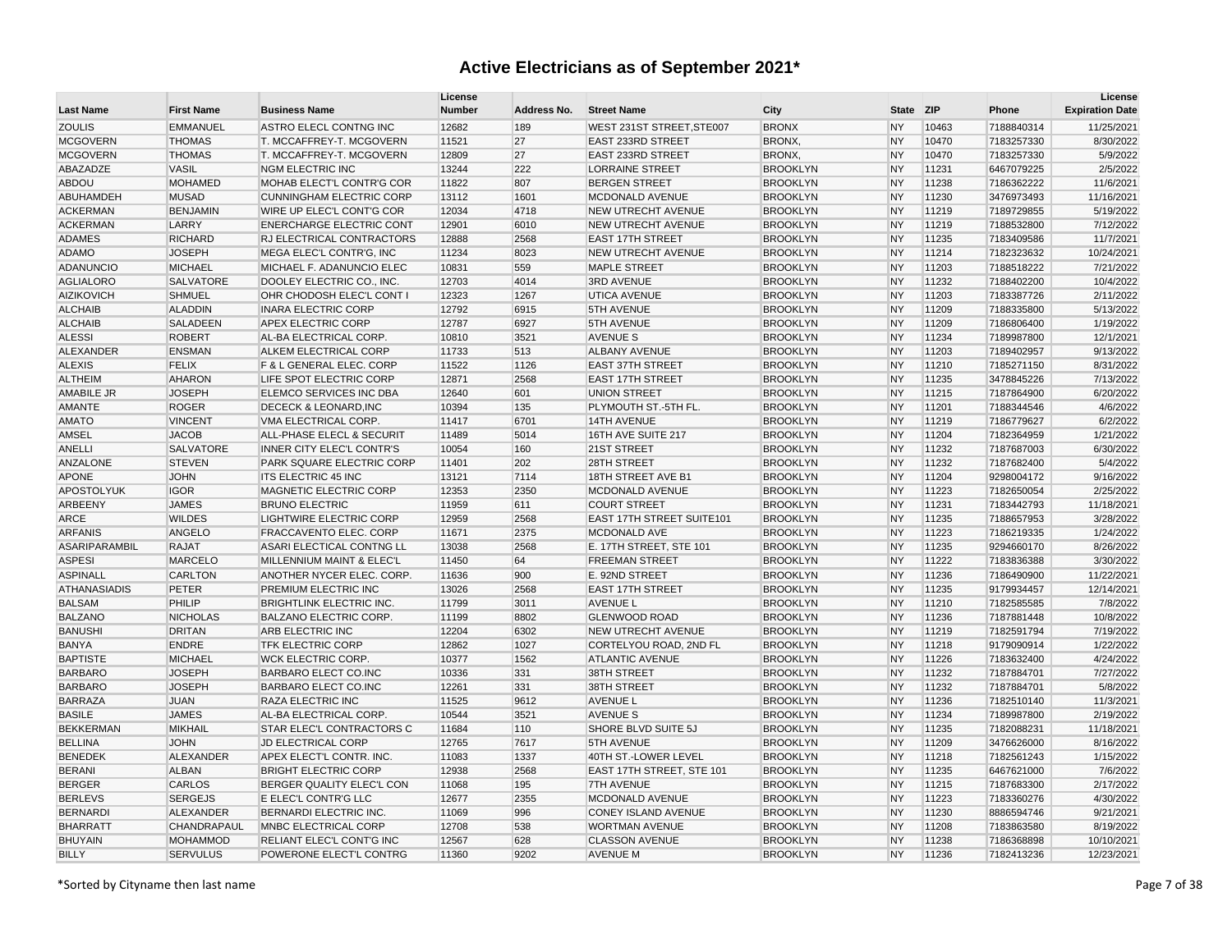| <b>Last Name</b>     | <b>First Name</b> | <b>Business Name</b>             | License<br><b>Number</b> | Address No. | <b>Street Name</b>         | City            | <b>State</b> | <b>ZIP</b> | Phone      | License<br><b>Expiration Date</b> |
|----------------------|-------------------|----------------------------------|--------------------------|-------------|----------------------------|-----------------|--------------|------------|------------|-----------------------------------|
| <b>ZOULIS</b>        | <b>EMMANUEL</b>   | ASTRO ELECL CONTNG INC           | 12682                    | 189         | WEST 231ST STREET, STE007  | <b>BRONX</b>    | <b>NY</b>    | 10463      | 7188840314 | 11/25/2021                        |
| <b>MCGOVERN</b>      | <b>THOMAS</b>     | T. MCCAFFREY-T. MCGOVERN         | 11521                    | 27          | <b>EAST 233RD STREET</b>   | BRONX,          | <b>NY</b>    | 10470      | 7183257330 | 8/30/2022                         |
| <b>MCGOVERN</b>      | <b>THOMAS</b>     | T. MCCAFFREY-T. MCGOVERN         | 12809                    | 27          | <b>EAST 233RD STREET</b>   | BRONX,          | <b>NY</b>    | 10470      | 7183257330 | 5/9/2022                          |
| ABAZADZE             | <b>VASIL</b>      | NGM ELECTRIC INC                 | 13244                    | 222         | <b>LORRAINE STREET</b>     | <b>BROOKLYN</b> | <b>NY</b>    | 11231      | 6467079225 | 2/5/2022                          |
| ABDOU                | <b>MOHAMED</b>    | MOHAB ELECT'L CONTR'G COR        | 11822                    | 807         | <b>BERGEN STREET</b>       | <b>BROOKLYN</b> | <b>NY</b>    | 11238      | 7186362222 | 11/6/2021                         |
| ABUHAMDEH            | <b>MUSAD</b>      | <b>CUNNINGHAM ELECTRIC CORP</b>  | 13112                    | 1601        | MCDONALD AVENUE            | <b>BROOKLYN</b> | <b>NY</b>    | 11230      | 3476973493 | 11/16/2021                        |
| <b>ACKERMAN</b>      | <b>BENJAMIN</b>   | <b>WIRE UP ELEC'L CONT'G COR</b> | 12034                    | 4718        | <b>NEW UTRECHT AVENUE</b>  | <b>BROOKLYN</b> | <b>NY</b>    | 11219      | 7189729855 | 5/19/2022                         |
| <b>ACKERMAN</b>      | LARRY             | <b>ENERCHARGE ELECTRIC CONT</b>  | 12901                    | 6010        | <b>NEW UTRECHT AVENUE</b>  | <b>BROOKLYN</b> | <b>NY</b>    | 11219      | 7188532800 | 7/12/2022                         |
| <b>ADAMES</b>        | <b>RICHARD</b>    | RJ ELECTRICAL CONTRACTORS        | 12888                    | 2568        | <b>EAST 17TH STREET</b>    | <b>BROOKLYN</b> | <b>NY</b>    | 11235      | 7183409586 | 11/7/2021                         |
| <b>ADAMO</b>         | <b>JOSEPH</b>     | MEGA ELEC'L CONTR'G, INC         | 11234                    | 8023        | NEW UTRECHT AVENUE         | <b>BROOKLYN</b> | <b>NY</b>    | 11214      | 7182323632 | 10/24/2021                        |
| <b>ADANUNCIO</b>     | <b>MICHAEL</b>    | MICHAEL F. ADANUNCIO ELEC        | 10831                    | 559         | <b>MAPLE STREET</b>        | <b>BROOKLYN</b> | <b>NY</b>    | 11203      | 7188518222 | 7/21/2022                         |
| <b>AGLIALORO</b>     | <b>SALVATORE</b>  | DOOLEY ELECTRIC CO., INC.        | 12703                    | 4014        | <b>3RD AVENUE</b>          | <b>BROOKLYN</b> | <b>NY</b>    | 11232      | 7188402200 | 10/4/2022                         |
| <b>AIZIKOVICH</b>    | <b>SHMUEL</b>     | OHR CHODOSH ELEC'L CONT I        | 12323                    | 1267        | <b>UTICA AVENUE</b>        | <b>BROOKLYN</b> | <b>NY</b>    | 11203      | 7183387726 | 2/11/2022                         |
| <b>ALCHAIB</b>       | <b>ALADDIN</b>    | <b>INARA ELECTRIC CORP</b>       | 12792                    | 6915        | <b>5TH AVENUE</b>          | <b>BROOKLYN</b> | <b>NY</b>    | 11209      | 7188335800 | 5/13/2022                         |
| <b>ALCHAIB</b>       | SALADEEN          | <b>APEX ELECTRIC CORP</b>        | 12787                    | 6927        | <b>5TH AVENUE</b>          | <b>BROOKLYN</b> | <b>NY</b>    | 11209      | 7186806400 | 1/19/2022                         |
| <b>ALESSI</b>        | <b>ROBERT</b>     | AL-BA ELECTRICAL CORP            | 10810                    | 3521        | <b>AVENUE S</b>            | <b>BROOKLYN</b> | <b>NY</b>    | 11234      | 7189987800 | 12/1/2021                         |
| <b>ALEXANDER</b>     | <b>ENSMAN</b>     | ALKEM ELECTRICAL CORP            | 11733                    | 513         | <b>ALBANY AVENUE</b>       | <b>BROOKLYN</b> | <b>NY</b>    | 11203      | 7189402957 | 9/13/2022                         |
| <b>ALEXIS</b>        | <b>FELIX</b>      | F & L GENERAL ELEC. CORP         | 11522                    | 1126        | <b>EAST 37TH STREET</b>    | <b>BROOKLYN</b> | <b>NY</b>    | 11210      | 7185271150 | 8/31/2022                         |
| <b>ALTHEIM</b>       | <b>AHARON</b>     | LIFE SPOT ELECTRIC CORP          | 12871                    | 2568        | <b>EAST 17TH STREET</b>    | <b>BROOKLYN</b> | <b>NY</b>    | 11235      | 3478845226 | 7/13/2022                         |
| <b>AMABILE JR</b>    | <b>JOSEPH</b>     | <b>ELEMCO SERVICES INC DBA</b>   | 12640                    | 601         | <b>UNION STREET</b>        | <b>BROOKLYN</b> | <b>NY</b>    | 11215      | 7187864900 | 6/20/2022                         |
| <b>AMANTE</b>        | <b>ROGER</b>      | <b>DECECK &amp; LEONARD.INC</b>  | 10394                    | 135         | PLYMOUTH ST.-5TH FL.       | <b>BROOKLYN</b> | <b>NY</b>    | 11201      | 7188344546 | 4/6/2022                          |
| <b>AMATO</b>         | <b>VINCENT</b>    | VMA ELECTRICAL CORP.             | 11417                    | 6701        | <b>14TH AVENUE</b>         | <b>BROOKLYN</b> | <b>NY</b>    | 11219      | 7186779627 | 6/2/2022                          |
| <b>AMSEL</b>         | <b>JACOB</b>      | ALL-PHASE ELECL & SECURIT        | 11489                    | 5014        | 16TH AVE SUITE 217         | <b>BROOKLYN</b> | <b>NY</b>    | 11204      | 7182364959 | 1/21/2022                         |
| <b>ANELLI</b>        | <b>SALVATORE</b>  | INNER CITY ELEC'L CONTR'S        | 10054                    | 160         | 21ST STREET                | <b>BROOKLYN</b> | <b>NY</b>    | 11232      | 7187687003 | 6/30/2022                         |
| <b>ANZALONE</b>      | <b>STEVEN</b>     | PARK SQUARE ELECTRIC CORP        | 11401                    | 202         | 28TH STREET                | <b>BROOKLYN</b> | <b>NY</b>    | 11232      | 7187682400 | 5/4/2022                          |
| <b>APONE</b>         | <b>JOHN</b>       | <b>ITS ELECTRIC 45 INC</b>       | 13121                    | 7114        | 18TH STREET AVE B1         | <b>BROOKLYN</b> | <b>NY</b>    | 11204      | 9298004172 | 9/16/2022                         |
| <b>APOSTOLYUK</b>    | <b>IGOR</b>       | MAGNETIC ELECTRIC CORP           | 12353                    | 2350        | MCDONALD AVENUE            | <b>BROOKLYN</b> | <b>NY</b>    | 11223      | 7182650054 | 2/25/2022                         |
| ARBEENY              | <b>JAMES</b>      | <b>BRUNO ELECTRIC</b>            | 11959                    | 611         | <b>COURT STREET</b>        | <b>BROOKLYN</b> | <b>NY</b>    | 11231      | 7183442793 | 11/18/2021                        |
| ARCE                 | <b>WILDES</b>     | <b>LIGHTWIRE ELECTRIC CORP</b>   | 12959                    | 2568        | EAST 17TH STREET SUITE101  | <b>BROOKLYN</b> | <b>NY</b>    | 11235      | 7188657953 | 3/28/2022                         |
| <b>ARFANIS</b>       | ANGELO            | <b>FRACCAVENTO ELEC. CORP</b>    | 11671                    | 2375        | MCDONALD AVE               | <b>BROOKLYN</b> | <b>NY</b>    | 11223      | 7186219335 | 1/24/2022                         |
| <b>ASARIPARAMBIL</b> | <b>RAJAT</b>      | ASARI ELECTICAL CONTNG LL        | 13038                    | 2568        | E. 17TH STREET, STE 101    | <b>BROOKLYN</b> | <b>NY</b>    | 11235      | 9294660170 | 8/26/2022                         |
| <b>ASPESI</b>        | <b>MARCELO</b>    | MILLENNIUM MAINT & ELEC'L        | 11450                    | 64          | <b>FREEMAN STREET</b>      | <b>BROOKLYN</b> | <b>NY</b>    | 11222      | 7183836388 | 3/30/2022                         |
| <b>ASPINALL</b>      | <b>CARLTON</b>    | ANOTHER NYCER ELEC. CORP.        | 11636                    | 900         | E. 92ND STREET             | <b>BROOKLYN</b> | <b>NY</b>    | 11236      | 7186490900 | 11/22/2021                        |
| <b>ATHANASIADIS</b>  | <b>PETER</b>      | PREMIUM ELECTRIC INC             | 13026                    | 2568        | <b>EAST 17TH STREET</b>    | <b>BROOKLYN</b> | <b>NY</b>    | 11235      | 9179934457 | 12/14/2021                        |
| <b>BALSAM</b>        | PHILIP            | <b>BRIGHTLINK ELECTRIC INC.</b>  | 11799                    | 3011        | <b>AVENUE L</b>            | <b>BROOKLYN</b> | <b>NY</b>    | 11210      | 7182585585 | 7/8/2022                          |
| <b>BALZANO</b>       | <b>NICHOLAS</b>   | <b>BALZANO ELECTRIC CORP.</b>    | 11199                    | 8802        | <b>GLENWOOD ROAD</b>       | <b>BROOKLYN</b> | <b>NY</b>    | 11236      | 7187881448 | 10/8/2022                         |
| <b>BANUSHI</b>       | <b>DRITAN</b>     | ARB ELECTRIC INC                 | 12204                    | 6302        | <b>NEW UTRECHT AVENUE</b>  | <b>BROOKLYN</b> | <b>NY</b>    | 11219      | 7182591794 | 7/19/2022                         |
| <b>BANYA</b>         | <b>ENDRE</b>      | <b>TFK ELECTRIC CORP</b>         | 12862                    | 1027        | CORTELYOU ROAD, 2ND FL     | <b>BROOKLYN</b> | <b>NY</b>    | 11218      | 9179090914 | 1/22/2022                         |
| <b>BAPTISTE</b>      | <b>MICHAEL</b>    | <b>WCK ELECTRIC CORP.</b>        | 10377                    | 1562        | <b>ATLANTIC AVENUE</b>     | <b>BROOKLYN</b> | <b>NY</b>    | 11226      | 7183632400 | 4/24/2022                         |
| <b>BARBARO</b>       | <b>JOSEPH</b>     | <b>BARBARO ELECT CO.INC</b>      | 10336                    | 331         | 38TH STREET                | <b>BROOKLYN</b> | <b>NY</b>    | 11232      | 7187884701 | 7/27/2022                         |
| <b>BARBARO</b>       | <b>JOSEPH</b>     | <b>BARBARO ELECT CO.INC</b>      | 12261                    | 331         | 38TH STREET                | <b>BROOKLYN</b> | <b>NY</b>    | 11232      | 7187884701 | 5/8/2022                          |
| <b>BARRAZA</b>       | <b>JUAN</b>       | RAZA ELECTRIC INC                | 11525                    | 9612        | <b>AVENUE L</b>            | <b>BROOKLYN</b> | <b>NY</b>    | 11236      | 7182510140 | 11/3/2021                         |
| <b>BASILE</b>        | <b>JAMES</b>      | AL-BA ELECTRICAL CORP.           | 10544                    | 3521        | <b>AVENUE S</b>            | <b>BROOKLYN</b> | <b>NY</b>    | 11234      | 7189987800 | 2/19/2022                         |
| <b>BEKKERMAN</b>     | <b>MIKHAIL</b>    | STAR ELEC'L CONTRACTORS C        | 11684                    | 110         | SHORE BLVD SUITE 5J        | <b>BROOKLYN</b> | <b>NY</b>    | 11235      | 7182088231 | 11/18/2021                        |
| <b>BELLINA</b>       | <b>JOHN</b>       | JD ELECTRICAL CORP               | 12765                    | 7617        | <b>5TH AVENUE</b>          | <b>BROOKLYN</b> | <b>NY</b>    | 11209      | 3476626000 | 8/16/2022                         |
| <b>BENEDEK</b>       | ALEXANDER         | APEX ELECT'L CONTR. INC.         | 11083                    | 1337        | 40TH ST.-LOWER LEVEL       | <b>BROOKLYN</b> | <b>NY</b>    | 11218      | 7182561243 | 1/15/2022                         |
| <b>BERANI</b>        | <b>ALBAN</b>      | <b>BRIGHT ELECTRIC CORP</b>      | 12938                    | 2568        | EAST 17TH STREET, STE 101  | <b>BROOKLYN</b> | <b>NY</b>    | 11235      | 6467621000 | 7/6/2022                          |
| <b>BERGER</b>        | CARLOS            | BERGER QUALITY ELEC'L CON        | 11068                    | 195         | <b>7TH AVENUE</b>          | <b>BROOKLYN</b> | <b>NY</b>    | 11215      | 7187683300 | 2/17/2022                         |
| <b>BERLEVS</b>       | <b>SERGEJS</b>    | E ELEC'L CONTR'G LLC             | 12677                    | 2355        | MCDONALD AVENUE            | <b>BROOKLYN</b> | <b>NY</b>    | 11223      | 7183360276 | 4/30/2022                         |
| <b>BERNARDI</b>      | ALEXANDER         | <b>BERNARDI ELECTRIC INC.</b>    | 11069                    | 996         | <b>CONEY ISLAND AVENUE</b> | <b>BROOKLYN</b> | <b>NY</b>    | 11230      | 8886594746 | 9/21/2021                         |
| <b>BHARRATT</b>      | CHANDRAPAUL       | <b>MNBC ELECTRICAL CORP</b>      | 12708                    | 538         | <b>WORTMAN AVENUE</b>      | <b>BROOKLYN</b> | <b>NY</b>    | 11208      | 7183863580 | 8/19/2022                         |
| <b>BHUYAIN</b>       | <b>MOHAMMOD</b>   | RELIANT ELEC'L CONT'G INC        | 12567                    | 628         | <b>CLASSON AVENUE</b>      | <b>BROOKLYN</b> | <b>NY</b>    | 11238      | 7186368898 | 10/10/2021                        |
| <b>BILLY</b>         | <b>SERVULUS</b>   | POWERONE ELECT'L CONTRG          | 11360                    | 9202        | <b>AVENUE M</b>            | <b>BROOKLYN</b> | <b>NY</b>    | 11236      | 7182413236 | 12/23/2021                        |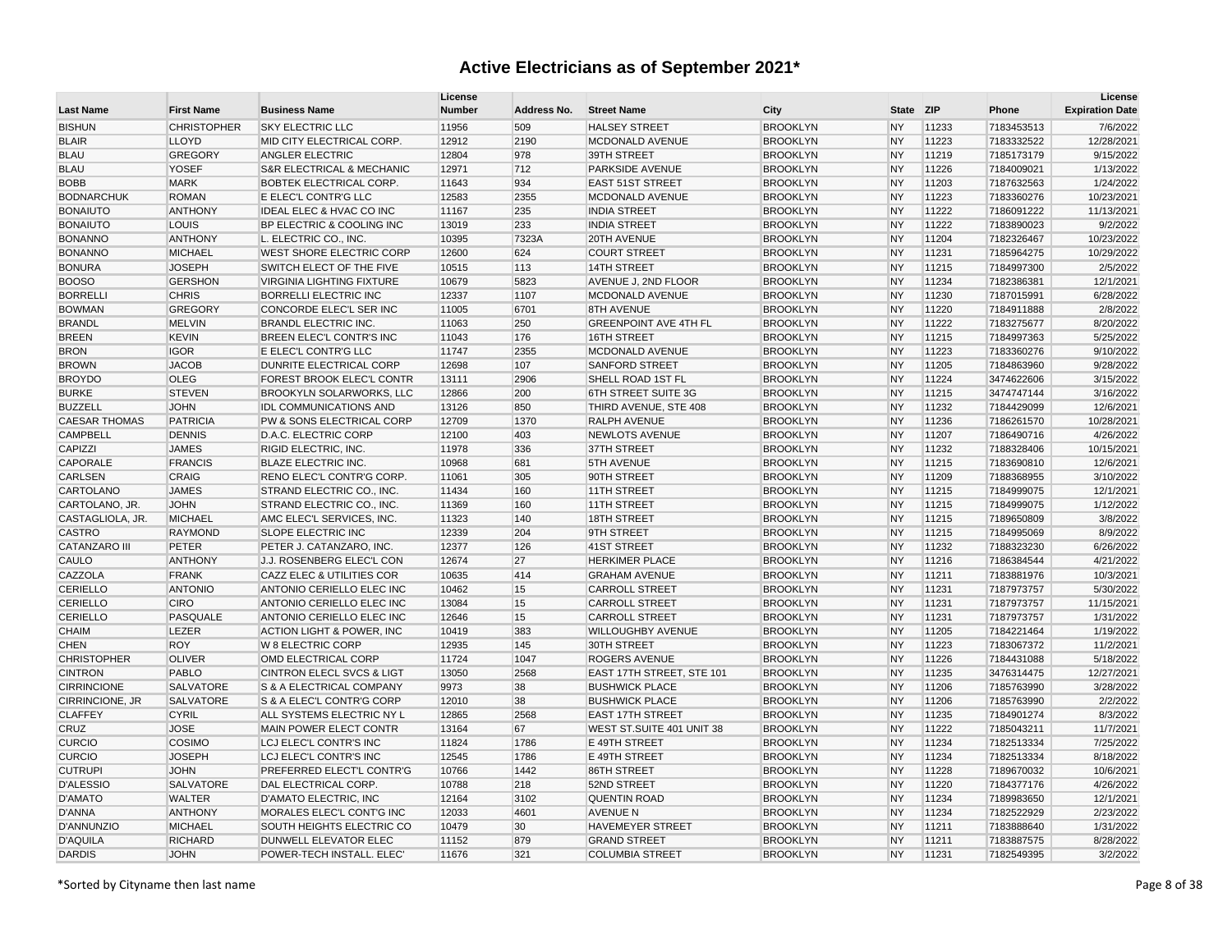| <b>Last Name</b>     | <b>First Name</b>  | <b>Business Name</b>                     | License<br><b>Number</b> | Address No. | <b>Street Name</b>           | City            | <b>State</b> | <b>ZIP</b> | Phone      | License<br><b>Expiration Date</b> |
|----------------------|--------------------|------------------------------------------|--------------------------|-------------|------------------------------|-----------------|--------------|------------|------------|-----------------------------------|
| <b>BISHUN</b>        | <b>CHRISTOPHER</b> | <b>SKY ELECTRIC LLC</b>                  | 11956                    | 509         | <b>HALSEY STREET</b>         | <b>BROOKLYN</b> | <b>NY</b>    | 11233      | 7183453513 | 7/6/2022                          |
| <b>BLAIR</b>         | <b>LLOYD</b>       | MID CITY ELECTRICAL CORP.                | 12912                    | 2190        | MCDONALD AVENUE              | <b>BROOKLYN</b> | <b>NY</b>    | 11223      | 7183332522 | 12/28/2021                        |
| <b>BLAU</b>          | <b>GREGORY</b>     | <b>ANGLER ELECTRIC</b>                   | 12804                    | 978         | 39TH STREET                  | <b>BROOKLYN</b> | <b>NY</b>    | 11219      | 7185173179 | 9/15/2022                         |
| <b>BLAU</b>          | <b>YOSEF</b>       | <b>S&amp;R ELECTRICAL &amp; MECHANIC</b> | 12971                    | 712         | PARKSIDE AVENUE              | <b>BROOKLYN</b> | <b>NY</b>    | 11226      | 7184009021 | 1/13/2022                         |
| <b>BOBB</b>          | <b>MARK</b>        | <b>BOBTEK ELECTRICAL CORP.</b>           | 11643                    | 934         | <b>EAST 51ST STREET</b>      | <b>BROOKLYN</b> | <b>NY</b>    | 11203      | 7187632563 | 1/24/2022                         |
| <b>BODNARCHUK</b>    | <b>ROMAN</b>       | E ELEC'L CONTR'G LLC                     | 12583                    | 2355        | MCDONALD AVENUE              | <b>BROOKLYN</b> | <b>NY</b>    | 11223      | 7183360276 | 10/23/2021                        |
| <b>BONAIUTO</b>      | <b>ANTHONY</b>     | <b>IDEAL ELEC &amp; HVAC CO INC</b>      | 11167                    | 235         | <b>INDIA STREET</b>          | <b>BROOKLYN</b> | <b>NY</b>    | 11222      | 7186091222 | 11/13/2021                        |
| <b>BONAIUTO</b>      | LOUIS              | <b>BP ELECTRIC &amp; COOLING INC</b>     | 13019                    | 233         | <b>INDIA STREET</b>          | <b>BROOKLYN</b> | <b>NY</b>    | 11222      | 7183890023 | 9/2/2022                          |
| <b>BONANNO</b>       | <b>ANTHONY</b>     | L. ELECTRIC CO., INC.                    | 10395                    | 7323A       | 20TH AVENUE                  | <b>BROOKLYN</b> | <b>NY</b>    | 11204      | 7182326467 | 10/23/2022                        |
| <b>BONANNO</b>       | <b>MICHAEL</b>     | <b>WEST SHORE ELECTRIC CORP</b>          | 12600                    | 624         | <b>COURT STREET</b>          | <b>BROOKLYN</b> | <b>NY</b>    | 11231      | 7185964275 | 10/29/2022                        |
| <b>BONURA</b>        | <b>JOSEPH</b>      | SWITCH ELECT OF THE FIVE                 | 10515                    | 113         | 14TH STREET                  | <b>BROOKLYN</b> | <b>NY</b>    | 11215      | 7184997300 | 2/5/2022                          |
| <b>BOOSO</b>         | <b>GERSHON</b>     | <b>VIRGINIA LIGHTING FIXTURE</b>         | 10679                    | 5823        | AVENUE J, 2ND FLOOR          | <b>BROOKLYN</b> | <b>NY</b>    | 11234      | 7182386381 | 12/1/2021                         |
| <b>BORRELLI</b>      | <b>CHRIS</b>       | <b>BORRELLI ELECTRIC INC</b>             | 12337                    | 1107        | MCDONALD AVENUE              | <b>BROOKLYN</b> | <b>NY</b>    | 11230      | 7187015991 | 6/28/2022                         |
| <b>BOWMAN</b>        | <b>GREGORY</b>     | CONCORDE ELEC'L SER INC                  | 11005                    | 6701        | <b>8TH AVENUE</b>            | <b>BROOKLYN</b> | <b>NY</b>    | 11220      | 7184911888 | 2/8/2022                          |
| <b>BRANDL</b>        | <b>MELVIN</b>      | <b>BRANDL ELECTRIC INC.</b>              | 11063                    | 250         | <b>GREENPOINT AVE 4TH FL</b> | <b>BROOKLYN</b> | <b>NY</b>    | 11222      | 7183275677 | 8/20/2022                         |
| <b>BREEN</b>         | <b>KEVIN</b>       | <b>BREEN ELEC'L CONTR'S INC</b>          | 11043                    | 176         | 16TH STREET                  | <b>BROOKLYN</b> | <b>NY</b>    | 11215      | 7184997363 | 5/25/2022                         |
| <b>BRON</b>          | <b>IGOR</b>        | E ELEC'L CONTR'G LLC                     | 11747                    | 2355        | MCDONALD AVENUE              | <b>BROOKLYN</b> | <b>NY</b>    | 11223      | 7183360276 | 9/10/2022                         |
| <b>BROWN</b>         | <b>JACOB</b>       | DUNRITE ELECTRICAL CORP                  | 12698                    | 107         | <b>SANFORD STREET</b>        | <b>BROOKLYN</b> | <b>NY</b>    | 11205      | 7184863960 | 9/28/2022                         |
| <b>BROYDO</b>        | <b>OLEG</b>        | <b>FOREST BROOK ELEC'L CONTR</b>         | 13111                    | 2906        | SHELL ROAD 1ST FL            | <b>BROOKLYN</b> | <b>NY</b>    | 11224      | 3474622606 | 3/15/2022                         |
| <b>BURKE</b>         | <b>STEVEN</b>      | BROOKYLN SOLARWORKS, LLC                 | 12866                    | 200         | 6TH STREET SUITE 3G          | <b>BROOKLYN</b> | <b>NY</b>    | 11215      | 3474747144 | 3/16/2022                         |
| <b>BUZZELL</b>       | <b>JOHN</b>        | <b>IDL COMMUNICATIONS AND</b>            | 13126                    | 850         | THIRD AVENUE, STE 408        | <b>BROOKLYN</b> | <b>NY</b>    | 11232      | 7184429099 | 12/6/2021                         |
| <b>CAESAR THOMAS</b> | <b>PATRICIA</b>    | PW & SONS ELECTRICAL CORP                | 12709                    | 1370        | <b>RALPH AVENUE</b>          | <b>BROOKLYN</b> | <b>NY</b>    | 11236      | 7186261570 | 10/28/2021                        |
| <b>CAMPBELL</b>      | <b>DENNIS</b>      | D.A.C. ELECTRIC CORP                     | 12100                    | 403         | <b>NEWLOTS AVENUE</b>        | <b>BROOKLYN</b> | <b>NY</b>    | 11207      | 7186490716 | 4/26/2022                         |
| CAPIZZI              | <b>JAMES</b>       | RIGID ELECTRIC, INC.                     | 11978                    | 336         | 37TH STREET                  | <b>BROOKLYN</b> | <b>NY</b>    | 11232      | 7188328406 | 10/15/2021                        |
| <b>CAPORALE</b>      | <b>FRANCIS</b>     | <b>BLAZE ELECTRIC INC.</b>               | 10968                    | 681         | <b>5TH AVENUE</b>            | <b>BROOKLYN</b> | <b>NY</b>    | 11215      | 7183690810 | 12/6/2021                         |
| <b>CARLSEN</b>       | <b>CRAIG</b>       | RENO ELEC'L CONTR'G CORP.                | 11061                    | 305         | 90TH STREET                  | <b>BROOKLYN</b> | <b>NY</b>    | 11209      | 7188368955 | 3/10/2022                         |
| CARTOLANO            | <b>JAMES</b>       | STRAND ELECTRIC CO., INC.                | 11434                    | 160         | 11TH STREET                  | <b>BROOKLYN</b> | <b>NY</b>    | 11215      | 7184999075 | 12/1/2021                         |
| CARTOLANO, JR.       | <b>JOHN</b>        | STRAND ELECTRIC CO., INC.                | 11369                    | 160         | 11TH STREET                  | <b>BROOKLYN</b> | <b>NY</b>    | 11215      | 7184999075 | 1/12/2022                         |
| CASTAGLIOLA, JR.     | <b>MICHAEL</b>     | AMC ELEC'L SERVICES, INC.                | 11323                    | 140         | 18TH STREET                  | <b>BROOKLYN</b> | <b>NY</b>    | 11215      | 7189650809 | 3/8/2022                          |
| <b>CASTRO</b>        | <b>RAYMOND</b>     | <b>SLOPE ELECTRIC INC</b>                | 12339                    | 204         | 9TH STREET                   | <b>BROOKLYN</b> | <b>NY</b>    | 11215      | 7184995069 | 8/9/2022                          |
| CATANZARO III        | <b>PETER</b>       | PETER J. CATANZARO, INC.                 | 12377                    | 126         | 41ST STREET                  | <b>BROOKLYN</b> | <b>NY</b>    | 11232      | 7188323230 | 6/26/2022                         |
| CAULO                | <b>ANTHONY</b>     | J.J. ROSENBERG ELEC'L CON                | 12674                    | 27          | <b>HERKIMER PLACE</b>        | <b>BROOKLYN</b> | <b>NY</b>    | 11216      | 7186384544 | 4/21/2022                         |
| CAZZOLA              | <b>FRANK</b>       | CAZZ ELEC & UTILITIES COR                | 10635                    | 414         | <b>GRAHAM AVENUE</b>         | <b>BROOKLYN</b> | <b>NY</b>    | 11211      | 7183881976 | 10/3/2021                         |
| <b>CERIELLO</b>      | <b>ANTONIO</b>     | ANTONIO CERIELLO ELEC INC                | 10462                    | 15          | <b>CARROLL STREET</b>        | <b>BROOKLYN</b> | <b>NY</b>    | 11231      | 7187973757 | 5/30/2022                         |
| CERIELLO             | <b>CIRO</b>        | ANTONIO CERIELLO ELEC INC                | 13084                    | 15          | <b>CARROLL STREET</b>        | <b>BROOKLYN</b> | <b>NY</b>    | 11231      | 7187973757 | 11/15/2021                        |
| <b>CERIELLO</b>      | PASQUALE           | ANTONIO CERIELLO ELEC INC                | 12646                    | 15          | <b>CARROLL STREET</b>        | <b>BROOKLYN</b> | <b>NY</b>    | 11231      | 7187973757 | 1/31/2022                         |
| CHAIM                | LEZER              | <b>ACTION LIGHT &amp; POWER, INC</b>     | 10419                    | 383         | <b>WILLOUGHBY AVENUE</b>     | <b>BROOKLYN</b> | <b>NY</b>    | 11205      | 7184221464 | 1/19/2022                         |
| <b>CHEN</b>          | <b>ROY</b>         | W 8 ELECTRIC CORP                        | 12935                    | 145         | 30TH STREET                  | <b>BROOKLYN</b> | <b>NY</b>    | 11223      | 7183067372 | 11/2/2021                         |
| <b>CHRISTOPHER</b>   | <b>OLIVER</b>      | OMD ELECTRICAL CORP                      | 11724                    | 1047        | <b>ROGERS AVENUE</b>         | <b>BROOKLYN</b> | <b>NY</b>    | 11226      | 7184431088 | 5/18/2022                         |
| <b>CINTRON</b>       | <b>PABLO</b>       | <b>CINTRON ELECL SVCS &amp; LIGT</b>     | 13050                    | 2568        | EAST 17TH STREET, STE 101    | <b>BROOKLYN</b> | <b>NY</b>    | 11235      | 3476314475 | 12/27/2021                        |
| <b>CIRRINCIONE</b>   | <b>SALVATORE</b>   | S & A ELECTRICAL COMPANY                 | 9973                     | 38          | <b>BUSHWICK PLACE</b>        | <b>BROOKLYN</b> | <b>NY</b>    | 11206      | 7185763990 | 3/28/2022                         |
| CIRRINCIONE, JR      | <b>SALVATORE</b>   | S & A ELEC'L CONTR'G CORP                | 12010                    | 38          | <b>BUSHWICK PLACE</b>        | <b>BROOKLYN</b> | <b>NY</b>    | 11206      | 7185763990 | 2/2/2022                          |
| <b>CLAFFEY</b>       | <b>CYRIL</b>       | ALL SYSTEMS ELECTRIC NY L                | 12865                    | 2568        | <b>EAST 17TH STREET</b>      | <b>BROOKLYN</b> | <b>NY</b>    | 11235      | 7184901274 | 8/3/2022                          |
| CRUZ                 | <b>JOSE</b>        | MAIN POWER ELECT CONTR                   | 13164                    | 67          | WEST ST.SUITE 401 UNIT 38    | <b>BROOKLYN</b> | <b>NY</b>    | 11222      | 7185043211 | 11/7/2021                         |
| <b>CURCIO</b>        | COSIMO             | LCJ ELEC'L CONTR'S INC                   | 11824                    | 1786        | E 49TH STREET                | <b>BROOKLYN</b> | <b>NY</b>    | 11234      | 7182513334 | 7/25/2022                         |
| <b>CURCIO</b>        | <b>JOSEPH</b>      | LCJ ELEC'L CONTR'S INC                   | 12545                    | 1786        | E 49TH STREET                | <b>BROOKLYN</b> | <b>NY</b>    | 11234      | 7182513334 | 8/18/2022                         |
| <b>CUTRUPI</b>       | <b>JOHN</b>        | PREFERRED ELECT'L CONTR'G                | 10766                    | 1442        | 86TH STREET                  | <b>BROOKLYN</b> | <b>NY</b>    | 11228      | 7189670032 | 10/6/2021                         |
| <b>D'ALESSIO</b>     | <b>SALVATORE</b>   | DAL ELECTRICAL CORP.                     | 10788                    | 218         | 52ND STREET                  | <b>BROOKLYN</b> | <b>NY</b>    | 11220      | 7184377176 | 4/26/2022                         |
| <b>D'AMATO</b>       | <b>WALTER</b>      | <b>D'AMATO ELECTRIC, INC</b>             | 12164                    | 3102        | <b>QUENTIN ROAD</b>          | <b>BROOKLYN</b> | <b>NY</b>    | 11234      | 7189983650 | 12/1/2021                         |
| <b>D'ANNA</b>        | <b>ANTHONY</b>     | MORALES ELEC'L CONT'G INC                | 12033                    | 4601        | <b>AVENUE N</b>              | <b>BROOKLYN</b> | <b>NY</b>    | 11234      | 7182522929 | 2/23/2022                         |
| <b>D'ANNUNZIO</b>    | <b>MICHAEL</b>     | SOUTH HEIGHTS ELECTRIC CO                | 10479                    | 30          | <b>HAVEMEYER STREET</b>      | <b>BROOKLYN</b> | <b>NY</b>    | 11211      | 7183888640 | 1/31/2022                         |
| <b>D'AQUILA</b>      | <b>RICHARD</b>     | DUNWELL ELEVATOR ELEC                    | 11152                    | 879         | <b>GRAND STREET</b>          | <b>BROOKLYN</b> | <b>NY</b>    | 11211      | 7183887575 | 8/28/2022                         |
| <b>DARDIS</b>        | <b>JOHN</b>        | POWER-TECH INSTALL. ELEC'                | 11676                    | 321         | <b>COLUMBIA STREET</b>       | <b>BROOKLYN</b> | <b>NY</b>    | 11231      | 7182549395 | 3/2/2022                          |
|                      |                    |                                          |                          |             |                              |                 |              |            |            |                                   |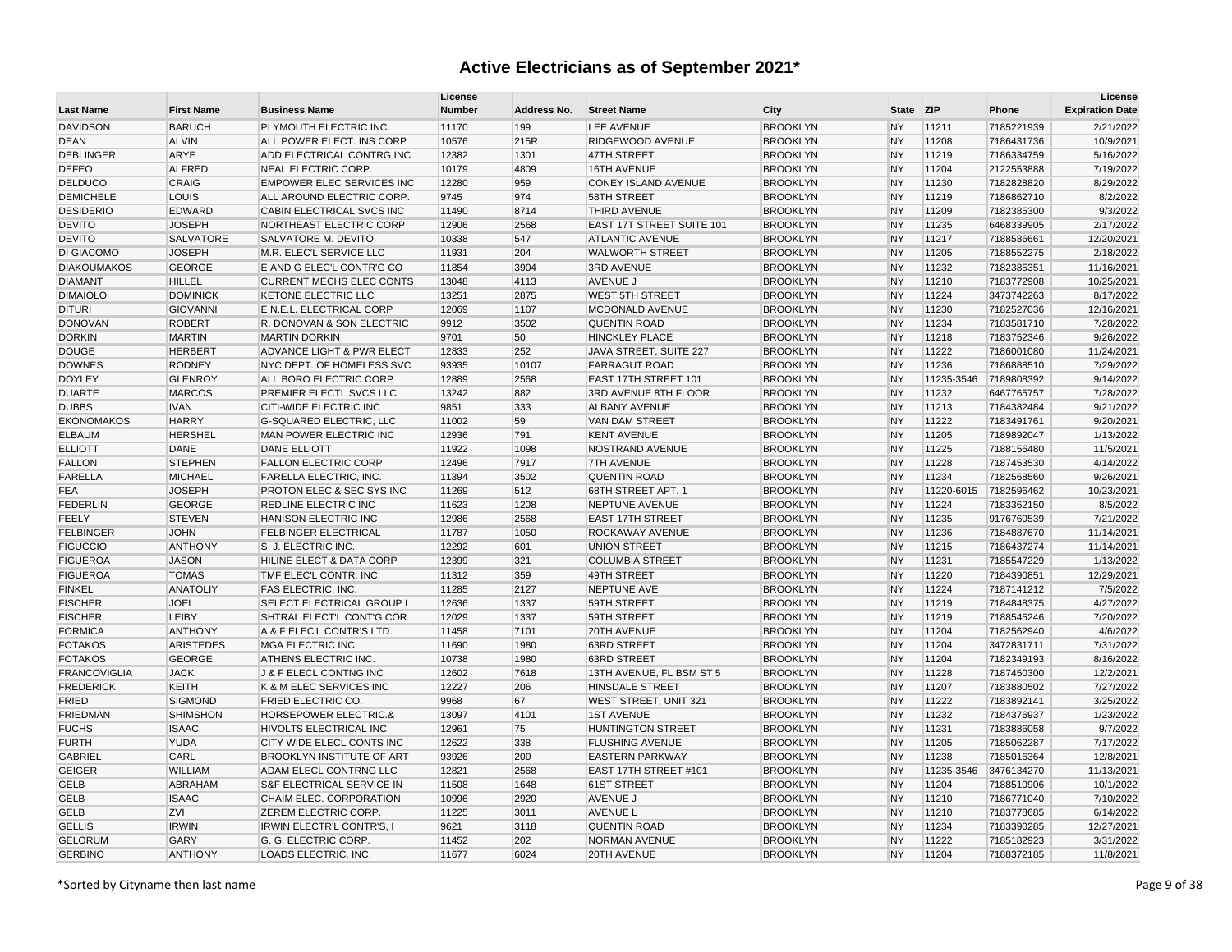| <b>Last Name</b>    | <b>First Name</b> | <b>Business Name</b>             | License<br><b>Number</b> | Address No. | <b>Street Name</b>          | City            | <b>State</b> | <b>ZIP</b> | Phone      | License<br><b>Expiration Date</b> |
|---------------------|-------------------|----------------------------------|--------------------------|-------------|-----------------------------|-----------------|--------------|------------|------------|-----------------------------------|
| <b>DAVIDSON</b>     | <b>BARUCH</b>     | PLYMOUTH ELECTRIC INC.           | 11170                    | 199         | <b>LEE AVENUE</b>           | <b>BROOKLYN</b> | <b>NY</b>    | 11211      | 7185221939 | 2/21/2022                         |
| <b>DEAN</b>         | <b>ALVIN</b>      | ALL POWER ELECT. INS CORP        | 10576                    | 215R        | RIDGEWOOD AVENUE            | <b>BROOKLYN</b> | <b>NY</b>    | 11208      | 7186431736 | 10/9/2021                         |
| <b>DEBLINGER</b>    | ARYE              | ADD ELECTRICAL CONTRG INC        | 12382                    | 1301        | 47TH STREET                 | <b>BROOKLYN</b> | <b>NY</b>    | 11219      | 7186334759 | 5/16/2022                         |
| <b>DEFEO</b>        | <b>ALFRED</b>     | NEAL ELECTRIC CORP.              | 10179                    | 4809        | 16TH AVENUE                 | <b>BROOKLYN</b> | <b>NY</b>    | 11204      | 2122553888 | 7/19/2022                         |
| <b>DELDUCO</b>      | CRAIG             | <b>EMPOWER ELEC SERVICES INC</b> | 12280                    | 959         | CONEY ISLAND AVENUE         | <b>BROOKLYN</b> | <b>NY</b>    | 11230      | 7182828820 | 8/29/2022                         |
| <b>DEMICHELE</b>    | LOUIS             | ALL AROUND ELECTRIC CORP.        | 9745                     | 974         | <b>58TH STREET</b>          | <b>BROOKLYN</b> | <b>NY</b>    | 11219      | 7186862710 | 8/2/2022                          |
| <b>DESIDERIO</b>    | <b>EDWARD</b>     | CABIN ELECTRICAL SVCS INC        | 11490                    | 8714        | THIRD AVENUE                | <b>BROOKLYN</b> | <b>NY</b>    | 11209      | 7182385300 | 9/3/2022                          |
| <b>DEVITO</b>       | <b>JOSEPH</b>     | NORTHEAST ELECTRIC CORP          | 12906                    | 2568        | EAST 17T STREET SUITE 101   | <b>BROOKLYN</b> | <b>NY</b>    | 11235      | 6468339905 | 2/17/2022                         |
| <b>DEVITO</b>       | <b>SALVATORE</b>  | SALVATORE M. DEVITO              | 10338                    | 547         | <b>ATLANTIC AVENUE</b>      | <b>BROOKLYN</b> | <b>NY</b>    | 11217      | 7188586661 | 12/20/2021                        |
| <b>DI GIACOMO</b>   | <b>JOSEPH</b>     | M.R. ELEC'L SERVICE LLC          | 11931                    | 204         | <b>WALWORTH STREET</b>      | <b>BROOKLYN</b> | <b>NY</b>    | 11205      | 7188552275 | 2/18/2022                         |
| <b>DIAKOUMAKOS</b>  | <b>GEORGE</b>     | E AND G ELEC'L CONTR'G CO        | 11854                    | 3904        | <b>3RD AVENUE</b>           | <b>BROOKLYN</b> | <b>NY</b>    | 11232      | 7182385351 | 11/16/2021                        |
| <b>DIAMANT</b>      | <b>HILLEL</b>     | <b>CURRENT MECHS ELEC CONTS</b>  | 13048                    | 4113        | <b>AVENUE J</b>             | <b>BROOKLYN</b> | <b>NY</b>    | 11210      | 7183772908 | 10/25/2021                        |
| <b>DIMAIOLO</b>     | <b>DOMINICK</b>   | KETONE ELECTRIC LLC              | 13251                    | 2875        | <b>WEST 5TH STREET</b>      | <b>BROOKLYN</b> | <b>NY</b>    | 11224      | 3473742263 | 8/17/2022                         |
| <b>DITURI</b>       | <b>GIOVANNI</b>   | E.N.E.L. ELECTRICAL CORP         | 12069                    | 1107        | MCDONALD AVENUE             | <b>BROOKLYN</b> | <b>NY</b>    | 11230      | 7182527036 | 12/16/2021                        |
| <b>DONOVAN</b>      | <b>ROBERT</b>     | R. DONOVAN & SON ELECTRIC        | 9912                     | 3502        | <b>QUENTIN ROAD</b>         | <b>BROOKLYN</b> | <b>NY</b>    | 11234      | 7183581710 | 7/28/2022                         |
| <b>DORKIN</b>       | <b>MARTIN</b>     | <b>MARTIN DORKIN</b>             | 9701                     | 50          | <b>HINCKLEY PLACE</b>       | <b>BROOKLYN</b> | <b>NY</b>    | 11218      | 7183752346 | 9/26/2022                         |
| <b>DOUGE</b>        | <b>HERBERT</b>    | ADVANCE LIGHT & PWR ELECT        | 12833                    | 252         | JAVA STREET, SUITE 227      | <b>BROOKLYN</b> | <b>NY</b>    | 11222      | 7186001080 | 11/24/2021                        |
| <b>DOWNES</b>       | <b>RODNEY</b>     | NYC DEPT. OF HOMELESS SVC        | 93935                    | 10107       | <b>FARRAGUT ROAD</b>        | <b>BROOKLYN</b> | <b>NY</b>    | 11236      | 7186888510 | 7/29/2022                         |
| <b>DOYLEY</b>       | <b>GLENROY</b>    | ALL BORO ELECTRIC CORP           | 12889                    | 2568        | <b>EAST 17TH STREET 101</b> | <b>BROOKLYN</b> | <b>NY</b>    | 11235-3546 | 7189808392 | 9/14/2022                         |
| <b>DUARTE</b>       | <b>MARCOS</b>     | PREMIER ELECTL SVCS LLC          | 13242                    | 882         | 3RD AVENUE 8TH FLOOR        | <b>BROOKLYN</b> | <b>NY</b>    | 11232      | 6467765757 | 7/28/2022                         |
| <b>DUBBS</b>        | <b>IVAN</b>       | <b>CITI-WIDE ELECTRIC INC</b>    | 9851                     | 333         | <b>ALBANY AVENUE</b>        | <b>BROOKLYN</b> | <b>NY</b>    | 11213      | 7184382484 | 9/21/2022                         |
| <b>EKONOMAKOS</b>   | <b>HARRY</b>      | <b>G-SQUARED ELECTRIC, LLC</b>   | 11002                    | 59          | <b>VAN DAM STREET</b>       | <b>BROOKLYN</b> | <b>NY</b>    | 11222      | 7183491761 | 9/20/2021                         |
| <b>ELBAUM</b>       | <b>HERSHEL</b>    | MAN POWER ELECTRIC INC           | 12936                    | 791         | <b>KENT AVENUE</b>          | <b>BROOKLYN</b> | <b>NY</b>    | 11205      | 7189892047 | 1/13/2022                         |
| <b>ELLIOTT</b>      | <b>DANE</b>       | <b>DANE ELLIOTT</b>              | 11922                    | 1098        | NOSTRAND AVENUE             | <b>BROOKLYN</b> | <b>NY</b>    | 11225      | 7188156480 | 11/5/2021                         |
| <b>FALLON</b>       | <b>STEPHEN</b>    | <b>FALLON ELECTRIC CORP</b>      | 12496                    | 7917        | <b>7TH AVENUE</b>           | <b>BROOKLYN</b> | <b>NY</b>    | 11228      | 7187453530 | 4/14/2022                         |
| <b>FARELLA</b>      | <b>MICHAEL</b>    | FARELLA ELECTRIC, INC.           | 11394                    | 3502        | <b>QUENTIN ROAD</b>         | <b>BROOKLYN</b> | <b>NY</b>    | 11234      | 7182568560 | 9/26/2021                         |
| <b>FEA</b>          | <b>JOSEPH</b>     | PROTON ELEC & SEC SYS INC        | 11269                    | 512         | 68TH STREET APT. 1          | <b>BROOKLYN</b> | <b>NY</b>    | 11220-6015 | 7182596462 | 10/23/2021                        |
| <b>FEDERLIN</b>     | <b>GEORGE</b>     | <b>REDLINE ELECTRIC INC</b>      | 11623                    | 1208        | NEPTUNE AVENUE              | <b>BROOKLYN</b> | <b>NY</b>    | 11224      | 7183362150 | 8/5/2022                          |
| <b>FEELY</b>        | <b>STEVEN</b>     | HANISON ELECTRIC INC             | 12986                    | 2568        | <b>EAST 17TH STREET</b>     | <b>BROOKLYN</b> | <b>NY</b>    | 11235      | 9176760539 | 7/21/2022                         |
| <b>FELBINGER</b>    | <b>JOHN</b>       | <b>FELBINGER ELECTRICAL</b>      | 11787                    | 1050        | ROCKAWAY AVENUE             | <b>BROOKLYN</b> | <b>NY</b>    | 11236      | 7184887670 | 11/14/2021                        |
| <b>FIGUCCIO</b>     | <b>ANTHONY</b>    | S. J. ELECTRIC INC.              | 12292                    | 601         | <b>UNION STREET</b>         | <b>BROOKLYN</b> | <b>NY</b>    | 11215      | 7186437274 | 11/14/2021                        |
| <b>FIGUEROA</b>     | <b>JASON</b>      | HILINE ELECT & DATA CORP         | 12399                    | 321         | <b>COLUMBIA STREET</b>      | <b>BROOKLYN</b> | <b>NY</b>    | 11231      | 7185547229 | 1/13/2022                         |
| <b>FIGUEROA</b>     | <b>TOMAS</b>      | TMF ELEC'L CONTR. INC.           | 11312                    | 359         | 49TH STREET                 | <b>BROOKLYN</b> | <b>NY</b>    | 11220      | 7184390851 | 12/29/2021                        |
| <b>FINKEL</b>       | <b>ANATOLIY</b>   | <b>FAS ELECTRIC, INC.</b>        | 11285                    | 2127        | NEPTUNE AVE                 | <b>BROOKLYN</b> | <b>NY</b>    | 11224      | 7187141212 | 7/5/2022                          |
| <b>FISCHER</b>      | <b>JOEL</b>       | <b>SELECT ELECTRICAL GROUP I</b> | 12636                    | 1337        | 59TH STREET                 | <b>BROOKLYN</b> | <b>NY</b>    | 11219      | 7184848375 | 4/27/2022                         |
| <b>FISCHER</b>      | LEIBY             | SHTRAL ELECT'L CONT'G COR        | 12029                    | 1337        | 59TH STREET                 | <b>BROOKLYN</b> | <b>NY</b>    | 11219      | 7188545246 | 7/20/2022                         |
| <b>FORMICA</b>      | <b>ANTHONY</b>    | A & F ELEC'L CONTR'S LTD.        | 11458                    | 7101        | 20TH AVENUE                 | <b>BROOKLYN</b> | <b>NY</b>    | 11204      | 7182562940 | 4/6/2022                          |
| <b>FOTAKOS</b>      | <b>ARISTEDES</b>  | MGA ELECTRIC INC                 | 11690                    | 1980        | 63RD STREET                 | <b>BROOKLYN</b> | <b>NY</b>    | 11204      | 3472831711 | 7/31/2022                         |
| <b>FOTAKOS</b>      | <b>GEORGE</b>     | <b>ATHENS ELECTRIC INC.</b>      | 10738                    | 1980        | 63RD STREET                 | <b>BROOKLYN</b> | <b>NY</b>    | 11204      | 7182349193 | 8/16/2022                         |
| <b>FRANCOVIGLIA</b> | <b>JACK</b>       | J & F ELECL CONTNG INC           | 12602                    | 7618        | 13TH AVENUE, FL BSM ST 5    | <b>BROOKLYN</b> | <b>NY</b>    | 11228      | 7187450300 | 12/2/2021                         |
| <b>FREDERICK</b>    | <b>KEITH</b>      | K & M ELEC SERVICES INC          | 12227                    | 206         | <b>HINSDALE STREET</b>      | <b>BROOKLYN</b> | <b>NY</b>    | 11207      | 7183880502 | 7/27/2022                         |
| <b>FRIED</b>        | <b>SIGMOND</b>    | <b>FRIED ELECTRIC CO.</b>        | 9968                     | 67          | WEST STREET, UNIT 321       | <b>BROOKLYN</b> | <b>NY</b>    | 11222      | 7183892141 | 3/25/2022                         |
| <b>FRIEDMAN</b>     | <b>SHIMSHON</b>   | <b>HORSEPOWER ELECTRIC.&amp;</b> | 13097                    | 4101        | <b>1ST AVENUE</b>           | <b>BROOKLYN</b> | <b>NY</b>    | 11232      | 7184376937 | 1/23/2022                         |
| <b>FUCHS</b>        | <b>ISAAC</b>      | <b>HIVOLTS ELECTRICAL INC</b>    | 12961                    | 75          | <b>HUNTINGTON STREET</b>    | <b>BROOKLYN</b> | <b>NY</b>    | 11231      | 7183886058 | 9/7/2022                          |
| <b>FURTH</b>        | <b>YUDA</b>       | CITY WIDE ELECL CONTS INC        | 12622                    | 338         | <b>FLUSHING AVENUE</b>      | <b>BROOKLYN</b> | <b>NY</b>    | 11205      | 7185062287 | 7/17/2022                         |
| <b>GABRIEL</b>      | CARL              | BROOKLYN INSTITUTE OF ART        | 93926                    | 200         | <b>EASTERN PARKWAY</b>      | <b>BROOKLYN</b> | <b>NY</b>    | 11238      | 7185016364 | 12/8/2021                         |
| <b>GEIGER</b>       | <b>WILLIAM</b>    | ADAM ELECL CONTRNG LLC           | 12821                    | 2568        | EAST 17TH STREET #101       | <b>BROOKLYN</b> | <b>NY</b>    | 11235-3546 | 3476134270 | 11/13/2021                        |
| <b>GELB</b>         | <b>ABRAHAM</b>    | S&F ELECTRICAL SERVICE IN        | 11508                    | 1648        | <b>61ST STREET</b>          | <b>BROOKLYN</b> | <b>NY</b>    | 11204      | 7188510906 | 10/1/2022                         |
| <b>GELB</b>         | <b>ISAAC</b>      | CHAIM ELEC. CORPORATION          | 10996                    | 2920        | <b>AVENUE J</b>             | <b>BROOKLYN</b> | <b>NY</b>    | 11210      | 7186771040 | 7/10/2022                         |
| <b>GELB</b>         | <b>ZVI</b>        | <b>ZEREM ELECTRIC CORP.</b>      | 11225                    | 3011        | <b>AVENUE L</b>             | <b>BROOKLYN</b> | <b>NY</b>    | 11210      | 7183778685 | 6/14/2022                         |
| <b>GELLIS</b>       | <b>IRWIN</b>      | <b>IRWIN ELECTR'L CONTR'S, I</b> | 9621                     | 3118        | <b>QUENTIN ROAD</b>         | <b>BROOKLYN</b> | <b>NY</b>    | 11234      | 7183390285 | 12/27/2021                        |
| <b>GELORUM</b>      | GARY              | G. G. ELECTRIC CORP.             | 11452                    | 202         | <b>NORMAN AVENUE</b>        | <b>BROOKLYN</b> | <b>NY</b>    | 11222      | 7185182923 | 3/31/2022                         |
| <b>GERBINO</b>      | <b>ANTHONY</b>    | LOADS ELECTRIC, INC.             | 11677                    | 6024        | 20TH AVENUE                 | <b>BROOKLYN</b> | <b>NY</b>    | 11204      | 7188372185 | 11/8/2021                         |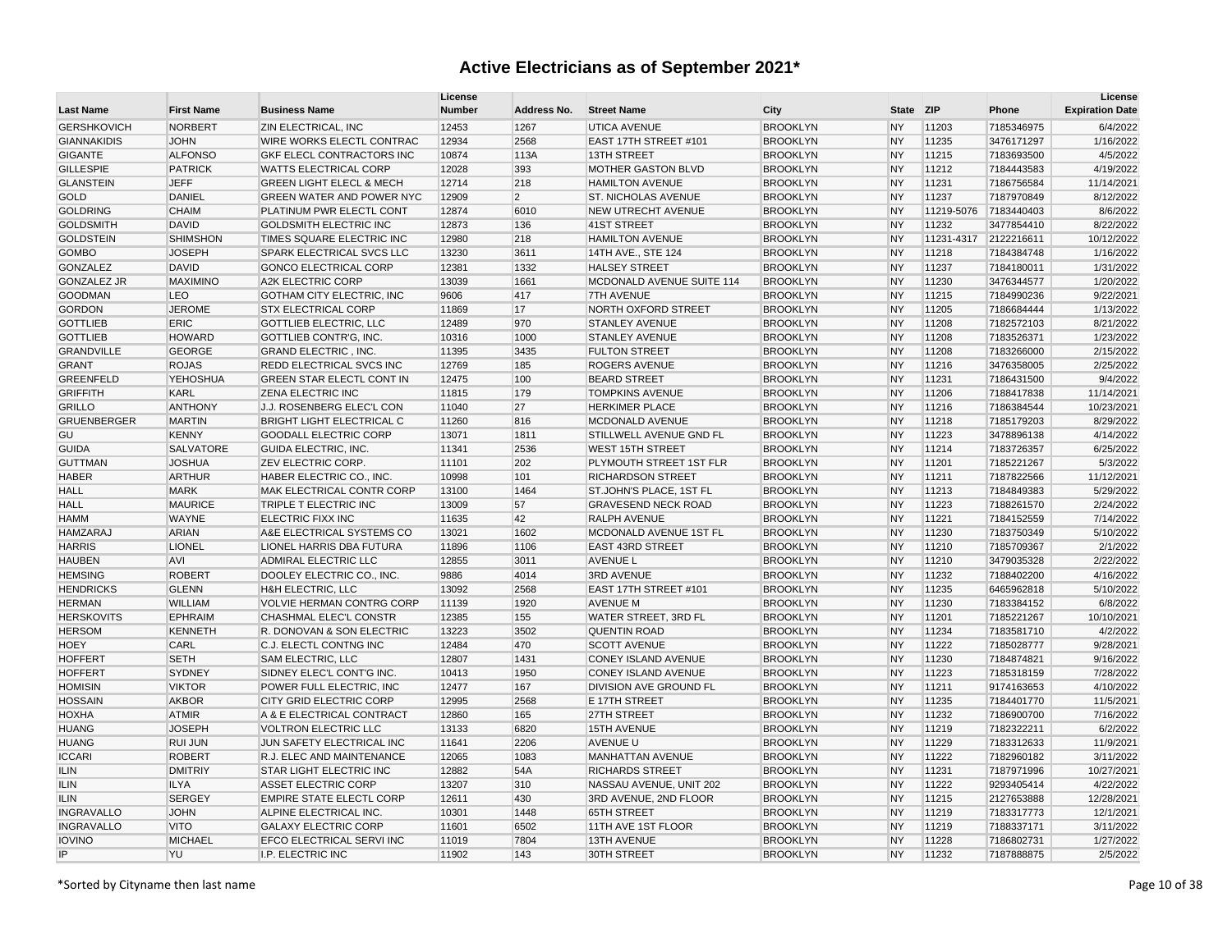| <b>Last Name</b>   | <b>First Name</b> | <b>Business Name</b>                | License<br><b>Number</b> | <b>Address No.</b> | <b>Street Name</b>         | City            | State ZIP |       | Phone                 | License<br><b>Expiration Date</b> |
|--------------------|-------------------|-------------------------------------|--------------------------|--------------------|----------------------------|-----------------|-----------|-------|-----------------------|-----------------------------------|
| <b>GERSHKOVICH</b> | <b>NORBERT</b>    | <b>ZIN ELECTRICAL, INC</b>          | 12453                    | 1267               | UTICA AVENUE               | <b>BROOKLYN</b> | <b>NY</b> | 11203 | 7185346975            | 6/4/2022                          |
| <b>GIANNAKIDIS</b> | <b>JOHN</b>       | <b>WIRE WORKS ELECTL CONTRAC</b>    | 12934                    | 2568               | EAST 17TH STREET #101      | <b>BROOKLYN</b> | <b>NY</b> | 11235 | 3476171297            | 1/16/2022                         |
| <b>GIGANTE</b>     | <b>ALFONSO</b>    | <b>GKF ELECL CONTRACTORS INC</b>    | 10874                    | 113A               | 13TH STREET                | <b>BROOKLYN</b> | <b>NY</b> | 11215 | 7183693500            | 4/5/2022                          |
| <b>GILLESPIE</b>   | <b>PATRICK</b>    | <b>WATTS ELECTRICAL CORP</b>        | 12028                    | 393                | MOTHER GASTON BLVD         | <b>BROOKLYN</b> | <b>NY</b> | 11212 | 7184443583            | 4/19/2022                         |
| <b>GLANSTEIN</b>   | <b>JEFF</b>       | <b>GREEN LIGHT ELECL &amp; MECH</b> | 12714                    | 218                | <b>HAMILTON AVENUE</b>     | <b>BROOKLYN</b> | <b>NY</b> | 11231 | 7186756584            | 11/14/2021                        |
| GOLD               | <b>DANIEL</b>     | GREEN WATER AND POWER NYC           | 12909                    | $\overline{2}$     | ST. NICHOLAS AVENUE        | <b>BROOKLYN</b> | <b>NY</b> | 11237 | 7187970849            | 8/12/2022                         |
| <b>GOLDRING</b>    | <b>CHAIM</b>      | PLATINUM PWR ELECTL CONT            | 12874                    | 6010               | NEW UTRECHT AVENUE         | <b>BROOKLYN</b> | <b>NY</b> |       | 11219-5076 7183440403 | 8/6/2022                          |
| <b>GOLDSMITH</b>   | <b>DAVID</b>      | <b>GOLDSMITH ELECTRIC INC</b>       | 12873                    | 136                | 41ST STREET                | <b>BROOKLYN</b> | <b>NY</b> | 11232 | 3477854410            | 8/22/2022                         |
| <b>GOLDSTEIN</b>   | <b>SHIMSHON</b>   | TIMES SQUARE ELECTRIC INC           | 12980                    | 218                | <b>HAMILTON AVENUE</b>     | <b>BROOKLYN</b> | <b>NY</b> |       | 11231-4317 2122216611 | 10/12/2022                        |
| <b>GOMBO</b>       | <b>JOSEPH</b>     | SPARK ELECTRICAL SVCS LLC           | 13230                    | 3611               | 14TH AVE., STE 124         | <b>BROOKLYN</b> | <b>NY</b> | 11218 | 7184384748            | 1/16/2022                         |
| <b>GONZALEZ</b>    | <b>DAVID</b>      | <b>GONCO ELECTRICAL CORP</b>        | 12381                    | 1332               | <b>HALSEY STREET</b>       | <b>BROOKLYN</b> | <b>NY</b> | 11237 | 7184180011            | 1/31/2022                         |
| <b>GONZALEZ JR</b> | <b>MAXIMINO</b>   | A2K ELECTRIC CORP                   | 13039                    | 1661               | MCDONALD AVENUE SUITE 114  | <b>BROOKLYN</b> | <b>NY</b> | 11230 | 3476344577            | 1/20/2022                         |
| <b>GOODMAN</b>     | <b>LEO</b>        | GOTHAM CITY ELECTRIC, INC           | 9606                     | 417                | <b>7TH AVENUE</b>          | <b>BROOKLYN</b> | <b>NY</b> | 11215 | 7184990236            | 9/22/2021                         |
| <b>GORDON</b>      | <b>JEROME</b>     | <b>STX ELECTRICAL CORP</b>          | 11869                    | 17                 | NORTH OXFORD STREET        | <b>BROOKLYN</b> | <b>NY</b> | 11205 | 7186684444            | 1/13/2022                         |
| <b>GOTTLIEB</b>    | <b>ERIC</b>       | <b>GOTTLIEB ELECTRIC, LLC</b>       | 12489                    | 970                | <b>STANLEY AVENUE</b>      | <b>BROOKLYN</b> | <b>NY</b> | 11208 | 7182572103            | 8/21/2022                         |
| <b>GOTTLIEB</b>    | <b>HOWARD</b>     | <b>GOTTLIEB CONTR'G. INC.</b>       | 10316                    | 1000               | <b>STANLEY AVENUE</b>      | <b>BROOKLYN</b> | <b>NY</b> | 11208 | 7183526371            | 1/23/2022                         |
| <b>GRANDVILLE</b>  | <b>GEORGE</b>     | <b>GRAND ELECTRIC, INC.</b>         | 11395                    | 3435               | <b>FULTON STREET</b>       | <b>BROOKLYN</b> | <b>NY</b> | 11208 | 7183266000            | 2/15/2022                         |
| <b>GRANT</b>       | <b>ROJAS</b>      | REDD ELECTRICAL SVCS INC            | 12769                    | 185                | <b>ROGERS AVENUE</b>       | <b>BROOKLYN</b> | <b>NY</b> | 11216 | 3476358005            | 2/25/2022                         |
| <b>GREENFELD</b>   | <b>YEHOSHUA</b>   | <b>GREEN STAR ELECTL CONT IN</b>    | 12475                    | 100                | <b>BEARD STREET</b>        | <b>BROOKLYN</b> | <b>NY</b> | 11231 | 7186431500            | 9/4/2022                          |
| <b>GRIFFITH</b>    | <b>KARL</b>       | <b>ZENA ELECTRIC INC</b>            | 11815                    | 179                | <b>TOMPKINS AVENUE</b>     | <b>BROOKLYN</b> | <b>NY</b> | 11206 | 7188417838            | 11/14/2021                        |
| <b>GRILLO</b>      | <b>ANTHONY</b>    | J.J. ROSENBERG ELEC'L CON           | 11040                    | 27                 | <b>HERKIMER PLACE</b>      | <b>BROOKLYN</b> | <b>NY</b> | 11216 | 7186384544            | 10/23/2021                        |
| <b>GRUENBERGER</b> | <b>MARTIN</b>     | <b>BRIGHT LIGHT ELECTRICAL C</b>    | 11260                    | 816                | MCDONALD AVENUE            | <b>BROOKLYN</b> | <b>NY</b> | 11218 | 7185179203            | 8/29/2022                         |
| GU                 | <b>KENNY</b>      | <b>GOODALL ELECTRIC CORP</b>        | 13071                    | 1811               | STILLWELL AVENUE GND FL    | <b>BROOKLYN</b> | <b>NY</b> | 11223 | 3478896138            | 4/14/2022                         |
| <b>GUIDA</b>       | <b>SALVATORE</b>  | GUIDA ELECTRIC, INC.                | 11341                    | 2536               | <b>WEST 15TH STREET</b>    | <b>BROOKLYN</b> | <b>NY</b> | 11214 | 7183726357            | 6/25/2022                         |
| <b>GUTTMAN</b>     | <b>JOSHUA</b>     | ZEV ELECTRIC CORP.                  | 11101                    | 202                | PLYMOUTH STREET 1ST FLR    | <b>BROOKLYN</b> | <b>NY</b> | 11201 | 7185221267            | 5/3/2022                          |
| <b>HABER</b>       | <b>ARTHUR</b>     | HABER ELECTRIC CO., INC.            | 10998                    | 101                | <b>RICHARDSON STREET</b>   | <b>BROOKLYN</b> | <b>NY</b> | 11211 | 7187822566            | 11/12/2021                        |
| <b>HALL</b>        | <b>MARK</b>       | MAK ELECTRICAL CONTR CORP           | 13100                    | 1464               | ST.JOHN'S PLACE, 1ST FL    | <b>BROOKLYN</b> | <b>NY</b> | 11213 | 7184849383            | 5/29/2022                         |
| <b>HALL</b>        | <b>MAURICE</b>    | TRIPLE T ELECTRIC INC               | 13009                    | 57                 | <b>GRAVESEND NECK ROAD</b> | <b>BROOKLYN</b> | <b>NY</b> | 11223 | 7188261570            | 2/24/2022                         |
| <b>HAMM</b>        | <b>WAYNE</b>      | ELECTRIC FIXX INC                   | 11635                    | 42                 | RALPH AVENUE               | <b>BROOKLYN</b> | <b>NY</b> | 11221 | 7184152559            | 7/14/2022                         |
| <b>HAMZARAJ</b>    | <b>ARIAN</b>      | A&E ELECTRICAL SYSTEMS CO           | 13021                    | 1602               | MCDONALD AVENUE 1ST FL     | <b>BROOKLYN</b> | <b>NY</b> | 11230 | 7183750349            | 5/10/2022                         |
| <b>HARRIS</b>      | <b>LIONEL</b>     | LIONEL HARRIS DBA FUTURA            | 11896                    | 1106               | <b>EAST 43RD STREET</b>    | <b>BROOKLYN</b> | <b>NY</b> | 11210 | 7185709367            | 2/1/2022                          |
| <b>HAUBEN</b>      | <b>AVI</b>        | ADMIRAL ELECTRIC LLC                | 12855                    | 3011               | <b>AVENUE L</b>            | <b>BROOKLYN</b> | <b>NY</b> | 11210 | 3479035328            | 2/22/2022                         |
| <b>HEMSING</b>     | <b>ROBERT</b>     | DOOLEY ELECTRIC CO., INC.           | 9886                     | 4014               | <b>3RD AVENUE</b>          | <b>BROOKLYN</b> | <b>NY</b> | 11232 | 7188402200            | 4/16/2022                         |
| <b>HENDRICKS</b>   | <b>GLENN</b>      | H&H ELECTRIC, LLC                   | 13092                    | 2568               | EAST 17TH STREET #101      | <b>BROOKLYN</b> | <b>NY</b> | 11235 | 6465962818            | 5/10/2022                         |
| <b>HERMAN</b>      | <b>WILLIAM</b>    | <b>VOLVIE HERMAN CONTRG CORP</b>    | 11139                    | 1920               | <b>AVENUE M</b>            | <b>BROOKLYN</b> | <b>NY</b> | 11230 | 7183384152            | 6/8/2022                          |
| <b>HERSKOVITS</b>  | <b>EPHRAIM</b>    | CHASHMAL ELEC'L CONSTR              | 12385                    | 155                | WATER STREET, 3RD FL       | <b>BROOKLYN</b> | <b>NY</b> | 11201 | 7185221267            | 10/10/2021                        |
| <b>HERSOM</b>      | <b>KENNETH</b>    | R. DONOVAN & SON ELECTRIC           | 13223                    | 3502               | <b>QUENTIN ROAD</b>        | <b>BROOKLYN</b> | <b>NY</b> | 11234 | 7183581710            | 4/2/2022                          |
| <b>HOEY</b>        | CARL              | C.J. ELECTL CONTNG INC              | 12484                    | 470                | <b>SCOTT AVENUE</b>        | <b>BROOKLYN</b> | <b>NY</b> | 11222 | 7185028777            | 9/28/2021                         |
| <b>HOFFERT</b>     | <b>SETH</b>       | SAM ELECTRIC, LLC                   | 12807                    | 1431               | <b>CONEY ISLAND AVENUE</b> | <b>BROOKLYN</b> | <b>NY</b> | 11230 | 7184874821            | 9/16/2022                         |
| <b>HOFFERT</b>     | <b>SYDNEY</b>     | SIDNEY ELEC'L CONT'G INC.           | 10413                    | 1950               | <b>CONEY ISLAND AVENUE</b> | <b>BROOKLYN</b> | <b>NY</b> | 11223 | 7185318159            | 7/28/2022                         |
| <b>HOMISIN</b>     | <b>VIKTOR</b>     | POWER FULL ELECTRIC, INC            | 12477                    | 167                | DIVISION AVE GROUND FL     | <b>BROOKLYN</b> | <b>NY</b> | 11211 | 9174163653            | 4/10/2022                         |
| <b>HOSSAIN</b>     | <b>AKBOR</b>      | CITY GRID ELECTRIC CORP             | 12995                    | 2568               | E 17TH STREET              | <b>BROOKLYN</b> | <b>NY</b> | 11235 | 7184401770            | 11/5/2021                         |
| <b>HOXHA</b>       | <b>ATMIR</b>      | A & E ELECTRICAL CONTRACT           | 12860                    | 165                | 27TH STREET                | <b>BROOKLYN</b> | <b>NY</b> | 11232 | 7186900700            | 7/16/2022                         |
| <b>HUANG</b>       | <b>JOSEPH</b>     | <b>VOLTRON ELECTRIC LLC</b>         | 13133                    | 6820               | <b>15TH AVENUE</b>         | <b>BROOKLYN</b> | <b>NY</b> | 11219 | 7182322211            | 6/2/2022                          |
| <b>HUANG</b>       | <b>RUI JUN</b>    | JUN SAFETY ELECTRICAL INC           | 11641                    | 2206               | <b>AVENUE U</b>            | <b>BROOKLYN</b> | <b>NY</b> | 11229 | 7183312633            | 11/9/2021                         |
| <b>ICCARI</b>      | <b>ROBERT</b>     | R.J. ELEC AND MAINTENANCE           | 12065                    | 1083               | MANHATTAN AVENUE           | <b>BROOKLYN</b> | <b>NY</b> | 11222 | 7182960182            | 3/11/2022                         |
| <b>ILIN</b>        | <b>DMITRIY</b>    | <b>STAR LIGHT ELECTRIC INC</b>      | 12882                    | 54A                | <b>RICHARDS STREET</b>     | <b>BROOKLYN</b> | <b>NY</b> | 11231 | 7187971996            | 10/27/2021                        |
| <b>ILIN</b>        | <b>ILYA</b>       | ASSET ELECTRIC CORP                 | 13207                    | 310                | NASSAU AVENUE, UNIT 202    | <b>BROOKLYN</b> | <b>NY</b> | 11222 | 9293405414            | 4/22/2022                         |
| <b>ILIN</b>        | <b>SERGEY</b>     | <b>EMPIRE STATE ELECTL CORP</b>     | 12611                    | 430                | 3RD AVENUE, 2ND FLOOR      | <b>BROOKLYN</b> | <b>NY</b> | 11215 | 2127653888            | 12/28/2021                        |
| <b>INGRAVALLO</b>  | <b>JOHN</b>       | ALPINE ELECTRICAL INC               | 10301                    | 1448               | <b>65TH STREET</b>         | <b>BROOKLYN</b> | <b>NY</b> | 11219 | 7183317773            | 12/1/2021                         |
| <b>INGRAVALLO</b>  | <b>VITO</b>       | <b>GALAXY ELECTRIC CORP</b>         | 11601                    | 6502               | 11TH AVE 1ST FLOOR         | <b>BROOKLYN</b> | <b>NY</b> | 11219 | 7188337171            | 3/11/2022                         |
| <b>IOVINO</b>      | <b>MICHAEL</b>    | EFCO ELECTRICAL SERVI INC           | 11019                    | 7804               | 13TH AVENUE                | <b>BROOKLYN</b> | <b>NY</b> | 11228 | 7186802731            | 1/27/2022                         |
| IP                 | <b>YU</b>         | I.P. ELECTRIC INC                   | 11902                    | 143                | 30TH STREET                | <b>BROOKLYN</b> | <b>NY</b> | 11232 | 7187888875            | 2/5/2022                          |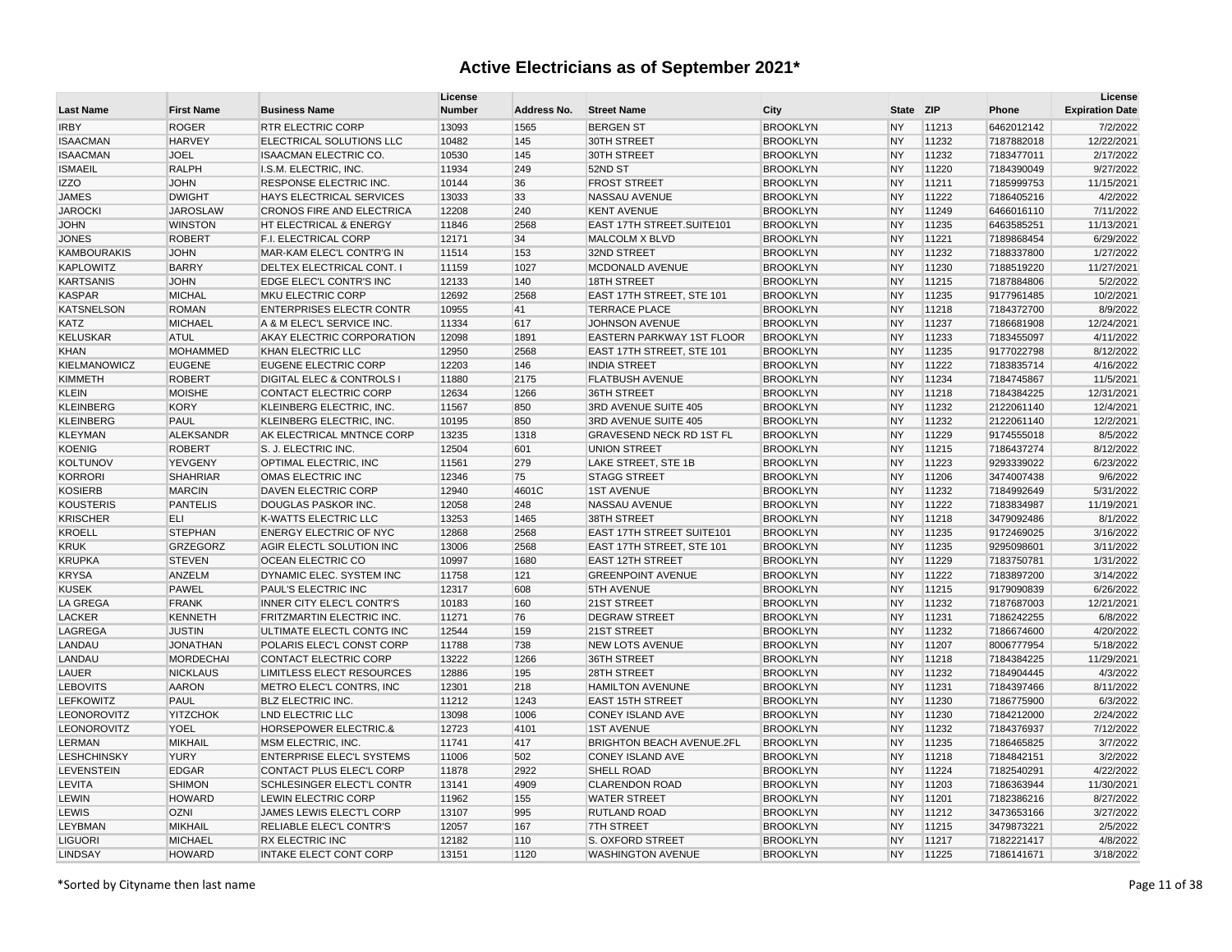| <b>Last Name</b>   | <b>First Name</b> | <b>Business Name</b>                 | License<br><b>Number</b> | Address No. | <b>Street Name</b>               | City            | <b>State</b> | <b>ZIP</b> | Phone      | License<br><b>Expiration Date</b> |
|--------------------|-------------------|--------------------------------------|--------------------------|-------------|----------------------------------|-----------------|--------------|------------|------------|-----------------------------------|
| <b>IRBY</b>        | <b>ROGER</b>      | <b>RTR ELECTRIC CORP</b>             | 13093                    | 1565        | <b>BERGEN ST</b>                 | <b>BROOKLYN</b> | <b>NY</b>    | 11213      | 6462012142 | 7/2/2022                          |
| <b>ISAACMAN</b>    | <b>HARVEY</b>     | <b>ELECTRICAL SOLUTIONS LLC</b>      | 10482                    | 145         | 30TH STREET                      | <b>BROOKLYN</b> | <b>NY</b>    | 11232      | 7187882018 | 12/22/2021                        |
| <b>ISAACMAN</b>    | <b>JOEL</b>       | <b>ISAACMAN ELECTRIC CO.</b>         | 10530                    | 145         | 30TH STREET                      | <b>BROOKLYN</b> | <b>NY</b>    | 11232      | 7183477011 | 2/17/2022                         |
| <b>ISMAEIL</b>     | <b>RALPH</b>      | I.S.M. ELECTRIC, INC.                | 11934                    | 249         | 52ND ST                          | <b>BROOKLYN</b> | <b>NY</b>    | 11220      | 7184390049 | 9/27/2022                         |
| <b>IZZO</b>        | <b>JOHN</b>       | <b>RESPONSE ELECTRIC INC.</b>        | 10144                    | 36          | <b>FROST STREET</b>              | <b>BROOKLYN</b> | <b>NY</b>    | 11211      | 7185999753 | 11/15/2021                        |
| <b>JAMES</b>       | <b>DWIGHT</b>     | HAYS ELECTRICAL SERVICES             | 13033                    | 33          | NASSAU AVENUE                    | <b>BROOKLYN</b> | <b>NY</b>    | 11222      | 7186405216 | 4/2/2022                          |
| <b>JAROCKI</b>     | <b>JAROSLAW</b>   | <b>CRONOS FIRE AND ELECTRICA</b>     | 12208                    | 240         | <b>KENT AVENUE</b>               | <b>BROOKLYN</b> | <b>NY</b>    | 11249      | 6466016110 | 7/11/2022                         |
| <b>JOHN</b>        | <b>WINSTON</b>    | HT ELECTRICAL & ENERGY               | 11846                    | 2568        | EAST 17TH STREET.SUITE101        | <b>BROOKLYN</b> | <b>NY</b>    | 11235      | 6463585251 | 11/13/2021                        |
| <b>JONES</b>       | <b>ROBERT</b>     | <b>F.I. ELECTRICAL CORP</b>          | 12171                    | 34          | MALCOLM X BLVD                   | <b>BROOKLYN</b> | <b>NY</b>    | 11221      | 7189868454 | 6/29/2022                         |
| <b>KAMBOURAKIS</b> | <b>JOHN</b>       | MAR-KAM ELEC'L CONTR'G IN            | 11514                    | 153         | 32ND STREET                      | <b>BROOKLYN</b> | <b>NY</b>    | 11232      | 7188337800 | 1/27/2022                         |
| <b>KAPLOWITZ</b>   | <b>BARRY</b>      | <b>DELTEX ELECTRICAL CONT. I</b>     | 11159                    | 1027        | MCDONALD AVENUE                  | <b>BROOKLYN</b> | <b>NY</b>    | 11230      | 7188519220 | 11/27/2021                        |
| <b>KARTSANIS</b>   | <b>JOHN</b>       | EDGE ELEC'L CONTR'S INC              | 12133                    | 140         | 18TH STREET                      | <b>BROOKLYN</b> | <b>NY</b>    | 11215      | 7187884806 | 5/2/2022                          |
| <b>KASPAR</b>      | <b>MICHAL</b>     | MKU ELECTRIC CORP                    | 12692                    | 2568        | EAST 17TH STREET, STE 101        | <b>BROOKLYN</b> | <b>NY</b>    | 11235      | 9177961485 | 10/2/2021                         |
| <b>KATSNELSON</b>  | <b>ROMAN</b>      | <b>ENTERPRISES ELECTR CONTR</b>      | 10955                    | 41          | <b>TERRACE PLACE</b>             | <b>BROOKLYN</b> | <b>NY</b>    | 11218      | 7184372700 | 8/9/2022                          |
| <b>KATZ</b>        | <b>MICHAEL</b>    | A & M ELEC'L SERVICE INC.            | 11334                    | 617         | <b>JOHNSON AVENUE</b>            | <b>BROOKLYN</b> | <b>NY</b>    | 11237      | 7186681908 | 12/24/2021                        |
| <b>KELUSKAR</b>    | <b>ATUL</b>       | AKAY ELECTRIC CORPORATION            | 12098                    | 1891        | <b>EASTERN PARKWAY 1ST FLOOR</b> | <b>BROOKLYN</b> | <b>NY</b>    | 11233      | 7183455097 | 4/11/2022                         |
| <b>KHAN</b>        | <b>MOHAMMED</b>   | <b>KHAN ELECTRIC LLC</b>             | 12950                    | 2568        | EAST 17TH STREET, STE 101        | <b>BROOKLYN</b> | <b>NY</b>    | 11235      | 9177022798 | 8/12/2022                         |
| KIELMANOWICZ       | <b>EUGENE</b>     | <b>EUGENE ELECTRIC CORP</b>          | 12203                    | 146         | <b>INDIA STREET</b>              | <b>BROOKLYN</b> | <b>NY</b>    | 11222      | 7183835714 | 4/16/2022                         |
| <b>KIMMETH</b>     | <b>ROBERT</b>     | <b>DIGITAL ELEC &amp; CONTROLS I</b> | 11880                    | 2175        | <b>FLATBUSH AVENUE</b>           | <b>BROOKLYN</b> | <b>NY</b>    | 11234      | 7184745867 | 11/5/2021                         |
| <b>KLEIN</b>       | <b>MOISHE</b>     | CONTACT ELECTRIC CORP                | 12634                    | 1266        | 36TH STREET                      | <b>BROOKLYN</b> | <b>NY</b>    | 11218      | 7184384225 | 12/31/2021                        |
| <b>KLEINBERG</b>   | <b>KORY</b>       | KLEINBERG ELECTRIC, INC.             | 11567                    | 850         | 3RD AVENUE SUITE 405             | <b>BROOKLYN</b> | <b>NY</b>    | 11232      | 2122061140 | 12/4/2021                         |
| <b>KLEINBERG</b>   | PAUL              | KLEINBERG ELECTRIC, INC.             | 10195                    | 850         | 3RD AVENUE SUITE 405             | <b>BROOKLYN</b> | <b>NY</b>    | 11232      | 2122061140 | 12/2/2021                         |
| <b>KLEYMAN</b>     | <b>ALEKSANDR</b>  | AK ELECTRICAL MNTNCE CORP            | 13235                    | 1318        | <b>GRAVESEND NECK RD 1ST FL</b>  | <b>BROOKLYN</b> | <b>NY</b>    | 11229      | 9174555018 | 8/5/2022                          |
| <b>KOENIG</b>      | <b>ROBERT</b>     | S. J. ELECTRIC INC.                  | 12504                    | 601         | <b>UNION STREET</b>              | <b>BROOKLYN</b> | <b>NY</b>    | 11215      | 7186437274 | 8/12/2022                         |
| <b>KOLTUNOV</b>    | <b>YEVGENY</b>    | OPTIMAL ELECTRIC, INC                | 11561                    | 279         | LAKE STREET, STE 1B              | <b>BROOKLYN</b> | <b>NY</b>    | 11223      | 9293339022 | 6/23/2022                         |
| <b>KORRORI</b>     | <b>SHAHRIAR</b>   | OMAS ELECTRIC INC                    | 12346                    | 75          | <b>STAGG STREET</b>              | <b>BROOKLYN</b> | <b>NY</b>    | 11206      | 3474007438 | 9/6/2022                          |
| <b>KOSIERB</b>     | <b>MARCIN</b>     | <b>DAVEN ELECTRIC CORP</b>           | 12940                    | 4601C       | <b>1ST AVENUE</b>                | <b>BROOKLYN</b> | <b>NY</b>    | 11232      | 7184992649 | 5/31/2022                         |
| <b>KOUSTERIS</b>   | <b>PANTELIS</b>   | <b>DOUGLAS PASKOR INC.</b>           | 12058                    | 248         | NASSAU AVENUE                    | <b>BROOKLYN</b> | <b>NY</b>    | 11222      | 7183834987 | 11/19/2021                        |
| <b>KRISCHER</b>    | <b>ELI</b>        | <b>K-WATTS ELECTRIC LLC</b>          | 13253                    | 1465        | 38TH STREET                      | <b>BROOKLYN</b> | <b>NY</b>    | 11218      | 3479092486 | 8/1/2022                          |
| <b>KROELL</b>      | <b>STEPHAN</b>    | <b>ENERGY ELECTRIC OF NYC</b>        | 12868                    | 2568        | <b>EAST 17TH STREET SUITE101</b> | <b>BROOKLYN</b> | <b>NY</b>    | 11235      | 9172469025 | 3/16/2022                         |
| <b>KRUK</b>        | <b>GRZEGORZ</b>   | <b>AGIR ELECTL SOLUTION INC</b>      | 13006                    | 2568        | EAST 17TH STREET, STE 101        | <b>BROOKLYN</b> | <b>NY</b>    | 11235      | 9295098601 | 3/11/2022                         |
| <b>KRUPKA</b>      | <b>STEVEN</b>     | <b>OCEAN ELECTRIC CO</b>             | 10997                    | 1680        | <b>EAST 12TH STREET</b>          | <b>BROOKLYN</b> | <b>NY</b>    | 11229      | 7183750781 | 1/31/2022                         |
| <b>KRYSA</b>       | ANZELM            | DYNAMIC ELEC. SYSTEM INC             | 11758                    | 121         | <b>GREENPOINT AVENUE</b>         | <b>BROOKLYN</b> | <b>NY</b>    | 11222      | 7183897200 | 3/14/2022                         |
| <b>KUSEK</b>       | PAWEL             | <b>PAUL'S ELECTRIC INC</b>           | 12317                    | 608         | <b>5TH AVENUE</b>                | <b>BROOKLYN</b> | <b>NY</b>    | 11215      | 9179090839 | 6/26/2022                         |
| <b>LA GREGA</b>    | <b>FRANK</b>      | INNER CITY ELEC'L CONTR'S            | 10183                    | 160         | 21ST STREET                      | <b>BROOKLYN</b> | <b>NY</b>    | 11232      | 7187687003 | 12/21/2021                        |
| <b>LACKER</b>      | <b>KENNETH</b>    | <b>FRITZMARTIN ELECTRIC INC.</b>     | 11271                    | 76          | <b>DEGRAW STREET</b>             | <b>BROOKLYN</b> | <b>NY</b>    | 11231      | 7186242255 | 6/8/2022                          |
| LAGREGA            | <b>JUSTIN</b>     | ULTIMATE ELECTL CONTG INC            | 12544                    | 159         | 21ST STREET                      | <b>BROOKLYN</b> | <b>NY</b>    | 11232      | 7186674600 | 4/20/2022                         |
| LANDAU             | <b>JONATHAN</b>   | POLARIS ELEC'L CONST CORP            | 11788                    | 738         | <b>NEW LOTS AVENUE</b>           | <b>BROOKLYN</b> | <b>NY</b>    | 11207      | 8006777954 | 5/18/2022                         |
| LANDAU             | <b>MORDECHAI</b>  | CONTACT ELECTRIC CORP                | 13222                    | 1266        | 36TH STREET                      | <b>BROOKLYN</b> | <b>NY</b>    | 11218      | 7184384225 | 11/29/2021                        |
| LAUER              | <b>NICKLAUS</b>   | <b>LIMITLESS ELECT RESOURCES</b>     | 12886                    | 195         | 28TH STREET                      | <b>BROOKLYN</b> | <b>NY</b>    | 11232      | 7184904445 | 4/3/2022                          |
| <b>LEBOVITS</b>    | <b>AARON</b>      | METRO ELEC'L CONTRS, INC             | 12301                    | 218         | <b>HAMILTON AVENUNE</b>          | <b>BROOKLYN</b> | <b>NY</b>    | 11231      | 7184397466 | 8/11/2022                         |
| <b>LEFKOWITZ</b>   | <b>PAUL</b>       | <b>BLZ ELECTRIC INC.</b>             | 11212                    | 1243        | <b>EAST 15TH STREET</b>          | <b>BROOKLYN</b> | <b>NY</b>    | 11230      | 7186775900 | 6/3/2022                          |
| LEONOROVITZ        | <b>YITZCHOK</b>   | <b>LND ELECTRIC LLC</b>              | 13098                    | 1006        | <b>CONEY ISLAND AVE</b>          | <b>BROOKLYN</b> | <b>NY</b>    | 11230      | 7184212000 | 2/24/2022                         |
| <b>LEONOROVITZ</b> | <b>YOEL</b>       | <b>HORSEPOWER ELECTRIC.&amp;</b>     | 12723                    | 4101        | <b>1ST AVENUE</b>                | <b>BROOKLYN</b> | <b>NY</b>    | 11232      | 7184376937 | 7/12/2022                         |
| LERMAN             | MIKHAIL           | MSM ELECTRIC, INC.                   | 11741                    | 417         | <b>BRIGHTON BEACH AVENUE.2FL</b> | <b>BROOKLYN</b> | <b>NY</b>    | 11235      | 7186465825 | 3/7/2022                          |
| <b>LESHCHINSKY</b> | <b>YURY</b>       | <b>ENTERPRISE ELEC'L SYSTEMS</b>     | 11006                    | 502         | <b>CONEY ISLAND AVE</b>          | <b>BROOKLYN</b> | <b>NY</b>    | 11218      | 7184842151 | 3/2/2022                          |
| <b>LEVENSTEIN</b>  | <b>EDGAR</b>      | CONTACT PLUS ELEC'L CORP             | 11878                    | 2922        | <b>SHELL ROAD</b>                | <b>BROOKLYN</b> | <b>NY</b>    | 11224      | 7182540291 | 4/22/2022                         |
| LEVITA             | <b>SHIMON</b>     | SCHLESINGER ELECT'L CONTR            | 13141                    | 4909        | <b>CLARENDON ROAD</b>            | <b>BROOKLYN</b> | <b>NY</b>    | 11203      | 7186363944 | 11/30/2021                        |
| <b>LEWIN</b>       | <b>HOWARD</b>     | LEWIN ELECTRIC CORP                  | 11962                    | 155         | <b>WATER STREET</b>              | <b>BROOKLYN</b> | <b>NY</b>    | 11201      | 7182386216 | 8/27/2022                         |
| <b>LEWIS</b>       | <b>OZNI</b>       | JAMES LEWIS ELECT'L CORP             | 13107                    | 995         | <b>RUTLAND ROAD</b>              | <b>BROOKLYN</b> | <b>NY</b>    | 11212      | 3473653166 | 3/27/2022                         |
| LEYBMAN            | <b>MIKHAIL</b>    | <b>RELIABLE ELEC'L CONTR'S</b>       | 12057                    | 167         | <b>7TH STREET</b>                | <b>BROOKLYN</b> | <b>NY</b>    | 11215      | 3479873221 | 2/5/2022                          |
| <b>LIGUORI</b>     | <b>MICHAEL</b>    | <b>RX ELECTRIC INC</b>               | 12182                    | 110         | S. OXFORD STREET                 | <b>BROOKLYN</b> | <b>NY</b>    | 11217      | 7182221417 | 4/8/2022                          |
| <b>LINDSAY</b>     | <b>HOWARD</b>     | INTAKE ELECT CONT CORP               | 13151                    | 1120        | <b>WASHINGTON AVENUE</b>         | <b>BROOKLYN</b> | <b>NY</b>    | 11225      | 7186141671 | 3/18/2022                         |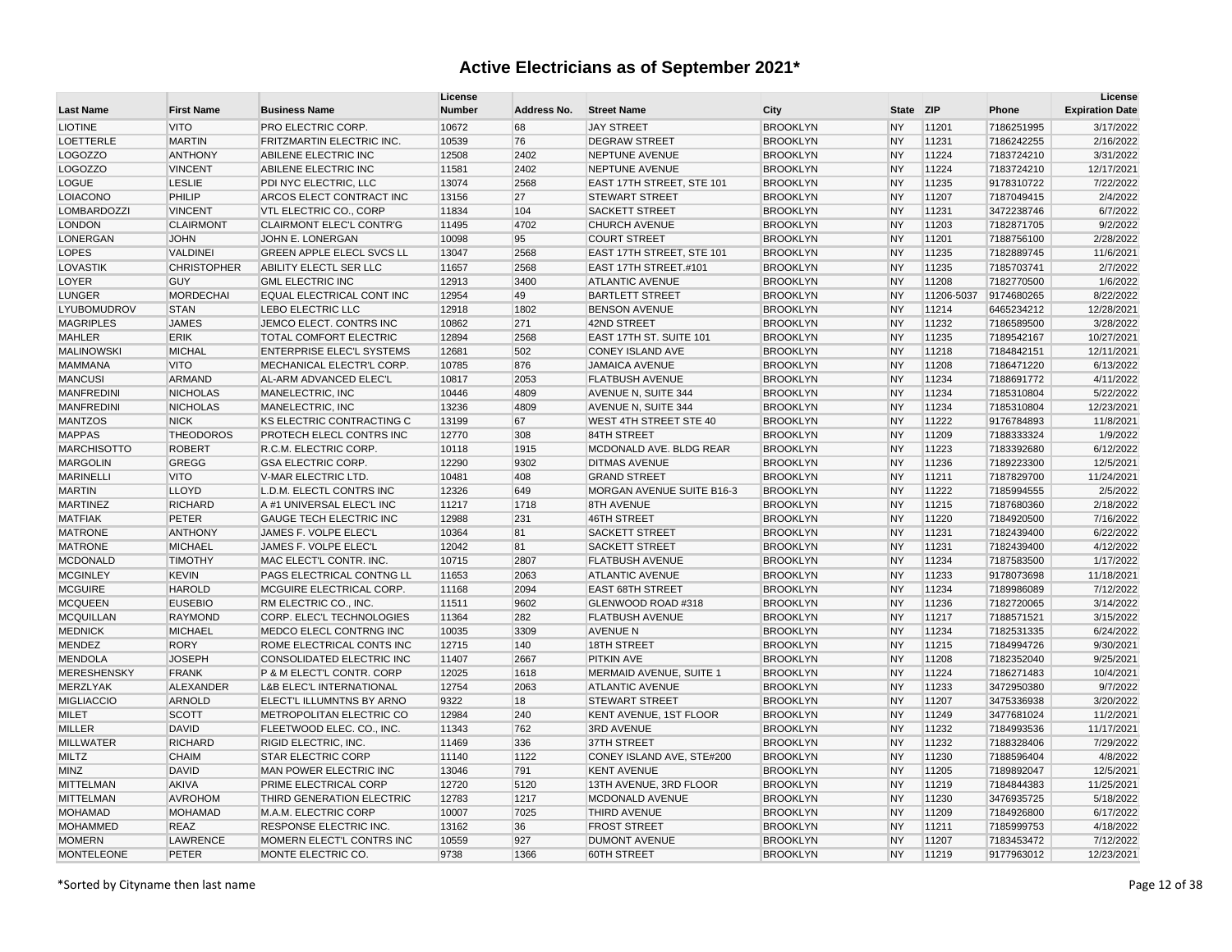| <b>Last Name</b>   | <b>First Name</b>  | <b>Business Name</b>             | License<br><b>Number</b> | Address No. | <b>Street Name</b>            | City            | <b>State</b> | <b>ZIP</b> | Phone      | License<br><b>Expiration Date</b> |
|--------------------|--------------------|----------------------------------|--------------------------|-------------|-------------------------------|-----------------|--------------|------------|------------|-----------------------------------|
| <b>LIOTINE</b>     | <b>VITO</b>        | PRO ELECTRIC CORP.               | 10672                    | 68          | <b>JAY STREET</b>             | <b>BROOKLYN</b> | <b>NY</b>    | 11201      | 7186251995 | 3/17/2022                         |
| LOETTERLE          | <b>MARTIN</b>      | FRITZMARTIN ELECTRIC INC.        | 10539                    | 76          | <b>DEGRAW STREET</b>          | <b>BROOKLYN</b> | <b>NY</b>    | 11231      | 7186242255 | 2/16/2022                         |
| LOGOZZO            | <b>ANTHONY</b>     | ABILENE ELECTRIC INC             | 12508                    | 2402        | <b>NEPTUNE AVENUE</b>         | <b>BROOKLYN</b> | <b>NY</b>    | 11224      | 7183724210 | 3/31/2022                         |
| LOGOZZO            | <b>VINCENT</b>     | ABILENE ELECTRIC INC             | 11581                    | 2402        | NEPTUNE AVENUE                | <b>BROOKLYN</b> | <b>NY</b>    | 11224      | 7183724210 | 12/17/2021                        |
| <b>LOGUE</b>       | <b>LESLIE</b>      | PDI NYC ELECTRIC, LLC            | 13074                    | 2568        | EAST 17TH STREET, STE 101     | <b>BROOKLYN</b> | <b>NY</b>    | 11235      | 9178310722 | 7/22/2022                         |
| LOIACONO           | PHILIP             | ARCOS ELECT CONTRACT INC         | 13156                    | 27          | <b>STEWART STREET</b>         | <b>BROOKLYN</b> | <b>NY</b>    | 11207      | 7187049415 | 2/4/2022                          |
| <b>LOMBARDOZZI</b> | <b>VINCENT</b>     | VTL ELECTRIC CO., CORP           | 11834                    | 104         | <b>SACKETT STREET</b>         | <b>BROOKLYN</b> | <b>NY</b>    | 11231      | 3472238746 | 6/7/2022                          |
| <b>LONDON</b>      | <b>CLAIRMONT</b>   | CLAIRMONT ELEC'L CONTR'G         | 11495                    | 4702        | <b>CHURCH AVENUE</b>          | <b>BROOKLYN</b> | <b>NY</b>    | 11203      | 7182871705 | 9/2/2022                          |
| <b>LONERGAN</b>    | <b>JOHN</b>        | JOHN E. LONERGAN                 | 10098                    | 95          | <b>COURT STREET</b>           | <b>BROOKLYN</b> | <b>NY</b>    | 11201      | 7188756100 | 2/28/2022                         |
| <b>LOPES</b>       | VALDINEI           | GREEN APPLE ELECL SVCS LL        | 13047                    | 2568        | EAST 17TH STREET, STE 101     | <b>BROOKLYN</b> | <b>NY</b>    | 11235      | 7182889745 | 11/6/2021                         |
| <b>LOVASTIK</b>    | <b>CHRISTOPHER</b> | ABILITY ELECTL SER LLC           | 11657                    | 2568        | EAST 17TH STREET.#101         | <b>BROOKLYN</b> | <b>NY</b>    | 11235      | 7185703741 | 2/7/2022                          |
| LOYER              | <b>GUY</b>         | <b>GML ELECTRIC INC</b>          | 12913                    | 3400        | <b>ATLANTIC AVENUE</b>        | <b>BROOKLYN</b> | <b>NY</b>    | 11208      | 7182770500 | 1/6/2022                          |
| <b>LUNGER</b>      | <b>MORDECHAI</b>   | EQUAL ELECTRICAL CONT INC        | 12954                    | 49          | <b>BARTLETT STREET</b>        | <b>BROOKLYN</b> | <b>NY</b>    | 11206-5037 | 9174680265 | 8/22/2022                         |
| <b>LYUBOMUDROV</b> | <b>STAN</b>        | <b>LEBO ELECTRIC LLC</b>         | 12918                    | 1802        | <b>BENSON AVENUE</b>          | <b>BROOKLYN</b> | <b>NY</b>    | 11214      | 6465234212 | 12/28/2021                        |
| <b>MAGRIPLES</b>   | <b>JAMES</b>       | JEMCO ELECT. CONTRS INC          | 10862                    | 271         | 42ND STREET                   | <b>BROOKLYN</b> | <b>NY</b>    | 11232      | 7186589500 | 3/28/2022                         |
| <b>MAHLER</b>      | <b>ERIK</b>        | <b>TOTAL COMFORT ELECTRIC</b>    | 12894                    | 2568        | EAST 17TH ST. SUITE 101       | <b>BROOKLYN</b> | <b>NY</b>    | 11235      | 7189542167 | 10/27/2021                        |
| <b>MALINOWSKI</b>  | <b>MICHAL</b>      | <b>ENTERPRISE ELEC'L SYSTEMS</b> | 12681                    | 502         | <b>CONEY ISLAND AVE</b>       | <b>BROOKLYN</b> | <b>NY</b>    | 11218      | 7184842151 | 12/11/2021                        |
| <b>MAMMANA</b>     | <b>VITO</b>        | MECHANICAL ELECTR'L CORP.        | 10785                    | 876         | <b>JAMAICA AVENUE</b>         | <b>BROOKLYN</b> | <b>NY</b>    | 11208      | 7186471220 | 6/13/2022                         |
| <b>MANCUSI</b>     | <b>ARMAND</b>      | AL-ARM ADVANCED ELEC'L           | 10817                    | 2053        | <b>FLATBUSH AVENUE</b>        | <b>BROOKLYN</b> | <b>NY</b>    | 11234      | 7188691772 | 4/11/2022                         |
| <b>MANFREDINI</b>  | <b>NICHOLAS</b>    | MANELECTRIC, INC                 | 10446                    | 4809        | AVENUE N, SUITE 344           | <b>BROOKLYN</b> | <b>NY</b>    | 11234      | 7185310804 | 5/22/2022                         |
| <b>MANFREDINI</b>  | <b>NICHOLAS</b>    | MANELECTRIC, INC                 | 13236                    | 4809        | AVENUE N, SUITE 344           | <b>BROOKLYN</b> | <b>NY</b>    | 11234      | 7185310804 | 12/23/2021                        |
| <b>MANTZOS</b>     | <b>NICK</b>        | <b>KS ELECTRIC CONTRACTING C</b> | 13199                    | 67          | WEST 4TH STREET STE 40        | <b>BROOKLYN</b> | <b>NY</b>    | 11222      | 9176784893 | 11/8/2021                         |
| <b>MAPPAS</b>      | <b>THEODOROS</b>   | PROTECH ELECL CONTRS INC         | 12770                    | 308         | 84TH STREET                   | <b>BROOKLYN</b> | <b>NY</b>    | 11209      | 7188333324 | 1/9/2022                          |
| <b>MARCHISOTTO</b> | <b>ROBERT</b>      | R.C.M. ELECTRIC CORP.            | 10118                    | 1915        | MCDONALD AVE. BLDG REAR       | <b>BROOKLYN</b> | <b>NY</b>    | 11223      | 7183392680 | 6/12/2022                         |
| <b>MARGOLIN</b>    | <b>GREGG</b>       | <b>GSA ELECTRIC CORP.</b>        | 12290                    | 9302        | <b>DITMAS AVENUE</b>          | <b>BROOKLYN</b> | <b>NY</b>    | 11236      | 7189223300 | 12/5/2021                         |
| <b>MARINELLI</b>   | <b>VITO</b>        | V-MAR ELECTRIC LTD.              | 10481                    | 408         | <b>GRAND STREET</b>           | <b>BROOKLYN</b> | <b>NY</b>    | 11211      | 7187829700 | 11/24/2021                        |
| <b>MARTIN</b>      | <b>LLOYD</b>       | L.D.M. ELECTL CONTRS INC         | 12326                    | 649         | MORGAN AVENUE SUITE B16-3     | <b>BROOKLYN</b> | <b>NY</b>    | 11222      | 7185994555 | 2/5/2022                          |
| <b>MARTINEZ</b>    | <b>RICHARD</b>     | A #1 UNIVERSAL ELEC'L INC        | 11217                    | 1718        | 8TH AVENUE                    | <b>BROOKLYN</b> | <b>NY</b>    | 11215      | 7187680360 | 2/18/2022                         |
| <b>MATFIAK</b>     | <b>PETER</b>       | <b>GAUGE TECH ELECTRIC INC</b>   | 12988                    | 231         | 46TH STREET                   | <b>BROOKLYN</b> | <b>NY</b>    | 11220      | 7184920500 | 7/16/2022                         |
| <b>MATRONE</b>     | <b>ANTHONY</b>     | JAMES F. VOLPE ELEC'L            | 10364                    | 81          | <b>SACKETT STREET</b>         | <b>BROOKLYN</b> | <b>NY</b>    | 11231      | 7182439400 | 6/22/2022                         |
| <b>MATRONE</b>     | <b>MICHAEL</b>     | JAMES F. VOLPE ELEC'L            | 12042                    | 81          | <b>SACKETT STREET</b>         | <b>BROOKLYN</b> | <b>NY</b>    | 11231      | 7182439400 | 4/12/2022                         |
| <b>MCDONALD</b>    | <b>TIMOTHY</b>     | MAC ELECT'L CONTR. INC.          | 10715                    | 2807        | <b>FLATBUSH AVENUE</b>        | <b>BROOKLYN</b> | <b>NY</b>    | 11234      | 7187583500 | 1/17/2022                         |
| <b>MCGINLEY</b>    | <b>KEVIN</b>       | PAGS ELECTRICAL CONTNG LL        | 11653                    | 2063        | <b>ATLANTIC AVENUE</b>        | <b>BROOKLYN</b> | <b>NY</b>    | 11233      | 9178073698 | 11/18/2021                        |
| <b>MCGUIRE</b>     | <b>HAROLD</b>      | MCGUIRE ELECTRICAL CORP.         | 11168                    | 2094        | <b>EAST 68TH STREET</b>       | <b>BROOKLYN</b> | <b>NY</b>    | 11234      | 7189986089 | 7/12/2022                         |
| <b>MCQUEEN</b>     | <b>EUSEBIO</b>     | RM ELECTRIC CO., INC.            | 11511                    | 9602        | GLENWOOD ROAD #318            | <b>BROOKLYN</b> | <b>NY</b>    | 11236      | 7182720065 | 3/14/2022                         |
| <b>MCQUILLAN</b>   | <b>RAYMOND</b>     | CORP. ELEC'L TECHNOLOGIES        | 11364                    | 282         | <b>FLATBUSH AVENUE</b>        | <b>BROOKLYN</b> | <b>NY</b>    | 11217      | 7188571521 | 3/15/2022                         |
| <b>MEDNICK</b>     | <b>MICHAEL</b>     | MEDCO ELECL CONTRNG INC          | 10035                    | 3309        | <b>AVENUE N</b>               | <b>BROOKLYN</b> | <b>NY</b>    | 11234      | 7182531335 | 6/24/2022                         |
| MENDEZ             | <b>RORY</b>        | ROME ELECTRICAL CONTS INC        | 12715                    | 140         | 18TH STREET                   | <b>BROOKLYN</b> | <b>NY</b>    | 11215      | 7184994726 | 9/30/2021                         |
| <b>MENDOLA</b>     | <b>JOSEPH</b>      | <b>CONSOLIDATED ELECTRIC INC</b> | 11407                    | 2667        | <b>PITKIN AVE</b>             | <b>BROOKLYN</b> | <b>NY</b>    | 11208      | 7182352040 | 9/25/2021                         |
| <b>MERESHENSKY</b> | <b>FRANK</b>       | P & M ELECT'L CONTR. CORP        | 12025                    | 1618        | MERMAID AVENUE, SUITE 1       | <b>BROOKLYN</b> | <b>NY</b>    | 11224      | 7186271483 | 10/4/2021                         |
| MERZLYAK           | ALEXANDER          | L&B ELEC'L INTERNATIONAL         | 12754                    | 2063        | <b>ATLANTIC AVENUE</b>        | <b>BROOKLYN</b> | <b>NY</b>    | 11233      | 3472950380 | 9/7/2022                          |
| <b>MIGLIACCIO</b>  | <b>ARNOLD</b>      | ELECT'L ILLUMNTNS BY ARNO        | 9322                     | 18          | <b>STEWART STREET</b>         | <b>BROOKLYN</b> | <b>NY</b>    | 11207      | 3475336938 | 3/20/2022                         |
| <b>MILET</b>       | <b>SCOTT</b>       | METROPOLITAN ELECTRIC CO         | 12984                    | 240         | <b>KENT AVENUE, 1ST FLOOR</b> | <b>BROOKLYN</b> | <b>NY</b>    | 11249      | 3477681024 | 11/2/2021                         |
| <b>MILLER</b>      | <b>DAVID</b>       | FLEETWOOD ELEC. CO., INC.        | 11343                    | 762         | <b>3RD AVENUE</b>             | <b>BROOKLYN</b> | <b>NY</b>    | 11232      | 7184993536 | 11/17/2021                        |
| <b>MILLWATER</b>   | <b>RICHARD</b>     | RIGID ELECTRIC, INC.             | 11469                    | 336         | 37TH STREET                   | <b>BROOKLYN</b> | <b>NY</b>    | 11232      | 7188328406 | 7/29/2022                         |
| <b>MILTZ</b>       | <b>CHAIM</b>       | <b>STAR ELECTRIC CORP</b>        | 11140                    | 1122        | CONEY ISLAND AVE, STE#200     | <b>BROOKLYN</b> | <b>NY</b>    | 11230      | 7188596404 | 4/8/2022                          |
| <b>MINZ</b>        | <b>DAVID</b>       | MAN POWER ELECTRIC INC           | 13046                    | 791         | <b>KENT AVENUE</b>            | <b>BROOKLYN</b> | <b>NY</b>    | 11205      | 7189892047 | 12/5/2021                         |
| <b>MITTELMAN</b>   | <b>AKIVA</b>       | PRIME ELECTRICAL CORP            | 12720                    | 5120        | 13TH AVENUE, 3RD FLOOR        | <b>BROOKLYN</b> | <b>NY</b>    | 11219      | 7184844383 | 11/25/2021                        |
| <b>MITTELMAN</b>   | <b>AVROHOM</b>     | <b>THIRD GENERATION ELECTRIC</b> | 12783                    | 1217        | MCDONALD AVENUE               | <b>BROOKLYN</b> | <b>NY</b>    | 11230      | 3476935725 | 5/18/2022                         |
| <b>MOHAMAD</b>     | <b>MOHAMAD</b>     | M.A.M. ELECTRIC CORP             | 10007                    | 7025        | <b>THIRD AVENUE</b>           | <b>BROOKLYN</b> | <b>NY</b>    | 11209      | 7184926800 | 6/17/2022                         |
| <b>MOHAMMED</b>    | <b>REAZ</b>        | <b>RESPONSE ELECTRIC INC.</b>    | 13162                    | 36          | <b>FROST STREET</b>           | <b>BROOKLYN</b> | <b>NY</b>    | 11211      | 7185999753 | 4/18/2022                         |
| <b>MOMERN</b>      | LAWRENCE           | MOMERN ELECT'L CONTRS INC        | 10559                    | 927         | <b>DUMONT AVENUE</b>          | <b>BROOKLYN</b> | <b>NY</b>    | 11207      | 7183453472 | 7/12/2022                         |
| <b>MONTELEONE</b>  | PETER              | <b>MONTE ELECTRIC CO.</b>        | 9738                     | 1366        | 60TH STREET                   | <b>BROOKLYN</b> | <b>NY</b>    | 11219      | 9177963012 | 12/23/2021                        |
|                    |                    |                                  |                          |             |                               |                 |              |            |            |                                   |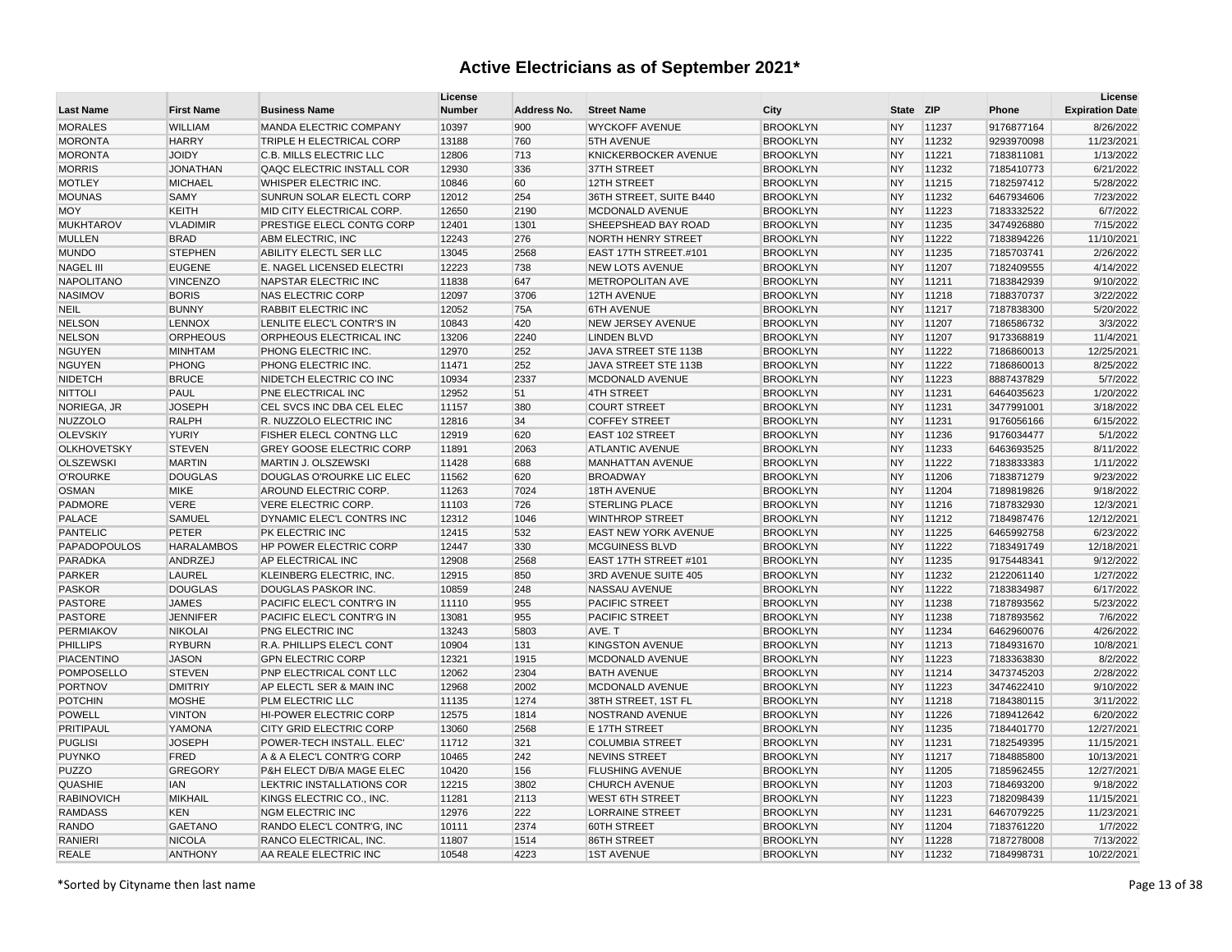| <b>Last Name</b>   | <b>First Name</b> | <b>Business Name</b>            | License<br><b>Number</b> | Address No. | <b>Street Name</b>          | City            | <b>State</b> | <b>ZIP</b> | Phone      | License<br><b>Expiration Date</b> |
|--------------------|-------------------|---------------------------------|--------------------------|-------------|-----------------------------|-----------------|--------------|------------|------------|-----------------------------------|
| <b>MORALES</b>     | <b>WILLIAM</b>    | MANDA ELECTRIC COMPANY          | 10397                    | 900         | <b>WYCKOFF AVENUE</b>       | <b>BROOKLYN</b> | <b>NY</b>    | 11237      | 9176877164 | 8/26/2022                         |
| <b>MORONTA</b>     | <b>HARRY</b>      | TRIPLE H ELECTRICAL CORP        | 13188                    | 760         | <b>5TH AVENUE</b>           | <b>BROOKLYN</b> | <b>NY</b>    | 11232      | 9293970098 | 11/23/2021                        |
| <b>MORONTA</b>     | <b>JOIDY</b>      | C.B. MILLS ELECTRIC LLC         | 12806                    | 713         | KNICKERBOCKER AVENUE        | <b>BROOKLYN</b> | <b>NY</b>    | 11221      | 7183811081 | 1/13/2022                         |
| <b>MORRIS</b>      | <b>JONATHAN</b>   | QAQC ELECTRIC INSTALL COR       | 12930                    | 336         | 37TH STREET                 | <b>BROOKLYN</b> | <b>NY</b>    | 11232      | 7185410773 | 6/21/2022                         |
| <b>MOTLEY</b>      | <b>MICHAEL</b>    | WHISPER ELECTRIC INC.           | 10846                    | 60          | 12TH STREET                 | <b>BROOKLYN</b> | <b>NY</b>    | 11215      | 7182597412 | 5/28/2022                         |
| <b>MOUNAS</b>      | <b>SAMY</b>       | SUNRUN SOLAR ELECTL CORP        | 12012                    | 254         | 36TH STREET, SUITE B440     | <b>BROOKLYN</b> | <b>NY</b>    | 11232      | 6467934606 | 7/23/2022                         |
| <b>MOY</b>         | <b>KEITH</b>      | MID CITY ELECTRICAL CORP.       | 12650                    | 2190        | MCDONALD AVENUE             | <b>BROOKLYN</b> | <b>NY</b>    | 11223      | 7183332522 | 6/7/2022                          |
| <b>MUKHTAROV</b>   | <b>VLADIMIR</b>   | PRESTIGE ELECL CONTG CORP       | 12401                    | 1301        | SHEEPSHEAD BAY ROAD         | <b>BROOKLYN</b> | <b>NY</b>    | 11235      | 3474926880 | 7/15/2022                         |
| <b>MULLEN</b>      | <b>BRAD</b>       | ABM ELECTRIC, INC               | 12243                    | 276         | NORTH HENRY STREET          | <b>BROOKLYN</b> | <b>NY</b>    | 11222      | 7183894226 | 11/10/2021                        |
| <b>MUNDO</b>       | <b>STEPHEN</b>    | ABILITY ELECTL SER LLC          | 13045                    | 2568        | EAST 17TH STREET.#101       | <b>BROOKLYN</b> | <b>NY</b>    | 11235      | 7185703741 | 2/26/2022                         |
| <b>NAGEL III</b>   | <b>EUGENE</b>     | E. NAGEL LICENSED ELECTRI       | 12223                    | 738         | <b>NEW LOTS AVENUE</b>      | <b>BROOKLYN</b> | <b>NY</b>    | 11207      | 7182409555 | 4/14/2022                         |
| <b>NAPOLITANO</b>  | <b>VINCENZO</b>   | NAPSTAR ELECTRIC INC            | 11838                    | 647         | <b>METROPOLITAN AVE</b>     | <b>BROOKLYN</b> | <b>NY</b>    | 11211      | 7183842939 | 9/10/2022                         |
| <b>NASIMOV</b>     | <b>BORIS</b>      | NAS ELECTRIC CORP               | 12097                    | 3706        | 12TH AVENUE                 | <b>BROOKLYN</b> | <b>NY</b>    | 11218      | 7188370737 | 3/22/2022                         |
| <b>NEIL</b>        | <b>BUNNY</b>      | RABBIT ELECTRIC INC             | 12052                    | 75A         | <b>6TH AVENUE</b>           | <b>BROOKLYN</b> | <b>NY</b>    | 11217      | 7187838300 | 5/20/2022                         |
| <b>NELSON</b>      | <b>LENNOX</b>     | LENLITE ELEC'L CONTR'S IN       | 10843                    | 420         | NEW JERSEY AVENUE           | <b>BROOKLYN</b> | <b>NY</b>    | 11207      | 7186586732 | 3/3/2022                          |
| <b>NELSON</b>      | <b>ORPHEOUS</b>   | ORPHEOUS ELECTRICAL INC         | 13206                    | 2240        | <b>LINDEN BLVD</b>          | <b>BROOKLYN</b> | <b>NY</b>    | 11207      | 9173368819 | 11/4/2021                         |
| <b>NGUYEN</b>      | <b>MINHTAM</b>    | PHONG ELECTRIC INC.             | 12970                    | 252         | JAVA STREET STE 113B        | <b>BROOKLYN</b> | <b>NY</b>    | 11222      | 7186860013 | 12/25/2021                        |
| <b>NGUYEN</b>      | PHONG             | PHONG ELECTRIC INC.             | 11471                    | 252         | JAVA STREET STE 113B        | <b>BROOKLYN</b> | <b>NY</b>    | 11222      | 7186860013 | 8/25/2022                         |
| NIDETCH            | <b>BRUCE</b>      | NIDETCH ELECTRIC CO INC         | 10934                    | 2337        | MCDONALD AVENUE             | <b>BROOKLYN</b> | <b>NY</b>    | 11223      | 8887437829 | 5/7/2022                          |
| <b>NITTOLI</b>     | <b>PAUL</b>       | PNE ELECTRICAL INC              | 12952                    | 51          | <b>4TH STREET</b>           | <b>BROOKLYN</b> | <b>NY</b>    | 11231      | 6464035623 | 1/20/2022                         |
| NORIEGA, JR        | <b>JOSEPH</b>     | CEL SVCS INC DBA CEL ELEC       | 11157                    | 380         | <b>COURT STREET</b>         | <b>BROOKLYN</b> | <b>NY</b>    | 11231      | 3477991001 | 3/18/2022                         |
| <b>NUZZOLO</b>     | <b>RALPH</b>      | R. NUZZOLO ELECTRIC INC         | 12816                    | 34          | <b>COFFEY STREET</b>        | <b>BROOKLYN</b> | <b>NY</b>    | 11231      | 9176056166 | 6/15/2022                         |
| <b>OLEVSKIY</b>    | <b>YURIY</b>      | FISHER ELECL CONTNG LLC         | 12919                    | 620         | <b>EAST 102 STREET</b>      | <b>BROOKLYN</b> | <b>NY</b>    | 11236      | 9176034477 | 5/1/2022                          |
| <b>OLKHOVETSKY</b> | <b>STEVEN</b>     | <b>GREY GOOSE ELECTRIC CORP</b> | 11891                    | 2063        | <b>ATLANTIC AVENUE</b>      | <b>BROOKLYN</b> | <b>NY</b>    | 11233      | 6463693525 | 8/11/2022                         |
| <b>OLSZEWSKI</b>   | <b>MARTIN</b>     | MARTIN J. OLSZEWSKI             | 11428                    | 688         | <b>MANHATTAN AVENUE</b>     | <b>BROOKLYN</b> | <b>NY</b>    | 11222      | 7183833383 | 1/11/2022                         |
| <b>O'ROURKE</b>    | <b>DOUGLAS</b>    | DOUGLAS O'ROURKE LIC ELEC       | 11562                    | 620         | <b>BROADWAY</b>             | <b>BROOKLYN</b> | <b>NY</b>    | 11206      | 7183871279 | 9/23/2022                         |
| <b>OSMAN</b>       | <b>MIKE</b>       | AROUND ELECTRIC CORP.           | 11263                    | 7024        | 18TH AVENUE                 | <b>BROOKLYN</b> | <b>NY</b>    | 11204      | 7189819826 | 9/18/2022                         |
| <b>PADMORE</b>     | <b>VERE</b>       | <b>VERE ELECTRIC CORP.</b>      | 11103                    | 726         | <b>STERLING PLACE</b>       | <b>BROOKLYN</b> | <b>NY</b>    | 11216      | 7187832930 | 12/3/2021                         |
| <b>PALACE</b>      | <b>SAMUEL</b>     | DYNAMIC ELEC'L CONTRS INC       | 12312                    | 1046        | <b>WINTHROP STREET</b>      | <b>BROOKLYN</b> | <b>NY</b>    | 11212      | 7184987476 | 12/12/2021                        |
| <b>PANTELIC</b>    | <b>PETER</b>      | PK ELECTRIC INC                 | 12415                    | 532         | <b>EAST NEW YORK AVENUE</b> | <b>BROOKLYN</b> | <b>NY</b>    | 11225      | 6465992758 | 6/23/2022                         |
| PAPADOPOULOS       | <b>HARALAMBOS</b> | HP POWER ELECTRIC CORP          | 12447                    | 330         | MCGUINESS BLVD              | <b>BROOKLYN</b> | <b>NY</b>    | 11222      | 7183491749 | 12/18/2021                        |
| <b>PARADKA</b>     | ANDRZEJ           | AP ELECTRICAL INC               | 12908                    | 2568        | EAST 17TH STREET #101       | <b>BROOKLYN</b> | <b>NY</b>    | 11235      | 9175448341 | 9/12/2022                         |
| PARKER             | LAUREL            | KLEINBERG ELECTRIC, INC.        | 12915                    | 850         | 3RD AVENUE SUITE 405        | <b>BROOKLYN</b> | <b>NY</b>    | 11232      | 2122061140 | 1/27/2022                         |
| <b>PASKOR</b>      | <b>DOUGLAS</b>    | DOUGLAS PASKOR INC.             | 10859                    | 248         | NASSAU AVENUE               | <b>BROOKLYN</b> | <b>NY</b>    | 11222      | 7183834987 | 6/17/2022                         |
| <b>PASTORE</b>     | <b>JAMES</b>      | PACIFIC ELEC'L CONTR'G IN       | 11110                    | 955         | <b>PACIFIC STREET</b>       | <b>BROOKLYN</b> | <b>NY</b>    | 11238      | 7187893562 | 5/23/2022                         |
| <b>PASTORE</b>     | <b>JENNIFER</b>   | PACIFIC ELEC'L CONTR'G IN       | 13081                    | 955         | <b>PACIFIC STREET</b>       | <b>BROOKLYN</b> | <b>NY</b>    | 11238      | 7187893562 | 7/6/2022                          |
| <b>PERMIAKOV</b>   | <b>NIKOLAI</b>    | PNG ELECTRIC INC                | 13243                    | 5803        | AVE. T                      | <b>BROOKLYN</b> | <b>NY</b>    | 11234      | 6462960076 | 4/26/2022                         |
| <b>PHILLIPS</b>    | <b>RYBURN</b>     | R.A. PHILLIPS ELEC'L CONT       | 10904                    | 131         | <b>KINGSTON AVENUE</b>      | <b>BROOKLYN</b> | <b>NY</b>    | 11213      | 7184931670 | 10/8/2021                         |
| <b>PIACENTINO</b>  | <b>JASON</b>      | <b>GPN ELECTRIC CORP</b>        | 12321                    | 1915        | MCDONALD AVENUE             | <b>BROOKLYN</b> | <b>NY</b>    | 11223      | 7183363830 | 8/2/2022                          |
| <b>POMPOSELLO</b>  | <b>STEVEN</b>     | PNP ELECTRICAL CONT LLC         | 12062                    | 2304        | <b>BATH AVENUE</b>          | <b>BROOKLYN</b> | <b>NY</b>    | 11214      | 3473745203 | 2/28/2022                         |
| <b>PORTNOV</b>     | <b>DMITRIY</b>    | AP ELECTL SER & MAIN INC        | 12968                    | 2002        | MCDONALD AVENUE             | <b>BROOKLYN</b> | <b>NY</b>    | 11223      | 3474622410 | 9/10/2022                         |
| <b>POTCHIN</b>     | <b>MOSHE</b>      | PLM ELECTRIC LLC                | 11135                    | 1274        | 38TH STREET, 1ST FL         | <b>BROOKLYN</b> | <b>NY</b>    | 11218      | 7184380115 | 3/11/2022                         |
| <b>POWELL</b>      | <b>VINTON</b>     | HI-POWER ELECTRIC CORP          | 12575                    | 1814        | NOSTRAND AVENUE             | <b>BROOKLYN</b> | <b>NY</b>    | 11226      | 7189412642 | 6/20/2022                         |
| PRITIPAUL          | YAMONA            | CITY GRID ELECTRIC CORP         | 13060                    | 2568        | E 17TH STREET               | <b>BROOKLYN</b> | <b>NY</b>    | 11235      | 7184401770 | 12/27/2021                        |
| <b>PUGLISI</b>     | <b>JOSEPH</b>     | POWER-TECH INSTALL. ELEC        | 11712                    | 321         | <b>COLUMBIA STREET</b>      | <b>BROOKLYN</b> | <b>NY</b>    | 11231      | 7182549395 | 11/15/2021                        |
| <b>PUYNKO</b>      | FRED              | A & A ELEC'L CONTR'G CORP       | 10465                    | 242         | NEVINS STREET               | <b>BROOKLYN</b> | <b>NY</b>    | 11217      | 7184885800 | 10/13/2021                        |
| <b>PUZZO</b>       | <b>GREGORY</b>    | P&H ELECT D/B/A MAGE ELEC       | 10420                    | 156         | <b>FLUSHING AVENUE</b>      | <b>BROOKLYN</b> | <b>NY</b>    | 11205      | 7185962455 | 12/27/2021                        |
| <b>QUASHIE</b>     | <b>IAN</b>        | LEKTRIC INSTALLATIONS COR       | 12215                    | 3802        | <b>CHURCH AVENUE</b>        | <b>BROOKLYN</b> | <b>NY</b>    | 11203      | 7184693200 | 9/18/2022                         |
| <b>RABINOVICH</b>  | <b>MIKHAIL</b>    | KINGS ELECTRIC CO., INC.        | 11281                    | 2113        | <b>WEST 6TH STREET</b>      | <b>BROOKLYN</b> | <b>NY</b>    | 11223      | 7182098439 | 11/15/2021                        |
| <b>RAMDASS</b>     | <b>KEN</b>        | NGM ELECTRIC INC                | 12976                    | 222         | <b>LORRAINE STREET</b>      | <b>BROOKLYN</b> | <b>NY</b>    | 11231      | 6467079225 | 11/23/2021                        |
| <b>RANDO</b>       | <b>GAETANO</b>    | RANDO ELEC'L CONTR'G, INC       | 10111                    | 2374        | <b>60TH STREET</b>          | <b>BROOKLYN</b> | <b>NY</b>    | 11204      | 7183761220 | 1/7/2022                          |
| <b>RANIERI</b>     | <b>NICOLA</b>     | RANCO ELECTRICAL, INC.          | 11807                    | 1514        | 86TH STREET                 | <b>BROOKLYN</b> | <b>NY</b>    | 11228      | 7187278008 | 7/13/2022                         |
| <b>REALE</b>       | <b>ANTHONY</b>    | AA REALE ELECTRIC INC           | 10548                    | 4223        | <b>1ST AVENUE</b>           | <b>BROOKLYN</b> | <b>NY</b>    | 11232      | 7184998731 | 10/22/2021                        |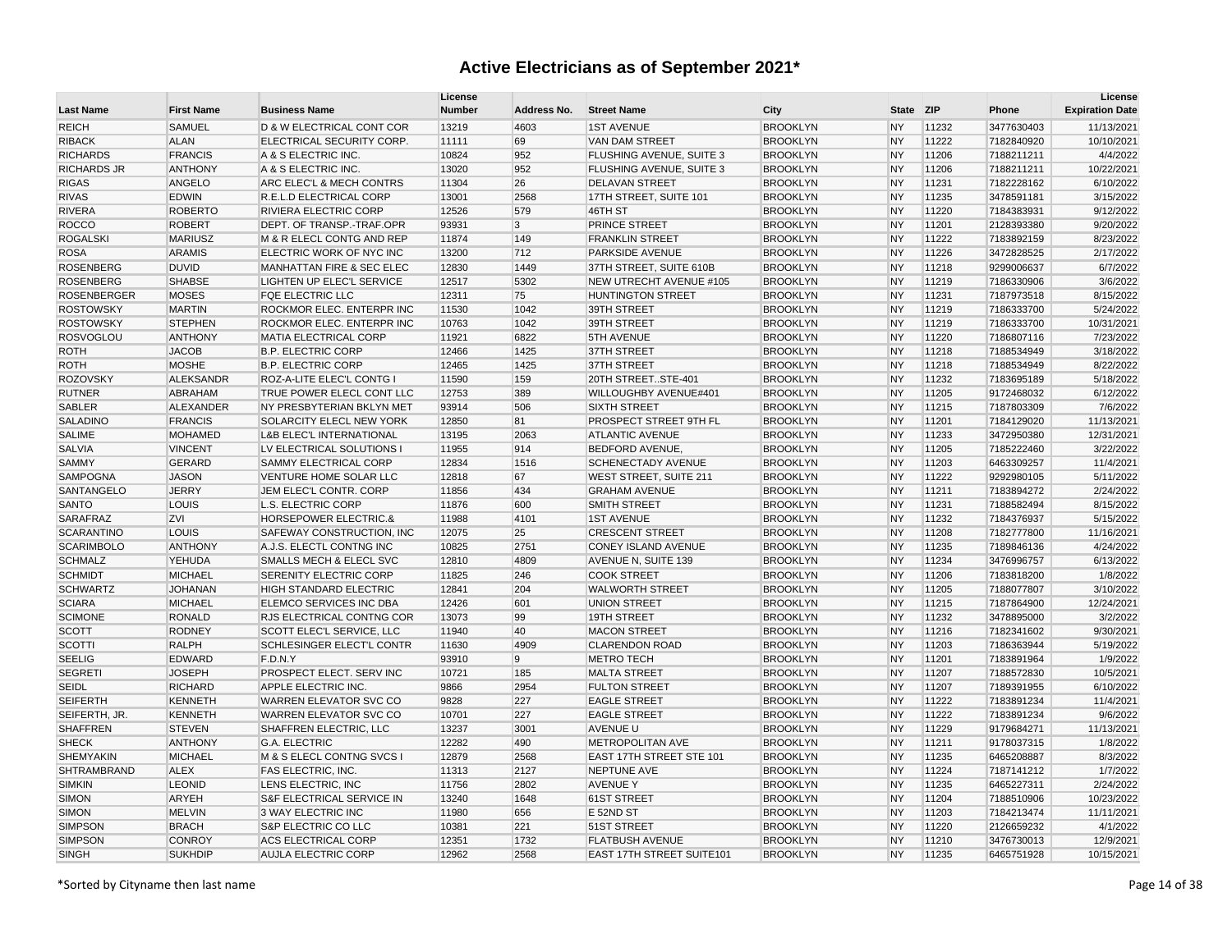| <b>Last Name</b>   | <b>First Name</b> | <b>Business Name</b>                | License<br><b>Number</b> | Address No. | <b>Street Name</b>               | City            | <b>State</b> | <b>ZIP</b> | Phone      | License<br><b>Expiration Date</b> |
|--------------------|-------------------|-------------------------------------|--------------------------|-------------|----------------------------------|-----------------|--------------|------------|------------|-----------------------------------|
| <b>REICH</b>       | <b>SAMUEL</b>     | D & W ELECTRICAL CONT COR           | 13219                    | 4603        | <b>1ST AVENUE</b>                | <b>BROOKLYN</b> | <b>NY</b>    | 11232      | 3477630403 | 11/13/2021                        |
| <b>RIBACK</b>      | <b>ALAN</b>       | <b>ELECTRICAL SECURITY CORP</b>     | 11111                    | 69          | VAN DAM STREET                   | <b>BROOKLYN</b> | <b>NY</b>    | 11222      | 7182840920 | 10/10/2021                        |
| <b>RICHARDS</b>    | <b>FRANCIS</b>    | A & S ELECTRIC INC.                 | 10824                    | 952         | FLUSHING AVENUE, SUITE 3         | <b>BROOKLYN</b> | <b>NY</b>    | 11206      | 7188211211 | 4/4/2022                          |
| <b>RICHARDS JR</b> | <b>ANTHONY</b>    | A & S ELECTRIC INC.                 | 13020                    | 952         | FLUSHING AVENUE, SUITE 3         | <b>BROOKLYN</b> | <b>NY</b>    | 11206      | 7188211211 | 10/22/2021                        |
| <b>RIGAS</b>       | <b>ANGELO</b>     | ARC ELEC'L & MECH CONTRS            | 11304                    | 26          | <b>DELAVAN STREET</b>            | <b>BROOKLYN</b> | <b>NY</b>    | 11231      | 7182228162 | 6/10/2022                         |
| <b>RIVAS</b>       | <b>EDWIN</b>      | R.E.L.D ELECTRICAL CORP             | 13001                    | 2568        | 17TH STREET, SUITE 101           | <b>BROOKLYN</b> | <b>NY</b>    | 11235      | 3478591181 | 3/15/2022                         |
| <b>RIVERA</b>      | <b>ROBERTO</b>    | <b>RIVIERA ELECTRIC CORP</b>        | 12526                    | 579         | 46TH ST                          | <b>BROOKLYN</b> | <b>NY</b>    | 11220      | 7184383931 | 9/12/2022                         |
| <b>ROCCO</b>       | <b>ROBERT</b>     | <b>DEPT. OF TRANSP.-TRAF.OPR</b>    | 93931                    | 3           | PRINCE STREET                    | <b>BROOKLYN</b> | <b>NY</b>    | 11201      | 2128393380 | 9/20/2022                         |
| <b>ROGALSKI</b>    | <b>MARIUSZ</b>    | M & R ELECL CONTG AND REP           | 11874                    | 149         | <b>FRANKLIN STREET</b>           | <b>BROOKLYN</b> | <b>NY</b>    | 11222      | 7183892159 | 8/23/2022                         |
| <b>ROSA</b>        | <b>ARAMIS</b>     | ELECTRIC WORK OF NYC INC            | 13200                    | 712         | <b>PARKSIDE AVENUE</b>           | <b>BROOKLYN</b> | <b>NY</b>    | 11226      | 3472828525 | 2/17/2022                         |
| <b>ROSENBERG</b>   | <b>DUVID</b>      | MANHATTAN FIRE & SEC ELEC           | 12830                    | 1449        | 37TH STREET, SUITE 610B          | <b>BROOKLYN</b> | <b>NY</b>    | 11218      | 9299006637 | 6/7/2022                          |
| <b>ROSENBERG</b>   | <b>SHABSE</b>     | <b>LIGHTEN UP ELEC'L SERVICE</b>    | 12517                    | 5302        | NEW UTRECHT AVENUE #105          | <b>BROOKLYN</b> | <b>NY</b>    | 11219      | 7186330906 | 3/6/2022                          |
| <b>ROSENBERGER</b> | <b>MOSES</b>      | <b>FQE ELECTRIC LLC</b>             | 12311                    | 75          | <b>HUNTINGTON STREET</b>         | <b>BROOKLYN</b> | <b>NY</b>    | 11231      | 7187973518 | 8/15/2022                         |
| <b>ROSTOWSKY</b>   | <b>MARTIN</b>     | ROCKMOR ELEC. ENTERPR INC           | 11530                    | 1042        | 39TH STREET                      | <b>BROOKLYN</b> | <b>NY</b>    | 11219      | 7186333700 | 5/24/2022                         |
| <b>ROSTOWSKY</b>   | <b>STEPHEN</b>    | ROCKMOR ELEC. ENTERPR INC           | 10763                    | 1042        | 39TH STREET                      | <b>BROOKLYN</b> | <b>NY</b>    | 11219      | 7186333700 | 10/31/2021                        |
| <b>ROSVOGLOU</b>   | <b>ANTHONY</b>    | <b>MATIA ELECTRICAL CORP</b>        | 11921                    | 6822        | <b>5TH AVENUE</b>                | <b>BROOKLYN</b> | <b>NY</b>    | 11220      | 7186807116 | 7/23/2022                         |
| <b>ROTH</b>        | <b>JACOB</b>      | <b>B.P. ELECTRIC CORP</b>           | 12466                    | 1425        | 37TH STREET                      | <b>BROOKLYN</b> | <b>NY</b>    | 11218      | 7188534949 | 3/18/2022                         |
| <b>ROTH</b>        | <b>MOSHE</b>      | <b>B.P. ELECTRIC CORP</b>           | 12465                    | 1425        | 37TH STREET                      | <b>BROOKLYN</b> | <b>NY</b>    | 11218      | 7188534949 | 8/22/2022                         |
| <b>ROZOVSKY</b>    | <b>ALEKSANDR</b>  | ROZ-A-LITE ELEC'L CONTG I           | 11590                    | 159         | 20TH STREETSTE-401               | <b>BROOKLYN</b> | <b>NY</b>    | 11232      | 7183695189 | 5/18/2022                         |
| <b>RUTNER</b>      | ABRAHAM           | TRUE POWER ELECL CONT LLC           | 12753                    | 389         | WILLOUGHBY AVENUE#401            | <b>BROOKLYN</b> | <b>NY</b>    | 11205      | 9172468032 | 6/12/2022                         |
| <b>SABLER</b>      | ALEXANDER         | NY PRESBYTERIAN BKLYN MET           | 93914                    | 506         | <b>SIXTH STREET</b>              | <b>BROOKLYN</b> | <b>NY</b>    | 11215      | 7187803309 | 7/6/2022                          |
| <b>SALADINO</b>    | <b>FRANCIS</b>    | <b>SOLARCITY ELECL NEW YORK</b>     | 12850                    | 81          | PROSPECT STREET 9TH FL           | <b>BROOKLYN</b> | <b>NY</b>    | 11201      | 7184129020 | 11/13/2021                        |
| <b>SALIME</b>      | <b>MOHAMED</b>    | <b>L&amp;B ELEC'L INTERNATIONAL</b> | 13195                    | 2063        | <b>ATLANTIC AVENUE</b>           | <b>BROOKLYN</b> | <b>NY</b>    | 11233      | 3472950380 | 12/31/2021                        |
| <b>SALVIA</b>      | <b>VINCENT</b>    | LV ELECTRICAL SOLUTIONS I           | 11955                    | 914         | <b>BEDFORD AVENUE,</b>           | <b>BROOKLYN</b> | <b>NY</b>    | 11205      | 7185222460 | 3/22/2022                         |
| <b>SAMMY</b>       | <b>GERARD</b>     | SAMMY ELECTRICAL CORP               | 12834                    | 1516        | SCHENECTADY AVENUE               | <b>BROOKLYN</b> | <b>NY</b>    | 11203      | 6463309257 | 11/4/2021                         |
| <b>SAMPOGNA</b>    | <b>JASON</b>      | VENTURE HOME SOLAR LLC              | 12818                    | 67          | <b>WEST STREET, SUITE 211</b>    | <b>BROOKLYN</b> | <b>NY</b>    | 11222      | 9292980105 | 5/11/2022                         |
| SANTANGELO         | <b>JERRY</b>      | JEM ELEC'L CONTR. CORP              | 11856                    | 434         | <b>GRAHAM AVENUE</b>             | <b>BROOKLYN</b> | <b>NY</b>    | 11211      | 7183894272 | 2/24/2022                         |
| <b>SANTO</b>       | LOUIS             | L.S. ELECTRIC CORP                  | 11876                    | 600         | <b>SMITH STREET</b>              | <b>BROOKLYN</b> | <b>NY</b>    | 11231      | 7188582494 | 8/15/2022                         |
| SARAFRAZ           | ZVI               | <b>HORSEPOWER ELECTRIC.&amp;</b>    | 11988                    | 4101        | <b>1ST AVENUE</b>                | <b>BROOKLYN</b> | <b>NY</b>    | 11232      | 7184376937 | 5/15/2022                         |
| <b>SCARANTINO</b>  | LOUIS             | SAFEWAY CONSTRUCTION, INC           | 12075                    | 25          | <b>CRESCENT STREET</b>           | <b>BROOKLYN</b> | <b>NY</b>    | 11208      | 7182777800 | 11/16/2021                        |
| <b>SCARIMBOLO</b>  | <b>ANTHONY</b>    | A.J.S. ELECTL CONTNG INC            | 10825                    | 2751        | CONEY ISLAND AVENUE              | <b>BROOKLYN</b> | <b>NY</b>    | 11235      | 7189846136 | 4/24/2022                         |
| <b>SCHMALZ</b>     | <b>YEHUDA</b>     | <b>SMALLS MECH &amp; ELECL SVC</b>  | 12810                    | 4809        | AVENUE N, SUITE 139              | <b>BROOKLYN</b> | <b>NY</b>    | 11234      | 3476996757 | 6/13/2022                         |
| <b>SCHMIDT</b>     | <b>MICHAEL</b>    | SERENITY ELECTRIC CORP              | 11825                    | 246         | <b>COOK STREET</b>               | <b>BROOKLYN</b> | <b>NY</b>    | 11206      | 7183818200 | 1/8/2022                          |
| <b>SCHWARTZ</b>    | <b>JOHANAN</b>    | <b>HIGH STANDARD ELECTRIC</b>       | 12841                    | 204         | <b>WALWORTH STREET</b>           | <b>BROOKLYN</b> | <b>NY</b>    | 11205      | 7188077807 | 3/10/2022                         |
| <b>SCIARA</b>      | <b>MICHAEL</b>    | <b>ELEMCO SERVICES INC DBA</b>      | 12426                    | 601         | <b>UNION STREET</b>              | <b>BROOKLYN</b> | <b>NY</b>    | 11215      | 7187864900 | 12/24/2021                        |
| <b>SCIMONE</b>     | <b>RONALD</b>     | <b>RJS ELECTRICAL CONTNG COR</b>    | 13073                    | 99          | 19TH STREET                      | <b>BROOKLYN</b> | <b>NY</b>    | 11232      | 3478895000 | 3/2/2022                          |
| <b>SCOTT</b>       | <b>RODNEY</b>     | SCOTT ELEC'L SERVICE, LLC           | 11940                    | 40          | <b>MACON STREET</b>              | <b>BROOKLYN</b> | <b>NY</b>    | 11216      | 7182341602 | 9/30/2021                         |
| <b>SCOTTI</b>      | <b>RALPH</b>      | SCHLESINGER ELECT'L CONTR           | 11630                    | 4909        | <b>CLARENDON ROAD</b>            | <b>BROOKLYN</b> | <b>NY</b>    | 11203      | 7186363944 | 5/19/2022                         |
| <b>SEELIG</b>      | <b>EDWARD</b>     | F.D.N.Y                             | 93910                    | 9           | <b>METRO TECH</b>                | <b>BROOKLYN</b> | <b>NY</b>    | 11201      | 7183891964 | 1/9/2022                          |
| <b>SEGRETI</b>     | <b>JOSEPH</b>     | PROSPECT ELECT. SERV INC            | 10721                    | 185         | <b>MALTA STREET</b>              | <b>BROOKLYN</b> | <b>NY</b>    | 11207      | 7188572830 | 10/5/2021                         |
| <b>SEIDL</b>       | <b>RICHARD</b>    | APPLE ELECTRIC INC.                 | 9866                     | 2954        | <b>FULTON STREET</b>             | <b>BROOKLYN</b> | <b>NY</b>    | 11207      | 7189391955 | 6/10/2022                         |
| <b>SEIFERTH</b>    | <b>KENNETH</b>    | <b>WARREN ELEVATOR SVC CO</b>       | 9828                     | 227         | <b>EAGLE STREET</b>              | <b>BROOKLYN</b> | <b>NY</b>    | 11222      | 7183891234 | 11/4/2021                         |
| SEIFERTH, JR.      | <b>KENNETH</b>    | <b>WARREN ELEVATOR SVC CO</b>       | 10701                    | 227         | <b>EAGLE STREET</b>              | <b>BROOKLYN</b> | <b>NY</b>    | 11222      | 7183891234 | 9/6/2022                          |
| <b>SHAFFREN</b>    | <b>STEVEN</b>     | SHAFFREN ELECTRIC. LLC              | 13237                    | 3001        | <b>AVENUE U</b>                  | <b>BROOKLYN</b> | <b>NY</b>    | 11229      | 9179684271 | 11/13/2021                        |
| <b>SHECK</b>       | <b>ANTHONY</b>    | <b>G.A. ELECTRIC</b>                | 12282                    | 490         | <b>METROPOLITAN AVE</b>          | <b>BROOKLYN</b> | <b>NY</b>    | 11211      | 9178037315 | 1/8/2022                          |
| <b>SHEMYAKIN</b>   | <b>MICHAEL</b>    | M & S ELECL CONTNG SVCS I           | 12879                    | 2568        | <b>EAST 17TH STREET STE 101</b>  | <b>BROOKLYN</b> | <b>NY</b>    | 11235      | 6465208887 | 8/3/2022                          |
| SHTRAMBRAND        | <b>ALEX</b>       | <b>FAS ELECTRIC, INC.</b>           | 11313                    | 2127        | <b>NEPTUNE AVE</b>               | <b>BROOKLYN</b> | <b>NY</b>    | 11224      | 7187141212 | 1/7/2022                          |
| <b>SIMKIN</b>      | <b>LEONID</b>     | LENS ELECTRIC, INC                  | 11756                    | 2802        | <b>AVENUE Y</b>                  | <b>BROOKLYN</b> | <b>NY</b>    | 11235      | 6465227311 | 2/24/2022                         |
| <b>SIMON</b>       | <b>ARYEH</b>      | S&F ELECTRICAL SERVICE IN           | 13240                    | 1648        | <b>61ST STREET</b>               | <b>BROOKLYN</b> | <b>NY</b>    | 11204      | 7188510906 | 10/23/2022                        |
| <b>SIMON</b>       | <b>MELVIN</b>     | 3 WAY ELECTRIC INC                  | 11980                    | 656         | E 52ND ST                        | <b>BROOKLYN</b> | <b>NY</b>    | 11203      | 7184213474 | 11/11/2021                        |
| <b>SIMPSON</b>     | <b>BRACH</b>      | S&P ELECTRIC CO LLC                 | 10381                    | 221         | 51ST STREET                      | <b>BROOKLYN</b> | <b>NY</b>    | 11220      | 2126659232 | 4/1/2022                          |
| <b>SIMPSON</b>     | <b>CONROY</b>     | <b>ACS ELECTRICAL CORP</b>          | 12351                    | 1732        | <b>FLATBUSH AVENUE</b>           | <b>BROOKLYN</b> | <b>NY</b>    | 11210      | 3476730013 | 12/9/2021                         |
| <b>SINGH</b>       | <b>SUKHDIP</b>    | <b>AUJLA ELECTRIC CORP</b>          | 12962                    | 2568        | <b>EAST 17TH STREET SUITE101</b> | <b>BROOKLYN</b> | <b>NY</b>    | 11235      | 6465751928 | 10/15/2021                        |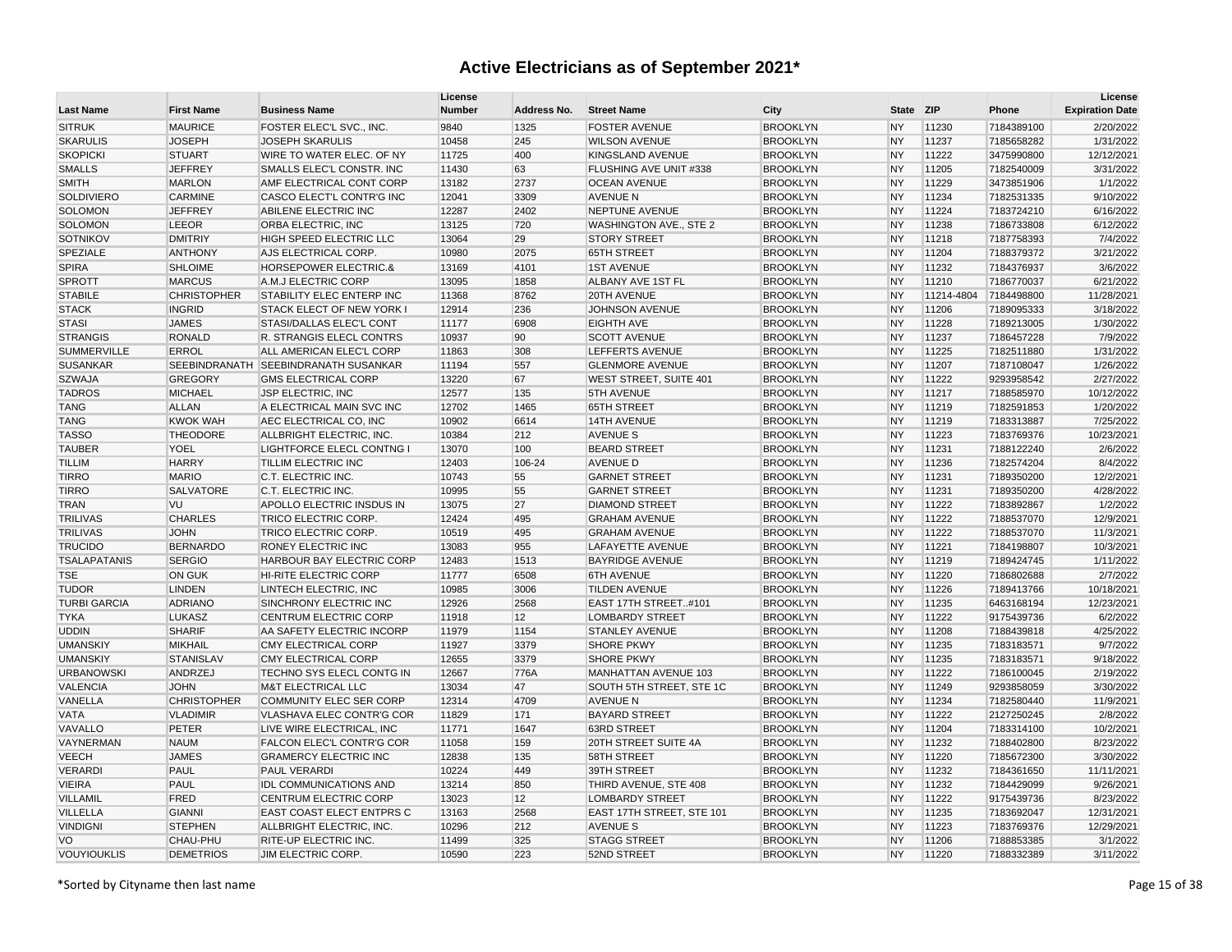| <b>Last Name</b>    | <b>First Name</b>  | <b>Business Name</b>                 | License<br><b>Number</b> | Address No. | <b>Street Name</b>            | City            | <b>State</b> | <b>ZIP</b> | Phone      | License<br><b>Expiration Date</b> |
|---------------------|--------------------|--------------------------------------|--------------------------|-------------|-------------------------------|-----------------|--------------|------------|------------|-----------------------------------|
| <b>SITRUK</b>       | <b>MAURICE</b>     | FOSTER ELEC'L SVC., INC.             | 9840                     | 1325        | <b>FOSTER AVENUE</b>          | <b>BROOKLYN</b> | <b>NY</b>    | 11230      | 7184389100 | 2/20/2022                         |
| <b>SKARULIS</b>     | <b>JOSEPH</b>      | <b>JOSEPH SKARULIS</b>               | 10458                    | 245         | <b>WILSON AVENUE</b>          | <b>BROOKLYN</b> | <b>NY</b>    | 11237      | 7185658282 | 1/31/2022                         |
| <b>SKOPICKI</b>     | <b>STUART</b>      | WIRE TO WATER ELEC. OF NY            | 11725                    | 400         | <b>KINGSLAND AVENUE</b>       | <b>BROOKLYN</b> | <b>NY</b>    | 11222      | 3475990800 | 12/12/2021                        |
| <b>SMALLS</b>       | <b>JEFFREY</b>     | SMALLS ELEC'L CONSTR. INC            | 11430                    | 63          | FLUSHING AVE UNIT #338        | <b>BROOKLYN</b> | <b>NY</b>    | 11205      | 7182540009 | 3/31/2022                         |
| <b>SMITH</b>        | <b>MARLON</b>      | AMF ELECTRICAL CONT CORP             | 13182                    | 2737        | <b>OCEAN AVENUE</b>           | <b>BROOKLYN</b> | <b>NY</b>    | 11229      | 3473851906 | 1/1/2022                          |
| SOLDIVIERO          | <b>CARMINE</b>     | CASCO ELECT'L CONTR'G INC            | 12041                    | 3309        | <b>AVENUE N</b>               | <b>BROOKLYN</b> | <b>NY</b>    | 11234      | 7182531335 | 9/10/2022                         |
| SOLOMON             | <b>JEFFREY</b>     | ABILENE ELECTRIC INC                 | 12287                    | 2402        | NEPTUNE AVENUE                | <b>BROOKLYN</b> | <b>NY</b>    | 11224      | 7183724210 | 6/16/2022                         |
| <b>SOLOMON</b>      | <b>LEEOR</b>       | ORBA ELECTRIC, INC.                  | 13125                    | 720         | <b>WASHINGTON AVE., STE 2</b> | <b>BROOKLYN</b> | <b>NY</b>    | 11238      | 7186733808 | 6/12/2022                         |
| <b>SOTNIKOV</b>     | <b>DMITRIY</b>     | HIGH SPEED ELECTRIC LLC              | 13064                    | 29          | <b>STORY STREET</b>           | <b>BROOKLYN</b> | <b>NY</b>    | 11218      | 7187758393 | 7/4/2022                          |
| SPEZIALE            | <b>ANTHONY</b>     | AJS ELECTRICAL CORP.                 | 10980                    | 2075        | <b>65TH STREET</b>            | <b>BROOKLYN</b> | <b>NY</b>    | 11204      | 7188379372 | 3/21/2022                         |
| <b>SPIRA</b>        | <b>SHLOIME</b>     | <b>HORSEPOWER ELECTRIC.&amp;</b>     | 13169                    | 4101        | <b>1ST AVENUE</b>             | <b>BROOKLYN</b> | <b>NY</b>    | 11232      | 7184376937 | 3/6/2022                          |
| <b>SPROTT</b>       | <b>MARCUS</b>      | A.M.J ELECTRIC CORP                  | 13095                    | 1858        | ALBANY AVE 1ST FL             | <b>BROOKLYN</b> | <b>NY</b>    | 11210      | 7186770037 | 6/21/2022                         |
| <b>STABILE</b>      | <b>CHRISTOPHER</b> | <b>STABILITY ELEC ENTERP INC</b>     | 11368                    | 8762        | 20TH AVENUE                   | <b>BROOKLYN</b> | <b>NY</b>    | 11214-4804 | 7184498800 | 11/28/2021                        |
| <b>STACK</b>        | <b>INGRID</b>      | STACK ELECT OF NEW YORK I            | 12914                    | 236         | <b>JOHNSON AVENUE</b>         | <b>BROOKLYN</b> | <b>NY</b>    | 11206      | 7189095333 | 3/18/2022                         |
| <b>STASI</b>        | <b>JAMES</b>       | STASI/DALLAS ELEC'L CONT             | 11177                    | 6908        | <b>EIGHTH AVE</b>             | <b>BROOKLYN</b> | <b>NY</b>    | 11228      | 7189213005 | 1/30/2022                         |
| <b>STRANGIS</b>     | <b>RONALD</b>      | <b>R. STRANGIS ELECL CONTRS</b>      | 10937                    | 90          | <b>SCOTT AVENUE</b>           | <b>BROOKLYN</b> | <b>NY</b>    | 11237      | 7186457228 | 7/9/2022                          |
| <b>SUMMERVILLE</b>  | ERROL              | ALL AMERICAN ELEC'L CORP             | 11863                    | 308         | <b>LEFFERTS AVENUE</b>        | <b>BROOKLYN</b> | <b>NY</b>    | 11225      | 7182511880 | 1/31/2022                         |
| <b>SUSANKAR</b>     |                    | SEEBINDRANATH SEEBINDRANATH SUSANKAR | 11194                    | 557         | <b>GLENMORE AVENUE</b>        | <b>BROOKLYN</b> | <b>NY</b>    | 11207      | 7187108047 | 1/26/2022                         |
| <b>SZWAJA</b>       | <b>GREGORY</b>     | <b>GMS ELECTRICAL CORP</b>           | 13220                    | 67          | WEST STREET, SUITE 401        | <b>BROOKLYN</b> | <b>NY</b>    | 11222      | 9293958542 | 2/27/2022                         |
| <b>TADROS</b>       | <b>MICHAEL</b>     | <b>JSP ELECTRIC, INC</b>             | 12577                    | 135         | <b>5TH AVENUE</b>             | <b>BROOKLYN</b> | <b>NY</b>    | 11217      | 7188585970 | 10/12/2022                        |
| <b>TANG</b>         | <b>ALLAN</b>       | A ELECTRICAL MAIN SVC INC            | 12702                    | 1465        | 65TH STREET                   | <b>BROOKLYN</b> | <b>NY</b>    | 11219      | 7182591853 | 1/20/2022                         |
| <b>TANG</b>         | <b>KWOK WAH</b>    | AEC ELECTRICAL CO, INC               | 10902                    | 6614        | 14TH AVENUE                   | <b>BROOKLYN</b> | <b>NY</b>    | 11219      | 7183313887 | 7/25/2022                         |
| <b>TASSO</b>        | <b>THEODORE</b>    | ALLBRIGHT ELECTRIC, INC.             | 10384                    | 212         | <b>AVENUE S</b>               | <b>BROOKLYN</b> | <b>NY</b>    | 11223      | 7183769376 | 10/23/2021                        |
| <b>TAUBER</b>       | <b>YOEL</b>        | LIGHTFORCE ELECL CONTNG I            | 13070                    | 100         | <b>BEARD STREET</b>           | <b>BROOKLYN</b> | <b>NY</b>    | 11231      | 7188122240 | 2/6/2022                          |
| <b>TILLIM</b>       | <b>HARRY</b>       | <b>TILLIM ELECTRIC INC</b>           | 12403                    | 106-24      | <b>AVENUE D</b>               | <b>BROOKLYN</b> | <b>NY</b>    | 11236      | 7182574204 | 8/4/2022                          |
| <b>TIRRO</b>        | <b>MARIO</b>       | C.T. ELECTRIC INC.                   | 10743                    | 55          | <b>GARNET STREET</b>          | <b>BROOKLYN</b> | <b>NY</b>    | 11231      | 7189350200 | 12/2/2021                         |
| <b>TIRRO</b>        | <b>SALVATORE</b>   | C.T. ELECTRIC INC.                   | 10995                    | 55          | <b>GARNET STREET</b>          | <b>BROOKLYN</b> | <b>NY</b>    | 11231      | 7189350200 | 4/28/2022                         |
| <b>TRAN</b>         | VU.                | APOLLO ELECTRIC INSDUS IN            | 13075                    | 27          | <b>DIAMOND STREET</b>         | <b>BROOKLYN</b> | <b>NY</b>    | 11222      | 7183892867 | 1/2/2022                          |
| <b>TRILIVAS</b>     | <b>CHARLES</b>     | TRICO ELECTRIC CORP.                 | 12424                    | 495         | <b>GRAHAM AVENUE</b>          | <b>BROOKLYN</b> | <b>NY</b>    | 11222      | 7188537070 | 12/9/2021                         |
| <b>TRILIVAS</b>     | <b>JOHN</b>        | TRICO ELECTRIC CORP.                 | 10519                    | 495         | <b>GRAHAM AVENUE</b>          | <b>BROOKLYN</b> | <b>NY</b>    | 11222      | 7188537070 | 11/3/2021                         |
| <b>TRUCIDO</b>      | <b>BERNARDO</b>    | RONEY ELECTRIC INC                   | 13083                    | 955         | LAFAYETTE AVENUE              | <b>BROOKLYN</b> | <b>NY</b>    | 11221      | 7184198807 | 10/3/2021                         |
| <b>TSALAPATANIS</b> | <b>SERGIO</b>      | HARBOUR BAY ELECTRIC CORP            | 12483                    | 1513        | <b>BAYRIDGE AVENUE</b>        | <b>BROOKLYN</b> | <b>NY</b>    | 11219      | 7189424745 | 1/11/2022                         |
| <b>TSE</b>          | <b>ON GUK</b>      | HI-RITE ELECTRIC CORP                | 11777                    | 6508        | <b>6TH AVENUE</b>             | <b>BROOKLYN</b> | <b>NY</b>    | 11220      | 7186802688 | 2/7/2022                          |
| <b>TUDOR</b>        | LINDEN             | LINTECH ELECTRIC, INC                | 10985                    | 3006        | <b>TILDEN AVENUE</b>          | <b>BROOKLYN</b> | <b>NY</b>    | 11226      | 7189413766 | 10/18/2021                        |
| <b>TURBI GARCIA</b> | <b>ADRIANO</b>     | SINCHRONY ELECTRIC INC               | 12926                    | 2568        | EAST 17TH STREET#101          | <b>BROOKLYN</b> | <b>NY</b>    | 11235      | 6463168194 | 12/23/2021                        |
| <b>TYKA</b>         | <b>LUKASZ</b>      | CENTRUM ELECTRIC CORP                | 11918                    | 12          | <b>LOMBARDY STREET</b>        | <b>BROOKLYN</b> | <b>NY</b>    | 11222      | 9175439736 | 6/2/2022                          |
| <b>UDDIN</b>        | <b>SHARIF</b>      | AA SAFETY ELECTRIC INCORP            | 11979                    | 1154        | <b>STANLEY AVENUE</b>         | <b>BROOKLYN</b> | <b>NY</b>    | 11208      | 7188439818 | 4/25/2022                         |
| <b>UMANSKIY</b>     | <b>MIKHAIL</b>     | <b>CMY ELECTRICAL CORP</b>           | 11927                    | 3379        | <b>SHORE PKWY</b>             | <b>BROOKLYN</b> | <b>NY</b>    | 11235      | 7183183571 | 9/7/2022                          |
| <b>UMANSKIY</b>     | <b>STANISLAV</b>   | CMY ELECTRICAL CORP                  | 12655                    | 3379        | <b>SHORE PKWY</b>             | <b>BROOKLYN</b> | <b>NY</b>    | 11235      | 7183183571 | 9/18/2022                         |
| <b>URBANOWSKI</b>   | ANDRZEJ            | TECHNO SYS ELECL CONTG IN            | 12667                    | 776A        | MANHATTAN AVENUE 103          | <b>BROOKLYN</b> | <b>NY</b>    | 11222      | 7186100045 | 2/19/2022                         |
| <b>VALENCIA</b>     | <b>JOHN</b>        | M&T ELECTRICAL LLC                   | 13034                    | 47          | SOUTH 5TH STREET, STE 1C      | <b>BROOKLYN</b> | <b>NY</b>    | 11249      | 9293858059 | 3/30/2022                         |
| VANELLA             | <b>CHRISTOPHER</b> | COMMUNITY ELEC SER CORP              | 12314                    | 4709        | <b>AVENUE N</b>               | <b>BROOKLYN</b> | <b>NY</b>    | 11234      | 7182580440 | 11/9/2021                         |
| <b>VATA</b>         | <b>VLADIMIR</b>    | VLASHAVA ELEC CONTR'G COR            | 11829                    | 171         | <b>BAYARD STREET</b>          | <b>BROOKLYN</b> | <b>NY</b>    | 11222      | 2127250245 | 2/8/2022                          |
| <b>VAVALLO</b>      | <b>PETER</b>       | LIVE WIRE ELECTRICAL. INC            | 11771                    | 1647        | 63RD STREET                   | <b>BROOKLYN</b> | <b>NY</b>    | 11204      | 7183314100 | 10/2/2021                         |
| VAYNERMAN           | <b>NAUM</b>        | FALCON ELEC'L CONTR'G COR            | 11058                    | 159         | 20TH STREET SUITE 4A          | <b>BROOKLYN</b> | <b>NY</b>    | 11232      | 7188402800 | 8/23/2022                         |
| <b>VEECH</b>        | <b>JAMES</b>       | <b>GRAMERCY ELECTRIC INC</b>         | 12838                    | 135         | 58TH STREET                   | <b>BROOKLYN</b> | <b>NY</b>    | 11220      | 7185672300 | 3/30/2022                         |
| VERARDI             | PAUL               | PAUL VERARDI                         | 10224                    | 449         | 39TH STREET                   | <b>BROOKLYN</b> | <b>NY</b>    | 11232      | 7184361650 | 11/11/2021                        |
| <b>VIEIRA</b>       | PAUL               | <b>IDL COMMUNICATIONS AND</b>        | 13214                    | 850         | THIRD AVENUE, STE 408         | <b>BROOKLYN</b> | <b>NY</b>    | 11232      | 7184429099 | 9/26/2021                         |
| <b>VILLAMIL</b>     | <b>FRED</b>        | CENTRUM ELECTRIC CORP                | 13023                    | 12          | <b>LOMBARDY STREET</b>        | <b>BROOKLYN</b> | <b>NY</b>    | 11222      | 9175439736 | 8/23/2022                         |
| VILLELLA            | <b>GIANNI</b>      | <b>EAST COAST ELECT ENTPRS C</b>     | 13163                    | 2568        | EAST 17TH STREET, STE 101     | <b>BROOKLYN</b> | <b>NY</b>    | 11235      | 7183692047 | 12/31/2021                        |
| <b>VINDIGNI</b>     | <b>STEPHEN</b>     | ALLBRIGHT ELECTRIC. INC.             | 10296                    | 212         | <b>AVENUE S</b>               | <b>BROOKLYN</b> | <b>NY</b>    | 11223      | 7183769376 | 12/29/2021                        |
| VO                  | CHAU-PHU           | RITE-UP ELECTRIC INC.                | 11499                    | 325         | <b>STAGG STREET</b>           | <b>BROOKLYN</b> | <b>NY</b>    | 11206      | 7188853385 | 3/1/2022                          |
| <b>VOUYIOUKLIS</b>  | <b>DEMETRIOS</b>   | JIM ELECTRIC CORP.                   | 10590                    | 223         | 52ND STREET                   | <b>BROOKLYN</b> | <b>NY</b>    | 11220      | 7188332389 | 3/11/2022                         |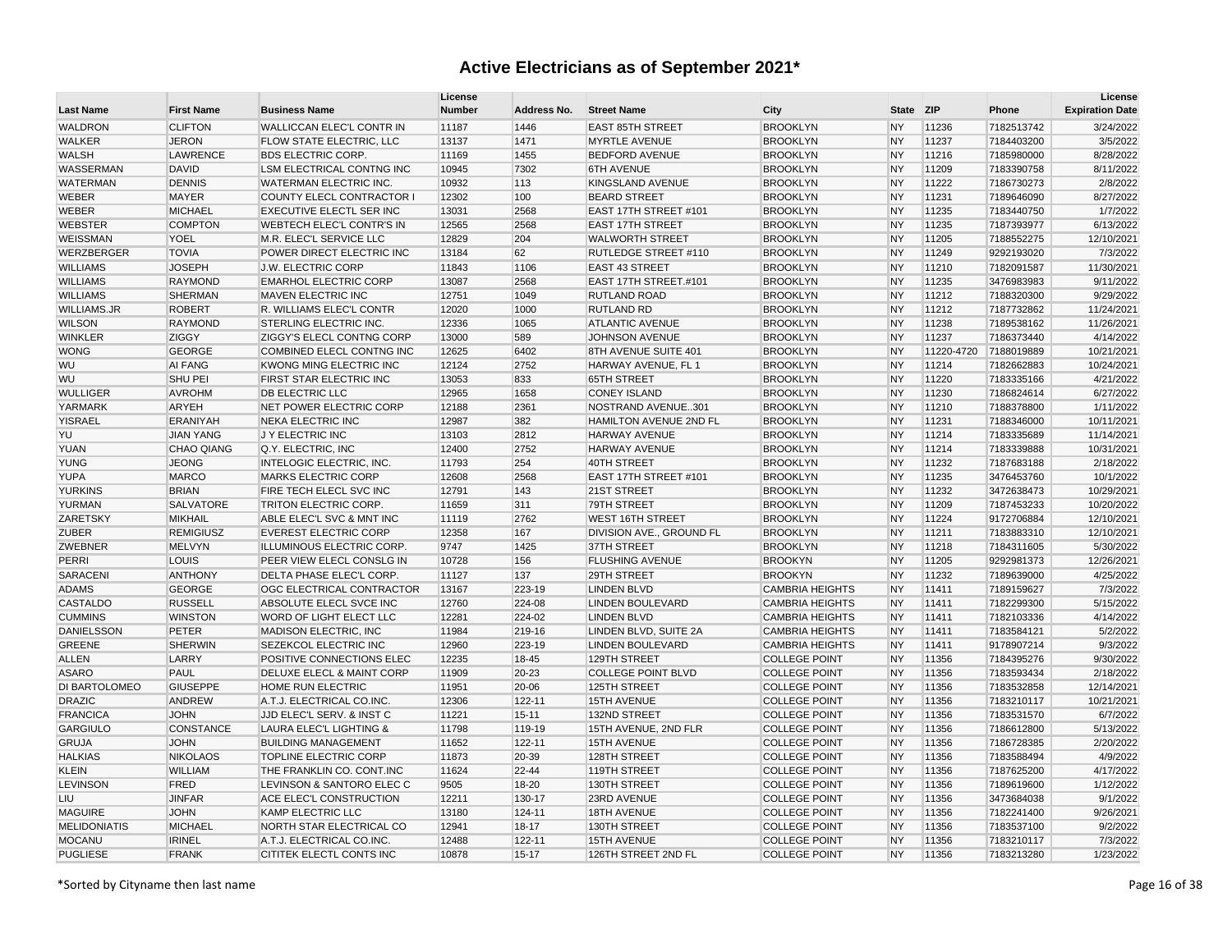| <b>Last Name</b>    | <b>First Name</b> | <b>Business Name</b>             | License<br><b>Number</b> | Address No. | <b>Street Name</b>          | City                   | <b>State</b> | <b>ZIP</b> | Phone      | License<br><b>Expiration Date</b> |
|---------------------|-------------------|----------------------------------|--------------------------|-------------|-----------------------------|------------------------|--------------|------------|------------|-----------------------------------|
| <b>WALDRON</b>      | <b>CLIFTON</b>    | WALLICCAN ELEC'L CONTR IN        | 11187                    | 1446        | <b>EAST 85TH STREET</b>     | <b>BROOKLYN</b>        | <b>NY</b>    | 11236      | 7182513742 | 3/24/2022                         |
| <b>WALKER</b>       | <b>JERON</b>      | FLOW STATE ELECTRIC, LLC         | 13137                    | 1471        | <b>MYRTLE AVENUE</b>        | <b>BROOKLYN</b>        | <b>NY</b>    | 11237      | 7184403200 | 3/5/2022                          |
| <b>WALSH</b>        | <b>LAWRENCE</b>   | <b>BDS ELECTRIC CORP.</b>        | 11169                    | 1455        | <b>BEDFORD AVENUE</b>       | <b>BROOKLYN</b>        | <b>NY</b>    | 11216      | 7185980000 | 8/28/2022                         |
| <b>WASSERMAN</b>    | <b>DAVID</b>      | LSM ELECTRICAL CONTNG INC        | 10945                    | 7302        | <b>6TH AVENUE</b>           | <b>BROOKLYN</b>        | <b>NY</b>    | 11209      | 7183390758 | 8/11/2022                         |
| <b>WATERMAN</b>     | <b>DENNIS</b>     | WATERMAN ELECTRIC INC.           | 10932                    | 113         | KINGSLAND AVENUE            | <b>BROOKLYN</b>        | <b>NY</b>    | 11222      | 7186730273 | 2/8/2022                          |
| <b>WEBER</b>        | <b>MAYER</b>      | COUNTY ELECL CONTRACTOR I        | 12302                    | 100         | <b>BEARD STREET</b>         | <b>BROOKLYN</b>        | <b>NY</b>    | 11231      | 7189646090 | 8/27/2022                         |
| <b>WEBER</b>        | <b>MICHAEL</b>    | <b>EXECUTIVE ELECTL SER INC</b>  | 13031                    | 2568        | EAST 17TH STREET #101       | <b>BROOKLYN</b>        | <b>NY</b>    | 11235      | 7183440750 | 1/7/2022                          |
| <b>WEBSTER</b>      | <b>COMPTON</b>    | <b>WEBTECH ELEC'L CONTR'S IN</b> | 12565                    | 2568        | <b>EAST 17TH STREET</b>     | <b>BROOKLYN</b>        | <b>NY</b>    | 11235      | 7187393977 | 6/13/2022                         |
| WEISSMAN            | <b>YOEL</b>       | M.R. ELEC'L SERVICE LLC          | 12829                    | 204         | <b>WALWORTH STREET</b>      | <b>BROOKLYN</b>        | <b>NY</b>    | 11205      | 7188552275 | 12/10/2021                        |
| WERZBERGER          | <b>TOVIA</b>      | POWER DIRECT ELECTRIC INC        | 13184                    | 62          | <b>RUTLEDGE STREET #110</b> | <b>BROOKLYN</b>        | <b>NY</b>    | 11249      | 9292193020 | 7/3/2022                          |
| <b>WILLIAMS</b>     | <b>JOSEPH</b>     | J.W. ELECTRIC CORP               | 11843                    | 1106        | <b>EAST 43 STREET</b>       | <b>BROOKLYN</b>        | <b>NY</b>    | 11210      | 7182091587 | 11/30/2021                        |
| <b>WILLIAMS</b>     | <b>RAYMOND</b>    | <b>EMARHOL ELECTRIC CORP</b>     | 13087                    | 2568        | EAST 17TH STREET.#101       | <b>BROOKLYN</b>        | <b>NY</b>    | 11235      | 3476983983 | 9/11/2022                         |
| <b>WILLIAMS</b>     | <b>SHERMAN</b>    | <b>MAVEN ELECTRIC INC</b>        | 12751                    | 1049        | <b>RUTLAND ROAD</b>         | <b>BROOKLYN</b>        | <b>NY</b>    | 11212      | 7188320300 | 9/29/2022                         |
| WILLIAMS.JR         | <b>ROBERT</b>     | R. WILLIAMS ELEC'L CONTR         | 12020                    | 1000        | <b>RUTLAND RD</b>           | <b>BROOKLYN</b>        | <b>NY</b>    | 11212      | 7187732862 | 11/24/2021                        |
| <b>WILSON</b>       | <b>RAYMOND</b>    | <b>STERLING ELECTRIC INC.</b>    | 12336                    | 1065        | <b>ATLANTIC AVENUE</b>      | <b>BROOKLYN</b>        | <b>NY</b>    | 11238      | 7189538162 | 11/26/2021                        |
| <b>WINKLER</b>      | <b>ZIGGY</b>      | <b>ZIGGY'S ELECL CONTNG CORP</b> | 13000                    | 589         | JOHNSON AVENUE              | <b>BROOKLYN</b>        | <b>NY</b>    | 11237      | 7186373440 | 4/14/2022                         |
| <b>WONG</b>         | <b>GEORGE</b>     | COMBINED ELECL CONTNG INC        | 12625                    | 6402        | 8TH AVENUE SUITE 401        | <b>BROOKLYN</b>        | <b>NY</b>    | 11220-4720 | 7188019889 | 10/21/2021                        |
| WU                  | <b>AI FANG</b>    | KWONG MING ELECTRIC INC          | 12124                    | 2752        | HARWAY AVENUE, FL 1         | <b>BROOKLYN</b>        | <b>NY</b>    | 11214      | 7182662883 | 10/24/2021                        |
| WU                  | <b>SHU PEI</b>    | FIRST STAR ELECTRIC INC          | 13053                    | 833         | <b>65TH STREET</b>          | <b>BROOKLYN</b>        | <b>NY</b>    | 11220      | 7183335166 | 4/21/2022                         |
| <b>WULLIGER</b>     | <b>AVROHM</b>     | <b>DB ELECTRIC LLC</b>           | 12965                    | 1658        | <b>CONEY ISLAND</b>         | <b>BROOKLYN</b>        | <b>NY</b>    | 11230      | 7186824614 | 6/27/2022                         |
| YARMARK             | <b>ARYEH</b>      | NET POWER ELECTRIC CORP          | 12188                    | 2361        | NOSTRAND AVENUE301          | <b>BROOKLYN</b>        | <b>NY</b>    | 11210      | 7188378800 | 1/11/2022                         |
| <b>YISRAEL</b>      | <b>ERANIYAH</b>   | <b>NEKA ELECTRIC INC</b>         | 12987                    | 382         | HAMILTON AVENUE 2ND FL      | <b>BROOKLYN</b>        | <b>NY</b>    | 11231      | 7188346000 | 10/11/2021                        |
| YU                  | <b>JIAN YANG</b>  | J Y ELECTRIC INC                 | 13103                    | 2812        | <b>HARWAY AVENUE</b>        | <b>BROOKLYN</b>        | <b>NY</b>    | 11214      | 7183335689 | 11/14/2021                        |
| <b>YUAN</b>         | <b>CHAO QIANG</b> | Q.Y. ELECTRIC, INC               | 12400                    | 2752        | <b>HARWAY AVENUE</b>        | <b>BROOKLYN</b>        | <b>NY</b>    | 11214      | 7183339888 | 10/31/2021                        |
| <b>YUNG</b>         | <b>JEONG</b>      | INTELOGIC ELECTRIC, INC.         | 11793                    | 254         | 40TH STREET                 | <b>BROOKLYN</b>        | <b>NY</b>    | 11232      | 7187683188 | 2/18/2022                         |
| <b>YUPA</b>         | <b>MARCO</b>      | <b>MARKS ELECTRIC CORP</b>       | 12608                    | 2568        | EAST 17TH STREET #101       | <b>BROOKLYN</b>        | <b>NY</b>    | 11235      | 3476453760 | 10/1/2022                         |
| <b>YURKINS</b>      | <b>BRIAN</b>      | FIRE TECH ELECL SVC INC          | 12791                    | 143         | 21ST STREET                 | <b>BROOKLYN</b>        | <b>NY</b>    | 11232      | 3472638473 | 10/29/2021                        |
| YURMAN              | SALVATORE         | TRITON ELECTRIC CORP.            | 11659                    | 311         | 79TH STREET                 | <b>BROOKLYN</b>        | <b>NY</b>    | 11209      | 7187453233 | 10/20/2022                        |
| ZARETSKY            | <b>MIKHAIL</b>    | ABLE ELEC'L SVC & MNT INC        | 11119                    | 2762        | <b>WEST 16TH STREET</b>     | <b>BROOKLYN</b>        | <b>NY</b>    | 11224      | 9172706884 | 12/10/2021                        |
| <b>ZUBER</b>        | <b>REMIGIUSZ</b>  | <b>EVEREST ELECTRIC CORP</b>     | 12358                    | 167         | DIVISION AVE., GROUND FL    | <b>BROOKLYN</b>        | <b>NY</b>    | 11211      | 7183883310 | 12/10/2021                        |
| <b>ZWEBNER</b>      | <b>MELVYN</b>     | ILLUMINOUS ELECTRIC CORP.        | 9747                     | 1425        | 37TH STREET                 | <b>BROOKLYN</b>        | <b>NY</b>    | 11218      | 7184311605 | 5/30/2022                         |
| PERRI               | LOUIS             | PEER VIEW ELECL CONSLG IN        | 10728                    | 156         | <b>FLUSHING AVENUE</b>      | <b>BROOKYN</b>         | <b>NY</b>    | 11205      | 9292981373 | 12/26/2021                        |
| SARACENI            | <b>ANTHONY</b>    | DELTA PHASE ELEC'L CORP.         | 11127                    | 137         | 29TH STREET                 | <b>BROOKYN</b>         | <b>NY</b>    | 11232      | 7189639000 | 4/25/2022                         |
| <b>ADAMS</b>        | <b>GEORGE</b>     | OGC ELECTRICAL CONTRACTOR        | 13167                    | 223-19      | <b>LINDEN BLVD</b>          | <b>CAMBRIA HEIGHTS</b> | <b>NY</b>    | 11411      | 7189159627 | 7/3/2022                          |
| CASTALDO            | <b>RUSSELL</b>    | ABSOLUTE ELECL SVCE INC          | 12760                    | 224-08      | LINDEN BOULEVARD            | <b>CAMBRIA HEIGHTS</b> | <b>NY</b>    | 11411      | 7182299300 | 5/15/2022                         |
| <b>CUMMINS</b>      | <b>WINSTON</b>    | WORD OF LIGHT ELECT LLC          | 12281                    | 224-02      | <b>LINDEN BLVD</b>          | <b>CAMBRIA HEIGHTS</b> | <b>NY</b>    | 11411      | 7182103336 | 4/14/2022                         |
| <b>DANIELSSON</b>   | <b>PETER</b>      | MADISON ELECTRIC, INC            | 11984                    | 219-16      | LINDEN BLVD, SUITE 2A       | <b>CAMBRIA HEIGHTS</b> | <b>NY</b>    | 11411      | 7183584121 | 5/2/2022                          |
| GREENE              | <b>SHERWIN</b>    | SEZEKCOL ELECTRIC INC            | 12960                    | 223-19      | <b>LINDEN BOULEVARD</b>     | <b>CAMBRIA HEIGHTS</b> | <b>NY</b>    | 11411      | 9178907214 | 9/3/2022                          |
| <b>ALLEN</b>        | LARRY             | POSITIVE CONNECTIONS ELEC        | 12235                    | 18-45       | 129TH STREET                | <b>COLLEGE POINT</b>   | <b>NY</b>    | 11356      | 7184395276 | 9/30/2022                         |
| <b>ASARO</b>        | PAUL              | DELUXE ELECL & MAINT CORP        | 11909                    | 20-23       | <b>COLLEGE POINT BLVD</b>   | <b>COLLEGE POINT</b>   | <b>NY</b>    | 11356      | 7183593434 | 2/18/2022                         |
| DI BARTOLOMEO       | <b>GIUSEPPE</b>   | <b>HOME RUN ELECTRIC</b>         | 11951                    | 20-06       | 125TH STREET                | <b>COLLEGE POINT</b>   | <b>NY</b>    | 11356      | 7183532858 | 12/14/2021                        |
| <b>DRAZIC</b>       | ANDREW            | A.T.J. ELECTRICAL CO.INC.        | 12306                    | 122-11      | 15TH AVENUE                 | <b>COLLEGE POINT</b>   | <b>NY</b>    | 11356      | 7183210117 | 10/21/2021                        |
| <b>FRANCICA</b>     | <b>JOHN</b>       | JJD ELEC'L SERV. & INST C        | 11221                    | $15 - 11$   | 132ND STREET                | <b>COLLEGE POINT</b>   | <b>NY</b>    | 11356      | 7183531570 | 6/7/2022                          |
| <b>GARGIULO</b>     | CONSTANCE         | LAURA ELEC'L LIGHTING &          | 11798                    | 119-19      | 15TH AVENUE, 2ND FLR        | <b>COLLEGE POINT</b>   | <b>NY</b>    | 11356      | 7186612800 | 5/13/2022                         |
| <b>GRUJA</b>        | <b>JOHN</b>       | <b>BUILDING MANAGEMENT</b>       | 11652                    | 122-11      | 15TH AVENUE                 | <b>COLLEGE POINT</b>   | <b>NY</b>    | 11356      | 7186728385 | 2/20/2022                         |
| <b>HALKIAS</b>      | <b>NIKOLAOS</b>   | <b>TOPLINE ELECTRIC CORP</b>     | 11873                    | 20-39       | 128TH STREET                | <b>COLLEGE POINT</b>   | <b>NY</b>    | 11356      | 7183588494 | 4/9/2022                          |
| <b>KLEIN</b>        | <b>WILLIAM</b>    | THE FRANKLIN CO. CONT.INC        | 11624                    | 22-44       | 119TH STREET                | <b>COLLEGE POINT</b>   | <b>NY</b>    | 11356      | 7187625200 | 4/17/2022                         |
| LEVINSON            | FRED              | LEVINSON & SANTORO ELEC C        | 9505                     | 18-20       | 130TH STREET                | <b>COLLEGE POINT</b>   | <b>NY</b>    | 11356      | 7189619600 | 1/12/2022                         |
| LIU                 | <b>JINFAR</b>     | ACE ELEC'L CONSTRUCTION          | 12211                    | 130-17      | 23RD AVENUE                 | <b>COLLEGE POINT</b>   | <b>NY</b>    | 11356      | 3473684038 | 9/1/2022                          |
| <b>MAGUIRE</b>      | <b>JOHN</b>       | <b>KAMP ELECTRIC LLC</b>         | 13180                    | 124-11      | 18TH AVENUE                 | <b>COLLEGE POINT</b>   | <b>NY</b>    | 11356      | 7182241400 | 9/26/2021                         |
| <b>MELIDONIATIS</b> | <b>MICHAEL</b>    | NORTH STAR ELECTRICAL CO         | 12941                    | 18-17       | 130TH STREET                | <b>COLLEGE POINT</b>   | <b>NY</b>    | 11356      | 7183537100 | 9/2/2022                          |
| <b>MOCANU</b>       | <b>IRINEL</b>     | A.T.J. ELECTRICAL CO.INC.        | 12488                    | 122-11      | 15TH AVENUE                 | <b>COLLEGE POINT</b>   | <b>NY</b>    | 11356      | 7183210117 | 7/3/2022                          |
| <b>PUGLIESE</b>     | <b>FRANK</b>      | CITITEK ELECTL CONTS INC         | 10878                    | $15 - 17$   | 126TH STREET 2ND FL         | <b>COLLEGE POINT</b>   | <b>NY</b>    | 11356      | 7183213280 | 1/23/2022                         |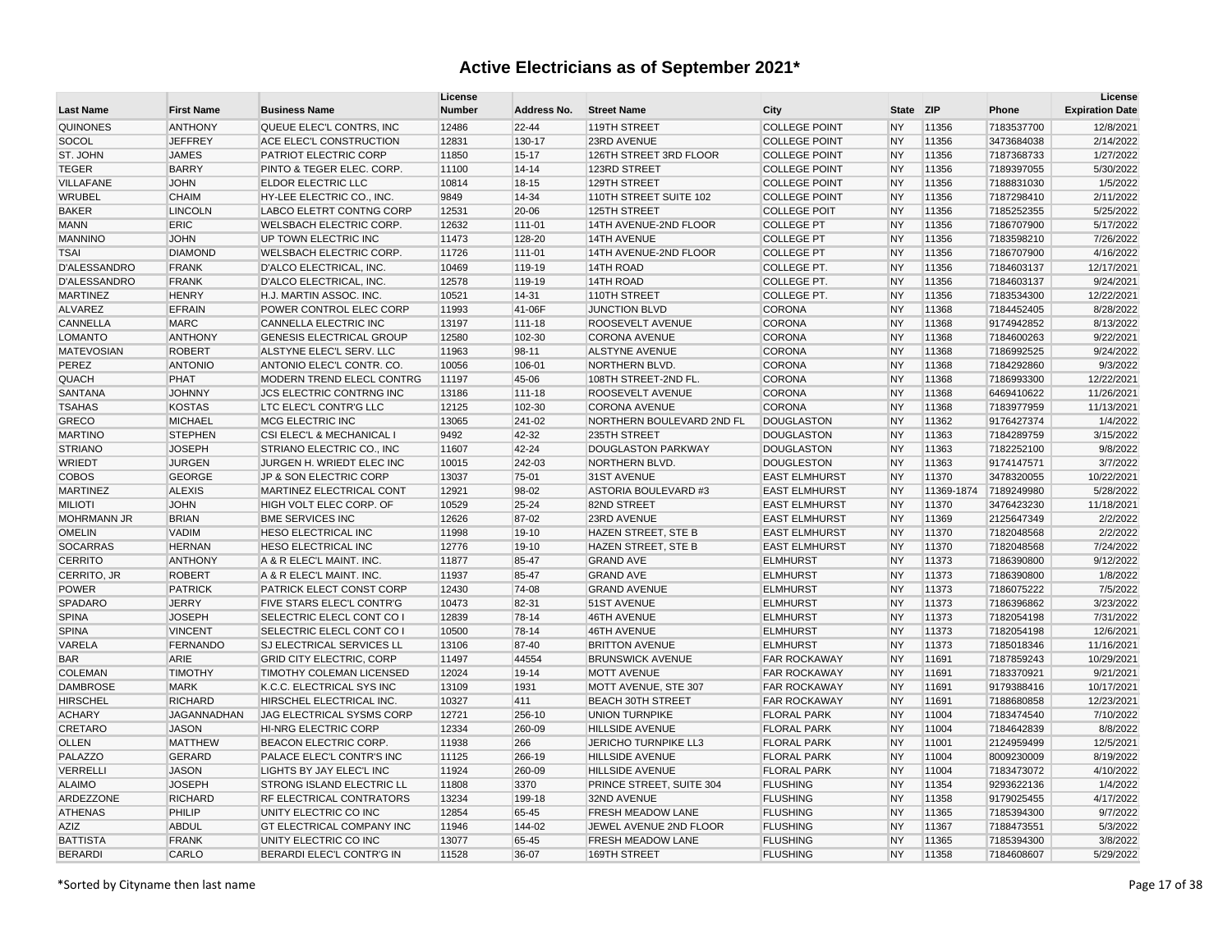| <b>Last Name</b>   | <b>First Name</b> | <b>Business Name</b>             | License<br><b>Number</b> | Address No. | <b>Street Name</b>         | City                 | <b>State</b> | <b>ZIP</b> | Phone      | License<br><b>Expiration Date</b> |
|--------------------|-------------------|----------------------------------|--------------------------|-------------|----------------------------|----------------------|--------------|------------|------------|-----------------------------------|
| <b>QUINONES</b>    | <b>ANTHONY</b>    | QUEUE ELEC'L CONTRS, INC         | 12486                    | 22-44       | 119TH STREET               | <b>COLLEGE POINT</b> | <b>NY</b>    | 11356      | 7183537700 | 12/8/2021                         |
| SOCOL              | <b>JEFFREY</b>    | <b>ACE ELEC'L CONSTRUCTION</b>   | 12831                    | 130-17      | 23RD AVENUE                | <b>COLLEGE POINT</b> | <b>NY</b>    | 11356      | 3473684038 | 2/14/2022                         |
| ST. JOHN           | <b>JAMES</b>      | PATRIOT ELECTRIC CORP            | 11850                    | 15-17       | 126TH STREET 3RD FLOOR     | <b>COLLEGE POINT</b> | <b>NY</b>    | 11356      | 7187368733 | 1/27/2022                         |
| <b>TEGER</b>       | <b>BARRY</b>      | PINTO & TEGER ELEC. CORP.        | 11100                    | 14-14       | 123RD STREET               | <b>COLLEGE POINT</b> | <b>NY</b>    | 11356      | 7189397055 | 5/30/2022                         |
| <b>VILLAFANE</b>   | <b>JOHN</b>       | <b>ELDOR ELECTRIC LLC</b>        | 10814                    | 18-15       | 129TH STREET               | <b>COLLEGE POINT</b> | <b>NY</b>    | 11356      | 7188831030 | 1/5/2022                          |
| WRUBEL             | <b>CHAIM</b>      | HY-LEE ELECTRIC CO., INC.        | 9849                     | 14-34       | 110TH STREET SUITE 102     | <b>COLLEGE POINT</b> | <b>NY</b>    | 11356      | 7187298410 | 2/11/2022                         |
| <b>BAKER</b>       | <b>LINCOLN</b>    | LABCO ELETRT CONTNG CORP         | 12531                    | 20-06       | 125TH STREET               | <b>COLLEGE POIT</b>  | <b>NY</b>    | 11356      | 7185252355 | 5/25/2022                         |
| <b>MANN</b>        | <b>ERIC</b>       | <b>WELSBACH ELECTRIC CORP.</b>   | 12632                    | 111-01      | 14TH AVENUE-2ND FLOOR      | <b>COLLEGE PT</b>    | <b>NY</b>    | 11356      | 7186707900 | 5/17/2022                         |
| <b>MANNINO</b>     | <b>JOHN</b>       | UP TOWN ELECTRIC INC             | 11473                    | 128-20      | <b>14TH AVENUE</b>         | <b>COLLEGE PT</b>    | <b>NY</b>    | 11356      | 7183598210 | 7/26/2022                         |
| <b>TSAI</b>        | <b>DIAMOND</b>    | <b>WELSBACH ELECTRIC CORP.</b>   | 11726                    | 111-01      | 14TH AVENUE-2ND FLOOR      | <b>COLLEGE PT</b>    | <b>NY</b>    | 11356      | 7186707900 | 4/16/2022                         |
| D'ALESSANDRO       | <b>FRANK</b>      | D'ALCO ELECTRICAL, INC.          | 10469                    | 119-19      | 14TH ROAD                  | <b>COLLEGE PT.</b>   | <b>NY</b>    | 11356      | 7184603137 | 12/17/2021                        |
| D'ALESSANDRO       | <b>FRANK</b>      | D'ALCO ELECTRICAL, INC.          | 12578                    | 119-19      | 14TH ROAD                  | COLLEGE PT.          | <b>NY</b>    | 11356      | 7184603137 | 9/24/2021                         |
| <b>MARTINEZ</b>    | <b>HENRY</b>      | H.J. MARTIN ASSOC. INC.          | 10521                    | 14-31       | 110TH STREET               | <b>COLLEGE PT.</b>   | <b>NY</b>    | 11356      | 7183534300 | 12/22/2021                        |
| <b>ALVAREZ</b>     | <b>EFRAIN</b>     | POWER CONTROL ELEC CORP          | 11993                    | 41-06F      | <b>JUNCTION BLVD</b>       | <b>CORONA</b>        | <b>NY</b>    | 11368      | 7184452405 | 8/28/2022                         |
| <b>CANNELLA</b>    | <b>MARC</b>       | CANNELLA ELECTRIC INC            | 13197                    | 111-18      | ROOSEVELT AVENUE           | <b>CORONA</b>        | <b>NY</b>    | 11368      | 9174942852 | 8/13/2022                         |
| <b>LOMANTO</b>     | <b>ANTHONY</b>    | <b>GENESIS ELECTRICAL GROUP</b>  | 12580                    | 102-30      | <b>CORONA AVENUE</b>       | <b>CORONA</b>        | <b>NY</b>    | 11368      | 7184600263 | 9/22/2021                         |
| <b>MATEVOSIAN</b>  | <b>ROBERT</b>     | ALSTYNE ELEC'L SERV. LLC         | 11963                    | 98-11       | <b>ALSTYNE AVENUE</b>      | <b>CORONA</b>        | <b>NY</b>    | 11368      | 7186992525 | 9/24/2022                         |
| <b>PEREZ</b>       | <b>ANTONIO</b>    | ANTONIO ELEC'L CONTR. CO.        | 10056                    | 106-01      | NORTHERN BLVD.             | <b>CORONA</b>        | <b>NY</b>    | 11368      | 7184292860 | 9/3/2022                          |
| <b>QUACH</b>       | PHAT              | MODERN TREND ELECL CONTRG        | 11197                    | 45-06       | 108TH STREET-2ND FL.       | <b>CORONA</b>        | <b>NY</b>    | 11368      | 7186993300 | 12/22/2021                        |
| <b>SANTANA</b>     | <b>JOHNNY</b>     | JCS ELECTRIC CONTRNG INC         | 13186                    | 111-18      | ROOSEVELT AVENUE           | <b>CORONA</b>        | <b>NY</b>    | 11368      | 6469410622 | 11/26/2021                        |
| <b>TSAHAS</b>      | <b>KOSTAS</b>     | LTC ELEC'L CONTR'G LLC           | 12125                    | 102-30      | <b>CORONA AVENUE</b>       | <b>CORONA</b>        | <b>NY</b>    | 11368      | 7183977959 | 11/13/2021                        |
| <b>GRECO</b>       | <b>MICHAEL</b>    | <b>MCG ELECTRIC INC</b>          | 13065                    | 241-02      | NORTHERN BOULEVARD 2ND FL  | <b>DOUGLASTON</b>    | <b>NY</b>    | 11362      | 9176427374 | 1/4/2022                          |
| <b>MARTINO</b>     | <b>STEPHEN</b>    | CSI ELEC'L & MECHANICAL I        | 9492                     | 42-32       | 235TH STREET               | <b>DOUGLASTON</b>    | <b>NY</b>    | 11363      | 7184289759 | 3/15/2022                         |
| <b>STRIANO</b>     | <b>JOSEPH</b>     | STRIANO ELECTRIC CO., INC        | 11607                    | 42-24       | <b>DOUGLASTON PARKWAY</b>  | <b>DOUGLASTON</b>    | <b>NY</b>    | 11363      | 7182252100 | 9/8/2022                          |
| <b>WRIEDT</b>      | <b>JURGEN</b>     | JURGEN H. WRIEDT ELEC INC        | 10015                    | 242-03      | NORTHERN BLVD.             | <b>DOUGLESTON</b>    | <b>NY</b>    | 11363      | 9174147571 | 3/7/2022                          |
| <b>COBOS</b>       | <b>GEORGE</b>     | JP & SON ELECTRIC CORP           | 13037                    | 75-01       | 31ST AVENUE                | <b>EAST ELMHURST</b> | <b>NY</b>    | 11370      | 3478320055 | 10/22/2021                        |
| <b>MARTINEZ</b>    | <b>ALEXIS</b>     | MARTINEZ ELECTRICAL CONT         | 12921                    | 98-02       | ASTORIA BOULEVARD #3       | <b>EAST ELMHURST</b> | <b>NY</b>    | 11369-1874 | 7189249980 | 5/28/2022                         |
| <b>MILIOTI</b>     | <b>JOHN</b>       | HIGH VOLT ELEC CORP. OF          | 10529                    | 25-24       | 82ND STREET                | <b>EAST ELMHURST</b> | <b>NY</b>    | 11370      | 3476423230 | 11/18/2021                        |
| <b>MOHRMANN JR</b> | <b>BRIAN</b>      | <b>BME SERVICES INC</b>          | 12626                    | 87-02       | 23RD AVENUE                | <b>EAST ELMHURST</b> | <b>NY</b>    | 11369      | 2125647349 | 2/2/2022                          |
| <b>OMELIN</b>      | <b>VADIM</b>      | <b>HESO ELECTRICAL INC</b>       | 11998                    | 19-10       | <b>HAZEN STREET, STE B</b> | <b>EAST ELMHURST</b> | <b>NY</b>    | 11370      | 7182048568 | 2/2/2022                          |
| <b>SOCARRAS</b>    | <b>HERNAN</b>     | <b>HESO ELECTRICAL INC</b>       | 12776                    | 19-10       | <b>HAZEN STREET, STE B</b> | <b>EAST ELMHURST</b> | <b>NY</b>    | 11370      | 7182048568 | 7/24/2022                         |
| <b>CERRITO</b>     | <b>ANTHONY</b>    | A & R ELEC'L MAINT. INC.         | 11877                    | 85-47       | <b>GRAND AVE</b>           | <b>ELMHURST</b>      | <b>NY</b>    | 11373      | 7186390800 | 9/12/2022                         |
| CERRITO, JR        | <b>ROBERT</b>     | A & R ELEC'L MAINT. INC.         | 11937                    | 85-47       | <b>GRAND AVE</b>           | <b>ELMHURST</b>      | <b>NY</b>    | 11373      | 7186390800 | 1/8/2022                          |
| <b>POWER</b>       | <b>PATRICK</b>    | PATRICK ELECT CONST CORP         | 12430                    | 74-08       | <b>GRAND AVENUE</b>        | <b>ELMHURST</b>      | <b>NY</b>    | 11373      | 7186075222 | 7/5/2022                          |
| <b>SPADARO</b>     | <b>JERRY</b>      | <b>FIVE STARS ELEC'L CONTR'G</b> | 10473                    | 82-31       | 51ST AVENUE                | <b>ELMHURST</b>      | <b>NY</b>    | 11373      | 7186396862 | 3/23/2022                         |
| <b>SPINA</b>       | <b>JOSEPH</b>     | <b>SELECTRIC ELECL CONT CO I</b> | 12839                    | 78-14       | 46TH AVENUE                | <b>ELMHURST</b>      | <b>NY</b>    | 11373      | 7182054198 | 7/31/2022                         |
| <b>SPINA</b>       | <b>VINCENT</b>    | SELECTRIC ELECL CONT CO          | 10500                    | 78-14       | 46TH AVENUE                | <b>ELMHURST</b>      | <b>NY</b>    | 11373      | 7182054198 | 12/6/2021                         |
| VARELA             | FERNANDO          | <b>SJ ELECTRICAL SERVICES LL</b> | 13106                    | 87-40       | <b>BRITTON AVENUE</b>      | <b>ELMHURST</b>      | <b>NY</b>    | 11373      | 7185018346 | 11/16/2021                        |
| <b>BAR</b>         | <b>ARIE</b>       | <b>GRID CITY ELECTRIC, CORP</b>  | 11497                    | 44554       | <b>BRUNSWICK AVENUE</b>    | <b>FAR ROCKAWAY</b>  | <b>NY</b>    | 11691      | 7187859243 | 10/29/2021                        |
| <b>COLEMAN</b>     | <b>TIMOTHY</b>    | <b>TIMOTHY COLEMAN LICENSED</b>  | 12024                    | 19-14       | <b>MOTT AVENUE</b>         | <b>FAR ROCKAWAY</b>  | <b>NY</b>    | 11691      | 7183370921 | 9/21/2021                         |
| <b>DAMBROSE</b>    | <b>MARK</b>       | K.C.C. ELECTRICAL SYS INC        | 13109                    | 1931        | MOTT AVENUE, STE 307       | <b>FAR ROCKAWAY</b>  | <b>NY</b>    | 11691      | 9179388416 | 10/17/2021                        |
| <b>HIRSCHEL</b>    | <b>RICHARD</b>    | HIRSCHEL ELECTRICAL INC.         | 10327                    | 411         | <b>BEACH 30TH STREET</b>   | <b>FAR ROCKAWAY</b>  | <b>NY</b>    | 11691      | 7188680858 | 12/23/2021                        |
| <b>ACHARY</b>      | JAGANNADHAN       | JAG ELECTRICAL SYSMS CORP        | 12721                    | 256-10      | <b>UNION TURNPIKE</b>      | <b>FLORAL PARK</b>   | <b>NY</b>    | 11004      | 7183474540 | 7/10/2022                         |
| <b>CRETARO</b>     | <b>JASON</b>      | <b>HI-NRG ELECTRIC CORP</b>      | 12334                    | 260-09      | <b>HILLSIDE AVENUE</b>     | <b>FLORAL PARK</b>   | <b>NY</b>    | 11004      | 7184642839 | 8/8/2022                          |
| <b>OLLEN</b>       | <b>MATTHEW</b>    | BEACON ELECTRIC CORP.            | 11938                    | 266         | JERICHO TURNPIKE LL3       | <b>FLORAL PARK</b>   | <b>NY</b>    | 11001      | 2124959499 | 12/5/2021                         |
| PALAZZO            | <b>GERARD</b>     | PALACE ELEC'L CONTR'S INC        | 11125                    | 266-19      | <b>HILLSIDE AVENUE</b>     | <b>FLORAL PARK</b>   | <b>NY</b>    | 11004      | 8009230009 | 8/19/2022                         |
| <b>VERRELLI</b>    | <b>JASON</b>      | LIGHTS BY JAY ELEC'L INC         | 11924                    | 260-09      | <b>HILLSIDE AVENUE</b>     | <b>FLORAL PARK</b>   | <b>NY</b>    | 11004      | 7183473072 | 4/10/2022                         |
| <b>ALAIMO</b>      | <b>JOSEPH</b>     | STRONG ISLAND ELECTRIC LL        | 11808                    | 3370        | PRINCE STREET, SUITE 304   | <b>FLUSHING</b>      | <b>NY</b>    | 11354      | 9293622136 | 1/4/2022                          |
| ARDEZZONE          | <b>RICHARD</b>    | <b>RF ELECTRICAL CONTRATORS</b>  | 13234                    | 199-18      | 32ND AVENUE                | <b>FLUSHING</b>      | <b>NY</b>    | 11358      | 9179025455 | 4/17/2022                         |
| <b>ATHENAS</b>     | PHILIP            | UNITY ELECTRIC CO INC            | 12854                    | 65-45       | FRESH MEADOW LANE          | <b>FLUSHING</b>      | <b>NY</b>    | 11365      | 7185394300 | 9/7/2022                          |
| <b>AZIZ</b>        | <b>ABDUL</b>      | <b>GT ELECTRICAL COMPANY INC</b> | 11946                    | 144-02      | JEWEL AVENUE 2ND FLOOR     | <b>FLUSHING</b>      | <b>NY</b>    | 11367      | 7188473551 | 5/3/2022                          |
| <b>BATTISTA</b>    | <b>FRANK</b>      | UNITY ELECTRIC CO INC            | 13077                    | 65-45       | FRESH MEADOW LANE          | <b>FLUSHING</b>      | <b>NY</b>    | 11365      | 7185394300 | 3/8/2022                          |
| <b>BERARDI</b>     | CARLO             | BERARDI ELEC'L CONTR'G IN        | 11528                    | 36-07       | 169TH STREET               | <b>FLUSHING</b>      | <b>NY</b>    | 11358      | 7184608607 | 5/29/2022                         |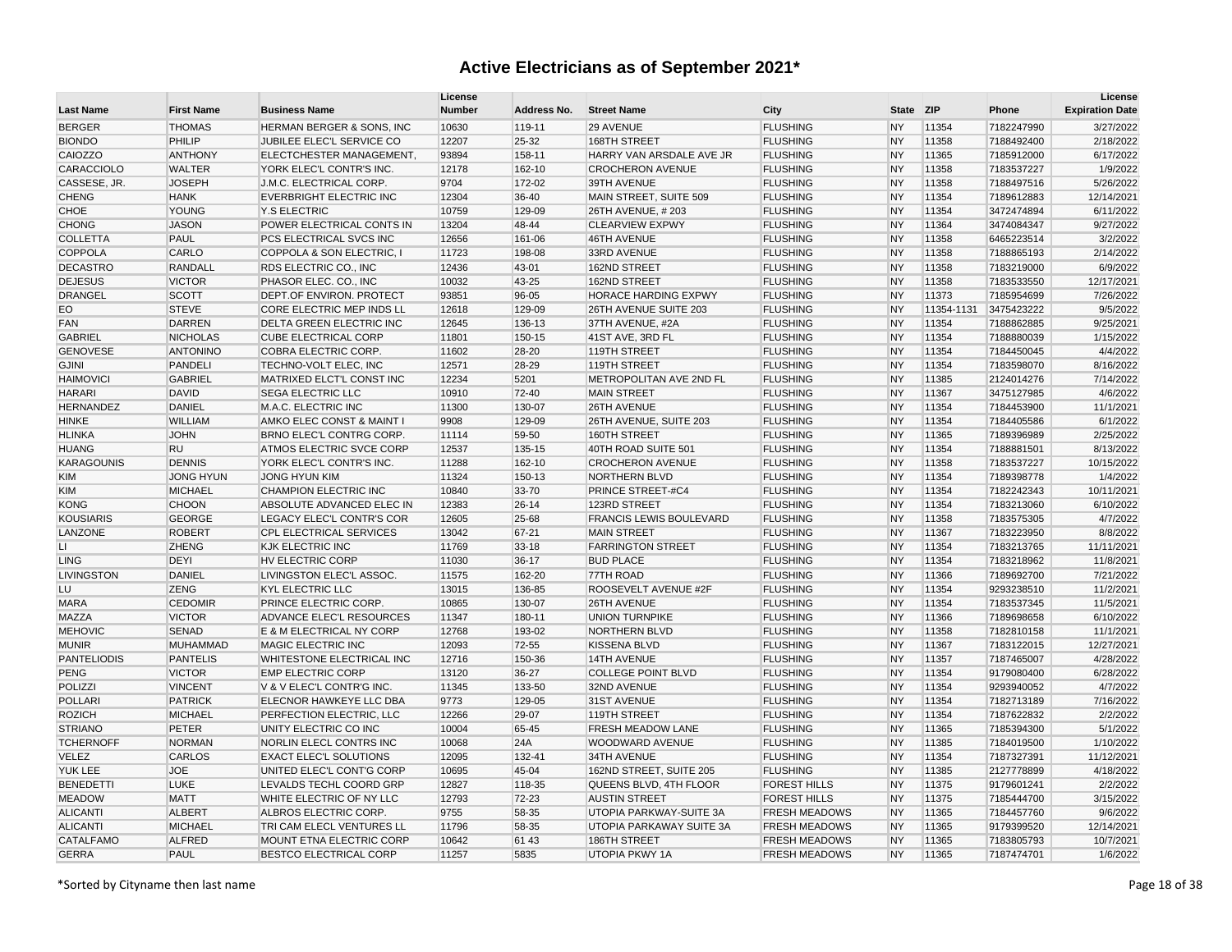| <b>Last Name</b>   | <b>First Name</b> | <b>Business Name</b>            | License<br><b>Number</b> | Address No. | <b>Street Name</b>             | City                 | State ZIP |            | Phone      | License<br><b>Expiration Date</b> |
|--------------------|-------------------|---------------------------------|--------------------------|-------------|--------------------------------|----------------------|-----------|------------|------------|-----------------------------------|
| <b>BERGER</b>      | <b>THOMAS</b>     | HERMAN BERGER & SONS, INC       | 10630                    | 119-11      | <b>29 AVENUE</b>               | <b>FLUSHING</b>      | <b>NY</b> | 11354      | 7182247990 | 3/27/2022                         |
| <b>BIONDO</b>      | PHILIP            | JUBILEE ELEC'L SERVICE CO       | 12207                    | 25-32       | 168TH STREET                   | <b>FLUSHING</b>      | <b>NY</b> | 11358      | 7188492400 | 2/18/2022                         |
| CAIOZZO            | <b>ANTHONY</b>    | ELECTCHESTER MANAGEMENT,        | 93894                    | 158-11      | HARRY VAN ARSDALE AVE JR       | <b>FLUSHING</b>      | <b>NY</b> | 11365      | 7185912000 | 6/17/2022                         |
| CARACCIOLO         | <b>WALTER</b>     | YORK ELEC'L CONTR'S INC.        | 12178                    | 162-10      | <b>CROCHERON AVENUE</b>        | <b>FLUSHING</b>      | <b>NY</b> | 11358      | 7183537227 | 1/9/2022                          |
| CASSESE, JR.       | <b>JOSEPH</b>     | J.M.C. ELECTRICAL CORP.         | 9704                     | 172-02      | 39TH AVENUE                    | <b>FLUSHING</b>      | <b>NY</b> | 11358      | 7188497516 | 5/26/2022                         |
| <b>CHENG</b>       | <b>HANK</b>       | <b>EVERBRIGHT ELECTRIC INC</b>  | 12304                    | 36-40       | MAIN STREET, SUITE 509         | <b>FLUSHING</b>      | <b>NY</b> | 11354      | 7189612883 | 12/14/2021                        |
| CHOE               | YOUNG             | Y.S ELECTRIC                    | 10759                    | 129-09      | 26TH AVENUE, #203              | <b>FLUSHING</b>      | <b>NY</b> | 11354      | 3472474894 | 6/11/2022                         |
| <b>CHONG</b>       | <b>JASON</b>      | POWER ELECTRICAL CONTS IN       | 13204                    | 48-44       | <b>CLEARVIEW EXPWY</b>         | <b>FLUSHING</b>      | <b>NY</b> | 11364      | 3474084347 | 9/27/2022                         |
| <b>COLLETTA</b>    | PAUL              | PCS ELECTRICAL SVCS INC         | 12656                    | 161-06      | 46TH AVENUE                    | <b>FLUSHING</b>      | <b>NY</b> | 11358      | 6465223514 | 3/2/2022                          |
| <b>COPPOLA</b>     | CARLO             | COPPOLA & SON ELECTRIC, I       | 11723                    | 198-08      | 33RD AVENUE                    | <b>FLUSHING</b>      | <b>NY</b> | 11358      | 7188865193 | 2/14/2022                         |
| <b>DECASTRO</b>    | RANDALL           | RDS ELECTRIC CO., INC           | 12436                    | 43-01       | 162ND STREET                   | <b>FLUSHING</b>      | <b>NY</b> | 11358      | 7183219000 | 6/9/2022                          |
| <b>DEJESUS</b>     | <b>VICTOR</b>     | PHASOR ELEC. CO., INC           | 10032                    | 43-25       | 162ND STREET                   | <b>FLUSHING</b>      | <b>NY</b> | 11358      | 7183533550 | 12/17/2021                        |
| <b>DRANGEL</b>     | <b>SCOTT</b>      | DEPT.OF ENVIRON. PROTECT        | 93851                    | 96-05       | HORACE HARDING EXPWY           | <b>FLUSHING</b>      | <b>NY</b> | 11373      | 7185954699 | 7/26/2022                         |
| EO                 | <b>STEVE</b>      | CORE ELECTRIC MEP INDS LL       | 12618                    | 129-09      | 26TH AVENUE SUITE 203          | <b>FLUSHING</b>      | <b>NY</b> | 11354-1131 | 3475423222 | 9/5/2022                          |
| <b>FAN</b>         | <b>DARREN</b>     | DELTA GREEN ELECTRIC INC        | 12645                    | 136-13      | 37TH AVENUE, #2A               | <b>FLUSHING</b>      | <b>NY</b> | 11354      | 7188862885 | 9/25/2021                         |
| <b>GABRIEL</b>     | <b>NICHOLAS</b>   | <b>CUBE ELECTRICAL CORP</b>     | 11801                    | 150-15      | 41ST AVE, 3RD FL               | <b>FLUSHING</b>      | <b>NY</b> | 11354      | 7188880039 | 1/15/2022                         |
| <b>GENOVESE</b>    | <b>ANTONINO</b>   | COBRA ELECTRIC CORP.            | 11602                    | 28-20       | 119TH STREET                   | <b>FLUSHING</b>      | <b>NY</b> | 11354      | 7184450045 | 4/4/2022                          |
| <b>GJINI</b>       | <b>PANDELI</b>    | TECHNO-VOLT ELEC, INC           | 12571                    | 28-29       | 119TH STREET                   | <b>FLUSHING</b>      | <b>NY</b> | 11354      | 7183598070 | 8/16/2022                         |
| <b>HAIMOVICI</b>   | <b>GABRIEL</b>    | MATRIXED ELCT'L CONST INC       | 12234                    | 5201        | METROPOLITAN AVE 2ND FL        | <b>FLUSHING</b>      | <b>NY</b> | 11385      | 2124014276 | 7/14/2022                         |
| <b>HARARI</b>      | <b>DAVID</b>      | <b>SEGA ELECTRIC LLC</b>        | 10910                    | 72-40       | <b>MAIN STREET</b>             | <b>FLUSHING</b>      | <b>NY</b> | 11367      | 3475127985 | 4/6/2022                          |
| <b>HERNANDEZ</b>   | <b>DANIEL</b>     | M.A.C. ELECTRIC INC             | 11300                    | 130-07      | 26TH AVENUE                    | <b>FLUSHING</b>      | <b>NY</b> | 11354      | 7184453900 | 11/1/2021                         |
| <b>HINKE</b>       | <b>WILLIAM</b>    | AMKO ELEC CONST & MAINT I       | 9908                     | 129-09      | 26TH AVENUE, SUITE 203         | <b>FLUSHING</b>      | <b>NY</b> | 11354      | 7184405586 | 6/1/2022                          |
| <b>HLINKA</b>      | <b>JOHN</b>       | BRNO ELEC'L CONTRG CORP.        | 11114                    | 59-50       | 160TH STREET                   | <b>FLUSHING</b>      | <b>NY</b> | 11365      | 7189396989 | 2/25/2022                         |
| <b>HUANG</b>       | <b>RU</b>         | ATMOS ELECTRIC SVCE CORP        | 12537                    | 135-15      | 40TH ROAD SUITE 501            | <b>FLUSHING</b>      | <b>NY</b> | 11354      | 7188881501 | 8/13/2022                         |
| <b>KARAGOUNIS</b>  | <b>DENNIS</b>     | YORK ELEC'L CONTR'S INC.        | 11288                    | 162-10      | <b>CROCHERON AVENUE</b>        | <b>FLUSHING</b>      | <b>NY</b> | 11358      | 7183537227 | 10/15/2022                        |
| <b>KIM</b>         | <b>JONG HYUN</b>  | <b>JONG HYUN KIM</b>            | 11324                    | 150-13      | <b>NORTHERN BLVD</b>           | <b>FLUSHING</b>      | <b>NY</b> | 11354      | 7189398778 | 1/4/2022                          |
| <b>KIM</b>         | <b>MICHAEL</b>    | CHAMPION ELECTRIC INC           | 10840                    | 33-70       | PRINCE STREET-#C4              | <b>FLUSHING</b>      | <b>NY</b> | 11354      | 7182242343 | 10/11/2021                        |
| <b>KONG</b>        | <b>CHOON</b>      | ABSOLUTE ADVANCED ELEC IN       | 12383                    | 26-14       | 123RD STREET                   | <b>FLUSHING</b>      | <b>NY</b> | 11354      | 7183213060 | 6/10/2022                         |
| <b>KOUSIARIS</b>   | <b>GEORGE</b>     | LEGACY ELEC'L CONTR'S COR       | 12605                    | 25-68       | <b>FRANCIS LEWIS BOULEVARD</b> | <b>FLUSHING</b>      | <b>NY</b> | 11358      | 7183575305 | 4/7/2022                          |
| LANZONE            | <b>ROBERT</b>     | CPL ELECTRICAL SERVICES         | 13042                    | 67-21       | <b>MAIN STREET</b>             | <b>FLUSHING</b>      | <b>NY</b> | 11367      | 7183223950 | 8/8/2022                          |
| LI.                | <b>ZHENG</b>      | KJK ELECTRIC INC                | 11769                    | $33-18$     | <b>FARRINGTON STREET</b>       | <b>FLUSHING</b>      | <b>NY</b> | 11354      | 7183213765 | 11/11/2021                        |
| <b>LING</b>        | <b>DEYI</b>       | HV ELECTRIC CORP                | 11030                    | 36-17       | <b>BUD PLACE</b>               | <b>FLUSHING</b>      | <b>NY</b> | 11354      | 7183218962 | 11/8/2021                         |
| <b>LIVINGSTON</b>  | <b>DANIEL</b>     | LIVINGSTON ELEC'L ASSOC.        | 11575                    | 162-20      | 77TH ROAD                      | <b>FLUSHING</b>      | <b>NY</b> | 11366      | 7189692700 | 7/21/2022                         |
| LU                 | <b>ZENG</b>       | <b>KYL ELECTRIC LLC</b>         | 13015                    | 136-85      | ROOSEVELT AVENUE #2F           | <b>FLUSHING</b>      | <b>NY</b> | 11354      | 9293238510 | 11/2/2021                         |
| <b>MARA</b>        | <b>CEDOMIR</b>    | PRINCE ELECTRIC CORP.           | 10865                    | 130-07      | 26TH AVENUE                    | <b>FLUSHING</b>      | <b>NY</b> | 11354      | 7183537345 | 11/5/2021                         |
| MAZZA              | <b>VICTOR</b>     | ADVANCE ELEC'L RESOURCES        | 11347                    | 180-11      | <b>UNION TURNPIKE</b>          | <b>FLUSHING</b>      | <b>NY</b> | 11366      | 7189698658 | 6/10/2022                         |
| <b>MEHOVIC</b>     | <b>SENAD</b>      | E & M ELECTRICAL NY CORP        | 12768                    | 193-02      | NORTHERN BLVD                  | <b>FLUSHING</b>      | <b>NY</b> | 11358      | 7182810158 | 11/1/2021                         |
| <b>MUNIR</b>       | <b>MUHAMMAD</b>   | MAGIC ELECTRIC INC              | 12093                    | 72-55       | <b>KISSENA BLVD</b>            | <b>FLUSHING</b>      | <b>NY</b> | 11367      | 7183122015 | 12/27/2021                        |
| <b>PANTELIODIS</b> | <b>PANTELIS</b>   | WHITESTONE ELECTRICAL INC       | 12716                    | 150-36      | <b>14TH AVENUE</b>             | <b>FLUSHING</b>      | <b>NY</b> | 11357      | 7187465007 | 4/28/2022                         |
| <b>PENG</b>        | <b>VICTOR</b>     | <b>EMP ELECTRIC CORP</b>        | 13120                    | 36-27       | <b>COLLEGE POINT BLVD</b>      | <b>FLUSHING</b>      | <b>NY</b> | 11354      | 9179080400 | 6/28/2022                         |
| <b>POLIZZI</b>     | <b>VINCENT</b>    | V & V ELEC'L CONTR'G INC.       | 11345                    | 133-50      | 32ND AVENUE                    | <b>FLUSHING</b>      | <b>NY</b> | 11354      | 9293940052 | 4/7/2022                          |
| <b>POLLARI</b>     | <b>PATRICK</b>    | ELECNOR HAWKEYE LLC DBA         | 9773                     | 129-05      | 31ST AVENUE                    | <b>FLUSHING</b>      | <b>NY</b> | 11354      | 7182713189 | 7/16/2022                         |
| <b>ROZICH</b>      | <b>MICHAEL</b>    | PERFECTION ELECTRIC, LLC        | 12266                    | 29-07       | 119TH STREET                   | <b>FLUSHING</b>      | <b>NY</b> | 11354      | 7187622832 | 2/2/2022                          |
| <b>STRIANO</b>     | <b>PETER</b>      | UNITY ELECTRIC CO INC           | 10004                    | 65-45       | FRESH MEADOW LANE              | <b>FLUSHING</b>      | <b>NY</b> | 11365      | 7185394300 | 5/1/2022                          |
| <b>TCHERNOFF</b>   | <b>NORMAN</b>     | NORLIN ELECL CONTRS INC         | 10068                    | 24A         | WOODWARD AVENUE                | <b>FLUSHING</b>      | <b>NY</b> | 11385      | 7184019500 | 1/10/2022                         |
| <b>VELEZ</b>       | <b>CARLOS</b>     | <b>EXACT ELEC'L SOLUTIONS</b>   | 12095                    | 132-41      | 34TH AVENUE                    | <b>FLUSHING</b>      | <b>NY</b> | 11354      | 7187327391 | 11/12/2021                        |
| YUK LEE            | <b>JOE</b>        | UNITED ELEC'L CONT'G CORP       | 10695                    | 45-04       | 162ND STREET, SUITE 205        | <b>FLUSHING</b>      | <b>NY</b> | 11385      | 2127778899 | 4/18/2022                         |
| <b>BENEDETTI</b>   | <b>LUKE</b>       | LEVALDS TECHL COORD GRP         | 12827                    | 118-35      | QUEENS BLVD, 4TH FLOOR         | <b>FOREST HILLS</b>  | <b>NY</b> | 11375      | 9179601241 | 2/2/2022                          |
| <b>MEADOW</b>      | <b>MATT</b>       | <b>WHITE ELECTRIC OF NY LLC</b> | 12793                    | 72-23       | <b>AUSTIN STREET</b>           | <b>FOREST HILLS</b>  | <b>NY</b> | 11375      | 7185444700 | 3/15/2022                         |
| <b>ALICANTI</b>    | <b>ALBERT</b>     | ALBROS ELECTRIC CORP.           | 9755                     | 58-35       | UTOPIA PARKWAY-SUITE 3A        | <b>FRESH MEADOWS</b> | <b>NY</b> | 11365      | 7184457760 | 9/6/2022                          |
| <b>ALICANTI</b>    | <b>MICHAEL</b>    | TRI CAM ELECL VENTURES LL       | 11796                    | 58-35       | UTOPIA PARKAWAY SUITE 3A       | <b>FRESH MEADOWS</b> | <b>NY</b> | 11365      | 9179399520 | 12/14/2021                        |
| CATALFAMO          | <b>ALFRED</b>     | MOUNT ETNA ELECTRIC CORP        | 10642                    | 61 43       | 186TH STREET                   | <b>FRESH MEADOWS</b> | <b>NY</b> | 11365      | 7183805793 | 10/7/2021                         |
| <b>GERRA</b>       | PAUL              | BESTCO ELECTRICAL CORP          | 11257                    | 5835        | UTOPIA PKWY 1A                 | <b>FRESH MEADOWS</b> | <b>NY</b> | 11365      | 7187474701 | 1/6/2022                          |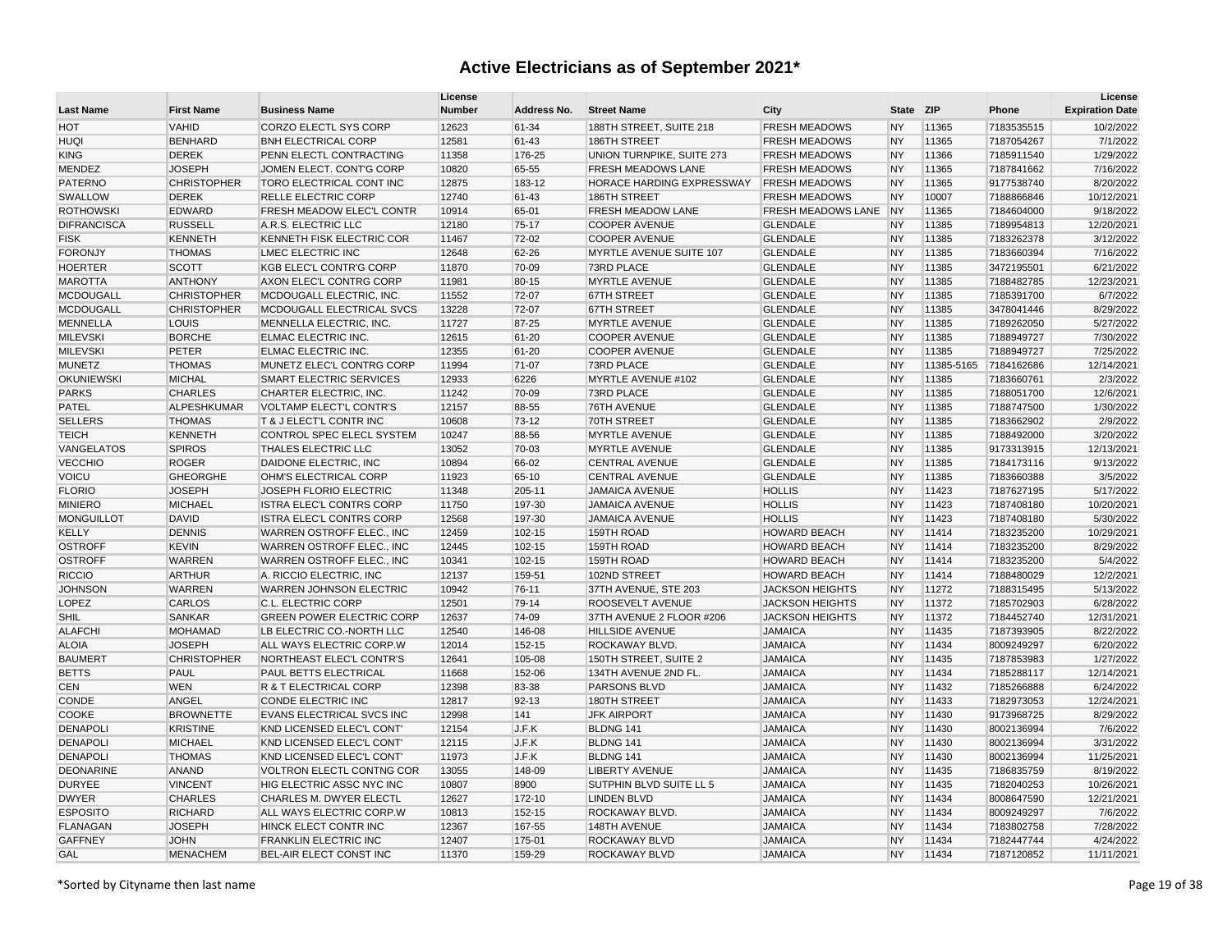| <b>Last Name</b>               | <b>First Name</b>              | <b>Business Name</b>                                          | License<br><b>Number</b> | Address No.      | <b>Street Name</b>                           | City                                             | <b>State</b>           | <b>ZIP</b>     | Phone                    | License<br><b>Expiration Date</b> |
|--------------------------------|--------------------------------|---------------------------------------------------------------|--------------------------|------------------|----------------------------------------------|--------------------------------------------------|------------------------|----------------|--------------------------|-----------------------------------|
|                                |                                |                                                               |                          |                  |                                              |                                                  |                        |                |                          |                                   |
| <b>HOT</b>                     | <b>VAHID</b>                   | <b>CORZO ELECTL SYS CORP</b>                                  | 12623                    | 61-34            | 188TH STREET, SUITE 218                      | <b>FRESH MEADOWS</b>                             | <b>NY</b>              | 11365          | 7183535515               | 10/2/2022                         |
| <b>HUQI</b>                    | <b>BENHARD</b>                 | <b>BNH ELECTRICAL CORP</b>                                    | 12581                    | 61-43            | 186TH STREET                                 | <b>FRESH MEADOWS</b>                             | <b>NY</b>              | 11365          | 7187054267               | 7/1/2022                          |
| <b>KING</b>                    | <b>DEREK</b>                   | PENN ELECTL CONTRACTING                                       | 11358                    | 176-25           | UNION TURNPIKE, SUITE 273                    | <b>FRESH MEADOWS</b>                             | <b>NY</b>              | 11366          | 7185911540               | 1/29/2022                         |
| <b>MENDEZ</b>                  | <b>JOSEPH</b>                  | JOMEN ELECT. CONT'G CORP                                      | 10820                    | 65-55            | <b>FRESH MEADOWS LANE</b>                    | <b>FRESH MEADOWS</b>                             | <b>NY</b>              | 11365          | 7187841662               | 7/16/2022                         |
| <b>PATERNO</b>                 | <b>CHRISTOPHER</b>             | TORO ELECTRICAL CONT INC                                      | 12875                    | 183-12           | HORACE HARDING EXPRESSWAY                    | <b>FRESH MEADOWS</b>                             | <b>NY</b>              | 11365          | 9177538740               | 8/20/2022                         |
| SWALLOW                        | <b>DEREK</b>                   | <b>RELLE ELECTRIC CORP</b>                                    | 12740                    | 61-43            | 186TH STREET                                 | <b>FRESH MEADOWS</b>                             | <b>NY</b>              | 10007          | 7188866846               | 10/12/2021                        |
| <b>ROTHOWSKI</b>               | <b>EDWARD</b>                  | <b>FRESH MEADOW ELEC'L CONTR</b>                              | 10914                    | 65-01            | FRESH MEADOW LANE                            | FRESH MEADOWS LANE NY                            |                        | 11365          | 7184604000               | 9/18/2022                         |
| <b>DIFRANCISCA</b>             | <b>RUSSELL</b>                 | A.R.S. ELECTRIC LLC                                           | 12180                    | 75-17            | <b>COOPER AVENUE</b>                         | <b>GLENDALE</b>                                  | <b>NY</b>              | 11385          | 7189954813               | 12/20/2021                        |
| <b>FISK</b>                    | <b>KENNETH</b>                 | KENNETH FISK ELECTRIC COR                                     | 11467                    | 72-02            | <b>COOPER AVENUE</b>                         | <b>GLENDALE</b>                                  | <b>NY</b>              | 11385          | 7183262378               | 3/12/2022                         |
| <b>FORONJY</b>                 | <b>THOMAS</b>                  | <b>LMEC ELECTRIC INC</b>                                      | 12648                    | 62-26            | MYRTLE AVENUE SUITE 107                      | <b>GLENDALE</b>                                  | <b>NY</b>              | 11385          | 7183660394               | 7/16/2022                         |
| <b>HOERTER</b>                 | <b>SCOTT</b>                   | KGB ELEC'L CONTR'G CORP                                       | 11870                    | 70-09            | 73RD PLACE                                   | <b>GLENDALE</b>                                  | <b>NY</b>              | 11385          | 3472195501               | 6/21/2022                         |
| <b>MAROTTA</b>                 | <b>ANTHONY</b>                 | AXON ELEC'L CONTRG CORP                                       | 11981                    | 80-15            | <b>MYRTLE AVENUE</b>                         | <b>GLENDALE</b>                                  | <b>NY</b>              | 11385          | 7188482785               | 12/23/2021                        |
| <b>MCDOUGALL</b>               | <b>CHRISTOPHER</b>             | MCDOUGALL ELECTRIC, INC.                                      | 11552                    | 72-07            | <b>67TH STREET</b>                           | <b>GLENDALE</b>                                  | <b>NY</b>              | 11385          | 7185391700               | 6/7/2022                          |
| <b>MCDOUGALL</b>               | <b>CHRISTOPHER</b>             | MCDOUGALL ELECTRICAL SVCS                                     | 13228                    | 72-07            | <b>67TH STREET</b>                           | <b>GLENDALE</b>                                  | <b>NY</b>              | 11385          | 3478041446               | 8/29/2022                         |
| <b>MENNELLA</b>                | LOUIS                          | MENNELLA ELECTRIC, INC.                                       | 11727                    | 87-25            | <b>MYRTLE AVENUE</b>                         | <b>GLENDALE</b>                                  | <b>NY</b>              | 11385          | 7189262050               | 5/27/2022                         |
| <b>MILEVSKI</b>                | <b>BORCHE</b>                  | <b>ELMAC ELECTRIC INC.</b>                                    | 12615                    | 61-20            | <b>COOPER AVENUE</b>                         | <b>GLENDALE</b>                                  | <b>NY</b>              | 11385          | 7188949727               | 7/30/2022                         |
| <b>MILEVSKI</b>                | PETER                          | <b>ELMAC ELECTRIC INC.</b>                                    | 12355                    | 61-20            | <b>COOPER AVENUE</b>                         | <b>GLENDALE</b>                                  | <b>NY</b>              | 11385          | 7188949727               | 7/25/2022                         |
| <b>MUNETZ</b>                  | <b>THOMAS</b>                  | MUNETZ ELEC'L CONTRG CORP                                     | 11994                    | 71-07            | 73RD PLACE                                   | <b>GLENDALE</b>                                  | <b>NY</b>              |                | 11385-5165 7184162686    | 12/14/2021                        |
| <b>OKUNIEWSKI</b>              | <b>MICHAL</b>                  | SMART ELECTRIC SERVICES                                       | 12933                    | 6226             | MYRTLE AVENUE #102                           | <b>GLENDALE</b>                                  | <b>NY</b>              | 11385          | 7183660761               | 2/3/2022                          |
| <b>PARKS</b>                   | <b>CHARLES</b>                 | CHARTER ELECTRIC, INC.                                        | 11242                    | 70-09            | 73RD PLACE                                   | <b>GLENDALE</b>                                  | <b>NY</b>              | 11385          | 7188051700               | 12/6/2021                         |
| <b>PATEL</b>                   | <b>ALPESHKUMAR</b>             | VOLTAMP ELECT'L CONTR'S                                       | 12157                    | 88-55            | 76TH AVENUE                                  | <b>GLENDALE</b>                                  | <b>NY</b>              | 11385          | 7188747500               | 1/30/2022                         |
| <b>SELLERS</b>                 | <b>THOMAS</b>                  | <b>T &amp; J ELECT'L CONTR INC</b>                            | 10608                    | 73-12            | 70TH STREET                                  | <b>GLENDALE</b>                                  | <b>NY</b>              | 11385          | 7183662902               | 2/9/2022                          |
| <b>TEICH</b>                   | <b>KENNETH</b>                 | CONTROL SPEC ELECL SYSTEM                                     | 10247                    | 88-56            | <b>MYRTLE AVENUE</b>                         | <b>GLENDALE</b>                                  | <b>NY</b>              | 11385          | 7188492000               | 3/20/2022                         |
| VANGELATOS                     | <b>SPIROS</b>                  | THALES ELECTRIC LLC                                           | 13052                    | 70-03            | <b>MYRTLE AVENUE</b>                         | <b>GLENDALE</b>                                  | <b>NY</b>              | 11385          | 9173313915               | 12/13/2021                        |
| <b>VECCHIO</b>                 | <b>ROGER</b>                   | DAIDONE ELECTRIC, INC.                                        | 10894                    | 66-02            | <b>CENTRAL AVENUE</b>                        | <b>GLENDALE</b>                                  | <b>NY</b>              | 11385          | 7184173116               | 9/13/2022                         |
| <b>VOICU</b>                   | <b>GHEORGHE</b>                | OHM'S ELECTRICAL CORP                                         | 11923                    | 65-10            | <b>CENTRAL AVENUE</b>                        | <b>GLENDALE</b>                                  | <b>NY</b>              | 11385          | 7183660388               | 3/5/2022                          |
| <b>FLORIO</b>                  | <b>JOSEPH</b>                  | JOSEPH FLORIO ELECTRIC                                        | 11348                    | 205-11           | <b>JAMAICA AVENUE</b>                        | <b>HOLLIS</b>                                    | <b>NY</b>              | 11423          | 7187627195               | 5/17/2022                         |
| <b>MINIERO</b>                 | <b>MICHAEL</b>                 | <b>ISTRA ELEC'L CONTRS CORP</b>                               | 11750                    | 197-30           | <b>JAMAICA AVENUE</b>                        | <b>HOLLIS</b>                                    | <b>NY</b>              | 11423          | 7187408180               | 10/20/2021                        |
| <b>MONGUILLOT</b>              | <b>DAVID</b>                   | <b>ISTRA ELEC'L CONTRS CORP</b>                               | 12568                    | 197-30           | <b>JAMAICA AVENUE</b>                        | <b>HOLLIS</b>                                    | <b>NY</b>              | 11423          | 7187408180               | 5/30/2022                         |
| <b>KELLY</b>                   | <b>DENNIS</b>                  | <b>WARREN OSTROFF ELEC., INC</b>                              | 12459                    | 102-15           | 159TH ROAD                                   | <b>HOWARD BEACH</b>                              | <b>NY</b>              | 11414          | 7183235200               | 10/29/2021                        |
| <b>OSTROFF</b>                 | <b>KEVIN</b>                   | WARREN OSTROFF ELEC., INC                                     | 12445                    | 102-15           | 159TH ROAD                                   | <b>HOWARD BEACH</b>                              | <b>NY</b>              | 11414          | 7183235200               | 8/29/2022                         |
| <b>OSTROFF</b>                 | <b>WARREN</b>                  | <b>WARREN OSTROFF ELEC., INC</b>                              | 10341                    | 102-15           | 159TH ROAD<br>102ND STREET                   | <b>HOWARD BEACH</b>                              | <b>NY</b>              | 11414          | 7183235200               | 5/4/2022                          |
| <b>RICCIO</b>                  | <b>ARTHUR</b>                  | A. RICCIO ELECTRIC, INC.                                      | 12137                    | 159-51           |                                              | <b>HOWARD BEACH</b>                              | <b>NY</b>              | 11414          | 7188480029               | 12/2/2021                         |
| <b>JOHNSON</b>                 | <b>WARREN</b><br><b>CARLOS</b> | <b>WARREN JOHNSON ELECTRIC</b>                                | 10942                    | 76-11            | 37TH AVENUE, STE 203                         | <b>JACKSON HEIGHTS</b>                           | <b>NY</b><br><b>NY</b> | 11272          | 7188315495               | 5/13/2022                         |
| <b>LOPEZ</b>                   | <b>SANKAR</b>                  | C.L. ELECTRIC CORP                                            | 12501<br>12637           | 79-14<br>74-09   | ROOSEVELT AVENUE<br>37TH AVENUE 2 FLOOR #206 | <b>JACKSON HEIGHTS</b><br><b>JACKSON HEIGHTS</b> | <b>NY</b>              | 11372<br>11372 | 7185702903<br>7184452740 | 6/28/2022<br>12/31/2021           |
| <b>SHIL</b><br><b>ALAFCHI</b>  | <b>MOHAMAD</b>                 | <b>GREEN POWER ELECTRIC CORP</b><br>LB ELECTRIC CO.-NORTH LLC | 12540                    | 146-08           | <b>HILLSIDE AVENUE</b>                       | <b>JAMAICA</b>                                   | <b>NY</b>              | 11435          | 7187393905               | 8/22/2022                         |
|                                | <b>JOSEPH</b>                  |                                                               | 12014                    |                  |                                              | <b>JAMAICA</b>                                   | <b>NY</b>              | 11434          |                          | 6/20/2022                         |
| <b>ALOIA</b><br><b>BAUMERT</b> | <b>CHRISTOPHER</b>             | ALL WAYS ELECTRIC CORP.W<br>NORTHEAST ELEC'L CONTR'S          | 12641                    | 152-15<br>105-08 | ROCKAWAY BLVD.<br>150TH STREET, SUITE 2      | <b>JAMAICA</b>                                   | <b>NY</b>              | 11435          | 8009249297<br>7187853983 | 1/27/2022                         |
| <b>BETTS</b>                   | <b>PAUL</b>                    | <b>PAUL BETTS ELECTRICAL</b>                                  | 11668                    | 152-06           | 134TH AVENUE 2ND FL.                         | <b>JAMAICA</b>                                   | <b>NY</b>              | 11434          | 7185288117               | 12/14/2021                        |
| <b>CEN</b>                     | <b>WEN</b>                     | R & T ELECTRICAL CORP                                         | 12398                    | 83-38            | <b>PARSONS BLVD</b>                          | <b>JAMAICA</b>                                   | <b>NY</b>              | 11432          | 7185266888               | 6/24/2022                         |
| <b>CONDE</b>                   | ANGEL                          | CONDE ELECTRIC INC                                            | 12817                    | 92-13            | 180TH STREET                                 | <b>JAMAICA</b>                                   | <b>NY</b>              | 11433          | 7182973053               | 12/24/2021                        |
| <b>COOKE</b>                   | <b>BROWNETTE</b>               | EVANS ELECTRICAL SVCS INC                                     | 12998                    | 141              | <b>JFK AIRPORT</b>                           | <b>JAMAICA</b>                                   | <b>NY</b>              | 11430          | 9173968725               | 8/29/2022                         |
| <b>DENAPOLI</b>                | <b>KRISTINE</b>                | KND LICENSED ELEC'L CONT'                                     | 12154                    | J.F.K            | BLDNG 141                                    | <b>JAMAICA</b>                                   | <b>NY</b>              | 11430          | 8002136994               | 7/6/2022                          |
| <b>DENAPOLI</b>                | <b>MICHAEL</b>                 | KND LICENSED ELEC'L CONT'                                     | 12115                    | J.F.K            | BLDNG 141                                    | <b>JAMAICA</b>                                   | <b>NY</b>              | 11430          | 8002136994               | 3/31/2022                         |
| <b>DENAPOLI</b>                | <b>THOMAS</b>                  | <b>KND LICENSED ELEC'L CONT'</b>                              | 11973                    | J.F.K            | BLDNG 141                                    | <b>JAMAICA</b>                                   | <b>NY</b>              | 11430          | 8002136994               | 11/25/2021                        |
| <b>DEONARINE</b>               | <b>ANAND</b>                   | VOLTRON ELECTL CONTNG COR                                     | 13055                    | 148-09           | <b>LIBERTY AVENUE</b>                        | <b>JAMAICA</b>                                   | <b>NY</b>              | 11435          | 7186835759               | 8/19/2022                         |
| <b>DURYEE</b>                  | <b>VINCENT</b>                 | HIG ELECTRIC ASSC NYC INC                                     | 10807                    | 8900             | SUTPHIN BLVD SUITE LL 5                      | <b>JAMAICA</b>                                   | <b>NY</b>              | 11435          | 7182040253               | 10/26/2021                        |
| <b>DWYER</b>                   | <b>CHARLES</b>                 | CHARLES M. DWYER ELECTL                                       | 12627                    | 172-10           | <b>LINDEN BLVD</b>                           | <b>JAMAICA</b>                                   | <b>NY</b>              | 11434          | 8008647590               | 12/21/2021                        |
| <b>ESPOSITO</b>                | <b>RICHARD</b>                 | ALL WAYS ELECTRIC CORP.W                                      | 10813                    | 152-15           | ROCKAWAY BLVD.                               | <b>JAMAICA</b>                                   | <b>NY</b>              | 11434          | 8009249297               | 7/6/2022                          |
| <b>FLANAGAN</b>                | <b>JOSEPH</b>                  | HINCK ELECT CONTR INC                                         | 12367                    | 167-55           | 148TH AVENUE                                 | <b>JAMAICA</b>                                   | <b>NY</b>              | 11434          | 7183802758               | 7/28/2022                         |
| <b>GAFFNEY</b>                 | <b>JOHN</b>                    | <b>FRANKLIN ELECTRIC INC</b>                                  | 12407                    | 175-01           | ROCKAWAY BLVD                                | <b>JAMAICA</b>                                   | <b>NY</b>              | 11434          | 7182447744               | 4/24/2022                         |
| GAL                            | <b>MENACHEM</b>                | BEL-AIR ELECT CONST INC                                       | 11370                    | 159-29           | <b>ROCKAWAY BLVD</b>                         | <b>JAMAICA</b>                                   | <b>NY</b>              | 11434          | 7187120852               | 11/11/2021                        |
|                                |                                |                                                               |                          |                  |                                              |                                                  |                        |                |                          |                                   |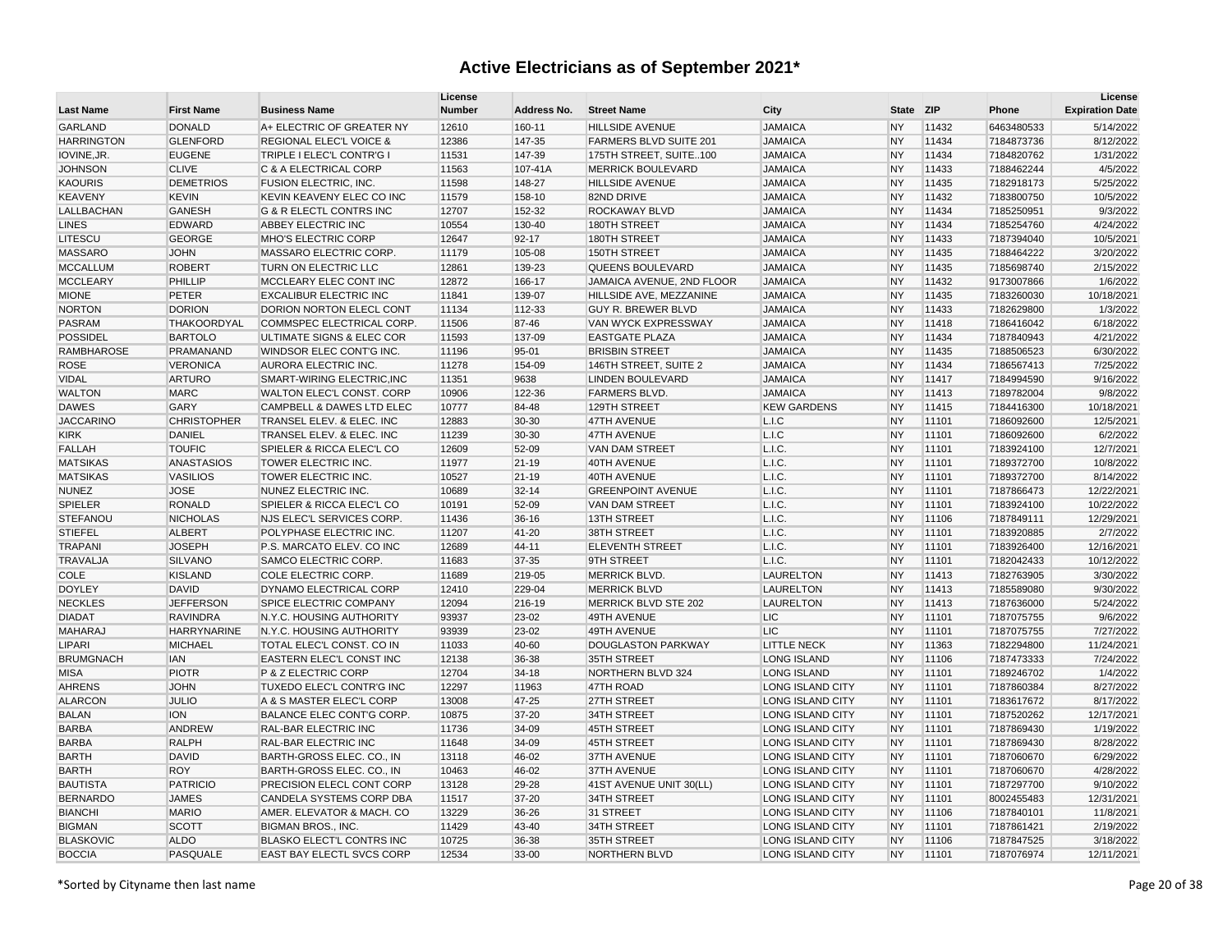| <b>Last Name</b>  | <b>First Name</b>  | <b>Business Name</b>                 | License<br><b>Number</b> | Address No. | <b>Street Name</b>            | City                    | <b>State</b> | <b>ZIP</b> | Phone      | License<br><b>Expiration Date</b> |
|-------------------|--------------------|--------------------------------------|--------------------------|-------------|-------------------------------|-------------------------|--------------|------------|------------|-----------------------------------|
| <b>GARLAND</b>    | <b>DONALD</b>      | A+ ELECTRIC OF GREATER NY            | 12610                    | 160-11      | <b>HILLSIDE AVENUE</b>        | <b>JAMAICA</b>          | <b>NY</b>    | 11432      | 6463480533 | 5/14/2022                         |
| <b>HARRINGTON</b> | <b>GLENFORD</b>    | <b>REGIONAL ELEC'L VOICE &amp;</b>   | 12386                    | 147-35      | <b>FARMERS BLVD SUITE 201</b> | <b>JAMAICA</b>          | <b>NY</b>    | 11434      | 7184873736 | 8/12/2022                         |
| IOVINE, JR.       | <b>EUGENE</b>      | TRIPLE I ELEC'L CONTR'G I            | 11531                    | 147-39      | 175TH STREET, SUITE100        | <b>JAMAICA</b>          | <b>NY</b>    | 11434      | 7184820762 | 1/31/2022                         |
| <b>JOHNSON</b>    | <b>CLIVE</b>       | C & A ELECTRICAL CORP                | 11563                    | 107-41A     | <b>MERRICK BOULEVARD</b>      | <b>JAMAICA</b>          | <b>NY</b>    | 11433      | 7188462244 | 4/5/2022                          |
| <b>KAOURIS</b>    | <b>DEMETRIOS</b>   | <b>FUSION ELECTRIC, INC.</b>         | 11598                    | 148-27      | <b>HILLSIDE AVENUE</b>        | <b>JAMAICA</b>          | <b>NY</b>    | 11435      | 7182918173 | 5/25/2022                         |
| <b>KEAVENY</b>    | <b>KEVIN</b>       | KEVIN KEAVENY ELEC CO INC            | 11579                    | 158-10      | 82ND DRIVE                    | <b>JAMAICA</b>          | <b>NY</b>    | 11432      | 7183800750 | 10/5/2022                         |
| LALLBACHAN        | <b>GANESH</b>      | G & R ELECTL CONTRS INC              | 12707                    | 152-32      | <b>ROCKAWAY BLVD</b>          | <b>JAMAICA</b>          | <b>NY</b>    | 11434      | 7185250951 | 9/3/2022                          |
| <b>LINES</b>      | <b>EDWARD</b>      | ABBEY ELECTRIC INC                   | 10554                    | 130-40      | 180TH STREET                  | <b>JAMAICA</b>          | <b>NY</b>    | 11434      | 7185254760 | 4/24/2022                         |
| LITESCU           | <b>GEORGE</b>      | <b>MHO'S ELECTRIC CORP</b>           | 12647                    | 92-17       | 180TH STREET                  | <b>JAMAICA</b>          | <b>NY</b>    | 11433      | 7187394040 | 10/5/2021                         |
| <b>MASSARO</b>    | <b>JOHN</b>        | MASSARO ELECTRIC CORP.               | 11179                    | 105-08      | 150TH STREET                  | <b>JAMAICA</b>          | <b>NY</b>    | 11435      | 7188464222 | 3/20/2022                         |
| <b>MCCALLUM</b>   | <b>ROBERT</b>      | <b>TURN ON ELECTRIC LLC</b>          | 12861                    | 139-23      | <b>QUEENS BOULEVARD</b>       | <b>JAMAICA</b>          | <b>NY</b>    | 11435      | 7185698740 | 2/15/2022                         |
| <b>MCCLEARY</b>   | PHILLIP            | MCCLEARY ELEC CONT INC               | 12872                    | 166-17      | JAMAICA AVENUE, 2ND FLOOR     | <b>JAMAICA</b>          | <b>NY</b>    | 11432      | 9173007866 | 1/6/2022                          |
| <b>MIONE</b>      | PETER              | <b>EXCALIBUR ELECTRIC INC</b>        | 11841                    | 139-07      | HILLSIDE AVE, MEZZANINE       | <b>JAMAICA</b>          | <b>NY</b>    | 11435      | 7183260030 | 10/18/2021                        |
| <b>NORTON</b>     | <b>DORION</b>      | DORION NORTON ELECL CONT             | 11134                    | 112-33      | <b>GUY R. BREWER BLVD</b>     | <b>JAMAICA</b>          | <b>NY</b>    | 11433      | 7182629800 | 1/3/2022                          |
| <b>PASRAM</b>     | THAKOORDYAL        | COMMSPEC ELECTRICAL CORP             | 11506                    | 87-46       | VAN WYCK EXPRESSWAY           | <b>JAMAICA</b>          | <b>NY</b>    | 11418      | 7186416042 | 6/18/2022                         |
| <b>POSSIDEL</b>   | <b>BARTOLO</b>     | <b>ULTIMATE SIGNS &amp; ELEC COR</b> | 11593                    | 137-09      | <b>EASTGATE PLAZA</b>         | <b>JAMAICA</b>          | <b>NY</b>    | 11434      | 7187840943 | 4/21/2022                         |
| <b>RAMBHAROSE</b> | PRAMANAND          | WINDSOR ELEC CONT'G INC.             | 11196                    | 95-01       | <b>BRISBIN STREET</b>         | <b>JAMAICA</b>          | <b>NY</b>    | 11435      | 7188506523 | 6/30/2022                         |
| <b>ROSE</b>       | <b>VERONICA</b>    | <b>AURORA ELECTRIC INC.</b>          | 11278                    | 154-09      | 146TH STREET, SUITE 2         | <b>JAMAICA</b>          | <b>NY</b>    | 11434      | 7186567413 | 7/25/2022                         |
| <b>VIDAL</b>      | <b>ARTURO</b>      | SMART-WIRING ELECTRIC, INC           | 11351                    | 9638        | <b>LINDEN BOULEVARD</b>       | <b>JAMAICA</b>          | <b>NY</b>    | 11417      | 7184994590 | 9/16/2022                         |
| <b>WALTON</b>     | <b>MARC</b>        | WALTON ELEC'L CONST. CORP            | 10906                    | 122-36      | <b>FARMERS BLVD</b>           | <b>JAMAICA</b>          | <b>NY</b>    | 11413      | 7189782004 | 9/8/2022                          |
| <b>DAWES</b>      | <b>GARY</b>        | CAMPBELL & DAWES LTD ELEC            | 10777                    | 84-48       | 129TH STREET                  | <b>KEW GARDENS</b>      | <b>NY</b>    | 11415      | 7184416300 | 10/18/2021                        |
| <b>JACCARINO</b>  | <b>CHRISTOPHER</b> | TRANSEL ELEV. & ELEC. INC            | 12883                    | 30-30       | 47TH AVENUE                   | L.I.C                   | <b>NY</b>    | 11101      | 7186092600 | 12/5/2021                         |
| <b>KIRK</b>       | <b>DANIEL</b>      | TRANSEL ELEV. & ELEC. INC            | 11239                    | 30-30       | 47TH AVENUE                   | L.I.C                   | <b>NY</b>    | 11101      | 7186092600 | 6/2/2022                          |
| <b>FALLAH</b>     | <b>TOUFIC</b>      | SPIELER & RICCA ELEC'L CO            | 12609                    | 52-09       | VAN DAM STREET                | L.I.C.                  | <b>NY</b>    | 11101      | 7183924100 | 12/7/2021                         |
| <b>MATSIKAS</b>   | <b>ANASTASIOS</b>  | <b>TOWER ELECTRIC INC.</b>           | 11977                    | $21 - 19$   | 40TH AVENUE                   | L.I.C.                  | <b>NY</b>    | 11101      | 7189372700 | 10/8/2022                         |
| <b>MATSIKAS</b>   | <b>VASILIOS</b>    | <b>TOWER ELECTRIC INC.</b>           | 10527                    | 21-19       | 40TH AVENUE                   | L.I.C.                  | <b>NY</b>    | 11101      | 7189372700 | 8/14/2022                         |
| <b>NUNEZ</b>      | <b>JOSE</b>        | NUNEZ ELECTRIC INC.                  | 10689                    | $32 - 14$   | <b>GREENPOINT AVENUE</b>      | L.I.C.                  | <b>NY</b>    | 11101      | 7187866473 | 12/22/2021                        |
| <b>SPIELER</b>    | <b>RONALD</b>      | SPIELER & RICCA ELEC'L CO            | 10191                    | 52-09       | <b>VAN DAM STREET</b>         | L.I.C.                  | <b>NY</b>    | 11101      | 7183924100 | 10/22/2022                        |
| <b>STEFANOU</b>   | <b>NICHOLAS</b>    | NJS ELEC'L SERVICES CORP.            | 11436                    | 36-16       | 13TH STREET                   | L.I.C.                  | <b>NY</b>    | 11106      | 7187849111 | 12/29/2021                        |
| <b>STIEFEL</b>    | <b>ALBERT</b>      | POLYPHASE ELECTRIC INC.              | 11207                    | 41-20       | 38TH STREET                   | L.I.C.                  | <b>NY</b>    | 11101      | 7183920885 | 2/7/2022                          |
| <b>TRAPANI</b>    | <b>JOSEPH</b>      | P.S. MARCATO ELEV. CO INC            | 12689                    | 44-11       | <b>ELEVENTH STREET</b>        | L.I.C.                  | <b>NY</b>    | 11101      | 7183926400 | 12/16/2021                        |
| <b>TRAVALJA</b>   | <b>SILVANO</b>     | SAMCO ELECTRIC CORP.                 | 11683                    | 37-35       | 9TH STREET                    | L.I.C.                  | <b>NY</b>    | 11101      | 7182042433 | 10/12/2022                        |
| COLE              | <b>KISLAND</b>     | COLE ELECTRIC CORP.                  | 11689                    | 219-05      | MERRICK BLVD.                 | <b>LAURELTON</b>        | <b>NY</b>    | 11413      | 7182763905 | 3/30/2022                         |
| <b>DOYLEY</b>     | <b>DAVID</b>       | DYNAMO ELECTRICAL CORP               | 12410                    | 229-04      | <b>MERRICK BLVD</b>           | <b>LAURELTON</b>        | <b>NY</b>    | 11413      | 7185589080 | 9/30/2022                         |
| <b>NECKLES</b>    | <b>JEFFERSON</b>   | SPICE ELECTRIC COMPANY               | 12094                    | 216-19      | MERRICK BLVD STE 202          | <b>LAURELTON</b>        | <b>NY</b>    | 11413      | 7187636000 | 5/24/2022                         |
| <b>DIADAT</b>     | <b>RAVINDRA</b>    | N.Y.C. HOUSING AUTHORITY             | 93937                    | 23-02       | 49TH AVENUE                   | <b>LIC</b>              | <b>NY</b>    | 11101      | 7187075755 | 9/6/2022                          |
| <b>MAHARAJ</b>    | <b>HARRYNARINE</b> | N.Y.C. HOUSING AUTHORITY             | 93939                    | 23-02       | 49TH AVENUE                   | LIC.                    | <b>NY</b>    | 11101      | 7187075755 | 7/27/2022                         |
| <b>LIPARI</b>     | <b>MICHAEL</b>     | TOTAL ELEC'L CONST. CO IN            | 11033                    | 40-60       | <b>DOUGLASTON PARKWAY</b>     | <b>LITTLE NECK</b>      | <b>NY</b>    | 11363      | 7182294800 | 11/24/2021                        |
| <b>BRUMGNACH</b>  | <b>IAN</b>         | EASTERN ELEC'L CONST INC             | 12138                    | 36-38       | 35TH STREET                   | <b>LONG ISLAND</b>      | <b>NY</b>    | 11106      | 7187473333 | 7/24/2022                         |
| <b>MISA</b>       | <b>PIOTR</b>       | P & Z ELECTRIC CORP                  | 12704                    | 34-18       | NORTHERN BLVD 324             | <b>LONG ISLAND</b>      | <b>NY</b>    | 11101      | 7189246702 | 1/4/2022                          |
| <b>AHRENS</b>     | <b>JOHN</b>        | <b>TUXEDO ELEC'L CONTR'G INC</b>     | 12297                    | 11963       | 47TH ROAD                     | <b>LONG ISLAND CITY</b> | <b>NY</b>    | 11101      | 7187860384 | 8/27/2022                         |
| <b>ALARCON</b>    | <b>JULIO</b>       | A & S MASTER ELEC'L CORP             | 13008                    | 47-25       | 27TH STREET                   | LONG ISLAND CITY        | <b>NY</b>    | 11101      | 7183617672 | 8/17/2022                         |
| <b>BALAN</b>      | <b>ION</b>         | BALANCE ELEC CONT'G CORP.            | 10875                    | 37-20       | 34TH STREET                   | LONG ISLAND CITY        | <b>NY</b>    | 11101      | 7187520262 | 12/17/2021                        |
| <b>BARBA</b>      | <b>ANDREW</b>      | RAL-BAR ELECTRIC INC                 | 11736                    | 34-09       | 45TH STREET                   | <b>LONG ISLAND CITY</b> | <b>NY</b>    | 11101      | 7187869430 | 1/19/2022                         |
| <b>BARBA</b>      | <b>RALPH</b>       | RAL-BAR ELECTRIC INC                 | 11648                    | 34-09       | 45TH STREET                   | <b>LONG ISLAND CITY</b> | <b>NY</b>    | 11101      | 7187869430 | 8/28/2022                         |
| <b>BARTH</b>      | <b>DAVID</b>       | BARTH-GROSS ELEC. CO., IN            | 13118                    | 46-02       | 37TH AVENUE                   | LONG ISLAND CITY        | <b>NY</b>    | 11101      | 7187060670 | 6/29/2022                         |
| <b>BARTH</b>      | <b>ROY</b>         | BARTH-GROSS ELEC. CO., IN            | 10463                    | 46-02       | 37TH AVENUE                   | LONG ISLAND CITY        | <b>NY</b>    | 11101      | 7187060670 | 4/28/2022                         |
| <b>BAUTISTA</b>   | <b>PATRICIO</b>    | PRECISION ELECL CONT CORP            | 13128                    | 29-28       | 41ST AVENUE UNIT 30(LL)       | <b>LONG ISLAND CITY</b> | <b>NY</b>    | 11101      | 7187297700 | 9/10/2022                         |
| <b>BERNARDO</b>   | <b>JAMES</b>       | CANDELA SYSTEMS CORP DBA             | 11517                    | 37-20       | 34TH STREET                   | <b>LONG ISLAND CITY</b> | <b>NY</b>    | 11101      | 8002455483 | 12/31/2021                        |
| <b>BIANCHI</b>    | <b>MARIO</b>       | AMER. ELEVATOR & MACH. CO            | 13229                    | 36-26       | 31 STREET                     | <b>LONG ISLAND CITY</b> | <b>NY</b>    | 11106      | 7187840101 | 11/8/2021                         |
| <b>BIGMAN</b>     | <b>SCOTT</b>       | <b>BIGMAN BROS., INC.</b>            | 11429                    | 43-40       | 34TH STREET                   | LONG ISLAND CITY        | <b>NY</b>    | 11101      | 7187861421 | 2/19/2022                         |
| <b>BLASKOVIC</b>  | <b>ALDO</b>        | <b>BLASKO ELECT'L CONTRS INC</b>     | 10725                    | 36-38       | 35TH STREET                   | <b>LONG ISLAND CITY</b> | <b>NY</b>    | 11106      | 7187847525 | 3/18/2022                         |
| <b>BOCCIA</b>     | <b>PASQUALE</b>    | <b>EAST BAY ELECTL SVCS CORP</b>     | 12534                    | 33-00       | <b>NORTHERN BLVD</b>          | <b>LONG ISLAND CITY</b> | <b>NY</b>    | 11101      | 7187076974 | 12/11/2021                        |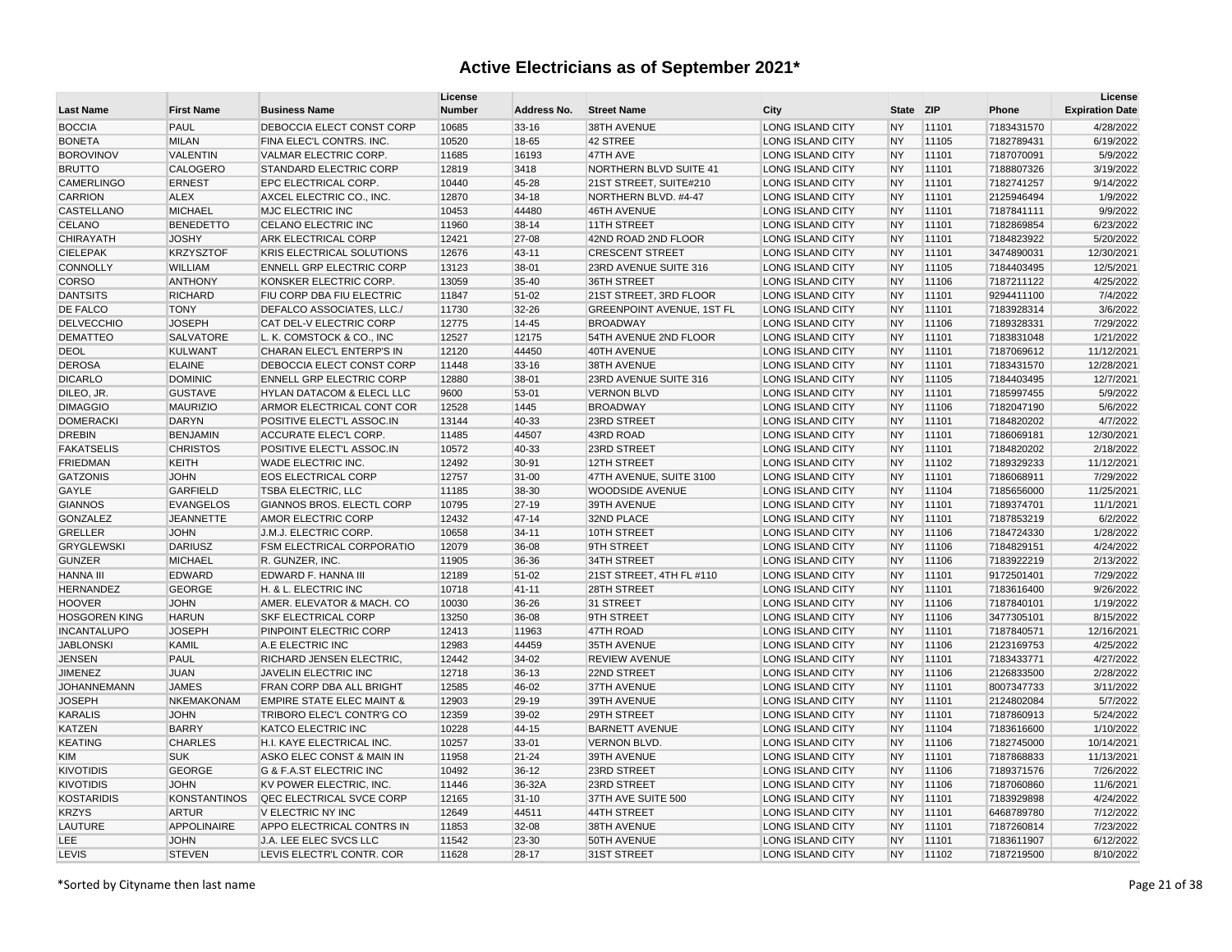| <b>Last Name</b>     | <b>First Name</b>   | <b>Business Name</b>                 | License<br><b>Number</b> | Address No. | <b>Street Name</b>               | City                    | <b>State</b> | <b>ZIP</b> | Phone      | License<br><b>Expiration Date</b> |
|----------------------|---------------------|--------------------------------------|--------------------------|-------------|----------------------------------|-------------------------|--------------|------------|------------|-----------------------------------|
| <b>BOCCIA</b>        | PAUL                | DEBOCCIA ELECT CONST CORP            | 10685                    | $33 - 16$   | 38TH AVENUE                      | LONG ISLAND CITY        | <b>NY</b>    | 11101      | 7183431570 | 4/28/2022                         |
| <b>BONETA</b>        | <b>MILAN</b>        | FINA ELEC'L CONTRS. INC.             | 10520                    | 18-65       | 42 STREE                         | <b>LONG ISLAND CITY</b> | <b>NY</b>    | 11105      | 7182789431 | 6/19/2022                         |
| <b>BOROVINOV</b>     | VALENTIN            | <b>VALMAR ELECTRIC CORP.</b>         | 11685                    | 16193       | 47TH AVE                         | LONG ISLAND CITY        | <b>NY</b>    | 11101      | 7187070091 | 5/9/2022                          |
| <b>BRUTTO</b>        | CALOGERO            | STANDARD ELECTRIC CORP               | 12819                    | 3418        | NORTHERN BLVD SUITE 41           | LONG ISLAND CITY        | <b>NY</b>    | 11101      | 7188807326 | 3/19/2022                         |
| <b>CAMERLINGO</b>    | <b>ERNEST</b>       | EPC ELECTRICAL CORP.                 | 10440                    | 45-28       | 21ST STREET, SUITE#210           | LONG ISLAND CITY        | <b>NY</b>    | 11101      | 7182741257 | 9/14/2022                         |
| <b>CARRION</b>       | <b>ALEX</b>         | AXCEL ELECTRIC CO., INC.             | 12870                    | $34-18$     | NORTHERN BLVD. #4-47             | <b>LONG ISLAND CITY</b> | <b>NY</b>    | 11101      | 2125946494 | 1/9/2022                          |
| CASTELLANO           | <b>MICHAEL</b>      | <b>MJC ELECTRIC INC</b>              | 10453                    | 44480       | 46TH AVENUE                      | LONG ISLAND CITY        | <b>NY</b>    | 11101      | 7187841111 | 9/9/2022                          |
| CELANO               | <b>BENEDETTO</b>    | CELANO ELECTRIC INC                  | 11960                    | 38-14       | 11TH STREET                      | LONG ISLAND CITY        | <b>NY</b>    | 11101      | 7182869854 | 6/23/2022                         |
| <b>CHIRAYATH</b>     | <b>JOSHY</b>        | ARK ELECTRICAL CORP                  | 12421                    | 27-08       | 42ND ROAD 2ND FLOOR              | LONG ISLAND CITY        | <b>NY</b>    | 11101      | 7184823922 | 5/20/2022                         |
| <b>CIELEPAK</b>      | <b>KRZYSZTOF</b>    | <b>KRIS ELECTRICAL SOLUTIONS</b>     | 12676                    | 43-11       | <b>CRESCENT STREET</b>           | <b>LONG ISLAND CITY</b> | <b>NY</b>    | 11101      | 3474890031 | 12/30/2021                        |
| CONNOLLY             | <b>WILLIAM</b>      | <b>ENNELL GRP ELECTRIC CORP</b>      | 13123                    | 38-01       | 23RD AVENUE SUITE 316            | LONG ISLAND CITY        | <b>NY</b>    | 11105      | 7184403495 | 12/5/2021                         |
| CORSO                | <b>ANTHONY</b>      | KONSKER ELECTRIC CORP.               | 13059                    | 35-40       | 36TH STREET                      | LONG ISLAND CITY        | <b>NY</b>    | 11106      | 7187211122 | 4/25/2022                         |
| <b>DANTSITS</b>      | <b>RICHARD</b>      | FIU CORP DBA FIU ELECTRIC            | 11847                    | 51-02       | 21ST STREET, 3RD FLOOR           | LONG ISLAND CITY        | <b>NY</b>    | 11101      | 9294411100 | 7/4/2022                          |
| DE FALCO             | <b>TONY</b>         | DEFALCO ASSOCIATES, LLC./            | 11730                    | 32-26       | <b>GREENPOINT AVENUE, 1ST FL</b> | LONG ISLAND CITY        | <b>NY</b>    | 11101      | 7183928314 | 3/6/2022                          |
| <b>DELVECCHIO</b>    | <b>JOSEPH</b>       | CAT DEL-V ELECTRIC CORP              | 12775                    | 14-45       | <b>BROADWAY</b>                  | <b>LONG ISLAND CITY</b> | <b>NY</b>    | 11106      | 7189328331 | 7/29/2022                         |
| <b>DEMATTEO</b>      | <b>SALVATORE</b>    | L. K. COMSTOCK & CO., INC            | 12527                    | 12175       | 54TH AVENUE 2ND FLOOR            | LONG ISLAND CITY        | <b>NY</b>    | 11101      | 7183831048 | 1/21/2022                         |
| <b>DEOL</b>          | <b>KULWANT</b>      | CHARAN ELEC'L ENTERP'S IN            | 12120                    | 44450       | 40TH AVENUE                      | LONG ISLAND CITY        | <b>NY</b>    | 11101      | 7187069612 | 11/12/2021                        |
| <b>DEROSA</b>        | <b>ELAINE</b>       | DEBOCCIA ELECT CONST CORP            | 11448                    | $33-16$     | 38TH AVENUE                      | LONG ISLAND CITY        | <b>NY</b>    | 11101      | 7183431570 | 12/28/2021                        |
| <b>DICARLO</b>       | <b>DOMINIC</b>      | <b>ENNELL GRP ELECTRIC CORP</b>      | 12880                    | 38-01       | 23RD AVENUE SUITE 316            | LONG ISLAND CITY        | <b>NY</b>    | 11105      | 7184403495 | 12/7/2021                         |
| DILEO, JR.           | <b>GUSTAVE</b>      | <b>HYLAN DATACOM &amp; ELECL LLC</b> | 9600                     | 53-01       | <b>VERNON BLVD</b>               | <b>LONG ISLAND CITY</b> | <b>NY</b>    | 11101      | 7185997455 | 5/9/2022                          |
| <b>DIMAGGIO</b>      | <b>MAURIZIO</b>     | ARMOR ELECTRICAL CONT COR            | 12528                    | 1445        | <b>BROADWAY</b>                  | LONG ISLAND CITY        | <b>NY</b>    | 11106      | 7182047190 | 5/6/2022                          |
| <b>DOMERACKI</b>     | <b>DARYN</b>        | POSITIVE ELECT'L ASSOC.IN            | 13144                    | 40-33       | 23RD STREET                      | LONG ISLAND CITY        | <b>NY</b>    | 11101      | 7184820202 | 4/7/2022                          |
| <b>DREBIN</b>        | <b>BENJAMIN</b>     | ACCURATE ELEC'L CORP.                | 11485                    | 44507       | 43RD ROAD                        | LONG ISLAND CITY        | <b>NY</b>    | 11101      | 7186069181 | 12/30/2021                        |
| <b>FAKATSELIS</b>    | <b>CHRISTOS</b>     | POSITIVE ELECT'L ASSOC.IN            | 10572                    | 40-33       | 23RD STREET                      | <b>LONG ISLAND CITY</b> | <b>NY</b>    | 11101      | 7184820202 | 2/18/2022                         |
| <b>FRIEDMAN</b>      | <b>KEITH</b>        | WADE ELECTRIC INC.                   | 12492                    | 30-91       | 12TH STREET                      | LONG ISLAND CITY        | <b>NY</b>    | 11102      | 7189329233 | 11/12/2021                        |
| <b>GATZONIS</b>      | <b>JOHN</b>         | <b>EOS ELECTRICAL CORP</b>           | 12757                    | $31 - 00$   | 47TH AVENUE, SUITE 3100          | <b>LONG ISLAND CITY</b> | <b>NY</b>    | 11101      | 7186068911 | 7/29/2022                         |
| GAYLE                | <b>GARFIELD</b>     | <b>TSBA ELECTRIC, LLC</b>            | 11185                    | 38-30       | <b>WOODSIDE AVENUE</b>           | LONG ISLAND CITY        | <b>NY</b>    | 11104      | 7185656000 | 11/25/2021                        |
| <b>GIANNOS</b>       | <b>EVANGELOS</b>    | GIANNOS BROS. ELECTL CORP            | 10795                    | 27-19       | 39TH AVENUE                      | <b>LONG ISLAND CITY</b> | <b>NY</b>    | 11101      | 7189374701 | 11/1/2021                         |
| <b>GONZALEZ</b>      | <b>JEANNETTE</b>    | <b>AMOR ELECTRIC CORP</b>            | 12432                    | 47-14       | 32ND PLACE                       | LONG ISLAND CITY        | <b>NY</b>    | 11101      | 7187853219 | 6/2/2022                          |
| <b>GRELLER</b>       | <b>JOHN</b>         | J.M.J. ELECTRIC CORP.                | 10658                    | $34 - 11$   | 10TH STREET                      | LONG ISLAND CITY        | <b>NY</b>    | 11106      | 7184724330 | 1/28/2022                         |
| <b>GRYGLEWSKI</b>    | <b>DARIUSZ</b>      | FSM ELECTRICAL CORPORATIO            | 12079                    | 36-08       | 9TH STREET                       | LONG ISLAND CITY        | <b>NY</b>    | 11106      | 7184829151 | 4/24/2022                         |
| <b>GUNZER</b>        | <b>MICHAEL</b>      | R. GUNZER, INC.                      | 11905                    | 36-36       | 34TH STREET                      | LONG ISLAND CITY        | <b>NY</b>    | 11106      | 7183922219 | 2/13/2022                         |
| <b>HANNA III</b>     | EDWARD              | EDWARD F. HANNA III                  | 12189                    | 51-02       | 21ST STREET, 4TH FL #110         | LONG ISLAND CITY        | <b>NY</b>    | 11101      | 9172501401 | 7/29/2022                         |
| <b>HERNANDEZ</b>     | <b>GEORGE</b>       | H. & L. ELECTRIC INC                 | 10718                    | 41-11       | 28TH STREET                      | LONG ISLAND CITY        | <b>NY</b>    | 11101      | 7183616400 | 9/26/2022                         |
| <b>HOOVER</b>        | <b>JOHN</b>         | AMER. ELEVATOR & MACH. CO            | 10030                    | 36-26       | 31 STREET                        | LONG ISLAND CITY        | <b>NY</b>    | 11106      | 7187840101 | 1/19/2022                         |
| <b>HOSGOREN KING</b> | <b>HARUN</b>        | <b>SKF ELECTRICAL CORP</b>           | 13250                    | 36-08       | 9TH STREET                       | LONG ISLAND CITY        | <b>NY</b>    | 11106      | 3477305101 | 8/15/2022                         |
| <b>INCANTALUPO</b>   | <b>JOSEPH</b>       | PINPOINT ELECTRIC CORP               | 12413                    | 11963       | 47TH ROAD                        | LONG ISLAND CITY        | <b>NY</b>    | 11101      | 7187840571 | 12/16/2021                        |
| <b>JABLONSKI</b>     | KAMIL               | A.E ELECTRIC INC                     | 12983                    | 44459       | 35TH AVENUE                      | LONG ISLAND CITY        | <b>NY</b>    | 11106      | 2123169753 | 4/25/2022                         |
| <b>JENSEN</b>        | PAUL                | RICHARD JENSEN ELECTRIC,             | 12442                    | 34-02       | <b>REVIEW AVENUE</b>             | LONG ISLAND CITY        | <b>NY</b>    | 11101      | 7183433771 | 4/27/2022                         |
| <b>JIMENEZ</b>       | <b>JUAN</b>         | JAVELIN ELECTRIC INC                 | 12718                    | $36-13$     | 22ND STREET                      | LONG ISLAND CITY        | <b>NY</b>    | 11106      | 2126833500 | 2/28/2022                         |
| <b>JOHANNEMANN</b>   | <b>JAMES</b>        | FRAN CORP DBA ALL BRIGHT             | 12585                    | 46-02       | 37TH AVENUE                      | LONG ISLAND CITY        | <b>NY</b>    | 11101      | 8007347733 | 3/11/2022                         |
| <b>JOSEPH</b>        | NKEMAKONAM          | <b>EMPIRE STATE ELEC MAINT &amp;</b> | 12903                    | 29-19       | 39TH AVENUE                      | LONG ISLAND CITY        | <b>NY</b>    | 11101      | 2124802084 | 5/7/2022                          |
| <b>KARALIS</b>       | <b>JOHN</b>         | TRIBORO ELEC'L CONTR'G CO            | 12359                    | 39-02       | 29TH STREET                      | LONG ISLAND CITY        | <b>NY</b>    | 11101      | 7187860913 | 5/24/2022                         |
| <b>KATZEN</b>        | <b>BARRY</b>        | KATCO ELECTRIC INC                   | 10228                    | 44-15       | <b>BARNETT AVENUE</b>            | LONG ISLAND CITY        | <b>NY</b>    | 11104      | 7183616600 | 1/10/2022                         |
| <b>KEATING</b>       | <b>CHARLES</b>      | H.I. KAYE ELECTRICAL INC.            | 10257                    | 33-01       | <b>VERNON BLVD.</b>              | LONG ISLAND CITY        | <b>NY</b>    | 11106      | 7182745000 | 10/14/2021                        |
| KIM                  | <b>SUK</b>          | ASKO ELEC CONST & MAIN IN            | 11958                    | $21 - 24$   | 39TH AVENUE                      | LONG ISLAND CITY        | <b>NY</b>    | 11101      | 7187868833 | 11/13/2021                        |
| <b>KIVOTIDIS</b>     | <b>GEORGE</b>       | G & F.A.ST ELECTRIC INC              | 10492                    | 36-12       | 23RD STREET                      | LONG ISLAND CITY        | <b>NY</b>    | 11106      | 7189371576 | 7/26/2022                         |
| <b>KIVOTIDIS</b>     | <b>JOHN</b>         | KV POWER ELECTRIC, INC.              | 11446                    | 36-32A      | 23RD STREET                      | LONG ISLAND CITY        | <b>NY</b>    | 11106      | 7187060860 | 11/6/2021                         |
| <b>KOSTARIDIS</b>    | <b>KONSTANTINOS</b> | <b>QEC ELECTRICAL SVCE CORP</b>      | 12165                    | $31 - 10$   | 37TH AVE SUITE 500               | LONG ISLAND CITY        | <b>NY</b>    | 11101      | 7183929898 | 4/24/2022                         |
| <b>KRZYS</b>         | <b>ARTUR</b>        | V ELECTRIC NY INC                    | 12649                    | 44511       | 44TH STREET                      | LONG ISLAND CITY        | <b>NY</b>    | 11101      | 6468789780 | 7/12/2022                         |
| LAUTURE              | <b>APPOLINAIRE</b>  | APPO ELECTRICAL CONTRS IN            | 11853                    | 32-08       | 38TH AVENUE                      | LONG ISLAND CITY        | <b>NY</b>    | 11101      | 7187260814 | 7/23/2022                         |
| LEE                  | <b>JOHN</b>         | J.A. LEE ELEC SVCS LLC               | 11542                    | 23-30       | 50TH AVENUE                      | LONG ISLAND CITY        | <b>NY</b>    | 11101      | 7183611907 | 6/12/2022                         |
| LEVIS                | <b>STEVEN</b>       | LEVIS ELECTR'L CONTR. COR            | 11628                    | 28-17       | 31ST STREET                      | <b>LONG ISLAND CITY</b> | <b>NY</b>    | 11102      | 7187219500 | 8/10/2022                         |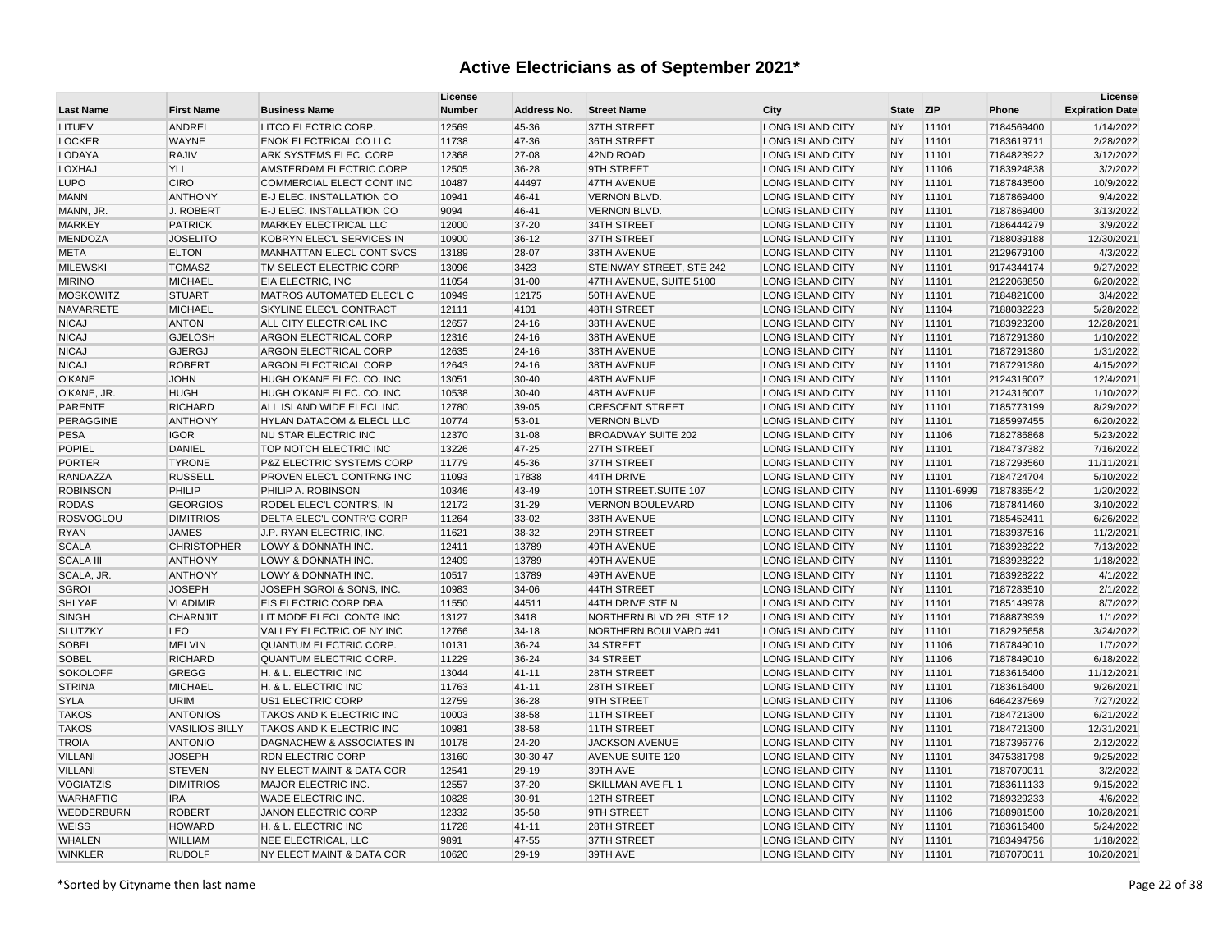| <b>Last Name</b> | <b>First Name</b>     | <b>Business Name</b>                 | License<br><b>Number</b> | Address No. | <b>Street Name</b>        | City                    | <b>State</b> | <b>ZIP</b> | Phone      | License<br><b>Expiration Date</b> |
|------------------|-----------------------|--------------------------------------|--------------------------|-------------|---------------------------|-------------------------|--------------|------------|------------|-----------------------------------|
| LITUEV           | <b>ANDREI</b>         | LITCO ELECTRIC CORP.                 | 12569                    | 45-36       | 37TH STREET               | LONG ISLAND CITY        | <b>NY</b>    | 11101      | 7184569400 | 1/14/2022                         |
| <b>LOCKER</b>    | <b>WAYNE</b>          | <b>ENOK ELECTRICAL CO LLC</b>        | 11738                    | 47-36       | 36TH STREET               | <b>LONG ISLAND CITY</b> | <b>NY</b>    | 11101      | 7183619711 | 2/28/2022                         |
| LODAYA           | RAJIV                 | ARK SYSTEMS ELEC. CORP               | 12368                    | 27-08       | 42ND ROAD                 | LONG ISLAND CITY        | <b>NY</b>    | 11101      | 7184823922 | 3/12/2022                         |
| <b>LOXHAJ</b>    | <b>YLL</b>            | AMSTERDAM ELECTRIC CORP              | 12505                    | 36-28       | 9TH STREET                | LONG ISLAND CITY        | <b>NY</b>    | 11106      | 7183924838 | 3/2/2022                          |
| <b>LUPO</b>      | <b>CIRO</b>           | COMMERCIAL ELECT CONT INC            | 10487                    | 44497       | 47TH AVENUE               | <b>LONG ISLAND CITY</b> | <b>NY</b>    | 11101      | 7187843500 | 10/9/2022                         |
| <b>MANN</b>      | <b>ANTHONY</b>        | E-J ELEC. INSTALLATION CO            | 10941                    | 46-41       | <b>VERNON BLVD</b>        | <b>LONG ISLAND CITY</b> | <b>NY</b>    | 11101      | 7187869400 | 9/4/2022                          |
| MANN, JR.        | J. ROBERT             | E-J ELEC. INSTALLATION CO            | 9094                     | 46-41       | VERNON BLVD.              | <b>LONG ISLAND CITY</b> | <b>NY</b>    | 11101      | 7187869400 | 3/13/2022                         |
| MARKEY           | <b>PATRICK</b>        | MARKEY ELECTRICAL LLC                | 12000                    | 37-20       | 34TH STREET               | LONG ISLAND CITY        | <b>NY</b>    | 11101      | 7186444279 | 3/9/2022                          |
| <b>MENDOZA</b>   | <b>JOSELITO</b>       | KOBRYN ELEC'L SERVICES IN            | 10900                    | 36-12       | 37TH STREET               | <b>LONG ISLAND CITY</b> | <b>NY</b>    | 11101      | 7188039188 | 12/30/2021                        |
| <b>META</b>      | <b>ELTON</b>          | MANHATTAN ELECL CONT SVCS            | 13189                    | 28-07       | 38TH AVENUE               | <b>LONG ISLAND CITY</b> | <b>NY</b>    | 11101      | 2129679100 | 4/3/2022                          |
| <b>MILEWSKI</b>  | <b>TOMASZ</b>         | TM SELECT ELECTRIC CORP              | 13096                    | 3423        | STEINWAY STREET, STE 242  | LONG ISLAND CITY        | <b>NY</b>    | 11101      | 9174344174 | 9/27/2022                         |
| <b>MIRINO</b>    | <b>MICHAEL</b>        | EIA ELECTRIC, INC                    | 11054                    | 31-00       | 47TH AVENUE, SUITE 5100   | LONG ISLAND CITY        | <b>NY</b>    | 11101      | 2122068850 | 6/20/2022                         |
| <b>MOSKOWITZ</b> | <b>STUART</b>         | MATROS AUTOMATED ELEC'L C            | 10949                    | 12175       | 50TH AVENUE               | LONG ISLAND CITY        | <b>NY</b>    | 11101      | 7184821000 | 3/4/2022                          |
| NAVARRETE        | <b>MICHAEL</b>        | SKYLINE ELEC'L CONTRACT              | 12111                    | 4101        | 48TH STREET               | LONG ISLAND CITY        | <b>NY</b>    | 11104      | 7188032223 | 5/28/2022                         |
| <b>NICAJ</b>     | <b>ANTON</b>          | ALL CITY ELECTRICAL INC              | 12657                    | 24-16       | 38TH AVENUE               | <b>LONG ISLAND CITY</b> | <b>NY</b>    | 11101      | 7183923200 | 12/28/2021                        |
| <b>NICAJ</b>     | <b>GJELOSH</b>        | ARGON ELECTRICAL CORP                | 12316                    | 24-16       | 38TH AVENUE               | LONG ISLAND CITY        | <b>NY</b>    | 11101      | 7187291380 | 1/10/2022                         |
| <b>NICAJ</b>     | <b>GJERGJ</b>         | ARGON ELECTRICAL CORP                | 12635                    | 24-16       | 38TH AVENUE               | LONG ISLAND CITY        | <b>NY</b>    | 11101      | 7187291380 | 1/31/2022                         |
| <b>NICAJ</b>     | <b>ROBERT</b>         | ARGON ELECTRICAL CORP                | 12643                    | 24-16       | 38TH AVENUE               | <b>LONG ISLAND CITY</b> | <b>NY</b>    | 11101      | 7187291380 | 4/15/2022                         |
| <b>O'KANE</b>    | <b>JOHN</b>           | HUGH O'KANE ELEC. CO. INC            | 13051                    | 30-40       | 48TH AVENUE               | <b>LONG ISLAND CITY</b> | <b>NY</b>    | 11101      | 2124316007 | 12/4/2021                         |
| O'KANE, JR.      | <b>HUGH</b>           | HUGH O'KANE ELEC. CO. INC            | 10538                    | 30-40       | 48TH AVENUE               | <b>LONG ISLAND CITY</b> | <b>NY</b>    | 11101      | 2124316007 | 1/10/2022                         |
| <b>PARENTE</b>   | <b>RICHARD</b>        | ALL ISLAND WIDE ELECL INC            | 12780                    | 39-05       | <b>CRESCENT STREET</b>    | LONG ISLAND CITY        | <b>NY</b>    | 11101      | 7185773199 | 8/29/2022                         |
| PERAGGINE        | <b>ANTHONY</b>        | HYLAN DATACOM & ELECL LLC            | 10774                    | 53-01       | <b>VERNON BLVD</b>        | LONG ISLAND CITY        | <b>NY</b>    | 11101      | 7185997455 | 6/20/2022                         |
| <b>PESA</b>      | <b>IGOR</b>           | NU STAR ELECTRIC INC                 | 12370                    | 31-08       | <b>BROADWAY SUITE 202</b> | <b>LONG ISLAND CITY</b> | <b>NY</b>    | 11106      | 7182786868 | 5/23/2022                         |
| <b>POPIEL</b>    | <b>DANIEL</b>         | TOP NOTCH ELECTRIC INC               | 13226                    | 47-25       | 27TH STREET               | <b>LONG ISLAND CITY</b> | <b>NY</b>    | 11101      | 7184737382 | 7/16/2022                         |
| <b>PORTER</b>    | <b>TYRONE</b>         | <b>P&amp;Z ELECTRIC SYSTEMS CORP</b> | 11779                    | 45-36       | 37TH STREET               | LONG ISLAND CITY        | <b>NY</b>    | 11101      | 7187293560 | 11/11/2021                        |
| RANDAZZA         | <b>RUSSELL</b>        | PROVEN ELEC'L CONTRNG INC            | 11093                    | 17838       | 44TH DRIVE                | LONG ISLAND CITY        | <b>NY</b>    | 11101      | 7184724704 | 5/10/2022                         |
| <b>ROBINSON</b>  | PHILIP                | PHILIP A. ROBINSON                   | 10346                    | 43-49       | 10TH STREET.SUITE 107     | <b>LONG ISLAND CITY</b> | <b>NY</b>    | 11101-6999 | 7187836542 | 1/20/2022                         |
| <b>RODAS</b>     | <b>GEORGIOS</b>       | RODEL ELEC'L CONTR'S, IN             | 12172                    | 31-29       | <b>VERNON BOULEVARD</b>   | <b>LONG ISLAND CITY</b> | <b>NY</b>    | 11106      | 7187841460 | 3/10/2022                         |
| <b>ROSVOGLOU</b> | <b>DIMITRIOS</b>      | DELTA ELEC'L CONTR'G CORP            | 11264                    | 33-02       | 38TH AVENUE               | LONG ISLAND CITY        | <b>NY</b>    | 11101      | 7185452411 | 6/26/2022                         |
| <b>RYAN</b>      | <b>JAMES</b>          | J.P. RYAN ELECTRIC, INC.             | 11621                    | 38-32       | 29TH STREET               | <b>LONG ISLAND CITY</b> | <b>NY</b>    | 11101      | 7183937516 | 11/2/2021                         |
| <b>SCALA</b>     | <b>CHRISTOPHER</b>    | LOWY & DONNATH INC.                  | 12411                    | 13789       | 49TH AVENUE               | LONG ISLAND CITY        | <b>NY</b>    | 11101      | 7183928222 | 7/13/2022                         |
| <b>SCALA III</b> | <b>ANTHONY</b>        | LOWY & DONNATH INC.                  | 12409                    | 13789       | 49TH AVENUE               | <b>LONG ISLAND CITY</b> | <b>NY</b>    | 11101      | 7183928222 | 1/18/2022                         |
| SCALA, JR.       | <b>ANTHONY</b>        | LOWY & DONNATH INC.                  | 10517                    | 13789       | 49TH AVENUE               | LONG ISLAND CITY        | <b>NY</b>    | 11101      | 7183928222 | 4/1/2022                          |
| <b>SGROI</b>     | <b>JOSEPH</b>         | JOSEPH SGROI & SONS, INC.            | 10983                    | 34-06       | 44TH STREET               | LONG ISLAND CITY        | <b>NY</b>    | 11101      | 7187283510 | 2/1/2022                          |
| <b>SHLYAF</b>    | <b>VLADIMIR</b>       | <b>EIS ELECTRIC CORP DBA</b>         | 11550                    | 44511       | 44TH DRIVE STE N          | LONG ISLAND CITY        | <b>NY</b>    | 11101      | 7185149978 | 8/7/2022                          |
| <b>SINGH</b>     | <b>CHARNJIT</b>       | LIT MODE ELECL CONTG INC             | 13127                    | 3418        | NORTHERN BLVD 2FL STE 12  | LONG ISLAND CITY        | <b>NY</b>    | 11101      | 7188873939 | 1/1/2022                          |
| <b>SLUTZKY</b>   | <b>LEO</b>            | VALLEY ELECTRIC OF NY INC            | 12766                    | 34-18       | NORTHERN BOULVARD #41     | <b>LONG ISLAND CITY</b> | <b>NY</b>    | 11101      | 7182925658 | 3/24/2022                         |
| <b>SOBEL</b>     | <b>MELVIN</b>         | QUANTUM ELECTRIC CORP.               | 10131                    | 36-24       | 34 STREET                 | LONG ISLAND CITY        | <b>NY</b>    | 11106      | 7187849010 | 1/7/2022                          |
| <b>SOBEL</b>     | <b>RICHARD</b>        | <b>QUANTUM ELECTRIC CORP.</b>        | 11229                    | 36-24       | 34 STREET                 | <b>LONG ISLAND CITY</b> | <b>NY</b>    | 11106      | 7187849010 | 6/18/2022                         |
| <b>SOKOLOFF</b>  | <b>GREGG</b>          | H. & L. ELECTRIC INC                 | 13044                    | 41-11       | 28TH STREET               | LONG ISLAND CITY        | <b>NY</b>    | 11101      | 7183616400 | 11/12/2021                        |
| <b>STRINA</b>    | <b>MICHAEL</b>        | H. & L. ELECTRIC INC                 | 11763                    | 41-11       | 28TH STREET               | <b>LONG ISLAND CITY</b> | <b>NY</b>    | 11101      | 7183616400 | 9/26/2021                         |
| <b>SYLA</b>      | <b>URIM</b>           | US1 ELECTRIC CORP                    | 12759                    | 36-28       | 9TH STREET                | LONG ISLAND CITY        | <b>NY</b>    | 11106      | 6464237569 | 7/27/2022                         |
| <b>TAKOS</b>     | <b>ANTONIOS</b>       | <b>TAKOS AND K ELECTRIC INC</b>      | 10003                    | 38-58       | 11TH STREET               | LONG ISLAND CITY        | <b>NY</b>    | 11101      | 7184721300 | 6/21/2022                         |
| <b>TAKOS</b>     | <b>VASILIOS BILLY</b> | <b>TAKOS AND K ELECTRIC INC</b>      | 10981                    | 38-58       | 11TH STREET               | LONG ISLAND CITY        | <b>NY</b>    | 11101      | 7184721300 | 12/31/2021                        |
| <b>TROIA</b>     | <b>ANTONIO</b>        | DAGNACHEW & ASSOCIATES IN            | 10178                    | 24-20       | <b>JACKSON AVENUE</b>     | <b>LONG ISLAND CITY</b> | <b>NY</b>    | 11101      | 7187396776 | 2/12/2022                         |
| <b>VILLANI</b>   | <b>JOSEPH</b>         | <b>RDN ELECTRIC CORP</b>             | 13160                    | 30-30 47    | <b>AVENUE SUITE 120</b>   | LONG ISLAND CITY        | <b>NY</b>    | 11101      | 3475381798 | 9/25/2022                         |
| <b>VILLANI</b>   | <b>STEVEN</b>         | NY ELECT MAINT & DATA COR            | 12541                    | 29-19       | 39TH AVE                  | LONG ISLAND CITY        | <b>NY</b>    | 11101      | 7187070011 | 3/2/2022                          |
| <b>VOGIATZIS</b> | <b>DIMITRIOS</b>      | MAJOR ELECTRIC INC.                  | 12557                    | 37-20       | SKILLMAN AVE FL 1         | <b>LONG ISLAND CITY</b> | <b>NY</b>    | 11101      | 7183611133 | 9/15/2022                         |
| <b>WARHAFTIG</b> | <b>IRA</b>            | <b>WADE ELECTRIC INC.</b>            | 10828                    | 30-91       | 12TH STREET               | <b>LONG ISLAND CITY</b> | <b>NY</b>    | 11102      | 7189329233 | 4/6/2022                          |
| WEDDERBURN       | <b>ROBERT</b>         | <b>JANON ELECTRIC CORP</b>           | 12332                    | 35-58       | 9TH STREET                | <b>LONG ISLAND CITY</b> | <b>NY</b>    | 11106      | 7188981500 | 10/28/2021                        |
| <b>WEISS</b>     | <b>HOWARD</b>         | H. & L. ELECTRIC INC                 | 11728                    | 41-11       | 28TH STREET               | LONG ISLAND CITY        | <b>NY</b>    | 11101      | 7183616400 | 5/24/2022                         |
| <b>WHALEN</b>    | WILLIAM               | NEE ELECTRICAL, LLC                  | 9891                     | 47-55       | 37TH STREET               | <b>LONG ISLAND CITY</b> | <b>NY</b>    | 11101      | 7183494756 | 1/18/2022                         |
| <b>WINKLER</b>   | <b>RUDOLF</b>         | NY ELECT MAINT & DATA COR            | 10620                    | 29-19       | 39TH AVE                  | <b>LONG ISLAND CITY</b> | <b>NY</b>    | 11101      | 7187070011 | 10/20/2021                        |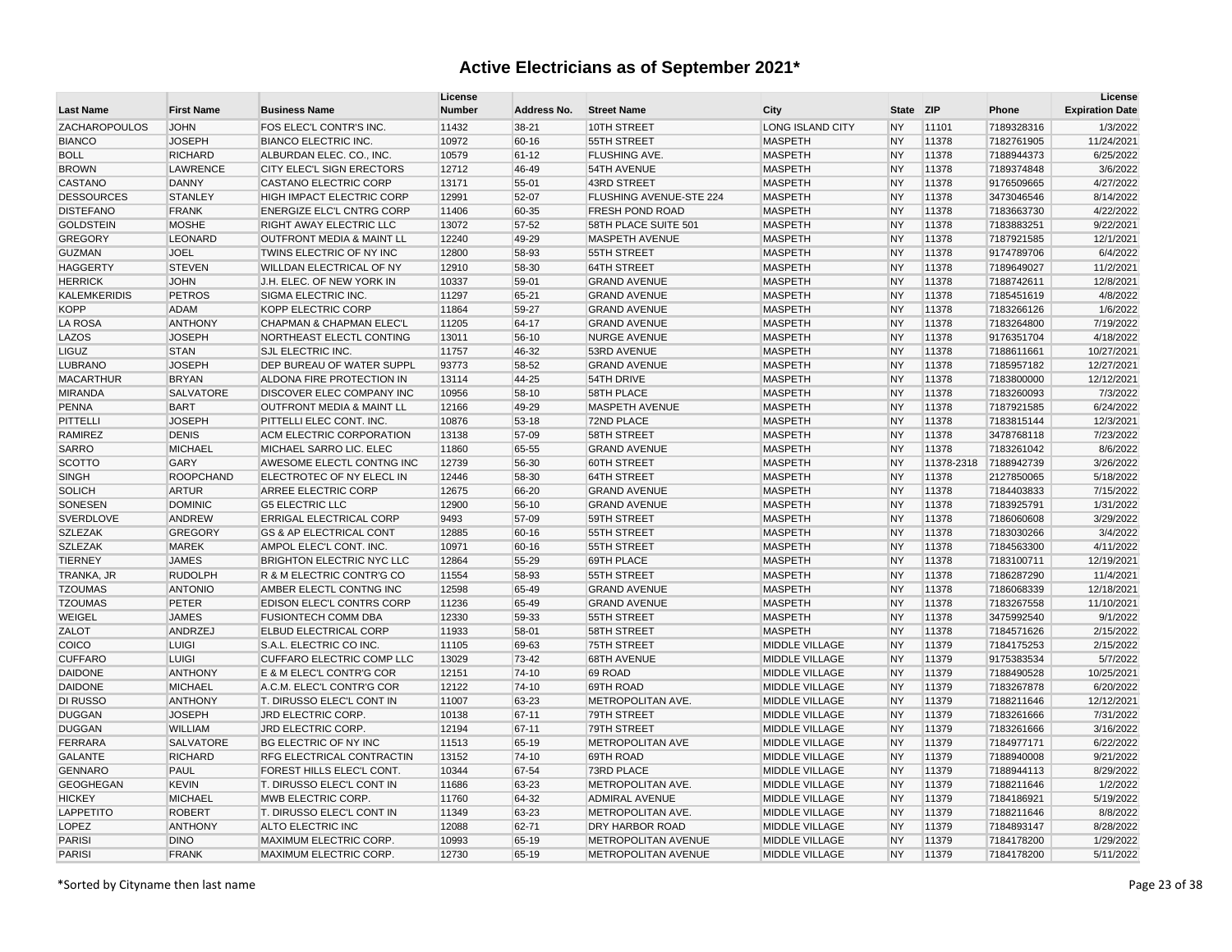| ZACHAROPOULOS<br><b>JOHN</b><br>FOS ELEC'L CONTR'S INC.<br>11432<br>38-21<br>10TH STREET<br><b>LONG ISLAND CITY</b><br>11101<br>7189328316<br>1/3/2022<br><b>NY</b><br><b>JOSEPH</b><br><b>BIANCO</b><br><b>BIANCO ELECTRIC INC.</b><br>10972<br>60-16<br>55TH STREET<br><b>MASPETH</b><br><b>NY</b><br>11378<br>7182761905<br>11/24/2021<br><b>RICHARD</b><br>10579<br>61-12<br>6/25/2022<br><b>BOLL</b><br>ALBURDAN ELEC. CO., INC.<br><b>FLUSHING AVE</b><br><b>MASPETH</b><br><b>NY</b><br>11378<br>7188944373<br><b>BROWN</b><br><b>LAWRENCE</b><br>12712<br><b>MASPETH</b><br><b>NY</b><br>7189374848<br>3/6/2022<br>CITY ELEC'L SIGN ERECTORS<br>46-49<br>54TH AVENUE<br>11378<br>CASTANO<br><b>DANNY</b><br>CASTANO ELECTRIC CORP<br>13171<br>55-01<br>43RD STREET<br><b>MASPETH</b><br>11378<br>9176509665<br>4/27/2022<br><b>NY</b><br><b>DESSOURCES</b><br><b>STANLEY</b><br>12991<br>52-07<br>11378<br>8/14/2022<br>HIGH IMPACT ELECTRIC CORP<br>FLUSHING AVENUE-STE 224<br><b>MASPETH</b><br><b>NY</b><br>3473046546<br><b>DISTEFANO</b><br><b>MASPETH</b><br><b>NY</b><br>4/22/2022<br><b>FRANK</b><br><b>ENERGIZE ELC'L CNTRG CORP</b><br>11406<br>60-35<br><b>FRESH POND ROAD</b><br>11378<br>7183663730<br><b>MOSHE</b><br><b>GOLDSTEIN</b><br>RIGHT AWAY ELECTRIC LLC<br>13072<br>57-52<br>58TH PLACE SUITE 501<br><b>MASPETH</b><br><b>NY</b><br>11378<br>7183883251<br>9/22/2021<br>GREGORY<br><b>LEONARD</b><br><b>OUTFRONT MEDIA &amp; MAINT LL</b><br>12240<br>49-29<br><b>MASPETH AVENUE</b><br><b>MASPETH</b><br><b>NY</b><br>11378<br>7187921585<br>12/1/2021<br><b>GUZMAN</b><br><b>JOEL</b><br>12800<br><b>NY</b><br>6/4/2022<br><b>TWINS ELECTRIC OF NY INC</b><br>58-93<br>55TH STREET<br><b>MASPETH</b><br>11378<br>9174789706<br><b>HAGGERTY</b><br><b>STEVEN</b><br>12910<br><b>64TH STREET</b><br><b>MASPETH</b><br><b>NY</b><br>11/2/2021<br><b>WILLDAN ELECTRICAL OF NY</b><br>58-30<br>11378<br>7189649027<br><b>HERRICK</b><br><b>JOHN</b><br>J.H. ELEC. OF NEW YORK IN<br>10337<br>59-01<br><b>GRAND AVENUE</b><br><b>MASPETH</b><br><b>NY</b><br>11378<br>7188742611<br>12/8/2021<br><b>KALEMKERIDIS</b><br><b>PETROS</b><br>11297<br>65-21<br>11378<br>4/8/2022<br>SIGMA ELECTRIC INC.<br><b>GRAND AVENUE</b><br><b>MASPETH</b><br><b>NY</b><br>7185451619<br><b>KOPP</b><br><b>ADAM</b><br>KOPP ELECTRIC CORP<br>11864<br><b>MASPETH</b><br><b>NY</b><br>1/6/2022<br>59-27<br><b>GRAND AVENUE</b><br>11378<br>7183266126<br><b>LA ROSA</b><br><b>ANTHONY</b><br>CHAPMAN & CHAPMAN ELEC'L<br>11205<br>64-17<br><b>GRAND AVENUE</b><br><b>MASPETH</b><br><b>NY</b><br>11378<br>7183264800<br>7/19/2022<br><b>JOSEPH</b><br>4/18/2022<br><b>LAZOS</b><br>NORTHEAST ELECTL CONTING<br>13011<br>56-10<br><b>NURGE AVENUE</b><br><b>MASPETH</b><br><b>NY</b><br>11378<br>9176351704<br>LIGUZ<br><b>STAN</b><br>10/27/2021<br>SJL ELECTRIC INC.<br>11757<br>46-32<br>53RD AVENUE<br><b>MASPETH</b><br><b>NY</b><br>11378<br>7188611661<br><b>LUBRANO</b><br><b>JOSEPH</b><br>DEP BUREAU OF WATER SUPPL<br>93773<br><b>MASPETH</b><br><b>NY</b><br>12/27/2021<br>58-52<br><b>GRAND AVENUE</b><br>11378<br>7185957182<br><b>MACARTHUR</b><br><b>BRYAN</b><br>ALDONA FIRE PROTECTION IN<br>13114<br>44-25<br>54TH DRIVE<br><b>MASPETH</b><br><b>NY</b><br>11378<br>7183800000<br>12/12/2021<br><b>MIRANDA</b><br><b>SALVATORE</b><br>11378<br>7/3/2022<br>DISCOVER ELEC COMPANY INC<br>10956<br>58-10<br>58TH PLACE<br><b>MASPETH</b><br><b>NY</b><br>7183260093<br><b>BART</b><br><b>NY</b><br>6/24/2022<br><b>PENNA</b><br><b>OUTFRONT MEDIA &amp; MAINT LL</b><br>12166<br>49-29<br><b>MASPETH AVENUE</b><br><b>MASPETH</b><br>11378<br>7187921585<br><b>PITTELLI</b><br><b>JOSEPH</b><br>PITTELLI ELEC CONT. INC.<br>10876<br>53-18<br>72ND PLACE<br><b>MASPETH</b><br><b>NY</b><br>11378<br>7183815144<br>12/3/2021<br>7/23/2022<br><b>RAMIREZ</b><br><b>DENIS</b><br>ACM ELECTRIC CORPORATION<br>13138<br>57-09<br>58TH STREET<br><b>MASPETH</b><br><b>NY</b><br>11378<br>3478768118 |
|----------------------------------------------------------------------------------------------------------------------------------------------------------------------------------------------------------------------------------------------------------------------------------------------------------------------------------------------------------------------------------------------------------------------------------------------------------------------------------------------------------------------------------------------------------------------------------------------------------------------------------------------------------------------------------------------------------------------------------------------------------------------------------------------------------------------------------------------------------------------------------------------------------------------------------------------------------------------------------------------------------------------------------------------------------------------------------------------------------------------------------------------------------------------------------------------------------------------------------------------------------------------------------------------------------------------------------------------------------------------------------------------------------------------------------------------------------------------------------------------------------------------------------------------------------------------------------------------------------------------------------------------------------------------------------------------------------------------------------------------------------------------------------------------------------------------------------------------------------------------------------------------------------------------------------------------------------------------------------------------------------------------------------------------------------------------------------------------------------------------------------------------------------------------------------------------------------------------------------------------------------------------------------------------------------------------------------------------------------------------------------------------------------------------------------------------------------------------------------------------------------------------------------------------------------------------------------------------------------------------------------------------------------------------------------------------------------------------------------------------------------------------------------------------------------------------------------------------------------------------------------------------------------------------------------------------------------------------------------------------------------------------------------------------------------------------------------------------------------------------------------------------------------------------------------------------------------------------------------------------------------------------------------------------------------------------------------------------------------------------------------------------------------------------------------------------------------------------------------------------------------------------------------------------------------------------------------------------------------------------------------------------------------------------------------------------------------------------------------------------------------------------------------------------------------------------------------------------------------------------------------------------------------------------------------------------------------------------------------------------------------------------------|
|                                                                                                                                                                                                                                                                                                                                                                                                                                                                                                                                                                                                                                                                                                                                                                                                                                                                                                                                                                                                                                                                                                                                                                                                                                                                                                                                                                                                                                                                                                                                                                                                                                                                                                                                                                                                                                                                                                                                                                                                                                                                                                                                                                                                                                                                                                                                                                                                                                                                                                                                                                                                                                                                                                                                                                                                                                                                                                                                                                                                                                                                                                                                                                                                                                                                                                                                                                                                                                                                                                                                                                                                                                                                                                                                                                                                                                                                                                                                                                                                                            |
|                                                                                                                                                                                                                                                                                                                                                                                                                                                                                                                                                                                                                                                                                                                                                                                                                                                                                                                                                                                                                                                                                                                                                                                                                                                                                                                                                                                                                                                                                                                                                                                                                                                                                                                                                                                                                                                                                                                                                                                                                                                                                                                                                                                                                                                                                                                                                                                                                                                                                                                                                                                                                                                                                                                                                                                                                                                                                                                                                                                                                                                                                                                                                                                                                                                                                                                                                                                                                                                                                                                                                                                                                                                                                                                                                                                                                                                                                                                                                                                                                            |
|                                                                                                                                                                                                                                                                                                                                                                                                                                                                                                                                                                                                                                                                                                                                                                                                                                                                                                                                                                                                                                                                                                                                                                                                                                                                                                                                                                                                                                                                                                                                                                                                                                                                                                                                                                                                                                                                                                                                                                                                                                                                                                                                                                                                                                                                                                                                                                                                                                                                                                                                                                                                                                                                                                                                                                                                                                                                                                                                                                                                                                                                                                                                                                                                                                                                                                                                                                                                                                                                                                                                                                                                                                                                                                                                                                                                                                                                                                                                                                                                                            |
|                                                                                                                                                                                                                                                                                                                                                                                                                                                                                                                                                                                                                                                                                                                                                                                                                                                                                                                                                                                                                                                                                                                                                                                                                                                                                                                                                                                                                                                                                                                                                                                                                                                                                                                                                                                                                                                                                                                                                                                                                                                                                                                                                                                                                                                                                                                                                                                                                                                                                                                                                                                                                                                                                                                                                                                                                                                                                                                                                                                                                                                                                                                                                                                                                                                                                                                                                                                                                                                                                                                                                                                                                                                                                                                                                                                                                                                                                                                                                                                                                            |
|                                                                                                                                                                                                                                                                                                                                                                                                                                                                                                                                                                                                                                                                                                                                                                                                                                                                                                                                                                                                                                                                                                                                                                                                                                                                                                                                                                                                                                                                                                                                                                                                                                                                                                                                                                                                                                                                                                                                                                                                                                                                                                                                                                                                                                                                                                                                                                                                                                                                                                                                                                                                                                                                                                                                                                                                                                                                                                                                                                                                                                                                                                                                                                                                                                                                                                                                                                                                                                                                                                                                                                                                                                                                                                                                                                                                                                                                                                                                                                                                                            |
|                                                                                                                                                                                                                                                                                                                                                                                                                                                                                                                                                                                                                                                                                                                                                                                                                                                                                                                                                                                                                                                                                                                                                                                                                                                                                                                                                                                                                                                                                                                                                                                                                                                                                                                                                                                                                                                                                                                                                                                                                                                                                                                                                                                                                                                                                                                                                                                                                                                                                                                                                                                                                                                                                                                                                                                                                                                                                                                                                                                                                                                                                                                                                                                                                                                                                                                                                                                                                                                                                                                                                                                                                                                                                                                                                                                                                                                                                                                                                                                                                            |
|                                                                                                                                                                                                                                                                                                                                                                                                                                                                                                                                                                                                                                                                                                                                                                                                                                                                                                                                                                                                                                                                                                                                                                                                                                                                                                                                                                                                                                                                                                                                                                                                                                                                                                                                                                                                                                                                                                                                                                                                                                                                                                                                                                                                                                                                                                                                                                                                                                                                                                                                                                                                                                                                                                                                                                                                                                                                                                                                                                                                                                                                                                                                                                                                                                                                                                                                                                                                                                                                                                                                                                                                                                                                                                                                                                                                                                                                                                                                                                                                                            |
|                                                                                                                                                                                                                                                                                                                                                                                                                                                                                                                                                                                                                                                                                                                                                                                                                                                                                                                                                                                                                                                                                                                                                                                                                                                                                                                                                                                                                                                                                                                                                                                                                                                                                                                                                                                                                                                                                                                                                                                                                                                                                                                                                                                                                                                                                                                                                                                                                                                                                                                                                                                                                                                                                                                                                                                                                                                                                                                                                                                                                                                                                                                                                                                                                                                                                                                                                                                                                                                                                                                                                                                                                                                                                                                                                                                                                                                                                                                                                                                                                            |
|                                                                                                                                                                                                                                                                                                                                                                                                                                                                                                                                                                                                                                                                                                                                                                                                                                                                                                                                                                                                                                                                                                                                                                                                                                                                                                                                                                                                                                                                                                                                                                                                                                                                                                                                                                                                                                                                                                                                                                                                                                                                                                                                                                                                                                                                                                                                                                                                                                                                                                                                                                                                                                                                                                                                                                                                                                                                                                                                                                                                                                                                                                                                                                                                                                                                                                                                                                                                                                                                                                                                                                                                                                                                                                                                                                                                                                                                                                                                                                                                                            |
|                                                                                                                                                                                                                                                                                                                                                                                                                                                                                                                                                                                                                                                                                                                                                                                                                                                                                                                                                                                                                                                                                                                                                                                                                                                                                                                                                                                                                                                                                                                                                                                                                                                                                                                                                                                                                                                                                                                                                                                                                                                                                                                                                                                                                                                                                                                                                                                                                                                                                                                                                                                                                                                                                                                                                                                                                                                                                                                                                                                                                                                                                                                                                                                                                                                                                                                                                                                                                                                                                                                                                                                                                                                                                                                                                                                                                                                                                                                                                                                                                            |
|                                                                                                                                                                                                                                                                                                                                                                                                                                                                                                                                                                                                                                                                                                                                                                                                                                                                                                                                                                                                                                                                                                                                                                                                                                                                                                                                                                                                                                                                                                                                                                                                                                                                                                                                                                                                                                                                                                                                                                                                                                                                                                                                                                                                                                                                                                                                                                                                                                                                                                                                                                                                                                                                                                                                                                                                                                                                                                                                                                                                                                                                                                                                                                                                                                                                                                                                                                                                                                                                                                                                                                                                                                                                                                                                                                                                                                                                                                                                                                                                                            |
|                                                                                                                                                                                                                                                                                                                                                                                                                                                                                                                                                                                                                                                                                                                                                                                                                                                                                                                                                                                                                                                                                                                                                                                                                                                                                                                                                                                                                                                                                                                                                                                                                                                                                                                                                                                                                                                                                                                                                                                                                                                                                                                                                                                                                                                                                                                                                                                                                                                                                                                                                                                                                                                                                                                                                                                                                                                                                                                                                                                                                                                                                                                                                                                                                                                                                                                                                                                                                                                                                                                                                                                                                                                                                                                                                                                                                                                                                                                                                                                                                            |
|                                                                                                                                                                                                                                                                                                                                                                                                                                                                                                                                                                                                                                                                                                                                                                                                                                                                                                                                                                                                                                                                                                                                                                                                                                                                                                                                                                                                                                                                                                                                                                                                                                                                                                                                                                                                                                                                                                                                                                                                                                                                                                                                                                                                                                                                                                                                                                                                                                                                                                                                                                                                                                                                                                                                                                                                                                                                                                                                                                                                                                                                                                                                                                                                                                                                                                                                                                                                                                                                                                                                                                                                                                                                                                                                                                                                                                                                                                                                                                                                                            |
|                                                                                                                                                                                                                                                                                                                                                                                                                                                                                                                                                                                                                                                                                                                                                                                                                                                                                                                                                                                                                                                                                                                                                                                                                                                                                                                                                                                                                                                                                                                                                                                                                                                                                                                                                                                                                                                                                                                                                                                                                                                                                                                                                                                                                                                                                                                                                                                                                                                                                                                                                                                                                                                                                                                                                                                                                                                                                                                                                                                                                                                                                                                                                                                                                                                                                                                                                                                                                                                                                                                                                                                                                                                                                                                                                                                                                                                                                                                                                                                                                            |
|                                                                                                                                                                                                                                                                                                                                                                                                                                                                                                                                                                                                                                                                                                                                                                                                                                                                                                                                                                                                                                                                                                                                                                                                                                                                                                                                                                                                                                                                                                                                                                                                                                                                                                                                                                                                                                                                                                                                                                                                                                                                                                                                                                                                                                                                                                                                                                                                                                                                                                                                                                                                                                                                                                                                                                                                                                                                                                                                                                                                                                                                                                                                                                                                                                                                                                                                                                                                                                                                                                                                                                                                                                                                                                                                                                                                                                                                                                                                                                                                                            |
|                                                                                                                                                                                                                                                                                                                                                                                                                                                                                                                                                                                                                                                                                                                                                                                                                                                                                                                                                                                                                                                                                                                                                                                                                                                                                                                                                                                                                                                                                                                                                                                                                                                                                                                                                                                                                                                                                                                                                                                                                                                                                                                                                                                                                                                                                                                                                                                                                                                                                                                                                                                                                                                                                                                                                                                                                                                                                                                                                                                                                                                                                                                                                                                                                                                                                                                                                                                                                                                                                                                                                                                                                                                                                                                                                                                                                                                                                                                                                                                                                            |
|                                                                                                                                                                                                                                                                                                                                                                                                                                                                                                                                                                                                                                                                                                                                                                                                                                                                                                                                                                                                                                                                                                                                                                                                                                                                                                                                                                                                                                                                                                                                                                                                                                                                                                                                                                                                                                                                                                                                                                                                                                                                                                                                                                                                                                                                                                                                                                                                                                                                                                                                                                                                                                                                                                                                                                                                                                                                                                                                                                                                                                                                                                                                                                                                                                                                                                                                                                                                                                                                                                                                                                                                                                                                                                                                                                                                                                                                                                                                                                                                                            |
|                                                                                                                                                                                                                                                                                                                                                                                                                                                                                                                                                                                                                                                                                                                                                                                                                                                                                                                                                                                                                                                                                                                                                                                                                                                                                                                                                                                                                                                                                                                                                                                                                                                                                                                                                                                                                                                                                                                                                                                                                                                                                                                                                                                                                                                                                                                                                                                                                                                                                                                                                                                                                                                                                                                                                                                                                                                                                                                                                                                                                                                                                                                                                                                                                                                                                                                                                                                                                                                                                                                                                                                                                                                                                                                                                                                                                                                                                                                                                                                                                            |
|                                                                                                                                                                                                                                                                                                                                                                                                                                                                                                                                                                                                                                                                                                                                                                                                                                                                                                                                                                                                                                                                                                                                                                                                                                                                                                                                                                                                                                                                                                                                                                                                                                                                                                                                                                                                                                                                                                                                                                                                                                                                                                                                                                                                                                                                                                                                                                                                                                                                                                                                                                                                                                                                                                                                                                                                                                                                                                                                                                                                                                                                                                                                                                                                                                                                                                                                                                                                                                                                                                                                                                                                                                                                                                                                                                                                                                                                                                                                                                                                                            |
|                                                                                                                                                                                                                                                                                                                                                                                                                                                                                                                                                                                                                                                                                                                                                                                                                                                                                                                                                                                                                                                                                                                                                                                                                                                                                                                                                                                                                                                                                                                                                                                                                                                                                                                                                                                                                                                                                                                                                                                                                                                                                                                                                                                                                                                                                                                                                                                                                                                                                                                                                                                                                                                                                                                                                                                                                                                                                                                                                                                                                                                                                                                                                                                                                                                                                                                                                                                                                                                                                                                                                                                                                                                                                                                                                                                                                                                                                                                                                                                                                            |
|                                                                                                                                                                                                                                                                                                                                                                                                                                                                                                                                                                                                                                                                                                                                                                                                                                                                                                                                                                                                                                                                                                                                                                                                                                                                                                                                                                                                                                                                                                                                                                                                                                                                                                                                                                                                                                                                                                                                                                                                                                                                                                                                                                                                                                                                                                                                                                                                                                                                                                                                                                                                                                                                                                                                                                                                                                                                                                                                                                                                                                                                                                                                                                                                                                                                                                                                                                                                                                                                                                                                                                                                                                                                                                                                                                                                                                                                                                                                                                                                                            |
|                                                                                                                                                                                                                                                                                                                                                                                                                                                                                                                                                                                                                                                                                                                                                                                                                                                                                                                                                                                                                                                                                                                                                                                                                                                                                                                                                                                                                                                                                                                                                                                                                                                                                                                                                                                                                                                                                                                                                                                                                                                                                                                                                                                                                                                                                                                                                                                                                                                                                                                                                                                                                                                                                                                                                                                                                                                                                                                                                                                                                                                                                                                                                                                                                                                                                                                                                                                                                                                                                                                                                                                                                                                                                                                                                                                                                                                                                                                                                                                                                            |
|                                                                                                                                                                                                                                                                                                                                                                                                                                                                                                                                                                                                                                                                                                                                                                                                                                                                                                                                                                                                                                                                                                                                                                                                                                                                                                                                                                                                                                                                                                                                                                                                                                                                                                                                                                                                                                                                                                                                                                                                                                                                                                                                                                                                                                                                                                                                                                                                                                                                                                                                                                                                                                                                                                                                                                                                                                                                                                                                                                                                                                                                                                                                                                                                                                                                                                                                                                                                                                                                                                                                                                                                                                                                                                                                                                                                                                                                                                                                                                                                                            |
| <b>MICHAEL</b><br>11860<br>8/6/2022<br><b>SARRO</b><br>MICHAEL SARRO LIC. ELEC<br>65-55<br><b>GRAND AVENUE</b><br><b>MASPETH</b><br><b>NY</b><br>11378<br>7183261042                                                                                                                                                                                                                                                                                                                                                                                                                                                                                                                                                                                                                                                                                                                                                                                                                                                                                                                                                                                                                                                                                                                                                                                                                                                                                                                                                                                                                                                                                                                                                                                                                                                                                                                                                                                                                                                                                                                                                                                                                                                                                                                                                                                                                                                                                                                                                                                                                                                                                                                                                                                                                                                                                                                                                                                                                                                                                                                                                                                                                                                                                                                                                                                                                                                                                                                                                                                                                                                                                                                                                                                                                                                                                                                                                                                                                                                       |
| <b>SCOTTO</b><br><b>GARY</b><br>12739<br><b>MASPETH</b><br><b>NY</b><br>11378-2318 7188942739<br>3/26/2022<br>AWESOME ELECTL CONTNG INC<br>56-30<br>60TH STREET                                                                                                                                                                                                                                                                                                                                                                                                                                                                                                                                                                                                                                                                                                                                                                                                                                                                                                                                                                                                                                                                                                                                                                                                                                                                                                                                                                                                                                                                                                                                                                                                                                                                                                                                                                                                                                                                                                                                                                                                                                                                                                                                                                                                                                                                                                                                                                                                                                                                                                                                                                                                                                                                                                                                                                                                                                                                                                                                                                                                                                                                                                                                                                                                                                                                                                                                                                                                                                                                                                                                                                                                                                                                                                                                                                                                                                                            |
| <b>SINGH</b><br><b>ROOPCHAND</b><br>ELECTROTEC OF NY ELECL IN<br>12446<br>58-30<br><b>64TH STREET</b><br><b>MASPETH</b><br><b>NY</b><br>11378<br>2127850065<br>5/18/2022                                                                                                                                                                                                                                                                                                                                                                                                                                                                                                                                                                                                                                                                                                                                                                                                                                                                                                                                                                                                                                                                                                                                                                                                                                                                                                                                                                                                                                                                                                                                                                                                                                                                                                                                                                                                                                                                                                                                                                                                                                                                                                                                                                                                                                                                                                                                                                                                                                                                                                                                                                                                                                                                                                                                                                                                                                                                                                                                                                                                                                                                                                                                                                                                                                                                                                                                                                                                                                                                                                                                                                                                                                                                                                                                                                                                                                                   |
| <b>ARTUR</b><br>12675<br>7/15/2022<br><b>SOLICH</b><br>ARREE ELECTRIC CORP<br>66-20<br><b>GRAND AVENUE</b><br><b>MASPETH</b><br><b>NY</b><br>11378<br>7184403833                                                                                                                                                                                                                                                                                                                                                                                                                                                                                                                                                                                                                                                                                                                                                                                                                                                                                                                                                                                                                                                                                                                                                                                                                                                                                                                                                                                                                                                                                                                                                                                                                                                                                                                                                                                                                                                                                                                                                                                                                                                                                                                                                                                                                                                                                                                                                                                                                                                                                                                                                                                                                                                                                                                                                                                                                                                                                                                                                                                                                                                                                                                                                                                                                                                                                                                                                                                                                                                                                                                                                                                                                                                                                                                                                                                                                                                           |
| SONESEN<br><b>DOMINIC</b><br>12900<br><b>NY</b><br>1/31/2022<br><b>G5 ELECTRIC LLC</b><br>56-10<br><b>GRAND AVENUE</b><br><b>MASPETH</b><br>11378<br>7183925791                                                                                                                                                                                                                                                                                                                                                                                                                                                                                                                                                                                                                                                                                                                                                                                                                                                                                                                                                                                                                                                                                                                                                                                                                                                                                                                                                                                                                                                                                                                                                                                                                                                                                                                                                                                                                                                                                                                                                                                                                                                                                                                                                                                                                                                                                                                                                                                                                                                                                                                                                                                                                                                                                                                                                                                                                                                                                                                                                                                                                                                                                                                                                                                                                                                                                                                                                                                                                                                                                                                                                                                                                                                                                                                                                                                                                                                            |
| <b>SVERDLOVE</b><br><b>ANDREW</b><br>ERRIGAL ELECTRICAL CORP<br>9493<br>57-09<br>59TH STREET<br><b>MASPETH</b><br><b>NY</b><br>11378<br>7186060608<br>3/29/2022                                                                                                                                                                                                                                                                                                                                                                                                                                                                                                                                                                                                                                                                                                                                                                                                                                                                                                                                                                                                                                                                                                                                                                                                                                                                                                                                                                                                                                                                                                                                                                                                                                                                                                                                                                                                                                                                                                                                                                                                                                                                                                                                                                                                                                                                                                                                                                                                                                                                                                                                                                                                                                                                                                                                                                                                                                                                                                                                                                                                                                                                                                                                                                                                                                                                                                                                                                                                                                                                                                                                                                                                                                                                                                                                                                                                                                                            |
| <b>SZLEZAK</b><br>3/4/2022<br><b>GREGORY</b><br><b>GS &amp; AP ELECTRICAL CONT</b><br>12885<br>60-16<br>55TH STREET<br><b>MASPETH</b><br><b>NY</b><br>11378<br>7183030266                                                                                                                                                                                                                                                                                                                                                                                                                                                                                                                                                                                                                                                                                                                                                                                                                                                                                                                                                                                                                                                                                                                                                                                                                                                                                                                                                                                                                                                                                                                                                                                                                                                                                                                                                                                                                                                                                                                                                                                                                                                                                                                                                                                                                                                                                                                                                                                                                                                                                                                                                                                                                                                                                                                                                                                                                                                                                                                                                                                                                                                                                                                                                                                                                                                                                                                                                                                                                                                                                                                                                                                                                                                                                                                                                                                                                                                  |
| <b>SZLEZAK</b><br><b>MAREK</b><br>4/11/2022<br>AMPOL ELEC'L CONT. INC.<br>10971<br>60-16<br>55TH STREET<br><b>MASPETH</b><br><b>NY</b><br>11378<br>7184563300                                                                                                                                                                                                                                                                                                                                                                                                                                                                                                                                                                                                                                                                                                                                                                                                                                                                                                                                                                                                                                                                                                                                                                                                                                                                                                                                                                                                                                                                                                                                                                                                                                                                                                                                                                                                                                                                                                                                                                                                                                                                                                                                                                                                                                                                                                                                                                                                                                                                                                                                                                                                                                                                                                                                                                                                                                                                                                                                                                                                                                                                                                                                                                                                                                                                                                                                                                                                                                                                                                                                                                                                                                                                                                                                                                                                                                                              |
| <b>TIERNEY</b><br><b>JAMES</b><br><b>MASPETH</b><br><b>NY</b><br>12/19/2021<br><b>BRIGHTON ELECTRIC NYC LLC</b><br>12864<br>55-29<br>69TH PLACE<br>11378<br>7183100711                                                                                                                                                                                                                                                                                                                                                                                                                                                                                                                                                                                                                                                                                                                                                                                                                                                                                                                                                                                                                                                                                                                                                                                                                                                                                                                                                                                                                                                                                                                                                                                                                                                                                                                                                                                                                                                                                                                                                                                                                                                                                                                                                                                                                                                                                                                                                                                                                                                                                                                                                                                                                                                                                                                                                                                                                                                                                                                                                                                                                                                                                                                                                                                                                                                                                                                                                                                                                                                                                                                                                                                                                                                                                                                                                                                                                                                     |
| TRANKA, JR<br><b>RUDOLPH</b><br>R & M ELECTRIC CONTR'G CO<br>11554<br>58-93<br>55TH STREET<br><b>MASPETH</b><br>11378<br>7186287290<br>11/4/2021<br><b>NY</b>                                                                                                                                                                                                                                                                                                                                                                                                                                                                                                                                                                                                                                                                                                                                                                                                                                                                                                                                                                                                                                                                                                                                                                                                                                                                                                                                                                                                                                                                                                                                                                                                                                                                                                                                                                                                                                                                                                                                                                                                                                                                                                                                                                                                                                                                                                                                                                                                                                                                                                                                                                                                                                                                                                                                                                                                                                                                                                                                                                                                                                                                                                                                                                                                                                                                                                                                                                                                                                                                                                                                                                                                                                                                                                                                                                                                                                                              |
| <b>TZOUMAS</b><br><b>ANTONIO</b><br>12598<br>12/18/2021<br>AMBER ELECTL CONTNG INC<br>65-49<br><b>GRAND AVENUE</b><br><b>MASPETH</b><br><b>NY</b><br>11378<br>7186068339                                                                                                                                                                                                                                                                                                                                                                                                                                                                                                                                                                                                                                                                                                                                                                                                                                                                                                                                                                                                                                                                                                                                                                                                                                                                                                                                                                                                                                                                                                                                                                                                                                                                                                                                                                                                                                                                                                                                                                                                                                                                                                                                                                                                                                                                                                                                                                                                                                                                                                                                                                                                                                                                                                                                                                                                                                                                                                                                                                                                                                                                                                                                                                                                                                                                                                                                                                                                                                                                                                                                                                                                                                                                                                                                                                                                                                                   |
| <b>TZOUMAS</b><br>PETER<br>EDISON ELEC'L CONTRS CORP<br>11236<br>65-49<br><b>GRAND AVENUE</b><br><b>MASPETH</b><br><b>NY</b><br>11378<br>7183267558<br>11/10/2021                                                                                                                                                                                                                                                                                                                                                                                                                                                                                                                                                                                                                                                                                                                                                                                                                                                                                                                                                                                                                                                                                                                                                                                                                                                                                                                                                                                                                                                                                                                                                                                                                                                                                                                                                                                                                                                                                                                                                                                                                                                                                                                                                                                                                                                                                                                                                                                                                                                                                                                                                                                                                                                                                                                                                                                                                                                                                                                                                                                                                                                                                                                                                                                                                                                                                                                                                                                                                                                                                                                                                                                                                                                                                                                                                                                                                                                          |
| WEIGEL<br><b>JAMES</b><br>12330<br>59-33<br><b>MASPETH</b><br><b>NY</b><br>11378<br>3475992540<br>9/1/2022<br><b>FUSIONTECH COMM DBA</b><br>55TH STREET                                                                                                                                                                                                                                                                                                                                                                                                                                                                                                                                                                                                                                                                                                                                                                                                                                                                                                                                                                                                                                                                                                                                                                                                                                                                                                                                                                                                                                                                                                                                                                                                                                                                                                                                                                                                                                                                                                                                                                                                                                                                                                                                                                                                                                                                                                                                                                                                                                                                                                                                                                                                                                                                                                                                                                                                                                                                                                                                                                                                                                                                                                                                                                                                                                                                                                                                                                                                                                                                                                                                                                                                                                                                                                                                                                                                                                                                    |
| ZALOT<br>ANDRZEJ<br><b>ELBUD ELECTRICAL CORP</b><br>11933<br>58-01<br>58TH STREET<br><b>MASPETH</b><br><b>NY</b><br>11378<br>2/15/2022<br>7184571626                                                                                                                                                                                                                                                                                                                                                                                                                                                                                                                                                                                                                                                                                                                                                                                                                                                                                                                                                                                                                                                                                                                                                                                                                                                                                                                                                                                                                                                                                                                                                                                                                                                                                                                                                                                                                                                                                                                                                                                                                                                                                                                                                                                                                                                                                                                                                                                                                                                                                                                                                                                                                                                                                                                                                                                                                                                                                                                                                                                                                                                                                                                                                                                                                                                                                                                                                                                                                                                                                                                                                                                                                                                                                                                                                                                                                                                                       |
| COICO<br>LUIGI<br>2/15/2022<br>S.A.L. ELECTRIC CO INC.<br>11105<br>69-63<br>75TH STREET<br>MIDDLE VILLAGE<br><b>NY</b><br>11379<br>7184175253                                                                                                                                                                                                                                                                                                                                                                                                                                                                                                                                                                                                                                                                                                                                                                                                                                                                                                                                                                                                                                                                                                                                                                                                                                                                                                                                                                                                                                                                                                                                                                                                                                                                                                                                                                                                                                                                                                                                                                                                                                                                                                                                                                                                                                                                                                                                                                                                                                                                                                                                                                                                                                                                                                                                                                                                                                                                                                                                                                                                                                                                                                                                                                                                                                                                                                                                                                                                                                                                                                                                                                                                                                                                                                                                                                                                                                                                              |
| <b>CUFFARO</b><br>13029<br>5/7/2022<br><b>LUIGI</b><br>CUFFARO ELECTRIC COMP LLC<br>73-42<br><b>68TH AVENUE</b><br><b>MIDDLE VILLAGE</b><br><b>NY</b><br>11379<br>9175383534                                                                                                                                                                                                                                                                                                                                                                                                                                                                                                                                                                                                                                                                                                                                                                                                                                                                                                                                                                                                                                                                                                                                                                                                                                                                                                                                                                                                                                                                                                                                                                                                                                                                                                                                                                                                                                                                                                                                                                                                                                                                                                                                                                                                                                                                                                                                                                                                                                                                                                                                                                                                                                                                                                                                                                                                                                                                                                                                                                                                                                                                                                                                                                                                                                                                                                                                                                                                                                                                                                                                                                                                                                                                                                                                                                                                                                               |
| <b>DAIDONE</b><br><b>ANTHONY</b><br>E & M ELEC'L CONTR'G COR<br>12151<br>69 ROAD<br><b>MIDDLE VILLAGE</b><br>11379<br>10/25/2021<br>74-10<br><b>NY</b><br>7188490528                                                                                                                                                                                                                                                                                                                                                                                                                                                                                                                                                                                                                                                                                                                                                                                                                                                                                                                                                                                                                                                                                                                                                                                                                                                                                                                                                                                                                                                                                                                                                                                                                                                                                                                                                                                                                                                                                                                                                                                                                                                                                                                                                                                                                                                                                                                                                                                                                                                                                                                                                                                                                                                                                                                                                                                                                                                                                                                                                                                                                                                                                                                                                                                                                                                                                                                                                                                                                                                                                                                                                                                                                                                                                                                                                                                                                                                       |
| 12122<br>6/20/2022<br><b>DAIDONE</b><br><b>MICHAEL</b><br>A.C.M. ELEC'L CONTR'G COR<br>74-10<br>69TH ROAD<br>MIDDLE VILLAGE<br><b>NY</b><br>11379<br>7183267878                                                                                                                                                                                                                                                                                                                                                                                                                                                                                                                                                                                                                                                                                                                                                                                                                                                                                                                                                                                                                                                                                                                                                                                                                                                                                                                                                                                                                                                                                                                                                                                                                                                                                                                                                                                                                                                                                                                                                                                                                                                                                                                                                                                                                                                                                                                                                                                                                                                                                                                                                                                                                                                                                                                                                                                                                                                                                                                                                                                                                                                                                                                                                                                                                                                                                                                                                                                                                                                                                                                                                                                                                                                                                                                                                                                                                                                            |
| DI RUSSO<br><b>ANTHONY</b><br>12/12/2021<br>T. DIRUSSO ELEC'L CONT IN<br>11007<br>63-23<br>METROPOLITAN AVE.<br><b>MIDDLE VILLAGE</b><br><b>NY</b><br>11379<br>7188211646                                                                                                                                                                                                                                                                                                                                                                                                                                                                                                                                                                                                                                                                                                                                                                                                                                                                                                                                                                                                                                                                                                                                                                                                                                                                                                                                                                                                                                                                                                                                                                                                                                                                                                                                                                                                                                                                                                                                                                                                                                                                                                                                                                                                                                                                                                                                                                                                                                                                                                                                                                                                                                                                                                                                                                                                                                                                                                                                                                                                                                                                                                                                                                                                                                                                                                                                                                                                                                                                                                                                                                                                                                                                                                                                                                                                                                                  |
| <b>DUGGAN</b><br><b>JOSEPH</b><br>JRD ELECTRIC CORP.<br>10138<br>79TH STREET<br>MIDDLE VILLAGE<br>11379<br>7183261666<br>7/31/2022<br>67-11<br><b>NY</b>                                                                                                                                                                                                                                                                                                                                                                                                                                                                                                                                                                                                                                                                                                                                                                                                                                                                                                                                                                                                                                                                                                                                                                                                                                                                                                                                                                                                                                                                                                                                                                                                                                                                                                                                                                                                                                                                                                                                                                                                                                                                                                                                                                                                                                                                                                                                                                                                                                                                                                                                                                                                                                                                                                                                                                                                                                                                                                                                                                                                                                                                                                                                                                                                                                                                                                                                                                                                                                                                                                                                                                                                                                                                                                                                                                                                                                                                   |
| 3/16/2022<br><b>DUGGAN</b><br><b>WILLIAM</b><br>JRD ELECTRIC CORP.<br>12194<br>$67 - 11$<br>79TH STREET<br>11379<br>7183261666<br><b>MIDDLE VILLAGE</b><br><b>NY</b>                                                                                                                                                                                                                                                                                                                                                                                                                                                                                                                                                                                                                                                                                                                                                                                                                                                                                                                                                                                                                                                                                                                                                                                                                                                                                                                                                                                                                                                                                                                                                                                                                                                                                                                                                                                                                                                                                                                                                                                                                                                                                                                                                                                                                                                                                                                                                                                                                                                                                                                                                                                                                                                                                                                                                                                                                                                                                                                                                                                                                                                                                                                                                                                                                                                                                                                                                                                                                                                                                                                                                                                                                                                                                                                                                                                                                                                       |
| <b>FERRARA</b><br>SALVATORE<br>6/22/2022<br>BG ELECTRIC OF NY INC<br>11513<br>65-19<br>METROPOLITAN AVE<br>MIDDLE VILLAGE<br><b>NY</b><br>11379<br>7184977171                                                                                                                                                                                                                                                                                                                                                                                                                                                                                                                                                                                                                                                                                                                                                                                                                                                                                                                                                                                                                                                                                                                                                                                                                                                                                                                                                                                                                                                                                                                                                                                                                                                                                                                                                                                                                                                                                                                                                                                                                                                                                                                                                                                                                                                                                                                                                                                                                                                                                                                                                                                                                                                                                                                                                                                                                                                                                                                                                                                                                                                                                                                                                                                                                                                                                                                                                                                                                                                                                                                                                                                                                                                                                                                                                                                                                                                              |
| <b>GALANTE</b><br><b>RICHARD</b><br>RFG ELECTRICAL CONTRACTIN<br>13152<br>74-10<br>69TH ROAD<br><b>MIDDLE VILLAGE</b><br><b>NY</b><br>11379<br>7188940008<br>9/21/2022                                                                                                                                                                                                                                                                                                                                                                                                                                                                                                                                                                                                                                                                                                                                                                                                                                                                                                                                                                                                                                                                                                                                                                                                                                                                                                                                                                                                                                                                                                                                                                                                                                                                                                                                                                                                                                                                                                                                                                                                                                                                                                                                                                                                                                                                                                                                                                                                                                                                                                                                                                                                                                                                                                                                                                                                                                                                                                                                                                                                                                                                                                                                                                                                                                                                                                                                                                                                                                                                                                                                                                                                                                                                                                                                                                                                                                                     |
| <b>GENNARO</b><br><b>PAUL</b><br>FOREST HILLS ELEC'L CONT.<br>10344<br>67-54<br>73RD PLACE<br><b>MIDDLE VILLAGE</b><br>11379<br>8/29/2022<br><b>NY</b><br>7188944113                                                                                                                                                                                                                                                                                                                                                                                                                                                                                                                                                                                                                                                                                                                                                                                                                                                                                                                                                                                                                                                                                                                                                                                                                                                                                                                                                                                                                                                                                                                                                                                                                                                                                                                                                                                                                                                                                                                                                                                                                                                                                                                                                                                                                                                                                                                                                                                                                                                                                                                                                                                                                                                                                                                                                                                                                                                                                                                                                                                                                                                                                                                                                                                                                                                                                                                                                                                                                                                                                                                                                                                                                                                                                                                                                                                                                                                       |
| <b>GEOGHEGAN</b><br>63-23<br>1/2/2022<br><b>KEVIN</b><br>T. DIRUSSO ELEC'L CONT IN<br>11686<br>METROPOLITAN AVE.<br>MIDDLE VILLAGE<br><b>NY</b><br>11379<br>7188211646                                                                                                                                                                                                                                                                                                                                                                                                                                                                                                                                                                                                                                                                                                                                                                                                                                                                                                                                                                                                                                                                                                                                                                                                                                                                                                                                                                                                                                                                                                                                                                                                                                                                                                                                                                                                                                                                                                                                                                                                                                                                                                                                                                                                                                                                                                                                                                                                                                                                                                                                                                                                                                                                                                                                                                                                                                                                                                                                                                                                                                                                                                                                                                                                                                                                                                                                                                                                                                                                                                                                                                                                                                                                                                                                                                                                                                                     |
| <b>HICKEY</b><br><b>MICHAEL</b><br>MWB ELECTRIC CORP.<br>11760<br>64-32<br><b>ADMIRAL AVENUE</b><br><b>MIDDLE VILLAGE</b><br><b>NY</b><br>11379<br>7184186921<br>5/19/2022                                                                                                                                                                                                                                                                                                                                                                                                                                                                                                                                                                                                                                                                                                                                                                                                                                                                                                                                                                                                                                                                                                                                                                                                                                                                                                                                                                                                                                                                                                                                                                                                                                                                                                                                                                                                                                                                                                                                                                                                                                                                                                                                                                                                                                                                                                                                                                                                                                                                                                                                                                                                                                                                                                                                                                                                                                                                                                                                                                                                                                                                                                                                                                                                                                                                                                                                                                                                                                                                                                                                                                                                                                                                                                                                                                                                                                                 |
| LAPPETITO<br><b>ROBERT</b><br>11349<br>63-23<br>METROPOLITAN AVE.<br>MIDDLE VILLAGE<br>11379<br>8/8/2022<br><b>T. DIRUSSO ELEC'L CONT IN</b><br><b>NY</b><br>7188211646                                                                                                                                                                                                                                                                                                                                                                                                                                                                                                                                                                                                                                                                                                                                                                                                                                                                                                                                                                                                                                                                                                                                                                                                                                                                                                                                                                                                                                                                                                                                                                                                                                                                                                                                                                                                                                                                                                                                                                                                                                                                                                                                                                                                                                                                                                                                                                                                                                                                                                                                                                                                                                                                                                                                                                                                                                                                                                                                                                                                                                                                                                                                                                                                                                                                                                                                                                                                                                                                                                                                                                                                                                                                                                                                                                                                                                                    |
| LOPEZ<br><b>ANTHONY</b><br>12088<br>11379<br>8/28/2022<br>ALTO ELECTRIC INC<br>62-71<br>DRY HARBOR ROAD<br><b>MIDDLE VILLAGE</b><br><b>NY</b><br>7184893147                                                                                                                                                                                                                                                                                                                                                                                                                                                                                                                                                                                                                                                                                                                                                                                                                                                                                                                                                                                                                                                                                                                                                                                                                                                                                                                                                                                                                                                                                                                                                                                                                                                                                                                                                                                                                                                                                                                                                                                                                                                                                                                                                                                                                                                                                                                                                                                                                                                                                                                                                                                                                                                                                                                                                                                                                                                                                                                                                                                                                                                                                                                                                                                                                                                                                                                                                                                                                                                                                                                                                                                                                                                                                                                                                                                                                                                                |
| 1/29/2022<br><b>PARISI</b><br><b>DINO</b><br>MAXIMUM ELECTRIC CORP.<br>10993<br>65-19<br>METROPOLITAN AVENUE<br>MIDDLE VILLAGE<br><b>NY</b><br>11379<br>7184178200                                                                                                                                                                                                                                                                                                                                                                                                                                                                                                                                                                                                                                                                                                                                                                                                                                                                                                                                                                                                                                                                                                                                                                                                                                                                                                                                                                                                                                                                                                                                                                                                                                                                                                                                                                                                                                                                                                                                                                                                                                                                                                                                                                                                                                                                                                                                                                                                                                                                                                                                                                                                                                                                                                                                                                                                                                                                                                                                                                                                                                                                                                                                                                                                                                                                                                                                                                                                                                                                                                                                                                                                                                                                                                                                                                                                                                                         |
| <b>PARISI</b><br><b>FRANK</b><br>12730<br><b>NY</b><br>11379<br>5/11/2022<br>MAXIMUM ELECTRIC CORP.<br>65-19<br>METROPOLITAN AVENUE<br><b>MIDDLE VILLAGE</b><br>7184178200                                                                                                                                                                                                                                                                                                                                                                                                                                                                                                                                                                                                                                                                                                                                                                                                                                                                                                                                                                                                                                                                                                                                                                                                                                                                                                                                                                                                                                                                                                                                                                                                                                                                                                                                                                                                                                                                                                                                                                                                                                                                                                                                                                                                                                                                                                                                                                                                                                                                                                                                                                                                                                                                                                                                                                                                                                                                                                                                                                                                                                                                                                                                                                                                                                                                                                                                                                                                                                                                                                                                                                                                                                                                                                                                                                                                                                                 |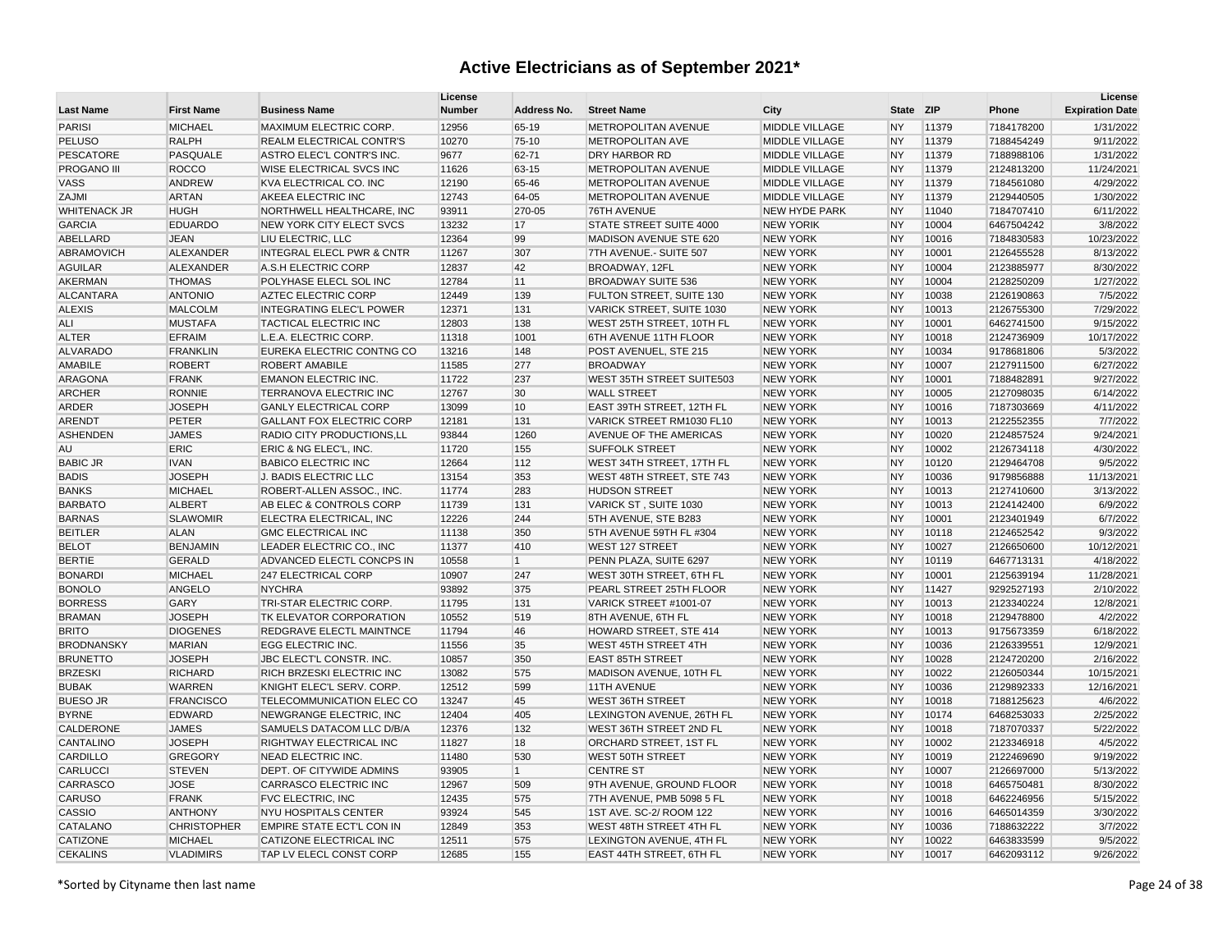| <b>Last Name</b>    | <b>First Name</b>  | <b>Business Name</b>             | License<br><b>Number</b> | Address No.    | <b>Street Name</b>               | City                  | <b>State</b> | <b>ZIP</b> | Phone      | License<br><b>Expiration Date</b> |
|---------------------|--------------------|----------------------------------|--------------------------|----------------|----------------------------------|-----------------------|--------------|------------|------------|-----------------------------------|
| <b>PARISI</b>       | <b>MICHAEL</b>     | MAXIMUM ELECTRIC CORP.           | 12956                    | 65-19          | METROPOLITAN AVENUE              | <b>MIDDLE VILLAGE</b> | <b>NY</b>    | 11379      | 7184178200 | 1/31/2022                         |
| <b>PELUSO</b>       | <b>RALPH</b>       | <b>REALM ELECTRICAL CONTR'S</b>  | 10270                    | 75-10          | <b>METROPOLITAN AVE</b>          | <b>MIDDLE VILLAGE</b> | <b>NY</b>    | 11379      | 7188454249 | 9/11/2022                         |
| <b>PESCATORE</b>    | PASQUALE           | ASTRO ELEC'L CONTR'S INC.        | 9677                     | 62-71          | <b>DRY HARBOR RD</b>             | <b>MIDDLE VILLAGE</b> | <b>NY</b>    | 11379      | 7188988106 | 1/31/2022                         |
| PROGANO III         | <b>ROCCO</b>       | <b>WISE ELECTRICAL SVCS INC</b>  | 11626                    | 63-15          | METROPOLITAN AVENUE              | MIDDLE VILLAGE        | <b>NY</b>    | 11379      | 2124813200 | 11/24/2021                        |
| VASS                | <b>ANDREW</b>      | KVA ELECTRICAL CO. INC           | 12190                    | 65-46          | <b>METROPOLITAN AVENUE</b>       | <b>MIDDLE VILLAGE</b> | <b>NY</b>    | 11379      | 7184561080 | 4/29/2022                         |
| ZAJMI               | <b>ARTAN</b>       | AKEEA ELECTRIC INC               | 12743                    | 64-05          | METROPOLITAN AVENUE              | MIDDLE VILLAGE        | <b>NY</b>    | 11379      | 2129440505 | 1/30/2022                         |
| <b>WHITENACK JR</b> | <b>HUGH</b>        | NORTHWELL HEALTHCARE, INC        | 93911                    | 270-05         | 76TH AVENUE                      | <b>NEW HYDE PARK</b>  | <b>NY</b>    | 11040      | 7184707410 | 6/11/2022                         |
| <b>GARCIA</b>       | <b>EDUARDO</b>     | NEW YORK CITY ELECT SVCS         | 13232                    | 17             | <b>STATE STREET SUITE 4000</b>   | <b>NEW YORIK</b>      | <b>NY</b>    | 10004      | 6467504242 | 3/8/2022                          |
| ABELLARD            | <b>JEAN</b>        | LIU ELECTRIC, LLC                | 12364                    | 99             | MADISON AVENUE STE 620           | <b>NEW YORK</b>       | <b>NY</b>    | 10016      | 7184830583 | 10/23/2022                        |
| ABRAMOVICH          | ALEXANDER          | INTEGRAL ELECL PWR & CNTR        | 11267                    | 307            | 7TH AVENUE .- SUITE 507          | <b>NEW YORK</b>       | <b>NY</b>    | 10001      | 2126455528 | 8/13/2022                         |
| AGUILAR             | ALEXANDER          | A.S.H ELECTRIC CORP              | 12837                    | 42             | BROADWAY, 12FL                   | <b>NEW YORK</b>       | <b>NY</b>    | 10004      | 2123885977 | 8/30/2022                         |
| <b>AKERMAN</b>      | <b>THOMAS</b>      | POLYHASE ELECL SOL INC           | 12784                    | 11             | <b>BROADWAY SUITE 536</b>        | <b>NEW YORK</b>       | <b>NY</b>    | 10004      | 2128250209 | 1/27/2022                         |
| <b>ALCANTARA</b>    | <b>ANTONIO</b>     | <b>AZTEC ELECTRIC CORP</b>       | 12449                    | 139            | FULTON STREET, SUITE 130         | <b>NEW YORK</b>       | <b>NY</b>    | 10038      | 2126190863 | 7/5/2022                          |
| <b>ALEXIS</b>       | <b>MALCOLM</b>     | <b>INTEGRATING ELEC'L POWER</b>  | 12371                    | 131            | VARICK STREET, SUITE 1030        | <b>NEW YORK</b>       | <b>NY</b>    | 10013      | 2126755300 | 7/29/2022                         |
| ALI                 | <b>MUSTAFA</b>     | <b>TACTICAL ELECTRIC INC</b>     | 12803                    | 138            | WEST 25TH STREET, 10TH FL        | <b>NEW YORK</b>       | <b>NY</b>    | 10001      | 6462741500 | 9/15/2022                         |
| <b>ALTER</b>        | <b>EFRAIM</b>      | L.E.A. ELECTRIC CORP.            | 11318                    | 1001           | 6TH AVENUE 11TH FLOOR            | <b>NEW YORK</b>       | <b>NY</b>    | 10018      | 2124736909 | 10/17/2022                        |
| <b>ALVARADO</b>     | <b>FRANKLIN</b>    | EUREKA ELECTRIC CONTNG CO        | 13216                    | 148            | POST AVENUEL, STE 215            | <b>NEW YORK</b>       | <b>NY</b>    | 10034      | 9178681806 | 5/3/2022                          |
| AMABILE             | <b>ROBERT</b>      | <b>ROBERT AMABILE</b>            | 11585                    | 277            | <b>BROADWAY</b>                  | <b>NEW YORK</b>       | <b>NY</b>    | 10007      | 2127911500 | 6/27/2022                         |
| <b>ARAGONA</b>      | <b>FRANK</b>       | <b>EMANON ELECTRIC INC.</b>      | 11722                    | 237            | WEST 35TH STREET SUITE503        | <b>NEW YORK</b>       | <b>NY</b>    | 10001      | 7188482891 | 9/27/2022                         |
| <b>ARCHER</b>       | <b>RONNIE</b>      | TERRANOVA ELECTRIC INC           | 12767                    | 30             | <b>WALL STREET</b>               | <b>NEW YORK</b>       | <b>NY</b>    | 10005      | 2127098035 | 6/14/2022                         |
| <b>ARDER</b>        | <b>JOSEPH</b>      | <b>GANLY ELECTRICAL CORP</b>     | 13099                    | 10             | EAST 39TH STREET, 12TH FL        | <b>NEW YORK</b>       | <b>NY</b>    | 10016      | 7187303669 | 4/11/2022                         |
| <b>ARENDT</b>       | <b>PETER</b>       | GALLANT FOX ELECTRIC CORP        | 12181                    | 131            | VARICK STREET RM1030 FL10        | <b>NEW YORK</b>       | <b>NY</b>    | 10013      | 2122552355 | 7/7/2022                          |
| <b>ASHENDEN</b>     | <b>JAMES</b>       | RADIO CITY PRODUCTIONS, LL       | 93844                    | 1260           | AVENUE OF THE AMERICAS           | <b>NEW YORK</b>       | <b>NY</b>    | 10020      | 2124857524 | 9/24/2021                         |
| AU                  | <b>ERIC</b>        | ERIC & NG ELEC'L, INC.           | 11720                    | 155            | <b>SUFFOLK STREET</b>            | <b>NEW YORK</b>       | <b>NY</b>    | 10002      | 2126734118 | 4/30/2022                         |
| <b>BABIC JR</b>     | <b>IVAN</b>        | <b>BABICO ELECTRIC INC</b>       | 12664                    | 112            | <b>WEST 34TH STREET, 17TH FL</b> | <b>NEW YORK</b>       | <b>NY</b>    | 10120      | 2129464708 | 9/5/2022                          |
| <b>BADIS</b>        | <b>JOSEPH</b>      | J. BADIS ELECTRIC LLC            | 13154                    | 353            | <b>WEST 48TH STREET, STE 743</b> | <b>NEW YORK</b>       | <b>NY</b>    | 10036      | 9179856888 | 11/13/2021                        |
| <b>BANKS</b>        | <b>MICHAEL</b>     | ROBERT-ALLEN ASSOC., INC.        | 11774                    | 283            | <b>HUDSON STREET</b>             | <b>NEW YORK</b>       | <b>NY</b>    | 10013      | 2127410600 | 3/13/2022                         |
| <b>BARBATO</b>      | <b>ALBERT</b>      | AB ELEC & CONTROLS CORP          | 11739                    | 131            | VARICK ST, SUITE 1030            | <b>NEW YORK</b>       | <b>NY</b>    | 10013      | 2124142400 | 6/9/2022                          |
| <b>BARNAS</b>       | <b>SLAWOMIR</b>    | ELECTRA ELECTRICAL, INC          | 12226                    | 244            | 5TH AVENUE, STE B283             | <b>NEW YORK</b>       | <b>NY</b>    | 10001      | 2123401949 | 6/7/2022                          |
| <b>BEITLER</b>      | <b>ALAN</b>        | <b>GMC ELECTRICAL INC</b>        | 11138                    | 350            | 5TH AVENUE 59TH FL #304          | <b>NEW YORK</b>       | <b>NY</b>    | 10118      | 2124652542 | 9/3/2022                          |
| <b>BELOT</b>        | <b>BENJAMIN</b>    | LEADER ELECTRIC CO., INC         | 11377                    | 410            | <b>WEST 127 STREET</b>           | <b>NEW YORK</b>       | <b>NY</b>    | 10027      | 2126650600 | 10/12/2021                        |
| <b>BERTIE</b>       | <b>GERALD</b>      | ADVANCED ELECTL CONCPS IN        | 10558                    | $\vert$ 1      | PENN PLAZA, SUITE 6297           | <b>NEW YORK</b>       | <b>NY</b>    | 10119      | 6467713131 | 4/18/2022                         |
| <b>BONARDI</b>      | <b>MICHAEL</b>     | 247 ELECTRICAL CORP              | 10907                    | 247            | WEST 30TH STREET, 6TH FL         | <b>NEW YORK</b>       | <b>NY</b>    | 10001      | 2125639194 | 11/28/2021                        |
| <b>BONOLO</b>       | ANGELO             | <b>NYCHRA</b>                    | 93892                    | 375            | PEARL STREET 25TH FLOOR          | <b>NEW YORK</b>       | <b>NY</b>    | 11427      | 9292527193 | 2/10/2022                         |
| <b>BORRESS</b>      | <b>GARY</b>        | TRI-STAR ELECTRIC CORP.          | 11795                    | 131            | VARICK STREET #1001-07           | <b>NEW YORK</b>       | <b>NY</b>    | 10013      | 2123340224 | 12/8/2021                         |
| <b>BRAMAN</b>       | <b>JOSEPH</b>      | TK ELEVATOR CORPORATION          | 10552                    | 519            | 8TH AVENUE, 6TH FL               | <b>NEW YORK</b>       | <b>NY</b>    | 10018      | 2129478800 | 4/2/2022                          |
| <b>BRITO</b>        | <b>DIOGENES</b>    | REDGRAVE ELECTL MAINTNCE         | 11794                    | 46             | <b>HOWARD STREET, STE 414</b>    | <b>NEW YORK</b>       | <b>NY</b>    | 10013      | 9175673359 | 6/18/2022                         |
| <b>BRODNANSKY</b>   | <b>MARIAN</b>      | <b>EGG ELECTRIC INC.</b>         | 11556                    | 35             | WEST 45TH STREET 4TH             | <b>NEW YORK</b>       | <b>NY</b>    | 10036      | 2126339551 | 12/9/2021                         |
| <b>BRUNETTO</b>     | <b>JOSEPH</b>      | <b>JBC ELECT'L CONSTR. INC.</b>  | 10857                    | 350            | <b>EAST 85TH STREET</b>          | <b>NEW YORK</b>       | <b>NY</b>    | 10028      | 2124720200 | 2/16/2022                         |
| <b>BRZESKI</b>      | <b>RICHARD</b>     | RICH BRZESKI ELECTRIC INC        | 13082                    | 575            | MADISON AVENUE, 10TH FL          | <b>NEW YORK</b>       | <b>NY</b>    | 10022      | 2126050344 | 10/15/2021                        |
| <b>BUBAK</b>        | <b>WARREN</b>      | KNIGHT ELEC'L SERV. CORP.        | 12512                    | 599            | 11TH AVENUE                      | <b>NEW YORK</b>       | <b>NY</b>    | 10036      | 2129892333 | 12/16/2021                        |
| <b>BUESO JR</b>     | <b>FRANCISCO</b>   | <b>TELECOMMUNICATION ELEC CO</b> | 13247                    | 45             | <b>WEST 36TH STREET</b>          | <b>NEW YORK</b>       | <b>NY</b>    | 10018      | 7188125623 | 4/6/2022                          |
| <b>BYRNE</b>        | <b>EDWARD</b>      | NEWGRANGE ELECTRIC, INC          | 12404                    | 405            | LEXINGTON AVENUE, 26TH FL        | <b>NEW YORK</b>       | <b>NY</b>    | 10174      | 6468253033 | 2/25/2022                         |
| <b>CALDERONE</b>    | <b>JAMES</b>       | SAMUELS DATACOM LLC D/B/A        | 12376                    | 132            | WEST 36TH STREET 2ND FL          | <b>NEW YORK</b>       | <b>NY</b>    | 10018      | 7187070337 | 5/22/2022                         |
| CANTALINO           | <b>JOSEPH</b>      | RIGHTWAY ELECTRICAL INC          | 11827                    | 18             | ORCHARD STREET, 1ST FL           | <b>NEW YORK</b>       | <b>NY</b>    | 10002      | 2123346918 | 4/5/2022                          |
| <b>CARDILLO</b>     | <b>GREGORY</b>     | NEAD ELECTRIC INC.               | 11480                    | 530            | <b>WEST 50TH STREET</b>          | <b>NEW YORK</b>       | <b>NY</b>    | 10019      | 2122469690 | 9/19/2022                         |
| <b>CARLUCCI</b>     | <b>STEVEN</b>      | <b>DEPT. OF CITYWIDE ADMINS</b>  | 93905                    | $\overline{1}$ | <b>CENTRE ST</b>                 | <b>NEW YORK</b>       | <b>NY</b>    | 10007      | 2126697000 | 5/13/2022                         |
| <b>CARRASCO</b>     | <b>JOSE</b>        | CARRASCO ELECTRIC INC            | 12967                    | 509            | 9TH AVENUE, GROUND FLOOR         | <b>NEW YORK</b>       | <b>NY</b>    | 10018      | 6465750481 | 8/30/2022                         |
| CARUSO              | <b>FRANK</b>       | <b>FVC ELECTRIC, INC</b>         | 12435                    | 575            | 7TH AVENUE, PMB 5098 5 FL        | <b>NEW YORK</b>       | <b>NY</b>    | 10018      | 6462246956 | 5/15/2022                         |
| CASSIO              | <b>ANTHONY</b>     | NYU HOSPITALS CENTER             | 93924                    | 545            | 1ST AVE. SC-2/ ROOM 122          | <b>NEW YORK</b>       | <b>NY</b>    | 10016      | 6465014359 | 3/30/2022                         |
| <b>CATALANO</b>     | <b>CHRISTOPHER</b> | EMPIRE STATE ECT'L CON IN        | 12849                    | 353            | WEST 48TH STREET 4TH FL          | <b>NEW YORK</b>       | <b>NY</b>    | 10036      | 7188632222 | 3/7/2022                          |
| CATIZONE            | <b>MICHAEL</b>     | CATIZONE ELECTRICAL INC          | 12511                    | 575            | LEXINGTON AVENUE, 4TH FL         | <b>NEW YORK</b>       | <b>NY</b>    | 10022      | 6463833599 | 9/5/2022                          |
| <b>CEKALINS</b>     | <b>VLADIMIRS</b>   | <b>TAP LV ELECL CONST CORP</b>   | 12685                    | 155            | <b>EAST 44TH STREET, 6TH FL</b>  | <b>NEW YORK</b>       | <b>NY</b>    | 10017      | 6462093112 | 9/26/2022                         |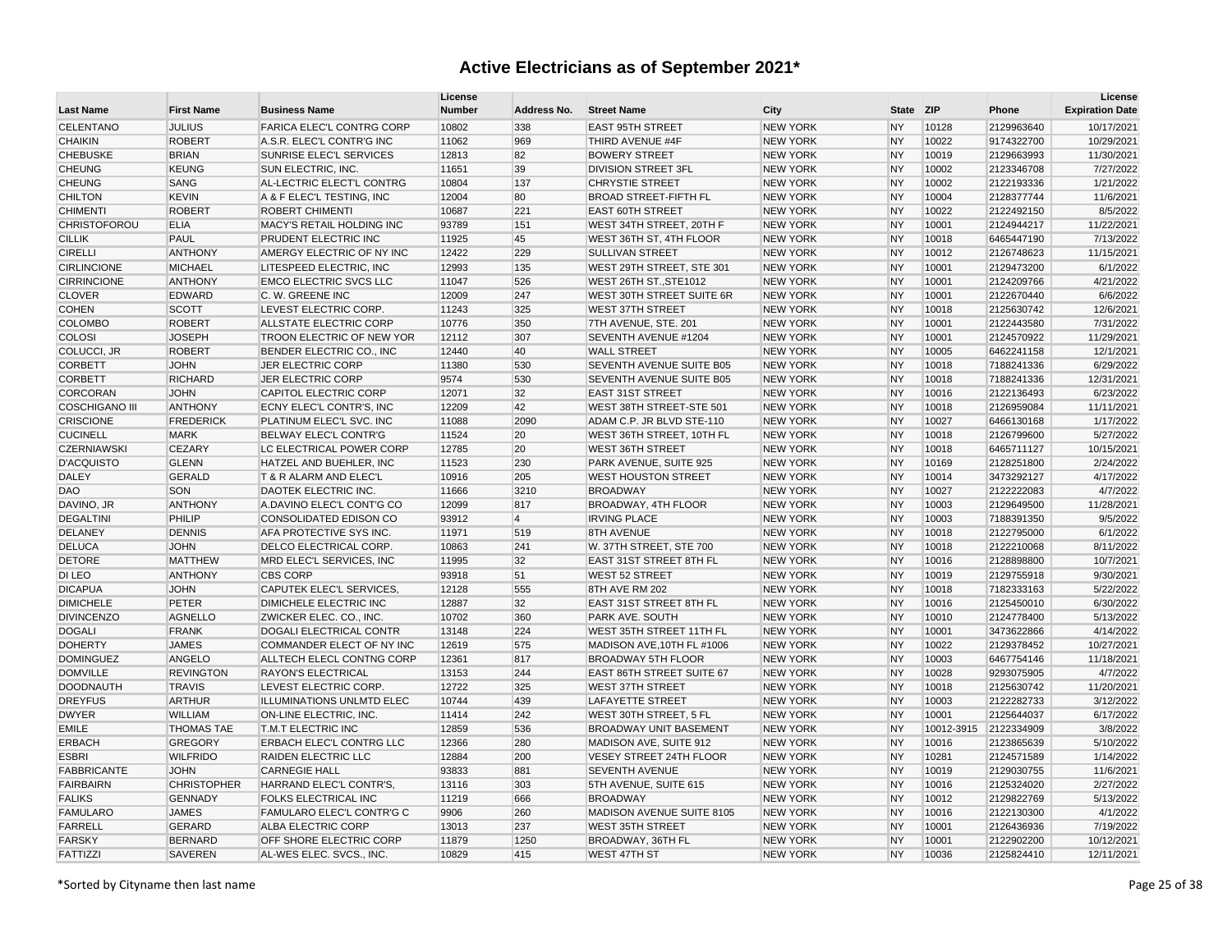| <b>Last Name</b>      | <b>First Name</b>  | <b>Business Name</b>          | License<br><b>Number</b> | Address No.    | <b>Street Name</b>               | City            | <b>State</b> | <b>ZIP</b> | Phone                 | License<br><b>Expiration Date</b> |
|-----------------------|--------------------|-------------------------------|--------------------------|----------------|----------------------------------|-----------------|--------------|------------|-----------------------|-----------------------------------|
| <b>CELENTANO</b>      | <b>JULIUS</b>      | FARICA ELEC'L CONTRG CORP     | 10802                    | 338            | <b>EAST 95TH STREET</b>          | <b>NEW YORK</b> | <b>NY</b>    | 10128      | 2129963640            | 10/17/2021                        |
| <b>CHAIKIN</b>        | <b>ROBERT</b>      | A.S.R. ELEC'L CONTR'G INC     | 11062                    | 969            | THIRD AVENUE #4F                 | <b>NEW YORK</b> | <b>NY</b>    | 10022      | 9174322700            | 10/29/2021                        |
| <b>CHEBUSKE</b>       | <b>BRIAN</b>       | SUNRISE ELEC'L SERVICES       | 12813                    | 82             | <b>BOWERY STREET</b>             | <b>NEW YORK</b> | <b>NY</b>    | 10019      | 2129663993            | 11/30/2021                        |
| <b>CHEUNG</b>         | <b>KEUNG</b>       | SUN ELECTRIC, INC.            | 11651                    | 39             | <b>DIVISION STREET 3FL</b>       | <b>NEW YORK</b> | <b>NY</b>    | 10002      | 2123346708            | 7/27/2022                         |
| <b>CHEUNG</b>         | <b>SANG</b>        | AL-LECTRIC ELECT'L CONTRG     | 10804                    | 137            | <b>CHRYSTIE STREET</b>           | <b>NEW YORK</b> | <b>NY</b>    | 10002      | 2122193336            | 1/21/2022                         |
| <b>CHILTON</b>        | <b>KEVIN</b>       | A & F ELEC'L TESTING, INC     | 12004                    | 80             | <b>BROAD STREET-FIFTH FL</b>     | <b>NEW YORK</b> | <b>NY</b>    | 10004      | 2128377744            | 11/6/2021                         |
| <b>CHIMENTI</b>       | <b>ROBERT</b>      | <b>ROBERT CHIMENTI</b>        | 10687                    | 221            | <b>EAST 60TH STREET</b>          | <b>NEW YORK</b> | <b>NY</b>    | 10022      | 2122492150            | 8/5/2022                          |
| <b>CHRISTOFOROU</b>   | <b>ELIA</b>        | MACY'S RETAIL HOLDING INC     | 93789                    | 151            | WEST 34TH STREET, 20TH F         | <b>NEW YORK</b> | <b>NY</b>    | 10001      | 2124944217            | 11/22/2021                        |
| <b>CILLIK</b>         | PAUL               | PRUDENT ELECTRIC INC          | 11925                    | 45             | WEST 36TH ST, 4TH FLOOR          | <b>NEW YORK</b> | <b>NY</b>    | 10018      | 6465447190            | 7/13/2022                         |
| <b>CIRELLI</b>        | <b>ANTHONY</b>     | AMERGY ELECTRIC OF NY INC     | 12422                    | 229            | <b>SULLIVAN STREET</b>           | <b>NEW YORK</b> | <b>NY</b>    | 10012      | 2126748623            | 11/15/2021                        |
| <b>CIRLINCIONE</b>    | <b>MICHAEL</b>     | LITESPEED ELECTRIC, INC       | 12993                    | 135            | WEST 29TH STREET, STE 301        | <b>NEW YORK</b> | <b>NY</b>    | 10001      | 2129473200            | 6/1/2022                          |
| <b>CIRRINCIONE</b>    | <b>ANTHONY</b>     | <b>EMCO ELECTRIC SVCS LLC</b> | 11047                    | 526            | WEST 26TH ST., STE1012           | <b>NEW YORK</b> | <b>NY</b>    | 10001      | 2124209766            | 4/21/2022                         |
| <b>CLOVER</b>         | EDWARD             | C. W. GREENE INC              | 12009                    | 247            | WEST 30TH STREET SUITE 6R        | <b>NEW YORK</b> | <b>NY</b>    | 10001      | 2122670440            | 6/6/2022                          |
| <b>COHEN</b>          | <b>SCOTT</b>       | LEVEST ELECTRIC CORP.         | 11243                    | 325            | <b>WEST 37TH STREET</b>          | <b>NEW YORK</b> | <b>NY</b>    | 10018      | 2125630742            | 12/6/2021                         |
| COLOMBO               | <b>ROBERT</b>      | ALLSTATE ELECTRIC CORP        | 10776                    | 350            | 7TH AVENUE, STE. 201             | <b>NEW YORK</b> | <b>NY</b>    | 10001      | 2122443580            | 7/31/2022                         |
| <b>COLOSI</b>         | <b>JOSEPH</b>      | TROON ELECTRIC OF NEW YOR     | 12112                    | 307            | SEVENTH AVENUE #1204             | <b>NEW YORK</b> | <b>NY</b>    | 10001      | 2124570922            | 11/29/2021                        |
| COLUCCI, JR           | <b>ROBERT</b>      | BENDER ELECTRIC CO., INC      | 12440                    | 40             | <b>WALL STREET</b>               | <b>NEW YORK</b> | <b>NY</b>    | 10005      | 6462241158            | 12/1/2021                         |
| <b>CORBETT</b>        | <b>JOHN</b>        | <b>JER ELECTRIC CORP</b>      | 11380                    | 530            | SEVENTH AVENUE SUITE B05         | <b>NEW YORK</b> | <b>NY</b>    | 10018      | 7188241336            | 6/29/2022                         |
| <b>CORBETT</b>        | <b>RICHARD</b>     | <b>JER ELECTRIC CORP</b>      | 9574                     | 530            | <b>SEVENTH AVENUE SUITE B05</b>  | <b>NEW YORK</b> | <b>NY</b>    | 10018      | 7188241336            | 12/31/2021                        |
| <b>CORCORAN</b>       | <b>JOHN</b>        | CAPITOL ELECTRIC CORP         | 12071                    | 32             | <b>EAST 31ST STREET</b>          | <b>NEW YORK</b> | <b>NY</b>    | 10016      | 2122136493            | 6/23/2022                         |
| <b>COSCHIGANO III</b> | <b>ANTHONY</b>     | ECNY ELEC'L CONTR'S, INC      | 12209                    | 42             | WEST 38TH STREET-STE 501         | <b>NEW YORK</b> | <b>NY</b>    | 10018      | 2126959084            | 11/11/2021                        |
| <b>CRISCIONE</b>      | <b>FREDERICK</b>   | PLATINUM ELEC'L SVC. INC      | 11088                    | 2090           | ADAM C.P. JR BLVD STE-110        | <b>NEW YORK</b> | <b>NY</b>    | 10027      | 6466130168            | 1/17/2022                         |
| <b>CUCINELL</b>       | <b>MARK</b>        | BELWAY ELEC'L CONTR'G         | 11524                    | 20             | WEST 36TH STREET, 10TH FL        | <b>NEW YORK</b> | <b>NY</b>    | 10018      | 2126799600            | 5/27/2022                         |
| <b>CZERNIAWSKI</b>    | CEZARY             | LC ELECTRICAL POWER CORP      | 12785                    | 20             | <b>WEST 36TH STREET</b>          | <b>NEW YORK</b> | <b>NY</b>    | 10018      | 6465711127            | 10/15/2021                        |
| <b>D'ACQUISTO</b>     | <b>GLENN</b>       | HATZEL AND BUEHLER, INC       | 11523                    | 230            | PARK AVENUE, SUITE 925           | <b>NEW YORK</b> | <b>NY</b>    | 10169      | 2128251800            | 2/24/2022                         |
| <b>DALEY</b>          | <b>GERALD</b>      | T & R ALARM AND ELEC'L        | 10916                    | 205            | <b>WEST HOUSTON STREET</b>       | <b>NEW YORK</b> | <b>NY</b>    | 10014      | 3473292127            | 4/17/2022                         |
| DAO                   | SON                | DAOTEK ELECTRIC INC.          | 11666                    | 3210           | <b>BROADWAY</b>                  | <b>NEW YORK</b> | <b>NY</b>    | 10027      | 2122222083            | 4/7/2022                          |
| DAVINO, JR            | <b>ANTHONY</b>     | A.DAVINO ELEC'L CONT'G CO     | 12099                    | 817            | <b>BROADWAY, 4TH FLOOR</b>       | <b>NEW YORK</b> | <b>NY</b>    | 10003      | 2129649500            | 11/28/2021                        |
| <b>DEGALTINI</b>      | PHILIP             | CONSOLIDATED EDISON CO        | 93912                    | $\overline{4}$ | <b>IRVING PLACE</b>              | <b>NEW YORK</b> | <b>NY</b>    | 10003      | 7188391350            | 9/5/2022                          |
| DELANEY               | <b>DENNIS</b>      | AFA PROTECTIVE SYS INC.       | 11971                    | 519            | 8TH AVENUE                       | <b>NEW YORK</b> | <b>NY</b>    | 10018      | 2122795000            | 6/1/2022                          |
| <b>DELUCA</b>         | <b>JOHN</b>        | DELCO ELECTRICAL CORP.        | 10863                    | 241            | W. 37TH STREET, STE 700          | <b>NEW YORK</b> | <b>NY</b>    | 10018      | 2122210068            | 8/11/2022                         |
| <b>DETORE</b>         | <b>MATTHEW</b>     | MRD ELEC'L SERVICES, INC      | 11995                    | 32             | EAST 31ST STREET 8TH FL          | <b>NEW YORK</b> | <b>NY</b>    | 10016      | 2128898800            | 10/7/2021                         |
| DI LEO                | <b>ANTHONY</b>     | <b>CBS CORP</b>               | 93918                    | 51             | <b>WEST 52 STREET</b>            | <b>NEW YORK</b> | <b>NY</b>    | 10019      | 2129755918            | 9/30/2021                         |
| <b>DICAPUA</b>        | <b>JOHN</b>        | CAPUTEK ELEC'L SERVICES,      | 12128                    | 555            | 8TH AVE RM 202                   | <b>NEW YORK</b> | <b>NY</b>    | 10018      | 7182333163            | 5/22/2022                         |
| <b>DIMICHELE</b>      | <b>PETER</b>       | DIMICHELE ELECTRIC INC        | 12887                    | 32             | EAST 31ST STREET 8TH FL          | <b>NEW YORK</b> | <b>NY</b>    | 10016      | 2125450010            | 6/30/2022                         |
| <b>DIVINCENZO</b>     | <b>AGNELLO</b>     | ZWICKER ELEC. CO., INC.       | 10702                    | 360            | PARK AVE. SOUTH                  | <b>NEW YORK</b> | <b>NY</b>    | 10010      | 2124778400            | 5/13/2022                         |
| <b>DOGALI</b>         | <b>FRANK</b>       | DOGALI ELECTRICAL CONTR       | 13148                    | 224            | WEST 35TH STREET 11TH FL         | <b>NEW YORK</b> | <b>NY</b>    | 10001      | 3473622866            | 4/14/2022                         |
| <b>DOHERTY</b>        | <b>JAMES</b>       | COMMANDER ELECT OF NY INC     | 12619                    | 575            | MADISON AVE, 10TH FL #1006       | <b>NEW YORK</b> | <b>NY</b>    | 10022      | 2129378452            | 10/27/2021                        |
| <b>DOMINGUEZ</b>      | <b>ANGELO</b>      | ALLTECH ELECL CONTNG CORP     | 12361                    | 817            | <b>BROADWAY 5TH FLOOR</b>        | <b>NEW YORK</b> | <b>NY</b>    | 10003      | 6467754146            | 11/18/2021                        |
| <b>DOMVILLE</b>       | <b>REVINGTON</b>   | <b>RAYON'S ELECTRICAL</b>     | 13153                    | 244            | <b>EAST 86TH STREET SUITE 67</b> | <b>NEW YORK</b> | <b>NY</b>    | 10028      | 9293075905            | 4/7/2022                          |
| <b>DOODNAUTH</b>      | <b>TRAVIS</b>      | LEVEST ELECTRIC CORP.         | 12722                    | 325            | <b>WEST 37TH STREET</b>          | <b>NEW YORK</b> | <b>NY</b>    | 10018      | 2125630742            | 11/20/2021                        |
| <b>DREYFUS</b>        | <b>ARTHUR</b>      | ILLUMINATIONS UNLMTD ELEC     | 10744                    | 439            | <b>LAFAYETTE STREET</b>          | <b>NEW YORK</b> | <b>NY</b>    | 10003      | 2122282733            | 3/12/2022                         |
| <b>DWYER</b>          | <b>WILLIAM</b>     | ON-LINE ELECTRIC, INC.        | 11414                    | 242            | WEST 30TH STREET, 5 FL           | <b>NEW YORK</b> | <b>NY</b>    | 10001      | 2125644037            | 6/17/2022                         |
| <b>EMILE</b>          | <b>THOMAS TAE</b>  | <b>T.M.T ELECTRIC INC</b>     | 12859                    | 536            | <b>BROADWAY UNIT BASEMENT</b>    | <b>NEW YORK</b> | <b>NY</b>    |            | 10012-3915 2122334909 | 3/8/2022                          |
| <b>ERBACH</b>         | <b>GREGORY</b>     | ERBACH ELEC'L CONTRG LLC      | 12366                    | 280            | MADISON AVE, SUITE 912           | <b>NEW YORK</b> | <b>NY</b>    | 10016      | 2123865639            | 5/10/2022                         |
| <b>ESBRI</b>          | <b>WILFRIDO</b>    | RAIDEN ELECTRIC LLC           | 12884                    | 200            | <b>VESEY STREET 24TH FLOOR</b>   | <b>NEW YORK</b> | <b>NY</b>    | 10281      | 2124571589            | 1/14/2022                         |
| <b>FABBRICANTE</b>    | <b>JOHN</b>        | <b>CARNEGIE HALL</b>          | 93833                    | 881            | <b>SEVENTH AVENUE</b>            | <b>NEW YORK</b> | <b>NY</b>    | 10019      | 2129030755            | 11/6/2021                         |
| <b>FAIRBAIRN</b>      | <b>CHRISTOPHER</b> | HARRAND ELEC'L CONTR'S,       | 13116                    | 303            | 5TH AVENUE, SUITE 615            | <b>NEW YORK</b> | <b>NY</b>    | 10016      | 2125324020            | 2/27/2022                         |
| <b>FALIKS</b>         | <b>GENNADY</b>     | FOLKS ELECTRICAL INC          | 11219                    | 666            | <b>BROADWAY</b>                  | <b>NEW YORK</b> | <b>NY</b>    | 10012      | 2129822769            | 5/13/2022                         |
| <b>FAMULARO</b>       | <b>JAMES</b>       | FAMULARO ELEC'L CONTR'G C     | 9906                     | 260            | MADISON AVENUE SUITE 8105        | <b>NEW YORK</b> | <b>NY</b>    | 10016      | 2122130300            | 4/1/2022                          |
| <b>FARRELL</b>        | <b>GERARD</b>      | <b>ALBA ELECTRIC CORP</b>     | 13013                    | 237            | <b>WEST 35TH STREET</b>          | <b>NEW YORK</b> | <b>NY</b>    | 10001      | 2126436936            | 7/19/2022                         |
| <b>FARSKY</b>         | <b>BERNARD</b>     | OFF SHORE ELECTRIC CORP       | 11879                    | 1250           | BROADWAY, 36TH FL                | <b>NEW YORK</b> | <b>NY</b>    | 10001      | 2122902200            | 10/12/2021                        |
| <b>FATTIZZI</b>       | <b>SAVEREN</b>     | AL-WES ELEC. SVCS., INC.      | 10829                    | 415            | <b>WEST 47TH ST</b>              | <b>NEW YORK</b> | <b>NY</b>    | 10036      | 2125824410            | 12/11/2021                        |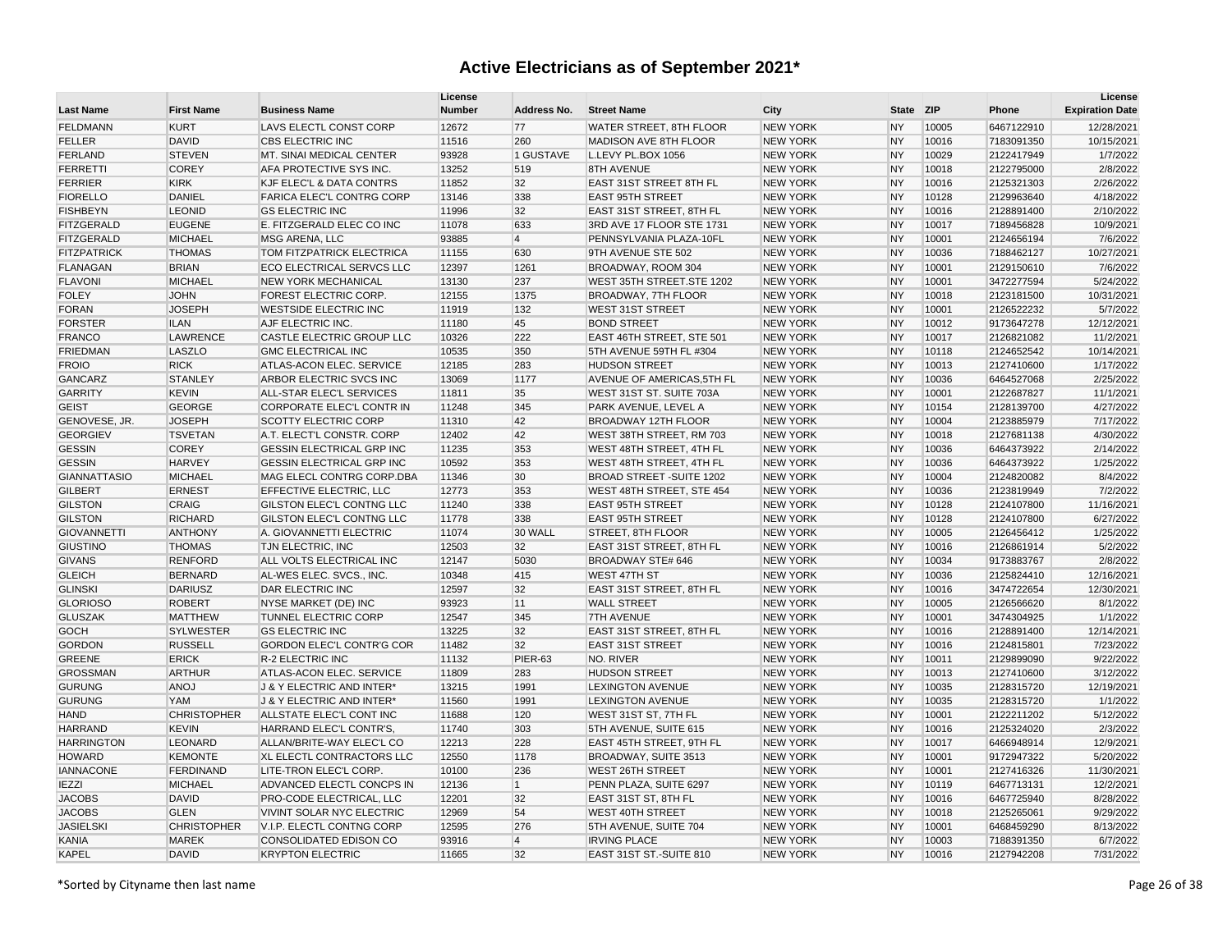| <b>Last Name</b>    | <b>First Name</b>  | <b>Business Name</b>             | License<br><b>Number</b> | Address No.    | <b>Street Name</b>              | City            | <b>State</b> | <b>ZIP</b> | Phone      | License<br><b>Expiration Date</b> |
|---------------------|--------------------|----------------------------------|--------------------------|----------------|---------------------------------|-----------------|--------------|------------|------------|-----------------------------------|
| <b>FELDMANN</b>     | <b>KURT</b>        | LAVS ELECTL CONST CORP           | 12672                    | 77             | <b>WATER STREET, 8TH FLOOR</b>  | <b>NEW YORK</b> | <b>NY</b>    | 10005      | 6467122910 | 12/28/2021                        |
| <b>FELLER</b>       | <b>DAVID</b>       | CBS ELECTRIC INC                 | 11516                    | 260            | MADISON AVE 8TH FLOOR           | <b>NEW YORK</b> | <b>NY</b>    | 10016      | 7183091350 | 10/15/2021                        |
| <b>FERLAND</b>      | <b>STEVEN</b>      | MT. SINAI MEDICAL CENTER         | 93928                    | 1 GUSTAVE      | L.LEVY PL.BOX 1056              | <b>NEW YORK</b> | <b>NY</b>    | 10029      | 2122417949 | 1/7/2022                          |
| <b>FERRETTI</b>     | <b>COREY</b>       | AFA PROTECTIVE SYS INC.          | 13252                    | 519            | 8TH AVENUE                      | <b>NEW YORK</b> | <b>NY</b>    | 10018      | 2122795000 | 2/8/2022                          |
| <b>FERRIER</b>      | <b>KIRK</b>        | KJF ELEC'L & DATA CONTRS         | 11852                    | 32             | EAST 31ST STREET 8TH FL         | <b>NEW YORK</b> | <b>NY</b>    | 10016      | 2125321303 | 2/26/2022                         |
| <b>FIORELLO</b>     | <b>DANIEL</b>      | FARICA ELEC'L CONTRG CORP        | 13146                    | 338            | <b>EAST 95TH STREET</b>         | <b>NEW YORK</b> | <b>NY</b>    | 10128      | 2129963640 | 4/18/2022                         |
| <b>FISHBEYN</b>     | <b>LEONID</b>      | <b>GS ELECTRIC INC</b>           | 11996                    | 32             | <b>EAST 31ST STREET, 8TH FL</b> | <b>NEW YORK</b> | <b>NY</b>    | 10016      | 2128891400 | 2/10/2022                         |
| <b>FITZGERALD</b>   | <b>EUGENE</b>      | E. FITZGERALD ELEC CO INC        | 11078                    | 633            | 3RD AVE 17 FLOOR STE 1731       | <b>NEW YORK</b> | <b>NY</b>    | 10017      | 7189456828 | 10/9/2021                         |
| <b>FITZGERALD</b>   | <b>MICHAEL</b>     | <b>MSG ARENA, LLC</b>            | 93885                    | $\overline{4}$ | PENNSYLVANIA PLAZA-10FL         | <b>NEW YORK</b> | <b>NY</b>    | 10001      | 2124656194 | 7/6/2022                          |
| <b>FITZPATRICK</b>  | <b>THOMAS</b>      | <b>TOM FITZPATRICK ELECTRICA</b> | 11155                    | 630            | 9TH AVENUE STE 502              | <b>NEW YORK</b> | <b>NY</b>    | 10036      | 7188462127 | 10/27/2021                        |
| <b>FLANAGAN</b>     | <b>BRIAN</b>       | ECO ELECTRICAL SERVCS LLC        | 12397                    | 1261           | BROADWAY, ROOM 304              | <b>NEW YORK</b> | <b>NY</b>    | 10001      | 2129150610 | 7/6/2022                          |
| <b>FLAVONI</b>      | <b>MICHAEL</b>     | <b>NEW YORK MECHANICAL</b>       | 13130                    | 237            | WEST 35TH STREET.STE 1202       | <b>NEW YORK</b> | <b>NY</b>    | 10001      | 3472277594 | 5/24/2022                         |
| <b>FOLEY</b>        | <b>JOHN</b>        | FOREST ELECTRIC CORP             | 12155                    | 1375           | BROADWAY, 7TH FLOOR             | <b>NEW YORK</b> | <b>NY</b>    | 10018      | 2123181500 | 10/31/2021                        |
| <b>FORAN</b>        | <b>JOSEPH</b>      | <b>WESTSIDE ELECTRIC INC</b>     | 11919                    | 132            | <b>WEST 31ST STREET</b>         | <b>NEW YORK</b> | <b>NY</b>    | 10001      | 2126522232 | 5/7/2022                          |
| <b>FORSTER</b>      | <b>ILAN</b>        | <b>AJF ELECTRIC INC.</b>         | 11180                    | 45             | <b>BOND STREET</b>              | <b>NEW YORK</b> | <b>NY</b>    | 10012      | 9173647278 | 12/12/2021                        |
| <b>FRANCO</b>       | <b>LAWRENCE</b>    | CASTLE ELECTRIC GROUP LLC        | 10326                    | 222            | EAST 46TH STREET, STE 501       | <b>NEW YORK</b> | <b>NY</b>    | 10017      | 2126821082 | 11/2/2021                         |
| <b>FRIEDMAN</b>     | LASZLO             | <b>GMC ELECTRICAL INC</b>        | 10535                    | 350            | 5TH AVENUE 59TH FL #304         | <b>NEW YORK</b> | <b>NY</b>    | 10118      | 2124652542 | 10/14/2021                        |
| <b>FROIO</b>        | <b>RICK</b>        | ATLAS-ACON ELEC. SERVICE         | 12185                    | 283            | <b>HUDSON STREET</b>            | <b>NEW YORK</b> | <b>NY</b>    | 10013      | 2127410600 | 1/17/2022                         |
| <b>GANCARZ</b>      | <b>STANLEY</b>     | ARBOR ELECTRIC SVCS INC          | 13069                    | 1177           | AVENUE OF AMERICAS, 5TH FL      | <b>NEW YORK</b> | <b>NY</b>    | 10036      | 6464527068 | 2/25/2022                         |
| <b>GARRITY</b>      | <b>KEVIN</b>       | ALL-STAR ELEC'L SERVICES         | 11811                    | 35             | WEST 31ST ST. SUITE 703A        | <b>NEW YORK</b> | <b>NY</b>    | 10001      | 2122687827 | 11/1/2021                         |
| <b>GEIST</b>        | <b>GEORGE</b>      | CORPORATE ELEC'L CONTR IN        | 11248                    | 345            | PARK AVENUE, LEVEL A            | <b>NEW YORK</b> | <b>NY</b>    | 10154      | 2128139700 | 4/27/2022                         |
| GENOVESE, JR.       | <b>JOSEPH</b>      | <b>SCOTTY ELECTRIC CORP</b>      | 11310                    | 42             | BROADWAY 12TH FLOOR             | <b>NEW YORK</b> | <b>NY</b>    | 10004      | 2123885979 | 7/17/2022                         |
| <b>GEORGIEV</b>     | <b>TSVETAN</b>     | A.T. ELECT'L CONSTR. CORP        | 12402                    | 42             | WEST 38TH STREET, RM 703        | <b>NEW YORK</b> | <b>NY</b>    | 10018      | 2127681138 | 4/30/2022                         |
| <b>GESSIN</b>       | <b>COREY</b>       | GESSIN ELECTRICAL GRP INC        | 11235                    | 353            | WEST 48TH STREET, 4TH FL        | <b>NEW YORK</b> | <b>NY</b>    | 10036      | 6464373922 | 2/14/2022                         |
| <b>GESSIN</b>       | <b>HARVEY</b>      | <b>GESSIN ELECTRICAL GRP INC</b> | 10592                    | 353            | WEST 48TH STREET, 4TH FL        | <b>NEW YORK</b> | <b>NY</b>    | 10036      | 6464373922 | 1/25/2022                         |
| <b>GIANNATTASIO</b> | <b>MICHAEL</b>     | MAG ELECL CONTRG CORP.DBA        | 11346                    | 30             | <b>BROAD STREET -SUITE 1202</b> | <b>NEW YORK</b> | <b>NY</b>    | 10004      | 2124820082 | 8/4/2022                          |
| <b>GILBERT</b>      | <b>ERNEST</b>      | EFFECTIVE ELECTRIC, LLC          | 12773                    | 353            | WEST 48TH STREET, STE 454       | <b>NEW YORK</b> | <b>NY</b>    | 10036      | 2123819949 | 7/2/2022                          |
| <b>GILSTON</b>      | CRAIG              | GILSTON ELEC'L CONTNG LLC        | 11240                    | 338            | <b>EAST 95TH STREET</b>         | <b>NEW YORK</b> | <b>NY</b>    | 10128      | 2124107800 | 11/16/2021                        |
| <b>GILSTON</b>      | <b>RICHARD</b>     | GILSTON ELEC'L CONTNG LLC        | 11778                    | 338            | <b>EAST 95TH STREET</b>         | <b>NEW YORK</b> | <b>NY</b>    | 10128      | 2124107800 | 6/27/2022                         |
| <b>GIOVANNETTI</b>  | <b>ANTHONY</b>     | A. GIOVANNETTI ELECTRIC          | 11074                    | 30 WALL        | STREET, 8TH FLOOR               | <b>NEW YORK</b> | <b>NY</b>    | 10005      | 2126456412 | 1/25/2022                         |
| <b>GIUSTINO</b>     | <b>THOMAS</b>      | <b>TJN ELECTRIC, INC</b>         | 12503                    | 32             | EAST 31ST STREET, 8TH FL        | <b>NEW YORK</b> | <b>NY</b>    | 10016      | 2126861914 | 5/2/2022                          |
| <b>GIVANS</b>       | <b>RENFORD</b>     | ALL VOLTS ELECTRICAL INC         | 12147                    | 5030           | <b>BROADWAY STE# 646</b>        | <b>NEW YORK</b> | <b>NY</b>    | 10034      | 9173883767 | 2/8/2022                          |
| <b>GLEICH</b>       | <b>BERNARD</b>     | AL-WES ELEC. SVCS., INC.         | 10348                    | 415            | <b>WEST 47TH ST</b>             | <b>NEW YORK</b> | <b>NY</b>    | 10036      | 2125824410 | 12/16/2021                        |
| <b>GLINSKI</b>      | <b>DARIUSZ</b>     | DAR ELECTRIC INC                 | 12597                    | 32             | EAST 31ST STREET, 8TH FL        | <b>NEW YORK</b> | <b>NY</b>    | 10016      | 3474722654 | 12/30/2021                        |
| <b>GLORIOSO</b>     | <b>ROBERT</b>      | NYSE MARKET (DE) INC             | 93923                    | 11             | <b>WALL STREET</b>              | <b>NEW YORK</b> | <b>NY</b>    | 10005      | 2126566620 | 8/1/2022                          |
| <b>GLUSZAK</b>      | <b>MATTHEW</b>     | <b>TUNNEL ELECTRIC CORP</b>      | 12547                    | 345            | <b>7TH AVENUE</b>               | <b>NEW YORK</b> | <b>NY</b>    | 10001      | 3474304925 | 1/1/2022                          |
| <b>GOCH</b>         | <b>SYLWESTER</b>   | <b>GS ELECTRIC INC</b>           | 13225                    | 32             | <b>EAST 31ST STREET, 8TH FL</b> | <b>NEW YORK</b> | <b>NY</b>    | 10016      | 2128891400 | 12/14/2021                        |
| <b>GORDON</b>       | <b>RUSSELL</b>     | GORDON ELEC'L CONTR'G COR        | 11482                    | 32             | <b>EAST 31ST STREET</b>         | <b>NEW YORK</b> | <b>NY</b>    | 10016      | 2124815801 | 7/23/2022                         |
| <b>GREENE</b>       | <b>ERICK</b>       | <b>R-2 ELECTRIC INC</b>          | 11132                    | PIER-63        | NO. RIVER                       | <b>NEW YORK</b> | <b>NY</b>    | 10011      | 2129899090 | 9/22/2022                         |
| <b>GROSSMAN</b>     | <b>ARTHUR</b>      | ATLAS-ACON ELEC. SERVICE         | 11809                    | 283            | <b>HUDSON STREET</b>            | <b>NEW YORK</b> | <b>NY</b>    | 10013      | 2127410600 | 3/12/2022                         |
| <b>GURUNG</b>       | ANOJ               | J & Y ELECTRIC AND INTER*        | 13215                    | 1991           | <b>LEXINGTON AVENUE</b>         | <b>NEW YORK</b> | <b>NY</b>    | 10035      | 2128315720 | 12/19/2021                        |
| <b>GURUNG</b>       | YAM                | J & Y ELECTRIC AND INTER*        | 11560                    | 1991           | <b>LEXINGTON AVENUE</b>         | <b>NEW YORK</b> | <b>NY</b>    | 10035      | 2128315720 | 1/1/2022                          |
| <b>HAND</b>         | <b>CHRISTOPHER</b> | ALLSTATE ELEC'L CONT INC         | 11688                    | 120            | WEST 31ST ST, 7TH FL            | <b>NEW YORK</b> | <b>NY</b>    | 10001      | 2122211202 | 5/12/2022                         |
| <b>HARRAND</b>      | <b>KEVIN</b>       | HARRAND ELEC'L CONTR'S,          | 11740                    | 303            | 5TH AVENUE, SUITE 615           | <b>NEW YORK</b> | <b>NY</b>    | 10016      | 2125324020 | 2/3/2022                          |
| <b>HARRINGTON</b>   | LEONARD            | ALLAN/BRITE-WAY ELEC'L CO        | 12213                    | 228            | EAST 45TH STREET, 9TH FL        | <b>NEW YORK</b> | <b>NY</b>    | 10017      | 6466948914 | 12/9/2021                         |
| <b>HOWARD</b>       | <b>KEMONTE</b>     | <b>XL ELECTL CONTRACTORS LLC</b> | 12550                    | 1178           | BROADWAY, SUITE 3513            | <b>NEW YORK</b> | <b>NY</b>    | 10001      | 9172947322 | 5/20/2022                         |
| <b>IANNACONE</b>    | <b>FERDINAND</b>   | LITE-TRON ELEC'L CORP.           | 10100                    | 236            | <b>WEST 26TH STREET</b>         | <b>NEW YORK</b> | <b>NY</b>    | 10001      | 2127416326 | 11/30/2021                        |
| <b>IEZZI</b>        | <b>MICHAEL</b>     | ADVANCED ELECTL CONCPS IN        | 12136                    | $\overline{1}$ | PENN PLAZA, SUITE 6297          | <b>NEW YORK</b> | <b>NY</b>    | 10119      | 6467713131 | 12/2/2021                         |
| <b>JACOBS</b>       | <b>DAVID</b>       | PRO-CODE ELECTRICAL, LLC         | 12201                    | 32             | EAST 31ST ST, 8TH FL            | <b>NEW YORK</b> | <b>NY</b>    | 10016      | 6467725940 | 8/28/2022                         |
| <b>JACOBS</b>       | <b>GLEN</b>        | VIVINT SOLAR NYC ELECTRIC        | 12969                    | 54             | <b>WEST 40TH STREET</b>         | <b>NEW YORK</b> | <b>NY</b>    | 10018      | 2125265061 | 9/29/2022                         |
| <b>JASIELSKI</b>    | <b>CHRISTOPHER</b> | V.I.P. ELECTL CONTNG CORP        | 12595                    | 276            | 5TH AVENUE, SUITE 704           | <b>NEW YORK</b> | <b>NY</b>    | 10001      | 6468459290 | 8/13/2022                         |
| KANIA               | <b>MAREK</b>       | CONSOLIDATED EDISON CO           | 93916                    | $\overline{4}$ | <b>IRVING PLACE</b>             | <b>NEW YORK</b> | <b>NY</b>    | 10003      | 7188391350 | 6/7/2022                          |
| <b>KAPEL</b>        | <b>DAVID</b>       | <b>KRYPTON ELECTRIC</b>          | 11665                    | 32             | EAST 31ST ST.-SUITE 810         | <b>NEW YORK</b> | <b>NY</b>    | 10016      | 2127942208 | 7/31/2022                         |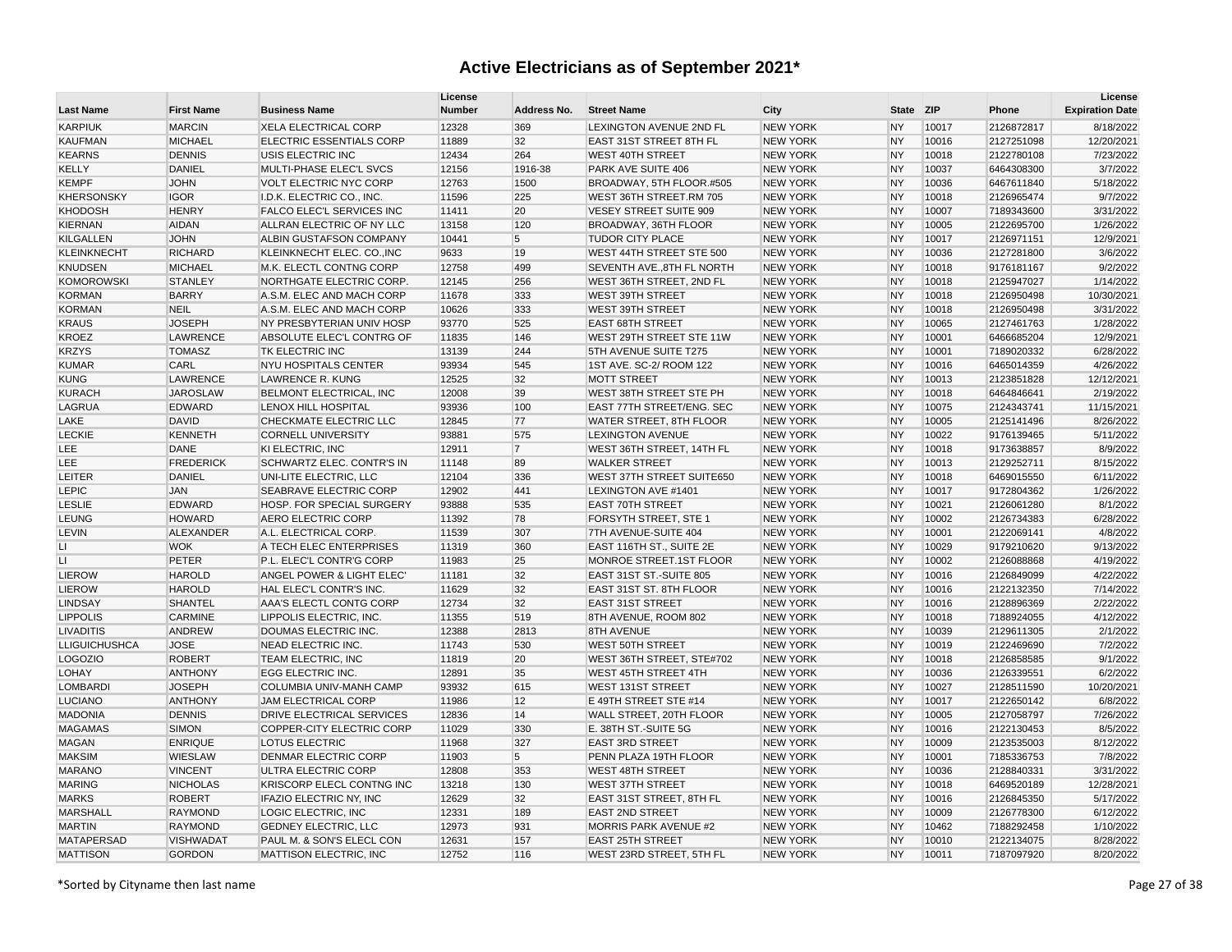| <b>Last Name</b>     | <b>First Name</b> | <b>Business Name</b>             | License<br><b>Number</b> | Address No.    | <b>Street Name</b>               | City            | <b>State</b> | <b>ZIP</b> | Phone      | License<br><b>Expiration Date</b> |
|----------------------|-------------------|----------------------------------|--------------------------|----------------|----------------------------------|-----------------|--------------|------------|------------|-----------------------------------|
| <b>KARPIUK</b>       | <b>MARCIN</b>     | XELA ELECTRICAL CORP             | 12328                    | 369            | LEXINGTON AVENUE 2ND FL          | <b>NEW YORK</b> | <b>NY</b>    | 10017      | 2126872817 | 8/18/2022                         |
| <b>KAUFMAN</b>       | <b>MICHAEL</b>    | <b>ELECTRIC ESSENTIALS CORP</b>  | 11889                    | 32             | EAST 31ST STREET 8TH FL          | <b>NEW YORK</b> | <b>NY</b>    | 10016      | 2127251098 | 12/20/2021                        |
| <b>KEARNS</b>        | <b>DENNIS</b>     | USIS ELECTRIC INC                | 12434                    | 264            | <b>WEST 40TH STREET</b>          | <b>NEW YORK</b> | <b>NY</b>    | 10018      | 2122780108 | 7/23/2022                         |
| KELLY                | <b>DANIEL</b>     | MULTI-PHASE ELEC'L SVCS          | 12156                    | 1916-38        | PARK AVE SUITE 406               | <b>NEW YORK</b> | <b>NY</b>    | 10037      | 6464308300 | 3/7/2022                          |
| <b>KEMPF</b>         | <b>JOHN</b>       | VOLT ELECTRIC NYC CORP           | 12763                    | 1500           | BROADWAY, 5TH FLOOR.#505         | <b>NEW YORK</b> | <b>NY</b>    | 10036      | 6467611840 | 5/18/2022                         |
| <b>KHERSONSKY</b>    | <b>IGOR</b>       | I.D.K. ELECTRIC CO., INC.        | 11596                    | 225            | WEST 36TH STREET.RM 705          | <b>NEW YORK</b> | <b>NY</b>    | 10018      | 2126965474 | 9/7/2022                          |
| <b>KHODOSH</b>       | <b>HENRY</b>      | <b>FALCO ELEC'L SERVICES INC</b> | 11411                    | 20             | <b>VESEY STREET SUITE 909</b>    | <b>NEW YORK</b> | <b>NY</b>    | 10007      | 7189343600 | 3/31/2022                         |
| <b>KIERNAN</b>       | <b>AIDAN</b>      | ALLRAN ELECTRIC OF NY LLC        | 13158                    | 120            | BROADWAY, 36TH FLOOR             | <b>NEW YORK</b> | <b>NY</b>    | 10005      | 2122695700 | 1/26/2022                         |
| <b>KILGALLEN</b>     | <b>JOHN</b>       | <b>ALBIN GUSTAFSON COMPANY</b>   | 10441                    | 5              | <b>TUDOR CITY PLACE</b>          | <b>NEW YORK</b> | <b>NY</b>    | 10017      | 2126971151 | 12/9/2021                         |
| <b>KLEINKNECHT</b>   | <b>RICHARD</b>    | KLEINKNECHT ELEC. CO., INC       | 9633                     | 19             | WEST 44TH STREET STE 500         | <b>NEW YORK</b> | <b>NY</b>    | 10036      | 2127281800 | 3/6/2022                          |
| <b>KNUDSEN</b>       | <b>MICHAEL</b>    | M.K. ELECTL CONTNG CORP          | 12758                    | 499            | SEVENTH AVE., 8TH FL NORTH       | <b>NEW YORK</b> | <b>NY</b>    | 10018      | 9176181167 | 9/2/2022                          |
| <b>KOMOROWSKI</b>    | <b>STANLEY</b>    | NORTHGATE ELECTRIC CORP.         | 12145                    | 256            | WEST 36TH STREET, 2ND FL         | <b>NEW YORK</b> | <b>NY</b>    | 10018      | 2125947027 | 1/14/2022                         |
| <b>KORMAN</b>        | <b>BARRY</b>      | A.S.M. ELEC AND MACH CORP        | 11678                    | 333            | <b>WEST 39TH STREET</b>          | <b>NEW YORK</b> | <b>NY</b>    | 10018      | 2126950498 | 10/30/2021                        |
| <b>KORMAN</b>        | <b>NEIL</b>       | A.S.M. ELEC AND MACH CORP        | 10626                    | 333            | <b>WEST 39TH STREET</b>          | <b>NEW YORK</b> | <b>NY</b>    | 10018      | 2126950498 | 3/31/2022                         |
| <b>KRAUS</b>         | <b>JOSEPH</b>     | NY PRESBYTERIAN UNIV HOSP        | 93770                    | 525            | <b>EAST 68TH STREET</b>          | <b>NEW YORK</b> | <b>NY</b>    | 10065      | 2127461763 | 1/28/2022                         |
| <b>KROEZ</b>         | <b>LAWRENCE</b>   | ABSOLUTE ELEC'L CONTRG OF        | 11835                    | 146            | WEST 29TH STREET STE 11W         | <b>NEW YORK</b> | <b>NY</b>    | 10001      | 6466685204 | 12/9/2021                         |
| <b>KRZYS</b>         | <b>TOMASZ</b>     | TK ELECTRIC INC                  | 13139                    | 244            | 5TH AVENUE SUITE T275            | <b>NEW YORK</b> | <b>NY</b>    | 10001      | 7189020332 | 6/28/2022                         |
| <b>KUMAR</b>         | CARL              | NYU HOSPITALS CENTER             | 93934                    | 545            | 1ST AVE. SC-2/ ROOM 122          | <b>NEW YORK</b> | <b>NY</b>    | 10016      | 6465014359 | 4/26/2022                         |
| <b>KUNG</b>          | <b>LAWRENCE</b>   | LAWRENCE R. KUNG                 | 12525                    | 32             | <b>MOTT STREET</b>               | <b>NEW YORK</b> | <b>NY</b>    | 10013      | 2123851828 | 12/12/2021                        |
| <b>KURACH</b>        | <b>JAROSLAW</b>   | BELMONT ELECTRICAL, INC          | 12008                    | 39             | WEST 38TH STREET STE PH          | <b>NEW YORK</b> | <b>NY</b>    | 10018      | 6464846641 | 2/19/2022                         |
| LAGRUA               | <b>EDWARD</b>     | <b>LENOX HILL HOSPITAL</b>       | 93936                    | 100            | <b>EAST 77TH STREET/ENG. SEC</b> | <b>NEW YORK</b> | <b>NY</b>    | 10075      | 2124343741 | 11/15/2021                        |
| LAKE                 | <b>DAVID</b>      | CHECKMATE ELECTRIC LLC           | 12845                    | 77             | WATER STREET, 8TH FLOOR          | <b>NEW YORK</b> | <b>NY</b>    | 10005      | 2125141496 | 8/26/2022                         |
| <b>LECKIE</b>        | <b>KENNETH</b>    | <b>CORNELL UNIVERSITY</b>        | 93881                    | 575            | <b>LEXINGTON AVENUE</b>          | <b>NEW YORK</b> | <b>NY</b>    | 10022      | 9176139465 | 5/11/2022                         |
| LEE                  | <b>DANE</b>       | KI ELECTRIC, INC                 | 12911                    | $\overline{7}$ | WEST 36TH STREET, 14TH FL        | <b>NEW YORK</b> | <b>NY</b>    | 10018      | 9173638857 | 8/9/2022                          |
| <b>LEE</b>           | <b>FREDERICK</b>  | <b>SCHWARTZ ELEC. CONTR'S IN</b> | 11148                    | 89             | <b>WALKER STREET</b>             | <b>NEW YORK</b> | <b>NY</b>    | 10013      | 2129252711 | 8/15/2022                         |
| LEITER               | <b>DANIEL</b>     | UNI-LITE ELECTRIC, LLC           | 12104                    | 336            | WEST 37TH STREET SUITE650        | <b>NEW YORK</b> | <b>NY</b>    | 10018      | 6469015550 | 6/11/2022                         |
| <b>LEPIC</b>         | <b>JAN</b>        | SEABRAVE ELECTRIC CORP           | 12902                    | 441            | LEXINGTON AVE #1401              | <b>NEW YORK</b> | <b>NY</b>    | 10017      | 9172804362 | 1/26/2022                         |
| <b>LESLIE</b>        | <b>EDWARD</b>     | <b>HOSP. FOR SPECIAL SURGERY</b> | 93888                    | 535            | <b>EAST 70TH STREET</b>          | <b>NEW YORK</b> | <b>NY</b>    | 10021      | 2126061280 | 8/1/2022                          |
| <b>LEUNG</b>         | <b>HOWARD</b>     | AERO ELECTRIC CORP               | 11392                    | 78             | <b>FORSYTH STREET, STE 1</b>     | <b>NEW YORK</b> | <b>NY</b>    | 10002      | 2126734383 | 6/28/2022                         |
| LEVIN                | ALEXANDER         | A.L. ELECTRICAL CORP.            | 11539                    | 307            | 7TH AVENUE-SUITE 404             | <b>NEW YORK</b> | <b>NY</b>    | 10001      | 2122069141 | 4/8/2022                          |
| LI.                  | <b>WOK</b>        | A TECH ELEC ENTERPRISES          | 11319                    | 360            | EAST 116TH ST., SUITE 2E         | <b>NEW YORK</b> | <b>NY</b>    | 10029      | 9179210620 | 9/13/2022                         |
| $\mathsf{L}$         | <b>PETER</b>      | P.L. ELEC'L CONTR'G CORP         | 11983                    | 25             | MONROE STREET.1ST FLOOR          | <b>NEW YORK</b> | <b>NY</b>    | 10002      | 2126088868 | 4/19/2022                         |
| <b>LIEROW</b>        | <b>HAROLD</b>     | ANGEL POWER & LIGHT ELEC'        | 11181                    | 32             | EAST 31ST ST.-SUITE 805          | <b>NEW YORK</b> | <b>NY</b>    | 10016      | 2126849099 | 4/22/2022                         |
| <b>LIEROW</b>        | <b>HAROLD</b>     | HAL ELEC'L CONTR'S INC.          | 11629                    | 32             | EAST 31ST ST. 8TH FLOOR          | <b>NEW YORK</b> | <b>NY</b>    | 10016      | 2122132350 | 7/14/2022                         |
| <b>LINDSAY</b>       | <b>SHANTEL</b>    | AAA'S ELECTL CONTG CORP          | 12734                    | 32             | <b>EAST 31ST STREET</b>          | <b>NEW YORK</b> | <b>NY</b>    | 10016      | 2128896369 | 2/22/2022                         |
| <b>LIPPOLIS</b>      | <b>CARMINE</b>    | LIPPOLIS ELECTRIC, INC.          | 11355                    | 519            | 8TH AVENUE, ROOM 802             | <b>NEW YORK</b> | <b>NY</b>    | 10018      | 7188924055 | 4/12/2022                         |
| <b>LIVADITIS</b>     | <b>ANDREW</b>     | DOUMAS ELECTRIC INC.             | 12388                    | 2813           | <b>8TH AVENUE</b>                | <b>NEW YORK</b> | <b>NY</b>    | 10039      | 2129611305 | 2/1/2022                          |
| <b>LLIGUICHUSHCA</b> | <b>JOSE</b>       | NEAD ELECTRIC INC.               | 11743                    | 530            | <b>WEST 50TH STREET</b>          | <b>NEW YORK</b> | <b>NY</b>    | 10019      | 2122469690 | 7/2/2022                          |
| <b>LOGOZIO</b>       | <b>ROBERT</b>     | <b>TEAM ELECTRIC, INC</b>        | 11819                    | 20             | WEST 36TH STREET, STE#702        | <b>NEW YORK</b> | <b>NY</b>    | 10018      | 2126858585 | 9/1/2022                          |
| <b>LOHAY</b>         | <b>ANTHONY</b>    | <b>EGG ELECTRIC INC.</b>         | 12891                    | 35             | <b>WEST 45TH STREET 4TH</b>      | <b>NEW YORK</b> | <b>NY</b>    | 10036      | 2126339551 | 6/2/2022                          |
| <b>LOMBARDI</b>      | <b>JOSEPH</b>     | COLUMBIA UNIV-MANH CAMP          | 93932                    | 615            | <b>WEST 131ST STREET</b>         | <b>NEW YORK</b> | <b>NY</b>    | 10027      | 2128511590 | 10/20/2021                        |
| <b>LUCIANO</b>       | <b>ANTHONY</b>    | JAM ELECTRICAL CORP              | 11986                    | 12             | E 49TH STREET STE #14            | <b>NEW YORK</b> | <b>NY</b>    | 10017      | 2122650142 | 6/8/2022                          |
| <b>MADONIA</b>       | <b>DENNIS</b>     | <b>DRIVE ELECTRICAL SERVICES</b> | 12836                    | 14             | <b>WALL STREET, 20TH FLOOR</b>   | <b>NEW YORK</b> | <b>NY</b>    | 10005      | 2127058797 | 7/26/2022                         |
| <b>MAGAMAS</b>       | <b>SIMON</b>      | <b>COPPER-CITY ELECTRIC CORP</b> | 11029                    | 330            | E. 38TH ST.-SUITE 5G             | <b>NEW YORK</b> | <b>NY</b>    | 10016      | 2122130453 | 8/5/2022                          |
| <b>MAGAN</b>         | <b>ENRIQUE</b>    | LOTUS ELECTRIC                   | 11968                    | 327            | <b>EAST 3RD STREET</b>           | <b>NEW YORK</b> | <b>NY</b>    | 10009      | 2123535003 | 8/12/2022                         |
| <b>MAKSIM</b>        | <b>WIESLAW</b>    | <b>DENMAR ELECTRIC CORP</b>      | 11903                    | 5              | PENN PLAZA 19TH FLOOR            | <b>NEW YORK</b> | <b>NY</b>    | 10001      | 7185336753 | 7/8/2022                          |
| <b>MARANO</b>        | <b>VINCENT</b>    | ULTRA ELECTRIC CORP              | 12808                    | 353            | <b>WEST 48TH STREET</b>          | <b>NEW YORK</b> | <b>NY</b>    | 10036      | 2128840331 | 3/31/2022                         |
| <b>MARING</b>        | <b>NICHOLAS</b>   | KRISCORP ELECL CONTNG INC        | 13218                    | 130            | <b>WEST 37TH STREET</b>          | <b>NEW YORK</b> | <b>NY</b>    | 10018      | 6469520189 | 12/28/2021                        |
| <b>MARKS</b>         | <b>ROBERT</b>     | IFAZIO ELECTRIC NY, INC          | 12629                    | 32             | EAST 31ST STREET, 8TH FL         | <b>NEW YORK</b> | <b>NY</b>    | 10016      | 2126845350 | 5/17/2022                         |
| <b>MARSHALL</b>      | <b>RAYMOND</b>    | LOGIC ELECTRIC, INC              | 12331                    | 189            | <b>EAST 2ND STREET</b>           | <b>NEW YORK</b> | <b>NY</b>    | 10009      | 2126778300 | 6/12/2022                         |
| <b>MARTIN</b>        | <b>RAYMOND</b>    | <b>GEDNEY ELECTRIC, LLC</b>      | 12973                    | 931            | <b>MORRIS PARK AVENUE #2</b>     | <b>NEW YORK</b> | <b>NY</b>    | 10462      | 7188292458 | 1/10/2022                         |
| <b>MATAPERSAD</b>    | <b>VISHWADAT</b>  | PAUL M. & SON'S ELECL CON        | 12631                    | 157            | <b>EAST 25TH STREET</b>          | <b>NEW YORK</b> | <b>NY</b>    | 10010      | 2122134075 | 8/28/2022                         |
| <b>MATTISON</b>      | <b>GORDON</b>     | <b>MATTISON ELECTRIC, INC</b>    | 12752                    | 116            | WEST 23RD STREET, 5TH FL         | <b>NEW YORK</b> | <b>NY</b>    | 10011      | 7187097920 | 8/20/2022                         |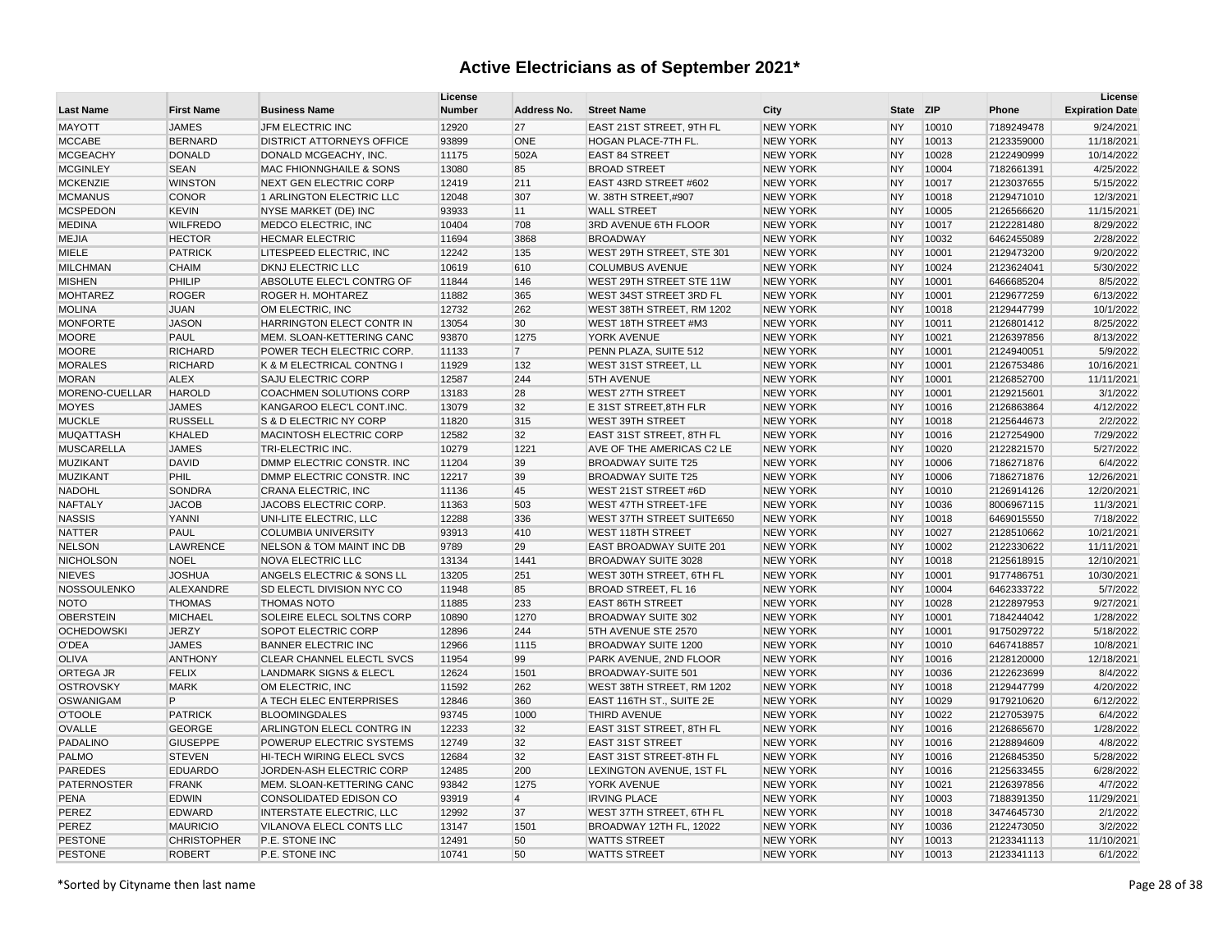| <b>MAYOTT</b><br><b>JAMES</b><br><b>JFM ELECTRIC INC</b><br>12920<br>27<br>EAST 21ST STREET, 9TH FL<br><b>NEW YORK</b><br>10010<br>7189249478<br><b>NY</b><br>ONE<br><b>MCCABE</b><br><b>BERNARD</b><br><b>DISTRICT ATTORNEYS OFFICE</b><br>93899<br>HOGAN PLACE-7TH FL.<br><b>NEW YORK</b><br><b>NY</b><br>10013<br>2123359000<br><b>MCGEACHY</b><br><b>DONALD</b><br>502A<br>DONALD MCGEACHY, INC.<br>11175<br><b>EAST 84 STREET</b><br><b>NEW YORK</b><br><b>NY</b><br>10028<br>2122490999<br><b>MCGINLEY</b><br><b>SEAN</b><br>13080<br>85<br><b>NEW YORK</b><br><b>NY</b><br>MAC FHIONNGHAILE & SONS<br><b>BROAD STREET</b><br>10004<br>7182661391<br><b>MCKENZIE</b><br><b>WINSTON</b><br>NEXT GEN ELECTRIC CORP<br>12419<br>EAST 43RD STREET #602<br><b>NEW YORK</b><br>10017<br>2123037655<br>211<br><b>NY</b><br><b>CONOR</b><br>12048<br>307<br><b>MCMANUS</b><br>1 ARLINGTON ELECTRIC LLC<br>W. 38TH STREET,#907<br><b>NEW YORK</b><br><b>NY</b><br>10018<br>2129471010<br><b>MCSPEDON</b><br><b>KEVIN</b><br>93933<br><b>NY</b><br>NYSE MARKET (DE) INC<br>11<br><b>WALL STREET</b><br><b>NEW YORK</b><br>10005<br>2126566620<br><b>MEDINA</b><br><b>WILFREDO</b><br>MEDCO ELECTRIC, INC<br>10404<br>708<br>3RD AVENUE 6TH FLOOR<br><b>NEW YORK</b><br><b>NY</b><br>10017<br>2122281480<br><b>MEJIA</b><br><b>HECTOR</b><br><b>HECMAR ELECTRIC</b><br>11694<br>3868<br><b>BROADWAY</b><br><b>NEW YORK</b><br><b>NY</b><br>10032<br>6462455089<br><b>PATRICK</b><br>12242<br><b>NY</b><br><b>MIELE</b><br>LITESPEED ELECTRIC, INC<br>135<br>WEST 29TH STREET, STE 301<br><b>NEW YORK</b><br>10001<br>2129473200<br><b>MILCHMAN</b><br><b>CHAIM</b><br>10619<br><b>NEW YORK</b><br><b>NY</b><br>10024<br>DKNJ ELECTRIC LLC<br>610<br><b>COLUMBUS AVENUE</b><br>2123624041<br><b>MISHEN</b><br>PHILIP<br>ABSOLUTE ELEC'L CONTRG OF<br>11844<br>146<br>WEST 29TH STREET STE 11W<br><b>NEW YORK</b><br><b>NY</b><br>10001<br>6466685204<br><b>MOHTAREZ</b><br><b>ROGER</b><br>11882<br>365<br><b>NY</b><br>10001<br>ROGER H. MOHTAREZ<br>WEST 34ST STREET 3RD FL<br><b>NEW YORK</b><br>2129677259<br><b>MOLINA</b><br><b>JUAN</b><br>12732<br><b>NY</b><br>OM ELECTRIC. INC<br>262<br>WEST 38TH STREET, RM 1202<br><b>NEW YORK</b><br>10018<br>2129447799<br><b>MONFORTE</b><br><b>JASON</b><br>HARRINGTON ELECT CONTR IN<br>13054<br>30<br>WEST 18TH STREET #M3<br><b>NEW YORK</b><br><b>NY</b><br>10011<br>2126801412<br><b>MOORE</b><br>PAUL<br>MEM. SLOAN-KETTERING CANC<br>93870<br>1275<br>YORK AVENUE<br><b>NEW YORK</b><br><b>NY</b><br>10021<br>2126397856<br><b>MOORE</b><br><b>RICHARD</b><br>POWER TECH ELECTRIC CORP.<br>$\vert$ 7<br>11133<br>PENN PLAZA, SUITE 512<br><b>NEW YORK</b><br><b>NY</b><br>10001<br>2124940051<br><b>RICHARD</b><br>132<br><b>NY</b><br><b>MORALES</b><br>K & M ELECTRICAL CONTNG I<br>11929<br><b>WEST 31ST STREET, LL</b><br><b>NEW YORK</b><br>10001<br>2126753486<br><b>MORAN</b><br><b>ALEX</b><br><b>SAJU ELECTRIC CORP</b><br>12587<br>244<br><b>5TH AVENUE</b><br><b>NEW YORK</b><br><b>NY</b><br>10001<br>2126852700 | <b>Last Name</b> | <b>First Name</b> | <b>Business Name</b>    | License<br><b>Number</b> | Address No. | <b>Street Name</b>      | City            | <b>State</b> | <b>ZIP</b> | Phone      | License<br><b>Expiration Date</b> |
|--------------------------------------------------------------------------------------------------------------------------------------------------------------------------------------------------------------------------------------------------------------------------------------------------------------------------------------------------------------------------------------------------------------------------------------------------------------------------------------------------------------------------------------------------------------------------------------------------------------------------------------------------------------------------------------------------------------------------------------------------------------------------------------------------------------------------------------------------------------------------------------------------------------------------------------------------------------------------------------------------------------------------------------------------------------------------------------------------------------------------------------------------------------------------------------------------------------------------------------------------------------------------------------------------------------------------------------------------------------------------------------------------------------------------------------------------------------------------------------------------------------------------------------------------------------------------------------------------------------------------------------------------------------------------------------------------------------------------------------------------------------------------------------------------------------------------------------------------------------------------------------------------------------------------------------------------------------------------------------------------------------------------------------------------------------------------------------------------------------------------------------------------------------------------------------------------------------------------------------------------------------------------------------------------------------------------------------------------------------------------------------------------------------------------------------------------------------------------------------------------------------------------------------------------------------------------------------------------------------------------------------------------------------------------------------------------------------------------------------------------------------------------------------------------------------------------------------------------------------------------------------------------------------------------------------------------------------------------------------------------------------------------------------------------------------------------------|------------------|-------------------|-------------------------|--------------------------|-------------|-------------------------|-----------------|--------------|------------|------------|-----------------------------------|
|                                                                                                                                                                                                                                                                                                                                                                                                                                                                                                                                                                                                                                                                                                                                                                                                                                                                                                                                                                                                                                                                                                                                                                                                                                                                                                                                                                                                                                                                                                                                                                                                                                                                                                                                                                                                                                                                                                                                                                                                                                                                                                                                                                                                                                                                                                                                                                                                                                                                                                                                                                                                                                                                                                                                                                                                                                                                                                                                                                                                                                                                                |                  |                   |                         |                          |             |                         |                 |              |            |            | 9/24/2021                         |
|                                                                                                                                                                                                                                                                                                                                                                                                                                                                                                                                                                                                                                                                                                                                                                                                                                                                                                                                                                                                                                                                                                                                                                                                                                                                                                                                                                                                                                                                                                                                                                                                                                                                                                                                                                                                                                                                                                                                                                                                                                                                                                                                                                                                                                                                                                                                                                                                                                                                                                                                                                                                                                                                                                                                                                                                                                                                                                                                                                                                                                                                                |                  |                   |                         |                          |             |                         |                 |              |            |            | 11/18/2021                        |
|                                                                                                                                                                                                                                                                                                                                                                                                                                                                                                                                                                                                                                                                                                                                                                                                                                                                                                                                                                                                                                                                                                                                                                                                                                                                                                                                                                                                                                                                                                                                                                                                                                                                                                                                                                                                                                                                                                                                                                                                                                                                                                                                                                                                                                                                                                                                                                                                                                                                                                                                                                                                                                                                                                                                                                                                                                                                                                                                                                                                                                                                                |                  |                   |                         |                          |             |                         |                 |              |            |            | 10/14/2022                        |
|                                                                                                                                                                                                                                                                                                                                                                                                                                                                                                                                                                                                                                                                                                                                                                                                                                                                                                                                                                                                                                                                                                                                                                                                                                                                                                                                                                                                                                                                                                                                                                                                                                                                                                                                                                                                                                                                                                                                                                                                                                                                                                                                                                                                                                                                                                                                                                                                                                                                                                                                                                                                                                                                                                                                                                                                                                                                                                                                                                                                                                                                                |                  |                   |                         |                          |             |                         |                 |              |            |            | 4/25/2022                         |
|                                                                                                                                                                                                                                                                                                                                                                                                                                                                                                                                                                                                                                                                                                                                                                                                                                                                                                                                                                                                                                                                                                                                                                                                                                                                                                                                                                                                                                                                                                                                                                                                                                                                                                                                                                                                                                                                                                                                                                                                                                                                                                                                                                                                                                                                                                                                                                                                                                                                                                                                                                                                                                                                                                                                                                                                                                                                                                                                                                                                                                                                                |                  |                   |                         |                          |             |                         |                 |              |            |            | 5/15/2022                         |
|                                                                                                                                                                                                                                                                                                                                                                                                                                                                                                                                                                                                                                                                                                                                                                                                                                                                                                                                                                                                                                                                                                                                                                                                                                                                                                                                                                                                                                                                                                                                                                                                                                                                                                                                                                                                                                                                                                                                                                                                                                                                                                                                                                                                                                                                                                                                                                                                                                                                                                                                                                                                                                                                                                                                                                                                                                                                                                                                                                                                                                                                                |                  |                   |                         |                          |             |                         |                 |              |            |            | 12/3/2021                         |
|                                                                                                                                                                                                                                                                                                                                                                                                                                                                                                                                                                                                                                                                                                                                                                                                                                                                                                                                                                                                                                                                                                                                                                                                                                                                                                                                                                                                                                                                                                                                                                                                                                                                                                                                                                                                                                                                                                                                                                                                                                                                                                                                                                                                                                                                                                                                                                                                                                                                                                                                                                                                                                                                                                                                                                                                                                                                                                                                                                                                                                                                                |                  |                   |                         |                          |             |                         |                 |              |            |            | 11/15/2021                        |
|                                                                                                                                                                                                                                                                                                                                                                                                                                                                                                                                                                                                                                                                                                                                                                                                                                                                                                                                                                                                                                                                                                                                                                                                                                                                                                                                                                                                                                                                                                                                                                                                                                                                                                                                                                                                                                                                                                                                                                                                                                                                                                                                                                                                                                                                                                                                                                                                                                                                                                                                                                                                                                                                                                                                                                                                                                                                                                                                                                                                                                                                                |                  |                   |                         |                          |             |                         |                 |              |            |            | 8/29/2022                         |
|                                                                                                                                                                                                                                                                                                                                                                                                                                                                                                                                                                                                                                                                                                                                                                                                                                                                                                                                                                                                                                                                                                                                                                                                                                                                                                                                                                                                                                                                                                                                                                                                                                                                                                                                                                                                                                                                                                                                                                                                                                                                                                                                                                                                                                                                                                                                                                                                                                                                                                                                                                                                                                                                                                                                                                                                                                                                                                                                                                                                                                                                                |                  |                   |                         |                          |             |                         |                 |              |            |            | 2/28/2022                         |
|                                                                                                                                                                                                                                                                                                                                                                                                                                                                                                                                                                                                                                                                                                                                                                                                                                                                                                                                                                                                                                                                                                                                                                                                                                                                                                                                                                                                                                                                                                                                                                                                                                                                                                                                                                                                                                                                                                                                                                                                                                                                                                                                                                                                                                                                                                                                                                                                                                                                                                                                                                                                                                                                                                                                                                                                                                                                                                                                                                                                                                                                                |                  |                   |                         |                          |             |                         |                 |              |            |            | 9/20/2022                         |
|                                                                                                                                                                                                                                                                                                                                                                                                                                                                                                                                                                                                                                                                                                                                                                                                                                                                                                                                                                                                                                                                                                                                                                                                                                                                                                                                                                                                                                                                                                                                                                                                                                                                                                                                                                                                                                                                                                                                                                                                                                                                                                                                                                                                                                                                                                                                                                                                                                                                                                                                                                                                                                                                                                                                                                                                                                                                                                                                                                                                                                                                                |                  |                   |                         |                          |             |                         |                 |              |            |            | 5/30/2022                         |
|                                                                                                                                                                                                                                                                                                                                                                                                                                                                                                                                                                                                                                                                                                                                                                                                                                                                                                                                                                                                                                                                                                                                                                                                                                                                                                                                                                                                                                                                                                                                                                                                                                                                                                                                                                                                                                                                                                                                                                                                                                                                                                                                                                                                                                                                                                                                                                                                                                                                                                                                                                                                                                                                                                                                                                                                                                                                                                                                                                                                                                                                                |                  |                   |                         |                          |             |                         |                 |              |            |            | 8/5/2022                          |
|                                                                                                                                                                                                                                                                                                                                                                                                                                                                                                                                                                                                                                                                                                                                                                                                                                                                                                                                                                                                                                                                                                                                                                                                                                                                                                                                                                                                                                                                                                                                                                                                                                                                                                                                                                                                                                                                                                                                                                                                                                                                                                                                                                                                                                                                                                                                                                                                                                                                                                                                                                                                                                                                                                                                                                                                                                                                                                                                                                                                                                                                                |                  |                   |                         |                          |             |                         |                 |              |            |            | 6/13/2022                         |
|                                                                                                                                                                                                                                                                                                                                                                                                                                                                                                                                                                                                                                                                                                                                                                                                                                                                                                                                                                                                                                                                                                                                                                                                                                                                                                                                                                                                                                                                                                                                                                                                                                                                                                                                                                                                                                                                                                                                                                                                                                                                                                                                                                                                                                                                                                                                                                                                                                                                                                                                                                                                                                                                                                                                                                                                                                                                                                                                                                                                                                                                                |                  |                   |                         |                          |             |                         |                 |              |            |            | 10/1/2022                         |
|                                                                                                                                                                                                                                                                                                                                                                                                                                                                                                                                                                                                                                                                                                                                                                                                                                                                                                                                                                                                                                                                                                                                                                                                                                                                                                                                                                                                                                                                                                                                                                                                                                                                                                                                                                                                                                                                                                                                                                                                                                                                                                                                                                                                                                                                                                                                                                                                                                                                                                                                                                                                                                                                                                                                                                                                                                                                                                                                                                                                                                                                                |                  |                   |                         |                          |             |                         |                 |              |            |            | 8/25/2022                         |
|                                                                                                                                                                                                                                                                                                                                                                                                                                                                                                                                                                                                                                                                                                                                                                                                                                                                                                                                                                                                                                                                                                                                                                                                                                                                                                                                                                                                                                                                                                                                                                                                                                                                                                                                                                                                                                                                                                                                                                                                                                                                                                                                                                                                                                                                                                                                                                                                                                                                                                                                                                                                                                                                                                                                                                                                                                                                                                                                                                                                                                                                                |                  |                   |                         |                          |             |                         |                 |              |            |            | 8/13/2022                         |
|                                                                                                                                                                                                                                                                                                                                                                                                                                                                                                                                                                                                                                                                                                                                                                                                                                                                                                                                                                                                                                                                                                                                                                                                                                                                                                                                                                                                                                                                                                                                                                                                                                                                                                                                                                                                                                                                                                                                                                                                                                                                                                                                                                                                                                                                                                                                                                                                                                                                                                                                                                                                                                                                                                                                                                                                                                                                                                                                                                                                                                                                                |                  |                   |                         |                          |             |                         |                 |              |            |            | 5/9/2022                          |
|                                                                                                                                                                                                                                                                                                                                                                                                                                                                                                                                                                                                                                                                                                                                                                                                                                                                                                                                                                                                                                                                                                                                                                                                                                                                                                                                                                                                                                                                                                                                                                                                                                                                                                                                                                                                                                                                                                                                                                                                                                                                                                                                                                                                                                                                                                                                                                                                                                                                                                                                                                                                                                                                                                                                                                                                                                                                                                                                                                                                                                                                                |                  |                   |                         |                          |             |                         |                 |              |            |            | 10/16/2021                        |
|                                                                                                                                                                                                                                                                                                                                                                                                                                                                                                                                                                                                                                                                                                                                                                                                                                                                                                                                                                                                                                                                                                                                                                                                                                                                                                                                                                                                                                                                                                                                                                                                                                                                                                                                                                                                                                                                                                                                                                                                                                                                                                                                                                                                                                                                                                                                                                                                                                                                                                                                                                                                                                                                                                                                                                                                                                                                                                                                                                                                                                                                                |                  |                   |                         |                          |             |                         |                 |              |            |            | 11/11/2021                        |
|                                                                                                                                                                                                                                                                                                                                                                                                                                                                                                                                                                                                                                                                                                                                                                                                                                                                                                                                                                                                                                                                                                                                                                                                                                                                                                                                                                                                                                                                                                                                                                                                                                                                                                                                                                                                                                                                                                                                                                                                                                                                                                                                                                                                                                                                                                                                                                                                                                                                                                                                                                                                                                                                                                                                                                                                                                                                                                                                                                                                                                                                                | MORENO-CUELLAR   | <b>HAROLD</b>     | COACHMEN SOLUTIONS CORP | 13183                    | 28          | <b>WEST 27TH STREET</b> | <b>NEW YORK</b> | <b>NY</b>    | 10001      | 2129215601 | 3/1/2022                          |
| <b>JAMES</b><br>32<br><b>NY</b><br><b>MOYES</b><br>KANGAROO ELEC'L CONT.INC.<br>13079<br>E 31ST STREET, 8TH FLR<br><b>NEW YORK</b><br>10016<br>2126863864                                                                                                                                                                                                                                                                                                                                                                                                                                                                                                                                                                                                                                                                                                                                                                                                                                                                                                                                                                                                                                                                                                                                                                                                                                                                                                                                                                                                                                                                                                                                                                                                                                                                                                                                                                                                                                                                                                                                                                                                                                                                                                                                                                                                                                                                                                                                                                                                                                                                                                                                                                                                                                                                                                                                                                                                                                                                                                                      |                  |                   |                         |                          |             |                         |                 |              |            |            | 4/12/2022                         |
| <b>MUCKLE</b><br><b>RUSSELL</b><br>S & D ELECTRIC NY CORP<br>11820<br>315<br>WEST 39TH STREET<br><b>NEW YORK</b><br><b>NY</b><br>10018<br>2125644673                                                                                                                                                                                                                                                                                                                                                                                                                                                                                                                                                                                                                                                                                                                                                                                                                                                                                                                                                                                                                                                                                                                                                                                                                                                                                                                                                                                                                                                                                                                                                                                                                                                                                                                                                                                                                                                                                                                                                                                                                                                                                                                                                                                                                                                                                                                                                                                                                                                                                                                                                                                                                                                                                                                                                                                                                                                                                                                           |                  |                   |                         |                          |             |                         |                 |              |            |            | 2/2/2022                          |
| <b>MUQATTASH</b><br><b>KHALED</b><br><b>MACINTOSH ELECTRIC CORP</b><br>12582<br>32<br>EAST 31ST STREET. 8TH FL<br><b>NEW YORK</b><br><b>NY</b><br>10016<br>2127254900                                                                                                                                                                                                                                                                                                                                                                                                                                                                                                                                                                                                                                                                                                                                                                                                                                                                                                                                                                                                                                                                                                                                                                                                                                                                                                                                                                                                                                                                                                                                                                                                                                                                                                                                                                                                                                                                                                                                                                                                                                                                                                                                                                                                                                                                                                                                                                                                                                                                                                                                                                                                                                                                                                                                                                                                                                                                                                          |                  |                   |                         |                          |             |                         |                 |              |            |            | 7/29/2022                         |
| <b>MUSCARELLA</b><br><b>JAMES</b><br>TRI-ELECTRIC INC.<br>10279<br>1221<br>AVE OF THE AMERICAS C2 LE<br><b>NEW YORK</b><br><b>NY</b><br>10020<br>2122821570                                                                                                                                                                                                                                                                                                                                                                                                                                                                                                                                                                                                                                                                                                                                                                                                                                                                                                                                                                                                                                                                                                                                                                                                                                                                                                                                                                                                                                                                                                                                                                                                                                                                                                                                                                                                                                                                                                                                                                                                                                                                                                                                                                                                                                                                                                                                                                                                                                                                                                                                                                                                                                                                                                                                                                                                                                                                                                                    |                  |                   |                         |                          |             |                         |                 |              |            |            | 5/27/2022                         |
| <b>DAVID</b><br>DMMP ELECTRIC CONSTR. INC<br>11204<br>39<br><b>NY</b><br><b>MUZIKANT</b><br><b>BROADWAY SUITE T25</b><br><b>NEW YORK</b><br>10006<br>7186271876                                                                                                                                                                                                                                                                                                                                                                                                                                                                                                                                                                                                                                                                                                                                                                                                                                                                                                                                                                                                                                                                                                                                                                                                                                                                                                                                                                                                                                                                                                                                                                                                                                                                                                                                                                                                                                                                                                                                                                                                                                                                                                                                                                                                                                                                                                                                                                                                                                                                                                                                                                                                                                                                                                                                                                                                                                                                                                                |                  |                   |                         |                          |             |                         |                 |              |            |            | 6/4/2022                          |
| <b>MUZIKANT</b><br>PHIL<br>DMMP ELECTRIC CONSTR. INC<br>12217<br>39<br><b>BROADWAY SUITE T25</b><br><b>NEW YORK</b><br><b>NY</b><br>10006<br>7186271876                                                                                                                                                                                                                                                                                                                                                                                                                                                                                                                                                                                                                                                                                                                                                                                                                                                                                                                                                                                                                                                                                                                                                                                                                                                                                                                                                                                                                                                                                                                                                                                                                                                                                                                                                                                                                                                                                                                                                                                                                                                                                                                                                                                                                                                                                                                                                                                                                                                                                                                                                                                                                                                                                                                                                                                                                                                                                                                        |                  |                   |                         |                          |             |                         |                 |              |            |            | 12/26/2021                        |
| <b>SONDRA</b><br><b>NADOHL</b><br>CRANA ELECTRIC, INC<br>11136<br>45<br>WEST 21ST STREET #6D<br><b>NEW YORK</b><br><b>NY</b><br>10010<br>2126914126                                                                                                                                                                                                                                                                                                                                                                                                                                                                                                                                                                                                                                                                                                                                                                                                                                                                                                                                                                                                                                                                                                                                                                                                                                                                                                                                                                                                                                                                                                                                                                                                                                                                                                                                                                                                                                                                                                                                                                                                                                                                                                                                                                                                                                                                                                                                                                                                                                                                                                                                                                                                                                                                                                                                                                                                                                                                                                                            |                  |                   |                         |                          |             |                         |                 |              |            |            | 12/20/2021                        |
| <b>JACOB</b><br>503<br><b>NY</b><br><b>NAFTALY</b><br>JACOBS ELECTRIC CORP.<br>11363<br><b>WEST 47TH STREET-1FE</b><br><b>NEW YORK</b><br>10036<br>8006967115                                                                                                                                                                                                                                                                                                                                                                                                                                                                                                                                                                                                                                                                                                                                                                                                                                                                                                                                                                                                                                                                                                                                                                                                                                                                                                                                                                                                                                                                                                                                                                                                                                                                                                                                                                                                                                                                                                                                                                                                                                                                                                                                                                                                                                                                                                                                                                                                                                                                                                                                                                                                                                                                                                                                                                                                                                                                                                                  |                  |                   |                         |                          |             |                         |                 |              |            |            | 11/3/2021                         |
| <b>NASSIS</b><br>YANNI<br>UNI-LITE ELECTRIC, LLC<br>12288<br>336<br>WEST 37TH STREET SUITE650<br><b>NEW YORK</b><br><b>NY</b><br>10018<br>6469015550                                                                                                                                                                                                                                                                                                                                                                                                                                                                                                                                                                                                                                                                                                                                                                                                                                                                                                                                                                                                                                                                                                                                                                                                                                                                                                                                                                                                                                                                                                                                                                                                                                                                                                                                                                                                                                                                                                                                                                                                                                                                                                                                                                                                                                                                                                                                                                                                                                                                                                                                                                                                                                                                                                                                                                                                                                                                                                                           |                  |                   |                         |                          |             |                         |                 |              |            |            | 7/18/2022                         |
| 93913<br><b>NATTER</b><br>PAUL<br><b>COLUMBIA UNIVERSITY</b><br>410<br><b>WEST 118TH STREET</b><br><b>NEW YORK</b><br><b>NY</b><br>10027<br>2128510662                                                                                                                                                                                                                                                                                                                                                                                                                                                                                                                                                                                                                                                                                                                                                                                                                                                                                                                                                                                                                                                                                                                                                                                                                                                                                                                                                                                                                                                                                                                                                                                                                                                                                                                                                                                                                                                                                                                                                                                                                                                                                                                                                                                                                                                                                                                                                                                                                                                                                                                                                                                                                                                                                                                                                                                                                                                                                                                         |                  |                   |                         |                          |             |                         |                 |              |            |            | 10/21/2021                        |
| LAWRENCE<br>9789<br>29<br><b>NELSON</b><br>NELSON & TOM MAINT INC DB<br>EAST BROADWAY SUITE 201<br><b>NEW YORK</b><br><b>NY</b><br>10002<br>2122330622                                                                                                                                                                                                                                                                                                                                                                                                                                                                                                                                                                                                                                                                                                                                                                                                                                                                                                                                                                                                                                                                                                                                                                                                                                                                                                                                                                                                                                                                                                                                                                                                                                                                                                                                                                                                                                                                                                                                                                                                                                                                                                                                                                                                                                                                                                                                                                                                                                                                                                                                                                                                                                                                                                                                                                                                                                                                                                                         |                  |                   |                         |                          |             |                         |                 |              |            |            | 11/11/2021                        |
| <b>NICHOLSON</b><br><b>NOEL</b><br>13134<br><b>NY</b><br><b>NOVA ELECTRIC LLC</b><br>1441<br><b>BROADWAY SUITE 3028</b><br><b>NEW YORK</b><br>10018<br>2125618915                                                                                                                                                                                                                                                                                                                                                                                                                                                                                                                                                                                                                                                                                                                                                                                                                                                                                                                                                                                                                                                                                                                                                                                                                                                                                                                                                                                                                                                                                                                                                                                                                                                                                                                                                                                                                                                                                                                                                                                                                                                                                                                                                                                                                                                                                                                                                                                                                                                                                                                                                                                                                                                                                                                                                                                                                                                                                                              |                  |                   |                         |                          |             |                         |                 |              |            |            | 12/10/2021                        |
| <b>NIEVES</b><br><b>JOSHUA</b><br>ANGELS ELECTRIC & SONS LL<br>13205<br>251<br>WEST 30TH STREET, 6TH FL<br><b>NEW YORK</b><br>10001<br>9177486751<br><b>NY</b>                                                                                                                                                                                                                                                                                                                                                                                                                                                                                                                                                                                                                                                                                                                                                                                                                                                                                                                                                                                                                                                                                                                                                                                                                                                                                                                                                                                                                                                                                                                                                                                                                                                                                                                                                                                                                                                                                                                                                                                                                                                                                                                                                                                                                                                                                                                                                                                                                                                                                                                                                                                                                                                                                                                                                                                                                                                                                                                 |                  |                   |                         |                          |             |                         |                 |              |            |            | 10/30/2021                        |
| ALEXANDRE<br>85<br>NOSSOULENKO<br>SD ELECTL DIVISION NYC CO<br>11948<br>BROAD STREET, FL 16<br><b>NEW YORK</b><br><b>NY</b><br>10004<br>6462333722                                                                                                                                                                                                                                                                                                                                                                                                                                                                                                                                                                                                                                                                                                                                                                                                                                                                                                                                                                                                                                                                                                                                                                                                                                                                                                                                                                                                                                                                                                                                                                                                                                                                                                                                                                                                                                                                                                                                                                                                                                                                                                                                                                                                                                                                                                                                                                                                                                                                                                                                                                                                                                                                                                                                                                                                                                                                                                                             |                  |                   |                         |                          |             |                         |                 |              |            |            | 5/7/2022                          |
| <b>THOMAS</b><br><b>NY</b><br><b>NOTO</b><br><b>THOMAS NOTO</b><br>11885<br>233<br><b>EAST 86TH STREET</b><br><b>NEW YORK</b><br>10028<br>2122897953                                                                                                                                                                                                                                                                                                                                                                                                                                                                                                                                                                                                                                                                                                                                                                                                                                                                                                                                                                                                                                                                                                                                                                                                                                                                                                                                                                                                                                                                                                                                                                                                                                                                                                                                                                                                                                                                                                                                                                                                                                                                                                                                                                                                                                                                                                                                                                                                                                                                                                                                                                                                                                                                                                                                                                                                                                                                                                                           |                  |                   |                         |                          |             |                         |                 |              |            |            | 9/27/2021                         |
| <b>OBERSTEIN</b><br><b>MICHAEL</b><br>SOLEIRE ELECL SOLTNS CORP<br>10890<br>1270<br><b>NEW YORK</b><br><b>NY</b><br>10001<br>7184244042<br><b>BROADWAY SUITE 302</b>                                                                                                                                                                                                                                                                                                                                                                                                                                                                                                                                                                                                                                                                                                                                                                                                                                                                                                                                                                                                                                                                                                                                                                                                                                                                                                                                                                                                                                                                                                                                                                                                                                                                                                                                                                                                                                                                                                                                                                                                                                                                                                                                                                                                                                                                                                                                                                                                                                                                                                                                                                                                                                                                                                                                                                                                                                                                                                           |                  |                   |                         |                          |             |                         |                 |              |            |            | 1/28/2022                         |
| <b>OCHEDOWSKI</b><br><b>JERZY</b><br>SOPOT ELECTRIC CORP<br>12896<br>244<br><b>NEW YORK</b><br><b>NY</b><br>10001<br>9175029722<br>5TH AVENUE STE 2570                                                                                                                                                                                                                                                                                                                                                                                                                                                                                                                                                                                                                                                                                                                                                                                                                                                                                                                                                                                                                                                                                                                                                                                                                                                                                                                                                                                                                                                                                                                                                                                                                                                                                                                                                                                                                                                                                                                                                                                                                                                                                                                                                                                                                                                                                                                                                                                                                                                                                                                                                                                                                                                                                                                                                                                                                                                                                                                         |                  |                   |                         |                          |             |                         |                 |              |            |            | 5/18/2022                         |
| <b>JAMES</b><br>12966<br>O'DEA<br><b>BANNER ELECTRIC INC</b><br>1115<br><b>BROADWAY SUITE 1200</b><br><b>NEW YORK</b><br><b>NY</b><br>10010<br>6467418857                                                                                                                                                                                                                                                                                                                                                                                                                                                                                                                                                                                                                                                                                                                                                                                                                                                                                                                                                                                                                                                                                                                                                                                                                                                                                                                                                                                                                                                                                                                                                                                                                                                                                                                                                                                                                                                                                                                                                                                                                                                                                                                                                                                                                                                                                                                                                                                                                                                                                                                                                                                                                                                                                                                                                                                                                                                                                                                      |                  |                   |                         |                          |             |                         |                 |              |            |            | 10/8/2021                         |
| <b>ANTHONY</b><br><b>OLIVA</b><br>CLEAR CHANNEL ELECTL SVCS<br>11954<br>99<br>PARK AVENUE, 2ND FLOOR<br><b>NEW YORK</b><br><b>NY</b><br>10016<br>2128120000                                                                                                                                                                                                                                                                                                                                                                                                                                                                                                                                                                                                                                                                                                                                                                                                                                                                                                                                                                                                                                                                                                                                                                                                                                                                                                                                                                                                                                                                                                                                                                                                                                                                                                                                                                                                                                                                                                                                                                                                                                                                                                                                                                                                                                                                                                                                                                                                                                                                                                                                                                                                                                                                                                                                                                                                                                                                                                                    |                  |                   |                         |                          |             |                         |                 |              |            |            | 12/18/2021                        |
| ORTEGA JR<br><b>FELIX</b><br><b>LANDMARK SIGNS &amp; ELEC'L</b><br>12624<br><b>BROADWAY-SUITE 501</b><br><b>NEW YORK</b><br>10036<br>2122623699<br>1501<br><b>NY</b>                                                                                                                                                                                                                                                                                                                                                                                                                                                                                                                                                                                                                                                                                                                                                                                                                                                                                                                                                                                                                                                                                                                                                                                                                                                                                                                                                                                                                                                                                                                                                                                                                                                                                                                                                                                                                                                                                                                                                                                                                                                                                                                                                                                                                                                                                                                                                                                                                                                                                                                                                                                                                                                                                                                                                                                                                                                                                                           |                  |                   |                         |                          |             |                         |                 |              |            |            | 8/4/2022                          |
| <b>OSTROVSKY</b><br>262<br><b>MARK</b><br>OM ELECTRIC. INC<br>11592<br>WEST 38TH STREET, RM 1202<br><b>NEW YORK</b><br><b>NY</b><br>10018<br>2129447799                                                                                                                                                                                                                                                                                                                                                                                                                                                                                                                                                                                                                                                                                                                                                                                                                                                                                                                                                                                                                                                                                                                                                                                                                                                                                                                                                                                                                                                                                                                                                                                                                                                                                                                                                                                                                                                                                                                                                                                                                                                                                                                                                                                                                                                                                                                                                                                                                                                                                                                                                                                                                                                                                                                                                                                                                                                                                                                        |                  |                   |                         |                          |             |                         |                 |              |            |            | 4/20/2022                         |
| <b>OSWANIGAM</b><br>P<br>A TECH ELEC ENTERPRISES<br>12846<br>360<br>EAST 116TH ST., SUITE 2E<br><b>NEW YORK</b><br><b>NY</b><br>10029<br>9179210620                                                                                                                                                                                                                                                                                                                                                                                                                                                                                                                                                                                                                                                                                                                                                                                                                                                                                                                                                                                                                                                                                                                                                                                                                                                                                                                                                                                                                                                                                                                                                                                                                                                                                                                                                                                                                                                                                                                                                                                                                                                                                                                                                                                                                                                                                                                                                                                                                                                                                                                                                                                                                                                                                                                                                                                                                                                                                                                            |                  |                   |                         |                          |             |                         |                 |              |            |            | 6/12/2022                         |
| <b>O'TOOLE</b><br><b>PATRICK</b><br><b>BLOOMINGDALES</b><br>93745<br>1000<br><b>NEW YORK</b><br><b>NY</b><br>10022<br>2127053975<br>THIRD AVENUE                                                                                                                                                                                                                                                                                                                                                                                                                                                                                                                                                                                                                                                                                                                                                                                                                                                                                                                                                                                                                                                                                                                                                                                                                                                                                                                                                                                                                                                                                                                                                                                                                                                                                                                                                                                                                                                                                                                                                                                                                                                                                                                                                                                                                                                                                                                                                                                                                                                                                                                                                                                                                                                                                                                                                                                                                                                                                                                               |                  |                   |                         |                          |             |                         |                 |              |            |            | 6/4/2022                          |
| <b>OVALLE</b><br><b>GEORGE</b><br>12233<br>32<br><b>NEW YORK</b><br><b>NY</b><br>10016<br>ARLINGTON ELECL CONTRG IN<br><b>EAST 31ST STREET, 8TH FL</b><br>2126865670                                                                                                                                                                                                                                                                                                                                                                                                                                                                                                                                                                                                                                                                                                                                                                                                                                                                                                                                                                                                                                                                                                                                                                                                                                                                                                                                                                                                                                                                                                                                                                                                                                                                                                                                                                                                                                                                                                                                                                                                                                                                                                                                                                                                                                                                                                                                                                                                                                                                                                                                                                                                                                                                                                                                                                                                                                                                                                           |                  |                   |                         |                          |             |                         |                 |              |            |            | 1/28/2022                         |
| <b>PADALINO</b><br><b>GIUSEPPE</b><br>POWERUP ELECTRIC SYSTEMS<br>12749<br>32<br><b>EAST 31ST STREET</b><br><b>NEW YORK</b><br><b>NY</b><br>10016<br>2128894609                                                                                                                                                                                                                                                                                                                                                                                                                                                                                                                                                                                                                                                                                                                                                                                                                                                                                                                                                                                                                                                                                                                                                                                                                                                                                                                                                                                                                                                                                                                                                                                                                                                                                                                                                                                                                                                                                                                                                                                                                                                                                                                                                                                                                                                                                                                                                                                                                                                                                                                                                                                                                                                                                                                                                                                                                                                                                                                |                  |                   |                         |                          |             |                         |                 |              |            |            | 4/8/2022                          |
| 32<br><b>PALMO</b><br><b>STEVEN</b><br><b>HI-TECH WIRING ELECL SVCS</b><br>12684<br><b>EAST 31ST STREET-8TH FL</b><br><b>NEW YORK</b><br><b>NY</b><br>10016<br>2126845350                                                                                                                                                                                                                                                                                                                                                                                                                                                                                                                                                                                                                                                                                                                                                                                                                                                                                                                                                                                                                                                                                                                                                                                                                                                                                                                                                                                                                                                                                                                                                                                                                                                                                                                                                                                                                                                                                                                                                                                                                                                                                                                                                                                                                                                                                                                                                                                                                                                                                                                                                                                                                                                                                                                                                                                                                                                                                                      |                  |                   |                         |                          |             |                         |                 |              |            |            | 5/28/2022                         |
| <b>PAREDES</b><br><b>EDUARDO</b><br>JORDEN-ASH ELECTRIC CORP<br>12485<br>200<br>LEXINGTON AVENUE, 1ST FL<br><b>NEW YORK</b><br><b>NY</b><br>10016<br>2125633455                                                                                                                                                                                                                                                                                                                                                                                                                                                                                                                                                                                                                                                                                                                                                                                                                                                                                                                                                                                                                                                                                                                                                                                                                                                                                                                                                                                                                                                                                                                                                                                                                                                                                                                                                                                                                                                                                                                                                                                                                                                                                                                                                                                                                                                                                                                                                                                                                                                                                                                                                                                                                                                                                                                                                                                                                                                                                                                |                  |                   |                         |                          |             |                         |                 |              |            |            | 6/28/2022                         |
| 1275<br><b>PATERNOSTER</b><br><b>FRANK</b><br>MEM. SLOAN-KETTERING CANC<br>93842<br>YORK AVENUE<br><b>NEW YORK</b><br><b>NY</b><br>10021<br>2126397856                                                                                                                                                                                                                                                                                                                                                                                                                                                                                                                                                                                                                                                                                                                                                                                                                                                                                                                                                                                                                                                                                                                                                                                                                                                                                                                                                                                                                                                                                                                                                                                                                                                                                                                                                                                                                                                                                                                                                                                                                                                                                                                                                                                                                                                                                                                                                                                                                                                                                                                                                                                                                                                                                                                                                                                                                                                                                                                         |                  |                   |                         |                          |             |                         |                 |              |            |            | 4/7/2022                          |
| <b>PENA</b><br><b>EDWIN</b><br>CONSOLIDATED EDISON CO<br>93919<br>$\overline{4}$<br><b>IRVING PLACE</b><br><b>NEW YORK</b><br><b>NY</b><br>10003<br>7188391350                                                                                                                                                                                                                                                                                                                                                                                                                                                                                                                                                                                                                                                                                                                                                                                                                                                                                                                                                                                                                                                                                                                                                                                                                                                                                                                                                                                                                                                                                                                                                                                                                                                                                                                                                                                                                                                                                                                                                                                                                                                                                                                                                                                                                                                                                                                                                                                                                                                                                                                                                                                                                                                                                                                                                                                                                                                                                                                 |                  |                   |                         |                          |             |                         |                 |              |            |            | 11/29/2021                        |
| PEREZ<br><b>EDWARD</b><br>12992<br><b>NEW YORK</b><br><b>NY</b><br>10018<br>3474645730<br>INTERSTATE ELECTRIC, LLC<br>37<br>WEST 37TH STREET, 6TH FL                                                                                                                                                                                                                                                                                                                                                                                                                                                                                                                                                                                                                                                                                                                                                                                                                                                                                                                                                                                                                                                                                                                                                                                                                                                                                                                                                                                                                                                                                                                                                                                                                                                                                                                                                                                                                                                                                                                                                                                                                                                                                                                                                                                                                                                                                                                                                                                                                                                                                                                                                                                                                                                                                                                                                                                                                                                                                                                           |                  |                   |                         |                          |             |                         |                 |              |            |            | 2/1/2022                          |
| PEREZ<br><b>MAURICIO</b><br>13147<br>VILANOVA ELECL CONTS LLC<br>1501<br>BROADWAY 12TH FL, 12022<br><b>NEW YORK</b><br><b>NY</b><br>10036<br>2122473050                                                                                                                                                                                                                                                                                                                                                                                                                                                                                                                                                                                                                                                                                                                                                                                                                                                                                                                                                                                                                                                                                                                                                                                                                                                                                                                                                                                                                                                                                                                                                                                                                                                                                                                                                                                                                                                                                                                                                                                                                                                                                                                                                                                                                                                                                                                                                                                                                                                                                                                                                                                                                                                                                                                                                                                                                                                                                                                        |                  |                   |                         |                          |             |                         |                 |              |            |            | 3/2/2022                          |
| 12491<br><b>PESTONE</b><br><b>CHRISTOPHER</b><br>P.E. STONE INC<br>50<br><b>WATTS STREET</b><br><b>NEW YORK</b><br><b>NY</b><br>10013<br>2123341113                                                                                                                                                                                                                                                                                                                                                                                                                                                                                                                                                                                                                                                                                                                                                                                                                                                                                                                                                                                                                                                                                                                                                                                                                                                                                                                                                                                                                                                                                                                                                                                                                                                                                                                                                                                                                                                                                                                                                                                                                                                                                                                                                                                                                                                                                                                                                                                                                                                                                                                                                                                                                                                                                                                                                                                                                                                                                                                            |                  |                   |                         |                          |             |                         |                 |              |            |            | 11/10/2021                        |
| <b>PESTONE</b><br>10741<br>50<br><b>NY</b><br>10013<br><b>ROBERT</b><br>P.E. STONE INC<br><b>WATTS STREET</b><br><b>NEW YORK</b><br>2123341113                                                                                                                                                                                                                                                                                                                                                                                                                                                                                                                                                                                                                                                                                                                                                                                                                                                                                                                                                                                                                                                                                                                                                                                                                                                                                                                                                                                                                                                                                                                                                                                                                                                                                                                                                                                                                                                                                                                                                                                                                                                                                                                                                                                                                                                                                                                                                                                                                                                                                                                                                                                                                                                                                                                                                                                                                                                                                                                                 |                  |                   |                         |                          |             |                         |                 |              |            |            | 6/1/2022                          |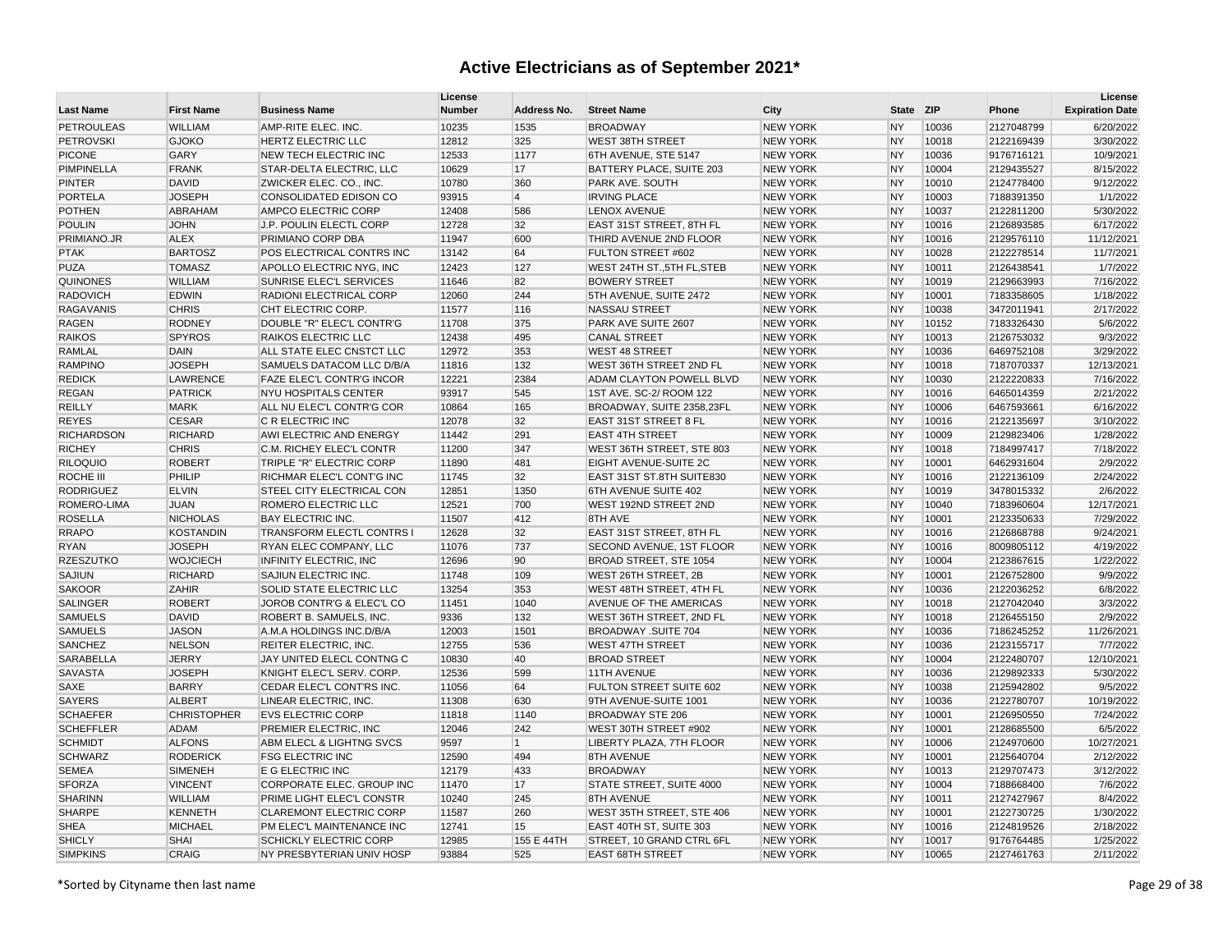| <b>Last Name</b>  | <b>First Name</b>  | <b>Business Name</b>                      | License<br><b>Number</b> | Address No.    | <b>Street Name</b>          | City            | <b>State</b> | <b>ZIP</b> | Phone      | License<br><b>Expiration Date</b> |
|-------------------|--------------------|-------------------------------------------|--------------------------|----------------|-----------------------------|-----------------|--------------|------------|------------|-----------------------------------|
| <b>PETROULEAS</b> | <b>WILLIAM</b>     |                                           | 10235                    | 1535           | <b>BROADWAY</b>             | <b>NEW YORK</b> | <b>NY</b>    | 10036      | 2127048799 | 6/20/2022                         |
| <b>PETROVSKI</b>  | <b>GJOKO</b>       | AMP-RITE ELEC. INC.<br>HERTZ ELECTRIC LLC | 12812                    | 325            | <b>WEST 38TH STREET</b>     | <b>NEW YORK</b> | <b>NY</b>    | 10018      | 2122169439 | 3/30/2022                         |
| <b>PICONE</b>     | GARY               | NEW TECH ELECTRIC INC                     | 12533                    | 1177           | 6TH AVENUE, STE 5147        | <b>NEW YORK</b> | <b>NY</b>    | 10036      | 9176716121 | 10/9/2021                         |
| PIMPINELLA        | <b>FRANK</b>       | STAR-DELTA ELECTRIC, LLC                  | 10629                    | 17             | BATTERY PLACE, SUITE 203    | <b>NEW YORK</b> | <b>NY</b>    | 10004      | 2129435527 | 8/15/2022                         |
| <b>PINTER</b>     | <b>DAVID</b>       | ZWICKER ELEC. CO., INC.                   | 10780                    | 360            | PARK AVE, SOUTH             | <b>NEW YORK</b> | <b>NY</b>    | 10010      | 2124778400 | 9/12/2022                         |
| <b>PORTELA</b>    | <b>JOSEPH</b>      | CONSOLIDATED EDISON CO                    | 93915                    | $\overline{4}$ | <b>IRVING PLACE</b>         | <b>NEW YORK</b> | <b>NY</b>    | 10003      | 7188391350 | 1/1/2022                          |
| <b>POTHEN</b>     | <b>ABRAHAM</b>     | AMPCO ELECTRIC CORP                       | 12408                    | 586            | <b>LENOX AVENUE</b>         | <b>NEW YORK</b> | <b>NY</b>    | 10037      | 2122811200 | 5/30/2022                         |
| <b>POULIN</b>     | <b>JOHN</b>        | J.P. POULIN ELECTL CORP                   | 12728                    | 32             | EAST 31ST STREET, 8TH FL    | <b>NEW YORK</b> | <b>NY</b>    | 10016      | 2126893585 | 6/17/2022                         |
| PRIMIANO.JR       | <b>ALEX</b>        | PRIMIANO CORP DBA                         | 11947                    | 600            | THIRD AVENUE 2ND FLOOR      | <b>NEW YORK</b> | <b>NY</b>    | 10016      | 2129576110 | 11/12/2021                        |
| <b>PTAK</b>       | <b>BARTOSZ</b>     | POS ELECTRICAL CONTRS INC                 | 13142                    | 64             | FULTON STREET #602          | <b>NEW YORK</b> | <b>NY</b>    | 10028      | 2122278514 | 11/7/2021                         |
| <b>PUZA</b>       | <b>TOMASZ</b>      | APOLLO ELECTRIC NYG, INC                  | 12423                    | 127            | WEST 24TH ST., 5TH FL, STEB | <b>NEW YORK</b> | <b>NY</b>    | 10011      | 2126438541 | 1/7/2022                          |
| <b>QUINONES</b>   | <b>WILLIAM</b>     | SUNRISE ELEC'L SERVICES                   | 11646                    | 82             | <b>BOWERY STREET</b>        | <b>NEW YORK</b> | <b>NY</b>    | 10019      | 2129663993 | 7/16/2022                         |
| <b>RADOVICH</b>   | <b>EDWIN</b>       | RADIONI ELECTRICAL CORP                   | 12060                    | 244            | 5TH AVENUE, SUITE 2472      | <b>NEW YORK</b> | <b>NY</b>    | 10001      | 7183358605 | 1/18/2022                         |
| <b>RAGAVANIS</b>  | <b>CHRIS</b>       | CHT ELECTRIC CORP.                        | 11577                    | 116            | <b>NASSAU STREET</b>        | <b>NEW YORK</b> | <b>NY</b>    | 10038      | 3472011941 | 2/17/2022                         |
| <b>RAGEN</b>      | <b>RODNEY</b>      | DOUBLE "R" ELEC'L CONTR'G                 | 11708                    | 375            | PARK AVE SUITE 2607         | <b>NEW YORK</b> | <b>NY</b>    | 10152      | 7183326430 | 5/6/2022                          |
| <b>RAIKOS</b>     | <b>SPYROS</b>      | <b>RAIKOS ELECTRIC LLC</b>                | 12438                    | 495            | <b>CANAL STREET</b>         | <b>NEW YORK</b> | <b>NY</b>    | 10013      | 2126753032 | 9/3/2022                          |
| <b>RAMLAL</b>     | <b>DAIN</b>        | ALL STATE ELEC CNSTCT LLC                 | 12972                    | 353            | <b>WEST 48 STREET</b>       | <b>NEW YORK</b> | <b>NY</b>    | 10036      | 6469752108 | 3/29/2022                         |
| <b>RAMPINO</b>    | <b>JOSEPH</b>      | SAMUELS DATACOM LLC D/B/A                 | 11816                    | 132            | WEST 36TH STREET 2ND FL     | <b>NEW YORK</b> | <b>NY</b>    | 10018      | 7187070337 | 12/13/2021                        |
| <b>REDICK</b>     | <b>LAWRENCE</b>    | FAZE ELEC'L CONTR'G INCOR                 | 12221                    | 2384           | ADAM CLAYTON POWELL BLVD    | <b>NEW YORK</b> | <b>NY</b>    | 10030      | 2122220833 | 7/16/2022                         |
| <b>REGAN</b>      | <b>PATRICK</b>     | NYU HOSPITALS CENTER                      | 93917                    | 545            | 1ST AVE. SC-2/ ROOM 122     | <b>NEW YORK</b> | <b>NY</b>    | 10016      | 6465014359 | 2/21/2022                         |
| <b>REILLY</b>     | <b>MARK</b>        | ALL NU ELEC'L CONTR'G COR                 | 10864                    | 165            | BROADWAY, SUITE 2358,23FL   | <b>NEW YORK</b> | <b>NY</b>    | 10006      | 6467593661 | 6/16/2022                         |
| <b>REYES</b>      | <b>CESAR</b>       | C R ELECTRIC INC                          | 12078                    | 32             | EAST 31ST STREET 8 FL       | <b>NEW YORK</b> | <b>NY</b>    | 10016      | 2122135697 | 3/10/2022                         |
| <b>RICHARDSON</b> | <b>RICHARD</b>     | AWI ELECTRIC AND ENERGY                   | 11442                    | 291            | <b>EAST 4TH STREET</b>      | <b>NEW YORK</b> | <b>NY</b>    | 10009      | 2129823406 | 1/28/2022                         |
| <b>RICHEY</b>     | <b>CHRIS</b>       | C.M. RICHEY ELEC'L CONTR                  | 11200                    | 347            | WEST 36TH STREET, STE 803   | <b>NEW YORK</b> | <b>NY</b>    | 10018      | 7184997417 | 7/18/2022                         |
| <b>RILOQUIO</b>   | <b>ROBERT</b>      | TRIPLE "R" ELECTRIC CORP                  | 11890                    | 481            | EIGHT AVENUE-SUITE 2C       | <b>NEW YORK</b> | <b>NY</b>    | 10001      | 6462931604 | 2/9/2022                          |
| ROCHE III         | PHILIP             | RICHMAR ELEC'L CONT'G INC                 | 11745                    | 32             | EAST 31ST ST.8TH SUITE830   | <b>NEW YORK</b> | <b>NY</b>    | 10016      | 2122136109 | 2/24/2022                         |
| <b>RODRIGUEZ</b>  | <b>ELVIN</b>       | STEEL CITY ELECTRICAL CON                 | 12851                    | 1350           | 6TH AVENUE SUITE 402        | <b>NEW YORK</b> | <b>NY</b>    | 10019      | 3478015332 | 2/6/2022                          |
| ROMERO-LIMA       | <b>JUAN</b>        | ROMERO ELECTRIC LLC                       | 12521                    | 700            | WEST 192ND STREET 2ND       | <b>NEW YORK</b> | <b>NY</b>    | 10040      | 7183960604 | 12/17/2021                        |
| <b>ROSELLA</b>    | <b>NICHOLAS</b>    | <b>BAY ELECTRIC INC.</b>                  | 11507                    | 412            | 8TH AVE                     | <b>NEW YORK</b> | <b>NY</b>    | 10001      | 2123350633 | 7/29/2022                         |
| <b>RRAPO</b>      | <b>KOSTANDIN</b>   | <b>TRANSFORM ELECTL CONTRS I</b>          | 12628                    | 32             | EAST 31ST STREET. 8TH FL    | <b>NEW YORK</b> | <b>NY</b>    | 10016      | 2126868788 | 9/24/2021                         |
| <b>RYAN</b>       | <b>JOSEPH</b>      | RYAN ELEC COMPANY, LLC                    | 11076                    | 737            | SECOND AVENUE, 1ST FLOOR    | <b>NEW YORK</b> | <b>NY</b>    | 10016      | 8009805112 | 4/19/2022                         |
| <b>RZESZUTKO</b>  | <b>WOJCIECH</b>    | <b>INFINITY ELECTRIC, INC</b>             | 12696                    | 90             | BROAD STREET, STE 1054      | <b>NEW YORK</b> | <b>NY</b>    | 10004      | 2123867615 | 1/22/2022                         |
| <b>SAJIUN</b>     | <b>RICHARD</b>     | SAJIUN ELECTRIC INC.                      | 11748                    | 109            | WEST 26TH STREET, 2B        | <b>NEW YORK</b> | <b>NY</b>    | 10001      | 2126752800 | 9/9/2022                          |
| <b>SAKOOR</b>     | <b>ZAHIR</b>       | SOLID STATE ELECTRIC LLC                  | 13254                    | 353            | WEST 48TH STREET, 4TH FL    | <b>NEW YORK</b> | <b>NY</b>    | 10036      | 2122036252 | 6/8/2022                          |
| <b>SALINGER</b>   | <b>ROBERT</b>      | JOROB CONTR'G & ELEC'L CO                 | 11451                    | 1040           | AVENUE OF THE AMERICAS      | <b>NEW YORK</b> | <b>NY</b>    | 10018      | 2127042040 | 3/3/2022                          |
| <b>SAMUELS</b>    | <b>DAVID</b>       | ROBERT B. SAMUELS, INC.                   | 9336                     | 132            | WEST 36TH STREET, 2ND FL    | <b>NEW YORK</b> | <b>NY</b>    | 10018      | 2126455150 | 2/9/2022                          |
| <b>SAMUELS</b>    | <b>JASON</b>       | A.M.A HOLDINGS INC.D/B/A                  | 12003                    | 1501           | <b>BROADWAY .SUITE 704</b>  | <b>NEW YORK</b> | <b>NY</b>    | 10036      | 7186245252 | 11/26/2021                        |
| SANCHEZ           | <b>NELSON</b>      | REITER ELECTRIC, INC.                     | 12755                    | 536            | <b>WEST 47TH STREET</b>     | <b>NEW YORK</b> | <b>NY</b>    | 10036      | 2123155717 | 7/7/2022                          |
| SARABELLA         | <b>JERRY</b>       | JAY UNITED ELECL CONTNG C                 | 10830                    | 40             | <b>BROAD STREET</b>         | <b>NEW YORK</b> | <b>NY</b>    | 10004      | 2122480707 | 12/10/2021                        |
| <b>SAVASTA</b>    | <b>JOSEPH</b>      | KNIGHT ELEC'L SERV. CORP.                 | 12536                    | 599            | 11TH AVENUE                 | <b>NEW YORK</b> | <b>NY</b>    | 10036      | 2129892333 | 5/30/2022                         |
| SAXE              | <b>BARRY</b>       | CEDAR ELEC'L CONT'RS INC.                 | 11056                    | 64             | FULTON STREET SUITE 602     | <b>NEW YORK</b> | <b>NY</b>    | 10038      | 2125942802 | 9/5/2022                          |
| <b>SAYERS</b>     | <b>ALBERT</b>      | LINEAR ELECTRIC, INC.                     | 11308                    | 630            | 9TH AVENUE-SUITE 1001       | <b>NEW YORK</b> | <b>NY</b>    | 10036      | 2122780707 | 10/19/2022                        |
| <b>SCHAEFER</b>   | <b>CHRISTOPHER</b> | <b>EVS ELECTRIC CORP</b>                  | 11818                    | 1140           | <b>BROADWAY STE 206</b>     | <b>NEW YORK</b> | <b>NY</b>    | 10001      | 2126950550 | 7/24/2022                         |
| <b>SCHEFFLER</b>  | ADAM               | PREMIER ELECTRIC. INC                     | 12046                    | 242            | WEST 30TH STREET #902       | <b>NEW YORK</b> | <b>NY</b>    | 10001      | 2128685500 | 6/5/2022                          |
| <b>SCHMIDT</b>    | <b>ALFONS</b>      | ABM ELECL & LIGHTNG SVCS                  | 9597                     | $\overline{1}$ | LIBERTY PLAZA, 7TH FLOOR    | <b>NEW YORK</b> | <b>NY</b>    | 10006      | 2124970600 | 10/27/2021                        |
| <b>SCHWARZ</b>    | <b>RODERICK</b>    | <b>FSG ELECTRIC INC</b>                   | 12590                    | 494            | 8TH AVENUE                  | <b>NEW YORK</b> | <b>NY</b>    | 10001      | 2125640704 | 2/12/2022                         |
| <b>SEMEA</b>      | <b>SIMENEH</b>     | E G ELECTRIC INC                          | 12179                    | 433            | <b>BROADWAY</b>             | <b>NEW YORK</b> | <b>NY</b>    | 10013      | 2129707473 | 3/12/2022                         |
| <b>SFORZA</b>     | <b>VINCENT</b>     | CORPORATE ELEC. GROUP INC                 | 11470                    | 17             | STATE STREET, SUITE 4000    | <b>NEW YORK</b> | <b>NY</b>    | 10004      | 7188668400 | 7/6/2022                          |
| <b>SHARINN</b>    | <b>WILLIAM</b>     | PRIME LIGHT ELEC'L CONSTR                 | 10240                    | 245            | <b>8TH AVENUE</b>           | <b>NEW YORK</b> | <b>NY</b>    | 10011      | 2127427967 | 8/4/2022                          |
| <b>SHARPE</b>     | <b>KENNETH</b>     | <b>CLAREMONT ELECTRIC CORP</b>            | 11587                    | 260            | WEST 35TH STREET, STE 406   | <b>NEW YORK</b> | <b>NY</b>    | 10001      | 2122730725 | 1/30/2022                         |
| <b>SHEA</b>       | <b>MICHAEL</b>     | PM ELEC'L MAINTENANCE INC                 | 12741                    | 15             | EAST 40TH ST. SUITE 303     | <b>NEW YORK</b> | <b>NY</b>    | 10016      | 2124819526 | 2/18/2022                         |
| <b>SHICLY</b>     | <b>SHAI</b>        | <b>SCHICKLY ELECTRIC CORP</b>             | 12985                    | 155 E 44TH     | STREET, 10 GRAND CTRL 6FL   | <b>NEW YORK</b> | <b>NY</b>    | 10017      | 9176764485 | 1/25/2022                         |
| <b>SIMPKINS</b>   | CRAIG              | NY PRESBYTERIAN UNIV HOSP                 | 93884                    | 525            | <b>EAST 68TH STREET</b>     | <b>NEW YORK</b> | <b>NY</b>    | 10065      | 2127461763 | 2/11/2022                         |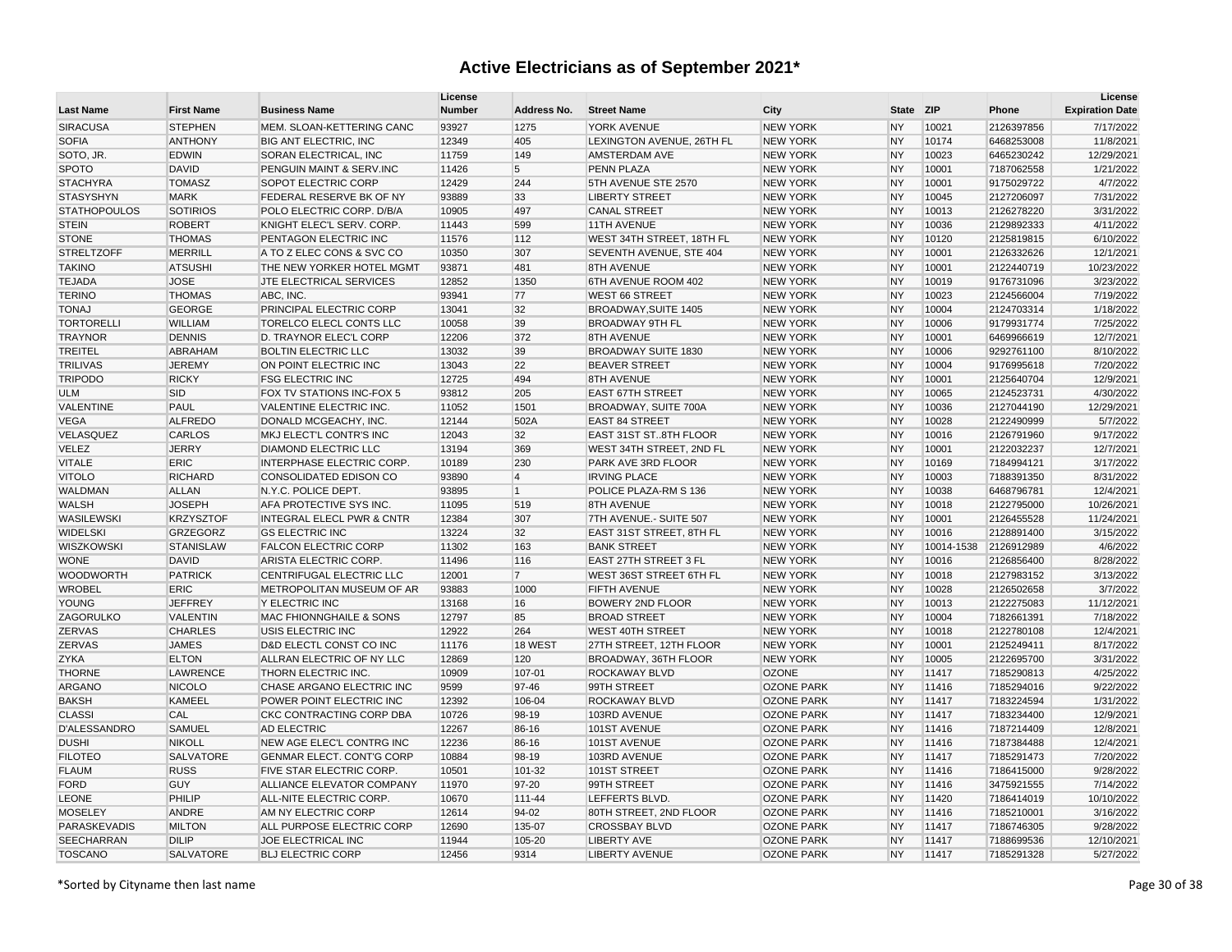| <b>Last Name</b>    | <b>First Name</b>              | <b>Business Name</b>             | License<br><b>Number</b> | Address No.    | <b>Street Name</b>              | City              | <b>State</b>           | <b>ZIP</b> | Phone                 | License<br><b>Expiration Date</b> |
|---------------------|--------------------------------|----------------------------------|--------------------------|----------------|---------------------------------|-------------------|------------------------|------------|-----------------------|-----------------------------------|
|                     |                                |                                  |                          |                |                                 |                   |                        |            |                       |                                   |
| <b>SIRACUSA</b>     | <b>STEPHEN</b>                 | MEM. SLOAN-KETTERING CANC        | 93927                    | 1275           | YORK AVENUE                     | <b>NEW YORK</b>   | <b>NY</b>              | 10021      | 2126397856            | 7/17/2022                         |
| <b>SOFIA</b>        | <b>ANTHONY</b><br><b>EDWIN</b> | <b>BIG ANT ELECTRIC. INC</b>     | 12349                    | 405            | LEXINGTON AVENUE, 26TH FL       | <b>NEW YORK</b>   | <b>NY</b>              | 10174      | 6468253008            | 11/8/2021                         |
| SOTO, JR.           |                                | SORAN ELECTRICAL, INC            | 11759                    | 149            | AMSTERDAM AVE                   | <b>NEW YORK</b>   | <b>NY</b>              | 10023      | 6465230242            | 12/29/2021                        |
| <b>SPOTO</b>        | <b>DAVID</b>                   | PENGUIN MAINT & SERV.INC         | 11426                    | 5              | <b>PENN PLAZA</b>               | <b>NEW YORK</b>   | <b>NY</b>              | 10001      | 7187062558            | 1/21/2022                         |
| <b>STACHYRA</b>     | <b>TOMASZ</b>                  | SOPOT ELECTRIC CORP              | 12429<br>93889           | 244            | 5TH AVENUE STE 2570             | <b>NEW YORK</b>   | <b>NY</b><br><b>NY</b> | 10001      | 9175029722            | 4/7/2022<br>7/31/2022             |
| <b>STASYSHYN</b>    | <b>MARK</b>                    | FEDERAL RESERVE BK OF NY         |                          | 33             | <b>LIBERTY STREET</b>           | <b>NEW YORK</b>   | <b>NY</b>              | 10045      | 2127206097            |                                   |
| <b>STATHOPOULOS</b> | SOTIRIOS                       | POLO ELECTRIC CORP. D/B/A        | 10905                    | 497            | <b>CANAL STREET</b>             | <b>NEW YORK</b>   |                        | 10013      | 2126278220            | 3/31/2022                         |
| <b>STEIN</b>        | <b>ROBERT</b>                  | KNIGHT ELEC'L SERV. CORP.        | 11443                    | 599            | 11TH AVENUE                     | <b>NEW YORK</b>   | <b>NY</b>              | 10036      | 2129892333            | 4/11/2022                         |
| <b>STONE</b>        | <b>THOMAS</b>                  | PENTAGON ELECTRIC INC            | 11576                    | 112            | WEST 34TH STREET, 18TH FL       | <b>NEW YORK</b>   | <b>NY</b>              | 10120      | 2125819815            | 6/10/2022                         |
| <b>STRELTZOFF</b>   | <b>MERRILL</b>                 | A TO Z ELEC CONS & SVC CO        | 10350<br>93871           | 307            | SEVENTH AVENUE, STE 404         | <b>NEW YORK</b>   | <b>NY</b>              | 10001      | 2126332626            | 12/1/2021                         |
| <b>TAKINO</b>       | <b>ATSUSHI</b>                 | THE NEW YORKER HOTEL MGMT        |                          | 481            | 8TH AVENUE                      | <b>NEW YORK</b>   | <b>NY</b>              | 10001      | 2122440719            | 10/23/2022                        |
| <b>TEJADA</b>       | <b>JOSE</b>                    | JTE ELECTRICAL SERVICES          | 12852                    | 1350           | 6TH AVENUE ROOM 402             | <b>NEW YORK</b>   | <b>NY</b>              | 10019      | 9176731096            | 3/23/2022                         |
| <b>TERINO</b>       | <b>THOMAS</b>                  | ABC, INC.                        | 93941                    | 77             | <b>WEST 66 STREET</b>           | <b>NEW YORK</b>   | <b>NY</b>              | 10023      | 2124566004            | 7/19/2022                         |
| <b>TONAJ</b>        | <b>GEORGE</b>                  | <b>PRINCIPAL ELECTRIC CORP</b>   | 13041                    | 32             | BROADWAY, SUITE 1405            | <b>NEW YORK</b>   | <b>NY</b>              | 10004      | 2124703314            | 1/18/2022                         |
| <b>TORTORELLI</b>   | WILLIAM                        | <b>TORELCO ELECL CONTS LLC</b>   | 10058                    | 39             | <b>BROADWAY 9TH FL</b>          | <b>NEW YORK</b>   | <b>NY</b>              | 10006      | 9179931774            | 7/25/2022                         |
| <b>TRAYNOR</b>      | <b>DENNIS</b>                  | D. TRAYNOR ELEC'L CORP           | 12206                    | 372            | 8TH AVENUE                      | <b>NEW YORK</b>   | <b>NY</b>              | 10001      | 6469966619            | 12/7/2021                         |
| <b>TREITEL</b>      | ABRAHAM                        | <b>BOLTIN ELECTRIC LLC</b>       | 13032                    | 39             | <b>BROADWAY SUITE 1830</b>      | <b>NEW YORK</b>   | <b>NY</b>              | 10006      | 9292761100            | 8/10/2022                         |
| <b>TRILIVAS</b>     | <b>JEREMY</b>                  | ON POINT ELECTRIC INC            | 13043                    | 22             | <b>BEAVER STREET</b>            | <b>NEW YORK</b>   | <b>NY</b>              | 10004      | 9176995618            | 7/20/2022                         |
| <b>TRIPODO</b>      | <b>RICKY</b>                   | <b>FSG ELECTRIC INC</b>          | 12725                    | 494            | <b>8TH AVENUE</b>               | <b>NEW YORK</b>   | <b>NY</b>              | 10001      | 2125640704            | 12/9/2021                         |
| <b>ULM</b>          | <b>SID</b>                     | FOX TV STATIONS INC-FOX 5        | 93812                    | 205            | <b>EAST 67TH STREET</b>         | <b>NEW YORK</b>   | <b>NY</b>              | 10065      | 2124523731            | 4/30/2022                         |
| VALENTINE           | <b>PAUL</b>                    | VALENTINE ELECTRIC INC.          | 11052                    | 1501           | BROADWAY, SUITE 700A            | <b>NEW YORK</b>   | <b>NY</b>              | 10036      | 2127044190            | 12/29/2021                        |
| <b>VEGA</b>         | <b>ALFREDO</b>                 | DONALD MCGEACHY, INC.            | 12144                    | 502A           | <b>EAST 84 STREET</b>           | <b>NEW YORK</b>   | <b>NY</b>              | 10028      | 2122490999            | 5/7/2022                          |
| VELASQUEZ           | <b>CARLOS</b>                  | MKJ ELECT'L CONTR'S INC          | 12043                    | 32             | EAST 31ST ST8TH FLOOR           | <b>NEW YORK</b>   | <b>NY</b>              | 10016      | 2126791960            | 9/17/2022                         |
| VELEZ               | <b>JERRY</b>                   | <b>DIAMOND ELECTRIC LLC</b>      | 13194                    | 369            | WEST 34TH STREET, 2ND FL        | <b>NEW YORK</b>   | <b>NY</b>              | 10001      | 2122032237            | 12/7/2021                         |
| <b>VITALE</b>       | <b>ERIC</b>                    | <b>INTERPHASE ELECTRIC CORP.</b> | 10189                    | 230            | PARK AVE 3RD FLOOR              | <b>NEW YORK</b>   | <b>NY</b>              | 10169      | 7184994121            | 3/17/2022                         |
| <b>VITOLO</b>       | <b>RICHARD</b>                 | CONSOLIDATED EDISON CO           | 93890                    | $\overline{4}$ | <b>IRVING PLACE</b>             | <b>NEW YORK</b>   | <b>NY</b>              | 10003      | 7188391350            | 8/31/2022                         |
| <b>WALDMAN</b>      | <b>ALLAN</b>                   | N.Y.C. POLICE DEPT.              | 93895                    | $\vert$ 1      | POLICE PLAZA-RM S 136           | <b>NEW YORK</b>   | <b>NY</b>              | 10038      | 6468796781            | 12/4/2021                         |
| <b>WALSH</b>        | <b>JOSEPH</b>                  | AFA PROTECTIVE SYS INC.          | 11095                    | 519            | <b>8TH AVENUE</b>               | <b>NEW YORK</b>   | <b>NY</b>              | 10018      | 2122795000            | 10/26/2021                        |
| WASILEWSKI          | <b>KRZYSZTOF</b>               | INTEGRAL ELECL PWR & CNTR        | 12384                    | 307            | 7TH AVENUE.- SUITE 507          | <b>NEW YORK</b>   | <b>NY</b>              | 10001      | 2126455528            | 11/24/2021                        |
| <b>WIDELSKI</b>     | GRZEGORZ                       | <b>GS ELECTRIC INC</b>           | 13224                    | 32             | <b>EAST 31ST STREET, 8TH FL</b> | <b>NEW YORK</b>   | <b>NY</b>              | 10016      | 2128891400            | 3/15/2022                         |
| <b>WISZKOWSKI</b>   | <b>STANISLAW</b>               | <b>FALCON ELECTRIC CORP</b>      | 11302                    | 163            | <b>BANK STREET</b>              | <b>NEW YORK</b>   | <b>NY</b>              |            | 10014-1538 2126912989 | 4/6/2022                          |
| <b>WONE</b>         | <b>DAVID</b>                   | ARISTA ELECTRIC CORP.            | 11496                    | 116            | EAST 27TH STREET 3 FL           | <b>NEW YORK</b>   | <b>NY</b>              | 10016      | 2126856400            | 8/28/2022                         |
| WOODWORTH           | <b>PATRICK</b>                 | CENTRIFUGAL ELECTRIC LLC         | 12001                    | 7              | WEST 36ST STREET 6TH FL         | <b>NEW YORK</b>   | <b>NY</b>              | 10018      | 2127983152            | 3/13/2022                         |
| <b>WROBEL</b>       | <b>ERIC</b>                    | METROPOLITAN MUSEUM OF AR        | 93883                    | 1000           | FIFTH AVENUE                    | <b>NEW YORK</b>   | <b>NY</b>              | 10028      | 2126502658            | 3/7/2022                          |
| <b>YOUNG</b>        | <b>JEFFREY</b>                 | Y ELECTRIC INC                   | 13168                    | 16             | BOWERY 2ND FLOOR                | <b>NEW YORK</b>   | <b>NY</b>              | 10013      | 2122275083            | 11/12/2021                        |
| ZAGORULKO           | <b>VALENTIN</b>                | MAC FHIONNGHAILE & SONS          | 12797                    | 85             | <b>BROAD STREET</b>             | <b>NEW YORK</b>   | <b>NY</b>              | 10004      | 7182661391            | 7/18/2022                         |
| <b>ZERVAS</b>       | <b>CHARLES</b>                 | USIS ELECTRIC INC                | 12922                    | 264            | <b>WEST 40TH STREET</b>         | <b>NEW YORK</b>   | <b>NY</b>              | 10018      | 2122780108            | 12/4/2021                         |
| <b>ZERVAS</b>       | <b>JAMES</b>                   | D&D ELECTL CONST CO INC          | 11176                    | 18 WEST        | 27TH STREET, 12TH FLOOR         | <b>NEW YORK</b>   | <b>NY</b>              | 10001      | 2125249411            | 8/17/2022                         |
| <b>ZYKA</b>         | <b>ELTON</b>                   | ALLRAN ELECTRIC OF NY LLC        | 12869                    | 120            | BROADWAY, 36TH FLOOR            | <b>NEW YORK</b>   | <b>NY</b>              | 10005      | 2122695700            | 3/31/2022                         |
| <b>THORNE</b>       | <b>LAWRENCE</b>                | THORN ELECTRIC INC.              | 10909                    | 107-01         | <b>ROCKAWAY BLVD</b>            | <b>OZONE</b>      | <b>NY</b>              | 11417      | 7185290813            | 4/25/2022                         |
| <b>ARGANO</b>       | <b>NICOLO</b>                  | CHASE ARGANO ELECTRIC INC        | 9599                     | 97-46          | 99TH STREET                     | <b>OZONE PARK</b> | <b>NY</b>              | 11416      | 7185294016            | 9/22/2022                         |
| <b>BAKSH</b>        | KAMEEL                         | POWER POINT ELECTRIC INC         | 12392                    | 106-04         | ROCKAWAY BLVD                   | <b>OZONE PARK</b> | <b>NY</b>              | 11417      | 7183224594            | 1/31/2022                         |
| <b>CLASSI</b>       | CAL                            | CKC CONTRACTING CORP DBA         | 10726                    | 98-19          | 103RD AVENUE                    | <b>OZONE PARK</b> | <b>NY</b>              | 11417      | 7183234400            | 12/9/2021                         |
| D'ALESSANDRO        | <b>SAMUEL</b>                  | <b>AD ELECTRIC</b>               | 12267                    | 86-16          | 101ST AVENUE                    | <b>OZONE PARK</b> | <b>NY</b>              | 11416      | 7187214409            | 12/8/2021                         |
| <b>DUSHI</b>        | <b>NIKOLL</b>                  | NEW AGE ELEC'L CONTRG INC        | 12236                    | 86-16          | 101ST AVENUE                    | <b>OZONE PARK</b> | <b>NY</b>              | 11416      | 7187384488            | 12/4/2021                         |
| <b>FILOTEO</b>      | <b>SALVATORE</b>               | <b>GENMAR ELECT. CONT'G CORP</b> | 10884                    | 98-19          | 103RD AVENUE                    | <b>OZONE PARK</b> | <b>NY</b>              | 11417      | 7185291473            | 7/20/2022                         |
| <b>FLAUM</b>        | <b>RUSS</b>                    | <b>FIVE STAR ELECTRIC CORP.</b>  | 10501                    | 101-32         | 101ST STREET                    | <b>OZONE PARK</b> | <b>NY</b>              | 11416      | 7186415000            | 9/28/2022                         |
| <b>FORD</b>         | <b>GUY</b>                     | ALLIANCE ELEVATOR COMPANY        | 11970                    | 97-20          | 99TH STREET                     | <b>OZONE PARK</b> | <b>NY</b>              | 11416      | 3475921555            | 7/14/2022                         |
| <b>LEONE</b>        | PHILIP                         | ALL-NITE ELECTRIC CORP.          | 10670                    | 111-44         | LEFFERTS BLVD                   | <b>OZONE PARK</b> | <b>NY</b>              | 11420      | 7186414019            | 10/10/2022                        |
| <b>MOSELEY</b>      | <b>ANDRE</b>                   | AM NY ELECTRIC CORP              | 12614                    | 94-02          | 80TH STREET, 2ND FLOOR          | <b>OZONE PARK</b> | <b>NY</b>              | 11416      | 7185210001            | 3/16/2022                         |
| PARASKEVADIS        | <b>MILTON</b>                  | ALL PURPOSE ELECTRIC CORP        | 12690                    | 135-07         | <b>CROSSBAY BLVD</b>            | <b>OZONE PARK</b> | <b>NY</b>              | 11417      | 7186746305            | 9/28/2022                         |
| <b>SEECHARRAN</b>   | <b>DILIP</b>                   | JOE ELECTRICAL INC               | 11944                    | 105-20         | <b>LIBERTY AVE</b>              | <b>OZONE PARK</b> | <b>NY</b>              | 11417      | 7188699536            | 12/10/2021                        |
| <b>TOSCANO</b>      | <b>SALVATORE</b>               | <b>BLJ ELECTRIC CORP</b>         | 12456                    | 9314           | <b>LIBERTY AVENUE</b>           | <b>OZONE PARK</b> | <b>NY</b>              | 11417      | 7185291328            | 5/27/2022                         |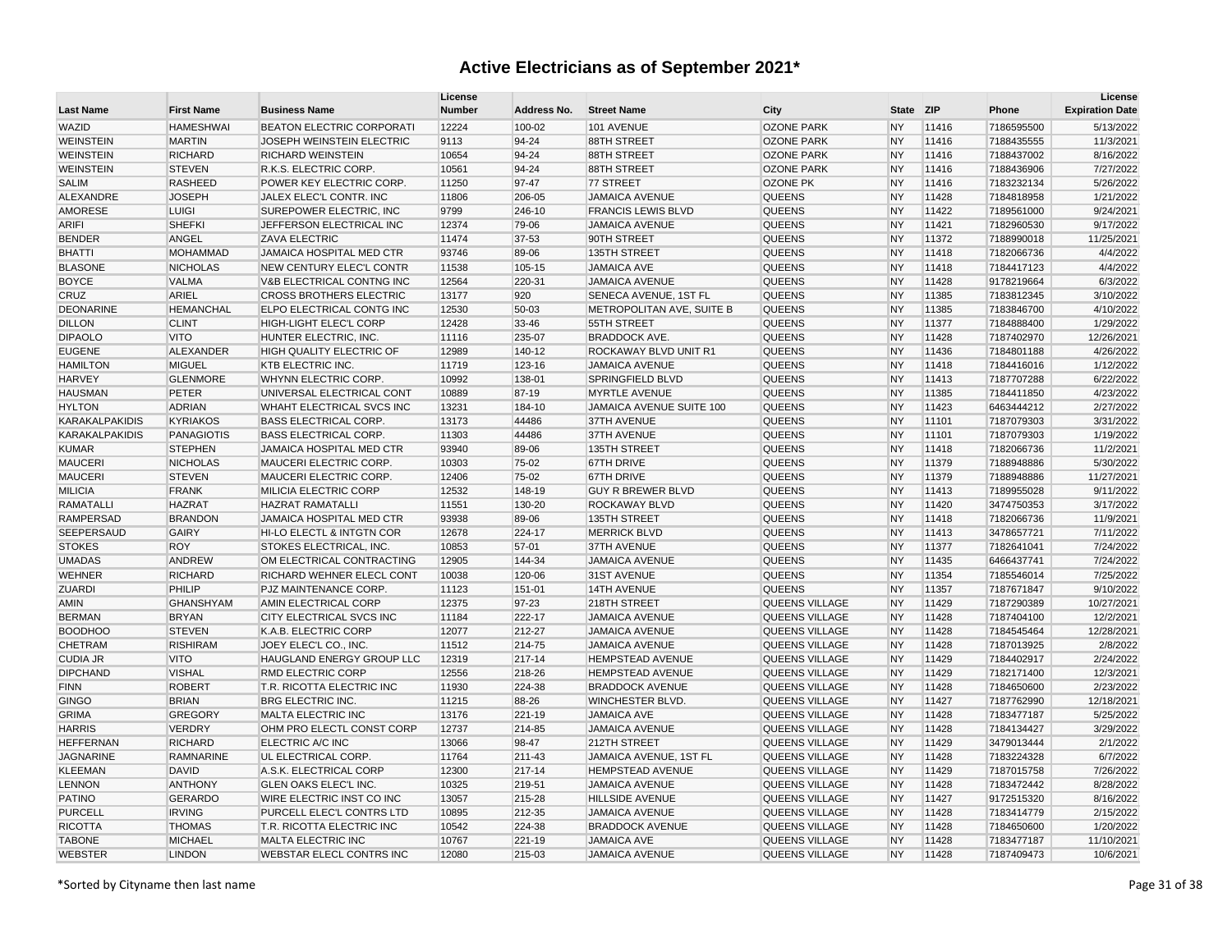| <b>HAMESHWAI</b><br><b>BEATON ELECTRIC CORPORATI</b><br>12224<br>100-02<br><b>OZONE PARK</b><br>11416<br>5/13/2022<br>101 AVENUE<br><b>NY</b><br>7186595500<br>11/3/2021<br><b>MARTIN</b><br>JOSEPH WEINSTEIN ELECTRIC<br>9113<br>94-24<br>88TH STREET<br><b>OZONE PARK</b><br><b>NY</b><br>11416<br>7188435555<br><b>RICHARD</b><br>8/16/2022<br><b>RICHARD WEINSTEIN</b><br>10654<br>94-24<br>88TH STREET<br><b>OZONE PARK</b><br><b>NY</b><br>11416<br>7188437002<br><b>STEVEN</b><br>10561<br>94-24<br><b>OZONE PARK</b><br>7/27/2022<br>R.K.S. ELECTRIC CORP.<br>88TH STREET<br><b>NY</b><br>11416<br>7188436906<br><b>RASHEED</b><br>11250<br>77 STREET<br>7183232134<br>5/26/2022<br>POWER KEY ELECTRIC CORP.<br>97-47<br><b>OZONE PK</b><br><b>NY</b><br>11416<br><b>JOSEPH</b><br>1/21/2022<br>JALEX ELEC'L CONTR. INC<br>11806<br>206-05<br><b>JAMAICA AVENUE</b><br>QUEENS<br><b>NY</b><br>11428<br>7184818958<br>LUIGI<br>SUREPOWER ELECTRIC, INC.<br>9799<br>246-10<br><b>FRANCIS LEWIS BLVD</b><br><b>QUEENS</b><br><b>NY</b><br>11422<br>7189561000<br>9/24/2021<br><b>SHEFKI</b><br>12374<br><b>QUEENS</b><br>9/17/2022<br>JEFFERSON ELECTRICAL INC<br>79-06<br><b>JAMAICA AVENUE</b><br><b>NY</b><br>11421<br>7182960530<br>ANGEL<br>11474<br>37-53<br>90TH STREET<br><b>QUEENS</b><br><b>NY</b><br>11372<br>7188990018<br>11/25/2021<br><b>ZAVA ELECTRIC</b><br><b>MOHAMMAD</b><br>JAMAICA HOSPITAL MED CTR<br>93746<br>89-06<br>135TH STREET<br>QUEENS<br><b>NY</b><br>11418<br>7182066736<br>4/4/2022<br><b>NICHOLAS</b><br><b>JAMAICA AVE</b><br>QUEENS<br>4/4/2022<br>NEW CENTURY ELEC'L CONTR<br>11538<br>105-15<br><b>NY</b><br>11418<br>7184417123<br><b>VALMA</b><br><b>QUEENS</b><br>6/3/2022<br>V&B ELECTRICAL CONTNG INC<br>12564<br>220-31<br><b>JAMAICA AVENUE</b><br><b>NY</b><br>11428<br>9178219664<br>3/10/2022<br>ARIEL<br><b>CROSS BROTHERS ELECTRIC</b><br>13177<br>920<br>SENECA AVENUE, 1ST FL<br><b>QUEENS</b><br><b>NY</b><br>11385<br>7183812345<br><b>HEMANCHAL</b><br>4/10/2022<br>ELPO ELECTRICAL CONTG INC<br>12530<br>METROPOLITAN AVE, SUITE B<br>QUEENS<br><b>NY</b><br>11385<br>50-03<br>7183846700<br><b>CLINT</b><br>1/29/2022<br>HIGH-LIGHT ELEC'L CORP<br>12428<br>33-46<br>55TH STREET<br><b>QUEENS</b><br><b>NY</b><br>11377<br>7184888400<br><b>DIPAOLO</b><br><b>VITO</b><br>11116<br>235-07<br><b>BRADDOCK AVE.</b><br><b>QUEENS</b><br><b>NY</b><br>11428<br>12/26/2021<br>HUNTER ELECTRIC, INC.<br>7187402970<br><b>EUGENE</b><br>ALEXANDER<br>HIGH QUALITY ELECTRIC OF<br>12989<br>140-12<br>ROCKAWAY BLVD UNIT R1<br><b>QUEENS</b><br><b>NY</b><br>11436<br>7184801188<br>4/26/2022<br><b>HAMILTON</b><br>MIGUEL<br>1/12/2022<br>KTB ELECTRIC INC.<br>11719<br>123-16<br><b>JAMAICA AVENUE</b><br><b>QUEENS</b><br><b>NY</b><br>11418<br>7184416016<br><b>GLENMORE</b><br>6/22/2022<br><b>HARVEY</b><br>WHYNN ELECTRIC CORP.<br>10992<br>138-01<br><b>SPRINGFIELD BLVD</b><br><b>QUEENS</b><br><b>NY</b><br>11413<br>7187707288<br>4/23/2022<br><b>HAUSMAN</b><br><b>PETER</b><br>UNIVERSAL ELECTRICAL CONT<br>10889<br>87-19<br><b>MYRTLE AVENUE</b><br><b>QUEENS</b><br><b>NY</b><br>11385<br>7184411850<br><b>ADRIAN</b><br><b>WHAHT ELECTRICAL SVCS INC</b><br><b>NY</b><br>6463444212<br>2/27/2022<br><b>HYLTON</b><br>13231<br>184-10<br>JAMAICA AVENUE SUITE 100<br><b>QUEENS</b><br>11423<br><b>KYRIAKOS</b><br>3/31/2022<br><b>KARAKALPAKIDIS</b><br><b>BASS ELECTRICAL CORP.</b><br>13173<br>44486<br>37TH AVENUE<br>QUEENS<br><b>NY</b><br>11101<br>7187079303<br><b>KARAKALPAKIDIS</b><br>PANAGIOTIS<br>11303<br><b>QUEENS</b><br>1/19/2022<br><b>BASS ELECTRICAL CORP.</b><br>44486<br>37TH AVENUE<br><b>NY</b><br>11101<br>7187079303<br><b>KUMAR</b><br><b>STEPHEN</b><br>JAMAICA HOSPITAL MED CTR<br>93940<br>135TH STREET<br><b>QUEENS</b><br><b>NY</b><br>11418<br>7182066736<br>11/2/2021<br>89-06<br><b>NICHOLAS</b><br>QUEENS<br>5/30/2022<br><b>MAUCERI</b><br>MAUCERI ELECTRIC CORP.<br>10303<br>75-02<br><b>67TH DRIVE</b><br><b>NY</b><br>11379<br>7188948886<br><b>STEVEN</b><br><b>MAUCERI</b><br>MAUCERI ELECTRIC CORP.<br>12406<br>75-02<br>67TH DRIVE<br><b>QUEENS</b><br><b>NY</b><br>11379<br>7188948886<br>11/27/2021<br><b>MILICIA</b><br><b>FRANK</b><br>MILICIA ELECTRIC CORP<br>12532<br>148-19<br><b>QUEENS</b><br><b>NY</b><br>11413<br>7189955028<br>9/11/2022<br><b>GUY R BREWER BLVD</b><br><b>RAMATALLI</b><br><b>HAZRAT</b><br>11551<br>130-20<br><b>QUEENS</b><br><b>NY</b><br>3/17/2022<br><b>HAZRAT RAMATALLI</b><br>ROCKAWAY BLVD<br>11420<br>3474750353<br><b>RAMPERSAD</b><br><b>BRANDON</b><br>JAMAICA HOSPITAL MED CTR<br>93938<br>89-06<br>135TH STREET<br><b>QUEENS</b><br><b>NY</b><br>11418<br>7182066736<br>11/9/2021<br>SEEPERSAUD<br><b>GAIRY</b><br><b>QUEENS</b><br>7/11/2022<br>HI-LO ELECTL & INTGTN COR<br>12678<br>224-17<br><b>MERRICK BLVD</b><br><b>NY</b><br>11413<br>3478657721<br>7/24/2022<br><b>STOKES</b><br><b>ROY</b><br>STOKES ELECTRICAL, INC.<br>10853<br>37TH AVENUE<br><b>QUEENS</b><br><b>NY</b><br>57-01<br>11377<br>7182641041<br><b>UMADAS</b><br><b>ANDREW</b><br>OM ELECTRICAL CONTRACTING<br>12905<br>144-34<br><b>JAMAICA AVENUE</b><br><b>QUEENS</b><br><b>NY</b><br>11435<br>6466437741<br>7/24/2022<br><b>WEHNER</b><br><b>RICHARD</b><br>RICHARD WEHNER ELECL CONT<br>10038<br>120-06<br>31ST AVENUE<br><b>QUEENS</b><br><b>NY</b><br>11354<br>7185546014<br>7/25/2022<br>ZUARDI<br>PHILIP<br>11123<br>151-01<br>14TH AVENUE<br><b>NY</b><br>11357<br>9/10/2022<br>PJZ MAINTENANCE CORP.<br><b>QUEENS</b><br>7187671847<br><b>GHANSHYAM</b><br><b>QUEENS VILLAGE</b><br><b>NY</b><br>10/27/2021<br>AMIN<br>AMIN ELECTRICAL CORP<br>12375<br>97-23<br>218TH STREET<br>11429<br>7187290389<br>12/2/2021<br><b>BERMAN</b><br><b>BRYAN</b><br>CITY ELECTRICAL SVCS INC<br>11184<br>222-17<br><b>JAMAICA AVENUE</b><br><b>QUEENS VILLAGE</b><br><b>NY</b><br>11428<br>7187404100<br><b>BOODHOO</b><br><b>STEVEN</b><br>K.A.B. ELECTRIC CORP<br>12077<br>212-27<br><b>JAMAICA AVENUE</b><br><b>QUEENS VILLAGE</b><br><b>NY</b><br>11428<br>12/28/2021<br>7184545464<br>CHETRAM<br><b>RISHIRAM</b><br>JOEY ELEC'L CO., INC.<br>11512<br>2/8/2022<br>214-75<br><b>JAMAICA AVENUE</b><br>QUEENS VILLAGE<br><b>NY</b><br>11428<br>7187013925<br><b>CUDIA JR</b><br><b>VITO</b><br>HAUGLAND ENERGY GROUP LLC<br>12319<br>217-14<br>11429<br>2/24/2022<br><b>HEMPSTEAD AVENUE</b><br><b>QUEENS VILLAGE</b><br><b>NY</b><br>7184402917<br><b>DIPCHAND</b><br><b>VISHAL</b><br>RMD ELECTRIC CORP<br>12556<br><b>HEMPSTEAD AVENUE</b><br>QUEENS VILLAGE<br>11429<br>7182171400<br>12/3/2021<br>218-26<br><b>NY</b><br><b>ROBERT</b><br>11930<br>2/23/2022<br><b>FINN</b><br>T.R. RICOTTA ELECTRIC INC<br>224-38<br><b>BRADDOCK AVENUE</b><br>QUEENS VILLAGE<br><b>NY</b><br>11428<br>7184650600<br><b>BRIAN</b><br>12/18/2021<br><b>GINGO</b><br><b>BRG ELECTRIC INC.</b><br>11215<br>88-26<br><b>WINCHESTER BLVD.</b><br><b>QUEENS VILLAGE</b><br><b>NY</b><br>11427<br>7187762990<br><b>GRIMA</b><br><b>GREGORY</b><br>MALTA ELECTRIC INC<br>13176<br>221-19<br><b>JAMAICA AVE</b><br><b>QUEENS VILLAGE</b><br>11428<br>7183477187<br>5/25/2022<br><b>NY</b><br>3/29/2022<br><b>HARRIS</b><br><b>VERDRY</b><br>OHM PRO ELECTL CONST CORP<br>12737<br><b>JAMAICA AVENUE</b><br>214-85<br>QUEENS VILLAGE<br><b>NY</b><br>11428<br>7184134427<br><b>HEFFERNAN</b><br><b>RICHARD</b><br>2/1/2022<br>ELECTRIC A/C INC<br>13066<br>98-47<br>212TH STREET<br>QUEENS VILLAGE<br><b>NY</b><br>11429<br>3479013444<br><b>JAGNARINE</b><br>6/7/2022<br><b>RAMNARINE</b><br>UL ELECTRICAL CORP.<br>11764<br>211-43<br>JAMAICA AVENUE, 1ST FL<br><b>QUEENS VILLAGE</b><br><b>NY</b><br>11428<br>7183224328<br><b>KLEEMAN</b><br><b>DAVID</b><br>A.S.K. ELECTRICAL CORP<br>12300<br>217-14<br><b>HEMPSTEAD AVENUE</b><br><b>QUEENS VILLAGE</b><br>11429<br>7187015758<br>7/26/2022<br><b>NY</b><br>10325<br>8/28/2022<br><b>LENNON</b><br><b>ANTHONY</b><br>GLEN OAKS ELEC'L INC.<br>219-51<br><b>JAMAICA AVENUE</b><br>QUEENS VILLAGE<br><b>NY</b><br>11428<br>7183472442<br><b>PATINO</b><br><b>GERARDO</b><br>WIRE ELECTRIC INST CO INC<br>13057<br>215-28<br><b>HILLSIDE AVENUE</b><br><b>QUEENS VILLAGE</b><br><b>NY</b><br>11427<br>9172515320<br>8/16/2022<br><b>PURCELL</b><br><b>IRVING</b><br>PURCELL ELEC'L CONTRS LTD<br>10895<br>212-35<br>11428<br>2/15/2022<br><b>JAMAICA AVENUE</b><br><b>QUEENS VILLAGE</b><br><b>NY</b><br>7183414779<br><b>RICOTTA</b><br><b>THOMAS</b><br>10542<br>1/20/2022<br>T.R. RICOTTA ELECTRIC INC<br>224-38<br><b>BRADDOCK AVENUE</b><br><b>QUEENS VILLAGE</b><br><b>NY</b><br>11428<br>7184650600<br><b>TABONE</b><br><b>MICHAEL</b><br>MALTA ELECTRIC INC<br>10767<br>221-19<br><b>JAMAICA AVE</b><br>QUEENS VILLAGE<br><b>NY</b><br>11428<br>7183477187<br>11/10/2021 | <b>Last Name</b> | <b>First Name</b> | <b>Business Name</b>     | License<br><b>Number</b> | Address No. | <b>Street Name</b>    | City                  | <b>State</b> | <b>ZIP</b> | Phone      | License<br><b>Expiration Date</b> |
|--------------------------------------------------------------------------------------------------------------------------------------------------------------------------------------------------------------------------------------------------------------------------------------------------------------------------------------------------------------------------------------------------------------------------------------------------------------------------------------------------------------------------------------------------------------------------------------------------------------------------------------------------------------------------------------------------------------------------------------------------------------------------------------------------------------------------------------------------------------------------------------------------------------------------------------------------------------------------------------------------------------------------------------------------------------------------------------------------------------------------------------------------------------------------------------------------------------------------------------------------------------------------------------------------------------------------------------------------------------------------------------------------------------------------------------------------------------------------------------------------------------------------------------------------------------------------------------------------------------------------------------------------------------------------------------------------------------------------------------------------------------------------------------------------------------------------------------------------------------------------------------------------------------------------------------------------------------------------------------------------------------------------------------------------------------------------------------------------------------------------------------------------------------------------------------------------------------------------------------------------------------------------------------------------------------------------------------------------------------------------------------------------------------------------------------------------------------------------------------------------------------------------------------------------------------------------------------------------------------------------------------------------------------------------------------------------------------------------------------------------------------------------------------------------------------------------------------------------------------------------------------------------------------------------------------------------------------------------------------------------------------------------------------------------------------------------------------------------------------------------------------------------------------------------------------------------------------------------------------------------------------------------------------------------------------------------------------------------------------------------------------------------------------------------------------------------------------------------------------------------------------------------------------------------------------------------------------------------------------------------------------------------------------------------------------------------------------------------------------------------------------------------------------------------------------------------------------------------------------------------------------------------------------------------------------------------------------------------------------------------------------------------------------------------------------------------------------------------------------------------------------------------------------------------------------------------------------------------------------------------------------------------------------------------------------------------------------------------------------------------------------------------------------------------------------------------------------------------------------------------------------------------------------------------------------------------------------------------------------------------------------------------------------------------------------------------------------------------------------------------------------------------------------------------------------------------------------------------------------------------------------------------------------------------------------------------------------------------------------------------------------------------------------------------------------------------------------------------------------------------------------------------------------------------------------------------------------------------------------------------------------------------------------------------------------------------------------------------------------------------------------------------------------------------------------------------------------------------------------------------------------------------------------------------------------------------------------------------------------------------------------------------------------------------------------------------------------------------------------------------------------------------------------------------------------------------------------------------------------------------------------------------------------------------------------------------------------------------------------------------------------------------------------------------------------------------------------------------------------------------------------------------------------------------------------------------------------------------------------------------------------------------------------------------------------------------------------------------------------------------------------------------------------------------------------------------------------------------------------------------------------------------------------------------------------------------------------------------------------------------------------------------------------------------------------------------------------------------------------------------------------------------------------------------------------------------------------------------------------------------------------------------------------------------------------------------------------------------------------------------------------------------------------------------------------------------------------------------------------------------------------------------------------------------------------------------------------------------------------------------------------------------------------------------------------------------------------------------------------------------------------------------------------------------------------------------------------------------------------------------------------------------------------------------------------------------------------------------------------------------------------------------------------------------------------------------------------------------------------------------------------------------------------------------------------------------------------------------------------------------------------------------------------------------------------------------------------------------------------------------------------------------------------------------------------------------------------------------------------------------------------------------------------------------------------------------------------------------------------------------------------------------------------------------------------------------------------------------------------------------------------------------------------------------------------------------------------------------------------------------------------------------------------------------------------------------------------------------------------------------------------------------------------------------------------------------------------------------------------------------------------------------------------------------------------------------------------------------------|------------------|-------------------|--------------------------|--------------------------|-------------|-----------------------|-----------------------|--------------|------------|------------|-----------------------------------|
|                                                                                                                                                                                                                                                                                                                                                                                                                                                                                                                                                                                                                                                                                                                                                                                                                                                                                                                                                                                                                                                                                                                                                                                                                                                                                                                                                                                                                                                                                                                                                                                                                                                                                                                                                                                                                                                                                                                                                                                                                                                                                                                                                                                                                                                                                                                                                                                                                                                                                                                                                                                                                                                                                                                                                                                                                                                                                                                                                                                                                                                                                                                                                                                                                                                                                                                                                                                                                                                                                                                                                                                                                                                                                                                                                                                                                                                                                                                                                                                                                                                                                                                                                                                                                                                                                                                                                                                                                                                                                                                                                                                                                                                                                                                                                                                                                                                                                                                                                                                                                                                                                                                                                                                                                                                                                                                                                                                                                                                                                                                                                                                                                                                                                                                                                                                                                                                                                                                                                                                                                                                                                                                                                                                                                                                                                                                                                                                                                                                                                                                                                                                                                                                                                                                                                                                                                                                                                                                                                                                                                                                                                                                                                                                                                                                                                                                                                                                                                                                                                                                                                                                                                                                                                                                                                                                                                                                                                                                                                                                                                                                                                                                                                                                                                                                                                                                                                                                                                                                                                                                                                                                                                                                                                                                                                                                                                                                        | WAZID            |                   |                          |                          |             |                       |                       |              |            |            |                                   |
|                                                                                                                                                                                                                                                                                                                                                                                                                                                                                                                                                                                                                                                                                                                                                                                                                                                                                                                                                                                                                                                                                                                                                                                                                                                                                                                                                                                                                                                                                                                                                                                                                                                                                                                                                                                                                                                                                                                                                                                                                                                                                                                                                                                                                                                                                                                                                                                                                                                                                                                                                                                                                                                                                                                                                                                                                                                                                                                                                                                                                                                                                                                                                                                                                                                                                                                                                                                                                                                                                                                                                                                                                                                                                                                                                                                                                                                                                                                                                                                                                                                                                                                                                                                                                                                                                                                                                                                                                                                                                                                                                                                                                                                                                                                                                                                                                                                                                                                                                                                                                                                                                                                                                                                                                                                                                                                                                                                                                                                                                                                                                                                                                                                                                                                                                                                                                                                                                                                                                                                                                                                                                                                                                                                                                                                                                                                                                                                                                                                                                                                                                                                                                                                                                                                                                                                                                                                                                                                                                                                                                                                                                                                                                                                                                                                                                                                                                                                                                                                                                                                                                                                                                                                                                                                                                                                                                                                                                                                                                                                                                                                                                                                                                                                                                                                                                                                                                                                                                                                                                                                                                                                                                                                                                                                                                                                                                                                        | <b>WEINSTEIN</b> |                   |                          |                          |             |                       |                       |              |            |            |                                   |
|                                                                                                                                                                                                                                                                                                                                                                                                                                                                                                                                                                                                                                                                                                                                                                                                                                                                                                                                                                                                                                                                                                                                                                                                                                                                                                                                                                                                                                                                                                                                                                                                                                                                                                                                                                                                                                                                                                                                                                                                                                                                                                                                                                                                                                                                                                                                                                                                                                                                                                                                                                                                                                                                                                                                                                                                                                                                                                                                                                                                                                                                                                                                                                                                                                                                                                                                                                                                                                                                                                                                                                                                                                                                                                                                                                                                                                                                                                                                                                                                                                                                                                                                                                                                                                                                                                                                                                                                                                                                                                                                                                                                                                                                                                                                                                                                                                                                                                                                                                                                                                                                                                                                                                                                                                                                                                                                                                                                                                                                                                                                                                                                                                                                                                                                                                                                                                                                                                                                                                                                                                                                                                                                                                                                                                                                                                                                                                                                                                                                                                                                                                                                                                                                                                                                                                                                                                                                                                                                                                                                                                                                                                                                                                                                                                                                                                                                                                                                                                                                                                                                                                                                                                                                                                                                                                                                                                                                                                                                                                                                                                                                                                                                                                                                                                                                                                                                                                                                                                                                                                                                                                                                                                                                                                                                                                                                                                                        | WEINSTEIN        |                   |                          |                          |             |                       |                       |              |            |            |                                   |
|                                                                                                                                                                                                                                                                                                                                                                                                                                                                                                                                                                                                                                                                                                                                                                                                                                                                                                                                                                                                                                                                                                                                                                                                                                                                                                                                                                                                                                                                                                                                                                                                                                                                                                                                                                                                                                                                                                                                                                                                                                                                                                                                                                                                                                                                                                                                                                                                                                                                                                                                                                                                                                                                                                                                                                                                                                                                                                                                                                                                                                                                                                                                                                                                                                                                                                                                                                                                                                                                                                                                                                                                                                                                                                                                                                                                                                                                                                                                                                                                                                                                                                                                                                                                                                                                                                                                                                                                                                                                                                                                                                                                                                                                                                                                                                                                                                                                                                                                                                                                                                                                                                                                                                                                                                                                                                                                                                                                                                                                                                                                                                                                                                                                                                                                                                                                                                                                                                                                                                                                                                                                                                                                                                                                                                                                                                                                                                                                                                                                                                                                                                                                                                                                                                                                                                                                                                                                                                                                                                                                                                                                                                                                                                                                                                                                                                                                                                                                                                                                                                                                                                                                                                                                                                                                                                                                                                                                                                                                                                                                                                                                                                                                                                                                                                                                                                                                                                                                                                                                                                                                                                                                                                                                                                                                                                                                                                                        | <b>WEINSTEIN</b> |                   |                          |                          |             |                       |                       |              |            |            |                                   |
|                                                                                                                                                                                                                                                                                                                                                                                                                                                                                                                                                                                                                                                                                                                                                                                                                                                                                                                                                                                                                                                                                                                                                                                                                                                                                                                                                                                                                                                                                                                                                                                                                                                                                                                                                                                                                                                                                                                                                                                                                                                                                                                                                                                                                                                                                                                                                                                                                                                                                                                                                                                                                                                                                                                                                                                                                                                                                                                                                                                                                                                                                                                                                                                                                                                                                                                                                                                                                                                                                                                                                                                                                                                                                                                                                                                                                                                                                                                                                                                                                                                                                                                                                                                                                                                                                                                                                                                                                                                                                                                                                                                                                                                                                                                                                                                                                                                                                                                                                                                                                                                                                                                                                                                                                                                                                                                                                                                                                                                                                                                                                                                                                                                                                                                                                                                                                                                                                                                                                                                                                                                                                                                                                                                                                                                                                                                                                                                                                                                                                                                                                                                                                                                                                                                                                                                                                                                                                                                                                                                                                                                                                                                                                                                                                                                                                                                                                                                                                                                                                                                                                                                                                                                                                                                                                                                                                                                                                                                                                                                                                                                                                                                                                                                                                                                                                                                                                                                                                                                                                                                                                                                                                                                                                                                                                                                                                                                        | <b>SALIM</b>     |                   |                          |                          |             |                       |                       |              |            |            |                                   |
|                                                                                                                                                                                                                                                                                                                                                                                                                                                                                                                                                                                                                                                                                                                                                                                                                                                                                                                                                                                                                                                                                                                                                                                                                                                                                                                                                                                                                                                                                                                                                                                                                                                                                                                                                                                                                                                                                                                                                                                                                                                                                                                                                                                                                                                                                                                                                                                                                                                                                                                                                                                                                                                                                                                                                                                                                                                                                                                                                                                                                                                                                                                                                                                                                                                                                                                                                                                                                                                                                                                                                                                                                                                                                                                                                                                                                                                                                                                                                                                                                                                                                                                                                                                                                                                                                                                                                                                                                                                                                                                                                                                                                                                                                                                                                                                                                                                                                                                                                                                                                                                                                                                                                                                                                                                                                                                                                                                                                                                                                                                                                                                                                                                                                                                                                                                                                                                                                                                                                                                                                                                                                                                                                                                                                                                                                                                                                                                                                                                                                                                                                                                                                                                                                                                                                                                                                                                                                                                                                                                                                                                                                                                                                                                                                                                                                                                                                                                                                                                                                                                                                                                                                                                                                                                                                                                                                                                                                                                                                                                                                                                                                                                                                                                                                                                                                                                                                                                                                                                                                                                                                                                                                                                                                                                                                                                                                                                        | ALEXANDRE        |                   |                          |                          |             |                       |                       |              |            |            |                                   |
|                                                                                                                                                                                                                                                                                                                                                                                                                                                                                                                                                                                                                                                                                                                                                                                                                                                                                                                                                                                                                                                                                                                                                                                                                                                                                                                                                                                                                                                                                                                                                                                                                                                                                                                                                                                                                                                                                                                                                                                                                                                                                                                                                                                                                                                                                                                                                                                                                                                                                                                                                                                                                                                                                                                                                                                                                                                                                                                                                                                                                                                                                                                                                                                                                                                                                                                                                                                                                                                                                                                                                                                                                                                                                                                                                                                                                                                                                                                                                                                                                                                                                                                                                                                                                                                                                                                                                                                                                                                                                                                                                                                                                                                                                                                                                                                                                                                                                                                                                                                                                                                                                                                                                                                                                                                                                                                                                                                                                                                                                                                                                                                                                                                                                                                                                                                                                                                                                                                                                                                                                                                                                                                                                                                                                                                                                                                                                                                                                                                                                                                                                                                                                                                                                                                                                                                                                                                                                                                                                                                                                                                                                                                                                                                                                                                                                                                                                                                                                                                                                                                                                                                                                                                                                                                                                                                                                                                                                                                                                                                                                                                                                                                                                                                                                                                                                                                                                                                                                                                                                                                                                                                                                                                                                                                                                                                                                                                        | <b>AMORESE</b>   |                   |                          |                          |             |                       |                       |              |            |            |                                   |
|                                                                                                                                                                                                                                                                                                                                                                                                                                                                                                                                                                                                                                                                                                                                                                                                                                                                                                                                                                                                                                                                                                                                                                                                                                                                                                                                                                                                                                                                                                                                                                                                                                                                                                                                                                                                                                                                                                                                                                                                                                                                                                                                                                                                                                                                                                                                                                                                                                                                                                                                                                                                                                                                                                                                                                                                                                                                                                                                                                                                                                                                                                                                                                                                                                                                                                                                                                                                                                                                                                                                                                                                                                                                                                                                                                                                                                                                                                                                                                                                                                                                                                                                                                                                                                                                                                                                                                                                                                                                                                                                                                                                                                                                                                                                                                                                                                                                                                                                                                                                                                                                                                                                                                                                                                                                                                                                                                                                                                                                                                                                                                                                                                                                                                                                                                                                                                                                                                                                                                                                                                                                                                                                                                                                                                                                                                                                                                                                                                                                                                                                                                                                                                                                                                                                                                                                                                                                                                                                                                                                                                                                                                                                                                                                                                                                                                                                                                                                                                                                                                                                                                                                                                                                                                                                                                                                                                                                                                                                                                                                                                                                                                                                                                                                                                                                                                                                                                                                                                                                                                                                                                                                                                                                                                                                                                                                                                                        | <b>ARIFI</b>     |                   |                          |                          |             |                       |                       |              |            |            |                                   |
|                                                                                                                                                                                                                                                                                                                                                                                                                                                                                                                                                                                                                                                                                                                                                                                                                                                                                                                                                                                                                                                                                                                                                                                                                                                                                                                                                                                                                                                                                                                                                                                                                                                                                                                                                                                                                                                                                                                                                                                                                                                                                                                                                                                                                                                                                                                                                                                                                                                                                                                                                                                                                                                                                                                                                                                                                                                                                                                                                                                                                                                                                                                                                                                                                                                                                                                                                                                                                                                                                                                                                                                                                                                                                                                                                                                                                                                                                                                                                                                                                                                                                                                                                                                                                                                                                                                                                                                                                                                                                                                                                                                                                                                                                                                                                                                                                                                                                                                                                                                                                                                                                                                                                                                                                                                                                                                                                                                                                                                                                                                                                                                                                                                                                                                                                                                                                                                                                                                                                                                                                                                                                                                                                                                                                                                                                                                                                                                                                                                                                                                                                                                                                                                                                                                                                                                                                                                                                                                                                                                                                                                                                                                                                                                                                                                                                                                                                                                                                                                                                                                                                                                                                                                                                                                                                                                                                                                                                                                                                                                                                                                                                                                                                                                                                                                                                                                                                                                                                                                                                                                                                                                                                                                                                                                                                                                                                                                        | <b>BENDER</b>    |                   |                          |                          |             |                       |                       |              |            |            |                                   |
|                                                                                                                                                                                                                                                                                                                                                                                                                                                                                                                                                                                                                                                                                                                                                                                                                                                                                                                                                                                                                                                                                                                                                                                                                                                                                                                                                                                                                                                                                                                                                                                                                                                                                                                                                                                                                                                                                                                                                                                                                                                                                                                                                                                                                                                                                                                                                                                                                                                                                                                                                                                                                                                                                                                                                                                                                                                                                                                                                                                                                                                                                                                                                                                                                                                                                                                                                                                                                                                                                                                                                                                                                                                                                                                                                                                                                                                                                                                                                                                                                                                                                                                                                                                                                                                                                                                                                                                                                                                                                                                                                                                                                                                                                                                                                                                                                                                                                                                                                                                                                                                                                                                                                                                                                                                                                                                                                                                                                                                                                                                                                                                                                                                                                                                                                                                                                                                                                                                                                                                                                                                                                                                                                                                                                                                                                                                                                                                                                                                                                                                                                                                                                                                                                                                                                                                                                                                                                                                                                                                                                                                                                                                                                                                                                                                                                                                                                                                                                                                                                                                                                                                                                                                                                                                                                                                                                                                                                                                                                                                                                                                                                                                                                                                                                                                                                                                                                                                                                                                                                                                                                                                                                                                                                                                                                                                                                                                        | <b>BHATTI</b>    |                   |                          |                          |             |                       |                       |              |            |            |                                   |
|                                                                                                                                                                                                                                                                                                                                                                                                                                                                                                                                                                                                                                                                                                                                                                                                                                                                                                                                                                                                                                                                                                                                                                                                                                                                                                                                                                                                                                                                                                                                                                                                                                                                                                                                                                                                                                                                                                                                                                                                                                                                                                                                                                                                                                                                                                                                                                                                                                                                                                                                                                                                                                                                                                                                                                                                                                                                                                                                                                                                                                                                                                                                                                                                                                                                                                                                                                                                                                                                                                                                                                                                                                                                                                                                                                                                                                                                                                                                                                                                                                                                                                                                                                                                                                                                                                                                                                                                                                                                                                                                                                                                                                                                                                                                                                                                                                                                                                                                                                                                                                                                                                                                                                                                                                                                                                                                                                                                                                                                                                                                                                                                                                                                                                                                                                                                                                                                                                                                                                                                                                                                                                                                                                                                                                                                                                                                                                                                                                                                                                                                                                                                                                                                                                                                                                                                                                                                                                                                                                                                                                                                                                                                                                                                                                                                                                                                                                                                                                                                                                                                                                                                                                                                                                                                                                                                                                                                                                                                                                                                                                                                                                                                                                                                                                                                                                                                                                                                                                                                                                                                                                                                                                                                                                                                                                                                                                                        | <b>BLASONE</b>   |                   |                          |                          |             |                       |                       |              |            |            |                                   |
|                                                                                                                                                                                                                                                                                                                                                                                                                                                                                                                                                                                                                                                                                                                                                                                                                                                                                                                                                                                                                                                                                                                                                                                                                                                                                                                                                                                                                                                                                                                                                                                                                                                                                                                                                                                                                                                                                                                                                                                                                                                                                                                                                                                                                                                                                                                                                                                                                                                                                                                                                                                                                                                                                                                                                                                                                                                                                                                                                                                                                                                                                                                                                                                                                                                                                                                                                                                                                                                                                                                                                                                                                                                                                                                                                                                                                                                                                                                                                                                                                                                                                                                                                                                                                                                                                                                                                                                                                                                                                                                                                                                                                                                                                                                                                                                                                                                                                                                                                                                                                                                                                                                                                                                                                                                                                                                                                                                                                                                                                                                                                                                                                                                                                                                                                                                                                                                                                                                                                                                                                                                                                                                                                                                                                                                                                                                                                                                                                                                                                                                                                                                                                                                                                                                                                                                                                                                                                                                                                                                                                                                                                                                                                                                                                                                                                                                                                                                                                                                                                                                                                                                                                                                                                                                                                                                                                                                                                                                                                                                                                                                                                                                                                                                                                                                                                                                                                                                                                                                                                                                                                                                                                                                                                                                                                                                                                                                        | <b>BOYCE</b>     |                   |                          |                          |             |                       |                       |              |            |            |                                   |
|                                                                                                                                                                                                                                                                                                                                                                                                                                                                                                                                                                                                                                                                                                                                                                                                                                                                                                                                                                                                                                                                                                                                                                                                                                                                                                                                                                                                                                                                                                                                                                                                                                                                                                                                                                                                                                                                                                                                                                                                                                                                                                                                                                                                                                                                                                                                                                                                                                                                                                                                                                                                                                                                                                                                                                                                                                                                                                                                                                                                                                                                                                                                                                                                                                                                                                                                                                                                                                                                                                                                                                                                                                                                                                                                                                                                                                                                                                                                                                                                                                                                                                                                                                                                                                                                                                                                                                                                                                                                                                                                                                                                                                                                                                                                                                                                                                                                                                                                                                                                                                                                                                                                                                                                                                                                                                                                                                                                                                                                                                                                                                                                                                                                                                                                                                                                                                                                                                                                                                                                                                                                                                                                                                                                                                                                                                                                                                                                                                                                                                                                                                                                                                                                                                                                                                                                                                                                                                                                                                                                                                                                                                                                                                                                                                                                                                                                                                                                                                                                                                                                                                                                                                                                                                                                                                                                                                                                                                                                                                                                                                                                                                                                                                                                                                                                                                                                                                                                                                                                                                                                                                                                                                                                                                                                                                                                                                                        | CRUZ             |                   |                          |                          |             |                       |                       |              |            |            |                                   |
|                                                                                                                                                                                                                                                                                                                                                                                                                                                                                                                                                                                                                                                                                                                                                                                                                                                                                                                                                                                                                                                                                                                                                                                                                                                                                                                                                                                                                                                                                                                                                                                                                                                                                                                                                                                                                                                                                                                                                                                                                                                                                                                                                                                                                                                                                                                                                                                                                                                                                                                                                                                                                                                                                                                                                                                                                                                                                                                                                                                                                                                                                                                                                                                                                                                                                                                                                                                                                                                                                                                                                                                                                                                                                                                                                                                                                                                                                                                                                                                                                                                                                                                                                                                                                                                                                                                                                                                                                                                                                                                                                                                                                                                                                                                                                                                                                                                                                                                                                                                                                                                                                                                                                                                                                                                                                                                                                                                                                                                                                                                                                                                                                                                                                                                                                                                                                                                                                                                                                                                                                                                                                                                                                                                                                                                                                                                                                                                                                                                                                                                                                                                                                                                                                                                                                                                                                                                                                                                                                                                                                                                                                                                                                                                                                                                                                                                                                                                                                                                                                                                                                                                                                                                                                                                                                                                                                                                                                                                                                                                                                                                                                                                                                                                                                                                                                                                                                                                                                                                                                                                                                                                                                                                                                                                                                                                                                                                        | <b>DEONARINE</b> |                   |                          |                          |             |                       |                       |              |            |            |                                   |
|                                                                                                                                                                                                                                                                                                                                                                                                                                                                                                                                                                                                                                                                                                                                                                                                                                                                                                                                                                                                                                                                                                                                                                                                                                                                                                                                                                                                                                                                                                                                                                                                                                                                                                                                                                                                                                                                                                                                                                                                                                                                                                                                                                                                                                                                                                                                                                                                                                                                                                                                                                                                                                                                                                                                                                                                                                                                                                                                                                                                                                                                                                                                                                                                                                                                                                                                                                                                                                                                                                                                                                                                                                                                                                                                                                                                                                                                                                                                                                                                                                                                                                                                                                                                                                                                                                                                                                                                                                                                                                                                                                                                                                                                                                                                                                                                                                                                                                                                                                                                                                                                                                                                                                                                                                                                                                                                                                                                                                                                                                                                                                                                                                                                                                                                                                                                                                                                                                                                                                                                                                                                                                                                                                                                                                                                                                                                                                                                                                                                                                                                                                                                                                                                                                                                                                                                                                                                                                                                                                                                                                                                                                                                                                                                                                                                                                                                                                                                                                                                                                                                                                                                                                                                                                                                                                                                                                                                                                                                                                                                                                                                                                                                                                                                                                                                                                                                                                                                                                                                                                                                                                                                                                                                                                                                                                                                                                                        | <b>DILLON</b>    |                   |                          |                          |             |                       |                       |              |            |            |                                   |
|                                                                                                                                                                                                                                                                                                                                                                                                                                                                                                                                                                                                                                                                                                                                                                                                                                                                                                                                                                                                                                                                                                                                                                                                                                                                                                                                                                                                                                                                                                                                                                                                                                                                                                                                                                                                                                                                                                                                                                                                                                                                                                                                                                                                                                                                                                                                                                                                                                                                                                                                                                                                                                                                                                                                                                                                                                                                                                                                                                                                                                                                                                                                                                                                                                                                                                                                                                                                                                                                                                                                                                                                                                                                                                                                                                                                                                                                                                                                                                                                                                                                                                                                                                                                                                                                                                                                                                                                                                                                                                                                                                                                                                                                                                                                                                                                                                                                                                                                                                                                                                                                                                                                                                                                                                                                                                                                                                                                                                                                                                                                                                                                                                                                                                                                                                                                                                                                                                                                                                                                                                                                                                                                                                                                                                                                                                                                                                                                                                                                                                                                                                                                                                                                                                                                                                                                                                                                                                                                                                                                                                                                                                                                                                                                                                                                                                                                                                                                                                                                                                                                                                                                                                                                                                                                                                                                                                                                                                                                                                                                                                                                                                                                                                                                                                                                                                                                                                                                                                                                                                                                                                                                                                                                                                                                                                                                                                                        |                  |                   |                          |                          |             |                       |                       |              |            |            |                                   |
|                                                                                                                                                                                                                                                                                                                                                                                                                                                                                                                                                                                                                                                                                                                                                                                                                                                                                                                                                                                                                                                                                                                                                                                                                                                                                                                                                                                                                                                                                                                                                                                                                                                                                                                                                                                                                                                                                                                                                                                                                                                                                                                                                                                                                                                                                                                                                                                                                                                                                                                                                                                                                                                                                                                                                                                                                                                                                                                                                                                                                                                                                                                                                                                                                                                                                                                                                                                                                                                                                                                                                                                                                                                                                                                                                                                                                                                                                                                                                                                                                                                                                                                                                                                                                                                                                                                                                                                                                                                                                                                                                                                                                                                                                                                                                                                                                                                                                                                                                                                                                                                                                                                                                                                                                                                                                                                                                                                                                                                                                                                                                                                                                                                                                                                                                                                                                                                                                                                                                                                                                                                                                                                                                                                                                                                                                                                                                                                                                                                                                                                                                                                                                                                                                                                                                                                                                                                                                                                                                                                                                                                                                                                                                                                                                                                                                                                                                                                                                                                                                                                                                                                                                                                                                                                                                                                                                                                                                                                                                                                                                                                                                                                                                                                                                                                                                                                                                                                                                                                                                                                                                                                                                                                                                                                                                                                                                                                        |                  |                   |                          |                          |             |                       |                       |              |            |            |                                   |
|                                                                                                                                                                                                                                                                                                                                                                                                                                                                                                                                                                                                                                                                                                                                                                                                                                                                                                                                                                                                                                                                                                                                                                                                                                                                                                                                                                                                                                                                                                                                                                                                                                                                                                                                                                                                                                                                                                                                                                                                                                                                                                                                                                                                                                                                                                                                                                                                                                                                                                                                                                                                                                                                                                                                                                                                                                                                                                                                                                                                                                                                                                                                                                                                                                                                                                                                                                                                                                                                                                                                                                                                                                                                                                                                                                                                                                                                                                                                                                                                                                                                                                                                                                                                                                                                                                                                                                                                                                                                                                                                                                                                                                                                                                                                                                                                                                                                                                                                                                                                                                                                                                                                                                                                                                                                                                                                                                                                                                                                                                                                                                                                                                                                                                                                                                                                                                                                                                                                                                                                                                                                                                                                                                                                                                                                                                                                                                                                                                                                                                                                                                                                                                                                                                                                                                                                                                                                                                                                                                                                                                                                                                                                                                                                                                                                                                                                                                                                                                                                                                                                                                                                                                                                                                                                                                                                                                                                                                                                                                                                                                                                                                                                                                                                                                                                                                                                                                                                                                                                                                                                                                                                                                                                                                                                                                                                                                                        |                  |                   |                          |                          |             |                       |                       |              |            |            |                                   |
|                                                                                                                                                                                                                                                                                                                                                                                                                                                                                                                                                                                                                                                                                                                                                                                                                                                                                                                                                                                                                                                                                                                                                                                                                                                                                                                                                                                                                                                                                                                                                                                                                                                                                                                                                                                                                                                                                                                                                                                                                                                                                                                                                                                                                                                                                                                                                                                                                                                                                                                                                                                                                                                                                                                                                                                                                                                                                                                                                                                                                                                                                                                                                                                                                                                                                                                                                                                                                                                                                                                                                                                                                                                                                                                                                                                                                                                                                                                                                                                                                                                                                                                                                                                                                                                                                                                                                                                                                                                                                                                                                                                                                                                                                                                                                                                                                                                                                                                                                                                                                                                                                                                                                                                                                                                                                                                                                                                                                                                                                                                                                                                                                                                                                                                                                                                                                                                                                                                                                                                                                                                                                                                                                                                                                                                                                                                                                                                                                                                                                                                                                                                                                                                                                                                                                                                                                                                                                                                                                                                                                                                                                                                                                                                                                                                                                                                                                                                                                                                                                                                                                                                                                                                                                                                                                                                                                                                                                                                                                                                                                                                                                                                                                                                                                                                                                                                                                                                                                                                                                                                                                                                                                                                                                                                                                                                                                                                        |                  |                   |                          |                          |             |                       |                       |              |            |            |                                   |
|                                                                                                                                                                                                                                                                                                                                                                                                                                                                                                                                                                                                                                                                                                                                                                                                                                                                                                                                                                                                                                                                                                                                                                                                                                                                                                                                                                                                                                                                                                                                                                                                                                                                                                                                                                                                                                                                                                                                                                                                                                                                                                                                                                                                                                                                                                                                                                                                                                                                                                                                                                                                                                                                                                                                                                                                                                                                                                                                                                                                                                                                                                                                                                                                                                                                                                                                                                                                                                                                                                                                                                                                                                                                                                                                                                                                                                                                                                                                                                                                                                                                                                                                                                                                                                                                                                                                                                                                                                                                                                                                                                                                                                                                                                                                                                                                                                                                                                                                                                                                                                                                                                                                                                                                                                                                                                                                                                                                                                                                                                                                                                                                                                                                                                                                                                                                                                                                                                                                                                                                                                                                                                                                                                                                                                                                                                                                                                                                                                                                                                                                                                                                                                                                                                                                                                                                                                                                                                                                                                                                                                                                                                                                                                                                                                                                                                                                                                                                                                                                                                                                                                                                                                                                                                                                                                                                                                                                                                                                                                                                                                                                                                                                                                                                                                                                                                                                                                                                                                                                                                                                                                                                                                                                                                                                                                                                                                                        |                  |                   |                          |                          |             |                       |                       |              |            |            |                                   |
|                                                                                                                                                                                                                                                                                                                                                                                                                                                                                                                                                                                                                                                                                                                                                                                                                                                                                                                                                                                                                                                                                                                                                                                                                                                                                                                                                                                                                                                                                                                                                                                                                                                                                                                                                                                                                                                                                                                                                                                                                                                                                                                                                                                                                                                                                                                                                                                                                                                                                                                                                                                                                                                                                                                                                                                                                                                                                                                                                                                                                                                                                                                                                                                                                                                                                                                                                                                                                                                                                                                                                                                                                                                                                                                                                                                                                                                                                                                                                                                                                                                                                                                                                                                                                                                                                                                                                                                                                                                                                                                                                                                                                                                                                                                                                                                                                                                                                                                                                                                                                                                                                                                                                                                                                                                                                                                                                                                                                                                                                                                                                                                                                                                                                                                                                                                                                                                                                                                                                                                                                                                                                                                                                                                                                                                                                                                                                                                                                                                                                                                                                                                                                                                                                                                                                                                                                                                                                                                                                                                                                                                                                                                                                                                                                                                                                                                                                                                                                                                                                                                                                                                                                                                                                                                                                                                                                                                                                                                                                                                                                                                                                                                                                                                                                                                                                                                                                                                                                                                                                                                                                                                                                                                                                                                                                                                                                                                        |                  |                   |                          |                          |             |                       |                       |              |            |            |                                   |
|                                                                                                                                                                                                                                                                                                                                                                                                                                                                                                                                                                                                                                                                                                                                                                                                                                                                                                                                                                                                                                                                                                                                                                                                                                                                                                                                                                                                                                                                                                                                                                                                                                                                                                                                                                                                                                                                                                                                                                                                                                                                                                                                                                                                                                                                                                                                                                                                                                                                                                                                                                                                                                                                                                                                                                                                                                                                                                                                                                                                                                                                                                                                                                                                                                                                                                                                                                                                                                                                                                                                                                                                                                                                                                                                                                                                                                                                                                                                                                                                                                                                                                                                                                                                                                                                                                                                                                                                                                                                                                                                                                                                                                                                                                                                                                                                                                                                                                                                                                                                                                                                                                                                                                                                                                                                                                                                                                                                                                                                                                                                                                                                                                                                                                                                                                                                                                                                                                                                                                                                                                                                                                                                                                                                                                                                                                                                                                                                                                                                                                                                                                                                                                                                                                                                                                                                                                                                                                                                                                                                                                                                                                                                                                                                                                                                                                                                                                                                                                                                                                                                                                                                                                                                                                                                                                                                                                                                                                                                                                                                                                                                                                                                                                                                                                                                                                                                                                                                                                                                                                                                                                                                                                                                                                                                                                                                                                                        |                  |                   |                          |                          |             |                       |                       |              |            |            |                                   |
|                                                                                                                                                                                                                                                                                                                                                                                                                                                                                                                                                                                                                                                                                                                                                                                                                                                                                                                                                                                                                                                                                                                                                                                                                                                                                                                                                                                                                                                                                                                                                                                                                                                                                                                                                                                                                                                                                                                                                                                                                                                                                                                                                                                                                                                                                                                                                                                                                                                                                                                                                                                                                                                                                                                                                                                                                                                                                                                                                                                                                                                                                                                                                                                                                                                                                                                                                                                                                                                                                                                                                                                                                                                                                                                                                                                                                                                                                                                                                                                                                                                                                                                                                                                                                                                                                                                                                                                                                                                                                                                                                                                                                                                                                                                                                                                                                                                                                                                                                                                                                                                                                                                                                                                                                                                                                                                                                                                                                                                                                                                                                                                                                                                                                                                                                                                                                                                                                                                                                                                                                                                                                                                                                                                                                                                                                                                                                                                                                                                                                                                                                                                                                                                                                                                                                                                                                                                                                                                                                                                                                                                                                                                                                                                                                                                                                                                                                                                                                                                                                                                                                                                                                                                                                                                                                                                                                                                                                                                                                                                                                                                                                                                                                                                                                                                                                                                                                                                                                                                                                                                                                                                                                                                                                                                                                                                                                                                        |                  |                   |                          |                          |             |                       |                       |              |            |            |                                   |
|                                                                                                                                                                                                                                                                                                                                                                                                                                                                                                                                                                                                                                                                                                                                                                                                                                                                                                                                                                                                                                                                                                                                                                                                                                                                                                                                                                                                                                                                                                                                                                                                                                                                                                                                                                                                                                                                                                                                                                                                                                                                                                                                                                                                                                                                                                                                                                                                                                                                                                                                                                                                                                                                                                                                                                                                                                                                                                                                                                                                                                                                                                                                                                                                                                                                                                                                                                                                                                                                                                                                                                                                                                                                                                                                                                                                                                                                                                                                                                                                                                                                                                                                                                                                                                                                                                                                                                                                                                                                                                                                                                                                                                                                                                                                                                                                                                                                                                                                                                                                                                                                                                                                                                                                                                                                                                                                                                                                                                                                                                                                                                                                                                                                                                                                                                                                                                                                                                                                                                                                                                                                                                                                                                                                                                                                                                                                                                                                                                                                                                                                                                                                                                                                                                                                                                                                                                                                                                                                                                                                                                                                                                                                                                                                                                                                                                                                                                                                                                                                                                                                                                                                                                                                                                                                                                                                                                                                                                                                                                                                                                                                                                                                                                                                                                                                                                                                                                                                                                                                                                                                                                                                                                                                                                                                                                                                                                                        |                  |                   |                          |                          |             |                       |                       |              |            |            |                                   |
|                                                                                                                                                                                                                                                                                                                                                                                                                                                                                                                                                                                                                                                                                                                                                                                                                                                                                                                                                                                                                                                                                                                                                                                                                                                                                                                                                                                                                                                                                                                                                                                                                                                                                                                                                                                                                                                                                                                                                                                                                                                                                                                                                                                                                                                                                                                                                                                                                                                                                                                                                                                                                                                                                                                                                                                                                                                                                                                                                                                                                                                                                                                                                                                                                                                                                                                                                                                                                                                                                                                                                                                                                                                                                                                                                                                                                                                                                                                                                                                                                                                                                                                                                                                                                                                                                                                                                                                                                                                                                                                                                                                                                                                                                                                                                                                                                                                                                                                                                                                                                                                                                                                                                                                                                                                                                                                                                                                                                                                                                                                                                                                                                                                                                                                                                                                                                                                                                                                                                                                                                                                                                                                                                                                                                                                                                                                                                                                                                                                                                                                                                                                                                                                                                                                                                                                                                                                                                                                                                                                                                                                                                                                                                                                                                                                                                                                                                                                                                                                                                                                                                                                                                                                                                                                                                                                                                                                                                                                                                                                                                                                                                                                                                                                                                                                                                                                                                                                                                                                                                                                                                                                                                                                                                                                                                                                                                                                        |                  |                   |                          |                          |             |                       |                       |              |            |            |                                   |
|                                                                                                                                                                                                                                                                                                                                                                                                                                                                                                                                                                                                                                                                                                                                                                                                                                                                                                                                                                                                                                                                                                                                                                                                                                                                                                                                                                                                                                                                                                                                                                                                                                                                                                                                                                                                                                                                                                                                                                                                                                                                                                                                                                                                                                                                                                                                                                                                                                                                                                                                                                                                                                                                                                                                                                                                                                                                                                                                                                                                                                                                                                                                                                                                                                                                                                                                                                                                                                                                                                                                                                                                                                                                                                                                                                                                                                                                                                                                                                                                                                                                                                                                                                                                                                                                                                                                                                                                                                                                                                                                                                                                                                                                                                                                                                                                                                                                                                                                                                                                                                                                                                                                                                                                                                                                                                                                                                                                                                                                                                                                                                                                                                                                                                                                                                                                                                                                                                                                                                                                                                                                                                                                                                                                                                                                                                                                                                                                                                                                                                                                                                                                                                                                                                                                                                                                                                                                                                                                                                                                                                                                                                                                                                                                                                                                                                                                                                                                                                                                                                                                                                                                                                                                                                                                                                                                                                                                                                                                                                                                                                                                                                                                                                                                                                                                                                                                                                                                                                                                                                                                                                                                                                                                                                                                                                                                                                                        |                  |                   |                          |                          |             |                       |                       |              |            |            |                                   |
|                                                                                                                                                                                                                                                                                                                                                                                                                                                                                                                                                                                                                                                                                                                                                                                                                                                                                                                                                                                                                                                                                                                                                                                                                                                                                                                                                                                                                                                                                                                                                                                                                                                                                                                                                                                                                                                                                                                                                                                                                                                                                                                                                                                                                                                                                                                                                                                                                                                                                                                                                                                                                                                                                                                                                                                                                                                                                                                                                                                                                                                                                                                                                                                                                                                                                                                                                                                                                                                                                                                                                                                                                                                                                                                                                                                                                                                                                                                                                                                                                                                                                                                                                                                                                                                                                                                                                                                                                                                                                                                                                                                                                                                                                                                                                                                                                                                                                                                                                                                                                                                                                                                                                                                                                                                                                                                                                                                                                                                                                                                                                                                                                                                                                                                                                                                                                                                                                                                                                                                                                                                                                                                                                                                                                                                                                                                                                                                                                                                                                                                                                                                                                                                                                                                                                                                                                                                                                                                                                                                                                                                                                                                                                                                                                                                                                                                                                                                                                                                                                                                                                                                                                                                                                                                                                                                                                                                                                                                                                                                                                                                                                                                                                                                                                                                                                                                                                                                                                                                                                                                                                                                                                                                                                                                                                                                                                                                        |                  |                   |                          |                          |             |                       |                       |              |            |            |                                   |
|                                                                                                                                                                                                                                                                                                                                                                                                                                                                                                                                                                                                                                                                                                                                                                                                                                                                                                                                                                                                                                                                                                                                                                                                                                                                                                                                                                                                                                                                                                                                                                                                                                                                                                                                                                                                                                                                                                                                                                                                                                                                                                                                                                                                                                                                                                                                                                                                                                                                                                                                                                                                                                                                                                                                                                                                                                                                                                                                                                                                                                                                                                                                                                                                                                                                                                                                                                                                                                                                                                                                                                                                                                                                                                                                                                                                                                                                                                                                                                                                                                                                                                                                                                                                                                                                                                                                                                                                                                                                                                                                                                                                                                                                                                                                                                                                                                                                                                                                                                                                                                                                                                                                                                                                                                                                                                                                                                                                                                                                                                                                                                                                                                                                                                                                                                                                                                                                                                                                                                                                                                                                                                                                                                                                                                                                                                                                                                                                                                                                                                                                                                                                                                                                                                                                                                                                                                                                                                                                                                                                                                                                                                                                                                                                                                                                                                                                                                                                                                                                                                                                                                                                                                                                                                                                                                                                                                                                                                                                                                                                                                                                                                                                                                                                                                                                                                                                                                                                                                                                                                                                                                                                                                                                                                                                                                                                                                                        |                  |                   |                          |                          |             |                       |                       |              |            |            |                                   |
|                                                                                                                                                                                                                                                                                                                                                                                                                                                                                                                                                                                                                                                                                                                                                                                                                                                                                                                                                                                                                                                                                                                                                                                                                                                                                                                                                                                                                                                                                                                                                                                                                                                                                                                                                                                                                                                                                                                                                                                                                                                                                                                                                                                                                                                                                                                                                                                                                                                                                                                                                                                                                                                                                                                                                                                                                                                                                                                                                                                                                                                                                                                                                                                                                                                                                                                                                                                                                                                                                                                                                                                                                                                                                                                                                                                                                                                                                                                                                                                                                                                                                                                                                                                                                                                                                                                                                                                                                                                                                                                                                                                                                                                                                                                                                                                                                                                                                                                                                                                                                                                                                                                                                                                                                                                                                                                                                                                                                                                                                                                                                                                                                                                                                                                                                                                                                                                                                                                                                                                                                                                                                                                                                                                                                                                                                                                                                                                                                                                                                                                                                                                                                                                                                                                                                                                                                                                                                                                                                                                                                                                                                                                                                                                                                                                                                                                                                                                                                                                                                                                                                                                                                                                                                                                                                                                                                                                                                                                                                                                                                                                                                                                                                                                                                                                                                                                                                                                                                                                                                                                                                                                                                                                                                                                                                                                                                                                        |                  |                   |                          |                          |             |                       |                       |              |            |            |                                   |
|                                                                                                                                                                                                                                                                                                                                                                                                                                                                                                                                                                                                                                                                                                                                                                                                                                                                                                                                                                                                                                                                                                                                                                                                                                                                                                                                                                                                                                                                                                                                                                                                                                                                                                                                                                                                                                                                                                                                                                                                                                                                                                                                                                                                                                                                                                                                                                                                                                                                                                                                                                                                                                                                                                                                                                                                                                                                                                                                                                                                                                                                                                                                                                                                                                                                                                                                                                                                                                                                                                                                                                                                                                                                                                                                                                                                                                                                                                                                                                                                                                                                                                                                                                                                                                                                                                                                                                                                                                                                                                                                                                                                                                                                                                                                                                                                                                                                                                                                                                                                                                                                                                                                                                                                                                                                                                                                                                                                                                                                                                                                                                                                                                                                                                                                                                                                                                                                                                                                                                                                                                                                                                                                                                                                                                                                                                                                                                                                                                                                                                                                                                                                                                                                                                                                                                                                                                                                                                                                                                                                                                                                                                                                                                                                                                                                                                                                                                                                                                                                                                                                                                                                                                                                                                                                                                                                                                                                                                                                                                                                                                                                                                                                                                                                                                                                                                                                                                                                                                                                                                                                                                                                                                                                                                                                                                                                                                                        |                  |                   |                          |                          |             |                       |                       |              |            |            |                                   |
|                                                                                                                                                                                                                                                                                                                                                                                                                                                                                                                                                                                                                                                                                                                                                                                                                                                                                                                                                                                                                                                                                                                                                                                                                                                                                                                                                                                                                                                                                                                                                                                                                                                                                                                                                                                                                                                                                                                                                                                                                                                                                                                                                                                                                                                                                                                                                                                                                                                                                                                                                                                                                                                                                                                                                                                                                                                                                                                                                                                                                                                                                                                                                                                                                                                                                                                                                                                                                                                                                                                                                                                                                                                                                                                                                                                                                                                                                                                                                                                                                                                                                                                                                                                                                                                                                                                                                                                                                                                                                                                                                                                                                                                                                                                                                                                                                                                                                                                                                                                                                                                                                                                                                                                                                                                                                                                                                                                                                                                                                                                                                                                                                                                                                                                                                                                                                                                                                                                                                                                                                                                                                                                                                                                                                                                                                                                                                                                                                                                                                                                                                                                                                                                                                                                                                                                                                                                                                                                                                                                                                                                                                                                                                                                                                                                                                                                                                                                                                                                                                                                                                                                                                                                                                                                                                                                                                                                                                                                                                                                                                                                                                                                                                                                                                                                                                                                                                                                                                                                                                                                                                                                                                                                                                                                                                                                                                                                        |                  |                   |                          |                          |             |                       |                       |              |            |            |                                   |
|                                                                                                                                                                                                                                                                                                                                                                                                                                                                                                                                                                                                                                                                                                                                                                                                                                                                                                                                                                                                                                                                                                                                                                                                                                                                                                                                                                                                                                                                                                                                                                                                                                                                                                                                                                                                                                                                                                                                                                                                                                                                                                                                                                                                                                                                                                                                                                                                                                                                                                                                                                                                                                                                                                                                                                                                                                                                                                                                                                                                                                                                                                                                                                                                                                                                                                                                                                                                                                                                                                                                                                                                                                                                                                                                                                                                                                                                                                                                                                                                                                                                                                                                                                                                                                                                                                                                                                                                                                                                                                                                                                                                                                                                                                                                                                                                                                                                                                                                                                                                                                                                                                                                                                                                                                                                                                                                                                                                                                                                                                                                                                                                                                                                                                                                                                                                                                                                                                                                                                                                                                                                                                                                                                                                                                                                                                                                                                                                                                                                                                                                                                                                                                                                                                                                                                                                                                                                                                                                                                                                                                                                                                                                                                                                                                                                                                                                                                                                                                                                                                                                                                                                                                                                                                                                                                                                                                                                                                                                                                                                                                                                                                                                                                                                                                                                                                                                                                                                                                                                                                                                                                                                                                                                                                                                                                                                                                                        |                  |                   |                          |                          |             |                       |                       |              |            |            |                                   |
|                                                                                                                                                                                                                                                                                                                                                                                                                                                                                                                                                                                                                                                                                                                                                                                                                                                                                                                                                                                                                                                                                                                                                                                                                                                                                                                                                                                                                                                                                                                                                                                                                                                                                                                                                                                                                                                                                                                                                                                                                                                                                                                                                                                                                                                                                                                                                                                                                                                                                                                                                                                                                                                                                                                                                                                                                                                                                                                                                                                                                                                                                                                                                                                                                                                                                                                                                                                                                                                                                                                                                                                                                                                                                                                                                                                                                                                                                                                                                                                                                                                                                                                                                                                                                                                                                                                                                                                                                                                                                                                                                                                                                                                                                                                                                                                                                                                                                                                                                                                                                                                                                                                                                                                                                                                                                                                                                                                                                                                                                                                                                                                                                                                                                                                                                                                                                                                                                                                                                                                                                                                                                                                                                                                                                                                                                                                                                                                                                                                                                                                                                                                                                                                                                                                                                                                                                                                                                                                                                                                                                                                                                                                                                                                                                                                                                                                                                                                                                                                                                                                                                                                                                                                                                                                                                                                                                                                                                                                                                                                                                                                                                                                                                                                                                                                                                                                                                                                                                                                                                                                                                                                                                                                                                                                                                                                                                                                        |                  |                   |                          |                          |             |                       |                       |              |            |            |                                   |
|                                                                                                                                                                                                                                                                                                                                                                                                                                                                                                                                                                                                                                                                                                                                                                                                                                                                                                                                                                                                                                                                                                                                                                                                                                                                                                                                                                                                                                                                                                                                                                                                                                                                                                                                                                                                                                                                                                                                                                                                                                                                                                                                                                                                                                                                                                                                                                                                                                                                                                                                                                                                                                                                                                                                                                                                                                                                                                                                                                                                                                                                                                                                                                                                                                                                                                                                                                                                                                                                                                                                                                                                                                                                                                                                                                                                                                                                                                                                                                                                                                                                                                                                                                                                                                                                                                                                                                                                                                                                                                                                                                                                                                                                                                                                                                                                                                                                                                                                                                                                                                                                                                                                                                                                                                                                                                                                                                                                                                                                                                                                                                                                                                                                                                                                                                                                                                                                                                                                                                                                                                                                                                                                                                                                                                                                                                                                                                                                                                                                                                                                                                                                                                                                                                                                                                                                                                                                                                                                                                                                                                                                                                                                                                                                                                                                                                                                                                                                                                                                                                                                                                                                                                                                                                                                                                                                                                                                                                                                                                                                                                                                                                                                                                                                                                                                                                                                                                                                                                                                                                                                                                                                                                                                                                                                                                                                                                                        |                  |                   |                          |                          |             |                       |                       |              |            |            |                                   |
|                                                                                                                                                                                                                                                                                                                                                                                                                                                                                                                                                                                                                                                                                                                                                                                                                                                                                                                                                                                                                                                                                                                                                                                                                                                                                                                                                                                                                                                                                                                                                                                                                                                                                                                                                                                                                                                                                                                                                                                                                                                                                                                                                                                                                                                                                                                                                                                                                                                                                                                                                                                                                                                                                                                                                                                                                                                                                                                                                                                                                                                                                                                                                                                                                                                                                                                                                                                                                                                                                                                                                                                                                                                                                                                                                                                                                                                                                                                                                                                                                                                                                                                                                                                                                                                                                                                                                                                                                                                                                                                                                                                                                                                                                                                                                                                                                                                                                                                                                                                                                                                                                                                                                                                                                                                                                                                                                                                                                                                                                                                                                                                                                                                                                                                                                                                                                                                                                                                                                                                                                                                                                                                                                                                                                                                                                                                                                                                                                                                                                                                                                                                                                                                                                                                                                                                                                                                                                                                                                                                                                                                                                                                                                                                                                                                                                                                                                                                                                                                                                                                                                                                                                                                                                                                                                                                                                                                                                                                                                                                                                                                                                                                                                                                                                                                                                                                                                                                                                                                                                                                                                                                                                                                                                                                                                                                                                                                        |                  |                   |                          |                          |             |                       |                       |              |            |            |                                   |
|                                                                                                                                                                                                                                                                                                                                                                                                                                                                                                                                                                                                                                                                                                                                                                                                                                                                                                                                                                                                                                                                                                                                                                                                                                                                                                                                                                                                                                                                                                                                                                                                                                                                                                                                                                                                                                                                                                                                                                                                                                                                                                                                                                                                                                                                                                                                                                                                                                                                                                                                                                                                                                                                                                                                                                                                                                                                                                                                                                                                                                                                                                                                                                                                                                                                                                                                                                                                                                                                                                                                                                                                                                                                                                                                                                                                                                                                                                                                                                                                                                                                                                                                                                                                                                                                                                                                                                                                                                                                                                                                                                                                                                                                                                                                                                                                                                                                                                                                                                                                                                                                                                                                                                                                                                                                                                                                                                                                                                                                                                                                                                                                                                                                                                                                                                                                                                                                                                                                                                                                                                                                                                                                                                                                                                                                                                                                                                                                                                                                                                                                                                                                                                                                                                                                                                                                                                                                                                                                                                                                                                                                                                                                                                                                                                                                                                                                                                                                                                                                                                                                                                                                                                                                                                                                                                                                                                                                                                                                                                                                                                                                                                                                                                                                                                                                                                                                                                                                                                                                                                                                                                                                                                                                                                                                                                                                                                                        |                  |                   |                          |                          |             |                       |                       |              |            |            |                                   |
|                                                                                                                                                                                                                                                                                                                                                                                                                                                                                                                                                                                                                                                                                                                                                                                                                                                                                                                                                                                                                                                                                                                                                                                                                                                                                                                                                                                                                                                                                                                                                                                                                                                                                                                                                                                                                                                                                                                                                                                                                                                                                                                                                                                                                                                                                                                                                                                                                                                                                                                                                                                                                                                                                                                                                                                                                                                                                                                                                                                                                                                                                                                                                                                                                                                                                                                                                                                                                                                                                                                                                                                                                                                                                                                                                                                                                                                                                                                                                                                                                                                                                                                                                                                                                                                                                                                                                                                                                                                                                                                                                                                                                                                                                                                                                                                                                                                                                                                                                                                                                                                                                                                                                                                                                                                                                                                                                                                                                                                                                                                                                                                                                                                                                                                                                                                                                                                                                                                                                                                                                                                                                                                                                                                                                                                                                                                                                                                                                                                                                                                                                                                                                                                                                                                                                                                                                                                                                                                                                                                                                                                                                                                                                                                                                                                                                                                                                                                                                                                                                                                                                                                                                                                                                                                                                                                                                                                                                                                                                                                                                                                                                                                                                                                                                                                                                                                                                                                                                                                                                                                                                                                                                                                                                                                                                                                                                                                        |                  |                   |                          |                          |             |                       |                       |              |            |            |                                   |
|                                                                                                                                                                                                                                                                                                                                                                                                                                                                                                                                                                                                                                                                                                                                                                                                                                                                                                                                                                                                                                                                                                                                                                                                                                                                                                                                                                                                                                                                                                                                                                                                                                                                                                                                                                                                                                                                                                                                                                                                                                                                                                                                                                                                                                                                                                                                                                                                                                                                                                                                                                                                                                                                                                                                                                                                                                                                                                                                                                                                                                                                                                                                                                                                                                                                                                                                                                                                                                                                                                                                                                                                                                                                                                                                                                                                                                                                                                                                                                                                                                                                                                                                                                                                                                                                                                                                                                                                                                                                                                                                                                                                                                                                                                                                                                                                                                                                                                                                                                                                                                                                                                                                                                                                                                                                                                                                                                                                                                                                                                                                                                                                                                                                                                                                                                                                                                                                                                                                                                                                                                                                                                                                                                                                                                                                                                                                                                                                                                                                                                                                                                                                                                                                                                                                                                                                                                                                                                                                                                                                                                                                                                                                                                                                                                                                                                                                                                                                                                                                                                                                                                                                                                                                                                                                                                                                                                                                                                                                                                                                                                                                                                                                                                                                                                                                                                                                                                                                                                                                                                                                                                                                                                                                                                                                                                                                                                                        |                  |                   |                          |                          |             |                       |                       |              |            |            |                                   |
|                                                                                                                                                                                                                                                                                                                                                                                                                                                                                                                                                                                                                                                                                                                                                                                                                                                                                                                                                                                                                                                                                                                                                                                                                                                                                                                                                                                                                                                                                                                                                                                                                                                                                                                                                                                                                                                                                                                                                                                                                                                                                                                                                                                                                                                                                                                                                                                                                                                                                                                                                                                                                                                                                                                                                                                                                                                                                                                                                                                                                                                                                                                                                                                                                                                                                                                                                                                                                                                                                                                                                                                                                                                                                                                                                                                                                                                                                                                                                                                                                                                                                                                                                                                                                                                                                                                                                                                                                                                                                                                                                                                                                                                                                                                                                                                                                                                                                                                                                                                                                                                                                                                                                                                                                                                                                                                                                                                                                                                                                                                                                                                                                                                                                                                                                                                                                                                                                                                                                                                                                                                                                                                                                                                                                                                                                                                                                                                                                                                                                                                                                                                                                                                                                                                                                                                                                                                                                                                                                                                                                                                                                                                                                                                                                                                                                                                                                                                                                                                                                                                                                                                                                                                                                                                                                                                                                                                                                                                                                                                                                                                                                                                                                                                                                                                                                                                                                                                                                                                                                                                                                                                                                                                                                                                                                                                                                                                        |                  |                   |                          |                          |             |                       |                       |              |            |            |                                   |
|                                                                                                                                                                                                                                                                                                                                                                                                                                                                                                                                                                                                                                                                                                                                                                                                                                                                                                                                                                                                                                                                                                                                                                                                                                                                                                                                                                                                                                                                                                                                                                                                                                                                                                                                                                                                                                                                                                                                                                                                                                                                                                                                                                                                                                                                                                                                                                                                                                                                                                                                                                                                                                                                                                                                                                                                                                                                                                                                                                                                                                                                                                                                                                                                                                                                                                                                                                                                                                                                                                                                                                                                                                                                                                                                                                                                                                                                                                                                                                                                                                                                                                                                                                                                                                                                                                                                                                                                                                                                                                                                                                                                                                                                                                                                                                                                                                                                                                                                                                                                                                                                                                                                                                                                                                                                                                                                                                                                                                                                                                                                                                                                                                                                                                                                                                                                                                                                                                                                                                                                                                                                                                                                                                                                                                                                                                                                                                                                                                                                                                                                                                                                                                                                                                                                                                                                                                                                                                                                                                                                                                                                                                                                                                                                                                                                                                                                                                                                                                                                                                                                                                                                                                                                                                                                                                                                                                                                                                                                                                                                                                                                                                                                                                                                                                                                                                                                                                                                                                                                                                                                                                                                                                                                                                                                                                                                                                                        |                  |                   |                          |                          |             |                       |                       |              |            |            |                                   |
|                                                                                                                                                                                                                                                                                                                                                                                                                                                                                                                                                                                                                                                                                                                                                                                                                                                                                                                                                                                                                                                                                                                                                                                                                                                                                                                                                                                                                                                                                                                                                                                                                                                                                                                                                                                                                                                                                                                                                                                                                                                                                                                                                                                                                                                                                                                                                                                                                                                                                                                                                                                                                                                                                                                                                                                                                                                                                                                                                                                                                                                                                                                                                                                                                                                                                                                                                                                                                                                                                                                                                                                                                                                                                                                                                                                                                                                                                                                                                                                                                                                                                                                                                                                                                                                                                                                                                                                                                                                                                                                                                                                                                                                                                                                                                                                                                                                                                                                                                                                                                                                                                                                                                                                                                                                                                                                                                                                                                                                                                                                                                                                                                                                                                                                                                                                                                                                                                                                                                                                                                                                                                                                                                                                                                                                                                                                                                                                                                                                                                                                                                                                                                                                                                                                                                                                                                                                                                                                                                                                                                                                                                                                                                                                                                                                                                                                                                                                                                                                                                                                                                                                                                                                                                                                                                                                                                                                                                                                                                                                                                                                                                                                                                                                                                                                                                                                                                                                                                                                                                                                                                                                                                                                                                                                                                                                                                                                        |                  |                   |                          |                          |             |                       |                       |              |            |            |                                   |
|                                                                                                                                                                                                                                                                                                                                                                                                                                                                                                                                                                                                                                                                                                                                                                                                                                                                                                                                                                                                                                                                                                                                                                                                                                                                                                                                                                                                                                                                                                                                                                                                                                                                                                                                                                                                                                                                                                                                                                                                                                                                                                                                                                                                                                                                                                                                                                                                                                                                                                                                                                                                                                                                                                                                                                                                                                                                                                                                                                                                                                                                                                                                                                                                                                                                                                                                                                                                                                                                                                                                                                                                                                                                                                                                                                                                                                                                                                                                                                                                                                                                                                                                                                                                                                                                                                                                                                                                                                                                                                                                                                                                                                                                                                                                                                                                                                                                                                                                                                                                                                                                                                                                                                                                                                                                                                                                                                                                                                                                                                                                                                                                                                                                                                                                                                                                                                                                                                                                                                                                                                                                                                                                                                                                                                                                                                                                                                                                                                                                                                                                                                                                                                                                                                                                                                                                                                                                                                                                                                                                                                                                                                                                                                                                                                                                                                                                                                                                                                                                                                                                                                                                                                                                                                                                                                                                                                                                                                                                                                                                                                                                                                                                                                                                                                                                                                                                                                                                                                                                                                                                                                                                                                                                                                                                                                                                                                                        |                  |                   |                          |                          |             |                       |                       |              |            |            |                                   |
|                                                                                                                                                                                                                                                                                                                                                                                                                                                                                                                                                                                                                                                                                                                                                                                                                                                                                                                                                                                                                                                                                                                                                                                                                                                                                                                                                                                                                                                                                                                                                                                                                                                                                                                                                                                                                                                                                                                                                                                                                                                                                                                                                                                                                                                                                                                                                                                                                                                                                                                                                                                                                                                                                                                                                                                                                                                                                                                                                                                                                                                                                                                                                                                                                                                                                                                                                                                                                                                                                                                                                                                                                                                                                                                                                                                                                                                                                                                                                                                                                                                                                                                                                                                                                                                                                                                                                                                                                                                                                                                                                                                                                                                                                                                                                                                                                                                                                                                                                                                                                                                                                                                                                                                                                                                                                                                                                                                                                                                                                                                                                                                                                                                                                                                                                                                                                                                                                                                                                                                                                                                                                                                                                                                                                                                                                                                                                                                                                                                                                                                                                                                                                                                                                                                                                                                                                                                                                                                                                                                                                                                                                                                                                                                                                                                                                                                                                                                                                                                                                                                                                                                                                                                                                                                                                                                                                                                                                                                                                                                                                                                                                                                                                                                                                                                                                                                                                                                                                                                                                                                                                                                                                                                                                                                                                                                                                                                        |                  |                   |                          |                          |             |                       |                       |              |            |            |                                   |
|                                                                                                                                                                                                                                                                                                                                                                                                                                                                                                                                                                                                                                                                                                                                                                                                                                                                                                                                                                                                                                                                                                                                                                                                                                                                                                                                                                                                                                                                                                                                                                                                                                                                                                                                                                                                                                                                                                                                                                                                                                                                                                                                                                                                                                                                                                                                                                                                                                                                                                                                                                                                                                                                                                                                                                                                                                                                                                                                                                                                                                                                                                                                                                                                                                                                                                                                                                                                                                                                                                                                                                                                                                                                                                                                                                                                                                                                                                                                                                                                                                                                                                                                                                                                                                                                                                                                                                                                                                                                                                                                                                                                                                                                                                                                                                                                                                                                                                                                                                                                                                                                                                                                                                                                                                                                                                                                                                                                                                                                                                                                                                                                                                                                                                                                                                                                                                                                                                                                                                                                                                                                                                                                                                                                                                                                                                                                                                                                                                                                                                                                                                                                                                                                                                                                                                                                                                                                                                                                                                                                                                                                                                                                                                                                                                                                                                                                                                                                                                                                                                                                                                                                                                                                                                                                                                                                                                                                                                                                                                                                                                                                                                                                                                                                                                                                                                                                                                                                                                                                                                                                                                                                                                                                                                                                                                                                                                                        |                  |                   |                          |                          |             |                       |                       |              |            |            |                                   |
|                                                                                                                                                                                                                                                                                                                                                                                                                                                                                                                                                                                                                                                                                                                                                                                                                                                                                                                                                                                                                                                                                                                                                                                                                                                                                                                                                                                                                                                                                                                                                                                                                                                                                                                                                                                                                                                                                                                                                                                                                                                                                                                                                                                                                                                                                                                                                                                                                                                                                                                                                                                                                                                                                                                                                                                                                                                                                                                                                                                                                                                                                                                                                                                                                                                                                                                                                                                                                                                                                                                                                                                                                                                                                                                                                                                                                                                                                                                                                                                                                                                                                                                                                                                                                                                                                                                                                                                                                                                                                                                                                                                                                                                                                                                                                                                                                                                                                                                                                                                                                                                                                                                                                                                                                                                                                                                                                                                                                                                                                                                                                                                                                                                                                                                                                                                                                                                                                                                                                                                                                                                                                                                                                                                                                                                                                                                                                                                                                                                                                                                                                                                                                                                                                                                                                                                                                                                                                                                                                                                                                                                                                                                                                                                                                                                                                                                                                                                                                                                                                                                                                                                                                                                                                                                                                                                                                                                                                                                                                                                                                                                                                                                                                                                                                                                                                                                                                                                                                                                                                                                                                                                                                                                                                                                                                                                                                                                        |                  |                   |                          |                          |             |                       |                       |              |            |            |                                   |
|                                                                                                                                                                                                                                                                                                                                                                                                                                                                                                                                                                                                                                                                                                                                                                                                                                                                                                                                                                                                                                                                                                                                                                                                                                                                                                                                                                                                                                                                                                                                                                                                                                                                                                                                                                                                                                                                                                                                                                                                                                                                                                                                                                                                                                                                                                                                                                                                                                                                                                                                                                                                                                                                                                                                                                                                                                                                                                                                                                                                                                                                                                                                                                                                                                                                                                                                                                                                                                                                                                                                                                                                                                                                                                                                                                                                                                                                                                                                                                                                                                                                                                                                                                                                                                                                                                                                                                                                                                                                                                                                                                                                                                                                                                                                                                                                                                                                                                                                                                                                                                                                                                                                                                                                                                                                                                                                                                                                                                                                                                                                                                                                                                                                                                                                                                                                                                                                                                                                                                                                                                                                                                                                                                                                                                                                                                                                                                                                                                                                                                                                                                                                                                                                                                                                                                                                                                                                                                                                                                                                                                                                                                                                                                                                                                                                                                                                                                                                                                                                                                                                                                                                                                                                                                                                                                                                                                                                                                                                                                                                                                                                                                                                                                                                                                                                                                                                                                                                                                                                                                                                                                                                                                                                                                                                                                                                                                                        |                  |                   |                          |                          |             |                       |                       |              |            |            |                                   |
|                                                                                                                                                                                                                                                                                                                                                                                                                                                                                                                                                                                                                                                                                                                                                                                                                                                                                                                                                                                                                                                                                                                                                                                                                                                                                                                                                                                                                                                                                                                                                                                                                                                                                                                                                                                                                                                                                                                                                                                                                                                                                                                                                                                                                                                                                                                                                                                                                                                                                                                                                                                                                                                                                                                                                                                                                                                                                                                                                                                                                                                                                                                                                                                                                                                                                                                                                                                                                                                                                                                                                                                                                                                                                                                                                                                                                                                                                                                                                                                                                                                                                                                                                                                                                                                                                                                                                                                                                                                                                                                                                                                                                                                                                                                                                                                                                                                                                                                                                                                                                                                                                                                                                                                                                                                                                                                                                                                                                                                                                                                                                                                                                                                                                                                                                                                                                                                                                                                                                                                                                                                                                                                                                                                                                                                                                                                                                                                                                                                                                                                                                                                                                                                                                                                                                                                                                                                                                                                                                                                                                                                                                                                                                                                                                                                                                                                                                                                                                                                                                                                                                                                                                                                                                                                                                                                                                                                                                                                                                                                                                                                                                                                                                                                                                                                                                                                                                                                                                                                                                                                                                                                                                                                                                                                                                                                                                                                        |                  |                   |                          |                          |             |                       |                       |              |            |            |                                   |
|                                                                                                                                                                                                                                                                                                                                                                                                                                                                                                                                                                                                                                                                                                                                                                                                                                                                                                                                                                                                                                                                                                                                                                                                                                                                                                                                                                                                                                                                                                                                                                                                                                                                                                                                                                                                                                                                                                                                                                                                                                                                                                                                                                                                                                                                                                                                                                                                                                                                                                                                                                                                                                                                                                                                                                                                                                                                                                                                                                                                                                                                                                                                                                                                                                                                                                                                                                                                                                                                                                                                                                                                                                                                                                                                                                                                                                                                                                                                                                                                                                                                                                                                                                                                                                                                                                                                                                                                                                                                                                                                                                                                                                                                                                                                                                                                                                                                                                                                                                                                                                                                                                                                                                                                                                                                                                                                                                                                                                                                                                                                                                                                                                                                                                                                                                                                                                                                                                                                                                                                                                                                                                                                                                                                                                                                                                                                                                                                                                                                                                                                                                                                                                                                                                                                                                                                                                                                                                                                                                                                                                                                                                                                                                                                                                                                                                                                                                                                                                                                                                                                                                                                                                                                                                                                                                                                                                                                                                                                                                                                                                                                                                                                                                                                                                                                                                                                                                                                                                                                                                                                                                                                                                                                                                                                                                                                                                                        |                  |                   |                          |                          |             |                       |                       |              |            |            |                                   |
|                                                                                                                                                                                                                                                                                                                                                                                                                                                                                                                                                                                                                                                                                                                                                                                                                                                                                                                                                                                                                                                                                                                                                                                                                                                                                                                                                                                                                                                                                                                                                                                                                                                                                                                                                                                                                                                                                                                                                                                                                                                                                                                                                                                                                                                                                                                                                                                                                                                                                                                                                                                                                                                                                                                                                                                                                                                                                                                                                                                                                                                                                                                                                                                                                                                                                                                                                                                                                                                                                                                                                                                                                                                                                                                                                                                                                                                                                                                                                                                                                                                                                                                                                                                                                                                                                                                                                                                                                                                                                                                                                                                                                                                                                                                                                                                                                                                                                                                                                                                                                                                                                                                                                                                                                                                                                                                                                                                                                                                                                                                                                                                                                                                                                                                                                                                                                                                                                                                                                                                                                                                                                                                                                                                                                                                                                                                                                                                                                                                                                                                                                                                                                                                                                                                                                                                                                                                                                                                                                                                                                                                                                                                                                                                                                                                                                                                                                                                                                                                                                                                                                                                                                                                                                                                                                                                                                                                                                                                                                                                                                                                                                                                                                                                                                                                                                                                                                                                                                                                                                                                                                                                                                                                                                                                                                                                                                                                        |                  |                   |                          |                          |             |                       |                       |              |            |            |                                   |
|                                                                                                                                                                                                                                                                                                                                                                                                                                                                                                                                                                                                                                                                                                                                                                                                                                                                                                                                                                                                                                                                                                                                                                                                                                                                                                                                                                                                                                                                                                                                                                                                                                                                                                                                                                                                                                                                                                                                                                                                                                                                                                                                                                                                                                                                                                                                                                                                                                                                                                                                                                                                                                                                                                                                                                                                                                                                                                                                                                                                                                                                                                                                                                                                                                                                                                                                                                                                                                                                                                                                                                                                                                                                                                                                                                                                                                                                                                                                                                                                                                                                                                                                                                                                                                                                                                                                                                                                                                                                                                                                                                                                                                                                                                                                                                                                                                                                                                                                                                                                                                                                                                                                                                                                                                                                                                                                                                                                                                                                                                                                                                                                                                                                                                                                                                                                                                                                                                                                                                                                                                                                                                                                                                                                                                                                                                                                                                                                                                                                                                                                                                                                                                                                                                                                                                                                                                                                                                                                                                                                                                                                                                                                                                                                                                                                                                                                                                                                                                                                                                                                                                                                                                                                                                                                                                                                                                                                                                                                                                                                                                                                                                                                                                                                                                                                                                                                                                                                                                                                                                                                                                                                                                                                                                                                                                                                                                                        |                  |                   |                          |                          |             |                       |                       |              |            |            |                                   |
|                                                                                                                                                                                                                                                                                                                                                                                                                                                                                                                                                                                                                                                                                                                                                                                                                                                                                                                                                                                                                                                                                                                                                                                                                                                                                                                                                                                                                                                                                                                                                                                                                                                                                                                                                                                                                                                                                                                                                                                                                                                                                                                                                                                                                                                                                                                                                                                                                                                                                                                                                                                                                                                                                                                                                                                                                                                                                                                                                                                                                                                                                                                                                                                                                                                                                                                                                                                                                                                                                                                                                                                                                                                                                                                                                                                                                                                                                                                                                                                                                                                                                                                                                                                                                                                                                                                                                                                                                                                                                                                                                                                                                                                                                                                                                                                                                                                                                                                                                                                                                                                                                                                                                                                                                                                                                                                                                                                                                                                                                                                                                                                                                                                                                                                                                                                                                                                                                                                                                                                                                                                                                                                                                                                                                                                                                                                                                                                                                                                                                                                                                                                                                                                                                                                                                                                                                                                                                                                                                                                                                                                                                                                                                                                                                                                                                                                                                                                                                                                                                                                                                                                                                                                                                                                                                                                                                                                                                                                                                                                                                                                                                                                                                                                                                                                                                                                                                                                                                                                                                                                                                                                                                                                                                                                                                                                                                                                        |                  |                   |                          |                          |             |                       |                       |              |            |            |                                   |
|                                                                                                                                                                                                                                                                                                                                                                                                                                                                                                                                                                                                                                                                                                                                                                                                                                                                                                                                                                                                                                                                                                                                                                                                                                                                                                                                                                                                                                                                                                                                                                                                                                                                                                                                                                                                                                                                                                                                                                                                                                                                                                                                                                                                                                                                                                                                                                                                                                                                                                                                                                                                                                                                                                                                                                                                                                                                                                                                                                                                                                                                                                                                                                                                                                                                                                                                                                                                                                                                                                                                                                                                                                                                                                                                                                                                                                                                                                                                                                                                                                                                                                                                                                                                                                                                                                                                                                                                                                                                                                                                                                                                                                                                                                                                                                                                                                                                                                                                                                                                                                                                                                                                                                                                                                                                                                                                                                                                                                                                                                                                                                                                                                                                                                                                                                                                                                                                                                                                                                                                                                                                                                                                                                                                                                                                                                                                                                                                                                                                                                                                                                                                                                                                                                                                                                                                                                                                                                                                                                                                                                                                                                                                                                                                                                                                                                                                                                                                                                                                                                                                                                                                                                                                                                                                                                                                                                                                                                                                                                                                                                                                                                                                                                                                                                                                                                                                                                                                                                                                                                                                                                                                                                                                                                                                                                                                                                                        |                  |                   |                          |                          |             |                       |                       |              |            |            |                                   |
|                                                                                                                                                                                                                                                                                                                                                                                                                                                                                                                                                                                                                                                                                                                                                                                                                                                                                                                                                                                                                                                                                                                                                                                                                                                                                                                                                                                                                                                                                                                                                                                                                                                                                                                                                                                                                                                                                                                                                                                                                                                                                                                                                                                                                                                                                                                                                                                                                                                                                                                                                                                                                                                                                                                                                                                                                                                                                                                                                                                                                                                                                                                                                                                                                                                                                                                                                                                                                                                                                                                                                                                                                                                                                                                                                                                                                                                                                                                                                                                                                                                                                                                                                                                                                                                                                                                                                                                                                                                                                                                                                                                                                                                                                                                                                                                                                                                                                                                                                                                                                                                                                                                                                                                                                                                                                                                                                                                                                                                                                                                                                                                                                                                                                                                                                                                                                                                                                                                                                                                                                                                                                                                                                                                                                                                                                                                                                                                                                                                                                                                                                                                                                                                                                                                                                                                                                                                                                                                                                                                                                                                                                                                                                                                                                                                                                                                                                                                                                                                                                                                                                                                                                                                                                                                                                                                                                                                                                                                                                                                                                                                                                                                                                                                                                                                                                                                                                                                                                                                                                                                                                                                                                                                                                                                                                                                                                                                        | <b>WEBSTER</b>   | <b>LINDON</b>     | WEBSTAR ELECL CONTRS INC | 12080                    | 215-03      | <b>JAMAICA AVENUE</b> | <b>QUEENS VILLAGE</b> | <b>NY</b>    | 11428      | 7187409473 | 10/6/2021                         |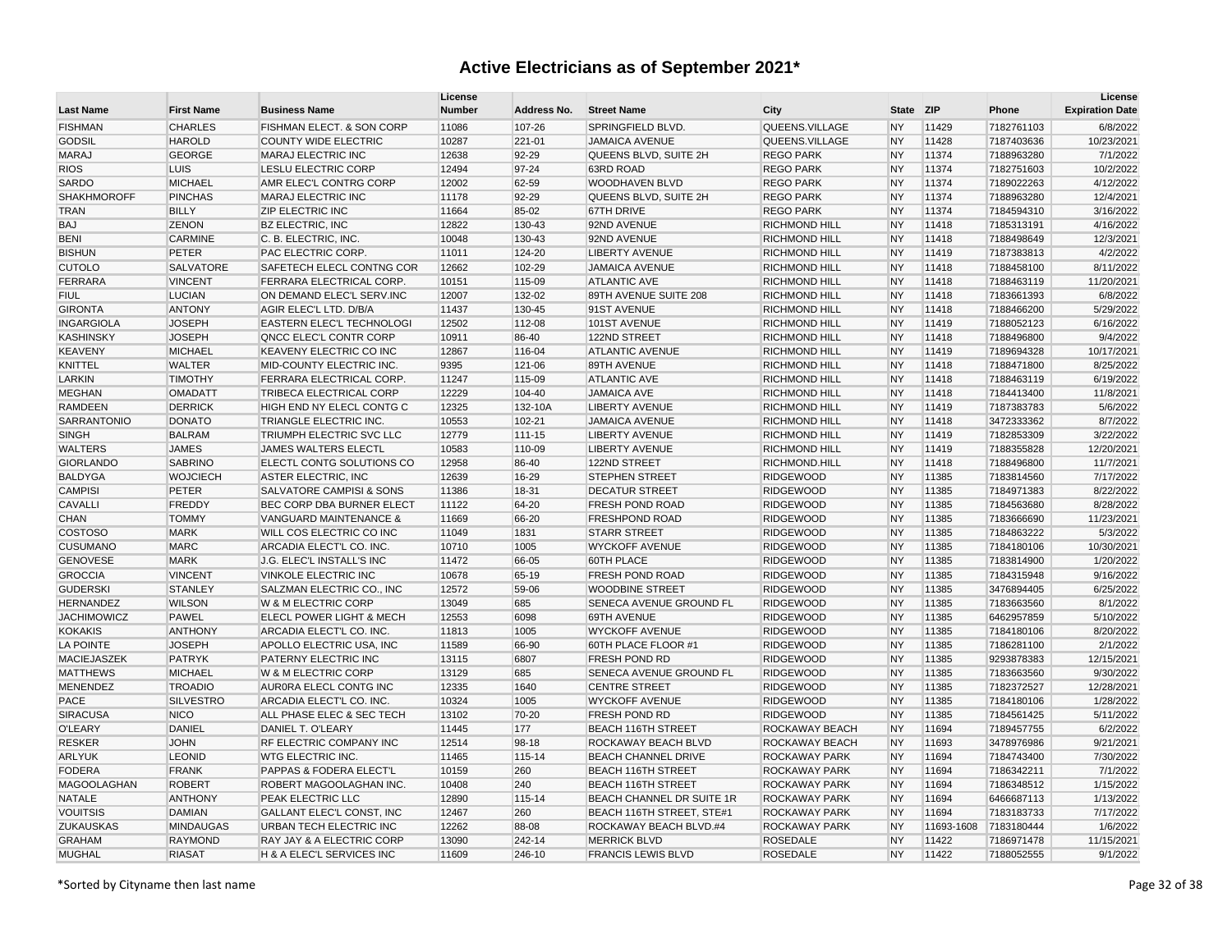| <b>Last Name</b>   | <b>First Name</b> | <b>Business Name</b>             | License<br><b>Number</b> | Address No. | <b>Street Name</b>        | City                 | <b>State</b> | <b>ZIP</b> | Phone      | License<br><b>Expiration Date</b> |
|--------------------|-------------------|----------------------------------|--------------------------|-------------|---------------------------|----------------------|--------------|------------|------------|-----------------------------------|
| <b>FISHMAN</b>     | <b>CHARLES</b>    | FISHMAN ELECT. & SON CORP        | 11086                    | 107-26      | SPRINGFIELD BLVD          | QUEENS.VILLAGE       | <b>NY</b>    | 11429      | 7182761103 | 6/8/2022                          |
| <b>GODSIL</b>      | <b>HAROLD</b>     | <b>COUNTY WIDE ELECTRIC</b>      | 10287                    | 221-01      | <b>JAMAICA AVENUE</b>     | QUEENS.VILLAGE       | <b>NY</b>    | 11428      | 7187403636 | 10/23/2021                        |
| <b>MARAJ</b>       | <b>GEORGE</b>     | MARAJ ELECTRIC INC               | 12638                    | 92-29       | QUEENS BLVD, SUITE 2H     | <b>REGO PARK</b>     | <b>NY</b>    | 11374      | 7188963280 | 7/1/2022                          |
| <b>RIOS</b>        | LUIS              | <b>LESLU ELECTRIC CORP</b>       | 12494                    | 97-24       | 63RD ROAD                 | <b>REGO PARK</b>     | <b>NY</b>    | 11374      | 7182751603 | 10/2/2022                         |
| <b>SARDO</b>       | <b>MICHAEL</b>    | AMR ELEC'L CONTRG CORP           | 12002                    | 62-59       | <b>WOODHAVEN BLVD</b>     | <b>REGO PARK</b>     | <b>NY</b>    | 11374      | 7189022263 | 4/12/2022                         |
| <b>SHAKHMOROFF</b> | <b>PINCHAS</b>    | MARAJ ELECTRIC INC               | 11178                    | 92-29       | QUEENS BLVD, SUITE 2H     | <b>REGO PARK</b>     | <b>NY</b>    | 11374      | 7188963280 | 12/4/2021                         |
| <b>TRAN</b>        | <b>BILLY</b>      | <b>ZIP ELECTRIC INC</b>          | 11664                    | 85-02       | <b>67TH DRIVE</b>         | <b>REGO PARK</b>     | <b>NY</b>    | 11374      | 7184594310 | 3/16/2022                         |
| <b>BAJ</b>         | ZENON             | <b>BZ ELECTRIC, INC</b>          | 12822                    | 130-43      | 92ND AVENUE               | <b>RICHMOND HILL</b> | <b>NY</b>    | 11418      | 7185313191 | 4/16/2022                         |
| <b>BENI</b>        | <b>CARMINE</b>    | C. B. ELECTRIC, INC.             | 10048                    | 130-43      | 92ND AVENUE               | <b>RICHMOND HILL</b> | <b>NY</b>    | 11418      | 7188498649 | 12/3/2021                         |
| <b>BISHUN</b>      | <b>PETER</b>      | PAC ELECTRIC CORP.               | 11011                    | 124-20      | <b>LIBERTY AVENUE</b>     | <b>RICHMOND HILL</b> | <b>NY</b>    | 11419      | 7187383813 | 4/2/2022                          |
| <b>CUTOLO</b>      | <b>SALVATORE</b>  | SAFETECH ELECL CONTNG COR        | 12662                    | 102-29      | <b>JAMAICA AVENUE</b>     | <b>RICHMOND HILL</b> | <b>NY</b>    | 11418      | 7188458100 | 8/11/2022                         |
| <b>FERRARA</b>     | <b>VINCENT</b>    | <b>FERRARA ELECTRICAL CORP.</b>  | 10151                    | 115-09      | <b>ATLANTIC AVE</b>       | <b>RICHMOND HILL</b> | <b>NY</b>    | 11418      | 7188463119 | 11/20/2021                        |
| <b>FIUL</b>        | <b>LUCIAN</b>     | ON DEMAND ELEC'L SERV.INC        | 12007                    | 132-02      | 89TH AVENUE SUITE 208     | <b>RICHMOND HILL</b> | <b>NY</b>    | 11418      | 7183661393 | 6/8/2022                          |
| <b>GIRONTA</b>     | <b>ANTONY</b>     | AGIR ELEC'L LTD. D/B/A           | 11437                    | 130-45      | 91ST AVENUE               | <b>RICHMOND HILL</b> | <b>NY</b>    | 11418      | 7188466200 | 5/29/2022                         |
| <b>INGARGIOLA</b>  | <b>JOSEPH</b>     | EASTERN ELEC'L TECHNOLOGI        | 12502                    | 112-08      | 101ST AVENUE              | <b>RICHMOND HILL</b> | <b>NY</b>    | 11419      | 7188052123 | 6/16/2022                         |
| <b>KASHINSKY</b>   | <b>JOSEPH</b>     | QNCC ELEC'L CONTR CORP           | 10911                    | 86-40       | 122ND STREET              | <b>RICHMOND HILL</b> | <b>NY</b>    | 11418      | 7188496800 | 9/4/2022                          |
| <b>KEAVENY</b>     | <b>MICHAEL</b>    | KEAVENY ELECTRIC CO INC          | 12867                    | 116-04      | <b>ATLANTIC AVENUE</b>    | <b>RICHMOND HILL</b> | <b>NY</b>    | 11419      | 7189694328 | 10/17/2021                        |
| <b>KNITTEL</b>     | <b>WALTER</b>     | MID-COUNTY ELECTRIC INC.         | 9395                     | 121-06      | 89TH AVENUE               | <b>RICHMOND HILL</b> | <b>NY</b>    | 11418      | 7188471800 | 8/25/2022                         |
| <b>LARKIN</b>      | <b>TIMOTHY</b>    | <b>FERRARA ELECTRICAL CORP.</b>  | 11247                    | 115-09      | <b>ATLANTIC AVE</b>       | <b>RICHMOND HILL</b> | <b>NY</b>    | 11418      | 7188463119 | 6/19/2022                         |
| <b>MEGHAN</b>      | <b>OMADATT</b>    | TRIBECA ELECTRICAL CORP          | 12229                    | 104-40      | <b>JAMAICA AVE</b>        | <b>RICHMOND HILL</b> | <b>NY</b>    | 11418      | 7184413400 | 11/8/2021                         |
| <b>RAMDEEN</b>     | <b>DERRICK</b>    | HIGH END NY ELECL CONTG C        | 12325                    | 132-10A     | <b>LIBERTY AVENUE</b>     | <b>RICHMOND HILL</b> | <b>NY</b>    | 11419      | 7187383783 | 5/6/2022                          |
| <b>SARRANTONIO</b> | <b>DONATO</b>     | TRIANGLE ELECTRIC INC.           | 10553                    | 102-21      | <b>JAMAICA AVENUE</b>     | <b>RICHMOND HILL</b> | <b>NY</b>    | 11418      | 3472333362 | 8/7/2022                          |
| <b>SINGH</b>       | <b>BALRAM</b>     | TRIUMPH ELECTRIC SVC LLC         | 12779                    | 111-15      | <b>LIBERTY AVENUE</b>     | <b>RICHMOND HILL</b> | <b>NY</b>    | 11419      | 7182853309 | 3/22/2022                         |
| <b>WALTERS</b>     | <b>JAMES</b>      | JAMES WALTERS ELECTL             | 10583                    | 110-09      | <b>LIBERTY AVENUE</b>     | <b>RICHMOND HILL</b> | <b>NY</b>    | 11419      | 7188355828 | 12/20/2021                        |
| <b>GIORLANDO</b>   | <b>SABRINO</b>    | ELECTL CONTG SOLUTIONS CO        | 12958                    | 86-40       | 122ND STREET              | RICHMOND.HILL        | <b>NY</b>    | 11418      | 7188496800 | 11/7/2021                         |
| <b>BALDYGA</b>     | <b>WOJCIECH</b>   | <b>ASTER ELECTRIC, INC</b>       | 12639                    | 16-29       | <b>STEPHEN STREET</b>     | <b>RIDGEWOOD</b>     | <b>NY</b>    | 11385      | 7183814560 | 7/17/2022                         |
| <b>CAMPISI</b>     | <b>PETER</b>      | SALVATORE CAMPISI & SONS         | 11386                    | 18-31       | <b>DECATUR STREET</b>     | <b>RIDGEWOOD</b>     | <b>NY</b>    | 11385      | 7184971383 | 8/22/2022                         |
| <b>CAVALLI</b>     | FREDDY            | BEC CORP DBA BURNER ELECT        | 11122                    | 64-20       | <b>FRESH POND ROAD</b>    | <b>RIDGEWOOD</b>     | <b>NY</b>    | 11385      | 7184563680 | 8/28/2022                         |
| <b>CHAN</b>        | <b>TOMMY</b>      | VANGUARD MAINTENANCE &           | 11669                    | 66-20       | FRESHPOND ROAD            | <b>RIDGEWOOD</b>     | <b>NY</b>    | 11385      | 7183666690 | 11/23/2021                        |
| <b>COSTOSO</b>     | <b>MARK</b>       | <b>WILL COS ELECTRIC CO INC</b>  | 11049                    | 1831        | <b>STARR STREET</b>       | <b>RIDGEWOOD</b>     | <b>NY</b>    | 11385      | 7184863222 | 5/3/2022                          |
| <b>CUSUMANO</b>    | <b>MARC</b>       | ARCADIA ELECT'L CO. INC.         | 10710                    | 1005        | <b>WYCKOFF AVENUE</b>     | <b>RIDGEWOOD</b>     | <b>NY</b>    | 11385      | 7184180106 | 10/30/2021                        |
| <b>GENOVESE</b>    | <b>MARK</b>       | <b>J.G. ELEC'L INSTALL'S INC</b> | 11472                    | 66-05       | 60TH PLACE                | <b>RIDGEWOOD</b>     | <b>NY</b>    | 11385      | 7183814900 | 1/20/2022                         |
| <b>GROCCIA</b>     | <b>VINCENT</b>    | VINKOLE ELECTRIC INC             | 10678                    | 65-19       | FRESH POND ROAD           | <b>RIDGEWOOD</b>     | <b>NY</b>    | 11385      | 7184315948 | 9/16/2022                         |
| <b>GUDERSKI</b>    | <b>STANLEY</b>    | SALZMAN ELECTRIC CO., INC        | 12572                    | 59-06       | <b>WOODBINE STREET</b>    | <b>RIDGEWOOD</b>     | <b>NY</b>    | 11385      | 3476894405 | 6/25/2022                         |
| <b>HERNANDEZ</b>   | <b>WILSON</b>     | W & M ELECTRIC CORP              | 13049                    | 685         | SENECA AVENUE GROUND FL   | <b>RIDGEWOOD</b>     | <b>NY</b>    | 11385      | 7183663560 | 8/1/2022                          |
| <b>JACHIMOWICZ</b> | <b>PAWEL</b>      | ELECL POWER LIGHT & MECH         | 12553                    | 6098        | 69TH AVENUE               | <b>RIDGEWOOD</b>     | <b>NY</b>    | 11385      | 6462957859 | 5/10/2022                         |
| <b>KOKAKIS</b>     | <b>ANTHONY</b>    | ARCADIA ELECT'L CO. INC.         | 11813                    | 1005        | <b>WYCKOFF AVENUE</b>     | <b>RIDGEWOOD</b>     | <b>NY</b>    | 11385      | 7184180106 | 8/20/2022                         |
| LA POINTE          | <b>JOSEPH</b>     | APOLLO ELECTRIC USA, INC         | 11589                    | 66-90       | 60TH PLACE FLOOR #1       | <b>RIDGEWOOD</b>     | <b>NY</b>    | 11385      | 7186281100 | 2/1/2022                          |
| MACIEJASZEK        | <b>PATRYK</b>     | PATERNY ELECTRIC INC             | 13115                    | 6807        | FRESH POND RD             | <b>RIDGEWOOD</b>     | <b>NY</b>    | 11385      | 9293878383 | 12/15/2021                        |
| <b>MATTHEWS</b>    | <b>MICHAEL</b>    | W & M ELECTRIC CORP              | 13129                    | 685         | SENECA AVENUE GROUND FL   | <b>RIDGEWOOD</b>     | <b>NY</b>    | 11385      | 7183663560 | 9/30/2022                         |
| <b>MENENDEZ</b>    | <b>TROADIO</b>    | <b>AURORA ELECL CONTG INC</b>    | 12335                    | 1640        | <b>CENTRE STREET</b>      | <b>RIDGEWOOD</b>     | <b>NY</b>    | 11385      | 7182372527 | 12/28/2021                        |
| PACE               | <b>SILVESTRO</b>  | ARCADIA ELECT'L CO. INC.         | 10324                    | 1005        | <b>WYCKOFF AVENUE</b>     | <b>RIDGEWOOD</b>     | <b>NY</b>    | 11385      | 7184180106 | 1/28/2022                         |
| <b>SIRACUSA</b>    | <b>NICO</b>       | ALL PHASE ELEC & SEC TECH        | 13102                    | 70-20       | FRESH POND RD             | <b>RIDGEWOOD</b>     | <b>NY</b>    | 11385      | 7184561425 | 5/11/2022                         |
| <b>O'LEARY</b>     | <b>DANIEL</b>     | DANIEL T. O'LEARY                | 11445                    | 177         | <b>BEACH 116TH STREET</b> | ROCKAWAY BEACH       | <b>NY</b>    | 11694      | 7189457755 | 6/2/2022                          |
| <b>RESKER</b>      | <b>JOHN</b>       | RF ELECTRIC COMPANY INC          | 12514                    | 98-18       | ROCKAWAY BEACH BLVD       | ROCKAWAY BEACH       | <b>NY</b>    | 11693      | 3478976986 | 9/21/2021                         |
| <b>ARLYUK</b>      | <b>LEONID</b>     | <b>WTG ELECTRIC INC.</b>         | 11465                    | 115-14      | BEACH CHANNEL DRIVE       | ROCKAWAY PARK        | <b>NY</b>    | 11694      | 7184743400 | 7/30/2022                         |
| <b>FODERA</b>      | <b>FRANK</b>      | PAPPAS & FODERA ELECT'L          | 10159                    | 260         | <b>BEACH 116TH STREET</b> | ROCKAWAY PARK        | <b>NY</b>    | 11694      | 7186342211 | 7/1/2022                          |
| <b>MAGOOLAGHAN</b> | <b>ROBERT</b>     | ROBERT MAGOOLAGHAN INC.          | 10408                    | 240         | <b>BEACH 116TH STREET</b> | ROCKAWAY PARK        | <b>NY</b>    | 11694      | 7186348512 | 1/15/2022                         |
| <b>NATALE</b>      | <b>ANTHONY</b>    | PEAK ELECTRIC LLC                | 12890                    | 115-14      | BEACH CHANNEL DR SUITE 1R | <b>ROCKAWAY PARK</b> | <b>NY</b>    | 11694      | 6466687113 | 1/13/2022                         |
| <b>VOUITSIS</b>    | <b>DAMIAN</b>     | <b>GALLANT ELEC'L CONST, INC</b> | 12467                    | 260         | BEACH 116TH STREET, STE#1 | ROCKAWAY PARK        | <b>NY</b>    | 11694      | 7183183733 | 7/17/2022                         |
| <b>ZUKAUSKAS</b>   | <b>MINDAUGAS</b>  | URBAN TECH ELECTRIC INC          | 12262                    | 88-08       | ROCKAWAY BEACH BLVD.#4    | ROCKAWAY PARK        | <b>NY</b>    | 11693-1608 | 7183180444 | 1/6/2022                          |
| <b>GRAHAM</b>      | <b>RAYMOND</b>    | RAY JAY & A ELECTRIC CORP        | 13090                    | 242-14      | <b>MERRICK BLVD</b>       | <b>ROSEDALE</b>      | <b>NY</b>    | 11422      | 7186971478 | 11/15/2021                        |
| <b>MUGHAL</b>      | <b>RIASAT</b>     | H & A ELEC'L SERVICES INC        | 11609                    | 246-10      | <b>FRANCIS LEWIS BLVD</b> | <b>ROSEDALE</b>      | <b>NY</b>    | 11422      | 7188052555 | 9/1/2022                          |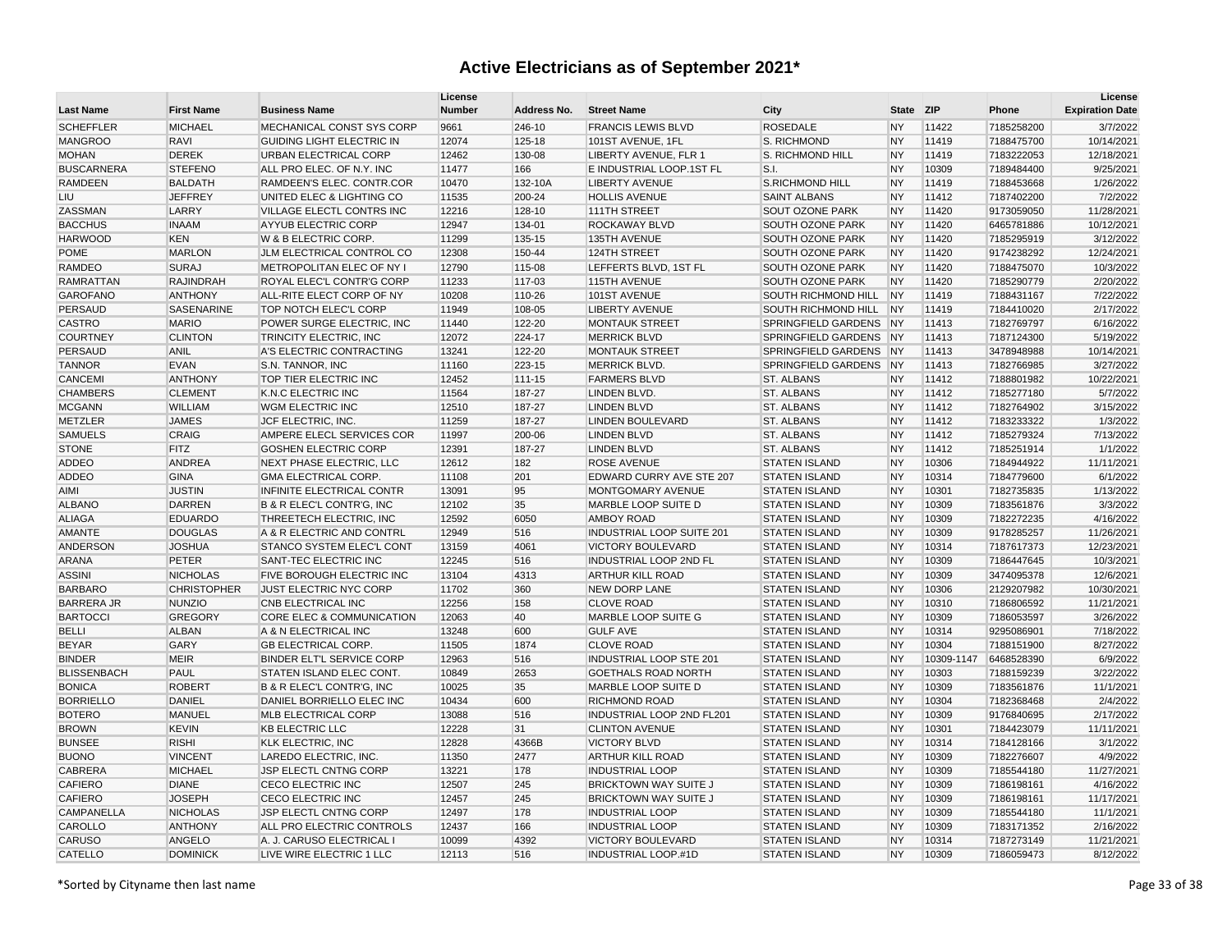| <b>MICHAEL</b><br>MECHANICAL CONST SYS CORP<br>9661<br>246-10<br><b>FRANCIS LEWIS BLVD</b><br><b>ROSEDALE</b><br>11422<br>3/7/2022<br><b>NY</b><br>7185258200<br><b>RAVI</b><br><b>GUIDING LIGHT ELECTRIC IN</b><br>12074<br>125-18<br>101ST AVENUE, 1FL<br>S. RICHMOND<br><b>NY</b><br>11419<br>7188475700<br>10/14/2021<br><b>DEREK</b><br><b>URBAN ELECTRICAL CORP</b><br>12462<br>130-08<br>LIBERTY AVENUE, FLR 1<br>S. RICHMOND HILL<br><b>NY</b><br>11419<br>7183222053<br>12/18/2021<br><b>STEFENO</b><br>11477<br>S.I.<br>10309<br>9/25/2021<br>ALL PRO ELEC. OF N.Y. INC<br>166<br>E INDUSTRIAL LOOP.1ST FL<br><b>NY</b><br>7189484400<br><b>BALDATH</b><br>10470<br>1/26/2022<br>RAMDEEN'S ELEC. CONTR.COR<br>132-10A<br><b>LIBERTY AVENUE</b><br><b>S.RICHMOND HILL</b><br><b>NY</b><br>11419<br>7188453668<br>7/2/2022<br><b>JEFFREY</b><br>UNITED ELEC & LIGHTING CO<br>11535<br>200-24<br><b>HOLLIS AVENUE</b><br><b>SAINT ALBANS</b><br><b>NY</b><br>11412<br>7187402200<br>LARRY<br><b>VILLAGE ELECTL CONTRS INC</b><br>12216<br>111TH STREET<br><b>SOUT OZONE PARK</b><br><b>NY</b><br>9173059050<br>11/28/2021<br>128-10<br>11420<br><b>INAAM</b><br><b>AYYUB ELECTRIC CORP</b><br>12947<br>10/12/2021<br>134-01<br>ROCKAWAY BLVD<br><b>SOUTH OZONE PARK</b><br><b>NY</b><br>11420<br>6465781886<br><b>KEN</b><br>W & B ELECTRIC CORP.<br>11299<br>135-15<br>11420<br>7185295919<br>3/12/2022<br>135TH AVENUE<br><b>SOUTH OZONE PARK</b><br><b>NY</b><br><b>MARLON</b><br>JLM ELECTRICAL CONTROL CO<br>12308<br>150-44<br>124TH STREET<br>SOUTH OZONE PARK<br><b>NY</b><br>11420<br>9174238292<br>12/24/2021<br><b>SURAJ</b><br>12790<br>10/3/2022<br>METROPOLITAN ELEC OF NY I<br>115-08<br>LEFFERTS BLVD, 1ST FL<br><b>SOUTH OZONE PARK</b><br><b>NY</b><br>11420<br>7188475070<br>2/20/2022<br><b>RAJINDRAH</b><br>ROYAL ELEC'L CONTR'G CORP<br>11233<br>117-03<br>115TH AVENUE<br><b>SOUTH OZONE PARK</b><br><b>NY</b><br>11420<br>7185290779<br><b>ANTHONY</b><br>ALL-RITE ELECT CORP OF NY<br>10208<br>110-26<br>101ST AVENUE<br>SOUTH RICHMOND HILL<br><b>NY</b><br>11419<br>7188431167<br>7/22/2022<br>2/17/2022<br>SASENARINE<br>TOP NOTCH ELEC'L CORP<br>11949<br><b>LIBERTY AVENUE</b><br>SOUTH RICHMOND HILL<br><b>NY</b><br>11419<br>7184410020<br>108-05<br><b>MARIO</b><br>6/16/2022<br>POWER SURGE ELECTRIC, INC<br>11440<br>122-20<br><b>MONTAUK STREET</b><br>SPRINGFIELD GARDENS NY<br>11413<br>7182769797<br><b>CLINTON</b><br>TRINCITY ELECTRIC, INC<br>12072<br>224-17<br>7187124300<br>5/19/2022<br><b>MERRICK BLVD</b><br>SPRINGFIELD GARDENS NY<br>11413<br><b>ANIL</b><br>A'S ELECTRIC CONTRACTING<br>13241<br>122-20<br><b>MONTAUK STREET</b><br>SPRINGFIELD GARDENS NY<br>11413<br>3478948988<br>10/14/2021<br><b>TANNOR</b><br>3/27/2022<br><b>EVAN</b><br>S.N. TANNOR, INC<br>11160<br>223-15<br><b>MERRICK BLVD.</b><br>SPRINGFIELD GARDENS NY<br>11413<br>7182766985<br>10/22/2021<br><b>ANTHONY</b><br>TOP TIER ELECTRIC INC<br>12452<br>111-15<br><b>FARMERS BLVD</b><br><b>ST. ALBANS</b><br><b>NY</b><br>11412<br>7188801982<br><b>CLEMENT</b><br>K.N.C ELECTRIC INC<br>11564<br>187-27<br><b>LINDEN BLVD</b><br><b>ST. ALBANS</b><br><b>NY</b><br>11412<br>7185277180<br>5/7/2022<br><b>WILLIAM</b><br>12510<br><b>NY</b><br>3/15/2022<br><b>WGM ELECTRIC INC</b><br>187-27<br><b>LINDEN BLVD</b><br><b>ST. ALBANS</b><br>11412<br>7182764902<br><b>JAMES</b><br>11259<br>1/3/2022<br><b>METZLER</b><br>JCF ELECTRIC, INC.<br>187-27<br><b>LINDEN BOULEVARD</b><br><b>ST. ALBANS</b><br><b>NY</b><br>11412<br>7183233322<br><b>SAMUELS</b><br><b>CRAIG</b><br>11997<br>7/13/2022<br>AMPERE ELECL SERVICES COR<br>200-06<br><b>LINDEN BLVD</b><br><b>ST. ALBANS</b><br><b>NY</b><br>11412<br>7185279324<br><b>STONE</b><br><b>FITZ</b><br><b>GOSHEN ELECTRIC CORP</b><br>12391<br>187-27<br><b>LINDEN BLVD</b><br><b>ST. ALBANS</b><br><b>NY</b><br>11412<br>7185251914<br>1/1/2022<br>ADDEO<br><b>ANDREA</b><br>NEXT PHASE ELECTRIC, LLC<br>12612<br>182<br><b>ROSE AVENUE</b><br><b>STATEN ISLAND</b><br><b>NY</b><br>10306<br>7184944922<br>11/11/2021<br>ADDEO<br><b>GINA</b><br><b>GMA ELECTRICAL CORP.</b><br>11108<br>201<br>EDWARD CURRY AVE STE 207<br><b>STATEN ISLAND</b><br><b>NY</b><br>10314<br>7184779600<br>6/1/2022<br><b>JUSTIN</b><br>INFINITE ELECTRICAL CONTR<br>13091<br>95<br><b>NY</b><br>10301<br>7182735835<br>1/13/2022<br>AIMI<br>MONTGOMARY AVENUE<br><b>STATEN ISLAND</b><br><b>DARREN</b><br>12102<br>35<br><b>NY</b><br>3/3/2022<br><b>ALBANO</b><br><b>B &amp; R ELEC'L CONTR'G, INC</b><br>MARBLE LOOP SUITE D<br><b>STATEN ISLAND</b><br>10309<br>7183561876<br><b>EDUARDO</b><br><b>ALIAGA</b><br>THREETECH ELECTRIC, INC<br>12592<br>6050<br><b>AMBOY ROAD</b><br><b>STATEN ISLAND</b><br><b>NY</b><br>10309<br>7182272235<br>4/16/2022<br><b>DOUGLAS</b><br>12949<br><b>AMANTE</b><br>A & R ELECTRIC AND CONTRL<br>516<br><b>INDUSTRIAL LOOP SUITE 201</b><br><b>STATEN ISLAND</b><br><b>NY</b><br>10309<br>9178285257<br>11/26/2021<br><b>ANDERSON</b><br><b>JOSHUA</b><br>STANCO SYSTEM ELEC'L CONT<br>13159<br>4061<br>VICTORY BOULEVARD<br><b>STATEN ISLAND</b><br><b>NY</b><br>12/23/2021<br>10314<br>7187617373<br><b>ARANA</b><br><b>PETER</b><br>SANT-TEC ELECTRIC INC<br>12245<br>INDUSTRIAL LOOP 2ND FL<br><b>STATEN ISLAND</b><br><b>NY</b><br>10309<br>10/3/2021<br>516<br>7186447645<br><b>ASSINI</b><br><b>NICHOLAS</b><br><b>FIVE BOROUGH ELECTRIC INC</b><br>13104<br>4313<br><b>ARTHUR KILL ROAD</b><br><b>STATEN ISLAND</b><br><b>NY</b><br>10309<br>3474095378<br>12/6/2021<br><b>CHRISTOPHER</b><br>JUST ELECTRIC NYC CORP<br>11702<br>360<br><b>NY</b><br>10306<br>2129207982<br>10/30/2021<br><b>BARBARO</b><br>NEW DORP LANE<br><b>STATEN ISLAND</b><br><b>BARRERA JR</b><br><b>NUNZIO</b><br><b>CLOVE ROAD</b><br><b>NY</b><br>11/21/2021<br>CNB ELECTRICAL INC<br>12256<br>158<br><b>STATEN ISLAND</b><br>10310<br>7186806592<br><b>GREGORY</b><br><b>BARTOCCI</b><br><b>CORE ELEC &amp; COMMUNICATION</b><br>12063<br>40<br>MARBLE LOOP SUITE G<br><b>STATEN ISLAND</b><br><b>NY</b><br>10309<br>7186053597<br>3/26/2022<br>7/18/2022<br><b>BELLI</b><br><b>ALBAN</b><br>A & N ELECTRICAL INC<br>13248<br><b>GULF AVE</b><br><b>STATEN ISLAND</b><br><b>NY</b><br>9295086901<br>600<br>10314<br>GARY<br><b>GB ELECTRICAL CORP.</b><br>11505<br><b>CLOVE ROAD</b><br><b>STATEN ISLAND</b><br><b>NY</b><br>10304<br>8/27/2022<br><b>BEYAR</b><br>1874<br>7188151900<br><b>BINDER</b><br><b>MEIR</b><br>12963<br>516<br><b>INDUSTRIAL LOOP STE 201</b><br><b>NY</b><br>6/9/2022<br><b>BINDER ELT'L SERVICE CORP</b><br><b>STATEN ISLAND</b><br>10309-1147<br>6468528390<br><b>BLISSENBACH</b><br>PAUL<br>STATEN ISLAND ELEC CONT.<br>10849<br>2653<br><b>GOETHALS ROAD NORTH</b><br><b>STATEN ISLAND</b><br>10303<br>7188159239<br>3/22/2022<br><b>NY</b><br><b>ROBERT</b><br>10025<br>11/1/2021<br><b>BONICA</b><br>B & R ELEC'L CONTR'G, INC<br>35<br>MARBLE LOOP SUITE D<br><b>STATEN ISLAND</b><br><b>NY</b><br>10309<br>7183561876<br><b>BORRIELLO</b><br><b>DANIEL</b><br>2/4/2022<br>DANIEL BORRIELLO ELEC INC<br>10434<br>600<br><b>RICHMOND ROAD</b><br><b>STATEN ISLAND</b><br><b>NY</b><br>10304<br>7182368468<br><b>BOTERO</b><br><b>MANUEL</b><br>MLB ELECTRICAL CORP<br>13088<br>INDUSTRIAL LOOP 2ND FL201<br><b>STATEN ISLAND</b><br>10309<br>9176840695<br>2/17/2022<br>516<br><b>NY</b><br><b>BROWN</b><br><b>KEVIN</b><br><b>KB ELECTRIC LLC</b><br>12228<br><b>CLINTON AVENUE</b><br><b>NY</b><br>7184423079<br>11/11/2021<br>31<br><b>STATEN ISLAND</b><br>10301<br><b>BUNSEE</b><br>12828<br>3/1/2022<br><b>RISHI</b><br><b>KLK ELECTRIC, INC</b><br>4366B<br><b>VICTORY BLVD</b><br><b>STATEN ISLAND</b><br><b>NY</b><br>10314<br>7184128166<br><b>VINCENT</b><br>4/9/2022<br><b>BUONO</b><br>LAREDO ELECTRIC, INC.<br>11350<br>2477<br>ARTHUR KILL ROAD<br><b>STATEN ISLAND</b><br><b>NY</b><br>10309<br>7182276607<br><b>CABRERA</b><br><b>MICHAEL</b><br><b>JSP ELECTL CNTNG CORP</b><br>13221<br><b>INDUSTRIAL LOOP</b><br><b>STATEN ISLAND</b><br>11/27/2021<br>178<br><b>NY</b><br>10309<br>7185544180<br>12507<br>4/16/2022<br><b>CAFIERO</b><br><b>DIANE</b><br>CECO ELECTRIC INC<br>245<br>BRICKTOWN WAY SUITE J<br><b>STATEN ISLAND</b><br><b>NY</b><br>10309<br>7186198161<br><b>CAFIERO</b><br><b>JOSEPH</b><br>CECO ELECTRIC INC<br>12457<br>245<br><b>BRICKTOWN WAY SUITE J</b><br><b>STATEN ISLAND</b><br><b>NY</b><br>10309<br>7186198161<br>11/17/2021<br><b>CAMPANELLA</b><br><b>NICHOLAS</b><br><b>JSP ELECTL CNTNG CORP</b><br>12497<br>178<br>10309<br>11/1/2021<br><b>INDUSTRIAL LOOP</b><br><b>STATEN ISLAND</b><br><b>NY</b><br>7185544180<br>CAROLLO<br><b>ANTHONY</b><br>ALL PRO ELECTRIC CONTROLS<br>12437<br>2/16/2022<br>166<br><b>INDUSTRIAL LOOP</b><br><b>STATEN ISLAND</b><br><b>NY</b><br>10309<br>7183171352<br><b>CARUSO</b><br>ANGELO<br>A. J. CARUSO ELECTRICAL I<br>10099<br>4392<br>VICTORY BOULEVARD<br><b>STATEN ISLAND</b><br><b>NY</b><br>10314<br>7187273149<br>11/21/2021 | <b>Last Name</b>  | <b>First Name</b> | <b>Business Name</b>     | License<br><b>Number</b> | Address No. | <b>Street Name</b>         | City                 | <b>State</b> | <b>ZIP</b> | Phone      | License<br><b>Expiration Date</b> |
|------------------------------------------------------------------------------------------------------------------------------------------------------------------------------------------------------------------------------------------------------------------------------------------------------------------------------------------------------------------------------------------------------------------------------------------------------------------------------------------------------------------------------------------------------------------------------------------------------------------------------------------------------------------------------------------------------------------------------------------------------------------------------------------------------------------------------------------------------------------------------------------------------------------------------------------------------------------------------------------------------------------------------------------------------------------------------------------------------------------------------------------------------------------------------------------------------------------------------------------------------------------------------------------------------------------------------------------------------------------------------------------------------------------------------------------------------------------------------------------------------------------------------------------------------------------------------------------------------------------------------------------------------------------------------------------------------------------------------------------------------------------------------------------------------------------------------------------------------------------------------------------------------------------------------------------------------------------------------------------------------------------------------------------------------------------------------------------------------------------------------------------------------------------------------------------------------------------------------------------------------------------------------------------------------------------------------------------------------------------------------------------------------------------------------------------------------------------------------------------------------------------------------------------------------------------------------------------------------------------------------------------------------------------------------------------------------------------------------------------------------------------------------------------------------------------------------------------------------------------------------------------------------------------------------------------------------------------------------------------------------------------------------------------------------------------------------------------------------------------------------------------------------------------------------------------------------------------------------------------------------------------------------------------------------------------------------------------------------------------------------------------------------------------------------------------------------------------------------------------------------------------------------------------------------------------------------------------------------------------------------------------------------------------------------------------------------------------------------------------------------------------------------------------------------------------------------------------------------------------------------------------------------------------------------------------------------------------------------------------------------------------------------------------------------------------------------------------------------------------------------------------------------------------------------------------------------------------------------------------------------------------------------------------------------------------------------------------------------------------------------------------------------------------------------------------------------------------------------------------------------------------------------------------------------------------------------------------------------------------------------------------------------------------------------------------------------------------------------------------------------------------------------------------------------------------------------------------------------------------------------------------------------------------------------------------------------------------------------------------------------------------------------------------------------------------------------------------------------------------------------------------------------------------------------------------------------------------------------------------------------------------------------------------------------------------------------------------------------------------------------------------------------------------------------------------------------------------------------------------------------------------------------------------------------------------------------------------------------------------------------------------------------------------------------------------------------------------------------------------------------------------------------------------------------------------------------------------------------------------------------------------------------------------------------------------------------------------------------------------------------------------------------------------------------------------------------------------------------------------------------------------------------------------------------------------------------------------------------------------------------------------------------------------------------------------------------------------------------------------------------------------------------------------------------------------------------------------------------------------------------------------------------------------------------------------------------------------------------------------------------------------------------------------------------------------------------------------------------------------------------------------------------------------------------------------------------------------------------------------------------------------------------------------------------------------------------------------------------------------------------------------------------------------------------------------------------------------------------------------------------------------------------------------------------------------------------------------------------------------------------------------------------------------------------------------------------------------------------------------------------------------------------------------------------------------------------------------------------------------------------------------------------------------------------------------------------------------------------------------------------------------------------------------------------------------------------------------------------------------------------------------------------------------------------------------------------------------------------------------------------------------------------------------------------------------------------------------------------------------------------------------------------------------------------------------------------------------------------------------------------------------------------------------------------------------------------------------------------------------------------------------------------------------------------------------------------------------------------------------------------------------------------------------------------------------------------------------------------------------------------------------------------------------------------------------------------------------------------------------------------------------------------------------------------------------------------------------------------------------------------------------------------------------------------------------------------------------------------------------------------------------------------------------------------------------------------------------------------------------------------------------------------------------------------------------|-------------------|-------------------|--------------------------|--------------------------|-------------|----------------------------|----------------------|--------------|------------|------------|-----------------------------------|
|                                                                                                                                                                                                                                                                                                                                                                                                                                                                                                                                                                                                                                                                                                                                                                                                                                                                                                                                                                                                                                                                                                                                                                                                                                                                                                                                                                                                                                                                                                                                                                                                                                                                                                                                                                                                                                                                                                                                                                                                                                                                                                                                                                                                                                                                                                                                                                                                                                                                                                                                                                                                                                                                                                                                                                                                                                                                                                                                                                                                                                                                                                                                                                                                                                                                                                                                                                                                                                                                                                                                                                                                                                                                                                                                                                                                                                                                                                                                                                                                                                                                                                                                                                                                                                                                                                                                                                                                                                                                                                                                                                                                                                                                                                                                                                                                                                                                                                                                                                                                                                                                                                                                                                                                                                                                                                                                                                                                                                                                                                                                                                                                                                                                                                                                                                                                                                                                                                                                                                                                                                                                                                                                                                                                                                                                                                                                                                                                                                                                                                                                                                                                                                                                                                                                                                                                                                                                                                                                                                                                                                                                                                                                                                                                                                                                                                                                                                                                                                                                                                                                                                                                                                                                                                                                                                                                                                                                                                                                                                                                                                                                                                                                                                                                                                                                                                                                                                                                                                                                                                                                                                                                                                                                                                                                                                                                                                                                                                                                                                                                                                                                  | <b>SCHEFFLER</b>  |                   |                          |                          |             |                            |                      |              |            |            |                                   |
|                                                                                                                                                                                                                                                                                                                                                                                                                                                                                                                                                                                                                                                                                                                                                                                                                                                                                                                                                                                                                                                                                                                                                                                                                                                                                                                                                                                                                                                                                                                                                                                                                                                                                                                                                                                                                                                                                                                                                                                                                                                                                                                                                                                                                                                                                                                                                                                                                                                                                                                                                                                                                                                                                                                                                                                                                                                                                                                                                                                                                                                                                                                                                                                                                                                                                                                                                                                                                                                                                                                                                                                                                                                                                                                                                                                                                                                                                                                                                                                                                                                                                                                                                                                                                                                                                                                                                                                                                                                                                                                                                                                                                                                                                                                                                                                                                                                                                                                                                                                                                                                                                                                                                                                                                                                                                                                                                                                                                                                                                                                                                                                                                                                                                                                                                                                                                                                                                                                                                                                                                                                                                                                                                                                                                                                                                                                                                                                                                                                                                                                                                                                                                                                                                                                                                                                                                                                                                                                                                                                                                                                                                                                                                                                                                                                                                                                                                                                                                                                                                                                                                                                                                                                                                                                                                                                                                                                                                                                                                                                                                                                                                                                                                                                                                                                                                                                                                                                                                                                                                                                                                                                                                                                                                                                                                                                                                                                                                                                                                                                                                                                                  | <b>MANGROO</b>    |                   |                          |                          |             |                            |                      |              |            |            |                                   |
|                                                                                                                                                                                                                                                                                                                                                                                                                                                                                                                                                                                                                                                                                                                                                                                                                                                                                                                                                                                                                                                                                                                                                                                                                                                                                                                                                                                                                                                                                                                                                                                                                                                                                                                                                                                                                                                                                                                                                                                                                                                                                                                                                                                                                                                                                                                                                                                                                                                                                                                                                                                                                                                                                                                                                                                                                                                                                                                                                                                                                                                                                                                                                                                                                                                                                                                                                                                                                                                                                                                                                                                                                                                                                                                                                                                                                                                                                                                                                                                                                                                                                                                                                                                                                                                                                                                                                                                                                                                                                                                                                                                                                                                                                                                                                                                                                                                                                                                                                                                                                                                                                                                                                                                                                                                                                                                                                                                                                                                                                                                                                                                                                                                                                                                                                                                                                                                                                                                                                                                                                                                                                                                                                                                                                                                                                                                                                                                                                                                                                                                                                                                                                                                                                                                                                                                                                                                                                                                                                                                                                                                                                                                                                                                                                                                                                                                                                                                                                                                                                                                                                                                                                                                                                                                                                                                                                                                                                                                                                                                                                                                                                                                                                                                                                                                                                                                                                                                                                                                                                                                                                                                                                                                                                                                                                                                                                                                                                                                                                                                                                                                                  | <b>MOHAN</b>      |                   |                          |                          |             |                            |                      |              |            |            |                                   |
|                                                                                                                                                                                                                                                                                                                                                                                                                                                                                                                                                                                                                                                                                                                                                                                                                                                                                                                                                                                                                                                                                                                                                                                                                                                                                                                                                                                                                                                                                                                                                                                                                                                                                                                                                                                                                                                                                                                                                                                                                                                                                                                                                                                                                                                                                                                                                                                                                                                                                                                                                                                                                                                                                                                                                                                                                                                                                                                                                                                                                                                                                                                                                                                                                                                                                                                                                                                                                                                                                                                                                                                                                                                                                                                                                                                                                                                                                                                                                                                                                                                                                                                                                                                                                                                                                                                                                                                                                                                                                                                                                                                                                                                                                                                                                                                                                                                                                                                                                                                                                                                                                                                                                                                                                                                                                                                                                                                                                                                                                                                                                                                                                                                                                                                                                                                                                                                                                                                                                                                                                                                                                                                                                                                                                                                                                                                                                                                                                                                                                                                                                                                                                                                                                                                                                                                                                                                                                                                                                                                                                                                                                                                                                                                                                                                                                                                                                                                                                                                                                                                                                                                                                                                                                                                                                                                                                                                                                                                                                                                                                                                                                                                                                                                                                                                                                                                                                                                                                                                                                                                                                                                                                                                                                                                                                                                                                                                                                                                                                                                                                                                                  | <b>BUSCARNERA</b> |                   |                          |                          |             |                            |                      |              |            |            |                                   |
|                                                                                                                                                                                                                                                                                                                                                                                                                                                                                                                                                                                                                                                                                                                                                                                                                                                                                                                                                                                                                                                                                                                                                                                                                                                                                                                                                                                                                                                                                                                                                                                                                                                                                                                                                                                                                                                                                                                                                                                                                                                                                                                                                                                                                                                                                                                                                                                                                                                                                                                                                                                                                                                                                                                                                                                                                                                                                                                                                                                                                                                                                                                                                                                                                                                                                                                                                                                                                                                                                                                                                                                                                                                                                                                                                                                                                                                                                                                                                                                                                                                                                                                                                                                                                                                                                                                                                                                                                                                                                                                                                                                                                                                                                                                                                                                                                                                                                                                                                                                                                                                                                                                                                                                                                                                                                                                                                                                                                                                                                                                                                                                                                                                                                                                                                                                                                                                                                                                                                                                                                                                                                                                                                                                                                                                                                                                                                                                                                                                                                                                                                                                                                                                                                                                                                                                                                                                                                                                                                                                                                                                                                                                                                                                                                                                                                                                                                                                                                                                                                                                                                                                                                                                                                                                                                                                                                                                                                                                                                                                                                                                                                                                                                                                                                                                                                                                                                                                                                                                                                                                                                                                                                                                                                                                                                                                                                                                                                                                                                                                                                                                                  | <b>RAMDEEN</b>    |                   |                          |                          |             |                            |                      |              |            |            |                                   |
|                                                                                                                                                                                                                                                                                                                                                                                                                                                                                                                                                                                                                                                                                                                                                                                                                                                                                                                                                                                                                                                                                                                                                                                                                                                                                                                                                                                                                                                                                                                                                                                                                                                                                                                                                                                                                                                                                                                                                                                                                                                                                                                                                                                                                                                                                                                                                                                                                                                                                                                                                                                                                                                                                                                                                                                                                                                                                                                                                                                                                                                                                                                                                                                                                                                                                                                                                                                                                                                                                                                                                                                                                                                                                                                                                                                                                                                                                                                                                                                                                                                                                                                                                                                                                                                                                                                                                                                                                                                                                                                                                                                                                                                                                                                                                                                                                                                                                                                                                                                                                                                                                                                                                                                                                                                                                                                                                                                                                                                                                                                                                                                                                                                                                                                                                                                                                                                                                                                                                                                                                                                                                                                                                                                                                                                                                                                                                                                                                                                                                                                                                                                                                                                                                                                                                                                                                                                                                                                                                                                                                                                                                                                                                                                                                                                                                                                                                                                                                                                                                                                                                                                                                                                                                                                                                                                                                                                                                                                                                                                                                                                                                                                                                                                                                                                                                                                                                                                                                                                                                                                                                                                                                                                                                                                                                                                                                                                                                                                                                                                                                                                                  | LIU               |                   |                          |                          |             |                            |                      |              |            |            |                                   |
|                                                                                                                                                                                                                                                                                                                                                                                                                                                                                                                                                                                                                                                                                                                                                                                                                                                                                                                                                                                                                                                                                                                                                                                                                                                                                                                                                                                                                                                                                                                                                                                                                                                                                                                                                                                                                                                                                                                                                                                                                                                                                                                                                                                                                                                                                                                                                                                                                                                                                                                                                                                                                                                                                                                                                                                                                                                                                                                                                                                                                                                                                                                                                                                                                                                                                                                                                                                                                                                                                                                                                                                                                                                                                                                                                                                                                                                                                                                                                                                                                                                                                                                                                                                                                                                                                                                                                                                                                                                                                                                                                                                                                                                                                                                                                                                                                                                                                                                                                                                                                                                                                                                                                                                                                                                                                                                                                                                                                                                                                                                                                                                                                                                                                                                                                                                                                                                                                                                                                                                                                                                                                                                                                                                                                                                                                                                                                                                                                                                                                                                                                                                                                                                                                                                                                                                                                                                                                                                                                                                                                                                                                                                                                                                                                                                                                                                                                                                                                                                                                                                                                                                                                                                                                                                                                                                                                                                                                                                                                                                                                                                                                                                                                                                                                                                                                                                                                                                                                                                                                                                                                                                                                                                                                                                                                                                                                                                                                                                                                                                                                                                                  | ZASSMAN           |                   |                          |                          |             |                            |                      |              |            |            |                                   |
|                                                                                                                                                                                                                                                                                                                                                                                                                                                                                                                                                                                                                                                                                                                                                                                                                                                                                                                                                                                                                                                                                                                                                                                                                                                                                                                                                                                                                                                                                                                                                                                                                                                                                                                                                                                                                                                                                                                                                                                                                                                                                                                                                                                                                                                                                                                                                                                                                                                                                                                                                                                                                                                                                                                                                                                                                                                                                                                                                                                                                                                                                                                                                                                                                                                                                                                                                                                                                                                                                                                                                                                                                                                                                                                                                                                                                                                                                                                                                                                                                                                                                                                                                                                                                                                                                                                                                                                                                                                                                                                                                                                                                                                                                                                                                                                                                                                                                                                                                                                                                                                                                                                                                                                                                                                                                                                                                                                                                                                                                                                                                                                                                                                                                                                                                                                                                                                                                                                                                                                                                                                                                                                                                                                                                                                                                                                                                                                                                                                                                                                                                                                                                                                                                                                                                                                                                                                                                                                                                                                                                                                                                                                                                                                                                                                                                                                                                                                                                                                                                                                                                                                                                                                                                                                                                                                                                                                                                                                                                                                                                                                                                                                                                                                                                                                                                                                                                                                                                                                                                                                                                                                                                                                                                                                                                                                                                                                                                                                                                                                                                                                                  | <b>BACCHUS</b>    |                   |                          |                          |             |                            |                      |              |            |            |                                   |
|                                                                                                                                                                                                                                                                                                                                                                                                                                                                                                                                                                                                                                                                                                                                                                                                                                                                                                                                                                                                                                                                                                                                                                                                                                                                                                                                                                                                                                                                                                                                                                                                                                                                                                                                                                                                                                                                                                                                                                                                                                                                                                                                                                                                                                                                                                                                                                                                                                                                                                                                                                                                                                                                                                                                                                                                                                                                                                                                                                                                                                                                                                                                                                                                                                                                                                                                                                                                                                                                                                                                                                                                                                                                                                                                                                                                                                                                                                                                                                                                                                                                                                                                                                                                                                                                                                                                                                                                                                                                                                                                                                                                                                                                                                                                                                                                                                                                                                                                                                                                                                                                                                                                                                                                                                                                                                                                                                                                                                                                                                                                                                                                                                                                                                                                                                                                                                                                                                                                                                                                                                                                                                                                                                                                                                                                                                                                                                                                                                                                                                                                                                                                                                                                                                                                                                                                                                                                                                                                                                                                                                                                                                                                                                                                                                                                                                                                                                                                                                                                                                                                                                                                                                                                                                                                                                                                                                                                                                                                                                                                                                                                                                                                                                                                                                                                                                                                                                                                                                                                                                                                                                                                                                                                                                                                                                                                                                                                                                                                                                                                                                                                  | <b>HARWOOD</b>    |                   |                          |                          |             |                            |                      |              |            |            |                                   |
|                                                                                                                                                                                                                                                                                                                                                                                                                                                                                                                                                                                                                                                                                                                                                                                                                                                                                                                                                                                                                                                                                                                                                                                                                                                                                                                                                                                                                                                                                                                                                                                                                                                                                                                                                                                                                                                                                                                                                                                                                                                                                                                                                                                                                                                                                                                                                                                                                                                                                                                                                                                                                                                                                                                                                                                                                                                                                                                                                                                                                                                                                                                                                                                                                                                                                                                                                                                                                                                                                                                                                                                                                                                                                                                                                                                                                                                                                                                                                                                                                                                                                                                                                                                                                                                                                                                                                                                                                                                                                                                                                                                                                                                                                                                                                                                                                                                                                                                                                                                                                                                                                                                                                                                                                                                                                                                                                                                                                                                                                                                                                                                                                                                                                                                                                                                                                                                                                                                                                                                                                                                                                                                                                                                                                                                                                                                                                                                                                                                                                                                                                                                                                                                                                                                                                                                                                                                                                                                                                                                                                                                                                                                                                                                                                                                                                                                                                                                                                                                                                                                                                                                                                                                                                                                                                                                                                                                                                                                                                                                                                                                                                                                                                                                                                                                                                                                                                                                                                                                                                                                                                                                                                                                                                                                                                                                                                                                                                                                                                                                                                                                                  | POME              |                   |                          |                          |             |                            |                      |              |            |            |                                   |
|                                                                                                                                                                                                                                                                                                                                                                                                                                                                                                                                                                                                                                                                                                                                                                                                                                                                                                                                                                                                                                                                                                                                                                                                                                                                                                                                                                                                                                                                                                                                                                                                                                                                                                                                                                                                                                                                                                                                                                                                                                                                                                                                                                                                                                                                                                                                                                                                                                                                                                                                                                                                                                                                                                                                                                                                                                                                                                                                                                                                                                                                                                                                                                                                                                                                                                                                                                                                                                                                                                                                                                                                                                                                                                                                                                                                                                                                                                                                                                                                                                                                                                                                                                                                                                                                                                                                                                                                                                                                                                                                                                                                                                                                                                                                                                                                                                                                                                                                                                                                                                                                                                                                                                                                                                                                                                                                                                                                                                                                                                                                                                                                                                                                                                                                                                                                                                                                                                                                                                                                                                                                                                                                                                                                                                                                                                                                                                                                                                                                                                                                                                                                                                                                                                                                                                                                                                                                                                                                                                                                                                                                                                                                                                                                                                                                                                                                                                                                                                                                                                                                                                                                                                                                                                                                                                                                                                                                                                                                                                                                                                                                                                                                                                                                                                                                                                                                                                                                                                                                                                                                                                                                                                                                                                                                                                                                                                                                                                                                                                                                                                                                  | <b>RAMDEO</b>     |                   |                          |                          |             |                            |                      |              |            |            |                                   |
|                                                                                                                                                                                                                                                                                                                                                                                                                                                                                                                                                                                                                                                                                                                                                                                                                                                                                                                                                                                                                                                                                                                                                                                                                                                                                                                                                                                                                                                                                                                                                                                                                                                                                                                                                                                                                                                                                                                                                                                                                                                                                                                                                                                                                                                                                                                                                                                                                                                                                                                                                                                                                                                                                                                                                                                                                                                                                                                                                                                                                                                                                                                                                                                                                                                                                                                                                                                                                                                                                                                                                                                                                                                                                                                                                                                                                                                                                                                                                                                                                                                                                                                                                                                                                                                                                                                                                                                                                                                                                                                                                                                                                                                                                                                                                                                                                                                                                                                                                                                                                                                                                                                                                                                                                                                                                                                                                                                                                                                                                                                                                                                                                                                                                                                                                                                                                                                                                                                                                                                                                                                                                                                                                                                                                                                                                                                                                                                                                                                                                                                                                                                                                                                                                                                                                                                                                                                                                                                                                                                                                                                                                                                                                                                                                                                                                                                                                                                                                                                                                                                                                                                                                                                                                                                                                                                                                                                                                                                                                                                                                                                                                                                                                                                                                                                                                                                                                                                                                                                                                                                                                                                                                                                                                                                                                                                                                                                                                                                                                                                                                                                                  | <b>RAMRATTAN</b>  |                   |                          |                          |             |                            |                      |              |            |            |                                   |
|                                                                                                                                                                                                                                                                                                                                                                                                                                                                                                                                                                                                                                                                                                                                                                                                                                                                                                                                                                                                                                                                                                                                                                                                                                                                                                                                                                                                                                                                                                                                                                                                                                                                                                                                                                                                                                                                                                                                                                                                                                                                                                                                                                                                                                                                                                                                                                                                                                                                                                                                                                                                                                                                                                                                                                                                                                                                                                                                                                                                                                                                                                                                                                                                                                                                                                                                                                                                                                                                                                                                                                                                                                                                                                                                                                                                                                                                                                                                                                                                                                                                                                                                                                                                                                                                                                                                                                                                                                                                                                                                                                                                                                                                                                                                                                                                                                                                                                                                                                                                                                                                                                                                                                                                                                                                                                                                                                                                                                                                                                                                                                                                                                                                                                                                                                                                                                                                                                                                                                                                                                                                                                                                                                                                                                                                                                                                                                                                                                                                                                                                                                                                                                                                                                                                                                                                                                                                                                                                                                                                                                                                                                                                                                                                                                                                                                                                                                                                                                                                                                                                                                                                                                                                                                                                                                                                                                                                                                                                                                                                                                                                                                                                                                                                                                                                                                                                                                                                                                                                                                                                                                                                                                                                                                                                                                                                                                                                                                                                                                                                                                                                  | <b>GAROFANO</b>   |                   |                          |                          |             |                            |                      |              |            |            |                                   |
|                                                                                                                                                                                                                                                                                                                                                                                                                                                                                                                                                                                                                                                                                                                                                                                                                                                                                                                                                                                                                                                                                                                                                                                                                                                                                                                                                                                                                                                                                                                                                                                                                                                                                                                                                                                                                                                                                                                                                                                                                                                                                                                                                                                                                                                                                                                                                                                                                                                                                                                                                                                                                                                                                                                                                                                                                                                                                                                                                                                                                                                                                                                                                                                                                                                                                                                                                                                                                                                                                                                                                                                                                                                                                                                                                                                                                                                                                                                                                                                                                                                                                                                                                                                                                                                                                                                                                                                                                                                                                                                                                                                                                                                                                                                                                                                                                                                                                                                                                                                                                                                                                                                                                                                                                                                                                                                                                                                                                                                                                                                                                                                                                                                                                                                                                                                                                                                                                                                                                                                                                                                                                                                                                                                                                                                                                                                                                                                                                                                                                                                                                                                                                                                                                                                                                                                                                                                                                                                                                                                                                                                                                                                                                                                                                                                                                                                                                                                                                                                                                                                                                                                                                                                                                                                                                                                                                                                                                                                                                                                                                                                                                                                                                                                                                                                                                                                                                                                                                                                                                                                                                                                                                                                                                                                                                                                                                                                                                                                                                                                                                                                                  | PERSAUD           |                   |                          |                          |             |                            |                      |              |            |            |                                   |
|                                                                                                                                                                                                                                                                                                                                                                                                                                                                                                                                                                                                                                                                                                                                                                                                                                                                                                                                                                                                                                                                                                                                                                                                                                                                                                                                                                                                                                                                                                                                                                                                                                                                                                                                                                                                                                                                                                                                                                                                                                                                                                                                                                                                                                                                                                                                                                                                                                                                                                                                                                                                                                                                                                                                                                                                                                                                                                                                                                                                                                                                                                                                                                                                                                                                                                                                                                                                                                                                                                                                                                                                                                                                                                                                                                                                                                                                                                                                                                                                                                                                                                                                                                                                                                                                                                                                                                                                                                                                                                                                                                                                                                                                                                                                                                                                                                                                                                                                                                                                                                                                                                                                                                                                                                                                                                                                                                                                                                                                                                                                                                                                                                                                                                                                                                                                                                                                                                                                                                                                                                                                                                                                                                                                                                                                                                                                                                                                                                                                                                                                                                                                                                                                                                                                                                                                                                                                                                                                                                                                                                                                                                                                                                                                                                                                                                                                                                                                                                                                                                                                                                                                                                                                                                                                                                                                                                                                                                                                                                                                                                                                                                                                                                                                                                                                                                                                                                                                                                                                                                                                                                                                                                                                                                                                                                                                                                                                                                                                                                                                                                                                  | <b>CASTRO</b>     |                   |                          |                          |             |                            |                      |              |            |            |                                   |
|                                                                                                                                                                                                                                                                                                                                                                                                                                                                                                                                                                                                                                                                                                                                                                                                                                                                                                                                                                                                                                                                                                                                                                                                                                                                                                                                                                                                                                                                                                                                                                                                                                                                                                                                                                                                                                                                                                                                                                                                                                                                                                                                                                                                                                                                                                                                                                                                                                                                                                                                                                                                                                                                                                                                                                                                                                                                                                                                                                                                                                                                                                                                                                                                                                                                                                                                                                                                                                                                                                                                                                                                                                                                                                                                                                                                                                                                                                                                                                                                                                                                                                                                                                                                                                                                                                                                                                                                                                                                                                                                                                                                                                                                                                                                                                                                                                                                                                                                                                                                                                                                                                                                                                                                                                                                                                                                                                                                                                                                                                                                                                                                                                                                                                                                                                                                                                                                                                                                                                                                                                                                                                                                                                                                                                                                                                                                                                                                                                                                                                                                                                                                                                                                                                                                                                                                                                                                                                                                                                                                                                                                                                                                                                                                                                                                                                                                                                                                                                                                                                                                                                                                                                                                                                                                                                                                                                                                                                                                                                                                                                                                                                                                                                                                                                                                                                                                                                                                                                                                                                                                                                                                                                                                                                                                                                                                                                                                                                                                                                                                                                                                  | <b>COURTNEY</b>   |                   |                          |                          |             |                            |                      |              |            |            |                                   |
|                                                                                                                                                                                                                                                                                                                                                                                                                                                                                                                                                                                                                                                                                                                                                                                                                                                                                                                                                                                                                                                                                                                                                                                                                                                                                                                                                                                                                                                                                                                                                                                                                                                                                                                                                                                                                                                                                                                                                                                                                                                                                                                                                                                                                                                                                                                                                                                                                                                                                                                                                                                                                                                                                                                                                                                                                                                                                                                                                                                                                                                                                                                                                                                                                                                                                                                                                                                                                                                                                                                                                                                                                                                                                                                                                                                                                                                                                                                                                                                                                                                                                                                                                                                                                                                                                                                                                                                                                                                                                                                                                                                                                                                                                                                                                                                                                                                                                                                                                                                                                                                                                                                                                                                                                                                                                                                                                                                                                                                                                                                                                                                                                                                                                                                                                                                                                                                                                                                                                                                                                                                                                                                                                                                                                                                                                                                                                                                                                                                                                                                                                                                                                                                                                                                                                                                                                                                                                                                                                                                                                                                                                                                                                                                                                                                                                                                                                                                                                                                                                                                                                                                                                                                                                                                                                                                                                                                                                                                                                                                                                                                                                                                                                                                                                                                                                                                                                                                                                                                                                                                                                                                                                                                                                                                                                                                                                                                                                                                                                                                                                                                                  | PERSAUD           |                   |                          |                          |             |                            |                      |              |            |            |                                   |
|                                                                                                                                                                                                                                                                                                                                                                                                                                                                                                                                                                                                                                                                                                                                                                                                                                                                                                                                                                                                                                                                                                                                                                                                                                                                                                                                                                                                                                                                                                                                                                                                                                                                                                                                                                                                                                                                                                                                                                                                                                                                                                                                                                                                                                                                                                                                                                                                                                                                                                                                                                                                                                                                                                                                                                                                                                                                                                                                                                                                                                                                                                                                                                                                                                                                                                                                                                                                                                                                                                                                                                                                                                                                                                                                                                                                                                                                                                                                                                                                                                                                                                                                                                                                                                                                                                                                                                                                                                                                                                                                                                                                                                                                                                                                                                                                                                                                                                                                                                                                                                                                                                                                                                                                                                                                                                                                                                                                                                                                                                                                                                                                                                                                                                                                                                                                                                                                                                                                                                                                                                                                                                                                                                                                                                                                                                                                                                                                                                                                                                                                                                                                                                                                                                                                                                                                                                                                                                                                                                                                                                                                                                                                                                                                                                                                                                                                                                                                                                                                                                                                                                                                                                                                                                                                                                                                                                                                                                                                                                                                                                                                                                                                                                                                                                                                                                                                                                                                                                                                                                                                                                                                                                                                                                                                                                                                                                                                                                                                                                                                                                                                  |                   |                   |                          |                          |             |                            |                      |              |            |            |                                   |
|                                                                                                                                                                                                                                                                                                                                                                                                                                                                                                                                                                                                                                                                                                                                                                                                                                                                                                                                                                                                                                                                                                                                                                                                                                                                                                                                                                                                                                                                                                                                                                                                                                                                                                                                                                                                                                                                                                                                                                                                                                                                                                                                                                                                                                                                                                                                                                                                                                                                                                                                                                                                                                                                                                                                                                                                                                                                                                                                                                                                                                                                                                                                                                                                                                                                                                                                                                                                                                                                                                                                                                                                                                                                                                                                                                                                                                                                                                                                                                                                                                                                                                                                                                                                                                                                                                                                                                                                                                                                                                                                                                                                                                                                                                                                                                                                                                                                                                                                                                                                                                                                                                                                                                                                                                                                                                                                                                                                                                                                                                                                                                                                                                                                                                                                                                                                                                                                                                                                                                                                                                                                                                                                                                                                                                                                                                                                                                                                                                                                                                                                                                                                                                                                                                                                                                                                                                                                                                                                                                                                                                                                                                                                                                                                                                                                                                                                                                                                                                                                                                                                                                                                                                                                                                                                                                                                                                                                                                                                                                                                                                                                                                                                                                                                                                                                                                                                                                                                                                                                                                                                                                                                                                                                                                                                                                                                                                                                                                                                                                                                                                                                  | <b>CANCEMI</b>    |                   |                          |                          |             |                            |                      |              |            |            |                                   |
|                                                                                                                                                                                                                                                                                                                                                                                                                                                                                                                                                                                                                                                                                                                                                                                                                                                                                                                                                                                                                                                                                                                                                                                                                                                                                                                                                                                                                                                                                                                                                                                                                                                                                                                                                                                                                                                                                                                                                                                                                                                                                                                                                                                                                                                                                                                                                                                                                                                                                                                                                                                                                                                                                                                                                                                                                                                                                                                                                                                                                                                                                                                                                                                                                                                                                                                                                                                                                                                                                                                                                                                                                                                                                                                                                                                                                                                                                                                                                                                                                                                                                                                                                                                                                                                                                                                                                                                                                                                                                                                                                                                                                                                                                                                                                                                                                                                                                                                                                                                                                                                                                                                                                                                                                                                                                                                                                                                                                                                                                                                                                                                                                                                                                                                                                                                                                                                                                                                                                                                                                                                                                                                                                                                                                                                                                                                                                                                                                                                                                                                                                                                                                                                                                                                                                                                                                                                                                                                                                                                                                                                                                                                                                                                                                                                                                                                                                                                                                                                                                                                                                                                                                                                                                                                                                                                                                                                                                                                                                                                                                                                                                                                                                                                                                                                                                                                                                                                                                                                                                                                                                                                                                                                                                                                                                                                                                                                                                                                                                                                                                                                                  | <b>CHAMBERS</b>   |                   |                          |                          |             |                            |                      |              |            |            |                                   |
|                                                                                                                                                                                                                                                                                                                                                                                                                                                                                                                                                                                                                                                                                                                                                                                                                                                                                                                                                                                                                                                                                                                                                                                                                                                                                                                                                                                                                                                                                                                                                                                                                                                                                                                                                                                                                                                                                                                                                                                                                                                                                                                                                                                                                                                                                                                                                                                                                                                                                                                                                                                                                                                                                                                                                                                                                                                                                                                                                                                                                                                                                                                                                                                                                                                                                                                                                                                                                                                                                                                                                                                                                                                                                                                                                                                                                                                                                                                                                                                                                                                                                                                                                                                                                                                                                                                                                                                                                                                                                                                                                                                                                                                                                                                                                                                                                                                                                                                                                                                                                                                                                                                                                                                                                                                                                                                                                                                                                                                                                                                                                                                                                                                                                                                                                                                                                                                                                                                                                                                                                                                                                                                                                                                                                                                                                                                                                                                                                                                                                                                                                                                                                                                                                                                                                                                                                                                                                                                                                                                                                                                                                                                                                                                                                                                                                                                                                                                                                                                                                                                                                                                                                                                                                                                                                                                                                                                                                                                                                                                                                                                                                                                                                                                                                                                                                                                                                                                                                                                                                                                                                                                                                                                                                                                                                                                                                                                                                                                                                                                                                                                                  | <b>MCGANN</b>     |                   |                          |                          |             |                            |                      |              |            |            |                                   |
|                                                                                                                                                                                                                                                                                                                                                                                                                                                                                                                                                                                                                                                                                                                                                                                                                                                                                                                                                                                                                                                                                                                                                                                                                                                                                                                                                                                                                                                                                                                                                                                                                                                                                                                                                                                                                                                                                                                                                                                                                                                                                                                                                                                                                                                                                                                                                                                                                                                                                                                                                                                                                                                                                                                                                                                                                                                                                                                                                                                                                                                                                                                                                                                                                                                                                                                                                                                                                                                                                                                                                                                                                                                                                                                                                                                                                                                                                                                                                                                                                                                                                                                                                                                                                                                                                                                                                                                                                                                                                                                                                                                                                                                                                                                                                                                                                                                                                                                                                                                                                                                                                                                                                                                                                                                                                                                                                                                                                                                                                                                                                                                                                                                                                                                                                                                                                                                                                                                                                                                                                                                                                                                                                                                                                                                                                                                                                                                                                                                                                                                                                                                                                                                                                                                                                                                                                                                                                                                                                                                                                                                                                                                                                                                                                                                                                                                                                                                                                                                                                                                                                                                                                                                                                                                                                                                                                                                                                                                                                                                                                                                                                                                                                                                                                                                                                                                                                                                                                                                                                                                                                                                                                                                                                                                                                                                                                                                                                                                                                                                                                                                                  |                   |                   |                          |                          |             |                            |                      |              |            |            |                                   |
|                                                                                                                                                                                                                                                                                                                                                                                                                                                                                                                                                                                                                                                                                                                                                                                                                                                                                                                                                                                                                                                                                                                                                                                                                                                                                                                                                                                                                                                                                                                                                                                                                                                                                                                                                                                                                                                                                                                                                                                                                                                                                                                                                                                                                                                                                                                                                                                                                                                                                                                                                                                                                                                                                                                                                                                                                                                                                                                                                                                                                                                                                                                                                                                                                                                                                                                                                                                                                                                                                                                                                                                                                                                                                                                                                                                                                                                                                                                                                                                                                                                                                                                                                                                                                                                                                                                                                                                                                                                                                                                                                                                                                                                                                                                                                                                                                                                                                                                                                                                                                                                                                                                                                                                                                                                                                                                                                                                                                                                                                                                                                                                                                                                                                                                                                                                                                                                                                                                                                                                                                                                                                                                                                                                                                                                                                                                                                                                                                                                                                                                                                                                                                                                                                                                                                                                                                                                                                                                                                                                                                                                                                                                                                                                                                                                                                                                                                                                                                                                                                                                                                                                                                                                                                                                                                                                                                                                                                                                                                                                                                                                                                                                                                                                                                                                                                                                                                                                                                                                                                                                                                                                                                                                                                                                                                                                                                                                                                                                                                                                                                                                                  |                   |                   |                          |                          |             |                            |                      |              |            |            |                                   |
|                                                                                                                                                                                                                                                                                                                                                                                                                                                                                                                                                                                                                                                                                                                                                                                                                                                                                                                                                                                                                                                                                                                                                                                                                                                                                                                                                                                                                                                                                                                                                                                                                                                                                                                                                                                                                                                                                                                                                                                                                                                                                                                                                                                                                                                                                                                                                                                                                                                                                                                                                                                                                                                                                                                                                                                                                                                                                                                                                                                                                                                                                                                                                                                                                                                                                                                                                                                                                                                                                                                                                                                                                                                                                                                                                                                                                                                                                                                                                                                                                                                                                                                                                                                                                                                                                                                                                                                                                                                                                                                                                                                                                                                                                                                                                                                                                                                                                                                                                                                                                                                                                                                                                                                                                                                                                                                                                                                                                                                                                                                                                                                                                                                                                                                                                                                                                                                                                                                                                                                                                                                                                                                                                                                                                                                                                                                                                                                                                                                                                                                                                                                                                                                                                                                                                                                                                                                                                                                                                                                                                                                                                                                                                                                                                                                                                                                                                                                                                                                                                                                                                                                                                                                                                                                                                                                                                                                                                                                                                                                                                                                                                                                                                                                                                                                                                                                                                                                                                                                                                                                                                                                                                                                                                                                                                                                                                                                                                                                                                                                                                                                                  |                   |                   |                          |                          |             |                            |                      |              |            |            |                                   |
|                                                                                                                                                                                                                                                                                                                                                                                                                                                                                                                                                                                                                                                                                                                                                                                                                                                                                                                                                                                                                                                                                                                                                                                                                                                                                                                                                                                                                                                                                                                                                                                                                                                                                                                                                                                                                                                                                                                                                                                                                                                                                                                                                                                                                                                                                                                                                                                                                                                                                                                                                                                                                                                                                                                                                                                                                                                                                                                                                                                                                                                                                                                                                                                                                                                                                                                                                                                                                                                                                                                                                                                                                                                                                                                                                                                                                                                                                                                                                                                                                                                                                                                                                                                                                                                                                                                                                                                                                                                                                                                                                                                                                                                                                                                                                                                                                                                                                                                                                                                                                                                                                                                                                                                                                                                                                                                                                                                                                                                                                                                                                                                                                                                                                                                                                                                                                                                                                                                                                                                                                                                                                                                                                                                                                                                                                                                                                                                                                                                                                                                                                                                                                                                                                                                                                                                                                                                                                                                                                                                                                                                                                                                                                                                                                                                                                                                                                                                                                                                                                                                                                                                                                                                                                                                                                                                                                                                                                                                                                                                                                                                                                                                                                                                                                                                                                                                                                                                                                                                                                                                                                                                                                                                                                                                                                                                                                                                                                                                                                                                                                                                                  |                   |                   |                          |                          |             |                            |                      |              |            |            |                                   |
|                                                                                                                                                                                                                                                                                                                                                                                                                                                                                                                                                                                                                                                                                                                                                                                                                                                                                                                                                                                                                                                                                                                                                                                                                                                                                                                                                                                                                                                                                                                                                                                                                                                                                                                                                                                                                                                                                                                                                                                                                                                                                                                                                                                                                                                                                                                                                                                                                                                                                                                                                                                                                                                                                                                                                                                                                                                                                                                                                                                                                                                                                                                                                                                                                                                                                                                                                                                                                                                                                                                                                                                                                                                                                                                                                                                                                                                                                                                                                                                                                                                                                                                                                                                                                                                                                                                                                                                                                                                                                                                                                                                                                                                                                                                                                                                                                                                                                                                                                                                                                                                                                                                                                                                                                                                                                                                                                                                                                                                                                                                                                                                                                                                                                                                                                                                                                                                                                                                                                                                                                                                                                                                                                                                                                                                                                                                                                                                                                                                                                                                                                                                                                                                                                                                                                                                                                                                                                                                                                                                                                                                                                                                                                                                                                                                                                                                                                                                                                                                                                                                                                                                                                                                                                                                                                                                                                                                                                                                                                                                                                                                                                                                                                                                                                                                                                                                                                                                                                                                                                                                                                                                                                                                                                                                                                                                                                                                                                                                                                                                                                                                                  |                   |                   |                          |                          |             |                            |                      |              |            |            |                                   |
|                                                                                                                                                                                                                                                                                                                                                                                                                                                                                                                                                                                                                                                                                                                                                                                                                                                                                                                                                                                                                                                                                                                                                                                                                                                                                                                                                                                                                                                                                                                                                                                                                                                                                                                                                                                                                                                                                                                                                                                                                                                                                                                                                                                                                                                                                                                                                                                                                                                                                                                                                                                                                                                                                                                                                                                                                                                                                                                                                                                                                                                                                                                                                                                                                                                                                                                                                                                                                                                                                                                                                                                                                                                                                                                                                                                                                                                                                                                                                                                                                                                                                                                                                                                                                                                                                                                                                                                                                                                                                                                                                                                                                                                                                                                                                                                                                                                                                                                                                                                                                                                                                                                                                                                                                                                                                                                                                                                                                                                                                                                                                                                                                                                                                                                                                                                                                                                                                                                                                                                                                                                                                                                                                                                                                                                                                                                                                                                                                                                                                                                                                                                                                                                                                                                                                                                                                                                                                                                                                                                                                                                                                                                                                                                                                                                                                                                                                                                                                                                                                                                                                                                                                                                                                                                                                                                                                                                                                                                                                                                                                                                                                                                                                                                                                                                                                                                                                                                                                                                                                                                                                                                                                                                                                                                                                                                                                                                                                                                                                                                                                                                                  |                   |                   |                          |                          |             |                            |                      |              |            |            |                                   |
|                                                                                                                                                                                                                                                                                                                                                                                                                                                                                                                                                                                                                                                                                                                                                                                                                                                                                                                                                                                                                                                                                                                                                                                                                                                                                                                                                                                                                                                                                                                                                                                                                                                                                                                                                                                                                                                                                                                                                                                                                                                                                                                                                                                                                                                                                                                                                                                                                                                                                                                                                                                                                                                                                                                                                                                                                                                                                                                                                                                                                                                                                                                                                                                                                                                                                                                                                                                                                                                                                                                                                                                                                                                                                                                                                                                                                                                                                                                                                                                                                                                                                                                                                                                                                                                                                                                                                                                                                                                                                                                                                                                                                                                                                                                                                                                                                                                                                                                                                                                                                                                                                                                                                                                                                                                                                                                                                                                                                                                                                                                                                                                                                                                                                                                                                                                                                                                                                                                                                                                                                                                                                                                                                                                                                                                                                                                                                                                                                                                                                                                                                                                                                                                                                                                                                                                                                                                                                                                                                                                                                                                                                                                                                                                                                                                                                                                                                                                                                                                                                                                                                                                                                                                                                                                                                                                                                                                                                                                                                                                                                                                                                                                                                                                                                                                                                                                                                                                                                                                                                                                                                                                                                                                                                                                                                                                                                                                                                                                                                                                                                                                                  |                   |                   |                          |                          |             |                            |                      |              |            |            |                                   |
|                                                                                                                                                                                                                                                                                                                                                                                                                                                                                                                                                                                                                                                                                                                                                                                                                                                                                                                                                                                                                                                                                                                                                                                                                                                                                                                                                                                                                                                                                                                                                                                                                                                                                                                                                                                                                                                                                                                                                                                                                                                                                                                                                                                                                                                                                                                                                                                                                                                                                                                                                                                                                                                                                                                                                                                                                                                                                                                                                                                                                                                                                                                                                                                                                                                                                                                                                                                                                                                                                                                                                                                                                                                                                                                                                                                                                                                                                                                                                                                                                                                                                                                                                                                                                                                                                                                                                                                                                                                                                                                                                                                                                                                                                                                                                                                                                                                                                                                                                                                                                                                                                                                                                                                                                                                                                                                                                                                                                                                                                                                                                                                                                                                                                                                                                                                                                                                                                                                                                                                                                                                                                                                                                                                                                                                                                                                                                                                                                                                                                                                                                                                                                                                                                                                                                                                                                                                                                                                                                                                                                                                                                                                                                                                                                                                                                                                                                                                                                                                                                                                                                                                                                                                                                                                                                                                                                                                                                                                                                                                                                                                                                                                                                                                                                                                                                                                                                                                                                                                                                                                                                                                                                                                                                                                                                                                                                                                                                                                                                                                                                                                                  |                   |                   |                          |                          |             |                            |                      |              |            |            |                                   |
|                                                                                                                                                                                                                                                                                                                                                                                                                                                                                                                                                                                                                                                                                                                                                                                                                                                                                                                                                                                                                                                                                                                                                                                                                                                                                                                                                                                                                                                                                                                                                                                                                                                                                                                                                                                                                                                                                                                                                                                                                                                                                                                                                                                                                                                                                                                                                                                                                                                                                                                                                                                                                                                                                                                                                                                                                                                                                                                                                                                                                                                                                                                                                                                                                                                                                                                                                                                                                                                                                                                                                                                                                                                                                                                                                                                                                                                                                                                                                                                                                                                                                                                                                                                                                                                                                                                                                                                                                                                                                                                                                                                                                                                                                                                                                                                                                                                                                                                                                                                                                                                                                                                                                                                                                                                                                                                                                                                                                                                                                                                                                                                                                                                                                                                                                                                                                                                                                                                                                                                                                                                                                                                                                                                                                                                                                                                                                                                                                                                                                                                                                                                                                                                                                                                                                                                                                                                                                                                                                                                                                                                                                                                                                                                                                                                                                                                                                                                                                                                                                                                                                                                                                                                                                                                                                                                                                                                                                                                                                                                                                                                                                                                                                                                                                                                                                                                                                                                                                                                                                                                                                                                                                                                                                                                                                                                                                                                                                                                                                                                                                                                                  |                   |                   |                          |                          |             |                            |                      |              |            |            |                                   |
|                                                                                                                                                                                                                                                                                                                                                                                                                                                                                                                                                                                                                                                                                                                                                                                                                                                                                                                                                                                                                                                                                                                                                                                                                                                                                                                                                                                                                                                                                                                                                                                                                                                                                                                                                                                                                                                                                                                                                                                                                                                                                                                                                                                                                                                                                                                                                                                                                                                                                                                                                                                                                                                                                                                                                                                                                                                                                                                                                                                                                                                                                                                                                                                                                                                                                                                                                                                                                                                                                                                                                                                                                                                                                                                                                                                                                                                                                                                                                                                                                                                                                                                                                                                                                                                                                                                                                                                                                                                                                                                                                                                                                                                                                                                                                                                                                                                                                                                                                                                                                                                                                                                                                                                                                                                                                                                                                                                                                                                                                                                                                                                                                                                                                                                                                                                                                                                                                                                                                                                                                                                                                                                                                                                                                                                                                                                                                                                                                                                                                                                                                                                                                                                                                                                                                                                                                                                                                                                                                                                                                                                                                                                                                                                                                                                                                                                                                                                                                                                                                                                                                                                                                                                                                                                                                                                                                                                                                                                                                                                                                                                                                                                                                                                                                                                                                                                                                                                                                                                                                                                                                                                                                                                                                                                                                                                                                                                                                                                                                                                                                                                                  |                   |                   |                          |                          |             |                            |                      |              |            |            |                                   |
|                                                                                                                                                                                                                                                                                                                                                                                                                                                                                                                                                                                                                                                                                                                                                                                                                                                                                                                                                                                                                                                                                                                                                                                                                                                                                                                                                                                                                                                                                                                                                                                                                                                                                                                                                                                                                                                                                                                                                                                                                                                                                                                                                                                                                                                                                                                                                                                                                                                                                                                                                                                                                                                                                                                                                                                                                                                                                                                                                                                                                                                                                                                                                                                                                                                                                                                                                                                                                                                                                                                                                                                                                                                                                                                                                                                                                                                                                                                                                                                                                                                                                                                                                                                                                                                                                                                                                                                                                                                                                                                                                                                                                                                                                                                                                                                                                                                                                                                                                                                                                                                                                                                                                                                                                                                                                                                                                                                                                                                                                                                                                                                                                                                                                                                                                                                                                                                                                                                                                                                                                                                                                                                                                                                                                                                                                                                                                                                                                                                                                                                                                                                                                                                                                                                                                                                                                                                                                                                                                                                                                                                                                                                                                                                                                                                                                                                                                                                                                                                                                                                                                                                                                                                                                                                                                                                                                                                                                                                                                                                                                                                                                                                                                                                                                                                                                                                                                                                                                                                                                                                                                                                                                                                                                                                                                                                                                                                                                                                                                                                                                                                                  |                   |                   |                          |                          |             |                            |                      |              |            |            |                                   |
|                                                                                                                                                                                                                                                                                                                                                                                                                                                                                                                                                                                                                                                                                                                                                                                                                                                                                                                                                                                                                                                                                                                                                                                                                                                                                                                                                                                                                                                                                                                                                                                                                                                                                                                                                                                                                                                                                                                                                                                                                                                                                                                                                                                                                                                                                                                                                                                                                                                                                                                                                                                                                                                                                                                                                                                                                                                                                                                                                                                                                                                                                                                                                                                                                                                                                                                                                                                                                                                                                                                                                                                                                                                                                                                                                                                                                                                                                                                                                                                                                                                                                                                                                                                                                                                                                                                                                                                                                                                                                                                                                                                                                                                                                                                                                                                                                                                                                                                                                                                                                                                                                                                                                                                                                                                                                                                                                                                                                                                                                                                                                                                                                                                                                                                                                                                                                                                                                                                                                                                                                                                                                                                                                                                                                                                                                                                                                                                                                                                                                                                                                                                                                                                                                                                                                                                                                                                                                                                                                                                                                                                                                                                                                                                                                                                                                                                                                                                                                                                                                                                                                                                                                                                                                                                                                                                                                                                                                                                                                                                                                                                                                                                                                                                                                                                                                                                                                                                                                                                                                                                                                                                                                                                                                                                                                                                                                                                                                                                                                                                                                                                                  |                   |                   |                          |                          |             |                            |                      |              |            |            |                                   |
|                                                                                                                                                                                                                                                                                                                                                                                                                                                                                                                                                                                                                                                                                                                                                                                                                                                                                                                                                                                                                                                                                                                                                                                                                                                                                                                                                                                                                                                                                                                                                                                                                                                                                                                                                                                                                                                                                                                                                                                                                                                                                                                                                                                                                                                                                                                                                                                                                                                                                                                                                                                                                                                                                                                                                                                                                                                                                                                                                                                                                                                                                                                                                                                                                                                                                                                                                                                                                                                                                                                                                                                                                                                                                                                                                                                                                                                                                                                                                                                                                                                                                                                                                                                                                                                                                                                                                                                                                                                                                                                                                                                                                                                                                                                                                                                                                                                                                                                                                                                                                                                                                                                                                                                                                                                                                                                                                                                                                                                                                                                                                                                                                                                                                                                                                                                                                                                                                                                                                                                                                                                                                                                                                                                                                                                                                                                                                                                                                                                                                                                                                                                                                                                                                                                                                                                                                                                                                                                                                                                                                                                                                                                                                                                                                                                                                                                                                                                                                                                                                                                                                                                                                                                                                                                                                                                                                                                                                                                                                                                                                                                                                                                                                                                                                                                                                                                                                                                                                                                                                                                                                                                                                                                                                                                                                                                                                                                                                                                                                                                                                                                                  |                   |                   |                          |                          |             |                            |                      |              |            |            |                                   |
|                                                                                                                                                                                                                                                                                                                                                                                                                                                                                                                                                                                                                                                                                                                                                                                                                                                                                                                                                                                                                                                                                                                                                                                                                                                                                                                                                                                                                                                                                                                                                                                                                                                                                                                                                                                                                                                                                                                                                                                                                                                                                                                                                                                                                                                                                                                                                                                                                                                                                                                                                                                                                                                                                                                                                                                                                                                                                                                                                                                                                                                                                                                                                                                                                                                                                                                                                                                                                                                                                                                                                                                                                                                                                                                                                                                                                                                                                                                                                                                                                                                                                                                                                                                                                                                                                                                                                                                                                                                                                                                                                                                                                                                                                                                                                                                                                                                                                                                                                                                                                                                                                                                                                                                                                                                                                                                                                                                                                                                                                                                                                                                                                                                                                                                                                                                                                                                                                                                                                                                                                                                                                                                                                                                                                                                                                                                                                                                                                                                                                                                                                                                                                                                                                                                                                                                                                                                                                                                                                                                                                                                                                                                                                                                                                                                                                                                                                                                                                                                                                                                                                                                                                                                                                                                                                                                                                                                                                                                                                                                                                                                                                                                                                                                                                                                                                                                                                                                                                                                                                                                                                                                                                                                                                                                                                                                                                                                                                                                                                                                                                                                                  |                   |                   |                          |                          |             |                            |                      |              |            |            |                                   |
|                                                                                                                                                                                                                                                                                                                                                                                                                                                                                                                                                                                                                                                                                                                                                                                                                                                                                                                                                                                                                                                                                                                                                                                                                                                                                                                                                                                                                                                                                                                                                                                                                                                                                                                                                                                                                                                                                                                                                                                                                                                                                                                                                                                                                                                                                                                                                                                                                                                                                                                                                                                                                                                                                                                                                                                                                                                                                                                                                                                                                                                                                                                                                                                                                                                                                                                                                                                                                                                                                                                                                                                                                                                                                                                                                                                                                                                                                                                                                                                                                                                                                                                                                                                                                                                                                                                                                                                                                                                                                                                                                                                                                                                                                                                                                                                                                                                                                                                                                                                                                                                                                                                                                                                                                                                                                                                                                                                                                                                                                                                                                                                                                                                                                                                                                                                                                                                                                                                                                                                                                                                                                                                                                                                                                                                                                                                                                                                                                                                                                                                                                                                                                                                                                                                                                                                                                                                                                                                                                                                                                                                                                                                                                                                                                                                                                                                                                                                                                                                                                                                                                                                                                                                                                                                                                                                                                                                                                                                                                                                                                                                                                                                                                                                                                                                                                                                                                                                                                                                                                                                                                                                                                                                                                                                                                                                                                                                                                                                                                                                                                                                                  |                   |                   |                          |                          |             |                            |                      |              |            |            |                                   |
|                                                                                                                                                                                                                                                                                                                                                                                                                                                                                                                                                                                                                                                                                                                                                                                                                                                                                                                                                                                                                                                                                                                                                                                                                                                                                                                                                                                                                                                                                                                                                                                                                                                                                                                                                                                                                                                                                                                                                                                                                                                                                                                                                                                                                                                                                                                                                                                                                                                                                                                                                                                                                                                                                                                                                                                                                                                                                                                                                                                                                                                                                                                                                                                                                                                                                                                                                                                                                                                                                                                                                                                                                                                                                                                                                                                                                                                                                                                                                                                                                                                                                                                                                                                                                                                                                                                                                                                                                                                                                                                                                                                                                                                                                                                                                                                                                                                                                                                                                                                                                                                                                                                                                                                                                                                                                                                                                                                                                                                                                                                                                                                                                                                                                                                                                                                                                                                                                                                                                                                                                                                                                                                                                                                                                                                                                                                                                                                                                                                                                                                                                                                                                                                                                                                                                                                                                                                                                                                                                                                                                                                                                                                                                                                                                                                                                                                                                                                                                                                                                                                                                                                                                                                                                                                                                                                                                                                                                                                                                                                                                                                                                                                                                                                                                                                                                                                                                                                                                                                                                                                                                                                                                                                                                                                                                                                                                                                                                                                                                                                                                                                                  |                   |                   |                          |                          |             |                            |                      |              |            |            |                                   |
|                                                                                                                                                                                                                                                                                                                                                                                                                                                                                                                                                                                                                                                                                                                                                                                                                                                                                                                                                                                                                                                                                                                                                                                                                                                                                                                                                                                                                                                                                                                                                                                                                                                                                                                                                                                                                                                                                                                                                                                                                                                                                                                                                                                                                                                                                                                                                                                                                                                                                                                                                                                                                                                                                                                                                                                                                                                                                                                                                                                                                                                                                                                                                                                                                                                                                                                                                                                                                                                                                                                                                                                                                                                                                                                                                                                                                                                                                                                                                                                                                                                                                                                                                                                                                                                                                                                                                                                                                                                                                                                                                                                                                                                                                                                                                                                                                                                                                                                                                                                                                                                                                                                                                                                                                                                                                                                                                                                                                                                                                                                                                                                                                                                                                                                                                                                                                                                                                                                                                                                                                                                                                                                                                                                                                                                                                                                                                                                                                                                                                                                                                                                                                                                                                                                                                                                                                                                                                                                                                                                                                                                                                                                                                                                                                                                                                                                                                                                                                                                                                                                                                                                                                                                                                                                                                                                                                                                                                                                                                                                                                                                                                                                                                                                                                                                                                                                                                                                                                                                                                                                                                                                                                                                                                                                                                                                                                                                                                                                                                                                                                                                                  |                   |                   |                          |                          |             |                            |                      |              |            |            |                                   |
|                                                                                                                                                                                                                                                                                                                                                                                                                                                                                                                                                                                                                                                                                                                                                                                                                                                                                                                                                                                                                                                                                                                                                                                                                                                                                                                                                                                                                                                                                                                                                                                                                                                                                                                                                                                                                                                                                                                                                                                                                                                                                                                                                                                                                                                                                                                                                                                                                                                                                                                                                                                                                                                                                                                                                                                                                                                                                                                                                                                                                                                                                                                                                                                                                                                                                                                                                                                                                                                                                                                                                                                                                                                                                                                                                                                                                                                                                                                                                                                                                                                                                                                                                                                                                                                                                                                                                                                                                                                                                                                                                                                                                                                                                                                                                                                                                                                                                                                                                                                                                                                                                                                                                                                                                                                                                                                                                                                                                                                                                                                                                                                                                                                                                                                                                                                                                                                                                                                                                                                                                                                                                                                                                                                                                                                                                                                                                                                                                                                                                                                                                                                                                                                                                                                                                                                                                                                                                                                                                                                                                                                                                                                                                                                                                                                                                                                                                                                                                                                                                                                                                                                                                                                                                                                                                                                                                                                                                                                                                                                                                                                                                                                                                                                                                                                                                                                                                                                                                                                                                                                                                                                                                                                                                                                                                                                                                                                                                                                                                                                                                                                                  |                   |                   |                          |                          |             |                            |                      |              |            |            |                                   |
|                                                                                                                                                                                                                                                                                                                                                                                                                                                                                                                                                                                                                                                                                                                                                                                                                                                                                                                                                                                                                                                                                                                                                                                                                                                                                                                                                                                                                                                                                                                                                                                                                                                                                                                                                                                                                                                                                                                                                                                                                                                                                                                                                                                                                                                                                                                                                                                                                                                                                                                                                                                                                                                                                                                                                                                                                                                                                                                                                                                                                                                                                                                                                                                                                                                                                                                                                                                                                                                                                                                                                                                                                                                                                                                                                                                                                                                                                                                                                                                                                                                                                                                                                                                                                                                                                                                                                                                                                                                                                                                                                                                                                                                                                                                                                                                                                                                                                                                                                                                                                                                                                                                                                                                                                                                                                                                                                                                                                                                                                                                                                                                                                                                                                                                                                                                                                                                                                                                                                                                                                                                                                                                                                                                                                                                                                                                                                                                                                                                                                                                                                                                                                                                                                                                                                                                                                                                                                                                                                                                                                                                                                                                                                                                                                                                                                                                                                                                                                                                                                                                                                                                                                                                                                                                                                                                                                                                                                                                                                                                                                                                                                                                                                                                                                                                                                                                                                                                                                                                                                                                                                                                                                                                                                                                                                                                                                                                                                                                                                                                                                                                                  |                   |                   |                          |                          |             |                            |                      |              |            |            |                                   |
|                                                                                                                                                                                                                                                                                                                                                                                                                                                                                                                                                                                                                                                                                                                                                                                                                                                                                                                                                                                                                                                                                                                                                                                                                                                                                                                                                                                                                                                                                                                                                                                                                                                                                                                                                                                                                                                                                                                                                                                                                                                                                                                                                                                                                                                                                                                                                                                                                                                                                                                                                                                                                                                                                                                                                                                                                                                                                                                                                                                                                                                                                                                                                                                                                                                                                                                                                                                                                                                                                                                                                                                                                                                                                                                                                                                                                                                                                                                                                                                                                                                                                                                                                                                                                                                                                                                                                                                                                                                                                                                                                                                                                                                                                                                                                                                                                                                                                                                                                                                                                                                                                                                                                                                                                                                                                                                                                                                                                                                                                                                                                                                                                                                                                                                                                                                                                                                                                                                                                                                                                                                                                                                                                                                                                                                                                                                                                                                                                                                                                                                                                                                                                                                                                                                                                                                                                                                                                                                                                                                                                                                                                                                                                                                                                                                                                                                                                                                                                                                                                                                                                                                                                                                                                                                                                                                                                                                                                                                                                                                                                                                                                                                                                                                                                                                                                                                                                                                                                                                                                                                                                                                                                                                                                                                                                                                                                                                                                                                                                                                                                                                                  |                   |                   |                          |                          |             |                            |                      |              |            |            |                                   |
|                                                                                                                                                                                                                                                                                                                                                                                                                                                                                                                                                                                                                                                                                                                                                                                                                                                                                                                                                                                                                                                                                                                                                                                                                                                                                                                                                                                                                                                                                                                                                                                                                                                                                                                                                                                                                                                                                                                                                                                                                                                                                                                                                                                                                                                                                                                                                                                                                                                                                                                                                                                                                                                                                                                                                                                                                                                                                                                                                                                                                                                                                                                                                                                                                                                                                                                                                                                                                                                                                                                                                                                                                                                                                                                                                                                                                                                                                                                                                                                                                                                                                                                                                                                                                                                                                                                                                                                                                                                                                                                                                                                                                                                                                                                                                                                                                                                                                                                                                                                                                                                                                                                                                                                                                                                                                                                                                                                                                                                                                                                                                                                                                                                                                                                                                                                                                                                                                                                                                                                                                                                                                                                                                                                                                                                                                                                                                                                                                                                                                                                                                                                                                                                                                                                                                                                                                                                                                                                                                                                                                                                                                                                                                                                                                                                                                                                                                                                                                                                                                                                                                                                                                                                                                                                                                                                                                                                                                                                                                                                                                                                                                                                                                                                                                                                                                                                                                                                                                                                                                                                                                                                                                                                                                                                                                                                                                                                                                                                                                                                                                                                                  |                   |                   |                          |                          |             |                            |                      |              |            |            |                                   |
|                                                                                                                                                                                                                                                                                                                                                                                                                                                                                                                                                                                                                                                                                                                                                                                                                                                                                                                                                                                                                                                                                                                                                                                                                                                                                                                                                                                                                                                                                                                                                                                                                                                                                                                                                                                                                                                                                                                                                                                                                                                                                                                                                                                                                                                                                                                                                                                                                                                                                                                                                                                                                                                                                                                                                                                                                                                                                                                                                                                                                                                                                                                                                                                                                                                                                                                                                                                                                                                                                                                                                                                                                                                                                                                                                                                                                                                                                                                                                                                                                                                                                                                                                                                                                                                                                                                                                                                                                                                                                                                                                                                                                                                                                                                                                                                                                                                                                                                                                                                                                                                                                                                                                                                                                                                                                                                                                                                                                                                                                                                                                                                                                                                                                                                                                                                                                                                                                                                                                                                                                                                                                                                                                                                                                                                                                                                                                                                                                                                                                                                                                                                                                                                                                                                                                                                                                                                                                                                                                                                                                                                                                                                                                                                                                                                                                                                                                                                                                                                                                                                                                                                                                                                                                                                                                                                                                                                                                                                                                                                                                                                                                                                                                                                                                                                                                                                                                                                                                                                                                                                                                                                                                                                                                                                                                                                                                                                                                                                                                                                                                                                                  |                   |                   |                          |                          |             |                            |                      |              |            |            |                                   |
|                                                                                                                                                                                                                                                                                                                                                                                                                                                                                                                                                                                                                                                                                                                                                                                                                                                                                                                                                                                                                                                                                                                                                                                                                                                                                                                                                                                                                                                                                                                                                                                                                                                                                                                                                                                                                                                                                                                                                                                                                                                                                                                                                                                                                                                                                                                                                                                                                                                                                                                                                                                                                                                                                                                                                                                                                                                                                                                                                                                                                                                                                                                                                                                                                                                                                                                                                                                                                                                                                                                                                                                                                                                                                                                                                                                                                                                                                                                                                                                                                                                                                                                                                                                                                                                                                                                                                                                                                                                                                                                                                                                                                                                                                                                                                                                                                                                                                                                                                                                                                                                                                                                                                                                                                                                                                                                                                                                                                                                                                                                                                                                                                                                                                                                                                                                                                                                                                                                                                                                                                                                                                                                                                                                                                                                                                                                                                                                                                                                                                                                                                                                                                                                                                                                                                                                                                                                                                                                                                                                                                                                                                                                                                                                                                                                                                                                                                                                                                                                                                                                                                                                                                                                                                                                                                                                                                                                                                                                                                                                                                                                                                                                                                                                                                                                                                                                                                                                                                                                                                                                                                                                                                                                                                                                                                                                                                                                                                                                                                                                                                                                                  |                   |                   |                          |                          |             |                            |                      |              |            |            |                                   |
|                                                                                                                                                                                                                                                                                                                                                                                                                                                                                                                                                                                                                                                                                                                                                                                                                                                                                                                                                                                                                                                                                                                                                                                                                                                                                                                                                                                                                                                                                                                                                                                                                                                                                                                                                                                                                                                                                                                                                                                                                                                                                                                                                                                                                                                                                                                                                                                                                                                                                                                                                                                                                                                                                                                                                                                                                                                                                                                                                                                                                                                                                                                                                                                                                                                                                                                                                                                                                                                                                                                                                                                                                                                                                                                                                                                                                                                                                                                                                                                                                                                                                                                                                                                                                                                                                                                                                                                                                                                                                                                                                                                                                                                                                                                                                                                                                                                                                                                                                                                                                                                                                                                                                                                                                                                                                                                                                                                                                                                                                                                                                                                                                                                                                                                                                                                                                                                                                                                                                                                                                                                                                                                                                                                                                                                                                                                                                                                                                                                                                                                                                                                                                                                                                                                                                                                                                                                                                                                                                                                                                                                                                                                                                                                                                                                                                                                                                                                                                                                                                                                                                                                                                                                                                                                                                                                                                                                                                                                                                                                                                                                                                                                                                                                                                                                                                                                                                                                                                                                                                                                                                                                                                                                                                                                                                                                                                                                                                                                                                                                                                                                                  |                   |                   |                          |                          |             |                            |                      |              |            |            |                                   |
|                                                                                                                                                                                                                                                                                                                                                                                                                                                                                                                                                                                                                                                                                                                                                                                                                                                                                                                                                                                                                                                                                                                                                                                                                                                                                                                                                                                                                                                                                                                                                                                                                                                                                                                                                                                                                                                                                                                                                                                                                                                                                                                                                                                                                                                                                                                                                                                                                                                                                                                                                                                                                                                                                                                                                                                                                                                                                                                                                                                                                                                                                                                                                                                                                                                                                                                                                                                                                                                                                                                                                                                                                                                                                                                                                                                                                                                                                                                                                                                                                                                                                                                                                                                                                                                                                                                                                                                                                                                                                                                                                                                                                                                                                                                                                                                                                                                                                                                                                                                                                                                                                                                                                                                                                                                                                                                                                                                                                                                                                                                                                                                                                                                                                                                                                                                                                                                                                                                                                                                                                                                                                                                                                                                                                                                                                                                                                                                                                                                                                                                                                                                                                                                                                                                                                                                                                                                                                                                                                                                                                                                                                                                                                                                                                                                                                                                                                                                                                                                                                                                                                                                                                                                                                                                                                                                                                                                                                                                                                                                                                                                                                                                                                                                                                                                                                                                                                                                                                                                                                                                                                                                                                                                                                                                                                                                                                                                                                                                                                                                                                                                                  |                   |                   |                          |                          |             |                            |                      |              |            |            |                                   |
|                                                                                                                                                                                                                                                                                                                                                                                                                                                                                                                                                                                                                                                                                                                                                                                                                                                                                                                                                                                                                                                                                                                                                                                                                                                                                                                                                                                                                                                                                                                                                                                                                                                                                                                                                                                                                                                                                                                                                                                                                                                                                                                                                                                                                                                                                                                                                                                                                                                                                                                                                                                                                                                                                                                                                                                                                                                                                                                                                                                                                                                                                                                                                                                                                                                                                                                                                                                                                                                                                                                                                                                                                                                                                                                                                                                                                                                                                                                                                                                                                                                                                                                                                                                                                                                                                                                                                                                                                                                                                                                                                                                                                                                                                                                                                                                                                                                                                                                                                                                                                                                                                                                                                                                                                                                                                                                                                                                                                                                                                                                                                                                                                                                                                                                                                                                                                                                                                                                                                                                                                                                                                                                                                                                                                                                                                                                                                                                                                                                                                                                                                                                                                                                                                                                                                                                                                                                                                                                                                                                                                                                                                                                                                                                                                                                                                                                                                                                                                                                                                                                                                                                                                                                                                                                                                                                                                                                                                                                                                                                                                                                                                                                                                                                                                                                                                                                                                                                                                                                                                                                                                                                                                                                                                                                                                                                                                                                                                                                                                                                                                                                                  |                   |                   |                          |                          |             |                            |                      |              |            |            |                                   |
|                                                                                                                                                                                                                                                                                                                                                                                                                                                                                                                                                                                                                                                                                                                                                                                                                                                                                                                                                                                                                                                                                                                                                                                                                                                                                                                                                                                                                                                                                                                                                                                                                                                                                                                                                                                                                                                                                                                                                                                                                                                                                                                                                                                                                                                                                                                                                                                                                                                                                                                                                                                                                                                                                                                                                                                                                                                                                                                                                                                                                                                                                                                                                                                                                                                                                                                                                                                                                                                                                                                                                                                                                                                                                                                                                                                                                                                                                                                                                                                                                                                                                                                                                                                                                                                                                                                                                                                                                                                                                                                                                                                                                                                                                                                                                                                                                                                                                                                                                                                                                                                                                                                                                                                                                                                                                                                                                                                                                                                                                                                                                                                                                                                                                                                                                                                                                                                                                                                                                                                                                                                                                                                                                                                                                                                                                                                                                                                                                                                                                                                                                                                                                                                                                                                                                                                                                                                                                                                                                                                                                                                                                                                                                                                                                                                                                                                                                                                                                                                                                                                                                                                                                                                                                                                                                                                                                                                                                                                                                                                                                                                                                                                                                                                                                                                                                                                                                                                                                                                                                                                                                                                                                                                                                                                                                                                                                                                                                                                                                                                                                                                                  |                   |                   |                          |                          |             |                            |                      |              |            |            |                                   |
|                                                                                                                                                                                                                                                                                                                                                                                                                                                                                                                                                                                                                                                                                                                                                                                                                                                                                                                                                                                                                                                                                                                                                                                                                                                                                                                                                                                                                                                                                                                                                                                                                                                                                                                                                                                                                                                                                                                                                                                                                                                                                                                                                                                                                                                                                                                                                                                                                                                                                                                                                                                                                                                                                                                                                                                                                                                                                                                                                                                                                                                                                                                                                                                                                                                                                                                                                                                                                                                                                                                                                                                                                                                                                                                                                                                                                                                                                                                                                                                                                                                                                                                                                                                                                                                                                                                                                                                                                                                                                                                                                                                                                                                                                                                                                                                                                                                                                                                                                                                                                                                                                                                                                                                                                                                                                                                                                                                                                                                                                                                                                                                                                                                                                                                                                                                                                                                                                                                                                                                                                                                                                                                                                                                                                                                                                                                                                                                                                                                                                                                                                                                                                                                                                                                                                                                                                                                                                                                                                                                                                                                                                                                                                                                                                                                                                                                                                                                                                                                                                                                                                                                                                                                                                                                                                                                                                                                                                                                                                                                                                                                                                                                                                                                                                                                                                                                                                                                                                                                                                                                                                                                                                                                                                                                                                                                                                                                                                                                                                                                                                                                                  |                   |                   |                          |                          |             |                            |                      |              |            |            |                                   |
|                                                                                                                                                                                                                                                                                                                                                                                                                                                                                                                                                                                                                                                                                                                                                                                                                                                                                                                                                                                                                                                                                                                                                                                                                                                                                                                                                                                                                                                                                                                                                                                                                                                                                                                                                                                                                                                                                                                                                                                                                                                                                                                                                                                                                                                                                                                                                                                                                                                                                                                                                                                                                                                                                                                                                                                                                                                                                                                                                                                                                                                                                                                                                                                                                                                                                                                                                                                                                                                                                                                                                                                                                                                                                                                                                                                                                                                                                                                                                                                                                                                                                                                                                                                                                                                                                                                                                                                                                                                                                                                                                                                                                                                                                                                                                                                                                                                                                                                                                                                                                                                                                                                                                                                                                                                                                                                                                                                                                                                                                                                                                                                                                                                                                                                                                                                                                                                                                                                                                                                                                                                                                                                                                                                                                                                                                                                                                                                                                                                                                                                                                                                                                                                                                                                                                                                                                                                                                                                                                                                                                                                                                                                                                                                                                                                                                                                                                                                                                                                                                                                                                                                                                                                                                                                                                                                                                                                                                                                                                                                                                                                                                                                                                                                                                                                                                                                                                                                                                                                                                                                                                                                                                                                                                                                                                                                                                                                                                                                                                                                                                                                                  |                   |                   |                          |                          |             |                            |                      |              |            |            |                                   |
|                                                                                                                                                                                                                                                                                                                                                                                                                                                                                                                                                                                                                                                                                                                                                                                                                                                                                                                                                                                                                                                                                                                                                                                                                                                                                                                                                                                                                                                                                                                                                                                                                                                                                                                                                                                                                                                                                                                                                                                                                                                                                                                                                                                                                                                                                                                                                                                                                                                                                                                                                                                                                                                                                                                                                                                                                                                                                                                                                                                                                                                                                                                                                                                                                                                                                                                                                                                                                                                                                                                                                                                                                                                                                                                                                                                                                                                                                                                                                                                                                                                                                                                                                                                                                                                                                                                                                                                                                                                                                                                                                                                                                                                                                                                                                                                                                                                                                                                                                                                                                                                                                                                                                                                                                                                                                                                                                                                                                                                                                                                                                                                                                                                                                                                                                                                                                                                                                                                                                                                                                                                                                                                                                                                                                                                                                                                                                                                                                                                                                                                                                                                                                                                                                                                                                                                                                                                                                                                                                                                                                                                                                                                                                                                                                                                                                                                                                                                                                                                                                                                                                                                                                                                                                                                                                                                                                                                                                                                                                                                                                                                                                                                                                                                                                                                                                                                                                                                                                                                                                                                                                                                                                                                                                                                                                                                                                                                                                                                                                                                                                                                                  |                   |                   |                          |                          |             |                            |                      |              |            |            |                                   |
|                                                                                                                                                                                                                                                                                                                                                                                                                                                                                                                                                                                                                                                                                                                                                                                                                                                                                                                                                                                                                                                                                                                                                                                                                                                                                                                                                                                                                                                                                                                                                                                                                                                                                                                                                                                                                                                                                                                                                                                                                                                                                                                                                                                                                                                                                                                                                                                                                                                                                                                                                                                                                                                                                                                                                                                                                                                                                                                                                                                                                                                                                                                                                                                                                                                                                                                                                                                                                                                                                                                                                                                                                                                                                                                                                                                                                                                                                                                                                                                                                                                                                                                                                                                                                                                                                                                                                                                                                                                                                                                                                                                                                                                                                                                                                                                                                                                                                                                                                                                                                                                                                                                                                                                                                                                                                                                                                                                                                                                                                                                                                                                                                                                                                                                                                                                                                                                                                                                                                                                                                                                                                                                                                                                                                                                                                                                                                                                                                                                                                                                                                                                                                                                                                                                                                                                                                                                                                                                                                                                                                                                                                                                                                                                                                                                                                                                                                                                                                                                                                                                                                                                                                                                                                                                                                                                                                                                                                                                                                                                                                                                                                                                                                                                                                                                                                                                                                                                                                                                                                                                                                                                                                                                                                                                                                                                                                                                                                                                                                                                                                                                                  |                   |                   |                          |                          |             |                            |                      |              |            |            |                                   |
|                                                                                                                                                                                                                                                                                                                                                                                                                                                                                                                                                                                                                                                                                                                                                                                                                                                                                                                                                                                                                                                                                                                                                                                                                                                                                                                                                                                                                                                                                                                                                                                                                                                                                                                                                                                                                                                                                                                                                                                                                                                                                                                                                                                                                                                                                                                                                                                                                                                                                                                                                                                                                                                                                                                                                                                                                                                                                                                                                                                                                                                                                                                                                                                                                                                                                                                                                                                                                                                                                                                                                                                                                                                                                                                                                                                                                                                                                                                                                                                                                                                                                                                                                                                                                                                                                                                                                                                                                                                                                                                                                                                                                                                                                                                                                                                                                                                                                                                                                                                                                                                                                                                                                                                                                                                                                                                                                                                                                                                                                                                                                                                                                                                                                                                                                                                                                                                                                                                                                                                                                                                                                                                                                                                                                                                                                                                                                                                                                                                                                                                                                                                                                                                                                                                                                                                                                                                                                                                                                                                                                                                                                                                                                                                                                                                                                                                                                                                                                                                                                                                                                                                                                                                                                                                                                                                                                                                                                                                                                                                                                                                                                                                                                                                                                                                                                                                                                                                                                                                                                                                                                                                                                                                                                                                                                                                                                                                                                                                                                                                                                                                                  | <b>CATELLO</b>    | <b>DOMINICK</b>   | LIVE WIRE ELECTRIC 1 LLC | 12113                    | 516         | <b>INDUSTRIAL LOOP.#1D</b> | <b>STATEN ISLAND</b> | <b>NY</b>    | 10309      | 7186059473 | 8/12/2022                         |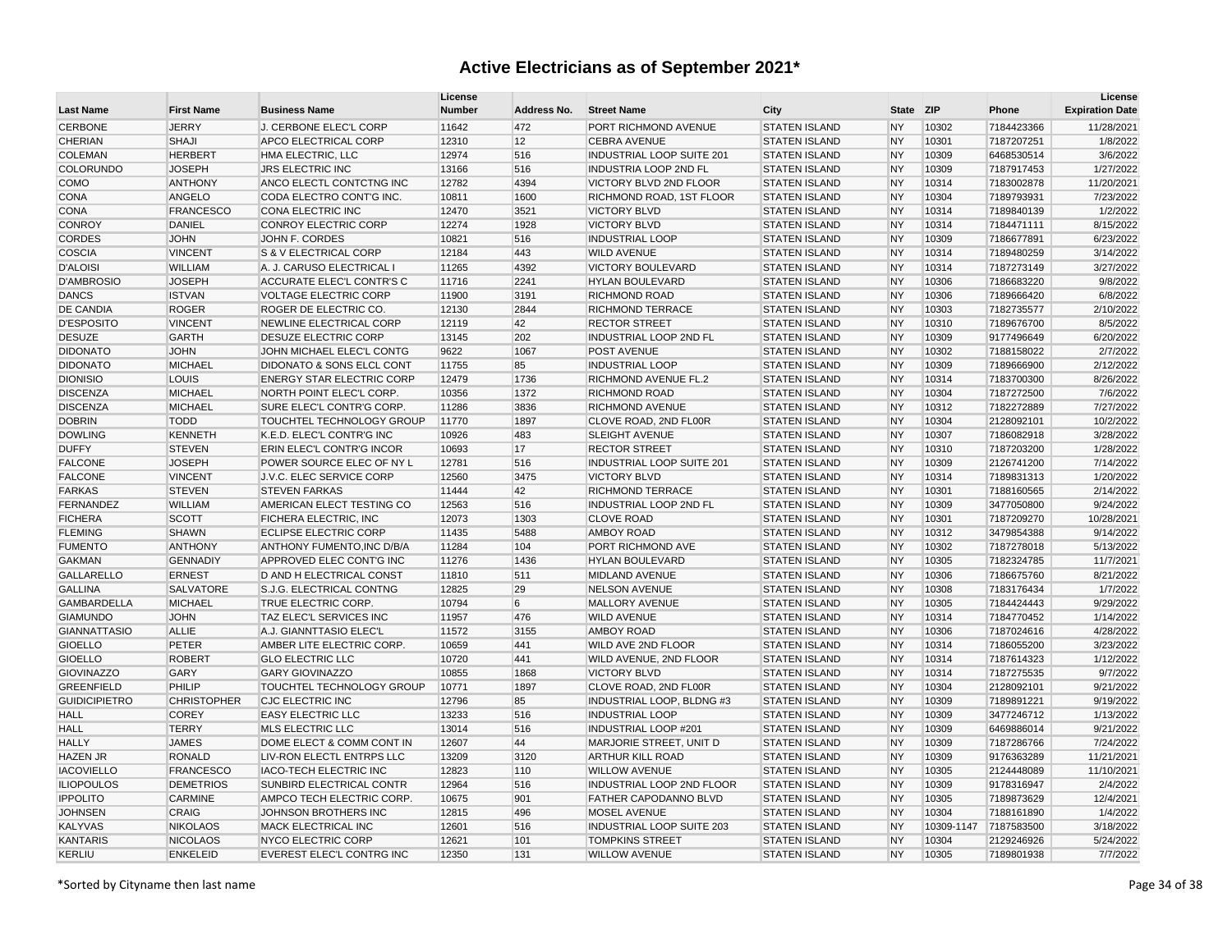| <b>Last Name</b>     | <b>First Name</b>  | <b>Business Name</b>                 | License<br><b>Number</b> | Address No. | <b>Street Name</b>               | City                 | <b>State</b> | <b>ZIP</b> | Phone      | License<br><b>Expiration Date</b> |
|----------------------|--------------------|--------------------------------------|--------------------------|-------------|----------------------------------|----------------------|--------------|------------|------------|-----------------------------------|
| <b>CERBONE</b>       | <b>JERRY</b>       | J. CERBONE ELEC'L CORP               | 11642                    | 472         | PORT RICHMOND AVENUE             | <b>STATEN ISLAND</b> | <b>NY</b>    | 10302      | 7184423366 | 11/28/2021                        |
| <b>CHERIAN</b>       | <b>SHAJI</b>       | <b>APCO ELECTRICAL CORP</b>          | 12310                    | 12          | <b>CEBRA AVENUE</b>              | <b>STATEN ISLAND</b> | <b>NY</b>    | 10301      | 7187207251 | 1/8/2022                          |
| <b>COLEMAN</b>       | <b>HERBERT</b>     | HMA ELECTRIC, LLC                    | 12974                    | 516         | INDUSTRIAL LOOP SUITE 201        | <b>STATEN ISLAND</b> | <b>NY</b>    | 10309      | 6468530514 | 3/6/2022                          |
| COLORUNDO            | <b>JOSEPH</b>      | <b>JRS ELECTRIC INC</b>              | 13166                    | 516         | <b>INDUSTRIA LOOP 2ND FL</b>     | <b>STATEN ISLAND</b> | <b>NY</b>    | 10309      | 7187917453 | 1/27/2022                         |
| <b>COMO</b>          | <b>ANTHONY</b>     | ANCO ELECTL CONTCTNG INC             | 12782                    | 4394        | VICTORY BLVD 2ND FLOOR           | <b>STATEN ISLAND</b> | <b>NY</b>    | 10314      | 7183002878 | 11/20/2021                        |
| <b>CONA</b>          | ANGELO             | CODA ELECTRO CONT'G INC.             | 10811                    | 1600        | RICHMOND ROAD, 1ST FLOOR         | <b>STATEN ISLAND</b> | <b>NY</b>    | 10304      | 7189793931 | 7/23/2022                         |
| <b>CONA</b>          | <b>FRANCESCO</b>   | CONA ELECTRIC INC                    | 12470                    | 3521        | <b>VICTORY BLVD</b>              | <b>STATEN ISLAND</b> | <b>NY</b>    | 10314      | 7189840139 | 1/2/2022                          |
| <b>CONROY</b>        | <b>DANIEL</b>      | <b>CONROY ELECTRIC CORP</b>          | 12274                    | 1928        | <b>VICTORY BLVD</b>              | <b>STATEN ISLAND</b> | <b>NY</b>    | 10314      | 7184471111 | 8/15/2022                         |
| <b>CORDES</b>        | <b>JOHN</b>        | JOHN F. CORDES                       | 10821                    | 516         | <b>INDUSTRIAL LOOP</b>           | <b>STATEN ISLAND</b> | <b>NY</b>    | 10309      | 7186677891 | 6/23/2022                         |
| <b>COSCIA</b>        | <b>VINCENT</b>     | S & V ELECTRICAL CORP                | 12184                    | 443         | <b>WILD AVENUE</b>               | <b>STATEN ISLAND</b> | <b>NY</b>    | 10314      | 7189480259 | 3/14/2022                         |
| <b>D'ALOISI</b>      | WILLIAM            | A. J. CARUSO ELECTRICAL I            | 11265                    | 4392        | <b>VICTORY BOULEVARD</b>         | <b>STATEN ISLAND</b> | <b>NY</b>    | 10314      | 7187273149 | 3/27/2022                         |
| <b>D'AMBROSIO</b>    | <b>JOSEPH</b>      | ACCURATE ELEC'L CONTR'S C            | 11716                    | 2241        | <b>HYLAN BOULEVARD</b>           | <b>STATEN ISLAND</b> | <b>NY</b>    | 10306      | 7186683220 | 9/8/2022                          |
| <b>DANCS</b>         | <b>ISTVAN</b>      | <b>VOLTAGE ELECTRIC CORP</b>         | 11900                    | 3191        | <b>RICHMOND ROAD</b>             | <b>STATEN ISLAND</b> | <b>NY</b>    | 10306      | 7189666420 | 6/8/2022                          |
| DE CANDIA            | <b>ROGER</b>       | ROGER DE ELECTRIC CO.                | 12130                    | 2844        | <b>RICHMOND TERRACE</b>          | <b>STATEN ISLAND</b> | <b>NY</b>    | 10303      | 7182735577 | 2/10/2022                         |
| <b>D'ESPOSITO</b>    | <b>VINCENT</b>     | NEWLINE ELECTRICAL CORP              | 12119                    | 42          | <b>RECTOR STREET</b>             | <b>STATEN ISLAND</b> | <b>NY</b>    | 10310      | 7189676700 | 8/5/2022                          |
| <b>DESUZE</b>        | <b>GARTH</b>       | <b>DESUZE ELECTRIC CORP</b>          | 13145                    | 202         | INDUSTRIAL LOOP 2ND FL           | <b>STATEN ISLAND</b> | <b>NY</b>    | 10309      | 9177496649 | 6/20/2022                         |
| <b>DIDONATO</b>      | <b>JOHN</b>        | JOHN MICHAEL ELEC'L CONTG            | 9622                     | 1067        | <b>POST AVENUE</b>               | <b>STATEN ISLAND</b> | <b>NY</b>    | 10302      | 7188158022 | 2/7/2022                          |
| <b>DIDONATO</b>      | <b>MICHAEL</b>     | <b>DIDONATO &amp; SONS ELCL CONT</b> | 11755                    | 85          | <b>INDUSTRIAL LOOP</b>           | <b>STATEN ISLAND</b> | <b>NY</b>    | 10309      | 7189666900 | 2/12/2022                         |
| <b>DIONISIO</b>      | LOUIS              | <b>ENERGY STAR ELECTRIC CORP</b>     | 12479                    | 1736        | RICHMOND AVENUE FL.2             | <b>STATEN ISLAND</b> | <b>NY</b>    | 10314      | 7183700300 | 8/26/2022                         |
| <b>DISCENZA</b>      | <b>MICHAEL</b>     | NORTH POINT ELEC'L CORP.             | 10356                    | 1372        | <b>RICHMOND ROAD</b>             | <b>STATEN ISLAND</b> | <b>NY</b>    | 10304      | 7187272500 | 7/6/2022                          |
| <b>DISCENZA</b>      | <b>MICHAEL</b>     | SURE ELEC'L CONTR'G CORP.            | 11286                    | 3836        | <b>RICHMOND AVENUE</b>           | <b>STATEN ISLAND</b> | <b>NY</b>    | 10312      | 7182272889 | 7/27/2022                         |
| <b>DOBRIN</b>        | <b>TODD</b>        | <b>TOUCHTEL TECHNOLOGY GROUP</b>     | 11770                    | 1897        | CLOVE ROAD, 2ND FL00R            | <b>STATEN ISLAND</b> | <b>NY</b>    | 10304      | 2128092101 | 10/2/2022                         |
| <b>DOWLING</b>       | <b>KENNETH</b>     | K.E.D. ELEC'L CONTR'G INC            | 10926                    | 483         | <b>SLEIGHT AVENUE</b>            | <b>STATEN ISLAND</b> | <b>NY</b>    | 10307      | 7186082918 | 3/28/2022                         |
| <b>DUFFY</b>         | <b>STEVEN</b>      | ERIN ELEC'L CONTR'G INCOR            | 10693                    | 17          | <b>RECTOR STREET</b>             | <b>STATEN ISLAND</b> | <b>NY</b>    | 10310      | 7187203200 | 1/28/2022                         |
| <b>FALCONE</b>       | <b>JOSEPH</b>      | POWER SOURCE ELEC OF NY L            | 12781                    | 516         | INDUSTRIAL LOOP SUITE 201        | <b>STATEN ISLAND</b> | <b>NY</b>    | 10309      | 2126741200 | 7/14/2022                         |
| <b>FALCONE</b>       | <b>VINCENT</b>     | J.V.C. ELEC SERVICE CORP             | 12560                    | 3475        | <b>VICTORY BLVD</b>              | <b>STATEN ISLAND</b> | <b>NY</b>    | 10314      | 7189831313 | 1/20/2022                         |
| <b>FARKAS</b>        | <b>STEVEN</b>      | <b>STEVEN FARKAS</b>                 | 11444                    | 42          | <b>RICHMOND TERRACE</b>          | <b>STATEN ISLAND</b> | <b>NY</b>    | 10301      | 7188160565 | 2/14/2022                         |
| <b>FERNANDEZ</b>     | <b>WILLIAM</b>     | AMERICAN ELECT TESTING CO            | 12563                    | 516         | INDUSTRIAL LOOP 2ND FL           | <b>STATEN ISLAND</b> | <b>NY</b>    | 10309      | 3477050800 | 9/24/2022                         |
| <b>FICHERA</b>       | <b>SCOTT</b>       | <b>FICHERA ELECTRIC, INC</b>         | 12073                    | 1303        | <b>CLOVE ROAD</b>                | <b>STATEN ISLAND</b> | <b>NY</b>    | 10301      | 7187209270 | 10/28/2021                        |
| <b>FLEMING</b>       | <b>SHAWN</b>       | <b>ECLIPSE ELECTRIC CORP</b>         | 11435                    | 5488        | <b>AMBOY ROAD</b>                | <b>STATEN ISLAND</b> | <b>NY</b>    | 10312      | 3479854388 | 9/14/2022                         |
| <b>FUMENTO</b>       | <b>ANTHONY</b>     | ANTHONY FUMENTO, INC D/B/A           | 11284                    | 104         | PORT RICHMOND AVE                | <b>STATEN ISLAND</b> | <b>NY</b>    | 10302      | 7187278018 | 5/13/2022                         |
| <b>GAKMAN</b>        | <b>GENNADIY</b>    | APPROVED ELEC CONT'G INC             | 11276                    | 1436        | <b>HYLAN BOULEVARD</b>           | <b>STATEN ISLAND</b> | <b>NY</b>    | 10305      | 7182324785 | 11/7/2021                         |
| <b>GALLARELLO</b>    | <b>ERNEST</b>      | <b>D AND H ELECTRICAL CONST</b>      | 11810                    | 511         | MIDLAND AVENUE                   | <b>STATEN ISLAND</b> | <b>NY</b>    | 10306      | 7186675760 | 8/21/2022                         |
| <b>GALLINA</b>       | <b>SALVATORE</b>   | S.J.G. ELECTRICAL CONTNG             | 12825                    | 29          | <b>NELSON AVENUE</b>             | <b>STATEN ISLAND</b> | <b>NY</b>    | 10308      | 7183176434 | 1/7/2022                          |
| <b>GAMBARDELLA</b>   | <b>MICHAEL</b>     | TRUE ELECTRIC CORP.                  | 10794                    | 6           | <b>MALLORY AVENUE</b>            | <b>STATEN ISLAND</b> | <b>NY</b>    | 10305      | 7184424443 | 9/29/2022                         |
| <b>GIAMUNDO</b>      | <b>JOHN</b>        | <b>TAZ ELEC'L SERVICES INC</b>       | 11957                    | 476         | <b>WILD AVENUE</b>               | <b>STATEN ISLAND</b> | <b>NY</b>    | 10314      | 7184770452 | 1/14/2022                         |
| <b>GIANNATTASIO</b>  | <b>ALLIE</b>       | A.J. GIANNTTASIO ELEC'L              | 11572                    | 3155        | <b>AMBOY ROAD</b>                | <b>STATEN ISLAND</b> | <b>NY</b>    | 10306      | 7187024616 | 4/28/2022                         |
| <b>GIOELLO</b>       | <b>PETER</b>       | AMBER LITE ELECTRIC CORP.            | 10659                    | 441         | WILD AVE 2ND FLOOR               | <b>STATEN ISLAND</b> | <b>NY</b>    | 10314      | 7186055200 | 3/23/2022                         |
| <b>GIOELLO</b>       | <b>ROBERT</b>      | <b>GLO ELECTRIC LLC</b>              | 10720                    | 441         | WILD AVENUE, 2ND FLOOR           | <b>STATEN ISLAND</b> | <b>NY</b>    | 10314      | 7187614323 | 1/12/2022                         |
| <b>GIOVINAZZO</b>    | <b>GARY</b>        | <b>GARY GIOVINAZZO</b>               | 10855                    | 1868        | <b>VICTORY BLVD</b>              | <b>STATEN ISLAND</b> | <b>NY</b>    | 10314      | 7187275535 | 9/7/2022                          |
| <b>GREENFIELD</b>    | PHILIP             | <b>TOUCHTEL TECHNOLOGY GROUP</b>     | 10771                    | 1897        | CLOVE ROAD, 2ND FL00R            | <b>STATEN ISLAND</b> | <b>NY</b>    | 10304      | 2128092101 | 9/21/2022                         |
| <b>GUIDICIPIETRO</b> | <b>CHRISTOPHER</b> | <b>CJC ELECTRIC INC</b>              | 12796                    | 85          | <b>INDUSTRIAL LOOP, BLDNG #3</b> | <b>STATEN ISLAND</b> | <b>NY</b>    | 10309      | 7189891221 | 9/19/2022                         |
| <b>HALL</b>          | <b>COREY</b>       | <b>EASY ELECTRIC LLC</b>             | 13233                    | 516         | <b>INDUSTRIAL LOOP</b>           | <b>STATEN ISLAND</b> | <b>NY</b>    | 10309      | 3477246712 | 1/13/2022                         |
| <b>HALL</b>          | <b>TERRY</b>       | MLS ELECTRIC LLC                     | 13014                    | 516         | INDUSTRIAL LOOP #201             | <b>STATEN ISLAND</b> | <b>NY</b>    | 10309      | 6469886014 | 9/21/2022                         |
| <b>HALLY</b>         | <b>JAMES</b>       | DOME ELECT & COMM CONT IN            | 12607                    | 44          | MARJORIE STREET, UNIT D          | <b>STATEN ISLAND</b> | <b>NY</b>    | 10309      | 7187286766 | 7/24/2022                         |
| <b>HAZEN JR</b>      | <b>RONALD</b>      | LIV-RON ELECTL ENTRPS LLC            | 13209                    | 3120        | <b>ARTHUR KILL ROAD</b>          | <b>STATEN ISLAND</b> | <b>NY</b>    | 10309      | 9176363289 | 11/21/2021                        |
| <b>IACOVIELLO</b>    | <b>FRANCESCO</b>   | <b>IACO-TECH ELECTRIC INC</b>        | 12823                    | 110         | <b>WILLOW AVENUE</b>             | <b>STATEN ISLAND</b> | <b>NY</b>    | 10305      | 2124448089 | 11/10/2021                        |
| <b>ILIOPOULOS</b>    | <b>DEMETRIOS</b>   | SUNBIRD ELECTRICAL CONTR             | 12964                    | 516         | INDUSTRIAL LOOP 2ND FLOOR        | <b>STATEN ISLAND</b> | <b>NY</b>    | 10309      | 9178316947 | 2/4/2022                          |
| <b>IPPOLITO</b>      | <b>CARMINE</b>     | AMPCO TECH ELECTRIC CORP.            | 10675                    | 901         | FATHER CAPODANNO BLVD            | <b>STATEN ISLAND</b> | <b>NY</b>    | 10305      | 7189873629 | 12/4/2021                         |
| <b>JOHNSEN</b>       | <b>CRAIG</b>       | JOHNSON BROTHERS INC                 | 12815                    | 496         | <b>MOSEL AVENUE</b>              | <b>STATEN ISLAND</b> | <b>NY</b>    | 10304      | 7188161890 | 1/4/2022                          |
| <b>KALYVAS</b>       | <b>NIKOLAOS</b>    | <b>MACK ELECTRICAL INC</b>           | 12601                    | 516         | <b>INDUSTRIAL LOOP SUITE 203</b> | <b>STATEN ISLAND</b> | <b>NY</b>    | 10309-1147 | 7187583500 | 3/18/2022                         |
| <b>KANTARIS</b>      | <b>NICOLAOS</b>    | NYCO ELECTRIC CORP                   | 12621                    | 101         | <b>TOMPKINS STREET</b>           | <b>STATEN ISLAND</b> | <b>NY</b>    | 10304      | 2129246926 | 5/24/2022                         |
| <b>KERLIU</b>        | <b>ENKELEID</b>    | EVEREST ELEC'L CONTRG INC            | 12350                    | 131         | <b>WILLOW AVENUE</b>             | <b>STATEN ISLAND</b> | <b>NY</b>    | 10305      | 7189801938 | 7/7/2022                          |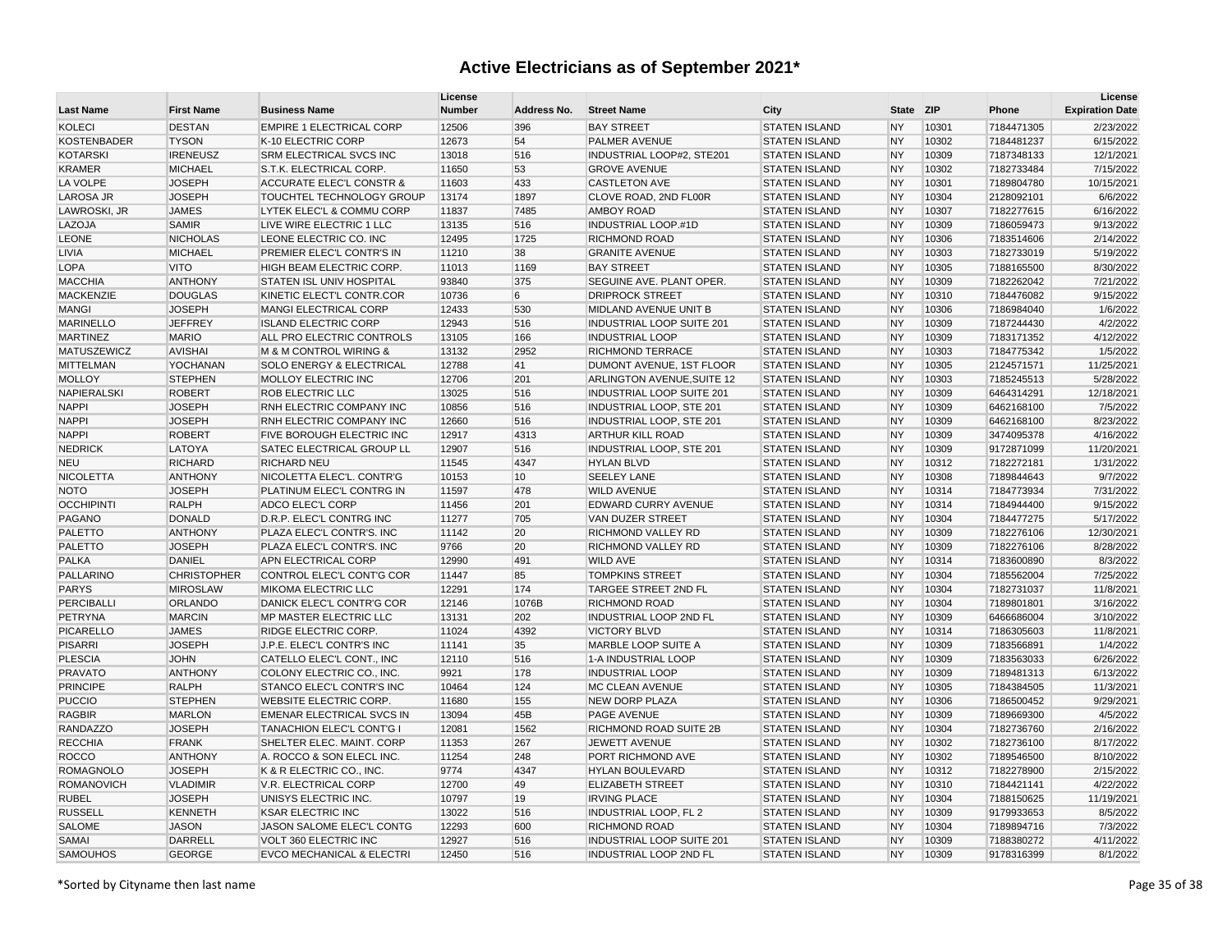| <b>Last Name</b>   | <b>First Name</b>  | <b>Business Name</b>                 | License<br><b>Number</b> | Address No. | <b>Street Name</b>               | City                 | <b>State</b> | <b>ZIP</b> | Phone      | License<br><b>Expiration Date</b> |
|--------------------|--------------------|--------------------------------------|--------------------------|-------------|----------------------------------|----------------------|--------------|------------|------------|-----------------------------------|
| <b>KOLECI</b>      | <b>DESTAN</b>      | <b>EMPIRE 1 ELECTRICAL CORP</b>      | 12506                    | 396         | <b>BAY STREET</b>                | <b>STATEN ISLAND</b> | <b>NY</b>    | 10301      | 7184471305 | 2/23/2022                         |
| <b>KOSTENBADER</b> | <b>TYSON</b>       | K-10 ELECTRIC CORP                   | 12673                    | 54          | <b>PALMER AVENUE</b>             | <b>STATEN ISLAND</b> | <b>NY</b>    | 10302      | 7184481237 | 6/15/2022                         |
| <b>KOTARSKI</b>    | <b>IRENEUSZ</b>    | SRM ELECTRICAL SVCS INC              | 13018                    | 516         | INDUSTRIAL LOOP#2, STE201        | <b>STATEN ISLAND</b> | <b>NY</b>    | 10309      | 7187348133 | 12/1/2021                         |
| <b>KRAMER</b>      | <b>MICHAEL</b>     | S.T.K. ELECTRICAL CORP.              | 11650                    | 53          | <b>GROVE AVENUE</b>              | <b>STATEN ISLAND</b> | <b>NY</b>    | 10302      | 7182733484 | 7/15/2022                         |
| LA VOLPE           | <b>JOSEPH</b>      | <b>ACCURATE ELEC'L CONSTR &amp;</b>  | 11603                    | 433         | <b>CASTLETON AVE</b>             | <b>STATEN ISLAND</b> | <b>NY</b>    | 10301      | 7189804780 | 10/15/2021                        |
| <b>LAROSA JR</b>   | <b>JOSEPH</b>      | <b>TOUCHTEL TECHNOLOGY GROUP</b>     | 13174                    | 1897        | CLOVE ROAD, 2ND FL00R            | <b>STATEN ISLAND</b> | <b>NY</b>    | 10304      | 2128092101 | 6/6/2022                          |
| LAWROSKI, JR       | <b>JAMES</b>       | LYTEK ELEC'L & COMMU CORP            | 11837                    | 7485        | <b>AMBOY ROAD</b>                | <b>STATEN ISLAND</b> | <b>NY</b>    | 10307      | 7182277615 | 6/16/2022                         |
| LAZOJA             | <b>SAMIR</b>       | LIVE WIRE ELECTRIC 1 LLC             | 13135                    | 516         | INDUSTRIAL LOOP.#1D              | <b>STATEN ISLAND</b> | <b>NY</b>    | 10309      | 7186059473 | 9/13/2022                         |
| <b>LEONE</b>       | <b>NICHOLAS</b>    | LEONE ELECTRIC CO. INC               | 12495                    | 1725        | <b>RICHMOND ROAD</b>             | <b>STATEN ISLAND</b> | <b>NY</b>    | 10306      | 7183514606 | 2/14/2022                         |
| LIVIA              | <b>MICHAEL</b>     | PREMIER ELEC'L CONTR'S IN            | 11210                    | 38          | <b>GRANITE AVENUE</b>            | <b>STATEN ISLAND</b> | <b>NY</b>    | 10303      | 7182733019 | 5/19/2022                         |
| <b>LOPA</b>        | <b>VITO</b>        | HIGH BEAM ELECTRIC CORP.             | 11013                    | 1169        | <b>BAY STREET</b>                | <b>STATEN ISLAND</b> | <b>NY</b>    | 10305      | 7188165500 | 8/30/2022                         |
| <b>MACCHIA</b>     | <b>ANTHONY</b>     | STATEN ISL UNIV HOSPITAL             | 93840                    | 375         | SEGUINE AVE. PLANT OPER.         | <b>STATEN ISLAND</b> | <b>NY</b>    | 10309      | 7182262042 | 7/21/2022                         |
| <b>MACKENZIE</b>   | <b>DOUGLAS</b>     | KINETIC ELECT'L CONTR.COR            | 10736                    | 6           | <b>DRIPROCK STREET</b>           | <b>STATEN ISLAND</b> | <b>NY</b>    | 10310      | 7184476082 | 9/15/2022                         |
| <b>MANGI</b>       | <b>JOSEPH</b>      | MANGI ELECTRICAL CORP                | 12433                    | 530         | MIDLAND AVENUE UNIT B            | <b>STATEN ISLAND</b> | <b>NY</b>    | 10306      | 7186984040 | 1/6/2022                          |
| <b>MARINELLO</b>   | <b>JEFFREY</b>     | <b>ISLAND ELECTRIC CORP</b>          | 12943                    | 516         | <b>INDUSTRIAL LOOP SUITE 201</b> | <b>STATEN ISLAND</b> | <b>NY</b>    | 10309      | 7187244430 | 4/2/2022                          |
| <b>MARTINEZ</b>    | <b>MARIO</b>       | ALL PRO ELECTRIC CONTROLS            | 13105                    | 166         | <b>INDUSTRIAL LOOP</b>           | <b>STATEN ISLAND</b> | <b>NY</b>    | 10309      | 7183171352 | 4/12/2022                         |
| MATUSZEWICZ        | <b>AVISHAI</b>     | M & M CONTROL WIRING &               | 13132                    | 2952        | <b>RICHMOND TERRACE</b>          | <b>STATEN ISLAND</b> | <b>NY</b>    | 10303      | 7184775342 | 1/5/2022                          |
| <b>MITTELMAN</b>   | YOCHANAN           | <b>SOLO ENERGY &amp; ELECTRICAL</b>  | 12788                    | 41          | DUMONT AVENUE, 1ST FLOOR         | <b>STATEN ISLAND</b> | <b>NY</b>    | 10305      | 2124571571 | 11/25/2021                        |
| <b>MOLLOY</b>      | <b>STEPHEN</b>     | MOLLOY ELECTRIC INC                  | 12706                    | 201         | ARLINGTON AVENUE, SUITE 12       | <b>STATEN ISLAND</b> | <b>NY</b>    | 10303      | 7185245513 | 5/28/2022                         |
| NAPIERALSKI        | <b>ROBERT</b>      | <b>ROB ELECTRIC LLC</b>              | 13025                    | 516         | <b>INDUSTRIAL LOOP SUITE 201</b> | <b>STATEN ISLAND</b> | <b>NY</b>    | 10309      | 6464314291 | 12/18/2021                        |
| <b>NAPPI</b>       | <b>JOSEPH</b>      | RNH ELECTRIC COMPANY INC             | 10856                    | 516         | INDUSTRIAL LOOP, STE 201         | <b>STATEN ISLAND</b> | <b>NY</b>    | 10309      | 6462168100 | 7/5/2022                          |
| <b>NAPPI</b>       | <b>JOSEPH</b>      | RNH ELECTRIC COMPANY INC             | 12660                    | 516         | <b>INDUSTRIAL LOOP, STE 201</b>  | <b>STATEN ISLAND</b> | <b>NY</b>    | 10309      | 6462168100 | 8/23/2022                         |
| <b>NAPPI</b>       | <b>ROBERT</b>      | FIVE BOROUGH ELECTRIC INC            | 12917                    | 4313        | <b>ARTHUR KILL ROAD</b>          | <b>STATEN ISLAND</b> | <b>NY</b>    | 10309      | 3474095378 | 4/16/2022                         |
| <b>NEDRICK</b>     | LATOYA             | SATEC ELECTRICAL GROUP LL            | 12907                    | 516         | <b>INDUSTRIAL LOOP, STE 201</b>  | <b>STATEN ISLAND</b> | <b>NY</b>    | 10309      | 9172871099 | 11/20/2021                        |
| <b>NEU</b>         | <b>RICHARD</b>     | <b>RICHARD NEU</b>                   | 11545                    | 4347        | <b>HYLAN BLVD</b>                | <b>STATEN ISLAND</b> | <b>NY</b>    | 10312      | 7182272181 | 1/31/2022                         |
| <b>NICOLETTA</b>   | <b>ANTHONY</b>     | NICOLETTA ELEC'L. CONTR'G            | 10153                    | 10          | <b>SEELEY LANE</b>               | <b>STATEN ISLAND</b> | <b>NY</b>    | 10308      | 7189844643 | 9/7/2022                          |
| <b>NOTO</b>        | <b>JOSEPH</b>      | PLATINUM ELEC'L CONTRG IN            | 11597                    | 478         | <b>WILD AVENUE</b>               | <b>STATEN ISLAND</b> | <b>NY</b>    | 10314      | 7184773934 | 7/31/2022                         |
| <b>OCCHIPINTI</b>  | <b>RALPH</b>       | <b>ADCO ELEC'L CORP</b>              | 11456                    | 201         | EDWARD CURRY AVENUE              | <b>STATEN ISLAND</b> | <b>NY</b>    | 10314      | 7184944400 | 9/15/2022                         |
| PAGANO             | <b>DONALD</b>      | D.R.P. ELEC'L CONTRG INC             | 11277                    | 705         | VAN DUZER STREET                 | <b>STATEN ISLAND</b> | <b>NY</b>    | 10304      | 7184477275 | 5/17/2022                         |
| <b>PALETTO</b>     | <b>ANTHONY</b>     | PLAZA ELEC'L CONTR'S. INC            | 11142                    | 20          | RICHMOND VALLEY RD               | <b>STATEN ISLAND</b> | <b>NY</b>    | 10309      | 7182276106 | 12/30/2021                        |
| <b>PALETTO</b>     | <b>JOSEPH</b>      | PLAZA ELEC'L CONTR'S. INC            | 9766                     | 20          | RICHMOND VALLEY RD               | <b>STATEN ISLAND</b> | <b>NY</b>    | 10309      | 7182276106 | 8/28/2022                         |
| <b>PALKA</b>       | <b>DANIEL</b>      | <b>APN ELECTRICAL CORP</b>           | 12990                    | 491         | <b>WILD AVE</b>                  | <b>STATEN ISLAND</b> | <b>NY</b>    | 10314      | 7183600890 | 8/3/2022                          |
| PALLARINO          | <b>CHRISTOPHER</b> | CONTROL ELEC'L CONT'G COR            | 11447                    | 85          | <b>TOMPKINS STREET</b>           | <b>STATEN ISLAND</b> | <b>NY</b>    | 10304      | 7185562004 | 7/25/2022                         |
| <b>PARYS</b>       | <b>MIROSLAW</b>    | <b>MIKOMA ELECTRIC LLC</b>           | 12291                    | 174         | TARGEE STREET 2ND FL             | <b>STATEN ISLAND</b> | <b>NY</b>    | 10304      | 7182731037 | 11/8/2021                         |
| <b>PERCIBALLI</b>  | ORLANDO            | DANICK ELEC'L CONTR'G COR            | 12146                    | 1076B       | <b>RICHMOND ROAD</b>             | <b>STATEN ISLAND</b> | <b>NY</b>    | 10304      | 7189801801 | 3/16/2022                         |
| <b>PETRYNA</b>     | <b>MARCIN</b>      | MP MASTER ELECTRIC LLC               | 13131                    | 202         | <b>INDUSTRIAL LOOP 2ND FL</b>    | <b>STATEN ISLAND</b> | <b>NY</b>    | 10309      | 6466686004 | 3/10/2022                         |
| <b>PICARELLO</b>   | <b>JAMES</b>       | RIDGE ELECTRIC CORP.                 | 11024                    | 4392        | <b>VICTORY BLVD</b>              | <b>STATEN ISLAND</b> | <b>NY</b>    | 10314      | 7186305603 | 11/8/2021                         |
| <b>PISARRI</b>     | <b>JOSEPH</b>      | J.P.E. ELEC'L CONTR'S INC            | 11141                    | 35          | MARBLE LOOP SUITE A              | <b>STATEN ISLAND</b> | <b>NY</b>    | 10309      | 7183566891 | 1/4/2022                          |
| <b>PLESCIA</b>     | <b>JOHN</b>        | CATELLO ELEC'L CONT., INC            | 12110                    | 516         | 1-A INDUSTRIAL LOOP              | <b>STATEN ISLAND</b> | <b>NY</b>    | 10309      | 7183563033 | 6/26/2022                         |
| <b>PRAVATO</b>     | <b>ANTHONY</b>     | COLONY ELECTRIC CO., INC.            | 9921                     | 178         | <b>INDUSTRIAL LOOP</b>           | <b>STATEN ISLAND</b> | <b>NY</b>    | 10309      | 7189481313 | 6/13/2022                         |
| <b>PRINCIPE</b>    | <b>RALPH</b>       | STANCO ELEC'L CONTR'S INC            | 10464                    | 124         | MC CLEAN AVENUE                  | <b>STATEN ISLAND</b> | <b>NY</b>    | 10305      | 7184384505 | 11/3/2021                         |
| <b>PUCCIO</b>      | <b>STEPHEN</b>     | <b>WEBSITE ELECTRIC CORP.</b>        | 11680                    | 155         | <b>NEW DORP PLAZA</b>            | <b>STATEN ISLAND</b> | <b>NY</b>    | 10306      | 7186500452 | 9/29/2021                         |
| <b>RAGBIR</b>      | <b>MARLON</b>      | <b>EMENAR ELECTRICAL SVCS IN</b>     | 13094                    | 45B         | PAGE AVENUE                      | <b>STATEN ISLAND</b> | <b>NY</b>    | 10309      | 7189669300 | 4/5/2022                          |
| <b>RANDAZZO</b>    | <b>JOSEPH</b>      | <b>TANACHION ELEC'L CONT'G I</b>     | 12081                    | 1562        | RICHMOND ROAD SUITE 2B           | <b>STATEN ISLAND</b> | <b>NY</b>    | 10304      | 7182736760 | 2/16/2022                         |
| <b>RECCHIA</b>     | <b>FRANK</b>       | SHELTER ELEC. MAINT. CORP            | 11353                    | 267         | JEWETT AVENUE                    | <b>STATEN ISLAND</b> | <b>NY</b>    | 10302      | 7182736100 | 8/17/2022                         |
| <b>ROCCO</b>       | <b>ANTHONY</b>     | A. ROCCO & SON ELECL INC.            | 11254                    | 248         | PORT RICHMOND AVE                | <b>STATEN ISLAND</b> | <b>NY</b>    | 10302      | 7189546500 | 8/10/2022                         |
| <b>ROMAGNOLO</b>   | <b>JOSEPH</b>      | K & R ELECTRIC CO., INC.             | 9774                     | 4347        | <b>HYLAN BOULEVARD</b>           | <b>STATEN ISLAND</b> | <b>NY</b>    | 10312      | 7182278900 | 2/15/2022                         |
| <b>ROMANOVICH</b>  | <b>VLADIMIR</b>    | V.R. ELECTRICAL CORP                 | 12700                    | 49          | <b>ELIZABETH STREET</b>          | <b>STATEN ISLAND</b> | <b>NY</b>    | 10310      | 7184421141 | 4/22/2022                         |
| <b>RUBEL</b>       | <b>JOSEPH</b>      | UNISYS ELECTRIC INC.                 | 10797                    | 19          | <b>IRVING PLACE</b>              | <b>STATEN ISLAND</b> | <b>NY</b>    | 10304      | 7188150625 | 11/19/2021                        |
| <b>RUSSELL</b>     | <b>KENNETH</b>     | <b>KSAR ELECTRIC INC</b>             | 13022                    | 516         | <b>INDUSTRIAL LOOP, FL 2</b>     | <b>STATEN ISLAND</b> | <b>NY</b>    | 10309      | 9179933653 | 8/5/2022                          |
| <b>SALOME</b>      | <b>JASON</b>       | JASON SALOME ELEC'L CONTG            | 12293                    | 600         | <b>RICHMOND ROAD</b>             | <b>STATEN ISLAND</b> | <b>NY</b>    | 10304      | 7189894716 | 7/3/2022                          |
| SAMAI              | <b>DARRELL</b>     | VOLT 360 ELECTRIC INC                | 12927                    | 516         | <b>INDUSTRIAL LOOP SUITE 201</b> | <b>STATEN ISLAND</b> | <b>NY</b>    | 10309      | 7188380272 | 4/11/2022                         |
| <b>SAMOUHOS</b>    | <b>GEORGE</b>      | <b>EVCO MECHANICAL &amp; ELECTRI</b> | 12450                    | 516         | INDUSTRIAL LOOP 2ND FL           | <b>STATEN ISLAND</b> | <b>NY</b>    | 10309      | 9178316399 | 8/1/2022                          |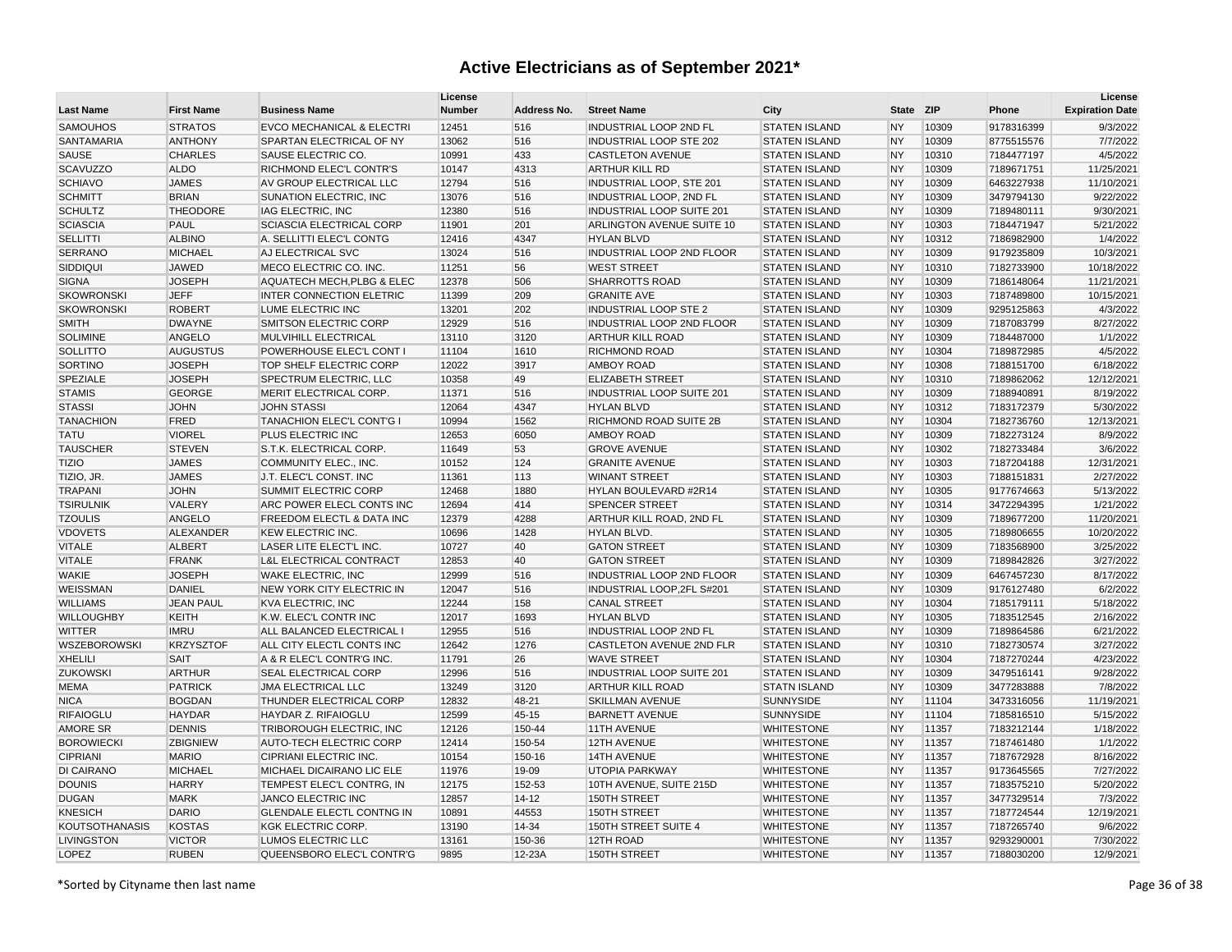| <b>Last Name</b>      | <b>First Name</b> | <b>Business Name</b>                 | License<br><b>Number</b> | Address No. | <b>Street Name</b>               | City                 | <b>State</b> | <b>ZIP</b> | Phone      | License<br><b>Expiration Date</b> |
|-----------------------|-------------------|--------------------------------------|--------------------------|-------------|----------------------------------|----------------------|--------------|------------|------------|-----------------------------------|
| <b>SAMOUHOS</b>       | <b>STRATOS</b>    | <b>EVCO MECHANICAL &amp; ELECTRI</b> | 12451                    | 516         | INDUSTRIAL LOOP 2ND FL           | <b>STATEN ISLAND</b> | <b>NY</b>    | 10309      | 9178316399 | 9/3/2022                          |
| SANTAMARIA            | <b>ANTHONY</b>    | SPARTAN ELECTRICAL OF NY             | 13062                    | 516         | <b>INDUSTRIAL LOOP STE 202</b>   | <b>STATEN ISLAND</b> | <b>NY</b>    | 10309      | 8775515576 | 7/7/2022                          |
| SAUSE                 | <b>CHARLES</b>    | SAUSE ELECTRIC CO.                   | 10991                    | 433         | <b>CASTLETON AVENUE</b>          | <b>STATEN ISLAND</b> | <b>NY</b>    | 10310      | 7184477197 | 4/5/2022                          |
| <b>SCAVUZZO</b>       | <b>ALDO</b>       | RICHMOND ELEC'L CONTR'S              | 10147                    | 4313        | <b>ARTHUR KILL RD</b>            | <b>STATEN ISLAND</b> | <b>NY</b>    | 10309      | 7189671751 | 11/25/2021                        |
| <b>SCHIAVO</b>        | <b>JAMES</b>      | AV GROUP ELECTRICAL LLC              | 12794                    | 516         | <b>INDUSTRIAL LOOP, STE 201</b>  | <b>STATEN ISLAND</b> | <b>NY</b>    | 10309      | 6463227938 | 11/10/2021                        |
| <b>SCHMITT</b>        | <b>BRIAN</b>      | SUNATION ELECTRIC, INC               | 13076                    | 516         | INDUSTRIAL LOOP, 2ND FL          | <b>STATEN ISLAND</b> | <b>NY</b>    | 10309      | 3479794130 | 9/22/2022                         |
| <b>SCHULTZ</b>        | <b>THEODORE</b>   | IAG ELECTRIC, INC                    | 12380                    | 516         | INDUSTRIAL LOOP SUITE 201        | <b>STATEN ISLAND</b> | <b>NY</b>    | 10309      | 7189480111 | 9/30/2021                         |
| <b>SCIASCIA</b>       | PAUL              | <b>SCIASCIA ELECTRICAL CORP</b>      | 11901                    | 201         | ARLINGTON AVENUE SUITE 10        | <b>STATEN ISLAND</b> | <b>NY</b>    | 10303      | 7184471947 | 5/21/2022                         |
| <b>SELLITTI</b>       | <b>ALBINO</b>     | A. SELLITTI ELEC'L CONTG             | 12416                    | 4347        | <b>HYLAN BLVD</b>                | <b>STATEN ISLAND</b> | <b>NY</b>    | 10312      | 7186982900 | 1/4/2022                          |
| <b>SERRANO</b>        | <b>MICHAEL</b>    | <b>AJ ELECTRICAL SVC</b>             | 13024                    | 516         | INDUSTRIAL LOOP 2ND FLOOR        | <b>STATEN ISLAND</b> | <b>NY</b>    | 10309      | 9179235809 | 10/3/2021                         |
| SIDDIQUI              | <b>JAWED</b>      | MECO ELECTRIC CO. INC.               | 11251                    | 56          | <b>WEST STREET</b>               | <b>STATEN ISLAND</b> | <b>NY</b>    | 10310      | 7182733900 | 10/18/2022                        |
| <b>SIGNA</b>          | <b>JOSEPH</b>     | AQUATECH MECH, PLBG & ELEC           | 12378                    | 506         | <b>SHARROTTS ROAD</b>            | <b>STATEN ISLAND</b> | <b>NY</b>    | 10309      | 7186148064 | 11/21/2021                        |
| <b>SKOWRONSKI</b>     | <b>JEFF</b>       | <b>INTER CONNECTION ELETRIC</b>      | 11399                    | 209         | <b>GRANITE AVE</b>               | <b>STATEN ISLAND</b> | <b>NY</b>    | 10303      | 7187489800 | 10/15/2021                        |
| <b>SKOWRONSKI</b>     | <b>ROBERT</b>     | LUME ELECTRIC INC                    | 13201                    | 202         | <b>INDUSTRIAL LOOP STE 2</b>     | <b>STATEN ISLAND</b> | <b>NY</b>    | 10309      | 9295125863 | 4/3/2022                          |
| <b>SMITH</b>          | <b>DWAYNE</b>     | SMITSON ELECTRIC CORP                | 12929                    | 516         | INDUSTRIAL LOOP 2ND FLOOR        | <b>STATEN ISLAND</b> | <b>NY</b>    | 10309      | 7187083799 | 8/27/2022                         |
| <b>SOLIMINE</b>       | <b>ANGELO</b>     | MULVIHILL ELECTRICAL                 | 13110                    | 3120        | ARTHUR KILL ROAD                 | <b>STATEN ISLAND</b> | <b>NY</b>    | 10309      | 7184487000 | 1/1/2022                          |
| <b>SOLLITTO</b>       | <b>AUGUSTUS</b>   | POWERHOUSE ELEC'L CONT I             | 11104                    | 1610        | <b>RICHMOND ROAD</b>             | <b>STATEN ISLAND</b> | <b>NY</b>    | 10304      | 7189872985 | 4/5/2022                          |
| SORTINO               | <b>JOSEPH</b>     | <b>TOP SHELF ELECTRIC CORP</b>       | 12022                    | 3917        | <b>AMBOY ROAD</b>                | <b>STATEN ISLAND</b> | <b>NY</b>    | 10308      | 7188151700 | 6/18/2022                         |
| SPEZIALE              | <b>JOSEPH</b>     | SPECTRUM ELECTRIC, LLC               | 10358                    | 49          | <b>ELIZABETH STREET</b>          | <b>STATEN ISLAND</b> | <b>NY</b>    | 10310      | 7189862062 | 12/12/2021                        |
| <b>STAMIS</b>         | GEORGE            | MERIT ELECTRICAL CORP.               | 11371                    | 516         | <b>INDUSTRIAL LOOP SUITE 201</b> | <b>STATEN ISLAND</b> | <b>NY</b>    | 10309      | 7188940891 | 8/19/2022                         |
| <b>STASSI</b>         | <b>JOHN</b>       | <b>JOHN STASSI</b>                   | 12064                    | 4347        | <b>HYLAN BLVD</b>                | <b>STATEN ISLAND</b> | <b>NY</b>    | 10312      | 7183172379 | 5/30/2022                         |
| <b>TANACHION</b>      | <b>FRED</b>       | TANACHION ELEC'L CONT'G I            | 10994                    | 1562        | RICHMOND ROAD SUITE 2B           | <b>STATEN ISLAND</b> | <b>NY</b>    | 10304      | 7182736760 | 12/13/2021                        |
| <b>TATU</b>           | <b>VIOREL</b>     | PLUS ELECTRIC INC                    | 12653                    | 6050        | <b>AMBOY ROAD</b>                | <b>STATEN ISLAND</b> | <b>NY</b>    | 10309      | 7182273124 | 8/9/2022                          |
| <b>TAUSCHER</b>       | <b>STEVEN</b>     | S.T.K. ELECTRICAL CORP.              | 11649                    | 53          | <b>GROVE AVENUE</b>              | <b>STATEN ISLAND</b> | <b>NY</b>    | 10302      | 7182733484 | 3/6/2022                          |
| <b>TIZIO</b>          | <b>JAMES</b>      | COMMUNITY ELEC., INC.                | 10152                    | 124         | <b>GRANITE AVENUE</b>            | <b>STATEN ISLAND</b> | <b>NY</b>    | 10303      | 7187204188 | 12/31/2021                        |
| TIZIO, JR.            | <b>JAMES</b>      | J.T. ELEC'L CONST. INC               | 11361                    | 113         | <b>WINANT STREET</b>             | <b>STATEN ISLAND</b> | <b>NY</b>    | 10303      | 7188151831 | 2/27/2022                         |
| <b>TRAPANI</b>        | <b>JOHN</b>       | SUMMIT ELECTRIC CORP                 | 12468                    | 1880        | HYLAN BOULEVARD #2R14            | <b>STATEN ISLAND</b> | <b>NY</b>    | 10305      | 9177674663 | 5/13/2022                         |
| <b>TSIRULNIK</b>      | VALERY            | ARC POWER ELECL CONTS INC            | 12694                    | 414         | <b>SPENCER STREET</b>            | <b>STATEN ISLAND</b> | <b>NY</b>    | 10314      | 3472294395 | 1/21/2022                         |
| <b>TZOULIS</b>        | <b>ANGELO</b>     | FREEDOM ELECTL & DATA INC            | 12379                    | 4288        | ARTHUR KILL ROAD, 2ND FL         | <b>STATEN ISLAND</b> | <b>NY</b>    | 10309      | 7189677200 | 11/20/2021                        |
| <b>VDOVETS</b>        | ALEXANDER         | <b>KEW ELECTRIC INC.</b>             | 10696                    | 1428        | <b>HYLAN BLVD.</b>               | <b>STATEN ISLAND</b> | <b>NY</b>    | 10305      | 7189806655 | 10/20/2022                        |
| <b>VITALE</b>         | <b>ALBERT</b>     | LASER LITE ELECT'L INC.              | 10727                    | 40          | <b>GATON STREET</b>              | <b>STATEN ISLAND</b> | <b>NY</b>    | 10309      | 7183568900 | 3/25/2022                         |
| <b>VITALE</b>         | <b>FRANK</b>      | <b>L&amp;L ELECTRICAL CONTRACT</b>   | 12853                    | 40          | <b>GATON STREET</b>              | <b>STATEN ISLAND</b> | <b>NY</b>    | 10309      | 7189842826 | 3/27/2022                         |
| <b>WAKIE</b>          | <b>JOSEPH</b>     | WAKE ELECTRIC, INC                   | 12999                    | 516         | INDUSTRIAL LOOP 2ND FLOOR        | <b>STATEN ISLAND</b> | <b>NY</b>    | 10309      | 6467457230 | 8/17/2022                         |
| WEISSMAN              | <b>DANIEL</b>     | NEW YORK CITY ELECTRIC IN            | 12047                    | 516         | INDUSTRIAL LOOP, 2FL S#201       | <b>STATEN ISLAND</b> | <b>NY</b>    | 10309      | 9176127480 | 6/2/2022                          |
| <b>WILLIAMS</b>       | <b>JEAN PAUL</b>  | KVA ELECTRIC, INC                    | 12244                    | 158         | <b>CANAL STREET</b>              | <b>STATEN ISLAND</b> | <b>NY</b>    | 10304      | 7185179111 | 5/18/2022                         |
| <b>WILLOUGHBY</b>     | <b>KEITH</b>      | K.W. ELEC'L CONTR INC                | 12017                    | 1693        | <b>HYLAN BLVD</b>                | <b>STATEN ISLAND</b> | <b>NY</b>    | 10305      | 7183512545 | 2/16/2022                         |
| <b>WITTER</b>         | <b>IMRU</b>       | ALL BALANCED ELECTRICAL              | 12955                    | 516         | INDUSTRIAL LOOP 2ND FL           | <b>STATEN ISLAND</b> | <b>NY</b>    | 10309      | 7189864586 | 6/21/2022                         |
| <b>WSZEBOROWSKI</b>   | <b>KRZYSZTOF</b>  | ALL CITY ELECTL CONTS INC            | 12642                    | 1276        | CASTLETON AVENUE 2ND FLR         | <b>STATEN ISLAND</b> | <b>NY</b>    | 10310      | 7182730574 | 3/27/2022                         |
| <b>XHELILI</b>        | <b>SAIT</b>       | A & R ELEC'L CONTR'G INC.            | 11791                    | 26          | <b>WAVE STREET</b>               | <b>STATEN ISLAND</b> | <b>NY</b>    | 10304      | 7187270244 | 4/23/2022                         |
| <b>ZUKOWSKI</b>       | <b>ARTHUR</b>     | SEAL ELECTRICAL CORP                 | 12996                    | 516         | INDUSTRIAL LOOP SUITE 201        | <b>STATEN ISLAND</b> | <b>NY</b>    | 10309      | 3479516141 | 9/28/2022                         |
| <b>MEMA</b>           | <b>PATRICK</b>    | <b>JMA ELECTRICAL LLC</b>            | 13249                    | 3120        | <b>ARTHUR KILL ROAD</b>          | <b>STATN ISLAND</b>  | <b>NY</b>    | 10309      | 3477283888 | 7/8/2022                          |
| <b>NICA</b>           | <b>BOGDAN</b>     | <b>THUNDER ELECTRICAL CORP</b>       | 12832                    | 48-21       | <b>SKILLMAN AVENUE</b>           | <b>SUNNYSIDE</b>     | <b>NY</b>    | 11104      | 3473316056 | 11/19/2021                        |
| <b>RIFAIOGLU</b>      | <b>HAYDAR</b>     | HAYDAR Z. RIFAIOGLU                  | 12599                    | 45-15       | <b>BARNETT AVENUE</b>            | <b>SUNNYSIDE</b>     | <b>NY</b>    | 11104      | 7185816510 | 5/15/2022                         |
| <b>AMORE SR</b>       | <b>DENNIS</b>     | TRIBOROUGH ELECTRIC. INC.            | 12126                    | 150-44      | <b>11TH AVENUE</b>               | <b>WHITESTONE</b>    | <b>NY</b>    | 11357      | 7183212144 | 1/18/2022                         |
| <b>BOROWIECKI</b>     | <b>ZBIGNIEW</b>   | AUTO-TECH ELECTRIC CORP              | 12414                    | 150-54      | 12TH AVENUE                      | <b>WHITESTONE</b>    | <b>NY</b>    | 11357      | 7187461480 | 1/1/2022                          |
| <b>CIPRIANI</b>       | <b>MARIO</b>      | CIPRIANI ELECTRIC INC.               | 10154                    | 150-16      | <b>14TH AVENUE</b>               | <b>WHITESTONE</b>    | <b>NY</b>    | 11357      | 7187672928 | 8/16/2022                         |
| DI CAIRANO            | <b>MICHAEL</b>    | MICHAEL DICAIRANO LIC ELE            | 11976                    | 19-09       | UTOPIA PARKWAY                   | <b>WHITESTONE</b>    | <b>NY</b>    | 11357      | 9173645565 | 7/27/2022                         |
| <b>DOUNIS</b>         | <b>HARRY</b>      | TEMPEST ELEC'L CONTRG, IN            | 12175                    | 152-53      | 10TH AVENUE, SUITE 215D          | <b>WHITESTONE</b>    | <b>NY</b>    | 11357      | 7183575210 | 5/20/2022                         |
| <b>DUGAN</b>          | <b>MARK</b>       | JANCO ELECTRIC INC                   | 12857                    | $14 - 12$   | 150TH STREET                     | <b>WHITESTONE</b>    | <b>NY</b>    | 11357      | 3477329514 | 7/3/2022                          |
| <b>KNESICH</b>        | <b>DARIO</b>      | <b>GLENDALE ELECTL CONTNG IN</b>     | 10891                    | 44553       | 150TH STREET                     | <b>WHITESTONE</b>    | <b>NY</b>    | 11357      | 7187724544 | 12/19/2021                        |
| <b>KOUTSOTHANASIS</b> | <b>KOSTAS</b>     | <b>KGK ELECTRIC CORP.</b>            | 13190                    | 14-34       | 150TH STREET SUITE 4             | <b>WHITESTONE</b>    | <b>NY</b>    | 11357      | 7187265740 | 9/6/2022                          |
| LIVINGSTON            | <b>VICTOR</b>     | LUMOS ELECTRIC LLC                   | 13161                    | 150-36      | 12TH ROAD                        | <b>WHITESTONE</b>    | <b>NY</b>    | 11357      | 9293290001 | 7/30/2022                         |
| <b>LOPEZ</b>          | <b>RUBEN</b>      | QUEENSBORO ELEC'L CONTR'G            | 9895                     | 12-23A      | 150TH STREET                     | <b>WHITESTONE</b>    | <b>NY</b>    | 11357      | 7188030200 | 12/9/2021                         |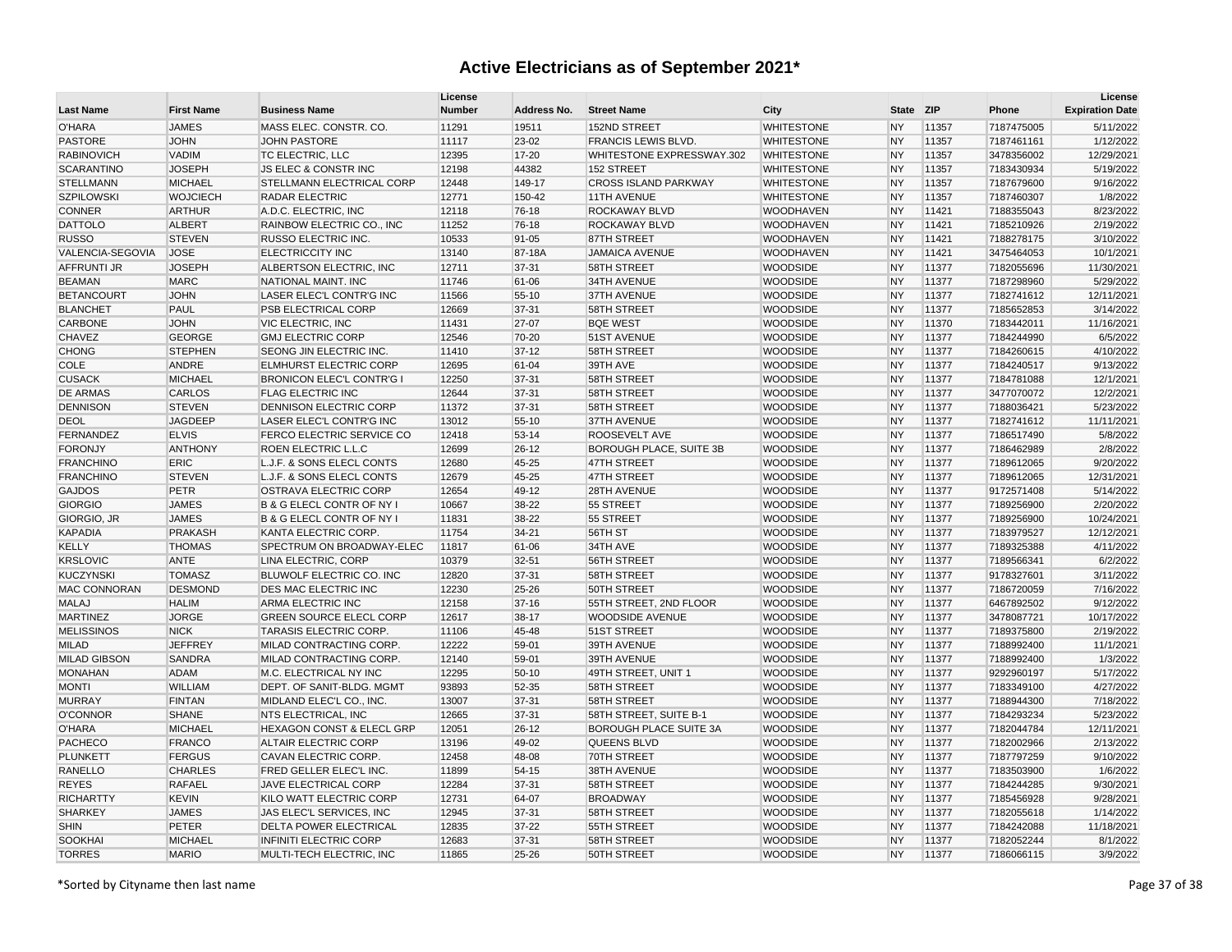| <b>Last Name</b>    | <b>First Name</b> | <b>Business Name</b>                 | License<br><b>Number</b> | Address No. | <b>Street Name</b>             | City              | State ZIP |       | Phone      | License<br><b>Expiration Date</b> |
|---------------------|-------------------|--------------------------------------|--------------------------|-------------|--------------------------------|-------------------|-----------|-------|------------|-----------------------------------|
| <b>O'HARA</b>       | <b>JAMES</b>      | MASS ELEC. CONSTR. CO.               | 11291                    | 19511       | 152ND STREET                   | <b>WHITESTONE</b> | <b>NY</b> | 11357 | 7187475005 | 5/11/2022                         |
| <b>PASTORE</b>      | <b>JOHN</b>       | <b>JOHN PASTORE</b>                  | 11117                    | 23-02       | <b>FRANCIS LEWIS BLVD.</b>     | <b>WHITESTONE</b> | <b>NY</b> | 11357 | 7187461161 | 1/12/2022                         |
| <b>RABINOVICH</b>   | VADIM             | TC ELECTRIC, LLC                     | 12395                    | 17-20       | WHITESTONE EXPRESSWAY.302      | <b>WHITESTONE</b> | <b>NY</b> | 11357 | 3478356002 | 12/29/2021                        |
| <b>SCARANTINO</b>   | <b>JOSEPH</b>     | <b>JS ELEC &amp; CONSTR INC</b>      | 12198                    | 44382       | 152 STREET                     | <b>WHITESTONE</b> | <b>NY</b> | 11357 | 7183430934 | 5/19/2022                         |
| <b>STELLMANN</b>    | <b>MICHAEL</b>    | STELLMANN ELECTRICAL CORP            | 12448                    | 149-17      | <b>CROSS ISLAND PARKWAY</b>    | <b>WHITESTONE</b> | <b>NY</b> | 11357 | 7187679600 | 9/16/2022                         |
| <b>SZPILOWSKI</b>   | <b>WOJCIECH</b>   | <b>RADAR ELECTRIC</b>                | 12771                    | 150-42      | 11TH AVENUE                    | <b>WHITESTONE</b> | <b>NY</b> | 11357 | 7187460307 | 1/8/2022                          |
| <b>CONNER</b>       | <b>ARTHUR</b>     | A.D.C. ELECTRIC, INC                 | 12118                    | 76-18       | <b>ROCKAWAY BLVD</b>           | <b>WOODHAVEN</b>  | <b>NY</b> | 11421 | 7188355043 | 8/23/2022                         |
| <b>DATTOLO</b>      | <b>ALBERT</b>     | RAINBOW ELECTRIC CO., INC            | 11252                    | 76-18       | <b>ROCKAWAY BLVD</b>           | <b>WOODHAVEN</b>  | <b>NY</b> | 11421 | 7185210926 | 2/19/2022                         |
| <b>RUSSO</b>        | <b>STEVEN</b>     | RUSSO ELECTRIC INC.                  | 10533                    | 91-05       | 87TH STREET                    | <b>WOODHAVEN</b>  | <b>NY</b> | 11421 | 7188278175 | 3/10/2022                         |
| VALENCIA-SEGOVIA    | <b>JOSE</b>       | <b>ELECTRICCITY INC</b>              | 13140                    | 87-18A      | <b>JAMAICA AVENUE</b>          | <b>WOODHAVEN</b>  | <b>NY</b> | 11421 | 3475464053 | 10/1/2021                         |
| AFFRUNTI JR         | <b>JOSEPH</b>     | ALBERTSON ELECTRIC, INC.             | 12711                    | 37-31       | 58TH STREET                    | <b>WOODSIDE</b>   | <b>NY</b> | 11377 | 7182055696 | 11/30/2021                        |
| <b>BEAMAN</b>       | <b>MARC</b>       | NATIONAL MAINT. INC                  | 11746                    | 61-06       | 34TH AVENUE                    | <b>WOODSIDE</b>   | <b>NY</b> | 11377 | 7187298960 | 5/29/2022                         |
| <b>BETANCOURT</b>   | <b>JOHN</b>       | LASER ELEC'L CONTR'G INC             | 11566                    | 55-10       | 37TH AVENUE                    | <b>WOODSIDE</b>   | <b>NY</b> | 11377 | 7182741612 | 12/11/2021                        |
| <b>BLANCHET</b>     | PAUL              | PSB ELECTRICAL CORP                  | 12669                    | 37-31       | <b>58TH STREET</b>             | <b>WOODSIDE</b>   | <b>NY</b> | 11377 | 7185652853 | 3/14/2022                         |
| CARBONE             | <b>JOHN</b>       | VIC ELECTRIC, INC.                   | 11431                    | 27-07       | <b>BQE WEST</b>                | <b>WOODSIDE</b>   | <b>NY</b> | 11370 | 7183442011 | 11/16/2021                        |
| CHAVEZ              | <b>GEORGE</b>     | <b>GMJ ELECTRIC CORP</b>             | 12546                    | 70-20       | 51ST AVENUE                    | <b>WOODSIDE</b>   | <b>NY</b> | 11377 | 7184244990 | 6/5/2022                          |
| <b>CHONG</b>        | <b>STEPHEN</b>    | SEONG JIN ELECTRIC INC.              | 11410                    | $37-12$     | 58TH STREET                    | <b>WOODSIDE</b>   | <b>NY</b> | 11377 | 7184260615 | 4/10/2022                         |
| COLE                | ANDRE             | ELMHURST ELECTRIC CORP               | 12695                    | 61-04       | 39TH AVE                       | <b>WOODSIDE</b>   | <b>NY</b> | 11377 | 7184240517 | 9/13/2022                         |
| <b>CUSACK</b>       | <b>MICHAEL</b>    | <b>BRONICON ELEC'L CONTR'G I</b>     | 12250                    | 37-31       | <b>58TH STREET</b>             | <b>WOODSIDE</b>   | <b>NY</b> | 11377 | 7184781088 | 12/1/2021                         |
| <b>DE ARMAS</b>     | CARLOS            | <b>FLAG ELECTRIC INC</b>             | 12644                    | 37-31       | 58TH STREET                    | <b>WOODSIDE</b>   | <b>NY</b> | 11377 | 3477070072 | 12/2/2021                         |
| <b>DENNISON</b>     | <b>STEVEN</b>     | DENNISON ELECTRIC CORP               | 11372                    | 37-31       | 58TH STREET                    | <b>WOODSIDE</b>   | <b>NY</b> | 11377 | 7188036421 | 5/23/2022                         |
| <b>DEOL</b>         | <b>JAGDEEP</b>    | LASER ELEC'L CONTR'G INC             | 13012                    | 55-10       | 37TH AVENUE                    | <b>WOODSIDE</b>   | <b>NY</b> | 11377 | 7182741612 | 11/11/2021                        |
| FERNANDEZ           | <b>ELVIS</b>      | FERCO ELECTRIC SERVICE CO            | 12418                    | 53-14       | ROOSEVELT AVE                  | <b>WOODSIDE</b>   | <b>NY</b> | 11377 | 7186517490 | 5/8/2022                          |
| <b>FORONJY</b>      | <b>ANTHONY</b>    | ROEN ELECTRIC L.L.C                  | 12699                    | $26 - 12$   | <b>BOROUGH PLACE, SUITE 3B</b> | <b>WOODSIDE</b>   | <b>NY</b> | 11377 | 7186462989 | 2/8/2022                          |
| <b>FRANCHINO</b>    | ERIC              | L.J.F. & SONS ELECL CONTS            | 12680                    | 45-25       | 47TH STREET                    | <b>WOODSIDE</b>   | <b>NY</b> | 11377 | 7189612065 | 9/20/2022                         |
| <b>FRANCHINO</b>    | <b>STEVEN</b>     | L.J.F. & SONS ELECL CONTS            | 12679                    | 45-25       | 47TH STREET                    | <b>WOODSIDE</b>   | <b>NY</b> | 11377 | 7189612065 | 12/31/2021                        |
| <b>GAJDOS</b>       | <b>PETR</b>       | OSTRAVA ELECTRIC CORP                | 12654                    | 49-12       | 28TH AVENUE                    | <b>WOODSIDE</b>   | <b>NY</b> | 11377 | 9172571408 | 5/14/2022                         |
| <b>GIORGIO</b>      | <b>JAMES</b>      | B & G ELECL CONTR OF NY I            | 10667                    | 38-22       | 55 STREET                      | <b>WOODSIDE</b>   | <b>NY</b> | 11377 | 7189256900 | 2/20/2022                         |
| GIORGIO, JR         | <b>JAMES</b>      | B & G ELECL CONTR OF NY I            | 11831                    | 38-22       | 55 STREET                      | <b>WOODSIDE</b>   | <b>NY</b> | 11377 | 7189256900 | 10/24/2021                        |
| <b>KAPADIA</b>      | <b>PRAKASH</b>    | KANTA ELECTRIC CORP.                 | 11754                    | 34-21       | 56TH ST                        | <b>WOODSIDE</b>   | <b>NY</b> | 11377 | 7183979527 | 12/12/2021                        |
| <b>KELLY</b>        | <b>THOMAS</b>     | SPECTRUM ON BROADWAY-ELEC            | 11817                    | 61-06       | 34TH AVE                       | <b>WOODSIDE</b>   | <b>NY</b> | 11377 | 7189325388 | 4/11/2022                         |
| <b>KRSLOVIC</b>     | <b>ANTE</b>       | LINA ELECTRIC, CORP                  | 10379                    | $32 - 51$   | 56TH STREET                    | <b>WOODSIDE</b>   | <b>NY</b> | 11377 | 7189566341 | 6/2/2022                          |
| <b>KUCZYNSKI</b>    | <b>TOMASZ</b>     | BLUWOLF ELECTRIC CO. INC             | 12820                    | 37-31       | <b>58TH STREET</b>             | <b>WOODSIDE</b>   | <b>NY</b> | 11377 | 9178327601 | 3/11/2022                         |
| <b>MAC CONNORAN</b> | <b>DESMOND</b>    | DES MAC ELECTRIC INC                 | 12230                    | 25-26       | 50TH STREET                    | <b>WOODSIDE</b>   | <b>NY</b> | 11377 | 7186720059 | 7/16/2022                         |
| <b>MALAJ</b>        | <b>HALIM</b>      | ARMA ELECTRIC INC                    | 12158                    | $37-16$     | 55TH STREET, 2ND FLOOR         | <b>WOODSIDE</b>   | <b>NY</b> | 11377 | 6467892502 | 9/12/2022                         |
| <b>MARTINEZ</b>     | <b>JORGE</b>      | <b>GREEN SOURCE ELECL CORP</b>       | 12617                    | 38-17       | <b>WOODSIDE AVENUE</b>         | <b>WOODSIDE</b>   | <b>NY</b> | 11377 | 3478087721 | 10/17/2022                        |
| <b>MELISSINOS</b>   | <b>NICK</b>       | <b>TARASIS ELECTRIC CORP.</b>        | 11106                    | 45-48       | 51ST STREET                    | <b>WOODSIDE</b>   | <b>NY</b> | 11377 | 7189375800 | 2/19/2022                         |
| <b>MILAD</b>        | <b>JEFFREY</b>    | MILAD CONTRACTING CORP.              | 12222                    | 59-01       | 39TH AVENUE                    | <b>WOODSIDE</b>   | <b>NY</b> | 11377 | 7188992400 | 11/1/2021                         |
| <b>MILAD GIBSON</b> | <b>SANDRA</b>     | MILAD CONTRACTING CORP.              | 12140                    | 59-01       | 39TH AVENUE                    | <b>WOODSIDE</b>   | <b>NY</b> | 11377 | 7188992400 | 1/3/2022                          |
| <b>MONAHAN</b>      | <b>ADAM</b>       | M.C. ELECTRICAL NY INC               | 12295                    | 50-10       | 49TH STREET, UNIT 1            | <b>WOODSIDE</b>   | <b>NY</b> | 11377 | 9292960197 | 5/17/2022                         |
| <b>MONTI</b>        | <b>WILLIAM</b>    | DEPT. OF SANIT-BLDG. MGMT            | 93893                    | 52-35       | 58TH STREET                    | <b>WOODSIDE</b>   | <b>NY</b> | 11377 | 7183349100 | 4/27/2022                         |
| <b>MURRAY</b>       | <b>FINTAN</b>     | MIDLAND ELEC'L CO., INC.             | 13007                    | 37-31       | 58TH STREET                    | <b>WOODSIDE</b>   | <b>NY</b> | 11377 | 7188944300 | 7/18/2022                         |
| <b>O'CONNOR</b>     | <b>SHANE</b>      | <b>NTS ELECTRICAL, INC</b>           | 12665                    | 37-31       | 58TH STREET, SUITE B-1         | <b>WOODSIDE</b>   | <b>NY</b> | 11377 | 7184293234 | 5/23/2022                         |
| <b>O'HARA</b>       | <b>MICHAEL</b>    | <b>HEXAGON CONST &amp; ELECL GRP</b> | 12051                    | $26 - 12$   | BOROUGH PLACE SUITE 3A         | <b>WOODSIDE</b>   | <b>NY</b> | 11377 | 7182044784 | 12/11/2021                        |
| PACHECO             | <b>FRANCO</b>     | ALTAIR ELECTRIC CORP                 | 13196                    | 49-02       | <b>QUEENS BLVD</b>             | <b>WOODSIDE</b>   | <b>NY</b> | 11377 | 7182002966 | 2/13/2022                         |
| PLUNKETT            | <b>FERGUS</b>     | CAVAN ELECTRIC CORP.                 | 12458                    | 48-08       | 70TH STREET                    | <b>WOODSIDE</b>   | <b>NY</b> | 11377 | 7187797259 | 9/10/2022                         |
| <b>RANELLO</b>      | <b>CHARLES</b>    | FRED GELLER ELEC'L INC.              | 11899                    | 54-15       | 38TH AVENUE                    | <b>WOODSIDE</b>   | <b>NY</b> | 11377 | 7183503900 | 1/6/2022                          |
| <b>REYES</b>        | RAFAEL            | JAVE ELECTRICAL CORP                 | 12284                    | 37-31       | 58TH STREET                    | <b>WOODSIDE</b>   | <b>NY</b> | 11377 | 7184244285 | 9/30/2021                         |
| <b>RICHARTTY</b>    | <b>KEVIN</b>      | KILO WATT ELECTRIC CORP              | 12731                    | 64-07       | <b>BROADWAY</b>                | <b>WOODSIDE</b>   | <b>NY</b> | 11377 | 7185456928 | 9/28/2021                         |
| <b>SHARKEY</b>      | <b>JAMES</b>      | JAS ELEC'L SERVICES, INC             | 12945                    | 37-31       | 58TH STREET                    | <b>WOODSIDE</b>   | <b>NY</b> | 11377 | 7182055618 | 1/14/2022                         |
| <b>SHIN</b>         | PETER             | <b>DELTA POWER ELECTRICAL</b>        | 12835                    | 37-22       | 55TH STREET                    | <b>WOODSIDE</b>   | <b>NY</b> | 11377 | 7184242088 | 11/18/2021                        |
| <b>SOOKHAI</b>      | <b>MICHAEL</b>    | <b>INFINITI ELECTRIC CORP</b>        | 12683                    | 37-31       | <b>58TH STREET</b>             | <b>WOODSIDE</b>   | <b>NY</b> | 11377 | 7182052244 | 8/1/2022                          |
| <b>TORRES</b>       | <b>MARIO</b>      | MULTI-TECH ELECTRIC, INC             | 11865                    | 25-26       | 50TH STREET                    | <b>WOODSIDE</b>   | <b>NY</b> | 11377 | 7186066115 | 3/9/2022                          |